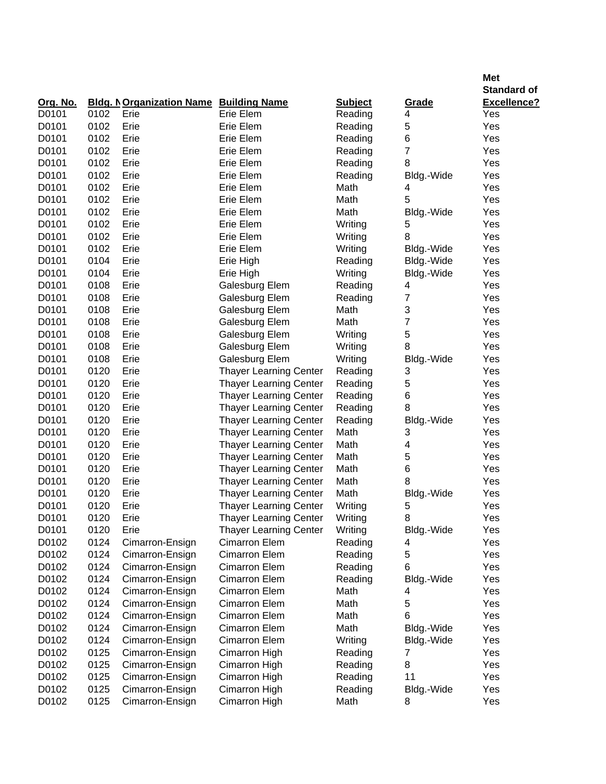| <b>Standard of</b><br>Org. No.<br><b>Bldg. NOrganization Name Building Name</b><br><b>Subject</b><br>Grade<br><b>Excellence?</b><br>D0101<br>0102<br>Erie Elem<br>Reading<br>Erie<br>4<br>Yes<br>5<br>D0101<br>0102<br>Erie Elem<br>Yes<br>Erie<br>Reading<br>6<br>D0101<br>0102<br>Erie<br>Erie Elem<br>Reading<br>Yes<br>7<br>D0101<br>0102<br>Erie<br>Erie Elem<br>Reading<br>Yes<br>8<br>D0101<br>0102<br>Erie<br>Erie Elem<br>Reading<br>Yes<br>D0101<br>0102<br>Erie<br>Erie Elem<br>Reading<br>Yes<br>Bldg.-Wide<br>Erie<br>D0101<br>0102<br>Erie Elem<br>Math<br>Yes<br>4<br>5<br>D0101<br>0102<br>Erie<br>Erie Elem<br>Math<br>Yes<br>D0101<br>0102<br>Erie<br>Erie Elem<br>Yes<br>Math<br>Bldg.-Wide<br>D0101<br>0102<br>Erie<br>Erie Elem<br>Writing<br>5<br>Yes<br>8<br>D0101<br>0102<br>Erie<br>Erie Elem<br>Writing<br>Yes<br>D0101<br>0102<br>Erie<br>Erie Elem<br>Writing<br>Yes<br>Bldg.-Wide<br>Erie<br>D0101<br>0104<br>Erie High<br>Reading<br>Bldg.-Wide<br>Yes<br>Erie<br>D0101<br>0104<br>Writing<br>Bldg.-Wide<br>Yes<br>Erie High<br>D0101<br>0108<br>Erie<br>Yes<br>Galesburg Elem<br>Reading<br>4<br>D0101<br>0108<br>Erie<br>Galesburg Elem<br>7<br>Yes<br>Reading<br>3<br>D0101<br>0108<br>Erie<br>Yes<br>Galesburg Elem<br>Math<br>7<br>D0101<br>0108<br>Erie<br>Yes<br>Galesburg Elem<br>Math<br>5<br>D0101<br>0108<br>Erie<br>Yes<br>Galesburg Elem<br>Writing<br>8<br>D0101<br>0108<br>Erie<br>Yes<br>Galesburg Elem<br>Writing<br>D0101<br>0108<br>Erie<br>Writing<br>Yes<br>Galesburg Elem<br>Bldg.-Wide<br>D0101<br>0120<br>Erie<br><b>Thayer Learning Center</b><br>3<br>Yes<br>Reading<br>5<br>D0101<br>0120<br>Erie<br><b>Thayer Learning Center</b><br>Yes<br>Reading<br>0120<br>6<br>D0101<br>Erie<br><b>Thayer Learning Center</b><br>Reading<br>Yes<br>8<br>D0101<br>0120<br>Erie<br><b>Thayer Learning Center</b><br>Reading<br>Yes<br>D0101<br>0120<br>Erie<br><b>Thayer Learning Center</b><br>Reading<br>Yes<br>Bldg.-Wide<br>0120<br>D0101<br>Erie<br><b>Thayer Learning Center</b><br>Math<br>3<br>Yes<br>0120<br>4<br>D0101<br>Erie<br>Thayer Learning Center<br>Math<br>Yes<br>0120<br>Yes<br>D0101<br>Erie<br><b>Thayer Learning Center</b><br>Math<br>5<br>Erie<br>D0101<br>0120<br><b>Thayer Learning Center</b><br>Math<br>6<br>Yes<br>8<br>D0101<br>0120<br>Erie<br><b>Thayer Learning Center</b><br>Math<br>Yes<br>D0101<br>0120<br>Erie<br><b>Thayer Learning Center</b><br>Math<br>Yes<br>Bldg.-Wide<br>D0101<br>0120<br>Erie<br>Yes<br><b>Thayer Learning Center</b><br>Writing<br>5<br>D0101<br>0120<br>Erie<br>Thayer Learning Center<br>Writing<br>8<br>Yes<br>D0101<br>0120<br>Erie<br>Yes<br><b>Thayer Learning Center</b><br>Writing<br>Bldg.-Wide<br>D0102<br>0124<br><b>Cimarron Elem</b><br>Reading<br>Yes<br>Cimarron-Ensign<br>4<br>0124<br>D0102<br><b>Cimarron Elem</b><br>Reading<br>5<br>Yes<br>Cimarron-Ensign<br>0124<br>D0102<br>Cimarron-Ensign<br><b>Cimarron Elem</b><br>Reading<br>6<br>Yes<br>0124<br>D0102<br>Cimarron-Ensign<br><b>Cimarron Elem</b><br>Reading<br>Yes<br>Bldg.-Wide<br>0124<br>D0102<br>Cimarron-Ensign<br><b>Cimarron Elem</b><br>Math<br>Yes<br>4<br>0124<br>D0102<br>Cimarron-Ensign<br><b>Cimarron Elem</b><br>Math<br>5<br>Yes<br>0124<br>6<br>D0102<br>Cimarron-Ensign<br><b>Cimarron Elem</b><br>Math<br>Yes<br>D0102<br>0124<br>Cimarron-Ensign<br><b>Cimarron Elem</b><br>Math<br>Yes<br>Bldg.-Wide<br>D0102<br>0124<br><b>Cimarron Elem</b><br>Writing<br>Yes<br>Cimarron-Ensign<br>Bldg.-Wide<br>0125<br>D0102<br>Yes<br>Cimarron-Ensign<br>Cimarron High<br>Reading<br>7<br>0125<br>8<br>Yes<br>D0102<br>Cimarron High<br>Cimarron-Ensign<br>Reading<br>0125<br>11<br>Yes<br>D0102<br>Cimarron-Ensign<br>Cimarron High<br>Reading<br>Yes<br>D0102<br>0125<br>Cimarron High<br>Reading<br>Bldg.-Wide<br>Cimarron-Ensign<br>D0102<br>0125<br>Yes<br>Cimarron-Ensign<br>Cimarron High<br>Math<br>8 |  |  |  | <b>Met</b> |
|-------------------------------------------------------------------------------------------------------------------------------------------------------------------------------------------------------------------------------------------------------------------------------------------------------------------------------------------------------------------------------------------------------------------------------------------------------------------------------------------------------------------------------------------------------------------------------------------------------------------------------------------------------------------------------------------------------------------------------------------------------------------------------------------------------------------------------------------------------------------------------------------------------------------------------------------------------------------------------------------------------------------------------------------------------------------------------------------------------------------------------------------------------------------------------------------------------------------------------------------------------------------------------------------------------------------------------------------------------------------------------------------------------------------------------------------------------------------------------------------------------------------------------------------------------------------------------------------------------------------------------------------------------------------------------------------------------------------------------------------------------------------------------------------------------------------------------------------------------------------------------------------------------------------------------------------------------------------------------------------------------------------------------------------------------------------------------------------------------------------------------------------------------------------------------------------------------------------------------------------------------------------------------------------------------------------------------------------------------------------------------------------------------------------------------------------------------------------------------------------------------------------------------------------------------------------------------------------------------------------------------------------------------------------------------------------------------------------------------------------------------------------------------------------------------------------------------------------------------------------------------------------------------------------------------------------------------------------------------------------------------------------------------------------------------------------------------------------------------------------------------------------------------------------------------------------------------------------------------------------------------------------------------------------------------------------------------------------------------------------------------------------------------------------------------------------------------------------------------------------------------------------------------------------------------------------------------------------------------------------------------------------------------------------------------------------------------------------------------------------------------------------------------------------------------------------------------------------------------------------------------------------------------------------|--|--|--|------------|
|                                                                                                                                                                                                                                                                                                                                                                                                                                                                                                                                                                                                                                                                                                                                                                                                                                                                                                                                                                                                                                                                                                                                                                                                                                                                                                                                                                                                                                                                                                                                                                                                                                                                                                                                                                                                                                                                                                                                                                                                                                                                                                                                                                                                                                                                                                                                                                                                                                                                                                                                                                                                                                                                                                                                                                                                                                                                                                                                                                                                                                                                                                                                                                                                                                                                                                                                                                                                                                                                                                                                                                                                                                                                                                                                                                                                                                                                                                                   |  |  |  |            |
|                                                                                                                                                                                                                                                                                                                                                                                                                                                                                                                                                                                                                                                                                                                                                                                                                                                                                                                                                                                                                                                                                                                                                                                                                                                                                                                                                                                                                                                                                                                                                                                                                                                                                                                                                                                                                                                                                                                                                                                                                                                                                                                                                                                                                                                                                                                                                                                                                                                                                                                                                                                                                                                                                                                                                                                                                                                                                                                                                                                                                                                                                                                                                                                                                                                                                                                                                                                                                                                                                                                                                                                                                                                                                                                                                                                                                                                                                                                   |  |  |  |            |
|                                                                                                                                                                                                                                                                                                                                                                                                                                                                                                                                                                                                                                                                                                                                                                                                                                                                                                                                                                                                                                                                                                                                                                                                                                                                                                                                                                                                                                                                                                                                                                                                                                                                                                                                                                                                                                                                                                                                                                                                                                                                                                                                                                                                                                                                                                                                                                                                                                                                                                                                                                                                                                                                                                                                                                                                                                                                                                                                                                                                                                                                                                                                                                                                                                                                                                                                                                                                                                                                                                                                                                                                                                                                                                                                                                                                                                                                                                                   |  |  |  |            |
|                                                                                                                                                                                                                                                                                                                                                                                                                                                                                                                                                                                                                                                                                                                                                                                                                                                                                                                                                                                                                                                                                                                                                                                                                                                                                                                                                                                                                                                                                                                                                                                                                                                                                                                                                                                                                                                                                                                                                                                                                                                                                                                                                                                                                                                                                                                                                                                                                                                                                                                                                                                                                                                                                                                                                                                                                                                                                                                                                                                                                                                                                                                                                                                                                                                                                                                                                                                                                                                                                                                                                                                                                                                                                                                                                                                                                                                                                                                   |  |  |  |            |
|                                                                                                                                                                                                                                                                                                                                                                                                                                                                                                                                                                                                                                                                                                                                                                                                                                                                                                                                                                                                                                                                                                                                                                                                                                                                                                                                                                                                                                                                                                                                                                                                                                                                                                                                                                                                                                                                                                                                                                                                                                                                                                                                                                                                                                                                                                                                                                                                                                                                                                                                                                                                                                                                                                                                                                                                                                                                                                                                                                                                                                                                                                                                                                                                                                                                                                                                                                                                                                                                                                                                                                                                                                                                                                                                                                                                                                                                                                                   |  |  |  |            |
|                                                                                                                                                                                                                                                                                                                                                                                                                                                                                                                                                                                                                                                                                                                                                                                                                                                                                                                                                                                                                                                                                                                                                                                                                                                                                                                                                                                                                                                                                                                                                                                                                                                                                                                                                                                                                                                                                                                                                                                                                                                                                                                                                                                                                                                                                                                                                                                                                                                                                                                                                                                                                                                                                                                                                                                                                                                                                                                                                                                                                                                                                                                                                                                                                                                                                                                                                                                                                                                                                                                                                                                                                                                                                                                                                                                                                                                                                                                   |  |  |  |            |
|                                                                                                                                                                                                                                                                                                                                                                                                                                                                                                                                                                                                                                                                                                                                                                                                                                                                                                                                                                                                                                                                                                                                                                                                                                                                                                                                                                                                                                                                                                                                                                                                                                                                                                                                                                                                                                                                                                                                                                                                                                                                                                                                                                                                                                                                                                                                                                                                                                                                                                                                                                                                                                                                                                                                                                                                                                                                                                                                                                                                                                                                                                                                                                                                                                                                                                                                                                                                                                                                                                                                                                                                                                                                                                                                                                                                                                                                                                                   |  |  |  |            |
|                                                                                                                                                                                                                                                                                                                                                                                                                                                                                                                                                                                                                                                                                                                                                                                                                                                                                                                                                                                                                                                                                                                                                                                                                                                                                                                                                                                                                                                                                                                                                                                                                                                                                                                                                                                                                                                                                                                                                                                                                                                                                                                                                                                                                                                                                                                                                                                                                                                                                                                                                                                                                                                                                                                                                                                                                                                                                                                                                                                                                                                                                                                                                                                                                                                                                                                                                                                                                                                                                                                                                                                                                                                                                                                                                                                                                                                                                                                   |  |  |  |            |
|                                                                                                                                                                                                                                                                                                                                                                                                                                                                                                                                                                                                                                                                                                                                                                                                                                                                                                                                                                                                                                                                                                                                                                                                                                                                                                                                                                                                                                                                                                                                                                                                                                                                                                                                                                                                                                                                                                                                                                                                                                                                                                                                                                                                                                                                                                                                                                                                                                                                                                                                                                                                                                                                                                                                                                                                                                                                                                                                                                                                                                                                                                                                                                                                                                                                                                                                                                                                                                                                                                                                                                                                                                                                                                                                                                                                                                                                                                                   |  |  |  |            |
|                                                                                                                                                                                                                                                                                                                                                                                                                                                                                                                                                                                                                                                                                                                                                                                                                                                                                                                                                                                                                                                                                                                                                                                                                                                                                                                                                                                                                                                                                                                                                                                                                                                                                                                                                                                                                                                                                                                                                                                                                                                                                                                                                                                                                                                                                                                                                                                                                                                                                                                                                                                                                                                                                                                                                                                                                                                                                                                                                                                                                                                                                                                                                                                                                                                                                                                                                                                                                                                                                                                                                                                                                                                                                                                                                                                                                                                                                                                   |  |  |  |            |
|                                                                                                                                                                                                                                                                                                                                                                                                                                                                                                                                                                                                                                                                                                                                                                                                                                                                                                                                                                                                                                                                                                                                                                                                                                                                                                                                                                                                                                                                                                                                                                                                                                                                                                                                                                                                                                                                                                                                                                                                                                                                                                                                                                                                                                                                                                                                                                                                                                                                                                                                                                                                                                                                                                                                                                                                                                                                                                                                                                                                                                                                                                                                                                                                                                                                                                                                                                                                                                                                                                                                                                                                                                                                                                                                                                                                                                                                                                                   |  |  |  |            |
|                                                                                                                                                                                                                                                                                                                                                                                                                                                                                                                                                                                                                                                                                                                                                                                                                                                                                                                                                                                                                                                                                                                                                                                                                                                                                                                                                                                                                                                                                                                                                                                                                                                                                                                                                                                                                                                                                                                                                                                                                                                                                                                                                                                                                                                                                                                                                                                                                                                                                                                                                                                                                                                                                                                                                                                                                                                                                                                                                                                                                                                                                                                                                                                                                                                                                                                                                                                                                                                                                                                                                                                                                                                                                                                                                                                                                                                                                                                   |  |  |  |            |
|                                                                                                                                                                                                                                                                                                                                                                                                                                                                                                                                                                                                                                                                                                                                                                                                                                                                                                                                                                                                                                                                                                                                                                                                                                                                                                                                                                                                                                                                                                                                                                                                                                                                                                                                                                                                                                                                                                                                                                                                                                                                                                                                                                                                                                                                                                                                                                                                                                                                                                                                                                                                                                                                                                                                                                                                                                                                                                                                                                                                                                                                                                                                                                                                                                                                                                                                                                                                                                                                                                                                                                                                                                                                                                                                                                                                                                                                                                                   |  |  |  |            |
|                                                                                                                                                                                                                                                                                                                                                                                                                                                                                                                                                                                                                                                                                                                                                                                                                                                                                                                                                                                                                                                                                                                                                                                                                                                                                                                                                                                                                                                                                                                                                                                                                                                                                                                                                                                                                                                                                                                                                                                                                                                                                                                                                                                                                                                                                                                                                                                                                                                                                                                                                                                                                                                                                                                                                                                                                                                                                                                                                                                                                                                                                                                                                                                                                                                                                                                                                                                                                                                                                                                                                                                                                                                                                                                                                                                                                                                                                                                   |  |  |  |            |
|                                                                                                                                                                                                                                                                                                                                                                                                                                                                                                                                                                                                                                                                                                                                                                                                                                                                                                                                                                                                                                                                                                                                                                                                                                                                                                                                                                                                                                                                                                                                                                                                                                                                                                                                                                                                                                                                                                                                                                                                                                                                                                                                                                                                                                                                                                                                                                                                                                                                                                                                                                                                                                                                                                                                                                                                                                                                                                                                                                                                                                                                                                                                                                                                                                                                                                                                                                                                                                                                                                                                                                                                                                                                                                                                                                                                                                                                                                                   |  |  |  |            |
|                                                                                                                                                                                                                                                                                                                                                                                                                                                                                                                                                                                                                                                                                                                                                                                                                                                                                                                                                                                                                                                                                                                                                                                                                                                                                                                                                                                                                                                                                                                                                                                                                                                                                                                                                                                                                                                                                                                                                                                                                                                                                                                                                                                                                                                                                                                                                                                                                                                                                                                                                                                                                                                                                                                                                                                                                                                                                                                                                                                                                                                                                                                                                                                                                                                                                                                                                                                                                                                                                                                                                                                                                                                                                                                                                                                                                                                                                                                   |  |  |  |            |
|                                                                                                                                                                                                                                                                                                                                                                                                                                                                                                                                                                                                                                                                                                                                                                                                                                                                                                                                                                                                                                                                                                                                                                                                                                                                                                                                                                                                                                                                                                                                                                                                                                                                                                                                                                                                                                                                                                                                                                                                                                                                                                                                                                                                                                                                                                                                                                                                                                                                                                                                                                                                                                                                                                                                                                                                                                                                                                                                                                                                                                                                                                                                                                                                                                                                                                                                                                                                                                                                                                                                                                                                                                                                                                                                                                                                                                                                                                                   |  |  |  |            |
|                                                                                                                                                                                                                                                                                                                                                                                                                                                                                                                                                                                                                                                                                                                                                                                                                                                                                                                                                                                                                                                                                                                                                                                                                                                                                                                                                                                                                                                                                                                                                                                                                                                                                                                                                                                                                                                                                                                                                                                                                                                                                                                                                                                                                                                                                                                                                                                                                                                                                                                                                                                                                                                                                                                                                                                                                                                                                                                                                                                                                                                                                                                                                                                                                                                                                                                                                                                                                                                                                                                                                                                                                                                                                                                                                                                                                                                                                                                   |  |  |  |            |
|                                                                                                                                                                                                                                                                                                                                                                                                                                                                                                                                                                                                                                                                                                                                                                                                                                                                                                                                                                                                                                                                                                                                                                                                                                                                                                                                                                                                                                                                                                                                                                                                                                                                                                                                                                                                                                                                                                                                                                                                                                                                                                                                                                                                                                                                                                                                                                                                                                                                                                                                                                                                                                                                                                                                                                                                                                                                                                                                                                                                                                                                                                                                                                                                                                                                                                                                                                                                                                                                                                                                                                                                                                                                                                                                                                                                                                                                                                                   |  |  |  |            |
|                                                                                                                                                                                                                                                                                                                                                                                                                                                                                                                                                                                                                                                                                                                                                                                                                                                                                                                                                                                                                                                                                                                                                                                                                                                                                                                                                                                                                                                                                                                                                                                                                                                                                                                                                                                                                                                                                                                                                                                                                                                                                                                                                                                                                                                                                                                                                                                                                                                                                                                                                                                                                                                                                                                                                                                                                                                                                                                                                                                                                                                                                                                                                                                                                                                                                                                                                                                                                                                                                                                                                                                                                                                                                                                                                                                                                                                                                                                   |  |  |  |            |
|                                                                                                                                                                                                                                                                                                                                                                                                                                                                                                                                                                                                                                                                                                                                                                                                                                                                                                                                                                                                                                                                                                                                                                                                                                                                                                                                                                                                                                                                                                                                                                                                                                                                                                                                                                                                                                                                                                                                                                                                                                                                                                                                                                                                                                                                                                                                                                                                                                                                                                                                                                                                                                                                                                                                                                                                                                                                                                                                                                                                                                                                                                                                                                                                                                                                                                                                                                                                                                                                                                                                                                                                                                                                                                                                                                                                                                                                                                                   |  |  |  |            |
|                                                                                                                                                                                                                                                                                                                                                                                                                                                                                                                                                                                                                                                                                                                                                                                                                                                                                                                                                                                                                                                                                                                                                                                                                                                                                                                                                                                                                                                                                                                                                                                                                                                                                                                                                                                                                                                                                                                                                                                                                                                                                                                                                                                                                                                                                                                                                                                                                                                                                                                                                                                                                                                                                                                                                                                                                                                                                                                                                                                                                                                                                                                                                                                                                                                                                                                                                                                                                                                                                                                                                                                                                                                                                                                                                                                                                                                                                                                   |  |  |  |            |
|                                                                                                                                                                                                                                                                                                                                                                                                                                                                                                                                                                                                                                                                                                                                                                                                                                                                                                                                                                                                                                                                                                                                                                                                                                                                                                                                                                                                                                                                                                                                                                                                                                                                                                                                                                                                                                                                                                                                                                                                                                                                                                                                                                                                                                                                                                                                                                                                                                                                                                                                                                                                                                                                                                                                                                                                                                                                                                                                                                                                                                                                                                                                                                                                                                                                                                                                                                                                                                                                                                                                                                                                                                                                                                                                                                                                                                                                                                                   |  |  |  |            |
|                                                                                                                                                                                                                                                                                                                                                                                                                                                                                                                                                                                                                                                                                                                                                                                                                                                                                                                                                                                                                                                                                                                                                                                                                                                                                                                                                                                                                                                                                                                                                                                                                                                                                                                                                                                                                                                                                                                                                                                                                                                                                                                                                                                                                                                                                                                                                                                                                                                                                                                                                                                                                                                                                                                                                                                                                                                                                                                                                                                                                                                                                                                                                                                                                                                                                                                                                                                                                                                                                                                                                                                                                                                                                                                                                                                                                                                                                                                   |  |  |  |            |
|                                                                                                                                                                                                                                                                                                                                                                                                                                                                                                                                                                                                                                                                                                                                                                                                                                                                                                                                                                                                                                                                                                                                                                                                                                                                                                                                                                                                                                                                                                                                                                                                                                                                                                                                                                                                                                                                                                                                                                                                                                                                                                                                                                                                                                                                                                                                                                                                                                                                                                                                                                                                                                                                                                                                                                                                                                                                                                                                                                                                                                                                                                                                                                                                                                                                                                                                                                                                                                                                                                                                                                                                                                                                                                                                                                                                                                                                                                                   |  |  |  |            |
|                                                                                                                                                                                                                                                                                                                                                                                                                                                                                                                                                                                                                                                                                                                                                                                                                                                                                                                                                                                                                                                                                                                                                                                                                                                                                                                                                                                                                                                                                                                                                                                                                                                                                                                                                                                                                                                                                                                                                                                                                                                                                                                                                                                                                                                                                                                                                                                                                                                                                                                                                                                                                                                                                                                                                                                                                                                                                                                                                                                                                                                                                                                                                                                                                                                                                                                                                                                                                                                                                                                                                                                                                                                                                                                                                                                                                                                                                                                   |  |  |  |            |
|                                                                                                                                                                                                                                                                                                                                                                                                                                                                                                                                                                                                                                                                                                                                                                                                                                                                                                                                                                                                                                                                                                                                                                                                                                                                                                                                                                                                                                                                                                                                                                                                                                                                                                                                                                                                                                                                                                                                                                                                                                                                                                                                                                                                                                                                                                                                                                                                                                                                                                                                                                                                                                                                                                                                                                                                                                                                                                                                                                                                                                                                                                                                                                                                                                                                                                                                                                                                                                                                                                                                                                                                                                                                                                                                                                                                                                                                                                                   |  |  |  |            |
|                                                                                                                                                                                                                                                                                                                                                                                                                                                                                                                                                                                                                                                                                                                                                                                                                                                                                                                                                                                                                                                                                                                                                                                                                                                                                                                                                                                                                                                                                                                                                                                                                                                                                                                                                                                                                                                                                                                                                                                                                                                                                                                                                                                                                                                                                                                                                                                                                                                                                                                                                                                                                                                                                                                                                                                                                                                                                                                                                                                                                                                                                                                                                                                                                                                                                                                                                                                                                                                                                                                                                                                                                                                                                                                                                                                                                                                                                                                   |  |  |  |            |
|                                                                                                                                                                                                                                                                                                                                                                                                                                                                                                                                                                                                                                                                                                                                                                                                                                                                                                                                                                                                                                                                                                                                                                                                                                                                                                                                                                                                                                                                                                                                                                                                                                                                                                                                                                                                                                                                                                                                                                                                                                                                                                                                                                                                                                                                                                                                                                                                                                                                                                                                                                                                                                                                                                                                                                                                                                                                                                                                                                                                                                                                                                                                                                                                                                                                                                                                                                                                                                                                                                                                                                                                                                                                                                                                                                                                                                                                                                                   |  |  |  |            |
|                                                                                                                                                                                                                                                                                                                                                                                                                                                                                                                                                                                                                                                                                                                                                                                                                                                                                                                                                                                                                                                                                                                                                                                                                                                                                                                                                                                                                                                                                                                                                                                                                                                                                                                                                                                                                                                                                                                                                                                                                                                                                                                                                                                                                                                                                                                                                                                                                                                                                                                                                                                                                                                                                                                                                                                                                                                                                                                                                                                                                                                                                                                                                                                                                                                                                                                                                                                                                                                                                                                                                                                                                                                                                                                                                                                                                                                                                                                   |  |  |  |            |
|                                                                                                                                                                                                                                                                                                                                                                                                                                                                                                                                                                                                                                                                                                                                                                                                                                                                                                                                                                                                                                                                                                                                                                                                                                                                                                                                                                                                                                                                                                                                                                                                                                                                                                                                                                                                                                                                                                                                                                                                                                                                                                                                                                                                                                                                                                                                                                                                                                                                                                                                                                                                                                                                                                                                                                                                                                                                                                                                                                                                                                                                                                                                                                                                                                                                                                                                                                                                                                                                                                                                                                                                                                                                                                                                                                                                                                                                                                                   |  |  |  |            |
|                                                                                                                                                                                                                                                                                                                                                                                                                                                                                                                                                                                                                                                                                                                                                                                                                                                                                                                                                                                                                                                                                                                                                                                                                                                                                                                                                                                                                                                                                                                                                                                                                                                                                                                                                                                                                                                                                                                                                                                                                                                                                                                                                                                                                                                                                                                                                                                                                                                                                                                                                                                                                                                                                                                                                                                                                                                                                                                                                                                                                                                                                                                                                                                                                                                                                                                                                                                                                                                                                                                                                                                                                                                                                                                                                                                                                                                                                                                   |  |  |  |            |
|                                                                                                                                                                                                                                                                                                                                                                                                                                                                                                                                                                                                                                                                                                                                                                                                                                                                                                                                                                                                                                                                                                                                                                                                                                                                                                                                                                                                                                                                                                                                                                                                                                                                                                                                                                                                                                                                                                                                                                                                                                                                                                                                                                                                                                                                                                                                                                                                                                                                                                                                                                                                                                                                                                                                                                                                                                                                                                                                                                                                                                                                                                                                                                                                                                                                                                                                                                                                                                                                                                                                                                                                                                                                                                                                                                                                                                                                                                                   |  |  |  |            |
|                                                                                                                                                                                                                                                                                                                                                                                                                                                                                                                                                                                                                                                                                                                                                                                                                                                                                                                                                                                                                                                                                                                                                                                                                                                                                                                                                                                                                                                                                                                                                                                                                                                                                                                                                                                                                                                                                                                                                                                                                                                                                                                                                                                                                                                                                                                                                                                                                                                                                                                                                                                                                                                                                                                                                                                                                                                                                                                                                                                                                                                                                                                                                                                                                                                                                                                                                                                                                                                                                                                                                                                                                                                                                                                                                                                                                                                                                                                   |  |  |  |            |
|                                                                                                                                                                                                                                                                                                                                                                                                                                                                                                                                                                                                                                                                                                                                                                                                                                                                                                                                                                                                                                                                                                                                                                                                                                                                                                                                                                                                                                                                                                                                                                                                                                                                                                                                                                                                                                                                                                                                                                                                                                                                                                                                                                                                                                                                                                                                                                                                                                                                                                                                                                                                                                                                                                                                                                                                                                                                                                                                                                                                                                                                                                                                                                                                                                                                                                                                                                                                                                                                                                                                                                                                                                                                                                                                                                                                                                                                                                                   |  |  |  |            |
|                                                                                                                                                                                                                                                                                                                                                                                                                                                                                                                                                                                                                                                                                                                                                                                                                                                                                                                                                                                                                                                                                                                                                                                                                                                                                                                                                                                                                                                                                                                                                                                                                                                                                                                                                                                                                                                                                                                                                                                                                                                                                                                                                                                                                                                                                                                                                                                                                                                                                                                                                                                                                                                                                                                                                                                                                                                                                                                                                                                                                                                                                                                                                                                                                                                                                                                                                                                                                                                                                                                                                                                                                                                                                                                                                                                                                                                                                                                   |  |  |  |            |
|                                                                                                                                                                                                                                                                                                                                                                                                                                                                                                                                                                                                                                                                                                                                                                                                                                                                                                                                                                                                                                                                                                                                                                                                                                                                                                                                                                                                                                                                                                                                                                                                                                                                                                                                                                                                                                                                                                                                                                                                                                                                                                                                                                                                                                                                                                                                                                                                                                                                                                                                                                                                                                                                                                                                                                                                                                                                                                                                                                                                                                                                                                                                                                                                                                                                                                                                                                                                                                                                                                                                                                                                                                                                                                                                                                                                                                                                                                                   |  |  |  |            |
|                                                                                                                                                                                                                                                                                                                                                                                                                                                                                                                                                                                                                                                                                                                                                                                                                                                                                                                                                                                                                                                                                                                                                                                                                                                                                                                                                                                                                                                                                                                                                                                                                                                                                                                                                                                                                                                                                                                                                                                                                                                                                                                                                                                                                                                                                                                                                                                                                                                                                                                                                                                                                                                                                                                                                                                                                                                                                                                                                                                                                                                                                                                                                                                                                                                                                                                                                                                                                                                                                                                                                                                                                                                                                                                                                                                                                                                                                                                   |  |  |  |            |
|                                                                                                                                                                                                                                                                                                                                                                                                                                                                                                                                                                                                                                                                                                                                                                                                                                                                                                                                                                                                                                                                                                                                                                                                                                                                                                                                                                                                                                                                                                                                                                                                                                                                                                                                                                                                                                                                                                                                                                                                                                                                                                                                                                                                                                                                                                                                                                                                                                                                                                                                                                                                                                                                                                                                                                                                                                                                                                                                                                                                                                                                                                                                                                                                                                                                                                                                                                                                                                                                                                                                                                                                                                                                                                                                                                                                                                                                                                                   |  |  |  |            |
|                                                                                                                                                                                                                                                                                                                                                                                                                                                                                                                                                                                                                                                                                                                                                                                                                                                                                                                                                                                                                                                                                                                                                                                                                                                                                                                                                                                                                                                                                                                                                                                                                                                                                                                                                                                                                                                                                                                                                                                                                                                                                                                                                                                                                                                                                                                                                                                                                                                                                                                                                                                                                                                                                                                                                                                                                                                                                                                                                                                                                                                                                                                                                                                                                                                                                                                                                                                                                                                                                                                                                                                                                                                                                                                                                                                                                                                                                                                   |  |  |  |            |
|                                                                                                                                                                                                                                                                                                                                                                                                                                                                                                                                                                                                                                                                                                                                                                                                                                                                                                                                                                                                                                                                                                                                                                                                                                                                                                                                                                                                                                                                                                                                                                                                                                                                                                                                                                                                                                                                                                                                                                                                                                                                                                                                                                                                                                                                                                                                                                                                                                                                                                                                                                                                                                                                                                                                                                                                                                                                                                                                                                                                                                                                                                                                                                                                                                                                                                                                                                                                                                                                                                                                                                                                                                                                                                                                                                                                                                                                                                                   |  |  |  |            |
|                                                                                                                                                                                                                                                                                                                                                                                                                                                                                                                                                                                                                                                                                                                                                                                                                                                                                                                                                                                                                                                                                                                                                                                                                                                                                                                                                                                                                                                                                                                                                                                                                                                                                                                                                                                                                                                                                                                                                                                                                                                                                                                                                                                                                                                                                                                                                                                                                                                                                                                                                                                                                                                                                                                                                                                                                                                                                                                                                                                                                                                                                                                                                                                                                                                                                                                                                                                                                                                                                                                                                                                                                                                                                                                                                                                                                                                                                                                   |  |  |  |            |
|                                                                                                                                                                                                                                                                                                                                                                                                                                                                                                                                                                                                                                                                                                                                                                                                                                                                                                                                                                                                                                                                                                                                                                                                                                                                                                                                                                                                                                                                                                                                                                                                                                                                                                                                                                                                                                                                                                                                                                                                                                                                                                                                                                                                                                                                                                                                                                                                                                                                                                                                                                                                                                                                                                                                                                                                                                                                                                                                                                                                                                                                                                                                                                                                                                                                                                                                                                                                                                                                                                                                                                                                                                                                                                                                                                                                                                                                                                                   |  |  |  |            |
|                                                                                                                                                                                                                                                                                                                                                                                                                                                                                                                                                                                                                                                                                                                                                                                                                                                                                                                                                                                                                                                                                                                                                                                                                                                                                                                                                                                                                                                                                                                                                                                                                                                                                                                                                                                                                                                                                                                                                                                                                                                                                                                                                                                                                                                                                                                                                                                                                                                                                                                                                                                                                                                                                                                                                                                                                                                                                                                                                                                                                                                                                                                                                                                                                                                                                                                                                                                                                                                                                                                                                                                                                                                                                                                                                                                                                                                                                                                   |  |  |  |            |
|                                                                                                                                                                                                                                                                                                                                                                                                                                                                                                                                                                                                                                                                                                                                                                                                                                                                                                                                                                                                                                                                                                                                                                                                                                                                                                                                                                                                                                                                                                                                                                                                                                                                                                                                                                                                                                                                                                                                                                                                                                                                                                                                                                                                                                                                                                                                                                                                                                                                                                                                                                                                                                                                                                                                                                                                                                                                                                                                                                                                                                                                                                                                                                                                                                                                                                                                                                                                                                                                                                                                                                                                                                                                                                                                                                                                                                                                                                                   |  |  |  |            |
|                                                                                                                                                                                                                                                                                                                                                                                                                                                                                                                                                                                                                                                                                                                                                                                                                                                                                                                                                                                                                                                                                                                                                                                                                                                                                                                                                                                                                                                                                                                                                                                                                                                                                                                                                                                                                                                                                                                                                                                                                                                                                                                                                                                                                                                                                                                                                                                                                                                                                                                                                                                                                                                                                                                                                                                                                                                                                                                                                                                                                                                                                                                                                                                                                                                                                                                                                                                                                                                                                                                                                                                                                                                                                                                                                                                                                                                                                                                   |  |  |  |            |
|                                                                                                                                                                                                                                                                                                                                                                                                                                                                                                                                                                                                                                                                                                                                                                                                                                                                                                                                                                                                                                                                                                                                                                                                                                                                                                                                                                                                                                                                                                                                                                                                                                                                                                                                                                                                                                                                                                                                                                                                                                                                                                                                                                                                                                                                                                                                                                                                                                                                                                                                                                                                                                                                                                                                                                                                                                                                                                                                                                                                                                                                                                                                                                                                                                                                                                                                                                                                                                                                                                                                                                                                                                                                                                                                                                                                                                                                                                                   |  |  |  |            |
|                                                                                                                                                                                                                                                                                                                                                                                                                                                                                                                                                                                                                                                                                                                                                                                                                                                                                                                                                                                                                                                                                                                                                                                                                                                                                                                                                                                                                                                                                                                                                                                                                                                                                                                                                                                                                                                                                                                                                                                                                                                                                                                                                                                                                                                                                                                                                                                                                                                                                                                                                                                                                                                                                                                                                                                                                                                                                                                                                                                                                                                                                                                                                                                                                                                                                                                                                                                                                                                                                                                                                                                                                                                                                                                                                                                                                                                                                                                   |  |  |  |            |
|                                                                                                                                                                                                                                                                                                                                                                                                                                                                                                                                                                                                                                                                                                                                                                                                                                                                                                                                                                                                                                                                                                                                                                                                                                                                                                                                                                                                                                                                                                                                                                                                                                                                                                                                                                                                                                                                                                                                                                                                                                                                                                                                                                                                                                                                                                                                                                                                                                                                                                                                                                                                                                                                                                                                                                                                                                                                                                                                                                                                                                                                                                                                                                                                                                                                                                                                                                                                                                                                                                                                                                                                                                                                                                                                                                                                                                                                                                                   |  |  |  |            |
|                                                                                                                                                                                                                                                                                                                                                                                                                                                                                                                                                                                                                                                                                                                                                                                                                                                                                                                                                                                                                                                                                                                                                                                                                                                                                                                                                                                                                                                                                                                                                                                                                                                                                                                                                                                                                                                                                                                                                                                                                                                                                                                                                                                                                                                                                                                                                                                                                                                                                                                                                                                                                                                                                                                                                                                                                                                                                                                                                                                                                                                                                                                                                                                                                                                                                                                                                                                                                                                                                                                                                                                                                                                                                                                                                                                                                                                                                                                   |  |  |  |            |
|                                                                                                                                                                                                                                                                                                                                                                                                                                                                                                                                                                                                                                                                                                                                                                                                                                                                                                                                                                                                                                                                                                                                                                                                                                                                                                                                                                                                                                                                                                                                                                                                                                                                                                                                                                                                                                                                                                                                                                                                                                                                                                                                                                                                                                                                                                                                                                                                                                                                                                                                                                                                                                                                                                                                                                                                                                                                                                                                                                                                                                                                                                                                                                                                                                                                                                                                                                                                                                                                                                                                                                                                                                                                                                                                                                                                                                                                                                                   |  |  |  |            |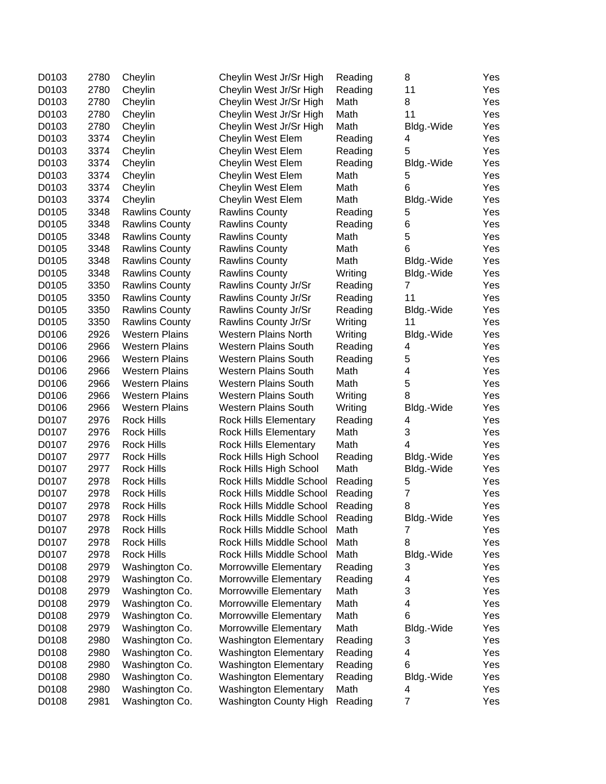| D0103 | 2780 | Cheylin               | Cheylin West Jr/Sr High       | Reading | 8              | Yes        |
|-------|------|-----------------------|-------------------------------|---------|----------------|------------|
| D0103 | 2780 | Cheylin               | Cheylin West Jr/Sr High       | Reading | 11             | Yes        |
| D0103 | 2780 | Cheylin               | Cheylin West Jr/Sr High       | Math    | 8              | Yes        |
| D0103 | 2780 | Cheylin               | Cheylin West Jr/Sr High       | Math    | 11             | Yes        |
| D0103 | 2780 | Cheylin               | Cheylin West Jr/Sr High       | Math    | Bldg.-Wide     | Yes        |
| D0103 | 3374 | Cheylin               | Cheylin West Elem             | Reading | 4              | Yes        |
| D0103 | 3374 | Cheylin               | Cheylin West Elem             | Reading | 5              | Yes        |
| D0103 | 3374 | Cheylin               | Cheylin West Elem             | Reading | Bldg.-Wide     | Yes        |
| D0103 | 3374 | Cheylin               | Cheylin West Elem             | Math    | 5              | Yes        |
| D0103 | 3374 | Cheylin               | Cheylin West Elem             | Math    | 6              | Yes        |
| D0103 | 3374 | Cheylin               | Cheylin West Elem             | Math    | Bldg.-Wide     | Yes        |
| D0105 | 3348 | <b>Rawlins County</b> | <b>Rawlins County</b>         | Reading | 5              | Yes        |
| D0105 | 3348 | <b>Rawlins County</b> | <b>Rawlins County</b>         | Reading | 6              | Yes        |
| D0105 | 3348 | <b>Rawlins County</b> | <b>Rawlins County</b>         | Math    | 5              | Yes        |
| D0105 | 3348 | <b>Rawlins County</b> | <b>Rawlins County</b>         | Math    | 6              | Yes        |
| D0105 | 3348 | <b>Rawlins County</b> | <b>Rawlins County</b>         | Math    | Bldg.-Wide     | Yes        |
| D0105 | 3348 | <b>Rawlins County</b> | <b>Rawlins County</b>         | Writing | Bldg.-Wide     | Yes        |
| D0105 | 3350 | <b>Rawlins County</b> | Rawlins County Jr/Sr          | Reading | 7              | Yes        |
| D0105 | 3350 | <b>Rawlins County</b> | Rawlins County Jr/Sr          | Reading | 11             | Yes        |
| D0105 | 3350 | <b>Rawlins County</b> | Rawlins County Jr/Sr          | Reading | Bldg.-Wide     | Yes        |
| D0105 | 3350 | <b>Rawlins County</b> | Rawlins County Jr/Sr          | Writing | 11             | Yes        |
| D0106 | 2926 | <b>Western Plains</b> | Western Plains North          | Writing | Bldg.-Wide     | Yes        |
| D0106 | 2966 | <b>Western Plains</b> | <b>Western Plains South</b>   | Reading | 4              | Yes        |
| D0106 | 2966 | <b>Western Plains</b> | <b>Western Plains South</b>   | Reading | 5              | Yes        |
| D0106 | 2966 | <b>Western Plains</b> | <b>Western Plains South</b>   | Math    | 4              | Yes        |
| D0106 | 2966 | <b>Western Plains</b> | <b>Western Plains South</b>   | Math    | 5              | Yes        |
| D0106 | 2966 | <b>Western Plains</b> | <b>Western Plains South</b>   | Writing | 8              | Yes        |
| D0106 | 2966 | <b>Western Plains</b> | <b>Western Plains South</b>   | Writing | Bldg.-Wide     | Yes        |
| D0107 | 2976 | <b>Rock Hills</b>     | <b>Rock Hills Elementary</b>  | Reading | 4              | Yes        |
| D0107 | 2976 | <b>Rock Hills</b>     | <b>Rock Hills Elementary</b>  | Math    | 3              | Yes        |
| D0107 | 2976 | <b>Rock Hills</b>     | <b>Rock Hills Elementary</b>  | Math    | 4              | Yes        |
| D0107 | 2977 | <b>Rock Hills</b>     | Rock Hills High School        | Reading | Bldg.-Wide     | Yes        |
| D0107 | 2977 | <b>Rock Hills</b>     | Rock Hills High School        | Math    | Bldg.-Wide     | Yes        |
| D0107 | 2978 | <b>Rock Hills</b>     | Rock Hills Middle School      | Reading | 5              | Yes        |
| D0107 | 2978 | <b>Rock Hills</b>     | Rock Hills Middle School      | Reading | $\overline{7}$ | Yes        |
| D0107 | 2978 | <b>Rock Hills</b>     | Rock Hills Middle School      | Reading | 8              | Yes        |
| D0107 | 2978 | <b>Rock Hills</b>     | Rock Hills Middle School      | Reading | Bldg.-Wide     | Yes        |
| D0107 | 2978 | <b>Rock Hills</b>     | Rock Hills Middle School      | Math    | 7              | Yes        |
| D0107 | 2978 | <b>Rock Hills</b>     | Rock Hills Middle School      | Math    | 8              | Yes        |
| D0107 | 2978 | <b>Rock Hills</b>     | Rock Hills Middle School      | Math    | Bldg.-Wide     | Yes        |
| D0108 | 2979 | Washington Co.        | Morrowville Elementary        | Reading | 3              | Yes        |
| D0108 | 2979 | Washington Co.        | Morrowville Elementary        | Reading | 4              | Yes        |
| D0108 | 2979 | Washington Co.        | Morrowville Elementary        | Math    | 3              | Yes        |
| D0108 | 2979 | Washington Co.        | Morrowville Elementary        | Math    | 4              | Yes        |
| D0108 | 2979 | Washington Co.        | Morrowville Elementary        | Math    | 6              | Yes        |
| D0108 | 2979 | Washington Co.        | Morrowville Elementary        | Math    | Bldg.-Wide     | Yes        |
| D0108 | 2980 | Washington Co.        | <b>Washington Elementary</b>  | Reading | 3              | Yes        |
| D0108 | 2980 | Washington Co.        | <b>Washington Elementary</b>  | Reading | 4              |            |
| D0108 | 2980 | Washington Co.        | <b>Washington Elementary</b>  | Reading | 6              | Yes<br>Yes |
| D0108 | 2980 | Washington Co.        | <b>Washington Elementary</b>  | Reading | Bldg.-Wide     | Yes        |
| D0108 | 2980 | Washington Co.        | <b>Washington Elementary</b>  | Math    | 4              | Yes        |
| D0108 | 2981 | Washington Co.        | <b>Washington County High</b> | Reading | 7              | Yes        |
|       |      |                       |                               |         |                |            |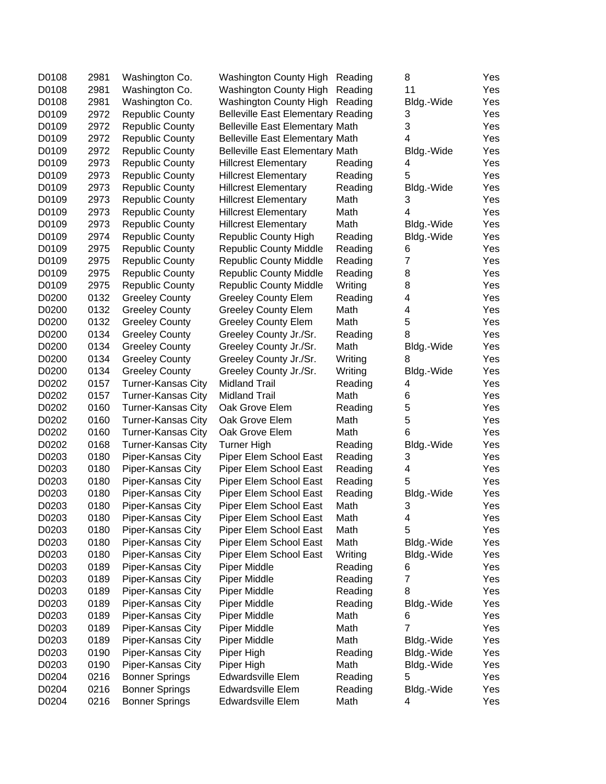| D0108 | 2981 | Washington Co.         | Washington County High Reading            |         | 8          | Yes |
|-------|------|------------------------|-------------------------------------------|---------|------------|-----|
| D0108 | 2981 | Washington Co.         | Washington County High                    | Reading | 11         | Yes |
| D0108 | 2981 | Washington Co.         | Washington County High                    | Reading | Bldg.-Wide | Yes |
| D0109 | 2972 | <b>Republic County</b> | <b>Belleville East Elementary Reading</b> |         | 3          | Yes |
| D0109 | 2972 | <b>Republic County</b> | <b>Belleville East Elementary Math</b>    |         | 3          | Yes |
| D0109 | 2972 | <b>Republic County</b> | <b>Belleville East Elementary Math</b>    |         | 4          | Yes |
| D0109 | 2972 | <b>Republic County</b> | <b>Belleville East Elementary Math</b>    |         | Bldg.-Wide | Yes |
| D0109 | 2973 | <b>Republic County</b> | <b>Hillcrest Elementary</b>               | Reading | 4          | Yes |
| D0109 | 2973 | <b>Republic County</b> | <b>Hillcrest Elementary</b>               | Reading | 5          | Yes |
| D0109 | 2973 | <b>Republic County</b> | <b>Hillcrest Elementary</b>               | Reading | Bldg.-Wide | Yes |
| D0109 | 2973 | <b>Republic County</b> | <b>Hillcrest Elementary</b>               | Math    | 3          | Yes |
| D0109 | 2973 | <b>Republic County</b> | <b>Hillcrest Elementary</b>               | Math    | 4          | Yes |
| D0109 | 2973 | <b>Republic County</b> | <b>Hillcrest Elementary</b>               | Math    | Bldg.-Wide | Yes |
| D0109 | 2974 | <b>Republic County</b> | <b>Republic County High</b>               | Reading | Bldg.-Wide | Yes |
| D0109 | 2975 | <b>Republic County</b> | <b>Republic County Middle</b>             | Reading | 6          | Yes |
| D0109 | 2975 | <b>Republic County</b> | <b>Republic County Middle</b>             | Reading | 7          | Yes |
| D0109 | 2975 | <b>Republic County</b> | <b>Republic County Middle</b>             | Reading | 8          | Yes |
| D0109 | 2975 | <b>Republic County</b> | <b>Republic County Middle</b>             | Writing | 8          | Yes |
| D0200 | 0132 | <b>Greeley County</b>  | <b>Greeley County Elem</b>                | Reading | 4          | Yes |
| D0200 | 0132 | <b>Greeley County</b>  | <b>Greeley County Elem</b>                | Math    | 4          | Yes |
| D0200 | 0132 | <b>Greeley County</b>  | <b>Greeley County Elem</b>                | Math    | 5          | Yes |
| D0200 | 0134 | <b>Greeley County</b>  | Greeley County Jr./Sr.                    | Reading | 8          | Yes |
| D0200 | 0134 | <b>Greeley County</b>  | Greeley County Jr./Sr.                    | Math    | Bldg.-Wide | Yes |
| D0200 | 0134 | <b>Greeley County</b>  | Greeley County Jr./Sr.                    | Writing | 8          | Yes |
| D0200 | 0134 | <b>Greeley County</b>  | Greeley County Jr./Sr.                    | Writing | Bldg.-Wide | Yes |
| D0202 | 0157 | Turner-Kansas City     | <b>Midland Trail</b>                      | Reading | 4          | Yes |
| D0202 | 0157 | Turner-Kansas City     | <b>Midland Trail</b>                      | Math    | 6          | Yes |
| D0202 | 0160 | Turner-Kansas City     | Oak Grove Elem                            | Reading | 5          | Yes |
| D0202 | 0160 | Turner-Kansas City     | Oak Grove Elem                            | Math    | 5          | Yes |
| D0202 | 0160 | Turner-Kansas City     | Oak Grove Elem                            | Math    | 6          | Yes |
| D0202 | 0168 | Turner-Kansas City     | <b>Turner High</b>                        | Reading | Bldg.-Wide | Yes |
| D0203 | 0180 | Piper-Kansas City      | Piper Elem School East                    | Reading | 3          | Yes |
| D0203 | 0180 | Piper-Kansas City      | Piper Elem School East                    | Reading | 4          | Yes |
| D0203 | 0180 | Piper-Kansas City      | Piper Elem School East                    | Reading | 5          | Yes |
| D0203 | 0180 | Piper-Kansas City      | Piper Elem School East                    | Reading | Bldg.-Wide | Yes |
| D0203 | 0180 | Piper-Kansas City      | Piper Elem School East                    | Math    | 3          | Yes |
| D0203 | 0180 | Piper-Kansas City      | Piper Elem School East                    | Math    | 4          | Yes |
| D0203 | 0180 | Piper-Kansas City      | Piper Elem School East                    | Math    | 5          | Yes |
| D0203 | 0180 | Piper-Kansas City      | Piper Elem School East                    | Math    | Bldg.-Wide | Yes |
| D0203 | 0180 | Piper-Kansas City      | Piper Elem School East                    | Writing | Bldg.-Wide | Yes |
| D0203 | 0189 | Piper-Kansas City      | Piper Middle                              | Reading | 6          | Yes |
| D0203 | 0189 | Piper-Kansas City      | Piper Middle                              | Reading | 7          | Yes |
| D0203 | 0189 | Piper-Kansas City      | Piper Middle                              | Reading | 8          | Yes |
| D0203 | 0189 | Piper-Kansas City      | Piper Middle                              | Reading | Bldg.-Wide | Yes |
| D0203 | 0189 | Piper-Kansas City      | Piper Middle                              | Math    | 6          | Yes |
| D0203 | 0189 | Piper-Kansas City      | Piper Middle                              | Math    | 7          | Yes |
| D0203 | 0189 | Piper-Kansas City      | Piper Middle                              | Math    | Bldg.-Wide | Yes |
| D0203 | 0190 | Piper-Kansas City      | Piper High                                | Reading | Bldg.-Wide | Yes |
| D0203 | 0190 | Piper-Kansas City      | Piper High                                | Math    | Bldg.-Wide | Yes |
| D0204 | 0216 | <b>Bonner Springs</b>  | <b>Edwardsville Elem</b>                  | Reading | 5          | Yes |
| D0204 | 0216 | <b>Bonner Springs</b>  | Edwardsville Elem                         | Reading | Bldg.-Wide | Yes |
| D0204 | 0216 | <b>Bonner Springs</b>  | <b>Edwardsville Elem</b>                  | Math    | 4          | Yes |
|       |      |                        |                                           |         |            |     |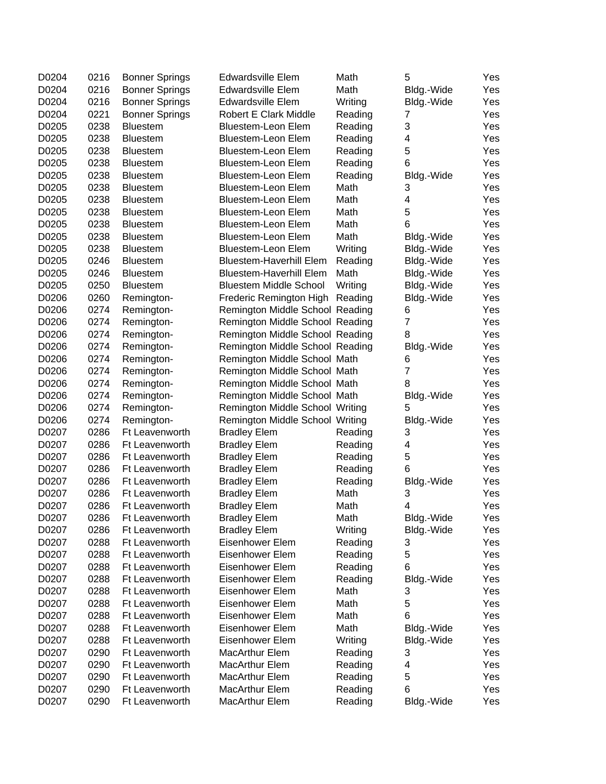| D0204 | 0216 | <b>Bonner Springs</b> | <b>Edwardsville Elem</b>        | Math    | 5          | Yes |
|-------|------|-----------------------|---------------------------------|---------|------------|-----|
| D0204 | 0216 | <b>Bonner Springs</b> | <b>Edwardsville Elem</b>        | Math    | Bldg.-Wide | Yes |
| D0204 | 0216 | <b>Bonner Springs</b> | <b>Edwardsville Elem</b>        | Writing | Bldg.-Wide | Yes |
| D0204 | 0221 | <b>Bonner Springs</b> | <b>Robert E Clark Middle</b>    | Reading | 7          | Yes |
| D0205 | 0238 | <b>Bluestem</b>       | <b>Bluestem-Leon Elem</b>       | Reading | 3          | Yes |
| D0205 | 0238 | <b>Bluestem</b>       | Bluestem-Leon Elem              | Reading | 4          | Yes |
| D0205 | 0238 | <b>Bluestem</b>       | <b>Bluestem-Leon Elem</b>       | Reading | 5          | Yes |
| D0205 | 0238 | <b>Bluestem</b>       | <b>Bluestem-Leon Elem</b>       | Reading | 6          | Yes |
| D0205 | 0238 | <b>Bluestem</b>       | <b>Bluestem-Leon Elem</b>       | Reading | Bldg.-Wide | Yes |
| D0205 | 0238 | <b>Bluestem</b>       | Bluestem-Leon Elem              | Math    | 3          | Yes |
| D0205 | 0238 | <b>Bluestem</b>       | Bluestem-Leon Elem              | Math    | 4          | Yes |
| D0205 | 0238 | <b>Bluestem</b>       | Bluestem-Leon Elem              | Math    | 5          | Yes |
| D0205 | 0238 | <b>Bluestem</b>       | Bluestem-Leon Elem              | Math    | 6          | Yes |
| D0205 | 0238 | <b>Bluestem</b>       | Bluestem-Leon Elem              | Math    | Bldg.-Wide | Yes |
| D0205 | 0238 | <b>Bluestem</b>       | Bluestem-Leon Elem              | Writing | Bldg.-Wide | Yes |
| D0205 | 0246 | <b>Bluestem</b>       | <b>Bluestem-Haverhill Elem</b>  | Reading | Bldg.-Wide | Yes |
| D0205 | 0246 | <b>Bluestem</b>       | <b>Bluestem-Haverhill Elem</b>  | Math    | Bldg.-Wide | Yes |
| D0205 | 0250 | <b>Bluestem</b>       | <b>Bluestem Middle School</b>   | Writing | Bldg.-Wide | Yes |
| D0206 | 0260 | Remington-            | Frederic Remington High         | Reading | Bldg.-Wide | Yes |
| D0206 | 0274 | Remington-            | Remington Middle School Reading |         | 6          | Yes |
| D0206 | 0274 | Remington-            | Remington Middle School Reading |         | 7          | Yes |
| D0206 | 0274 | Remington-            | Remington Middle School Reading |         | 8          | Yes |
| D0206 | 0274 | Remington-            | Remington Middle School Reading |         | Bldg.-Wide | Yes |
| D0206 | 0274 | Remington-            | Remington Middle School Math    |         | 6          | Yes |
| D0206 | 0274 | Remington-            | Remington Middle School Math    |         | 7          | Yes |
| D0206 | 0274 | Remington-            | Remington Middle School Math    |         | 8          | Yes |
| D0206 | 0274 | Remington-            | Remington Middle School Math    |         | Bldg.-Wide | Yes |
| D0206 | 0274 | Remington-            | Remington Middle School Writing |         | 5          | Yes |
| D0206 | 0274 | Remington-            | Remington Middle School Writing |         | Bldg.-Wide | Yes |
| D0207 | 0286 | Ft Leavenworth        | <b>Bradley Elem</b>             | Reading | 3          | Yes |
| D0207 | 0286 | Ft Leavenworth        | <b>Bradley Elem</b>             | Reading | 4          | Yes |
| D0207 | 0286 | Ft Leavenworth        | <b>Bradley Elem</b>             | Reading | 5          | Yes |
| D0207 | 0286 | Ft Leavenworth        | <b>Bradley Elem</b>             | Reading | 6          | Yes |
| D0207 | 0286 | Ft Leavenworth        | <b>Bradley Elem</b>             | Reading | Bldg.-Wide | Yes |
| D0207 | 0286 | Ft Leavenworth        | <b>Bradley Elem</b>             | Math    | 3          | Yes |
| D0207 | 0286 | Ft Leavenworth        | <b>Bradley Elem</b>             | Math    | 4          | Yes |
| D0207 | 0286 | Ft Leavenworth        | <b>Bradley Elem</b>             | Math    | Bldg.-Wide | Yes |
| D0207 | 0286 | Ft Leavenworth        | <b>Bradley Elem</b>             | Writing | Bldg.-Wide | Yes |
| D0207 | 0288 | Ft Leavenworth        | Eisenhower Elem                 | Reading | 3          | Yes |
| D0207 | 0288 | Ft Leavenworth        | Eisenhower Elem                 | Reading | 5          | Yes |
| D0207 | 0288 | Ft Leavenworth        | Eisenhower Elem                 | Reading | 6          | Yes |
| D0207 | 0288 | Ft Leavenworth        | Eisenhower Elem                 | Reading | Bldg.-Wide | Yes |
| D0207 | 0288 | Ft Leavenworth        | Eisenhower Elem                 | Math    | 3          | Yes |
| D0207 | 0288 | Ft Leavenworth        | Eisenhower Elem                 | Math    | 5          | Yes |
| D0207 | 0288 | Ft Leavenworth        | Eisenhower Elem                 | Math    | 6          | Yes |
| D0207 | 0288 | Ft Leavenworth        | Eisenhower Elem                 | Math    | Bldg.-Wide | Yes |
| D0207 | 0288 | Ft Leavenworth        | Eisenhower Elem                 | Writing | Bldg.-Wide | Yes |
| D0207 | 0290 | Ft Leavenworth        | MacArthur Elem                  | Reading | 3          | Yes |
| D0207 | 0290 | Ft Leavenworth        | MacArthur Elem                  | Reading | 4          | Yes |
| D0207 | 0290 | Ft Leavenworth        | MacArthur Elem                  | Reading | 5          | Yes |
| D0207 | 0290 | Ft Leavenworth        | MacArthur Elem                  | Reading | 6          | Yes |
| D0207 | 0290 | Ft Leavenworth        | MacArthur Elem                  | Reading | Bldg.-Wide | Yes |
|       |      |                       |                                 |         |            |     |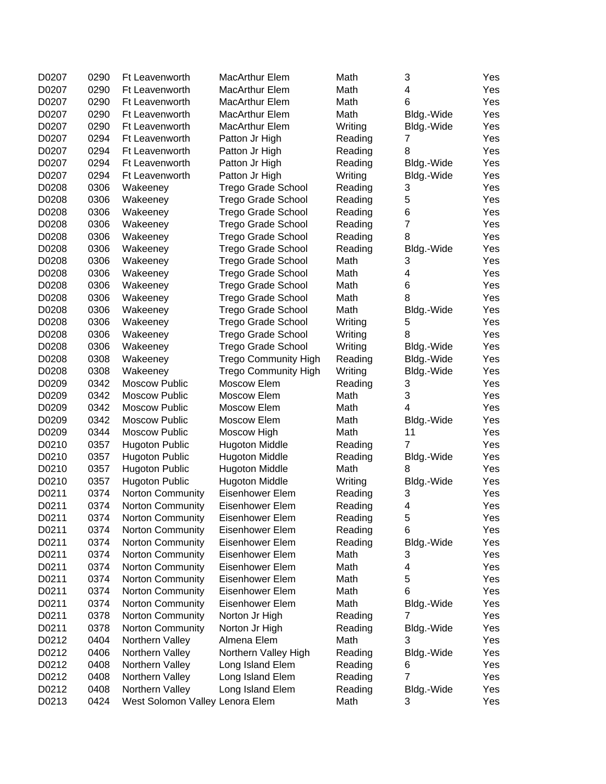| D0207          | 0290         | Ft Leavenworth                                     | MacArthur Elem                           | Math         | 3              | Yes |
|----------------|--------------|----------------------------------------------------|------------------------------------------|--------------|----------------|-----|
| D0207          | 0290         | Ft Leavenworth                                     | MacArthur Elem                           | Math         | 4              | Yes |
| D0207          | 0290         | Ft Leavenworth                                     | <b>MacArthur Elem</b>                    | Math         | 6              | Yes |
| D0207          | 0290         | Ft Leavenworth                                     | <b>MacArthur Elem</b>                    | Math         | Bldg.-Wide     | Yes |
| D0207          | 0290         | Ft Leavenworth                                     | <b>MacArthur Elem</b>                    | Writing      | Bldg.-Wide     | Yes |
| D0207          | 0294         | Ft Leavenworth                                     | Patton Jr High                           | Reading      | 7              | Yes |
| D0207          | 0294         | Ft Leavenworth                                     | Patton Jr High                           | Reading      | 8              | Yes |
| D0207          | 0294         | Ft Leavenworth                                     | Patton Jr High                           | Reading      | Bldg.-Wide     | Yes |
| D0207          | 0294         | Ft Leavenworth                                     | Patton Jr High                           | Writing      | Bldg.-Wide     | Yes |
| D0208          | 0306         | Wakeeney                                           | Trego Grade School                       | Reading      | 3              | Yes |
| D0208          | 0306         | Wakeeney                                           | Trego Grade School                       | Reading      | 5              | Yes |
| D0208          | 0306         | Wakeeney                                           | <b>Trego Grade School</b>                | Reading      | 6              | Yes |
| D0208          | 0306         | Wakeeney                                           | <b>Trego Grade School</b>                | Reading      | $\overline{7}$ | Yes |
| D0208          | 0306         | Wakeeney                                           | <b>Trego Grade School</b>                | Reading      | 8              | Yes |
| D0208          | 0306         | Wakeeney                                           | Trego Grade School                       | Reading      | Bldg.-Wide     | Yes |
| D0208          | 0306         | Wakeeney                                           | <b>Trego Grade School</b>                | Math         | 3              | Yes |
| D0208          | 0306         | Wakeeney                                           | <b>Trego Grade School</b>                | Math         | 4              | Yes |
| D0208          | 0306         | Wakeeney                                           | <b>Trego Grade School</b>                | Math         | 6              | Yes |
| D0208          | 0306         | Wakeeney                                           | <b>Trego Grade School</b>                | Math         | 8              | Yes |
| D0208          | 0306         | Wakeeney                                           | <b>Trego Grade School</b>                | Math         | Bldg.-Wide     | Yes |
| D0208          | 0306         | Wakeeney                                           | <b>Trego Grade School</b>                | Writing      | 5              | Yes |
| D0208          | 0306         | Wakeeney                                           | <b>Trego Grade School</b>                | Writing      | 8              | Yes |
| D0208          | 0306         | Wakeeney                                           | <b>Trego Grade School</b>                | Writing      | Bldg.-Wide     | Yes |
| D0208          | 0308         | Wakeeney                                           | <b>Trego Community High</b>              | Reading      | Bldg.-Wide     | Yes |
| D0208          | 0308         | Wakeeney                                           | <b>Trego Community High</b>              | Writing      | Bldg.-Wide     | Yes |
| D0209          | 0342         | <b>Moscow Public</b>                               | Moscow Elem                              | Reading      | 3              | Yes |
| D0209          | 0342         | <b>Moscow Public</b>                               | Moscow Elem                              | Math         | 3              | Yes |
| D0209          | 0342         | <b>Moscow Public</b>                               | Moscow Elem                              | Math         | 4              | Yes |
| D0209          | 0342         | <b>Moscow Public</b>                               | Moscow Elem                              | Math         | Bldg.-Wide     | Yes |
| D0209          | 0344         | <b>Moscow Public</b>                               | Moscow High                              | Math         | 11             | Yes |
| D0210          | 0357         | <b>Hugoton Public</b>                              | <b>Hugoton Middle</b>                    | Reading      | $\overline{7}$ | Yes |
| D0210          | 0357         | <b>Hugoton Public</b>                              | <b>Hugoton Middle</b>                    | Reading      | Bldg.-Wide     | Yes |
| D0210          | 0357         |                                                    |                                          | Math         | 8              | Yes |
| D0210          | 0357         | <b>Hugoton Public</b>                              | <b>Hugoton Middle</b>                    | Writing      |                | Yes |
|                | 0374         | <b>Hugoton Public</b>                              | <b>Hugoton Middle</b><br>Eisenhower Elem |              | Bldg.-Wide     | Yes |
| D0211          | 0374         | Norton Community                                   |                                          | Reading      | 3<br>4         |     |
| D0211          |              | <b>Norton Community</b>                            | Eisenhower Elem                          | Reading      |                | Yes |
| D0211<br>D0211 | 0374<br>0374 | <b>Norton Community</b>                            | Eisenhower Elem<br>Eisenhower Elem       | Reading      | 5<br>6         | Yes |
| D0211          | 0374         | <b>Norton Community</b><br><b>Norton Community</b> | Eisenhower Elem                          | Reading      |                | Yes |
|                |              |                                                    | Eisenhower Elem                          | Reading      | Bldg.-Wide     | Yes |
| D0211          | 0374         | <b>Norton Community</b>                            | Eisenhower Elem                          | Math         | 3              | Yes |
| D0211          | 0374         | <b>Norton Community</b>                            | Eisenhower Elem                          | Math         | 4              | Yes |
| D0211          | 0374         | Norton Community                                   |                                          | Math         | 5              | Yes |
| D0211          | 0374         | Norton Community                                   | Eisenhower Elem                          | Math<br>Math | 6              | Yes |
| D0211          | 0374         | Norton Community                                   | Eisenhower Elem                          |              | Bldg.-Wide     | Yes |
| D0211          | 0378         | Norton Community                                   | Norton Jr High                           | Reading      | $\overline{7}$ | Yes |
| D0211          | 0378         | Norton Community                                   | Norton Jr High                           | Reading      | Bldg.-Wide     | Yes |
| D0212          | 0404         | Northern Valley                                    | Almena Elem                              | Math         | 3              | Yes |
| D0212          | 0406         | Northern Valley                                    | Northern Valley High                     | Reading      | Bldg.-Wide     | Yes |
| D0212          | 0408         | Northern Valley                                    | Long Island Elem                         | Reading      | 6              | Yes |
| D0212          | 0408         | Northern Valley                                    | Long Island Elem                         | Reading      | $\overline{7}$ | Yes |
| D0212          | 0408         | Northern Valley                                    | Long Island Elem                         | Reading      | Bldg.-Wide     | Yes |
| D0213          | 0424         | West Solomon Valley Lenora Elem                    |                                          | Math         | 3              | Yes |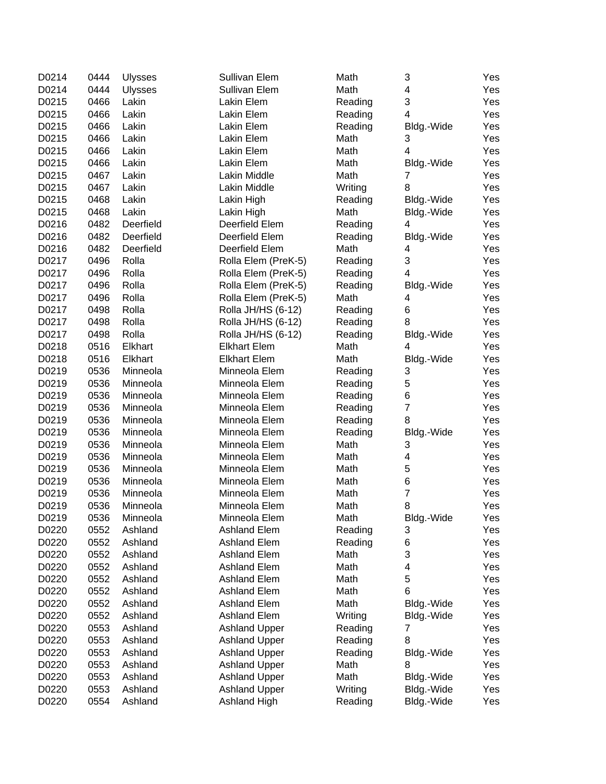| D0214 | 0444 | <b>Ulysses</b> | Sullivan Elem        | Math    | 3                       | Yes |
|-------|------|----------------|----------------------|---------|-------------------------|-----|
| D0214 | 0444 | <b>Ulysses</b> | Sullivan Elem        | Math    | 4                       | Yes |
| D0215 | 0466 | Lakin          | Lakin Elem           | Reading | 3                       | Yes |
| D0215 | 0466 | Lakin          | Lakin Elem           | Reading | 4                       | Yes |
| D0215 | 0466 | Lakin          | Lakin Elem           | Reading | Bldg.-Wide              | Yes |
| D0215 | 0466 | Lakin          | Lakin Elem           | Math    | 3                       | Yes |
| D0215 | 0466 | Lakin          | Lakin Elem           | Math    | 4                       | Yes |
| D0215 | 0466 | Lakin          | Lakin Elem           | Math    | Bldg.-Wide              | Yes |
| D0215 | 0467 | Lakin          | Lakin Middle         | Math    | 7                       | Yes |
| D0215 | 0467 | Lakin          | Lakin Middle         | Writing | 8                       | Yes |
| D0215 | 0468 | Lakin          | Lakin High           | Reading | Bldg.-Wide              | Yes |
| D0215 | 0468 | Lakin          | Lakin High           | Math    | Bldg.-Wide              | Yes |
| D0216 | 0482 | Deerfield      | Deerfield Elem       | Reading | 4                       | Yes |
| D0216 | 0482 | Deerfield      | Deerfield Elem       | Reading | Bldg.-Wide              | Yes |
| D0216 | 0482 | Deerfield      | Deerfield Elem       | Math    | 4                       | Yes |
| D0217 | 0496 | Rolla          | Rolla Elem (PreK-5)  | Reading | 3                       | Yes |
| D0217 | 0496 | Rolla          | Rolla Elem (PreK-5)  | Reading | $\overline{4}$          | Yes |
| D0217 | 0496 | Rolla          | Rolla Elem (PreK-5)  | Reading | Bldg.-Wide              | Yes |
| D0217 | 0496 | Rolla          | Rolla Elem (PreK-5)  | Math    | 4                       | Yes |
| D0217 | 0498 | Rolla          | Rolla JH/HS (6-12)   | Reading | 6                       | Yes |
| D0217 | 0498 | Rolla          | Rolla JH/HS (6-12)   | Reading | 8                       | Yes |
| D0217 | 0498 | Rolla          | Rolla JH/HS (6-12)   | Reading | Bldg.-Wide              | Yes |
| D0218 | 0516 | Elkhart        | <b>Elkhart Elem</b>  | Math    | 4                       | Yes |
| D0218 | 0516 | Elkhart        | <b>Elkhart Elem</b>  | Math    | Bldg.-Wide              | Yes |
| D0219 | 0536 | Minneola       | Minneola Elem        | Reading | 3                       | Yes |
| D0219 | 0536 | Minneola       | Minneola Elem        | Reading | 5                       | Yes |
| D0219 | 0536 | Minneola       | Minneola Elem        | Reading | 6                       | Yes |
| D0219 | 0536 | Minneola       | Minneola Elem        | Reading | $\overline{\mathbf{7}}$ | Yes |
| D0219 | 0536 | Minneola       | Minneola Elem        | Reading | 8                       | Yes |
| D0219 | 0536 | Minneola       | Minneola Elem        | Reading | Bldg.-Wide              | Yes |
| D0219 | 0536 | Minneola       | Minneola Elem        | Math    | 3                       | Yes |
| D0219 | 0536 | Minneola       | Minneola Elem        | Math    | 4                       | Yes |
| D0219 | 0536 | Minneola       | Minneola Elem        | Math    | 5                       | Yes |
| D0219 | 0536 | Minneola       | Minneola Elem        | Math    | 6                       | Yes |
| D0219 | 0536 | Minneola       | Minneola Elem        | Math    | $\overline{7}$          | Yes |
| D0219 | 0536 | Minneola       | Minneola Elem        | Math    | 8                       | Yes |
| D0219 | 0536 | Minneola       | Minneola Elem        | Math    | Bldg.-Wide              | Yes |
| D0220 | 0552 | Ashland        | <b>Ashland Elem</b>  | Reading | 3                       | Yes |
| D0220 | 0552 | Ashland        | <b>Ashland Elem</b>  | Reading | 6                       | Yes |
| D0220 | 0552 | Ashland        | <b>Ashland Elem</b>  | Math    | 3                       | Yes |
| D0220 | 0552 | Ashland        | <b>Ashland Elem</b>  | Math    | 4                       | Yes |
| D0220 | 0552 | Ashland        | <b>Ashland Elem</b>  | Math    | 5                       | Yes |
| D0220 | 0552 | Ashland        | <b>Ashland Elem</b>  | Math    | 6                       | Yes |
| D0220 | 0552 | Ashland        | <b>Ashland Elem</b>  | Math    | Bldg.-Wide              | Yes |
| D0220 | 0552 | Ashland        | Ashland Elem         | Writing | Bldg.-Wide              | Yes |
| D0220 | 0553 | Ashland        | <b>Ashland Upper</b> | Reading | 7                       | Yes |
| D0220 | 0553 | Ashland        | <b>Ashland Upper</b> | Reading | 8                       | Yes |
| D0220 | 0553 | Ashland        | <b>Ashland Upper</b> | Reading | Bldg.-Wide              | Yes |
| D0220 | 0553 | Ashland        | <b>Ashland Upper</b> | Math    | 8                       | Yes |
| D0220 | 0553 | Ashland        | <b>Ashland Upper</b> | Math    | Bldg.-Wide              | Yes |
| D0220 | 0553 | Ashland        | <b>Ashland Upper</b> | Writing | Bldg.-Wide              | Yes |
| D0220 | 0554 | Ashland        | <b>Ashland High</b>  | Reading | Bldg.-Wide              | Yes |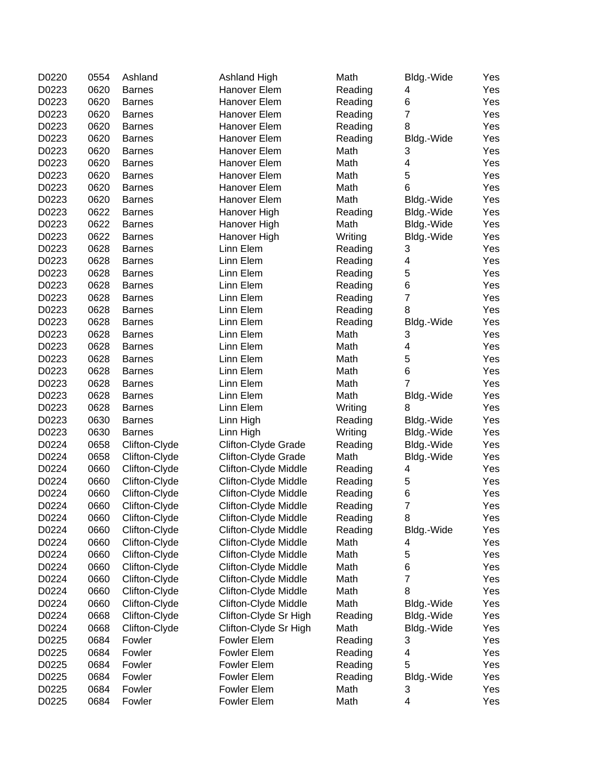| D0220 | 0554 | Ashland       | <b>Ashland High</b>   | Math    | Bldg.-Wide              | Yes |
|-------|------|---------------|-----------------------|---------|-------------------------|-----|
| D0223 | 0620 | <b>Barnes</b> | Hanover Elem          | Reading | 4                       | Yes |
| D0223 | 0620 | <b>Barnes</b> | Hanover Elem          | Reading | 6                       | Yes |
| D0223 | 0620 | <b>Barnes</b> | Hanover Elem          | Reading | $\overline{7}$          | Yes |
| D0223 | 0620 | <b>Barnes</b> | Hanover Elem          | Reading | 8                       | Yes |
| D0223 | 0620 | <b>Barnes</b> | Hanover Elem          | Reading | Bldg.-Wide              | Yes |
| D0223 | 0620 | <b>Barnes</b> | Hanover Elem          | Math    | 3                       | Yes |
| D0223 | 0620 | <b>Barnes</b> | Hanover Elem          | Math    | 4                       | Yes |
| D0223 | 0620 | <b>Barnes</b> | Hanover Elem          | Math    | 5                       | Yes |
| D0223 | 0620 | <b>Barnes</b> | Hanover Elem          | Math    | 6                       | Yes |
| D0223 | 0620 | <b>Barnes</b> | Hanover Elem          | Math    | Bldg.-Wide              | Yes |
| D0223 | 0622 | <b>Barnes</b> | Hanover High          | Reading | Bldg.-Wide              | Yes |
| D0223 | 0622 | <b>Barnes</b> | Hanover High          | Math    | Bldg.-Wide              | Yes |
| D0223 | 0622 | <b>Barnes</b> | Hanover High          | Writing | Bldg.-Wide              | Yes |
| D0223 | 0628 | <b>Barnes</b> | Linn Elem             | Reading | 3                       | Yes |
| D0223 | 0628 | <b>Barnes</b> | Linn Elem             | Reading | 4                       | Yes |
| D0223 | 0628 | <b>Barnes</b> | Linn Elem             | Reading | 5                       | Yes |
| D0223 | 0628 | <b>Barnes</b> | Linn Elem             | Reading | $\,6$                   | Yes |
| D0223 | 0628 | <b>Barnes</b> | Linn Elem             | Reading | $\overline{7}$          | Yes |
| D0223 | 0628 | <b>Barnes</b> | Linn Elem             | Reading | 8                       | Yes |
| D0223 | 0628 | <b>Barnes</b> | Linn Elem             | Reading | Bldg.-Wide              | Yes |
| D0223 | 0628 | <b>Barnes</b> | Linn Elem             | Math    | 3                       | Yes |
| D0223 | 0628 | <b>Barnes</b> | Linn Elem             | Math    | 4                       | Yes |
| D0223 | 0628 | <b>Barnes</b> | Linn Elem             | Math    | 5                       | Yes |
| D0223 | 0628 | <b>Barnes</b> | Linn Elem             | Math    | 6                       | Yes |
| D0223 | 0628 | <b>Barnes</b> | Linn Elem             | Math    | $\overline{7}$          | Yes |
| D0223 | 0628 | <b>Barnes</b> | Linn Elem             | Math    | Bldg.-Wide              | Yes |
| D0223 | 0628 | <b>Barnes</b> | Linn Elem             | Writing | 8                       | Yes |
| D0223 | 0630 | <b>Barnes</b> | Linn High             | Reading | Bldg.-Wide              | Yes |
| D0223 | 0630 | <b>Barnes</b> | Linn High             | Writing | Bldg.-Wide              | Yes |
| D0224 | 0658 | Clifton-Clyde | Clifton-Clyde Grade   | Reading | Bldg.-Wide              | Yes |
| D0224 | 0658 | Clifton-Clyde | Clifton-Clyde Grade   | Math    | Bldg.-Wide              | Yes |
| D0224 | 0660 | Clifton-Clyde | Clifton-Clyde Middle  |         | 4                       | Yes |
| D0224 | 0660 |               | Clifton-Clyde Middle  | Reading | 5                       | Yes |
|       |      | Clifton-Clyde |                       | Reading |                         |     |
| D0224 | 0660 | Clifton-Clyde | Clifton-Clyde Middle  | Reading | 6                       | Yes |
| D0224 | 0660 | Clifton-Clyde | Clifton-Clyde Middle  | Reading | $\overline{7}$          | Yes |
| D0224 | 0660 | Clifton-Clyde | Clifton-Clyde Middle  | Reading | 8                       | Yes |
| D0224 | 0660 | Clifton-Clyde | Clifton-Clyde Middle  | Reading | Bldg.-Wide              | Yes |
| D0224 | 0660 | Clifton-Clyde | Clifton-Clyde Middle  | Math    | 4                       | Yes |
| D0224 | 0660 | Clifton-Clyde | Clifton-Clyde Middle  | Math    | 5                       | Yes |
| D0224 | 0660 | Clifton-Clyde | Clifton-Clyde Middle  | Math    | 6                       | Yes |
| D0224 | 0660 | Clifton-Clyde | Clifton-Clyde Middle  | Math    | $\overline{7}$          | Yes |
| D0224 | 0660 | Clifton-Clyde | Clifton-Clyde Middle  | Math    | 8                       | Yes |
| D0224 | 0660 | Clifton-Clyde | Clifton-Clyde Middle  | Math    | Bldg.-Wide              | Yes |
| D0224 | 0668 | Clifton-Clyde | Clifton-Clyde Sr High | Reading | Bldg.-Wide              | Yes |
| D0224 | 0668 | Clifton-Clyde | Clifton-Clyde Sr High | Math    | Bldg.-Wide              | Yes |
| D0225 | 0684 | Fowler        | Fowler Elem           | Reading | 3                       | Yes |
| D0225 | 0684 | Fowler        | <b>Fowler Elem</b>    | Reading | 4                       | Yes |
| D0225 | 0684 | Fowler        | <b>Fowler Elem</b>    | Reading | 5                       | Yes |
| D0225 | 0684 | Fowler        | <b>Fowler Elem</b>    | Reading | Bldg.-Wide              | Yes |
| D0225 | 0684 | Fowler        | Fowler Elem           | Math    | 3                       | Yes |
| D0225 | 0684 | Fowler        | Fowler Elem           | Math    | $\overline{\mathbf{4}}$ | Yes |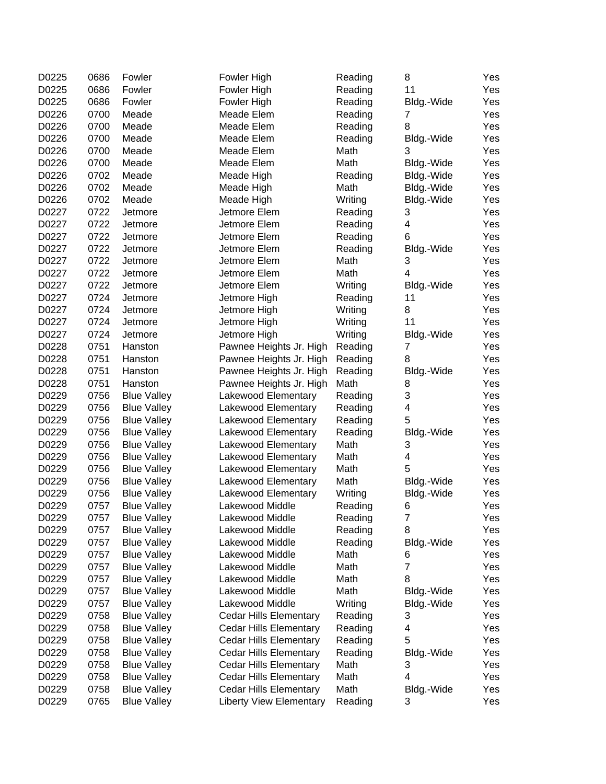| D0225 | 0686 | Fowler             | Fowler High                    | Reading | 8              | Yes |
|-------|------|--------------------|--------------------------------|---------|----------------|-----|
| D0225 | 0686 | Fowler             | Fowler High                    | Reading | 11             | Yes |
| D0225 | 0686 | Fowler             | Fowler High                    | Reading | Bldg.-Wide     | Yes |
| D0226 | 0700 | Meade              | Meade Elem                     | Reading | 7              | Yes |
| D0226 | 0700 | Meade              | Meade Elem                     | Reading | 8              | Yes |
| D0226 | 0700 | Meade              | Meade Elem                     | Reading | Bldg.-Wide     | Yes |
| D0226 | 0700 | Meade              | Meade Elem                     | Math    | 3              | Yes |
| D0226 | 0700 | Meade              | Meade Elem                     | Math    | Bldg.-Wide     | Yes |
| D0226 | 0702 | Meade              | Meade High                     | Reading | Bldg.-Wide     | Yes |
| D0226 | 0702 | Meade              | Meade High                     | Math    | Bldg.-Wide     | Yes |
| D0226 | 0702 | Meade              | Meade High                     | Writing | Bldg.-Wide     | Yes |
| D0227 | 0722 | Jetmore            | Jetmore Elem                   | Reading | 3              | Yes |
| D0227 | 0722 | Jetmore            | Jetmore Elem                   | Reading | 4              | Yes |
| D0227 | 0722 | Jetmore            | Jetmore Elem                   | Reading | 6              | Yes |
| D0227 | 0722 | Jetmore            | Jetmore Elem                   | Reading | Bldg.-Wide     | Yes |
| D0227 | 0722 | Jetmore            | Jetmore Elem                   | Math    | 3              | Yes |
| D0227 | 0722 | Jetmore            | Jetmore Elem                   | Math    | $\overline{4}$ | Yes |
| D0227 | 0722 | Jetmore            | Jetmore Elem                   | Writing | Bldg.-Wide     | Yes |
| D0227 | 0724 | Jetmore            | Jetmore High                   | Reading | 11             | Yes |
| D0227 | 0724 | Jetmore            | Jetmore High                   | Writing | 8              | Yes |
| D0227 | 0724 | Jetmore            | Jetmore High                   | Writing | 11             | Yes |
| D0227 | 0724 | Jetmore            | Jetmore High                   | Writing | Bldg.-Wide     | Yes |
| D0228 | 0751 | Hanston            | Pawnee Heights Jr. High        | Reading | 7              | Yes |
| D0228 | 0751 | Hanston            | Pawnee Heights Jr. High        | Reading | 8              | Yes |
| D0228 | 0751 | Hanston            | Pawnee Heights Jr. High        | Reading | Bldg.-Wide     | Yes |
| D0228 | 0751 | Hanston            | Pawnee Heights Jr. High        | Math    | 8              | Yes |
| D0229 | 0756 | <b>Blue Valley</b> | Lakewood Elementary            | Reading | 3              | Yes |
| D0229 | 0756 | <b>Blue Valley</b> | Lakewood Elementary            | Reading | 4              | Yes |
| D0229 | 0756 | <b>Blue Valley</b> | Lakewood Elementary            | Reading | 5              | Yes |
| D0229 | 0756 | <b>Blue Valley</b> | Lakewood Elementary            | Reading | Bldg.-Wide     | Yes |
| D0229 | 0756 | <b>Blue Valley</b> | Lakewood Elementary            | Math    | 3              | Yes |
| D0229 | 0756 | <b>Blue Valley</b> | Lakewood Elementary            | Math    | 4              | Yes |
| D0229 | 0756 | <b>Blue Valley</b> | Lakewood Elementary            | Math    | 5              | Yes |
| D0229 | 0756 | <b>Blue Valley</b> | Lakewood Elementary            | Math    | Bldg.-Wide     | Yes |
| D0229 | 0756 | <b>Blue Valley</b> | Lakewood Elementary            | Writing | Bldg.-Wide     | Yes |
| D0229 | 0757 | <b>Blue Valley</b> | Lakewood Middle                | Reading | 6              | Yes |
| D0229 | 0757 | <b>Blue Valley</b> | Lakewood Middle                | Reading | 7              | Yes |
| D0229 | 0757 | <b>Blue Valley</b> | Lakewood Middle                | Reading | 8              | Yes |
| D0229 | 0757 | <b>Blue Valley</b> | Lakewood Middle                | Reading | Bldg.-Wide     | Yes |
| D0229 | 0757 | <b>Blue Valley</b> | Lakewood Middle                | Math    | 6              | Yes |
| D0229 | 0757 | <b>Blue Valley</b> | Lakewood Middle                | Math    | $\overline{7}$ | Yes |
| D0229 | 0757 | <b>Blue Valley</b> | Lakewood Middle                | Math    | 8              | Yes |
| D0229 | 0757 | <b>Blue Valley</b> | Lakewood Middle                | Math    | Bldg.-Wide     | Yes |
| D0229 | 0757 | <b>Blue Valley</b> | Lakewood Middle                | Writing | Bldg.-Wide     | Yes |
| D0229 | 0758 | <b>Blue Valley</b> | <b>Cedar Hills Elementary</b>  | Reading | 3              | Yes |
| D0229 | 0758 | <b>Blue Valley</b> | <b>Cedar Hills Elementary</b>  | Reading | 4              | Yes |
| D0229 | 0758 | <b>Blue Valley</b> | <b>Cedar Hills Elementary</b>  | Reading | 5              | Yes |
| D0229 | 0758 | <b>Blue Valley</b> | <b>Cedar Hills Elementary</b>  | Reading | Bldg.-Wide     | Yes |
| D0229 | 0758 | <b>Blue Valley</b> | <b>Cedar Hills Elementary</b>  | Math    | 3              | Yes |
| D0229 | 0758 | <b>Blue Valley</b> | <b>Cedar Hills Elementary</b>  | Math    | 4              | Yes |
| D0229 | 0758 | <b>Blue Valley</b> | <b>Cedar Hills Elementary</b>  | Math    | Bldg.-Wide     | Yes |
| D0229 | 0765 | <b>Blue Valley</b> | <b>Liberty View Elementary</b> | Reading | 3              | Yes |
|       |      |                    |                                |         |                |     |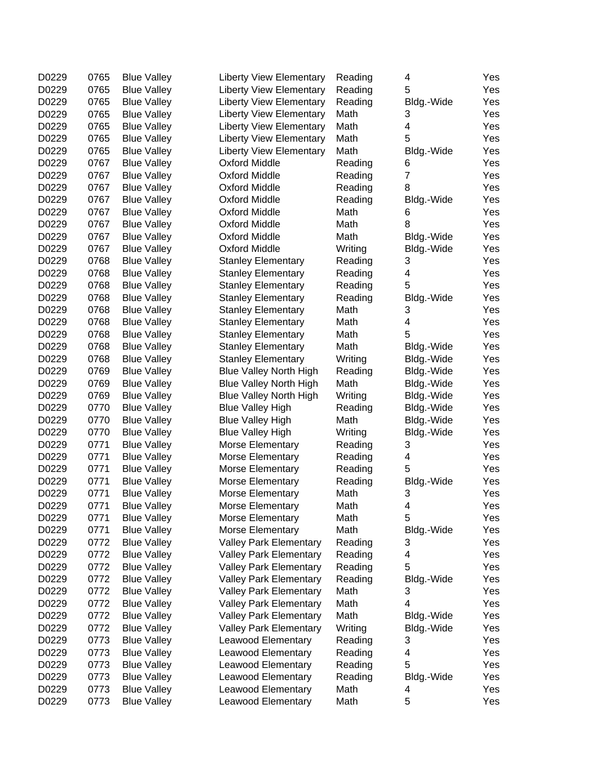| D0229          | 0765 | <b>Blue Valley</b> | <b>Liberty View Elementary</b> | Reading | 4          | Yes |
|----------------|------|--------------------|--------------------------------|---------|------------|-----|
| D0229          | 0765 | <b>Blue Valley</b> | <b>Liberty View Elementary</b> | Reading | 5          | Yes |
| D0229          | 0765 | <b>Blue Valley</b> | <b>Liberty View Elementary</b> | Reading | Bldg.-Wide | Yes |
| D0229          | 0765 | <b>Blue Valley</b> | <b>Liberty View Elementary</b> | Math    | 3          | Yes |
| D0229          | 0765 | <b>Blue Valley</b> | <b>Liberty View Elementary</b> | Math    | 4          | Yes |
| D0229          | 0765 | <b>Blue Valley</b> | <b>Liberty View Elementary</b> | Math    | 5          | Yes |
| D0229          | 0765 | <b>Blue Valley</b> | <b>Liberty View Elementary</b> | Math    | Bldg.-Wide | Yes |
| D0229          | 0767 | <b>Blue Valley</b> | <b>Oxford Middle</b>           | Reading | 6          | Yes |
| D0229          | 0767 | <b>Blue Valley</b> | <b>Oxford Middle</b>           | Reading | 7          | Yes |
| D0229          | 0767 | <b>Blue Valley</b> | <b>Oxford Middle</b>           | Reading | 8          | Yes |
| D0229          | 0767 | <b>Blue Valley</b> | <b>Oxford Middle</b>           | Reading | Bldg.-Wide | Yes |
| D0229          | 0767 | <b>Blue Valley</b> | <b>Oxford Middle</b>           | Math    | 6          | Yes |
| D0229          | 0767 | <b>Blue Valley</b> | <b>Oxford Middle</b>           | Math    | 8          | Yes |
| D0229          | 0767 | <b>Blue Valley</b> | <b>Oxford Middle</b>           | Math    | Bldg.-Wide | Yes |
| D0229          | 0767 | <b>Blue Valley</b> | <b>Oxford Middle</b>           | Writing | Bldg.-Wide | Yes |
| D0229          | 0768 | <b>Blue Valley</b> | <b>Stanley Elementary</b>      | Reading | 3          | Yes |
| D0229          | 0768 | <b>Blue Valley</b> | <b>Stanley Elementary</b>      | Reading | 4          | Yes |
| D0229          | 0768 | <b>Blue Valley</b> | <b>Stanley Elementary</b>      | Reading | 5          | Yes |
| D0229          | 0768 | <b>Blue Valley</b> | <b>Stanley Elementary</b>      | Reading | Bldg.-Wide | Yes |
| D0229          | 0768 | <b>Blue Valley</b> | <b>Stanley Elementary</b>      | Math    | 3          | Yes |
| D0229          | 0768 | <b>Blue Valley</b> | <b>Stanley Elementary</b>      | Math    | 4          | Yes |
| D0229          | 0768 | <b>Blue Valley</b> | <b>Stanley Elementary</b>      | Math    | 5          | Yes |
| D0229          | 0768 | <b>Blue Valley</b> | <b>Stanley Elementary</b>      | Math    | Bldg.-Wide | Yes |
| D0229          | 0768 | <b>Blue Valley</b> | <b>Stanley Elementary</b>      | Writing | Bldg.-Wide | Yes |
| D0229          | 0769 | <b>Blue Valley</b> | <b>Blue Valley North High</b>  | Reading | Bldg.-Wide | Yes |
| D0229          | 0769 | <b>Blue Valley</b> | <b>Blue Valley North High</b>  | Math    | Bldg.-Wide | Yes |
| D0229          | 0769 | <b>Blue Valley</b> | <b>Blue Valley North High</b>  | Writing | Bldg.-Wide | Yes |
| D0229          | 0770 | <b>Blue Valley</b> | <b>Blue Valley High</b>        | Reading | Bldg.-Wide | Yes |
| D0229          | 0770 | <b>Blue Valley</b> | <b>Blue Valley High</b>        | Math    | Bldg.-Wide | Yes |
| D0229          | 0770 | <b>Blue Valley</b> | <b>Blue Valley High</b>        | Writing | Bldg.-Wide | Yes |
| D0229          | 0771 | <b>Blue Valley</b> | Morse Elementary               | Reading | 3          | Yes |
| D0229          | 0771 |                    |                                |         | 4          | Yes |
| D0229          | 0771 | <b>Blue Valley</b> | Morse Elementary               | Reading | 5          | Yes |
| D0229          | 0771 | <b>Blue Valley</b> | Morse Elementary               | Reading |            |     |
|                |      | <b>Blue Valley</b> | Morse Elementary               | Reading | Bldg.-Wide | Yes |
| D0229          | 0771 | <b>Blue Valley</b> | Morse Elementary               | Math    | 3          | Yes |
| D0229<br>D0229 | 0771 | <b>Blue Valley</b> | Morse Elementary               | Math    | 4          | Yes |
|                | 0771 | <b>Blue Valley</b> | Morse Elementary               | Math    | 5          | Yes |
| D0229          | 0771 | <b>Blue Valley</b> | Morse Elementary               | Math    | Bldg.-Wide | Yes |
| D0229          | 0772 | <b>Blue Valley</b> | <b>Valley Park Elementary</b>  | Reading | 3          | Yes |
| D0229          | 0772 | <b>Blue Valley</b> | <b>Valley Park Elementary</b>  | Reading | 4          | Yes |
| D0229          | 0772 | <b>Blue Valley</b> | <b>Valley Park Elementary</b>  | Reading | 5          | Yes |
| D0229          | 0772 | <b>Blue Valley</b> | <b>Valley Park Elementary</b>  | Reading | Bldg.-Wide | Yes |
| D0229          | 0772 | <b>Blue Valley</b> | <b>Valley Park Elementary</b>  | Math    | 3          | Yes |
| D0229          | 0772 | <b>Blue Valley</b> | <b>Valley Park Elementary</b>  | Math    | 4          | Yes |
| D0229          | 0772 | <b>Blue Valley</b> | <b>Valley Park Elementary</b>  | Math    | Bldg.-Wide | Yes |
| D0229          | 0772 | <b>Blue Valley</b> | <b>Valley Park Elementary</b>  | Writing | Bldg.-Wide | Yes |
| D0229          | 0773 | <b>Blue Valley</b> | Leawood Elementary             | Reading | 3          | Yes |
| D0229          | 0773 | <b>Blue Valley</b> | Leawood Elementary             | Reading | 4          | Yes |
| D0229          | 0773 | <b>Blue Valley</b> | Leawood Elementary             | Reading | 5          | Yes |
| D0229          | 0773 | <b>Blue Valley</b> | Leawood Elementary             | Reading | Bldg.-Wide | Yes |
| D0229          | 0773 | <b>Blue Valley</b> | Leawood Elementary             | Math    | 4          | Yes |
| D0229          | 0773 | <b>Blue Valley</b> | Leawood Elementary             | Math    | 5          | Yes |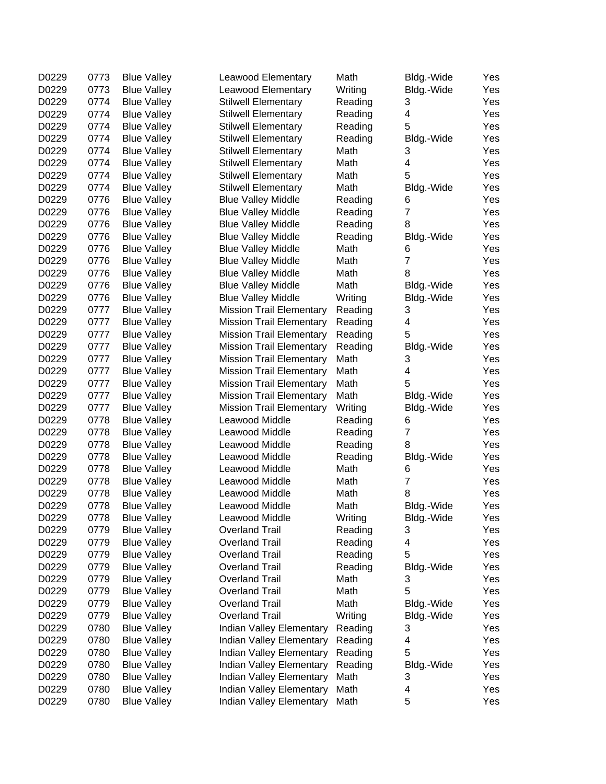| D0229 | 0773 | <b>Blue Valley</b> | Leawood Elementary              | Math    | Bldg.-Wide          | Yes        |
|-------|------|--------------------|---------------------------------|---------|---------------------|------------|
| D0229 | 0773 | <b>Blue Valley</b> | Leawood Elementary              | Writing | Bldg.-Wide          | Yes        |
| D0229 | 0774 | <b>Blue Valley</b> | <b>Stilwell Elementary</b>      | Reading | 3                   | Yes        |
| D0229 | 0774 | <b>Blue Valley</b> | <b>Stilwell Elementary</b>      | Reading | 4                   | Yes        |
| D0229 | 0774 | <b>Blue Valley</b> | <b>Stilwell Elementary</b>      | Reading | 5                   | Yes        |
| D0229 | 0774 | <b>Blue Valley</b> | <b>Stilwell Elementary</b>      | Reading | Bldg.-Wide          | Yes        |
| D0229 | 0774 | <b>Blue Valley</b> | <b>Stilwell Elementary</b>      | Math    | 3                   | Yes        |
| D0229 | 0774 | <b>Blue Valley</b> | <b>Stilwell Elementary</b>      | Math    | 4                   | Yes        |
| D0229 | 0774 | <b>Blue Valley</b> | <b>Stilwell Elementary</b>      | Math    | 5                   | Yes        |
| D0229 | 0774 | <b>Blue Valley</b> | <b>Stilwell Elementary</b>      | Math    | Bldg.-Wide          | Yes        |
| D0229 | 0776 | <b>Blue Valley</b> | <b>Blue Valley Middle</b>       | Reading | 6                   | Yes        |
| D0229 | 0776 | <b>Blue Valley</b> | <b>Blue Valley Middle</b>       | Reading | $\overline{7}$      | Yes        |
| D0229 | 0776 | <b>Blue Valley</b> | <b>Blue Valley Middle</b>       | Reading | 8                   | Yes        |
| D0229 | 0776 | <b>Blue Valley</b> | <b>Blue Valley Middle</b>       | Reading | Bldg.-Wide          | Yes        |
| D0229 | 0776 | <b>Blue Valley</b> | <b>Blue Valley Middle</b>       | Math    | 6                   | Yes        |
| D0229 | 0776 | <b>Blue Valley</b> | <b>Blue Valley Middle</b>       | Math    | $\overline{7}$      | Yes        |
| D0229 | 0776 | <b>Blue Valley</b> | <b>Blue Valley Middle</b>       | Math    | 8                   | Yes        |
| D0229 | 0776 | <b>Blue Valley</b> | <b>Blue Valley Middle</b>       | Math    | Bldg.-Wide          | Yes        |
| D0229 | 0776 | <b>Blue Valley</b> | <b>Blue Valley Middle</b>       | Writing | Bldg.-Wide          | Yes        |
| D0229 | 0777 | <b>Blue Valley</b> | <b>Mission Trail Elementary</b> | Reading | 3                   | Yes        |
| D0229 | 0777 | <b>Blue Valley</b> | <b>Mission Trail Elementary</b> | Reading | 4                   | Yes        |
| D0229 | 0777 | <b>Blue Valley</b> | <b>Mission Trail Elementary</b> | Reading | 5                   | Yes        |
| D0229 | 0777 | <b>Blue Valley</b> | <b>Mission Trail Elementary</b> | Reading | Bldg.-Wide          | Yes        |
| D0229 | 0777 | <b>Blue Valley</b> | <b>Mission Trail Elementary</b> | Math    | 3                   | Yes        |
| D0229 | 0777 | <b>Blue Valley</b> | <b>Mission Trail Elementary</b> | Math    | 4                   | Yes        |
| D0229 | 0777 | <b>Blue Valley</b> | <b>Mission Trail Elementary</b> | Math    | 5                   | Yes        |
| D0229 | 0777 | <b>Blue Valley</b> | <b>Mission Trail Elementary</b> | Math    | Bldg.-Wide          | Yes        |
| D0229 | 0777 | <b>Blue Valley</b> | <b>Mission Trail Elementary</b> | Writing | Bldg.-Wide          | Yes        |
| D0229 | 0778 | <b>Blue Valley</b> | Leawood Middle                  | Reading | 6                   | Yes        |
| D0229 | 0778 | <b>Blue Valley</b> | Leawood Middle                  | Reading | 7                   | Yes        |
| D0229 | 0778 | <b>Blue Valley</b> | Leawood Middle                  | Reading | 8                   | Yes        |
| D0229 | 0778 | <b>Blue Valley</b> | Leawood Middle                  | Reading |                     | Yes        |
| D0229 | 0778 |                    | Leawood Middle                  | Math    | Bldg.-Wide          |            |
| D0229 | 0778 | <b>Blue Valley</b> | Leawood Middle                  |         | 6<br>$\overline{7}$ | Yes<br>Yes |
|       |      | <b>Blue Valley</b> |                                 | Math    |                     |            |
| D0229 | 0778 | <b>Blue Valley</b> | Leawood Middle                  | Math    | 8                   | Yes        |
| D0229 | 0778 | <b>Blue Valley</b> | Leawood Middle                  | Math    | Bldg.-Wide          | Yes        |
| D0229 | 0778 | <b>Blue Valley</b> | Leawood Middle                  | Writing | Bldg.-Wide          | Yes        |
| D0229 | 0779 | <b>Blue Valley</b> | <b>Overland Trail</b>           | Reading | 3                   | Yes        |
| D0229 | 0779 | <b>Blue Valley</b> | <b>Overland Trail</b>           | Reading | 4                   | Yes        |
| D0229 | 0779 | <b>Blue Valley</b> | <b>Overland Trail</b>           | Reading | 5                   | Yes        |
| D0229 | 0779 | <b>Blue Valley</b> | <b>Overland Trail</b>           | Reading | Bldg.-Wide          | Yes        |
| D0229 | 0779 | <b>Blue Valley</b> | <b>Overland Trail</b>           | Math    | 3                   | Yes        |
| D0229 | 0779 | <b>Blue Valley</b> | <b>Overland Trail</b>           | Math    | 5                   | Yes        |
| D0229 | 0779 | <b>Blue Valley</b> | <b>Overland Trail</b>           | Math    | Bldg.-Wide          | Yes        |
| D0229 | 0779 | <b>Blue Valley</b> | <b>Overland Trail</b>           | Writing | Bldg.-Wide          | Yes        |
| D0229 | 0780 | <b>Blue Valley</b> | Indian Valley Elementary        | Reading | 3                   | Yes        |
| D0229 | 0780 | <b>Blue Valley</b> | <b>Indian Valley Elementary</b> | Reading | 4                   | Yes        |
| D0229 | 0780 | <b>Blue Valley</b> | Indian Valley Elementary        | Reading | 5                   | Yes        |
| D0229 | 0780 | <b>Blue Valley</b> | Indian Valley Elementary        | Reading | Bldg.-Wide          | Yes        |
| D0229 | 0780 | <b>Blue Valley</b> | Indian Valley Elementary        | Math    | 3                   | Yes        |
| D0229 | 0780 | <b>Blue Valley</b> | Indian Valley Elementary        | Math    | 4                   | Yes        |
| D0229 | 0780 | <b>Blue Valley</b> | <b>Indian Valley Elementary</b> | Math    | 5                   | Yes        |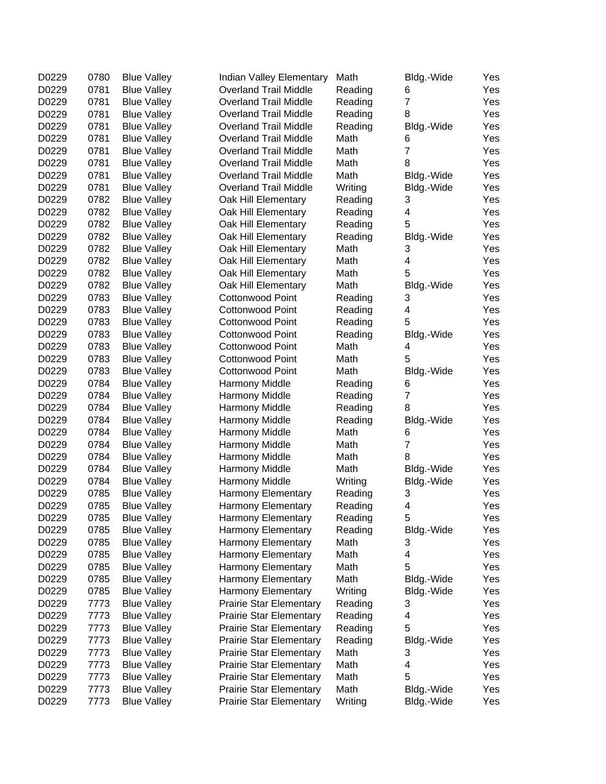| D0229<br>0781<br><b>Overland Trail Middle</b><br>Reading<br><b>Blue Valley</b><br>6<br>$\overline{7}$<br>D0229<br>0781<br><b>Overland Trail Middle</b><br>Reading<br><b>Blue Valley</b><br>D0229<br>0781<br><b>Overland Trail Middle</b><br>8<br><b>Blue Valley</b><br>Reading<br>D0229<br>0781<br><b>Blue Valley</b><br><b>Overland Trail Middle</b><br>Reading<br>Bldg.-Wide<br>D0229<br>0781<br><b>Overland Trail Middle</b><br>Math<br><b>Blue Valley</b><br>6<br>$\overline{7}$<br>D0229<br>0781<br><b>Overland Trail Middle</b><br>Math<br><b>Blue Valley</b><br>0781<br>D0229<br><b>Overland Trail Middle</b><br>Math<br><b>Blue Valley</b><br>8<br>0781<br>D0229<br><b>Overland Trail Middle</b><br>Math<br><b>Blue Valley</b><br>Bldg.-Wide<br>0781<br>D0229<br><b>Overland Trail Middle</b><br>Writing<br><b>Blue Valley</b><br>Bldg.-Wide<br>0782<br>D0229<br><b>Blue Valley</b><br>Oak Hill Elementary<br>Reading<br>3<br>D0229<br>0782<br>4<br><b>Blue Valley</b><br>Oak Hill Elementary<br>Reading<br>5<br>D0229<br>0782<br><b>Blue Valley</b><br>Oak Hill Elementary<br>Reading<br>D0229<br>0782<br><b>Blue Valley</b><br>Oak Hill Elementary<br>Reading<br>Bldg.-Wide<br>D0229<br>0782<br>Math<br><b>Blue Valley</b><br>Oak Hill Elementary<br>3<br>$\overline{\mathbf{4}}$<br>D0229<br>0782<br><b>Blue Valley</b><br>Oak Hill Elementary<br>Math<br>5<br>D0229<br>0782<br><b>Blue Valley</b><br>Oak Hill Elementary<br>Math<br>D0229<br>0782<br><b>Blue Valley</b><br>Oak Hill Elementary<br>Math<br>Bldg.-Wide<br>D0229<br>0783<br><b>Blue Valley</b><br><b>Cottonwood Point</b><br>Reading<br>3<br>D0229<br>0783<br>4<br><b>Blue Valley</b><br><b>Cottonwood Point</b><br>Reading<br>0783<br>5<br>D0229<br><b>Blue Valley</b><br><b>Cottonwood Point</b><br>Reading<br>D0229<br>0783<br><b>Blue Valley</b><br><b>Cottonwood Point</b><br>Reading<br>Bldg.-Wide<br>D0229<br>0783<br><b>Blue Valley</b><br><b>Cottonwood Point</b><br>Math<br>4<br>D0229<br>0783<br>Math<br>5<br><b>Blue Valley</b><br>Cottonwood Point<br>0783<br>D0229<br>Math<br><b>Blue Valley</b><br><b>Cottonwood Point</b><br>Bldg.-Wide<br>0784<br>D0229<br><b>Blue Valley</b><br><b>Harmony Middle</b><br>Reading<br>6<br>0784<br>$\overline{7}$<br>D0229<br>Reading<br><b>Blue Valley</b><br><b>Harmony Middle</b><br>0784<br>D0229<br>Harmony Middle<br>Reading<br>8<br><b>Blue Valley</b><br>0784<br>D0229<br>Harmony Middle<br><b>Blue Valley</b><br>Reading<br>Bldg.-Wide<br>0784<br>D0229<br>Harmony Middle<br><b>Blue Valley</b><br>Math<br>6<br>$\overline{7}$<br>D0229<br>0784<br><b>Blue Valley</b><br><b>Harmony Middle</b><br>Math<br>8<br>D0229<br>0784<br>Harmony Middle<br><b>Blue Valley</b><br>Math<br>D0229<br>0784<br>Harmony Middle<br><b>Blue Valley</b><br>Math<br>Bldg.-Wide<br>D0229<br>0784<br>Harmony Middle<br><b>Blue Valley</b><br>Writing<br>Bldg.-Wide<br>D0229<br>0785<br><b>Harmony Elementary</b><br>Reading<br><b>Blue Valley</b><br>3<br>D0229<br>0785<br>4<br><b>Blue Valley</b><br><b>Harmony Elementary</b><br>Reading<br>5<br>D0229<br>0785<br><b>Blue Valley</b><br><b>Harmony Elementary</b><br>Reading<br>D0229<br>0785<br><b>Blue Valley</b><br><b>Harmony Elementary</b><br>Reading<br>Bldg.-Wide<br>D0229<br>0785<br><b>Harmony Elementary</b><br>Math<br><b>Blue Valley</b><br>3<br>D0229<br>0785<br><b>Harmony Elementary</b><br>Math<br>4<br><b>Blue Valley</b><br>5<br>D0229<br>0785<br><b>Harmony Elementary</b><br>Math<br><b>Blue Valley</b><br>D0229<br>0785<br><b>Harmony Elementary</b><br>Math<br><b>Blue Valley</b><br>Bldg.-Wide<br>D0229<br>0785<br><b>Harmony Elementary</b><br>Writing<br><b>Blue Valley</b><br>Bldg.-Wide<br>D0229<br>7773<br>Reading<br><b>Blue Valley</b><br><b>Prairie Star Elementary</b><br>3 | Yes |
|-----------------------------------------------------------------------------------------------------------------------------------------------------------------------------------------------------------------------------------------------------------------------------------------------------------------------------------------------------------------------------------------------------------------------------------------------------------------------------------------------------------------------------------------------------------------------------------------------------------------------------------------------------------------------------------------------------------------------------------------------------------------------------------------------------------------------------------------------------------------------------------------------------------------------------------------------------------------------------------------------------------------------------------------------------------------------------------------------------------------------------------------------------------------------------------------------------------------------------------------------------------------------------------------------------------------------------------------------------------------------------------------------------------------------------------------------------------------------------------------------------------------------------------------------------------------------------------------------------------------------------------------------------------------------------------------------------------------------------------------------------------------------------------------------------------------------------------------------------------------------------------------------------------------------------------------------------------------------------------------------------------------------------------------------------------------------------------------------------------------------------------------------------------------------------------------------------------------------------------------------------------------------------------------------------------------------------------------------------------------------------------------------------------------------------------------------------------------------------------------------------------------------------------------------------------------------------------------------------------------------------------------------------------------------------------------------------------------------------------------------------------------------------------------------------------------------------------------------------------------------------------------------------------------------------------------------------------------------------------------------------------------------------------------------------------------------------------------------------------------------------------------------------------------------------------------------------------------------------------------------------------------------------------------------------------------------------------------------------------------------------------------------------------------------------------------------------------------------------------------------------------------------------------------------------------------------------------------------------------------------------------------------------------------------------------------------------------------------------------------------------------------------------|-----|
|                                                                                                                                                                                                                                                                                                                                                                                                                                                                                                                                                                                                                                                                                                                                                                                                                                                                                                                                                                                                                                                                                                                                                                                                                                                                                                                                                                                                                                                                                                                                                                                                                                                                                                                                                                                                                                                                                                                                                                                                                                                                                                                                                                                                                                                                                                                                                                                                                                                                                                                                                                                                                                                                                                                                                                                                                                                                                                                                                                                                                                                                                                                                                                                                                                                                                                                                                                                                                                                                                                                                                                                                                                                                                                                                                                             | Yes |
|                                                                                                                                                                                                                                                                                                                                                                                                                                                                                                                                                                                                                                                                                                                                                                                                                                                                                                                                                                                                                                                                                                                                                                                                                                                                                                                                                                                                                                                                                                                                                                                                                                                                                                                                                                                                                                                                                                                                                                                                                                                                                                                                                                                                                                                                                                                                                                                                                                                                                                                                                                                                                                                                                                                                                                                                                                                                                                                                                                                                                                                                                                                                                                                                                                                                                                                                                                                                                                                                                                                                                                                                                                                                                                                                                                             | Yes |
|                                                                                                                                                                                                                                                                                                                                                                                                                                                                                                                                                                                                                                                                                                                                                                                                                                                                                                                                                                                                                                                                                                                                                                                                                                                                                                                                                                                                                                                                                                                                                                                                                                                                                                                                                                                                                                                                                                                                                                                                                                                                                                                                                                                                                                                                                                                                                                                                                                                                                                                                                                                                                                                                                                                                                                                                                                                                                                                                                                                                                                                                                                                                                                                                                                                                                                                                                                                                                                                                                                                                                                                                                                                                                                                                                                             | Yes |
|                                                                                                                                                                                                                                                                                                                                                                                                                                                                                                                                                                                                                                                                                                                                                                                                                                                                                                                                                                                                                                                                                                                                                                                                                                                                                                                                                                                                                                                                                                                                                                                                                                                                                                                                                                                                                                                                                                                                                                                                                                                                                                                                                                                                                                                                                                                                                                                                                                                                                                                                                                                                                                                                                                                                                                                                                                                                                                                                                                                                                                                                                                                                                                                                                                                                                                                                                                                                                                                                                                                                                                                                                                                                                                                                                                             | Yes |
|                                                                                                                                                                                                                                                                                                                                                                                                                                                                                                                                                                                                                                                                                                                                                                                                                                                                                                                                                                                                                                                                                                                                                                                                                                                                                                                                                                                                                                                                                                                                                                                                                                                                                                                                                                                                                                                                                                                                                                                                                                                                                                                                                                                                                                                                                                                                                                                                                                                                                                                                                                                                                                                                                                                                                                                                                                                                                                                                                                                                                                                                                                                                                                                                                                                                                                                                                                                                                                                                                                                                                                                                                                                                                                                                                                             | Yes |
|                                                                                                                                                                                                                                                                                                                                                                                                                                                                                                                                                                                                                                                                                                                                                                                                                                                                                                                                                                                                                                                                                                                                                                                                                                                                                                                                                                                                                                                                                                                                                                                                                                                                                                                                                                                                                                                                                                                                                                                                                                                                                                                                                                                                                                                                                                                                                                                                                                                                                                                                                                                                                                                                                                                                                                                                                                                                                                                                                                                                                                                                                                                                                                                                                                                                                                                                                                                                                                                                                                                                                                                                                                                                                                                                                                             | Yes |
|                                                                                                                                                                                                                                                                                                                                                                                                                                                                                                                                                                                                                                                                                                                                                                                                                                                                                                                                                                                                                                                                                                                                                                                                                                                                                                                                                                                                                                                                                                                                                                                                                                                                                                                                                                                                                                                                                                                                                                                                                                                                                                                                                                                                                                                                                                                                                                                                                                                                                                                                                                                                                                                                                                                                                                                                                                                                                                                                                                                                                                                                                                                                                                                                                                                                                                                                                                                                                                                                                                                                                                                                                                                                                                                                                                             | Yes |
|                                                                                                                                                                                                                                                                                                                                                                                                                                                                                                                                                                                                                                                                                                                                                                                                                                                                                                                                                                                                                                                                                                                                                                                                                                                                                                                                                                                                                                                                                                                                                                                                                                                                                                                                                                                                                                                                                                                                                                                                                                                                                                                                                                                                                                                                                                                                                                                                                                                                                                                                                                                                                                                                                                                                                                                                                                                                                                                                                                                                                                                                                                                                                                                                                                                                                                                                                                                                                                                                                                                                                                                                                                                                                                                                                                             | Yes |
|                                                                                                                                                                                                                                                                                                                                                                                                                                                                                                                                                                                                                                                                                                                                                                                                                                                                                                                                                                                                                                                                                                                                                                                                                                                                                                                                                                                                                                                                                                                                                                                                                                                                                                                                                                                                                                                                                                                                                                                                                                                                                                                                                                                                                                                                                                                                                                                                                                                                                                                                                                                                                                                                                                                                                                                                                                                                                                                                                                                                                                                                                                                                                                                                                                                                                                                                                                                                                                                                                                                                                                                                                                                                                                                                                                             | Yes |
|                                                                                                                                                                                                                                                                                                                                                                                                                                                                                                                                                                                                                                                                                                                                                                                                                                                                                                                                                                                                                                                                                                                                                                                                                                                                                                                                                                                                                                                                                                                                                                                                                                                                                                                                                                                                                                                                                                                                                                                                                                                                                                                                                                                                                                                                                                                                                                                                                                                                                                                                                                                                                                                                                                                                                                                                                                                                                                                                                                                                                                                                                                                                                                                                                                                                                                                                                                                                                                                                                                                                                                                                                                                                                                                                                                             | Yes |
|                                                                                                                                                                                                                                                                                                                                                                                                                                                                                                                                                                                                                                                                                                                                                                                                                                                                                                                                                                                                                                                                                                                                                                                                                                                                                                                                                                                                                                                                                                                                                                                                                                                                                                                                                                                                                                                                                                                                                                                                                                                                                                                                                                                                                                                                                                                                                                                                                                                                                                                                                                                                                                                                                                                                                                                                                                                                                                                                                                                                                                                                                                                                                                                                                                                                                                                                                                                                                                                                                                                                                                                                                                                                                                                                                                             | Yes |
|                                                                                                                                                                                                                                                                                                                                                                                                                                                                                                                                                                                                                                                                                                                                                                                                                                                                                                                                                                                                                                                                                                                                                                                                                                                                                                                                                                                                                                                                                                                                                                                                                                                                                                                                                                                                                                                                                                                                                                                                                                                                                                                                                                                                                                                                                                                                                                                                                                                                                                                                                                                                                                                                                                                                                                                                                                                                                                                                                                                                                                                                                                                                                                                                                                                                                                                                                                                                                                                                                                                                                                                                                                                                                                                                                                             | Yes |
|                                                                                                                                                                                                                                                                                                                                                                                                                                                                                                                                                                                                                                                                                                                                                                                                                                                                                                                                                                                                                                                                                                                                                                                                                                                                                                                                                                                                                                                                                                                                                                                                                                                                                                                                                                                                                                                                                                                                                                                                                                                                                                                                                                                                                                                                                                                                                                                                                                                                                                                                                                                                                                                                                                                                                                                                                                                                                                                                                                                                                                                                                                                                                                                                                                                                                                                                                                                                                                                                                                                                                                                                                                                                                                                                                                             | Yes |
|                                                                                                                                                                                                                                                                                                                                                                                                                                                                                                                                                                                                                                                                                                                                                                                                                                                                                                                                                                                                                                                                                                                                                                                                                                                                                                                                                                                                                                                                                                                                                                                                                                                                                                                                                                                                                                                                                                                                                                                                                                                                                                                                                                                                                                                                                                                                                                                                                                                                                                                                                                                                                                                                                                                                                                                                                                                                                                                                                                                                                                                                                                                                                                                                                                                                                                                                                                                                                                                                                                                                                                                                                                                                                                                                                                             | Yes |
|                                                                                                                                                                                                                                                                                                                                                                                                                                                                                                                                                                                                                                                                                                                                                                                                                                                                                                                                                                                                                                                                                                                                                                                                                                                                                                                                                                                                                                                                                                                                                                                                                                                                                                                                                                                                                                                                                                                                                                                                                                                                                                                                                                                                                                                                                                                                                                                                                                                                                                                                                                                                                                                                                                                                                                                                                                                                                                                                                                                                                                                                                                                                                                                                                                                                                                                                                                                                                                                                                                                                                                                                                                                                                                                                                                             | Yes |
|                                                                                                                                                                                                                                                                                                                                                                                                                                                                                                                                                                                                                                                                                                                                                                                                                                                                                                                                                                                                                                                                                                                                                                                                                                                                                                                                                                                                                                                                                                                                                                                                                                                                                                                                                                                                                                                                                                                                                                                                                                                                                                                                                                                                                                                                                                                                                                                                                                                                                                                                                                                                                                                                                                                                                                                                                                                                                                                                                                                                                                                                                                                                                                                                                                                                                                                                                                                                                                                                                                                                                                                                                                                                                                                                                                             | Yes |
|                                                                                                                                                                                                                                                                                                                                                                                                                                                                                                                                                                                                                                                                                                                                                                                                                                                                                                                                                                                                                                                                                                                                                                                                                                                                                                                                                                                                                                                                                                                                                                                                                                                                                                                                                                                                                                                                                                                                                                                                                                                                                                                                                                                                                                                                                                                                                                                                                                                                                                                                                                                                                                                                                                                                                                                                                                                                                                                                                                                                                                                                                                                                                                                                                                                                                                                                                                                                                                                                                                                                                                                                                                                                                                                                                                             | Yes |
|                                                                                                                                                                                                                                                                                                                                                                                                                                                                                                                                                                                                                                                                                                                                                                                                                                                                                                                                                                                                                                                                                                                                                                                                                                                                                                                                                                                                                                                                                                                                                                                                                                                                                                                                                                                                                                                                                                                                                                                                                                                                                                                                                                                                                                                                                                                                                                                                                                                                                                                                                                                                                                                                                                                                                                                                                                                                                                                                                                                                                                                                                                                                                                                                                                                                                                                                                                                                                                                                                                                                                                                                                                                                                                                                                                             | Yes |
|                                                                                                                                                                                                                                                                                                                                                                                                                                                                                                                                                                                                                                                                                                                                                                                                                                                                                                                                                                                                                                                                                                                                                                                                                                                                                                                                                                                                                                                                                                                                                                                                                                                                                                                                                                                                                                                                                                                                                                                                                                                                                                                                                                                                                                                                                                                                                                                                                                                                                                                                                                                                                                                                                                                                                                                                                                                                                                                                                                                                                                                                                                                                                                                                                                                                                                                                                                                                                                                                                                                                                                                                                                                                                                                                                                             | Yes |
|                                                                                                                                                                                                                                                                                                                                                                                                                                                                                                                                                                                                                                                                                                                                                                                                                                                                                                                                                                                                                                                                                                                                                                                                                                                                                                                                                                                                                                                                                                                                                                                                                                                                                                                                                                                                                                                                                                                                                                                                                                                                                                                                                                                                                                                                                                                                                                                                                                                                                                                                                                                                                                                                                                                                                                                                                                                                                                                                                                                                                                                                                                                                                                                                                                                                                                                                                                                                                                                                                                                                                                                                                                                                                                                                                                             | Yes |
|                                                                                                                                                                                                                                                                                                                                                                                                                                                                                                                                                                                                                                                                                                                                                                                                                                                                                                                                                                                                                                                                                                                                                                                                                                                                                                                                                                                                                                                                                                                                                                                                                                                                                                                                                                                                                                                                                                                                                                                                                                                                                                                                                                                                                                                                                                                                                                                                                                                                                                                                                                                                                                                                                                                                                                                                                                                                                                                                                                                                                                                                                                                                                                                                                                                                                                                                                                                                                                                                                                                                                                                                                                                                                                                                                                             | Yes |
|                                                                                                                                                                                                                                                                                                                                                                                                                                                                                                                                                                                                                                                                                                                                                                                                                                                                                                                                                                                                                                                                                                                                                                                                                                                                                                                                                                                                                                                                                                                                                                                                                                                                                                                                                                                                                                                                                                                                                                                                                                                                                                                                                                                                                                                                                                                                                                                                                                                                                                                                                                                                                                                                                                                                                                                                                                                                                                                                                                                                                                                                                                                                                                                                                                                                                                                                                                                                                                                                                                                                                                                                                                                                                                                                                                             | Yes |
|                                                                                                                                                                                                                                                                                                                                                                                                                                                                                                                                                                                                                                                                                                                                                                                                                                                                                                                                                                                                                                                                                                                                                                                                                                                                                                                                                                                                                                                                                                                                                                                                                                                                                                                                                                                                                                                                                                                                                                                                                                                                                                                                                                                                                                                                                                                                                                                                                                                                                                                                                                                                                                                                                                                                                                                                                                                                                                                                                                                                                                                                                                                                                                                                                                                                                                                                                                                                                                                                                                                                                                                                                                                                                                                                                                             | Yes |
|                                                                                                                                                                                                                                                                                                                                                                                                                                                                                                                                                                                                                                                                                                                                                                                                                                                                                                                                                                                                                                                                                                                                                                                                                                                                                                                                                                                                                                                                                                                                                                                                                                                                                                                                                                                                                                                                                                                                                                                                                                                                                                                                                                                                                                                                                                                                                                                                                                                                                                                                                                                                                                                                                                                                                                                                                                                                                                                                                                                                                                                                                                                                                                                                                                                                                                                                                                                                                                                                                                                                                                                                                                                                                                                                                                             | Yes |
|                                                                                                                                                                                                                                                                                                                                                                                                                                                                                                                                                                                                                                                                                                                                                                                                                                                                                                                                                                                                                                                                                                                                                                                                                                                                                                                                                                                                                                                                                                                                                                                                                                                                                                                                                                                                                                                                                                                                                                                                                                                                                                                                                                                                                                                                                                                                                                                                                                                                                                                                                                                                                                                                                                                                                                                                                                                                                                                                                                                                                                                                                                                                                                                                                                                                                                                                                                                                                                                                                                                                                                                                                                                                                                                                                                             | Yes |
|                                                                                                                                                                                                                                                                                                                                                                                                                                                                                                                                                                                                                                                                                                                                                                                                                                                                                                                                                                                                                                                                                                                                                                                                                                                                                                                                                                                                                                                                                                                                                                                                                                                                                                                                                                                                                                                                                                                                                                                                                                                                                                                                                                                                                                                                                                                                                                                                                                                                                                                                                                                                                                                                                                                                                                                                                                                                                                                                                                                                                                                                                                                                                                                                                                                                                                                                                                                                                                                                                                                                                                                                                                                                                                                                                                             | Yes |
|                                                                                                                                                                                                                                                                                                                                                                                                                                                                                                                                                                                                                                                                                                                                                                                                                                                                                                                                                                                                                                                                                                                                                                                                                                                                                                                                                                                                                                                                                                                                                                                                                                                                                                                                                                                                                                                                                                                                                                                                                                                                                                                                                                                                                                                                                                                                                                                                                                                                                                                                                                                                                                                                                                                                                                                                                                                                                                                                                                                                                                                                                                                                                                                                                                                                                                                                                                                                                                                                                                                                                                                                                                                                                                                                                                             | Yes |
|                                                                                                                                                                                                                                                                                                                                                                                                                                                                                                                                                                                                                                                                                                                                                                                                                                                                                                                                                                                                                                                                                                                                                                                                                                                                                                                                                                                                                                                                                                                                                                                                                                                                                                                                                                                                                                                                                                                                                                                                                                                                                                                                                                                                                                                                                                                                                                                                                                                                                                                                                                                                                                                                                                                                                                                                                                                                                                                                                                                                                                                                                                                                                                                                                                                                                                                                                                                                                                                                                                                                                                                                                                                                                                                                                                             | Yes |
|                                                                                                                                                                                                                                                                                                                                                                                                                                                                                                                                                                                                                                                                                                                                                                                                                                                                                                                                                                                                                                                                                                                                                                                                                                                                                                                                                                                                                                                                                                                                                                                                                                                                                                                                                                                                                                                                                                                                                                                                                                                                                                                                                                                                                                                                                                                                                                                                                                                                                                                                                                                                                                                                                                                                                                                                                                                                                                                                                                                                                                                                                                                                                                                                                                                                                                                                                                                                                                                                                                                                                                                                                                                                                                                                                                             | Yes |
|                                                                                                                                                                                                                                                                                                                                                                                                                                                                                                                                                                                                                                                                                                                                                                                                                                                                                                                                                                                                                                                                                                                                                                                                                                                                                                                                                                                                                                                                                                                                                                                                                                                                                                                                                                                                                                                                                                                                                                                                                                                                                                                                                                                                                                                                                                                                                                                                                                                                                                                                                                                                                                                                                                                                                                                                                                                                                                                                                                                                                                                                                                                                                                                                                                                                                                                                                                                                                                                                                                                                                                                                                                                                                                                                                                             | Yes |
|                                                                                                                                                                                                                                                                                                                                                                                                                                                                                                                                                                                                                                                                                                                                                                                                                                                                                                                                                                                                                                                                                                                                                                                                                                                                                                                                                                                                                                                                                                                                                                                                                                                                                                                                                                                                                                                                                                                                                                                                                                                                                                                                                                                                                                                                                                                                                                                                                                                                                                                                                                                                                                                                                                                                                                                                                                                                                                                                                                                                                                                                                                                                                                                                                                                                                                                                                                                                                                                                                                                                                                                                                                                                                                                                                                             | Yes |
|                                                                                                                                                                                                                                                                                                                                                                                                                                                                                                                                                                                                                                                                                                                                                                                                                                                                                                                                                                                                                                                                                                                                                                                                                                                                                                                                                                                                                                                                                                                                                                                                                                                                                                                                                                                                                                                                                                                                                                                                                                                                                                                                                                                                                                                                                                                                                                                                                                                                                                                                                                                                                                                                                                                                                                                                                                                                                                                                                                                                                                                                                                                                                                                                                                                                                                                                                                                                                                                                                                                                                                                                                                                                                                                                                                             | Yes |
|                                                                                                                                                                                                                                                                                                                                                                                                                                                                                                                                                                                                                                                                                                                                                                                                                                                                                                                                                                                                                                                                                                                                                                                                                                                                                                                                                                                                                                                                                                                                                                                                                                                                                                                                                                                                                                                                                                                                                                                                                                                                                                                                                                                                                                                                                                                                                                                                                                                                                                                                                                                                                                                                                                                                                                                                                                                                                                                                                                                                                                                                                                                                                                                                                                                                                                                                                                                                                                                                                                                                                                                                                                                                                                                                                                             | Yes |
|                                                                                                                                                                                                                                                                                                                                                                                                                                                                                                                                                                                                                                                                                                                                                                                                                                                                                                                                                                                                                                                                                                                                                                                                                                                                                                                                                                                                                                                                                                                                                                                                                                                                                                                                                                                                                                                                                                                                                                                                                                                                                                                                                                                                                                                                                                                                                                                                                                                                                                                                                                                                                                                                                                                                                                                                                                                                                                                                                                                                                                                                                                                                                                                                                                                                                                                                                                                                                                                                                                                                                                                                                                                                                                                                                                             | Yes |
|                                                                                                                                                                                                                                                                                                                                                                                                                                                                                                                                                                                                                                                                                                                                                                                                                                                                                                                                                                                                                                                                                                                                                                                                                                                                                                                                                                                                                                                                                                                                                                                                                                                                                                                                                                                                                                                                                                                                                                                                                                                                                                                                                                                                                                                                                                                                                                                                                                                                                                                                                                                                                                                                                                                                                                                                                                                                                                                                                                                                                                                                                                                                                                                                                                                                                                                                                                                                                                                                                                                                                                                                                                                                                                                                                                             | Yes |
|                                                                                                                                                                                                                                                                                                                                                                                                                                                                                                                                                                                                                                                                                                                                                                                                                                                                                                                                                                                                                                                                                                                                                                                                                                                                                                                                                                                                                                                                                                                                                                                                                                                                                                                                                                                                                                                                                                                                                                                                                                                                                                                                                                                                                                                                                                                                                                                                                                                                                                                                                                                                                                                                                                                                                                                                                                                                                                                                                                                                                                                                                                                                                                                                                                                                                                                                                                                                                                                                                                                                                                                                                                                                                                                                                                             | Yes |
|                                                                                                                                                                                                                                                                                                                                                                                                                                                                                                                                                                                                                                                                                                                                                                                                                                                                                                                                                                                                                                                                                                                                                                                                                                                                                                                                                                                                                                                                                                                                                                                                                                                                                                                                                                                                                                                                                                                                                                                                                                                                                                                                                                                                                                                                                                                                                                                                                                                                                                                                                                                                                                                                                                                                                                                                                                                                                                                                                                                                                                                                                                                                                                                                                                                                                                                                                                                                                                                                                                                                                                                                                                                                                                                                                                             | Yes |
|                                                                                                                                                                                                                                                                                                                                                                                                                                                                                                                                                                                                                                                                                                                                                                                                                                                                                                                                                                                                                                                                                                                                                                                                                                                                                                                                                                                                                                                                                                                                                                                                                                                                                                                                                                                                                                                                                                                                                                                                                                                                                                                                                                                                                                                                                                                                                                                                                                                                                                                                                                                                                                                                                                                                                                                                                                                                                                                                                                                                                                                                                                                                                                                                                                                                                                                                                                                                                                                                                                                                                                                                                                                                                                                                                                             | Yes |
|                                                                                                                                                                                                                                                                                                                                                                                                                                                                                                                                                                                                                                                                                                                                                                                                                                                                                                                                                                                                                                                                                                                                                                                                                                                                                                                                                                                                                                                                                                                                                                                                                                                                                                                                                                                                                                                                                                                                                                                                                                                                                                                                                                                                                                                                                                                                                                                                                                                                                                                                                                                                                                                                                                                                                                                                                                                                                                                                                                                                                                                                                                                                                                                                                                                                                                                                                                                                                                                                                                                                                                                                                                                                                                                                                                             | Yes |
|                                                                                                                                                                                                                                                                                                                                                                                                                                                                                                                                                                                                                                                                                                                                                                                                                                                                                                                                                                                                                                                                                                                                                                                                                                                                                                                                                                                                                                                                                                                                                                                                                                                                                                                                                                                                                                                                                                                                                                                                                                                                                                                                                                                                                                                                                                                                                                                                                                                                                                                                                                                                                                                                                                                                                                                                                                                                                                                                                                                                                                                                                                                                                                                                                                                                                                                                                                                                                                                                                                                                                                                                                                                                                                                                                                             | Yes |
|                                                                                                                                                                                                                                                                                                                                                                                                                                                                                                                                                                                                                                                                                                                                                                                                                                                                                                                                                                                                                                                                                                                                                                                                                                                                                                                                                                                                                                                                                                                                                                                                                                                                                                                                                                                                                                                                                                                                                                                                                                                                                                                                                                                                                                                                                                                                                                                                                                                                                                                                                                                                                                                                                                                                                                                                                                                                                                                                                                                                                                                                                                                                                                                                                                                                                                                                                                                                                                                                                                                                                                                                                                                                                                                                                                             | Yes |
|                                                                                                                                                                                                                                                                                                                                                                                                                                                                                                                                                                                                                                                                                                                                                                                                                                                                                                                                                                                                                                                                                                                                                                                                                                                                                                                                                                                                                                                                                                                                                                                                                                                                                                                                                                                                                                                                                                                                                                                                                                                                                                                                                                                                                                                                                                                                                                                                                                                                                                                                                                                                                                                                                                                                                                                                                                                                                                                                                                                                                                                                                                                                                                                                                                                                                                                                                                                                                                                                                                                                                                                                                                                                                                                                                                             | Yes |
|                                                                                                                                                                                                                                                                                                                                                                                                                                                                                                                                                                                                                                                                                                                                                                                                                                                                                                                                                                                                                                                                                                                                                                                                                                                                                                                                                                                                                                                                                                                                                                                                                                                                                                                                                                                                                                                                                                                                                                                                                                                                                                                                                                                                                                                                                                                                                                                                                                                                                                                                                                                                                                                                                                                                                                                                                                                                                                                                                                                                                                                                                                                                                                                                                                                                                                                                                                                                                                                                                                                                                                                                                                                                                                                                                                             | Yes |
| D0229<br>7773<br>Reading<br><b>Blue Valley</b><br><b>Prairie Star Elementary</b><br>4                                                                                                                                                                                                                                                                                                                                                                                                                                                                                                                                                                                                                                                                                                                                                                                                                                                                                                                                                                                                                                                                                                                                                                                                                                                                                                                                                                                                                                                                                                                                                                                                                                                                                                                                                                                                                                                                                                                                                                                                                                                                                                                                                                                                                                                                                                                                                                                                                                                                                                                                                                                                                                                                                                                                                                                                                                                                                                                                                                                                                                                                                                                                                                                                                                                                                                                                                                                                                                                                                                                                                                                                                                                                                       | Yes |
| 5<br>D0229<br>7773<br>Reading<br><b>Blue Valley</b><br><b>Prairie Star Elementary</b>                                                                                                                                                                                                                                                                                                                                                                                                                                                                                                                                                                                                                                                                                                                                                                                                                                                                                                                                                                                                                                                                                                                                                                                                                                                                                                                                                                                                                                                                                                                                                                                                                                                                                                                                                                                                                                                                                                                                                                                                                                                                                                                                                                                                                                                                                                                                                                                                                                                                                                                                                                                                                                                                                                                                                                                                                                                                                                                                                                                                                                                                                                                                                                                                                                                                                                                                                                                                                                                                                                                                                                                                                                                                                       | Yes |
| D0229<br>Reading<br>7773<br><b>Blue Valley</b><br><b>Prairie Star Elementary</b><br>Bldg.-Wide                                                                                                                                                                                                                                                                                                                                                                                                                                                                                                                                                                                                                                                                                                                                                                                                                                                                                                                                                                                                                                                                                                                                                                                                                                                                                                                                                                                                                                                                                                                                                                                                                                                                                                                                                                                                                                                                                                                                                                                                                                                                                                                                                                                                                                                                                                                                                                                                                                                                                                                                                                                                                                                                                                                                                                                                                                                                                                                                                                                                                                                                                                                                                                                                                                                                                                                                                                                                                                                                                                                                                                                                                                                                              | Yes |
| D0229<br>7773<br><b>Blue Valley</b><br>Math<br><b>Prairie Star Elementary</b><br>3                                                                                                                                                                                                                                                                                                                                                                                                                                                                                                                                                                                                                                                                                                                                                                                                                                                                                                                                                                                                                                                                                                                                                                                                                                                                                                                                                                                                                                                                                                                                                                                                                                                                                                                                                                                                                                                                                                                                                                                                                                                                                                                                                                                                                                                                                                                                                                                                                                                                                                                                                                                                                                                                                                                                                                                                                                                                                                                                                                                                                                                                                                                                                                                                                                                                                                                                                                                                                                                                                                                                                                                                                                                                                          | Yes |
| D0229<br>7773<br>Math<br>4<br><b>Blue Valley</b><br><b>Prairie Star Elementary</b>                                                                                                                                                                                                                                                                                                                                                                                                                                                                                                                                                                                                                                                                                                                                                                                                                                                                                                                                                                                                                                                                                                                                                                                                                                                                                                                                                                                                                                                                                                                                                                                                                                                                                                                                                                                                                                                                                                                                                                                                                                                                                                                                                                                                                                                                                                                                                                                                                                                                                                                                                                                                                                                                                                                                                                                                                                                                                                                                                                                                                                                                                                                                                                                                                                                                                                                                                                                                                                                                                                                                                                                                                                                                                          | Yes |
| 5<br>D0229<br>7773<br>Math<br><b>Blue Valley</b><br><b>Prairie Star Elementary</b>                                                                                                                                                                                                                                                                                                                                                                                                                                                                                                                                                                                                                                                                                                                                                                                                                                                                                                                                                                                                                                                                                                                                                                                                                                                                                                                                                                                                                                                                                                                                                                                                                                                                                                                                                                                                                                                                                                                                                                                                                                                                                                                                                                                                                                                                                                                                                                                                                                                                                                                                                                                                                                                                                                                                                                                                                                                                                                                                                                                                                                                                                                                                                                                                                                                                                                                                                                                                                                                                                                                                                                                                                                                                                          | Yes |
| D0229<br>7773<br><b>Blue Valley</b><br>Math<br><b>Prairie Star Elementary</b><br>Bldg.-Wide                                                                                                                                                                                                                                                                                                                                                                                                                                                                                                                                                                                                                                                                                                                                                                                                                                                                                                                                                                                                                                                                                                                                                                                                                                                                                                                                                                                                                                                                                                                                                                                                                                                                                                                                                                                                                                                                                                                                                                                                                                                                                                                                                                                                                                                                                                                                                                                                                                                                                                                                                                                                                                                                                                                                                                                                                                                                                                                                                                                                                                                                                                                                                                                                                                                                                                                                                                                                                                                                                                                                                                                                                                                                                 | Yes |
| D0229<br>7773<br><b>Blue Valley</b><br><b>Prairie Star Elementary</b><br>Writing<br>Bldg.-Wide                                                                                                                                                                                                                                                                                                                                                                                                                                                                                                                                                                                                                                                                                                                                                                                                                                                                                                                                                                                                                                                                                                                                                                                                                                                                                                                                                                                                                                                                                                                                                                                                                                                                                                                                                                                                                                                                                                                                                                                                                                                                                                                                                                                                                                                                                                                                                                                                                                                                                                                                                                                                                                                                                                                                                                                                                                                                                                                                                                                                                                                                                                                                                                                                                                                                                                                                                                                                                                                                                                                                                                                                                                                                              | Yes |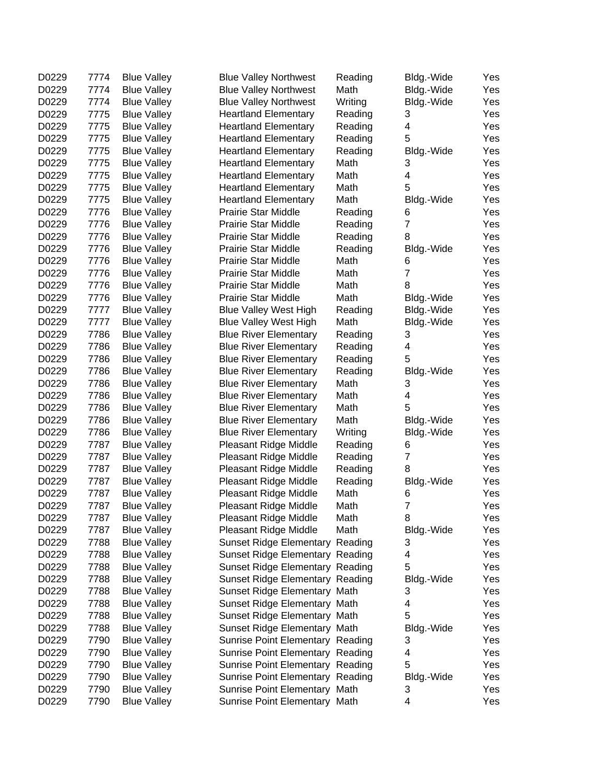| D0229 | 7774 | <b>Blue Valley</b> | <b>Blue Valley Northwest</b>     | Reading         | Bldg.-Wide     | Yes |
|-------|------|--------------------|----------------------------------|-----------------|----------------|-----|
| D0229 | 7774 | <b>Blue Valley</b> | <b>Blue Valley Northwest</b>     | Math            | Bldg.-Wide     | Yes |
| D0229 | 7774 | <b>Blue Valley</b> | <b>Blue Valley Northwest</b>     | Writing         | Bldg.-Wide     | Yes |
| D0229 | 7775 | <b>Blue Valley</b> | <b>Heartland Elementary</b>      | Reading         | 3              | Yes |
| D0229 | 7775 | <b>Blue Valley</b> | <b>Heartland Elementary</b>      | Reading         | 4              | Yes |
| D0229 | 7775 | <b>Blue Valley</b> | <b>Heartland Elementary</b>      | Reading         | 5              | Yes |
| D0229 | 7775 | <b>Blue Valley</b> | <b>Heartland Elementary</b>      | Reading         | Bldg.-Wide     | Yes |
| D0229 | 7775 | <b>Blue Valley</b> | <b>Heartland Elementary</b>      | Math            | 3              | Yes |
| D0229 | 7775 | <b>Blue Valley</b> | <b>Heartland Elementary</b>      | Math            | 4              | Yes |
| D0229 | 7775 | <b>Blue Valley</b> | <b>Heartland Elementary</b>      | Math            | 5              | Yes |
| D0229 | 7775 | <b>Blue Valley</b> | <b>Heartland Elementary</b>      | Math            | Bldg.-Wide     | Yes |
| D0229 | 7776 | <b>Blue Valley</b> | <b>Prairie Star Middle</b>       | Reading         | 6              | Yes |
| D0229 | 7776 | <b>Blue Valley</b> | Prairie Star Middle              | Reading         | $\overline{7}$ | Yes |
| D0229 | 7776 | <b>Blue Valley</b> | <b>Prairie Star Middle</b>       | Reading         | 8              | Yes |
| D0229 | 7776 | <b>Blue Valley</b> | <b>Prairie Star Middle</b>       | Reading         | Bldg.-Wide     | Yes |
| D0229 | 7776 | <b>Blue Valley</b> | <b>Prairie Star Middle</b>       | Math            | 6              | Yes |
| D0229 | 7776 | <b>Blue Valley</b> | <b>Prairie Star Middle</b>       | Math            | $\overline{7}$ | Yes |
| D0229 | 7776 | <b>Blue Valley</b> | <b>Prairie Star Middle</b>       | Math            | 8              | Yes |
| D0229 | 7776 | <b>Blue Valley</b> | <b>Prairie Star Middle</b>       | Math            | Bldg.-Wide     | Yes |
| D0229 | 7777 | <b>Blue Valley</b> | <b>Blue Valley West High</b>     | Reading         | Bldg.-Wide     | Yes |
| D0229 | 7777 | <b>Blue Valley</b> | <b>Blue Valley West High</b>     | Math            | Bldg.-Wide     | Yes |
| D0229 | 7786 | <b>Blue Valley</b> | <b>Blue River Elementary</b>     | Reading         | 3              | Yes |
| D0229 | 7786 | <b>Blue Valley</b> | <b>Blue River Elementary</b>     | Reading         | 4              | Yes |
| D0229 | 7786 | <b>Blue Valley</b> | <b>Blue River Elementary</b>     | Reading         | 5              | Yes |
| D0229 | 7786 | <b>Blue Valley</b> |                                  |                 | Bldg.-Wide     | Yes |
|       | 7786 |                    | <b>Blue River Elementary</b>     | Reading<br>Math |                |     |
| D0229 |      | <b>Blue Valley</b> | <b>Blue River Elementary</b>     |                 | 3              | Yes |
| D0229 | 7786 | <b>Blue Valley</b> | <b>Blue River Elementary</b>     | Math            | 4<br>5         | Yes |
| D0229 | 7786 | <b>Blue Valley</b> | <b>Blue River Elementary</b>     | Math            |                | Yes |
| D0229 | 7786 | <b>Blue Valley</b> | <b>Blue River Elementary</b>     | Math            | Bldg.-Wide     | Yes |
| D0229 | 7786 | <b>Blue Valley</b> | <b>Blue River Elementary</b>     | Writing         | Bldg.-Wide     | Yes |
| D0229 | 7787 | <b>Blue Valley</b> | Pleasant Ridge Middle            | Reading         | 6              | Yes |
| D0229 | 7787 | <b>Blue Valley</b> | Pleasant Ridge Middle            | Reading         | $\overline{7}$ | Yes |
| D0229 | 7787 | <b>Blue Valley</b> | Pleasant Ridge Middle            | Reading         | 8              | Yes |
| D0229 | 7787 | <b>Blue Valley</b> | Pleasant Ridge Middle            | Reading         | Bldg.-Wide     | Yes |
| D0229 | 7787 | <b>Blue Valley</b> | Pleasant Ridge Middle            | Math            | 6              | Yes |
| D0229 | 7787 | <b>Blue Valley</b> | Pleasant Ridge Middle            | Math            | 7              | Yes |
| D0229 | 7787 | <b>Blue Valley</b> | Pleasant Ridge Middle            | Math            | 8              | Yes |
| D0229 | 7787 | <b>Blue Valley</b> | Pleasant Ridge Middle            | Math            | Bldg.-Wide     | Yes |
| D0229 | 7788 | <b>Blue Valley</b> | Sunset Ridge Elementary Reading  |                 | 3              | Yes |
| D0229 | 7788 | <b>Blue Valley</b> | Sunset Ridge Elementary Reading  |                 | 4              | Yes |
| D0229 | 7788 | <b>Blue Valley</b> | Sunset Ridge Elementary Reading  |                 | 5              | Yes |
| D0229 | 7788 | <b>Blue Valley</b> | Sunset Ridge Elementary Reading  |                 | Bldg.-Wide     | Yes |
| D0229 | 7788 | <b>Blue Valley</b> | Sunset Ridge Elementary Math     |                 | 3              | Yes |
| D0229 | 7788 | <b>Blue Valley</b> | Sunset Ridge Elementary Math     |                 | 4              | Yes |
| D0229 | 7788 | <b>Blue Valley</b> | Sunset Ridge Elementary Math     |                 | 5              | Yes |
| D0229 | 7788 | <b>Blue Valley</b> | Sunset Ridge Elementary Math     |                 | Bldg.-Wide     | Yes |
| D0229 | 7790 | <b>Blue Valley</b> | Sunrise Point Elementary Reading |                 | 3              | Yes |
| D0229 | 7790 | <b>Blue Valley</b> | Sunrise Point Elementary Reading |                 | 4              | Yes |
| D0229 | 7790 | <b>Blue Valley</b> | Sunrise Point Elementary Reading |                 | 5              | Yes |
| D0229 | 7790 | <b>Blue Valley</b> | Sunrise Point Elementary Reading |                 | Bldg.-Wide     | Yes |
| D0229 | 7790 | <b>Blue Valley</b> | Sunrise Point Elementary Math    |                 | 3              | Yes |
| D0229 | 7790 | <b>Blue Valley</b> | Sunrise Point Elementary Math    |                 | 4              | Yes |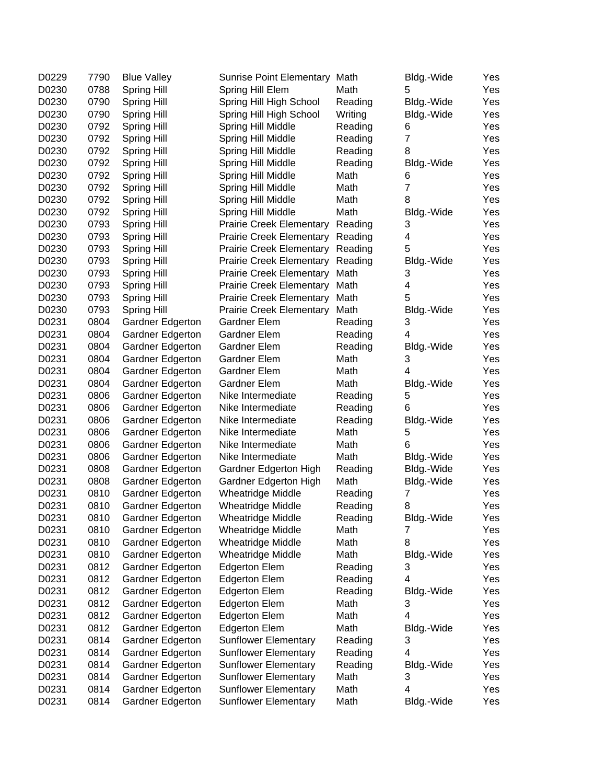| D0229 | 7790 | <b>Blue Valley</b> | Sunrise Point Elementary Math    |         | Bldg.-Wide     | Yes |
|-------|------|--------------------|----------------------------------|---------|----------------|-----|
| D0230 | 0788 | <b>Spring Hill</b> | Spring Hill Elem                 | Math    | 5              | Yes |
| D0230 | 0790 | Spring Hill        | Spring Hill High School          | Reading | Bldg.-Wide     | Yes |
| D0230 | 0790 | Spring Hill        | Spring Hill High School          | Writing | Bldg.-Wide     | Yes |
| D0230 | 0792 | Spring Hill        | Spring Hill Middle               | Reading | 6              | Yes |
| D0230 | 0792 | Spring Hill        | Spring Hill Middle               | Reading | $\overline{7}$ | Yes |
| D0230 | 0792 | Spring Hill        | Spring Hill Middle               | Reading | 8              | Yes |
| D0230 | 0792 | <b>Spring Hill</b> | Spring Hill Middle               | Reading | Bldg.-Wide     | Yes |
| D0230 | 0792 | <b>Spring Hill</b> | Spring Hill Middle               | Math    | 6              | Yes |
| D0230 | 0792 | Spring Hill        | Spring Hill Middle               | Math    | $\overline{7}$ | Yes |
| D0230 | 0792 | Spring Hill        | Spring Hill Middle               | Math    | 8              | Yes |
| D0230 | 0792 | Spring Hill        | Spring Hill Middle               | Math    | Bldg.-Wide     | Yes |
| D0230 | 0793 | Spring Hill        | <b>Prairie Creek Elementary</b>  | Reading | 3              | Yes |
| D0230 | 0793 | Spring Hill        | <b>Prairie Creek Elementary</b>  | Reading | 4              | Yes |
| D0230 | 0793 | <b>Spring Hill</b> | Prairie Creek Elementary Reading |         | 5              | Yes |
| D0230 | 0793 | Spring Hill        | Prairie Creek Elementary Reading |         | Bldg.-Wide     | Yes |
| D0230 | 0793 | Spring Hill        | <b>Prairie Creek Elementary</b>  | Math    | 3              | Yes |
| D0230 | 0793 | <b>Spring Hill</b> | <b>Prairie Creek Elementary</b>  | Math    | 4              | Yes |
| D0230 | 0793 | <b>Spring Hill</b> | <b>Prairie Creek Elementary</b>  | Math    | 5              | Yes |
| D0230 | 0793 | Spring Hill        | <b>Prairie Creek Elementary</b>  | Math    | Bldg.-Wide     | Yes |
| D0231 | 0804 | Gardner Edgerton   | Gardner Elem                     | Reading | 3              | Yes |
| D0231 | 0804 | Gardner Edgerton   | Gardner Elem                     | Reading | 4              | Yes |
| D0231 | 0804 | Gardner Edgerton   | Gardner Elem                     | Reading | Bldg.-Wide     | Yes |
| D0231 | 0804 | Gardner Edgerton   | Gardner Elem                     | Math    | 3              | Yes |
| D0231 | 0804 | Gardner Edgerton   | Gardner Elem                     | Math    | 4              | Yes |
| D0231 | 0804 | Gardner Edgerton   | <b>Gardner Elem</b>              | Math    | Bldg.-Wide     | Yes |
| D0231 | 0806 | Gardner Edgerton   | Nike Intermediate                | Reading | 5              | Yes |
| D0231 | 0806 | Gardner Edgerton   | Nike Intermediate                | Reading | 6              | Yes |
| D0231 | 0806 | Gardner Edgerton   | Nike Intermediate                | Reading | Bldg.-Wide     | Yes |
| D0231 | 0806 | Gardner Edgerton   | Nike Intermediate                | Math    | 5              | Yes |
| D0231 | 0806 | Gardner Edgerton   | Nike Intermediate                | Math    | 6              | Yes |
| D0231 | 0806 | Gardner Edgerton   | Nike Intermediate                | Math    | Bldg.-Wide     | Yes |
| D0231 | 0808 | Gardner Edgerton   | Gardner Edgerton High            | Reading | Bldg.-Wide     | Yes |
| D0231 | 0808 | Gardner Edgerton   | Gardner Edgerton High            | Math    | Bldg.-Wide     | Yes |
| D0231 | 0810 | Gardner Edgerton   | <b>Wheatridge Middle</b>         | Reading | 7              | Yes |
| D0231 | 0810 | Gardner Edgerton   | <b>Wheatridge Middle</b>         | Reading | 8              | Yes |
| D0231 | 0810 | Gardner Edgerton   | Wheatridge Middle                | Reading | Bldg.-Wide     | Yes |
| D0231 | 0810 | Gardner Edgerton   | <b>Wheatridge Middle</b>         | Math    | 7              | Yes |
| D0231 | 0810 | Gardner Edgerton   | <b>Wheatridge Middle</b>         | Math    | 8              | Yes |
| D0231 | 0810 | Gardner Edgerton   | <b>Wheatridge Middle</b>         | Math    | Bldg.-Wide     | Yes |
| D0231 | 0812 | Gardner Edgerton   | <b>Edgerton Elem</b>             | Reading | 3              | Yes |
| D0231 | 0812 | Gardner Edgerton   | <b>Edgerton Elem</b>             | Reading | 4              | Yes |
| D0231 | 0812 | Gardner Edgerton   | <b>Edgerton Elem</b>             | Reading | Bldg.-Wide     | Yes |
| D0231 | 0812 | Gardner Edgerton   | <b>Edgerton Elem</b>             | Math    | 3              | Yes |
| D0231 | 0812 | Gardner Edgerton   | <b>Edgerton Elem</b>             | Math    | 4              | Yes |
| D0231 | 0812 | Gardner Edgerton   | <b>Edgerton Elem</b>             | Math    | Bldg.-Wide     | Yes |
| D0231 | 0814 | Gardner Edgerton   | <b>Sunflower Elementary</b>      | Reading | 3              | Yes |
| D0231 | 0814 | Gardner Edgerton   | <b>Sunflower Elementary</b>      | Reading | 4              | Yes |
| D0231 | 0814 | Gardner Edgerton   | <b>Sunflower Elementary</b>      | Reading | Bldg.-Wide     | Yes |
| D0231 | 0814 | Gardner Edgerton   | <b>Sunflower Elementary</b>      | Math    | 3              | Yes |
| D0231 | 0814 | Gardner Edgerton   | <b>Sunflower Elementary</b>      | Math    | 4              | Yes |
| D0231 | 0814 | Gardner Edgerton   | <b>Sunflower Elementary</b>      | Math    | Bldg.-Wide     | Yes |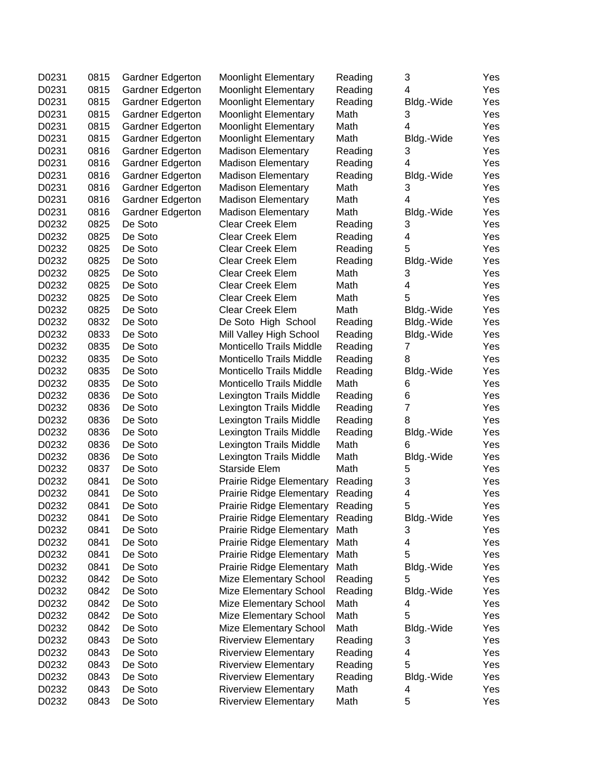| D0231          | 0815 | Gardner Edgerton   | <b>Moonlight Elementary</b>                                         | Reading | 3               | Yes        |
|----------------|------|--------------------|---------------------------------------------------------------------|---------|-----------------|------------|
| D0231          | 0815 | Gardner Edgerton   | <b>Moonlight Elementary</b>                                         | Reading | 4               | Yes        |
| D0231          | 0815 | Gardner Edgerton   | <b>Moonlight Elementary</b>                                         | Reading | Bldg.-Wide      | Yes        |
| D0231          | 0815 | Gardner Edgerton   | <b>Moonlight Elementary</b>                                         | Math    | 3               | Yes        |
| D0231          | 0815 | Gardner Edgerton   | <b>Moonlight Elementary</b>                                         | Math    | 4               | Yes        |
| D0231          | 0815 | Gardner Edgerton   | <b>Moonlight Elementary</b>                                         | Math    | Bldg.-Wide      | Yes        |
| D0231          | 0816 | Gardner Edgerton   | <b>Madison Elementary</b>                                           | Reading | 3               | Yes        |
| D0231          | 0816 | Gardner Edgerton   | <b>Madison Elementary</b>                                           | Reading | 4               | Yes        |
| D0231          | 0816 | Gardner Edgerton   | <b>Madison Elementary</b>                                           | Reading | Bldg.-Wide      | Yes        |
| D0231          | 0816 | Gardner Edgerton   | <b>Madison Elementary</b>                                           | Math    | 3               | Yes        |
| D0231          | 0816 | Gardner Edgerton   | <b>Madison Elementary</b>                                           | Math    | 4               | Yes        |
| D0231          | 0816 | Gardner Edgerton   | <b>Madison Elementary</b>                                           | Math    | Bldg.-Wide      | Yes        |
| D0232          | 0825 | De Soto            | <b>Clear Creek Elem</b>                                             | Reading | 3               | Yes        |
| D0232          | 0825 | De Soto            | <b>Clear Creek Elem</b>                                             | Reading | 4               | Yes        |
| D0232          | 0825 | De Soto            | Clear Creek Elem                                                    | Reading | 5               | Yes        |
| D0232          | 0825 | De Soto            | <b>Clear Creek Elem</b>                                             | Reading | Bldg.-Wide      | Yes        |
| D0232          | 0825 | De Soto            | Clear Creek Elem                                                    | Math    | 3               | Yes        |
| D0232          | 0825 | De Soto            | <b>Clear Creek Elem</b>                                             | Math    | 4               | Yes        |
| D0232          | 0825 | De Soto            | <b>Clear Creek Elem</b>                                             | Math    | 5               | Yes        |
| D0232          | 0825 | De Soto            | Clear Creek Elem                                                    | Math    | Bldg.-Wide      | Yes        |
| D0232          | 0832 | De Soto            | De Soto High School                                                 | Reading | Bldg.-Wide      | Yes        |
| D0232          | 0833 | De Soto            | Mill Valley High School                                             | Reading | Bldg.-Wide      | Yes        |
| D0232          | 0835 | De Soto            | <b>Monticello Trails Middle</b>                                     | Reading | 7               | Yes        |
| D0232          | 0835 | De Soto            | <b>Monticello Trails Middle</b>                                     | Reading | 8               | Yes        |
| D0232          | 0835 | De Soto            | <b>Monticello Trails Middle</b>                                     | Reading | Bldg.-Wide      | Yes        |
| D0232          | 0835 | De Soto            | <b>Monticello Trails Middle</b>                                     | Math    | 6               | Yes        |
| D0232          | 0836 | De Soto            | Lexington Trails Middle                                             | Reading | 6               | Yes        |
| D0232          | 0836 | De Soto            | Lexington Trails Middle                                             | Reading | $\overline{7}$  | Yes        |
| D0232          | 0836 | De Soto            | Lexington Trails Middle                                             | Reading | 8               | Yes        |
| D0232          | 0836 | De Soto            | Lexington Trails Middle                                             | Reading | Bldg.-Wide      | Yes        |
| D0232          | 0836 | De Soto            | Lexington Trails Middle                                             | Math    | 6               | Yes        |
| D0232          | 0836 | De Soto            | Lexington Trails Middle                                             | Math    | Bldg.-Wide      | Yes        |
| D0232          | 0837 | De Soto            | Starside Elem                                                       | Math    | 5               | Yes        |
| D0232          | 0841 | De Soto            | <b>Prairie Ridge Elementary</b>                                     | Reading | 3               | Yes        |
| D0232          | 0841 | De Soto            | <b>Prairie Ridge Elementary</b>                                     | Reading | 4               | Yes        |
| D0232          | 0841 | De Soto            | <b>Prairie Ridge Elementary</b>                                     | Reading | 5               | Yes        |
|                | 0841 |                    |                                                                     |         | Bldg.-Wide      |            |
| D0232<br>D0232 | 0841 | De Soto<br>De Soto | Prairie Ridge Elementary Reading<br><b>Prairie Ridge Elementary</b> | Math    | 3               | Yes<br>Yes |
| D0232          | 0841 | De Soto            | <b>Prairie Ridge Elementary</b>                                     | Math    | 4               | Yes        |
| D0232          | 0841 | De Soto            | <b>Prairie Ridge Elementary</b>                                     | Math    | 5               | Yes        |
| D0232          | 0841 | De Soto            | <b>Prairie Ridge Elementary</b>                                     | Math    | Bldg.-Wide      | Yes        |
| D0232          | 0842 | De Soto            | Mize Elementary School                                              | Reading | 5               | Yes        |
| D0232          | 0842 | De Soto            | Mize Elementary School                                              | Reading |                 |            |
| D0232          | 0842 | De Soto            | Mize Elementary School                                              | Math    | Bldg.-Wide<br>4 | Yes<br>Yes |
| D0232          | 0842 | De Soto            | Mize Elementary School                                              | Math    | 5               |            |
|                | 0842 | De Soto            |                                                                     | Math    |                 | Yes        |
| D0232          |      | De Soto            | Mize Elementary School                                              |         | Bldg.-Wide      | Yes        |
| D0232          | 0843 |                    | <b>Riverview Elementary</b>                                         | Reading | 3               | Yes        |
| D0232          | 0843 | De Soto            | <b>Riverview Elementary</b>                                         | Reading | 4<br>5          | Yes        |
| D0232          | 0843 | De Soto            | <b>Riverview Elementary</b>                                         | Reading |                 | Yes        |
| D0232          | 0843 | De Soto            | <b>Riverview Elementary</b>                                         | Reading | Bldg.-Wide      | Yes        |
| D0232          | 0843 | De Soto            | <b>Riverview Elementary</b>                                         | Math    | 4               | Yes        |
| D0232          | 0843 | De Soto            | <b>Riverview Elementary</b>                                         | Math    | 5               | Yes        |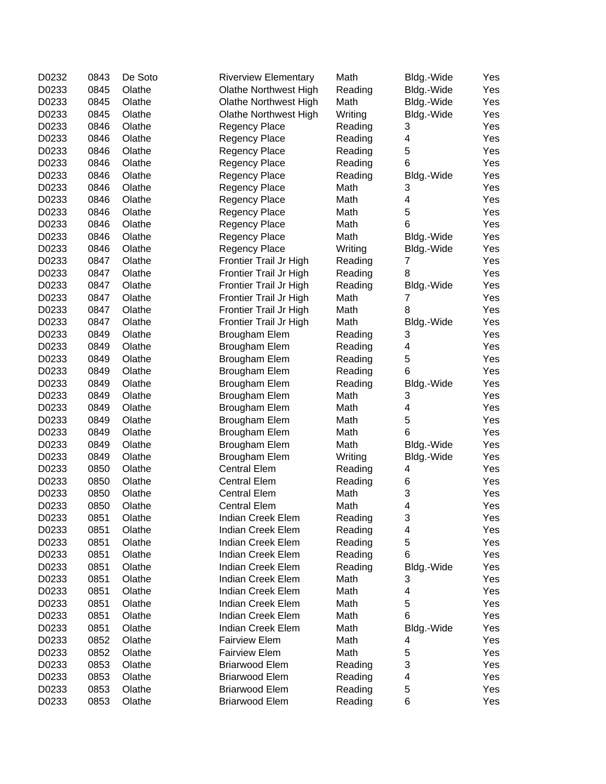| D0232 | 0843 | De Soto | <b>Riverview Elementary</b> | Math    | Bldg.-Wide              | Yes |
|-------|------|---------|-----------------------------|---------|-------------------------|-----|
| D0233 | 0845 | Olathe  | Olathe Northwest High       | Reading | Bldg.-Wide              | Yes |
| D0233 | 0845 | Olathe  | Olathe Northwest High       | Math    | Bldg.-Wide              | Yes |
| D0233 | 0845 | Olathe  | Olathe Northwest High       | Writing | Bldg.-Wide              | Yes |
| D0233 | 0846 | Olathe  | <b>Regency Place</b>        | Reading | 3                       | Yes |
| D0233 | 0846 | Olathe  | Regency Place               | Reading | 4                       | Yes |
| D0233 | 0846 | Olathe  | Regency Place               | Reading | 5                       | Yes |
| D0233 | 0846 | Olathe  | Regency Place               | Reading | 6                       | Yes |
| D0233 | 0846 | Olathe  | Regency Place               | Reading | Bldg.-Wide              | Yes |
| D0233 | 0846 | Olathe  | Regency Place               | Math    | 3                       | Yes |
| D0233 | 0846 | Olathe  | Regency Place               | Math    | 4                       | Yes |
| D0233 | 0846 | Olathe  | Regency Place               | Math    | 5                       | Yes |
| D0233 | 0846 | Olathe  | Regency Place               | Math    | 6                       | Yes |
| D0233 | 0846 | Olathe  | Regency Place               | Math    | Bldg.-Wide              | Yes |
| D0233 | 0846 | Olathe  | Regency Place               | Writing | Bldg.-Wide              | Yes |
| D0233 | 0847 | Olathe  | Frontier Trail Jr High      | Reading | $\overline{7}$          | Yes |
| D0233 | 0847 | Olathe  | Frontier Trail Jr High      | Reading | 8                       | Yes |
|       |      | Olathe  |                             |         |                         |     |
| D0233 | 0847 |         | Frontier Trail Jr High      | Reading | Bldg.-Wide              | Yes |
| D0233 | 0847 | Olathe  | Frontier Trail Jr High      | Math    | $\overline{7}$          | Yes |
| D0233 | 0847 | Olathe  | Frontier Trail Jr High      | Math    | 8                       | Yes |
| D0233 | 0847 | Olathe  | Frontier Trail Jr High      | Math    | Bldg.-Wide              | Yes |
| D0233 | 0849 | Olathe  | Brougham Elem               | Reading | 3                       | Yes |
| D0233 | 0849 | Olathe  | Brougham Elem               | Reading | 4                       | Yes |
| D0233 | 0849 | Olathe  | <b>Brougham Elem</b>        | Reading | 5                       | Yes |
| D0233 | 0849 | Olathe  | Brougham Elem               | Reading | 6                       | Yes |
| D0233 | 0849 | Olathe  | Brougham Elem               | Reading | Bldg.-Wide              | Yes |
| D0233 | 0849 | Olathe  | <b>Brougham Elem</b>        | Math    | 3                       | Yes |
| D0233 | 0849 | Olathe  | <b>Brougham Elem</b>        | Math    | 4                       | Yes |
| D0233 | 0849 | Olathe  | <b>Brougham Elem</b>        | Math    | 5                       | Yes |
| D0233 | 0849 | Olathe  | <b>Brougham Elem</b>        | Math    | 6                       | Yes |
| D0233 | 0849 | Olathe  | <b>Brougham Elem</b>        | Math    | Bldg.-Wide              | Yes |
| D0233 | 0849 | Olathe  | <b>Brougham Elem</b>        | Writing | Bldg.-Wide              | Yes |
| D0233 | 0850 | Olathe  | <b>Central Elem</b>         | Reading | 4                       | Yes |
| D0233 | 0850 | Olathe  | <b>Central Elem</b>         | Reading | 6                       | Yes |
| D0233 | 0850 | Olathe  | <b>Central Elem</b>         | Math    | 3                       | Yes |
| D0233 | 0850 | Olathe  | <b>Central Elem</b>         | Math    | $\overline{\mathbf{4}}$ | Yes |
| D0233 | 0851 | Olathe  | Indian Creek Elem           | Reading | 3                       | Yes |
| D0233 | 0851 | Olathe  | Indian Creek Elem           | Reading | 4                       | Yes |
| D0233 | 0851 | Olathe  | Indian Creek Elem           | Reading | 5                       | Yes |
| D0233 | 0851 | Olathe  | Indian Creek Elem           | Reading | 6                       | Yes |
| D0233 | 0851 | Olathe  | <b>Indian Creek Elem</b>    | Reading | Bldg.-Wide              | Yes |
| D0233 | 0851 | Olathe  | Indian Creek Elem           | Math    | 3                       | Yes |
| D0233 | 0851 | Olathe  | Indian Creek Elem           | Math    | 4                       | Yes |
| D0233 | 0851 | Olathe  | Indian Creek Elem           | Math    | 5                       | Yes |
| D0233 | 0851 | Olathe  | Indian Creek Elem           | Math    | 6                       | Yes |
| D0233 | 0851 | Olathe  | Indian Creek Elem           | Math    | Bldg.-Wide              | Yes |
| D0233 | 0852 | Olathe  | <b>Fairview Elem</b>        | Math    | 4                       | Yes |
| D0233 | 0852 | Olathe  | <b>Fairview Elem</b>        | Math    | 5                       | Yes |
| D0233 | 0853 | Olathe  | <b>Briarwood Elem</b>       | Reading | 3                       | Yes |
|       | 0853 | Olathe  | <b>Briarwood Elem</b>       |         |                         |     |
| D0233 |      |         |                             | Reading | 4                       | Yes |
| D0233 | 0853 | Olathe  | <b>Briarwood Elem</b>       | Reading | 5                       | Yes |
| D0233 | 0853 | Olathe  | <b>Briarwood Elem</b>       | Reading | 6                       | Yes |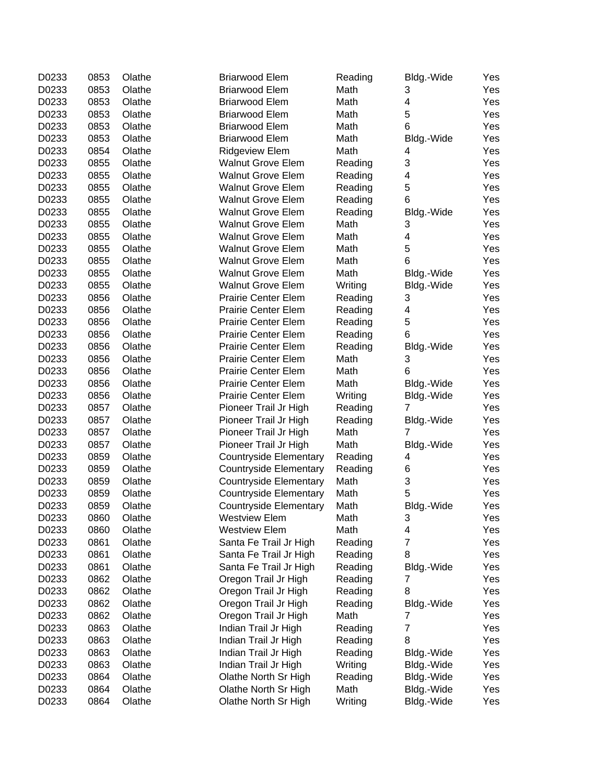| D0233 | 0853 | Olathe | <b>Briarwood Elem</b>         | Reading | Bldg.-Wide      | Yes |
|-------|------|--------|-------------------------------|---------|-----------------|-----|
| D0233 | 0853 | Olathe | <b>Briarwood Elem</b>         | Math    | 3               | Yes |
| D0233 | 0853 | Olathe | <b>Briarwood Elem</b>         | Math    | 4               | Yes |
| D0233 | 0853 | Olathe | <b>Briarwood Elem</b>         | Math    | 5               | Yes |
| D0233 | 0853 | Olathe | <b>Briarwood Elem</b>         | Math    | 6               | Yes |
| D0233 | 0853 | Olathe | <b>Briarwood Elem</b>         | Math    | Bldg.-Wide      | Yes |
| D0233 | 0854 | Olathe | Ridgeview Elem                | Math    | 4               | Yes |
| D0233 | 0855 | Olathe | <b>Walnut Grove Elem</b>      | Reading | 3               | Yes |
| D0233 | 0855 | Olathe | <b>Walnut Grove Elem</b>      | Reading | 4               | Yes |
| D0233 | 0855 | Olathe | <b>Walnut Grove Elem</b>      | Reading | 5               | Yes |
| D0233 | 0855 | Olathe | <b>Walnut Grove Elem</b>      | Reading | 6               | Yes |
| D0233 | 0855 | Olathe | Walnut Grove Elem             | Reading | Bldg.-Wide      | Yes |
| D0233 | 0855 | Olathe | <b>Walnut Grove Elem</b>      | Math    | 3               | Yes |
| D0233 | 0855 | Olathe | <b>Walnut Grove Elem</b>      | Math    | 4               | Yes |
| D0233 | 0855 | Olathe | <b>Walnut Grove Elem</b>      | Math    | 5               | Yes |
| D0233 | 0855 | Olathe | <b>Walnut Grove Elem</b>      | Math    | 6               | Yes |
| D0233 | 0855 | Olathe | <b>Walnut Grove Elem</b>      | Math    | Bldg.-Wide      | Yes |
| D0233 | 0855 | Olathe | <b>Walnut Grove Elem</b>      | Writing | Bldg.-Wide      | Yes |
| D0233 | 0856 | Olathe | <b>Prairie Center Elem</b>    | Reading | 3               | Yes |
| D0233 | 0856 | Olathe | <b>Prairie Center Elem</b>    | Reading | 4               | Yes |
| D0233 | 0856 | Olathe | <b>Prairie Center Elem</b>    | Reading | 5               | Yes |
| D0233 | 0856 | Olathe | <b>Prairie Center Elem</b>    | Reading | 6               | Yes |
| D0233 | 0856 | Olathe | <b>Prairie Center Elem</b>    | Reading | Bldg.-Wide      | Yes |
| D0233 | 0856 | Olathe | <b>Prairie Center Elem</b>    | Math    | 3               | Yes |
| D0233 | 0856 | Olathe | <b>Prairie Center Elem</b>    | Math    | 6               | Yes |
| D0233 | 0856 | Olathe |                               | Math    |                 |     |
|       |      | Olathe | <b>Prairie Center Elem</b>    |         | Bldg.-Wide      | Yes |
| D0233 | 0856 |        | <b>Prairie Center Elem</b>    | Writing | Bldg.-Wide      | Yes |
| D0233 | 0857 | Olathe | Pioneer Trail Jr High         | Reading | 7               | Yes |
| D0233 | 0857 | Olathe | Pioneer Trail Jr High         | Reading | Bldg.-Wide<br>7 | Yes |
| D0233 | 0857 | Olathe | Pioneer Trail Jr High         | Math    |                 | Yes |
| D0233 | 0857 | Olathe | Pioneer Trail Jr High         | Math    | Bldg.-Wide      | Yes |
| D0233 | 0859 | Olathe | Countryside Elementary        | Reading | 4               | Yes |
| D0233 | 0859 | Olathe | <b>Countryside Elementary</b> | Reading | 6               | Yes |
| D0233 | 0859 | Olathe | <b>Countryside Elementary</b> | Math    | 3               | Yes |
| D0233 | 0859 | Olathe | <b>Countryside Elementary</b> | Math    | 5               | Yes |
| D0233 | 0859 | Olathe | Countryside Elementary        | Math    | Bldg.-Wide      | Yes |
| D0233 | 0860 | Olathe | <b>Westview Elem</b>          | Math    | 3               | Yes |
| D0233 | 0860 | Olathe | <b>Westview Elem</b>          | Math    | 4               | Yes |
| D0233 | 0861 | Olathe | Santa Fe Trail Jr High        | Reading | $\overline{7}$  | Yes |
| D0233 | 0861 | Olathe | Santa Fe Trail Jr High        | Reading | 8               | Yes |
| D0233 | 0861 | Olathe | Santa Fe Trail Jr High        | Reading | Bldg.-Wide      | Yes |
| D0233 | 0862 | Olathe | Oregon Trail Jr High          | Reading | 7               | Yes |
| D0233 | 0862 | Olathe | Oregon Trail Jr High          | Reading | 8               | Yes |
| D0233 | 0862 | Olathe | Oregon Trail Jr High          | Reading | Bldg.-Wide      | Yes |
| D0233 | 0862 | Olathe | Oregon Trail Jr High          | Math    | 7               | Yes |
| D0233 | 0863 | Olathe | Indian Trail Jr High          | Reading | 7               | Yes |
| D0233 | 0863 | Olathe | Indian Trail Jr High          | Reading | 8               | Yes |
| D0233 | 0863 | Olathe | Indian Trail Jr High          | Reading | Bldg.-Wide      | Yes |
| D0233 | 0863 | Olathe | Indian Trail Jr High          | Writing | Bldg.-Wide      | Yes |
| D0233 | 0864 | Olathe | Olathe North Sr High          | Reading | Bldg.-Wide      | Yes |
| D0233 | 0864 | Olathe | Olathe North Sr High          | Math    | Bldg.-Wide      | Yes |
| D0233 | 0864 | Olathe | Olathe North Sr High          | Writing | Bldg.-Wide      | Yes |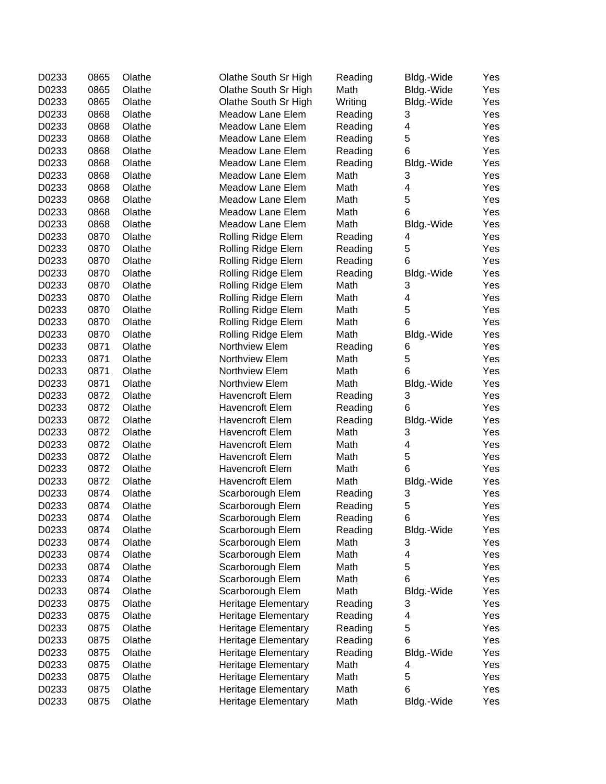| D0233 | 0865 | Olathe | Olathe South Sr High       | Reading | Bldg.-Wide | Yes |
|-------|------|--------|----------------------------|---------|------------|-----|
| D0233 | 0865 | Olathe | Olathe South Sr High       | Math    | Bldg.-Wide | Yes |
| D0233 | 0865 | Olathe | Olathe South Sr High       | Writing | Bldg.-Wide | Yes |
| D0233 | 0868 | Olathe | Meadow Lane Elem           | Reading | 3          | Yes |
| D0233 | 0868 | Olathe | Meadow Lane Elem           | Reading | 4          | Yes |
| D0233 | 0868 | Olathe | Meadow Lane Elem           | Reading | 5          | Yes |
| D0233 | 0868 | Olathe | Meadow Lane Elem           | Reading | 6          | Yes |
| D0233 | 0868 | Olathe | Meadow Lane Elem           | Reading | Bldg.-Wide | Yes |
| D0233 | 0868 | Olathe | Meadow Lane Elem           | Math    | 3          | Yes |
| D0233 | 0868 | Olathe | Meadow Lane Elem           | Math    | 4          | Yes |
| D0233 | 0868 | Olathe | Meadow Lane Elem           | Math    | 5          | Yes |
| D0233 | 0868 | Olathe | Meadow Lane Elem           | Math    | 6          | Yes |
| D0233 | 0868 | Olathe | Meadow Lane Elem           | Math    | Bldg.-Wide | Yes |
| D0233 | 0870 | Olathe | Rolling Ridge Elem         | Reading | 4          | Yes |
| D0233 | 0870 | Olathe | Rolling Ridge Elem         | Reading | 5          | Yes |
| D0233 | 0870 | Olathe | Rolling Ridge Elem         | Reading | 6          | Yes |
| D0233 | 0870 | Olathe | Rolling Ridge Elem         | Reading | Bldg.-Wide | Yes |
| D0233 | 0870 | Olathe | Rolling Ridge Elem         | Math    | 3          | Yes |
|       |      |        |                            |         | 4          |     |
| D0233 | 0870 | Olathe | Rolling Ridge Elem         | Math    | 5          | Yes |
| D0233 | 0870 | Olathe | Rolling Ridge Elem         | Math    |            | Yes |
| D0233 | 0870 | Olathe | Rolling Ridge Elem         | Math    | 6          | Yes |
| D0233 | 0870 | Olathe | Rolling Ridge Elem         | Math    | Bldg.-Wide | Yes |
| D0233 | 0871 | Olathe | Northview Elem             | Reading | 6          | Yes |
| D0233 | 0871 | Olathe | Northview Elem             | Math    | 5          | Yes |
| D0233 | 0871 | Olathe | Northview Elem             | Math    | 6          | Yes |
| D0233 | 0871 | Olathe | Northview Elem             | Math    | Bldg.-Wide | Yes |
| D0233 | 0872 | Olathe | <b>Havencroft Elem</b>     | Reading | 3          | Yes |
| D0233 | 0872 | Olathe | <b>Havencroft Elem</b>     | Reading | 6          | Yes |
| D0233 | 0872 | Olathe | <b>Havencroft Elem</b>     | Reading | Bldg.-Wide | Yes |
| D0233 | 0872 | Olathe | Havencroft Elem            | Math    | 3          | Yes |
| D0233 | 0872 | Olathe | <b>Havencroft Elem</b>     | Math    | 4          | Yes |
| D0233 | 0872 | Olathe | <b>Havencroft Elem</b>     | Math    | 5          | Yes |
| D0233 | 0872 | Olathe | <b>Havencroft Elem</b>     | Math    | 6          | Yes |
| D0233 | 0872 | Olathe | Havencroft Elem            | Math    | Bldg.-Wide | Yes |
| D0233 | 0874 | Olathe | Scarborough Elem           | Reading | 3          | Yes |
| D0233 | 0874 | Olathe | Scarborough Elem           | Reading | 5          | Yes |
| D0233 | 0874 | Olathe | Scarborough Elem           | Reading | 6          | Yes |
| D0233 | 0874 | Olathe | Scarborough Elem           | Reading | Bldg.-Wide | Yes |
| D0233 | 0874 | Olathe | Scarborough Elem           | Math    | 3          | Yes |
| D0233 | 0874 | Olathe | Scarborough Elem           | Math    | 4          | Yes |
| D0233 | 0874 | Olathe | Scarborough Elem           | Math    | 5          | Yes |
| D0233 | 0874 | Olathe | Scarborough Elem           | Math    | 6          | Yes |
| D0233 | 0874 | Olathe | Scarborough Elem           | Math    | Bldg.-Wide | Yes |
| D0233 | 0875 | Olathe | <b>Heritage Elementary</b> | Reading | 3          | Yes |
| D0233 | 0875 | Olathe | <b>Heritage Elementary</b> | Reading | 4          | Yes |
| D0233 | 0875 | Olathe | <b>Heritage Elementary</b> | Reading | 5          | Yes |
| D0233 | 0875 | Olathe | <b>Heritage Elementary</b> | Reading | 6          | Yes |
| D0233 | 0875 | Olathe | <b>Heritage Elementary</b> | Reading | Bldg.-Wide | Yes |
| D0233 | 0875 | Olathe | <b>Heritage Elementary</b> | Math    | 4          | Yes |
| D0233 | 0875 | Olathe | <b>Heritage Elementary</b> | Math    | 5          | Yes |
| D0233 | 0875 | Olathe | Heritage Elementary        | Math    | 6          | Yes |
|       |      |        |                            |         |            |     |
| D0233 | 0875 | Olathe | Heritage Elementary        | Math    | Bldg.-Wide | Yes |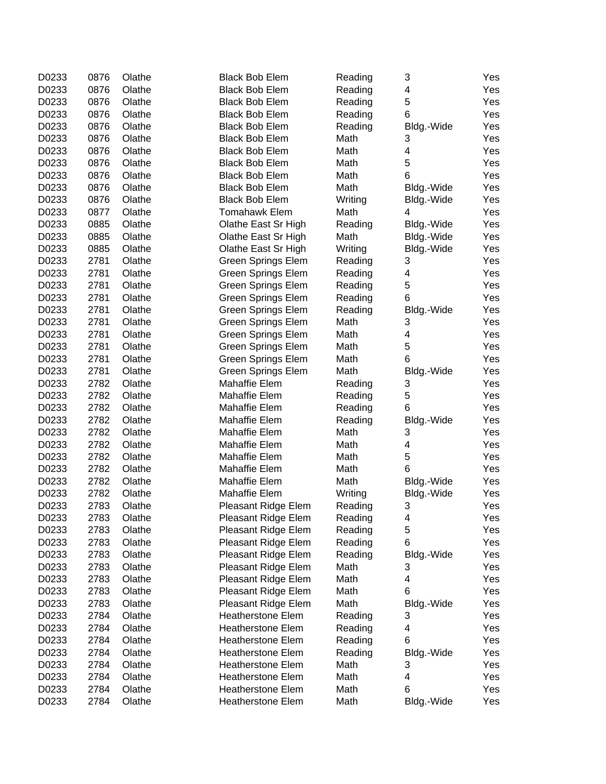| D0233 | 0876 | Olathe | <b>Black Bob Elem</b>     | Reading | 3          | Yes |
|-------|------|--------|---------------------------|---------|------------|-----|
| D0233 | 0876 | Olathe | <b>Black Bob Elem</b>     | Reading | 4          | Yes |
| D0233 | 0876 | Olathe | <b>Black Bob Elem</b>     | Reading | 5          | Yes |
| D0233 | 0876 | Olathe | <b>Black Bob Elem</b>     | Reading | 6          | Yes |
| D0233 | 0876 | Olathe | <b>Black Bob Elem</b>     | Reading | Bldg.-Wide | Yes |
| D0233 | 0876 | Olathe | <b>Black Bob Elem</b>     | Math    | 3          | Yes |
| D0233 | 0876 | Olathe | <b>Black Bob Elem</b>     | Math    | 4          | Yes |
| D0233 | 0876 | Olathe | <b>Black Bob Elem</b>     | Math    | 5          | Yes |
| D0233 | 0876 | Olathe | <b>Black Bob Elem</b>     | Math    | 6          | Yes |
| D0233 | 0876 | Olathe | <b>Black Bob Elem</b>     | Math    | Bldg.-Wide | Yes |
| D0233 | 0876 | Olathe | <b>Black Bob Elem</b>     | Writing | Bldg.-Wide | Yes |
| D0233 | 0877 | Olathe | <b>Tomahawk Elem</b>      | Math    | 4          | Yes |
| D0233 | 0885 | Olathe | Olathe East Sr High       | Reading | Bldg.-Wide | Yes |
| D0233 | 0885 | Olathe | Olathe East Sr High       | Math    | Bldg.-Wide | Yes |
| D0233 | 0885 | Olathe | Olathe East Sr High       | Writing | Bldg.-Wide | Yes |
| D0233 | 2781 | Olathe | <b>Green Springs Elem</b> | Reading | 3          | Yes |
| D0233 | 2781 | Olathe | <b>Green Springs Elem</b> | Reading | 4          | Yes |
| D0233 | 2781 | Olathe | Green Springs Elem        | Reading | 5          | Yes |
| D0233 | 2781 | Olathe | Green Springs Elem        | Reading | 6          | Yes |
| D0233 | 2781 | Olathe | <b>Green Springs Elem</b> | Reading | Bldg.-Wide | Yes |
| D0233 | 2781 | Olathe | <b>Green Springs Elem</b> | Math    | 3          | Yes |
| D0233 | 2781 | Olathe | <b>Green Springs Elem</b> | Math    | 4          | Yes |
| D0233 | 2781 | Olathe | <b>Green Springs Elem</b> | Math    | 5          | Yes |
| D0233 | 2781 | Olathe | <b>Green Springs Elem</b> | Math    | 6          | Yes |
| D0233 | 2781 | Olathe | <b>Green Springs Elem</b> | Math    | Bldg.-Wide | Yes |
| D0233 | 2782 | Olathe | Mahaffie Elem             | Reading | 3          | Yes |
| D0233 | 2782 | Olathe | Mahaffie Elem             | Reading | 5          | Yes |
| D0233 | 2782 | Olathe | Mahaffie Elem             | Reading | 6          | Yes |
| D0233 | 2782 | Olathe | Mahaffie Elem             | Reading | Bldg.-Wide | Yes |
| D0233 | 2782 | Olathe | Mahaffie Elem             | Math    | 3          | Yes |
| D0233 | 2782 | Olathe | Mahaffie Elem             | Math    | 4          | Yes |
| D0233 | 2782 | Olathe | Mahaffie Elem             | Math    | 5          | Yes |
| D0233 | 2782 | Olathe | Mahaffie Elem             | Math    | 6          | Yes |
| D0233 | 2782 | Olathe | Mahaffie Elem             | Math    | Bldg.-Wide | Yes |
| D0233 | 2782 | Olathe | Mahaffie Elem             | Writing | Bldg.-Wide | Yes |
| D0233 | 2783 | Olathe | Pleasant Ridge Elem       | Reading | 3          | Yes |
| D0233 | 2783 | Olathe | Pleasant Ridge Elem       | Reading | 4          | Yes |
| D0233 | 2783 | Olathe | Pleasant Ridge Elem       | Reading | 5          | Yes |
| D0233 | 2783 | Olathe | Pleasant Ridge Elem       | Reading | 6          | Yes |
| D0233 | 2783 | Olathe | Pleasant Ridge Elem       | Reading | Bldg.-Wide | Yes |
| D0233 | 2783 | Olathe | Pleasant Ridge Elem       | Math    | 3          | Yes |
| D0233 | 2783 | Olathe | Pleasant Ridge Elem       | Math    | 4          | Yes |
| D0233 | 2783 | Olathe | Pleasant Ridge Elem       | Math    | 6          | Yes |
| D0233 | 2783 | Olathe | Pleasant Ridge Elem       | Math    | Bldg.-Wide | Yes |
| D0233 | 2784 | Olathe | <b>Heatherstone Elem</b>  | Reading | 3          | Yes |
| D0233 | 2784 | Olathe | <b>Heatherstone Elem</b>  | Reading | 4          | Yes |
| D0233 | 2784 | Olathe | <b>Heatherstone Elem</b>  | Reading | 6          | Yes |
| D0233 | 2784 | Olathe | <b>Heatherstone Elem</b>  | Reading | Bldg.-Wide | Yes |
| D0233 | 2784 | Olathe | <b>Heatherstone Elem</b>  | Math    | 3          | Yes |
| D0233 | 2784 | Olathe | <b>Heatherstone Elem</b>  | Math    | 4          | Yes |
| D0233 | 2784 | Olathe | <b>Heatherstone Elem</b>  | Math    | 6          | Yes |
| D0233 | 2784 | Olathe | <b>Heatherstone Elem</b>  | Math    | Bldg.-Wide | Yes |
|       |      |        |                           |         |            |     |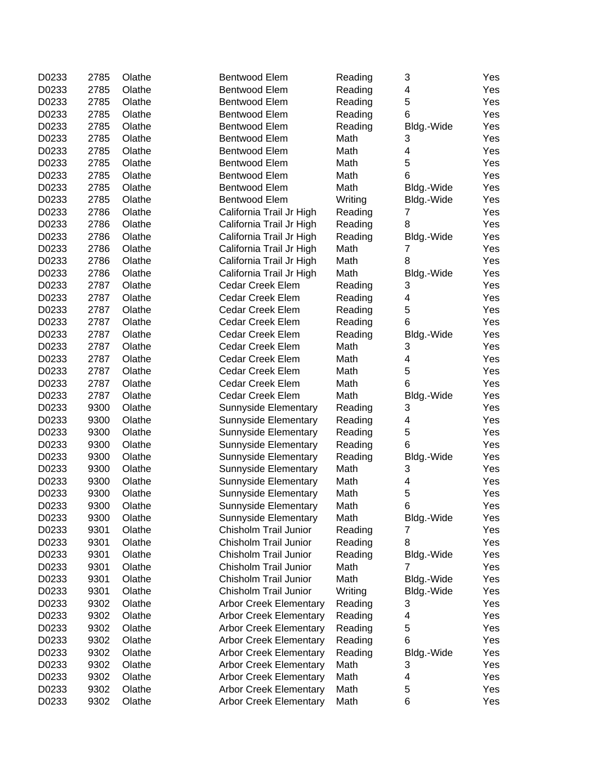| D0233 | 2785 | Olathe | Bentwood Elem                 | Reading | 3              | Yes |
|-------|------|--------|-------------------------------|---------|----------------|-----|
| D0233 | 2785 | Olathe | <b>Bentwood Elem</b>          | Reading | 4              | Yes |
| D0233 | 2785 | Olathe | Bentwood Elem                 | Reading | 5              | Yes |
| D0233 | 2785 | Olathe | Bentwood Elem                 | Reading | 6              | Yes |
| D0233 | 2785 | Olathe | Bentwood Elem                 | Reading | Bldg.-Wide     | Yes |
| D0233 | 2785 | Olathe | Bentwood Elem                 | Math    | 3              | Yes |
| D0233 | 2785 | Olathe | Bentwood Elem                 | Math    | 4              | Yes |
| D0233 | 2785 | Olathe | Bentwood Elem                 | Math    | 5              | Yes |
| D0233 | 2785 | Olathe | Bentwood Elem                 | Math    | 6              | Yes |
| D0233 | 2785 | Olathe | Bentwood Elem                 | Math    | Bldg.-Wide     | Yes |
| D0233 | 2785 | Olathe | Bentwood Elem                 | Writing | Bldg.-Wide     | Yes |
| D0233 | 2786 | Olathe | California Trail Jr High      | Reading | 7              | Yes |
| D0233 | 2786 | Olathe | California Trail Jr High      | Reading | 8              | Yes |
| D0233 | 2786 | Olathe | California Trail Jr High      | Reading | Bldg.-Wide     | Yes |
| D0233 | 2786 | Olathe | California Trail Jr High      | Math    | $\overline{7}$ | Yes |
| D0233 | 2786 | Olathe | California Trail Jr High      | Math    | 8              | Yes |
| D0233 | 2786 | Olathe | California Trail Jr High      | Math    | Bldg.-Wide     | Yes |
| D0233 | 2787 | Olathe | <b>Cedar Creek Elem</b>       | Reading | 3              | Yes |
| D0233 | 2787 | Olathe | Cedar Creek Elem              | Reading | 4              | Yes |
| D0233 | 2787 | Olathe | Cedar Creek Elem              | Reading | 5              | Yes |
| D0233 | 2787 | Olathe | <b>Cedar Creek Elem</b>       | Reading | 6              | Yes |
| D0233 | 2787 | Olathe | <b>Cedar Creek Elem</b>       | Reading | Bldg.-Wide     | Yes |
| D0233 | 2787 | Olathe | Cedar Creek Elem              | Math    | 3              | Yes |
| D0233 | 2787 | Olathe | Cedar Creek Elem              | Math    | 4              | Yes |
| D0233 | 2787 | Olathe | Cedar Creek Elem              | Math    | 5              | Yes |
|       |      |        |                               |         |                |     |
| D0233 | 2787 | Olathe | Cedar Creek Elem              | Math    | 6              | Yes |
| D0233 | 2787 | Olathe | Cedar Creek Elem              | Math    | Bldg.-Wide     | Yes |
| D0233 | 9300 | Olathe | <b>Sunnyside Elementary</b>   | Reading | 3              | Yes |
| D0233 | 9300 | Olathe | <b>Sunnyside Elementary</b>   | Reading | 4              | Yes |
| D0233 | 9300 | Olathe | Sunnyside Elementary          | Reading | 5              | Yes |
| D0233 | 9300 | Olathe | Sunnyside Elementary          | Reading | 6              | Yes |
| D0233 | 9300 | Olathe | Sunnyside Elementary          | Reading | Bldg.-Wide     | Yes |
| D0233 | 9300 | Olathe | Sunnyside Elementary          | Math    | 3              | Yes |
| D0233 | 9300 | Olathe | Sunnyside Elementary          | Math    | 4              | Yes |
| D0233 | 9300 | Olathe | Sunnyside Elementary          | Math    | 5              | Yes |
| D0233 | 9300 | Olathe | Sunnyside Elementary          | Math    | 6              | Yes |
| D0233 | 9300 | Olathe | Sunnyside Elementary          | Math    | Bldg.-Wide     | Yes |
| D0233 | 9301 | Olathe | Chisholm Trail Junior         | Reading | 7              | Yes |
| D0233 | 9301 | Olathe | Chisholm Trail Junior         | Reading | 8              | Yes |
| D0233 | 9301 | Olathe | Chisholm Trail Junior         | Reading | Bldg.-Wide     | Yes |
| D0233 | 9301 | Olathe | Chisholm Trail Junior         | Math    | 7              | Yes |
| D0233 | 9301 | Olathe | Chisholm Trail Junior         | Math    | Bldg.-Wide     | Yes |
| D0233 | 9301 | Olathe | Chisholm Trail Junior         | Writing | Bldg.-Wide     | Yes |
| D0233 | 9302 | Olathe | <b>Arbor Creek Elementary</b> | Reading | 3              | Yes |
| D0233 | 9302 | Olathe | <b>Arbor Creek Elementary</b> | Reading | 4              | Yes |
| D0233 | 9302 | Olathe | <b>Arbor Creek Elementary</b> | Reading | 5              | Yes |
| D0233 | 9302 | Olathe | <b>Arbor Creek Elementary</b> | Reading | 6              | Yes |
| D0233 | 9302 | Olathe | <b>Arbor Creek Elementary</b> | Reading | Bldg.-Wide     | Yes |
| D0233 | 9302 | Olathe | <b>Arbor Creek Elementary</b> | Math    | 3              | Yes |
| D0233 | 9302 | Olathe | <b>Arbor Creek Elementary</b> | Math    | 4              | Yes |
| D0233 | 9302 | Olathe | <b>Arbor Creek Elementary</b> | Math    | 5              | Yes |
| D0233 | 9302 | Olathe | <b>Arbor Creek Elementary</b> | Math    | 6              | Yes |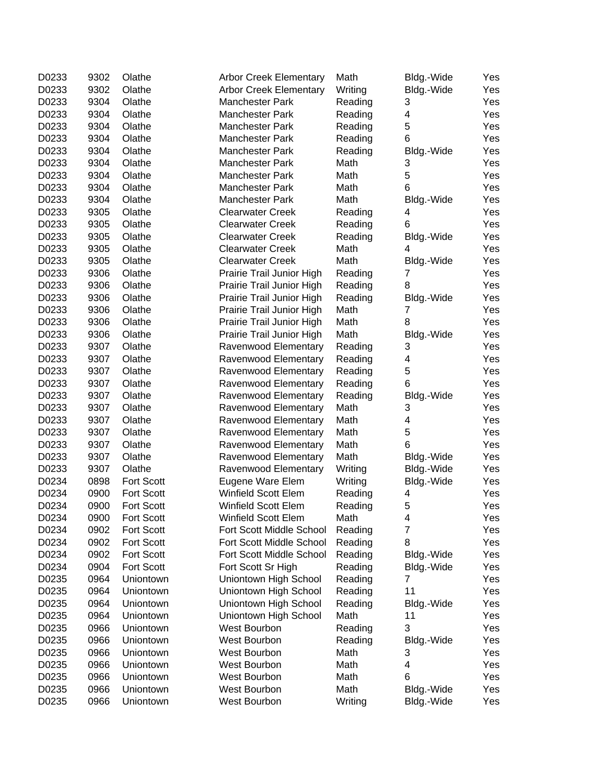| D0233 | 9302 | Olathe     | <b>Arbor Creek Elementary</b> | Math    | Bldg.-Wide     | Yes |
|-------|------|------------|-------------------------------|---------|----------------|-----|
| D0233 | 9302 | Olathe     | <b>Arbor Creek Elementary</b> | Writing | Bldg.-Wide     | Yes |
| D0233 | 9304 | Olathe     | <b>Manchester Park</b>        | Reading | 3              | Yes |
| D0233 | 9304 | Olathe     | <b>Manchester Park</b>        | Reading | 4              | Yes |
| D0233 | 9304 | Olathe     | <b>Manchester Park</b>        | Reading | 5              | Yes |
| D0233 | 9304 | Olathe     | Manchester Park               | Reading | 6              | Yes |
| D0233 | 9304 | Olathe     | Manchester Park               | Reading | Bldg.-Wide     | Yes |
| D0233 | 9304 | Olathe     | <b>Manchester Park</b>        | Math    | 3              | Yes |
| D0233 | 9304 | Olathe     | Manchester Park               | Math    | 5              | Yes |
| D0233 | 9304 | Olathe     | <b>Manchester Park</b>        | Math    | 6              | Yes |
| D0233 | 9304 | Olathe     | Manchester Park               | Math    | Bldg.-Wide     | Yes |
| D0233 | 9305 | Olathe     | <b>Clearwater Creek</b>       | Reading | 4              | Yes |
| D0233 | 9305 | Olathe     | <b>Clearwater Creek</b>       | Reading | 6              | Yes |
| D0233 | 9305 | Olathe     | <b>Clearwater Creek</b>       | Reading | Bldg.-Wide     | Yes |
| D0233 | 9305 | Olathe     | <b>Clearwater Creek</b>       | Math    | 4              | Yes |
| D0233 | 9305 | Olathe     | <b>Clearwater Creek</b>       | Math    | Bldg.-Wide     | Yes |
| D0233 | 9306 | Olathe     | Prairie Trail Junior High     | Reading | 7              | Yes |
| D0233 | 9306 | Olathe     | Prairie Trail Junior High     | Reading | 8              | Yes |
| D0233 | 9306 | Olathe     | Prairie Trail Junior High     | Reading | Bldg.-Wide     | Yes |
| D0233 | 9306 | Olathe     | Prairie Trail Junior High     | Math    | 7              | Yes |
| D0233 | 9306 | Olathe     | Prairie Trail Junior High     | Math    | 8              | Yes |
| D0233 | 9306 | Olathe     | Prairie Trail Junior High     | Math    | Bldg.-Wide     | Yes |
| D0233 | 9307 | Olathe     | Ravenwood Elementary          | Reading | 3              | Yes |
| D0233 | 9307 | Olathe     | Ravenwood Elementary          | Reading | 4              | Yes |
| D0233 | 9307 | Olathe     | Ravenwood Elementary          | Reading | 5              | Yes |
| D0233 | 9307 | Olathe     | Ravenwood Elementary          | Reading | 6              | Yes |
| D0233 | 9307 | Olathe     | Ravenwood Elementary          | Reading | Bldg.-Wide     | Yes |
| D0233 | 9307 | Olathe     | Ravenwood Elementary          | Math    | 3              | Yes |
| D0233 | 9307 | Olathe     | Ravenwood Elementary          | Math    | 4              | Yes |
| D0233 | 9307 | Olathe     | Ravenwood Elementary          | Math    | 5              | Yes |
| D0233 | 9307 | Olathe     | Ravenwood Elementary          | Math    | 6              | Yes |
| D0233 | 9307 | Olathe     | Ravenwood Elementary          | Math    | Bldg.-Wide     | Yes |
| D0233 | 9307 | Olathe     | Ravenwood Elementary          | Writing | Bldg.-Wide     | Yes |
| D0234 | 0898 | Fort Scott | Eugene Ware Elem              | Writing | Bldg.-Wide     | Yes |
| D0234 | 0900 | Fort Scott | Winfield Scott Elem           | Reading | 4              | Yes |
| D0234 | 0900 | Fort Scott | Winfield Scott Elem           | Reading | 5              | Yes |
| D0234 | 0900 | Fort Scott | Winfield Scott Elem           | Math    | 4              | Yes |
| D0234 | 0902 | Fort Scott | Fort Scott Middle School      | Reading | $\overline{7}$ | Yes |
| D0234 | 0902 | Fort Scott | Fort Scott Middle School      | Reading | 8              | Yes |
| D0234 | 0902 | Fort Scott | Fort Scott Middle School      | Reading | Bldg.-Wide     | Yes |
| D0234 | 0904 | Fort Scott | Fort Scott Sr High            | Reading | Bldg.-Wide     | Yes |
| D0235 | 0964 | Uniontown  | Uniontown High School         | Reading | 7              | Yes |
| D0235 | 0964 | Uniontown  | Uniontown High School         | Reading | 11             | Yes |
| D0235 | 0964 | Uniontown  | Uniontown High School         | Reading | Bldg.-Wide     | Yes |
| D0235 | 0964 | Uniontown  | Uniontown High School         | Math    | 11             | Yes |
| D0235 | 0966 | Uniontown  | West Bourbon                  | Reading | 3              | Yes |
| D0235 | 0966 | Uniontown  | West Bourbon                  | Reading | Bldg.-Wide     | Yes |
| D0235 | 0966 | Uniontown  | West Bourbon                  | Math    | 3              | Yes |
| D0235 | 0966 | Uniontown  | West Bourbon                  | Math    | 4              | Yes |
| D0235 | 0966 | Uniontown  | West Bourbon                  | Math    | 6              | Yes |
| D0235 | 0966 | Uniontown  | West Bourbon                  | Math    | Bldg.-Wide     | Yes |
| D0235 | 0966 | Uniontown  | West Bourbon                  | Writing | Bldg.-Wide     | Yes |
|       |      |            |                               |         |                |     |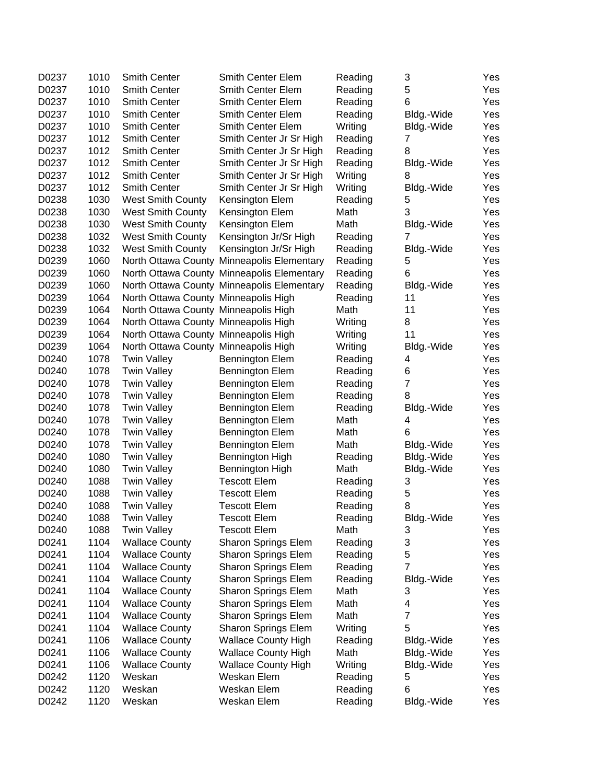| D0237 | 1010 | <b>Smith Center</b>                  | <b>Smith Center Elem</b>                   | Reading         | 3                   | Yes |
|-------|------|--------------------------------------|--------------------------------------------|-----------------|---------------------|-----|
| D0237 | 1010 | <b>Smith Center</b>                  | Smith Center Elem                          | Reading         | 5                   | Yes |
| D0237 | 1010 | <b>Smith Center</b>                  | Smith Center Elem                          | Reading         | 6                   | Yes |
| D0237 | 1010 | <b>Smith Center</b>                  | Smith Center Elem                          | Reading         | Bldg.-Wide          | Yes |
| D0237 | 1010 | <b>Smith Center</b>                  | Smith Center Elem                          | Writing         | Bldg.-Wide          | Yes |
| D0237 | 1012 | <b>Smith Center</b>                  | Smith Center Jr Sr High                    | Reading         | 7                   | Yes |
| D0237 | 1012 | <b>Smith Center</b>                  | Smith Center Jr Sr High                    | Reading         | 8                   | Yes |
| D0237 | 1012 | <b>Smith Center</b>                  | Smith Center Jr Sr High                    | Reading         | Bldg.-Wide          | Yes |
| D0237 | 1012 | <b>Smith Center</b>                  | Smith Center Jr Sr High                    | Writing         | 8                   | Yes |
| D0237 | 1012 | <b>Smith Center</b>                  | Smith Center Jr Sr High                    | Writing         | Bldg.-Wide          | Yes |
| D0238 | 1030 | <b>West Smith County</b>             | Kensington Elem                            | Reading         | 5                   | Yes |
| D0238 | 1030 | <b>West Smith County</b>             | Kensington Elem                            | Math            | 3                   | Yes |
| D0238 | 1030 | <b>West Smith County</b>             | Kensington Elem                            | Math            | Bldg.-Wide          | Yes |
| D0238 | 1032 | West Smith County                    | Kensington Jr/Sr High                      | Reading         | $\overline{7}$      | Yes |
| D0238 | 1032 | West Smith County                    | Kensington Jr/Sr High                      | Reading         | Bldg.-Wide          | Yes |
| D0239 | 1060 |                                      | North Ottawa County Minneapolis Elementary | Reading         | 5                   | Yes |
| D0239 | 1060 |                                      | North Ottawa County Minneapolis Elementary | Reading         | 6                   | Yes |
| D0239 | 1060 |                                      | North Ottawa County Minneapolis Elementary | Reading         | Bldg.-Wide          | Yes |
| D0239 | 1064 | North Ottawa County Minneapolis High |                                            | Reading         | 11                  | Yes |
| D0239 | 1064 | North Ottawa County Minneapolis High |                                            | Math            | 11                  | Yes |
| D0239 | 1064 | North Ottawa County Minneapolis High |                                            | Writing         | 8                   | Yes |
| D0239 | 1064 | North Ottawa County Minneapolis High |                                            | Writing         | 11                  | Yes |
| D0239 | 1064 | North Ottawa County Minneapolis High |                                            | Writing         | Bldg.-Wide          | Yes |
| D0240 | 1078 | <b>Twin Valley</b>                   | <b>Bennington Elem</b>                     | Reading         | 4                   | Yes |
| D0240 | 1078 | <b>Twin Valley</b>                   | <b>Bennington Elem</b>                     | Reading         | 6                   | Yes |
| D0240 | 1078 | <b>Twin Valley</b>                   | <b>Bennington Elem</b>                     | Reading         | $\overline{7}$      | Yes |
| D0240 | 1078 | <b>Twin Valley</b>                   | <b>Bennington Elem</b>                     | Reading         | 8                   | Yes |
| D0240 | 1078 | <b>Twin Valley</b>                   | <b>Bennington Elem</b>                     | Reading         | Bldg.-Wide          | Yes |
| D0240 | 1078 | <b>Twin Valley</b>                   | <b>Bennington Elem</b>                     | Math            | 4                   | Yes |
| D0240 | 1078 | <b>Twin Valley</b>                   | <b>Bennington Elem</b>                     | Math            | 6                   | Yes |
| D0240 | 1078 | <b>Twin Valley</b>                   | <b>Bennington Elem</b>                     | Math            | Bldg.-Wide          | Yes |
| D0240 | 1080 | <b>Twin Valley</b>                   | Bennington High                            | Reading         | Bldg.-Wide          | Yes |
| D0240 | 1080 | <b>Twin Valley</b>                   | Bennington High                            | Math            | Bldg.-Wide          | Yes |
| D0240 | 1088 | <b>Twin Valley</b>                   | <b>Tescott Elem</b>                        | Reading         | 3                   | Yes |
| D0240 | 1088 | <b>Twin Valley</b>                   | <b>Tescott Elem</b>                        | Reading         | 5                   | Yes |
| D0240 | 1088 | <b>Twin Valley</b>                   | <b>Tescott Elem</b>                        | Reading         | 8                   | Yes |
| D0240 | 1088 | <b>Twin Valley</b>                   | <b>Tescott Elem</b>                        | Reading         | Bldg.-Wide          | Yes |
| D0240 | 1088 | <b>Twin Valley</b>                   | <b>Tescott Elem</b>                        | Math            | 3                   | Yes |
| D0241 | 1104 | <b>Wallace County</b>                | Sharon Springs Elem                        | Reading         | 3                   | Yes |
| D0241 | 1104 | <b>Wallace County</b>                | Sharon Springs Elem                        | Reading         | 5                   | Yes |
| D0241 | 1104 | <b>Wallace County</b>                | <b>Sharon Springs Elem</b>                 |                 | $\overline{7}$      |     |
| D0241 | 1104 | <b>Wallace County</b>                |                                            | Reading         |                     | Yes |
| D0241 | 1104 |                                      | <b>Sharon Springs Elem</b>                 | Reading<br>Math | Bldg.-Wide<br>3     | Yes |
| D0241 |      | <b>Wallace County</b>                | <b>Sharon Springs Elem</b>                 | Math            |                     | Yes |
|       | 1104 | <b>Wallace County</b>                | Sharon Springs Elem                        |                 | 4<br>$\overline{7}$ | Yes |
| D0241 | 1104 | <b>Wallace County</b>                | Sharon Springs Elem                        | Math            |                     | Yes |
| D0241 | 1104 | <b>Wallace County</b>                | <b>Sharon Springs Elem</b>                 | Writing         | 5                   | Yes |
| D0241 | 1106 | <b>Wallace County</b>                | <b>Wallace County High</b>                 | Reading         | Bldg.-Wide          | Yes |
| D0241 | 1106 | <b>Wallace County</b>                | <b>Wallace County High</b>                 | Math            | Bldg.-Wide          | Yes |
| D0241 | 1106 | <b>Wallace County</b>                | <b>Wallace County High</b>                 | Writing         | Bldg.-Wide          | Yes |
| D0242 | 1120 | Weskan                               | Weskan Elem                                | Reading         | 5                   | Yes |
| D0242 | 1120 | Weskan                               | Weskan Elem                                | Reading         | 6                   | Yes |
| D0242 | 1120 | Weskan                               | Weskan Elem                                | Reading         | Bldg.-Wide          | Yes |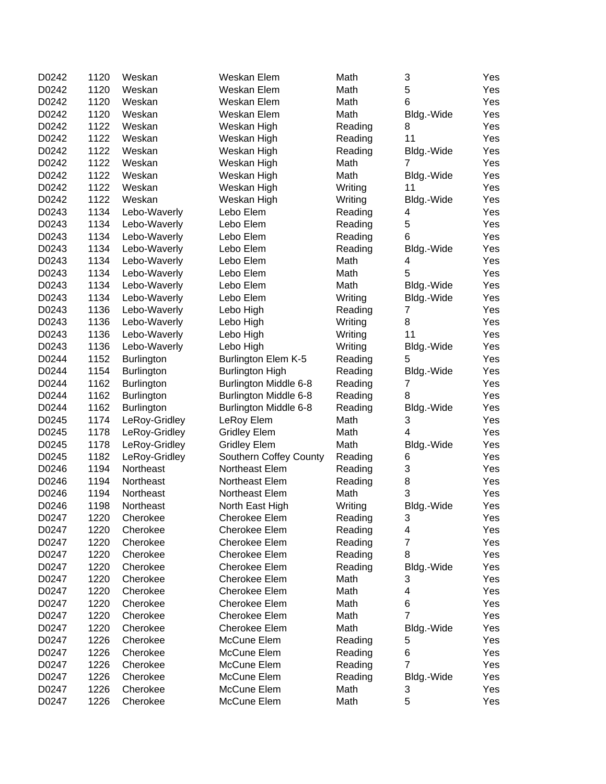| D0242 | 1120 | Weskan            | Weskan Elem                  | Math    | 3              | Yes |
|-------|------|-------------------|------------------------------|---------|----------------|-----|
| D0242 | 1120 | Weskan            | Weskan Elem                  | Math    | 5              | Yes |
| D0242 | 1120 | Weskan            | Weskan Elem                  | Math    | 6              | Yes |
| D0242 | 1120 | Weskan            | Weskan Elem                  | Math    | Bldg.-Wide     | Yes |
| D0242 | 1122 | Weskan            | Weskan High                  | Reading | 8              | Yes |
| D0242 | 1122 | Weskan            | Weskan High                  | Reading | 11             | Yes |
| D0242 | 1122 | Weskan            | Weskan High                  | Reading | Bldg.-Wide     | Yes |
| D0242 | 1122 | Weskan            | Weskan High                  | Math    | 7              | Yes |
| D0242 | 1122 | Weskan            | Weskan High                  | Math    | Bldg.-Wide     | Yes |
| D0242 | 1122 | Weskan            | Weskan High                  | Writing | 11             | Yes |
| D0242 | 1122 | Weskan            | Weskan High                  | Writing | Bldg.-Wide     | Yes |
| D0243 | 1134 | Lebo-Waverly      | Lebo Elem                    | Reading | 4              | Yes |
| D0243 | 1134 | Lebo-Waverly      | Lebo Elem                    | Reading | 5              | Yes |
| D0243 | 1134 | Lebo-Waverly      | Lebo Elem                    | Reading | 6              | Yes |
| D0243 | 1134 | Lebo-Waverly      | Lebo Elem                    | Reading | Bldg.-Wide     | Yes |
| D0243 | 1134 | Lebo-Waverly      | Lebo Elem                    | Math    | 4              | Yes |
| D0243 | 1134 | Lebo-Waverly      | Lebo Elem                    | Math    | 5              | Yes |
| D0243 | 1134 | Lebo-Waverly      | Lebo Elem                    | Math    | Bldg.-Wide     | Yes |
| D0243 | 1134 | Lebo-Waverly      | Lebo Elem                    | Writing | Bldg.-Wide     | Yes |
| D0243 | 1136 | Lebo-Waverly      | Lebo High                    | Reading | $\overline{7}$ | Yes |
| D0243 | 1136 | Lebo-Waverly      | Lebo High                    | Writing | 8              | Yes |
| D0243 | 1136 | Lebo-Waverly      | Lebo High                    | Writing | 11             | Yes |
| D0243 | 1136 | Lebo-Waverly      | Lebo High                    | Writing | Bldg.-Wide     | Yes |
| D0244 | 1152 | <b>Burlington</b> | Burlington Elem K-5          | Reading | 5              | Yes |
| D0244 | 1154 | <b>Burlington</b> | <b>Burlington High</b>       | Reading | Bldg.-Wide     | Yes |
| D0244 | 1162 | <b>Burlington</b> | <b>Burlington Middle 6-8</b> | Reading | 7              | Yes |
| D0244 | 1162 | <b>Burlington</b> | <b>Burlington Middle 6-8</b> | Reading | 8              | Yes |
| D0244 | 1162 | <b>Burlington</b> | <b>Burlington Middle 6-8</b> | Reading | Bldg.-Wide     | Yes |
| D0245 | 1174 | LeRoy-Gridley     | LeRoy Elem                   | Math    | 3              | Yes |
| D0245 | 1178 | LeRoy-Gridley     | <b>Gridley Elem</b>          | Math    | 4              | Yes |
| D0245 | 1178 | LeRoy-Gridley     | <b>Gridley Elem</b>          | Math    | Bldg.-Wide     | Yes |
| D0245 | 1182 | LeRoy-Gridley     | Southern Coffey County       | Reading | 6              | Yes |
| D0246 | 1194 | Northeast         | Northeast Elem               | Reading | 3              | Yes |
| D0246 | 1194 | Northeast         | Northeast Elem               | Reading | $\,8\,$        | Yes |
| D0246 | 1194 | Northeast         | Northeast Elem               | Math    | 3              | Yes |
| D0246 | 1198 | Northeast         | North East High              | Writing | Bldg.-Wide     | Yes |
| D0247 | 1220 | Cherokee          | Cherokee Elem                | Reading | З              | Yes |
| D0247 | 1220 | Cherokee          | Cherokee Elem                | Reading | 4              | Yes |
| D0247 | 1220 | Cherokee          | Cherokee Elem                | Reading | $\overline{7}$ | Yes |
| D0247 | 1220 | Cherokee          | Cherokee Elem                | Reading | 8              | Yes |
| D0247 | 1220 | Cherokee          | Cherokee Elem                | Reading | Bldg.-Wide     | Yes |
| D0247 | 1220 | Cherokee          | Cherokee Elem                | Math    | 3              | Yes |
| D0247 | 1220 | Cherokee          | Cherokee Elem                | Math    | 4              | Yes |
| D0247 | 1220 | Cherokee          | Cherokee Elem                | Math    | 6              | Yes |
| D0247 | 1220 | Cherokee          | Cherokee Elem                | Math    | $\overline{7}$ | Yes |
| D0247 | 1220 | Cherokee          | Cherokee Elem                | Math    | Bldg.-Wide     | Yes |
| D0247 | 1226 | Cherokee          | McCune Elem                  | Reading | 5              | Yes |
| D0247 | 1226 | Cherokee          | McCune Elem                  | Reading | 6              | Yes |
| D0247 | 1226 | Cherokee          | McCune Elem                  | Reading | $\overline{7}$ | Yes |
| D0247 | 1226 | Cherokee          | McCune Elem                  | Reading | Bldg.-Wide     | Yes |
| D0247 | 1226 | Cherokee          | McCune Elem                  | Math    | 3              | Yes |
| D0247 | 1226 | Cherokee          | McCune Elem                  | Math    | 5              | Yes |
|       |      |                   |                              |         |                |     |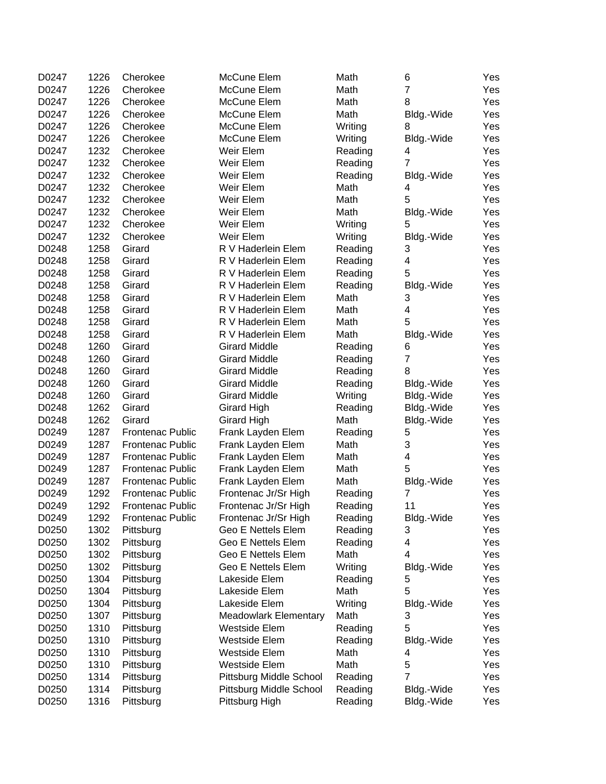| $\overline{7}$<br>1226<br>D0247<br>Cherokee<br>McCune Elem<br>Math<br>Yes<br>1226<br>8<br>Yes<br>D0247<br>Cherokee<br>McCune Elem<br>Math<br>1226<br>D0247<br>Cherokee<br>McCune Elem<br>Math<br>Yes<br>Bldg.-Wide<br>1226<br>D0247<br>Cherokee<br>McCune Elem<br>Yes<br>Writing<br>8<br>D0247<br>1226<br>Cherokee<br>McCune Elem<br>Yes<br>Writing<br>Bldg.-Wide<br>D0247<br>1232<br>Cherokee<br>Weir Elem<br>Yes<br>Reading<br>4<br>D0247<br>1232<br>$\overline{7}$<br>Cherokee<br>Weir Elem<br>Reading<br>Yes<br>1232<br>D0247<br>Cherokee<br>Weir Elem<br>Reading<br>Yes<br>Bldg.-Wide<br>1232<br>D0247<br>Cherokee<br>Weir Elem<br>Math<br>Yes<br>4<br>5<br>1232<br>D0247<br>Cherokee<br>Weir Elem<br>Math<br>Yes<br>1232<br>D0247<br>Cherokee<br>Weir Elem<br>Math<br>Yes<br>Bldg.-Wide<br>1232<br>5<br>D0247<br>Cherokee<br>Weir Elem<br>Yes<br>Writing<br>1232<br>D0247<br>Cherokee<br>Weir Elem<br>Writing<br>Yes<br>Bldg.-Wide<br>D0248<br>1258<br>Girard<br>R V Haderlein Elem<br>3<br>Yes<br>Reading<br>1258<br>4<br>D0248<br>Girard<br>R V Haderlein Elem<br>Yes<br>Reading<br>5<br>1258<br>D0248<br>Girard<br>R V Haderlein Elem<br>Yes<br>Reading<br>1258<br>D0248<br>Girard<br>R V Haderlein Elem<br>Reading<br>Bldg.-Wide<br>Yes<br>1258<br>D0248<br>Girard<br>R V Haderlein Elem<br>Math<br>3<br>Yes<br>1258<br>4<br>D0248<br>Girard<br>R V Haderlein Elem<br>Math<br>Yes<br>5<br>D0248<br>1258<br>Girard<br>R V Haderlein Elem<br>Math<br>Yes<br>1258<br>D0248<br>Girard<br>R V Haderlein Elem<br>Math<br>Bldg.-Wide<br>Yes<br>1260<br>D0248<br>Girard<br><b>Girard Middle</b><br>Yes<br>Reading<br>6<br>$\overline{7}$<br>1260<br>D0248<br>Girard<br><b>Girard Middle</b><br>Yes<br>Reading<br>D0248<br>1260<br>Girard<br><b>Girard Middle</b><br>Reading<br>8<br>Yes<br>D0248<br>1260<br>Girard<br><b>Girard Middle</b><br>Reading<br>Yes<br>Bldg.-Wide<br>1260<br>D0248<br>Girard<br><b>Girard Middle</b><br>Writing<br>Yes<br>Bldg.-Wide<br>D0248<br>1262<br>Girard<br>Girard High<br>Reading<br>Bldg.-Wide<br>Yes<br>D0248<br>1262<br>Girard<br><b>Girard High</b><br>Math<br>Yes<br>Bldg.-Wide<br>1287<br>5<br>D0249<br>Frank Layden Elem<br>Yes<br><b>Frontenac Public</b><br>Reading<br>3<br>1287<br>D0249<br><b>Frontenac Public</b><br>Frank Layden Elem<br>Math<br>Yes<br>1287<br>4<br>D0249<br><b>Frontenac Public</b><br>Frank Layden Elem<br>Math<br>Yes<br>5<br>1287<br>D0249<br>Frank Layden Elem<br>Math<br>Yes<br><b>Frontenac Public</b><br>1287<br>D0249<br>Frank Layden Elem<br>Math<br>Yes<br><b>Frontenac Public</b><br>Bldg.-Wide<br>1292<br>D0249<br><b>Frontenac Public</b><br>Frontenac Jr/Sr High<br>Reading<br>7<br>Yes<br>1292<br>D0249<br>Frontenac Jr/Sr High<br>11<br>Yes<br><b>Frontenac Public</b><br>Reading<br>D0249<br>1292<br>Frontenac Public<br>Frontenac Jr/Sr High<br>Reading<br>Bldg.-Wide<br>Yes<br>D0250<br>1302<br>Geo E Nettels Elem<br>Yes<br>Reading<br>3<br>Pittsburg<br>D0250<br>1302<br>Geo E Nettels Elem<br>4<br>Yes<br>Pittsburg<br>Reading<br>D0250<br>1302<br>Geo E Nettels Elem<br>Math<br>4<br>Pittsburg<br>Yes<br>D0250<br>1302<br>Geo E Nettels Elem<br>Pittsburg<br>Writing<br>Yes<br>Bldg.-Wide<br>1304<br>D0250<br>Lakeside Elem<br>Reading<br>5<br>Pittsburg<br>Yes<br>5<br>D0250<br>1304<br>Lakeside Elem<br>Pittsburg<br>Math<br>Yes<br>D0250<br>1304<br>Lakeside Elem<br>Writing<br>Pittsburg<br>Bldg.-Wide<br>Yes<br>D0250<br>1307<br>Math<br>3<br>Pittsburg<br><b>Meadowlark Elementary</b><br>Yes<br>5<br>1310<br>D0250<br>Westside Elem<br>Pittsburg<br>Reading<br>Yes<br>D0250<br>1310<br><b>Westside Elem</b><br>Pittsburg<br>Reading<br>Bldg.-Wide<br>Yes<br>D0250<br>1310<br>Pittsburg<br>Westside Elem<br>Math<br>4<br>Yes<br>5<br>Math<br>D0250<br>1310<br>Westside Elem<br>Pittsburg<br>Yes<br>$\overline{7}$<br>D0250<br>1314<br>Pittsburg Middle School<br>Reading<br>Pittsburg<br>Yes<br>D0250<br>1314<br>Pittsburg Middle School<br>Reading<br>Yes<br>Pittsburg<br>Bldg.-Wide | D0247 | 1226 | Cherokee  | McCune Elem    | Math    | 6          | Yes |
|--------------------------------------------------------------------------------------------------------------------------------------------------------------------------------------------------------------------------------------------------------------------------------------------------------------------------------------------------------------------------------------------------------------------------------------------------------------------------------------------------------------------------------------------------------------------------------------------------------------------------------------------------------------------------------------------------------------------------------------------------------------------------------------------------------------------------------------------------------------------------------------------------------------------------------------------------------------------------------------------------------------------------------------------------------------------------------------------------------------------------------------------------------------------------------------------------------------------------------------------------------------------------------------------------------------------------------------------------------------------------------------------------------------------------------------------------------------------------------------------------------------------------------------------------------------------------------------------------------------------------------------------------------------------------------------------------------------------------------------------------------------------------------------------------------------------------------------------------------------------------------------------------------------------------------------------------------------------------------------------------------------------------------------------------------------------------------------------------------------------------------------------------------------------------------------------------------------------------------------------------------------------------------------------------------------------------------------------------------------------------------------------------------------------------------------------------------------------------------------------------------------------------------------------------------------------------------------------------------------------------------------------------------------------------------------------------------------------------------------------------------------------------------------------------------------------------------------------------------------------------------------------------------------------------------------------------------------------------------------------------------------------------------------------------------------------------------------------------------------------------------------------------------------------------------------------------------------------------------------------------------------------------------------------------------------------------------------------------------------------------------------------------------------------------------------------------------------------------------------------------------------------------------------------------------------------------------------------------------------------------------------------------------------------------------------------------------------------------------------------------------------------------------------------------------------------------------------------------------------------------------------------------------------------------------------------------------------------------------------|-------|------|-----------|----------------|---------|------------|-----|
|                                                                                                                                                                                                                                                                                                                                                                                                                                                                                                                                                                                                                                                                                                                                                                                                                                                                                                                                                                                                                                                                                                                                                                                                                                                                                                                                                                                                                                                                                                                                                                                                                                                                                                                                                                                                                                                                                                                                                                                                                                                                                                                                                                                                                                                                                                                                                                                                                                                                                                                                                                                                                                                                                                                                                                                                                                                                                                                                                                                                                                                                                                                                                                                                                                                                                                                                                                                                                                                                                                                                                                                                                                                                                                                                                                                                                                                                                                                                                                                      |       |      |           |                |         |            |     |
|                                                                                                                                                                                                                                                                                                                                                                                                                                                                                                                                                                                                                                                                                                                                                                                                                                                                                                                                                                                                                                                                                                                                                                                                                                                                                                                                                                                                                                                                                                                                                                                                                                                                                                                                                                                                                                                                                                                                                                                                                                                                                                                                                                                                                                                                                                                                                                                                                                                                                                                                                                                                                                                                                                                                                                                                                                                                                                                                                                                                                                                                                                                                                                                                                                                                                                                                                                                                                                                                                                                                                                                                                                                                                                                                                                                                                                                                                                                                                                                      |       |      |           |                |         |            |     |
|                                                                                                                                                                                                                                                                                                                                                                                                                                                                                                                                                                                                                                                                                                                                                                                                                                                                                                                                                                                                                                                                                                                                                                                                                                                                                                                                                                                                                                                                                                                                                                                                                                                                                                                                                                                                                                                                                                                                                                                                                                                                                                                                                                                                                                                                                                                                                                                                                                                                                                                                                                                                                                                                                                                                                                                                                                                                                                                                                                                                                                                                                                                                                                                                                                                                                                                                                                                                                                                                                                                                                                                                                                                                                                                                                                                                                                                                                                                                                                                      |       |      |           |                |         |            |     |
|                                                                                                                                                                                                                                                                                                                                                                                                                                                                                                                                                                                                                                                                                                                                                                                                                                                                                                                                                                                                                                                                                                                                                                                                                                                                                                                                                                                                                                                                                                                                                                                                                                                                                                                                                                                                                                                                                                                                                                                                                                                                                                                                                                                                                                                                                                                                                                                                                                                                                                                                                                                                                                                                                                                                                                                                                                                                                                                                                                                                                                                                                                                                                                                                                                                                                                                                                                                                                                                                                                                                                                                                                                                                                                                                                                                                                                                                                                                                                                                      |       |      |           |                |         |            |     |
|                                                                                                                                                                                                                                                                                                                                                                                                                                                                                                                                                                                                                                                                                                                                                                                                                                                                                                                                                                                                                                                                                                                                                                                                                                                                                                                                                                                                                                                                                                                                                                                                                                                                                                                                                                                                                                                                                                                                                                                                                                                                                                                                                                                                                                                                                                                                                                                                                                                                                                                                                                                                                                                                                                                                                                                                                                                                                                                                                                                                                                                                                                                                                                                                                                                                                                                                                                                                                                                                                                                                                                                                                                                                                                                                                                                                                                                                                                                                                                                      |       |      |           |                |         |            |     |
|                                                                                                                                                                                                                                                                                                                                                                                                                                                                                                                                                                                                                                                                                                                                                                                                                                                                                                                                                                                                                                                                                                                                                                                                                                                                                                                                                                                                                                                                                                                                                                                                                                                                                                                                                                                                                                                                                                                                                                                                                                                                                                                                                                                                                                                                                                                                                                                                                                                                                                                                                                                                                                                                                                                                                                                                                                                                                                                                                                                                                                                                                                                                                                                                                                                                                                                                                                                                                                                                                                                                                                                                                                                                                                                                                                                                                                                                                                                                                                                      |       |      |           |                |         |            |     |
|                                                                                                                                                                                                                                                                                                                                                                                                                                                                                                                                                                                                                                                                                                                                                                                                                                                                                                                                                                                                                                                                                                                                                                                                                                                                                                                                                                                                                                                                                                                                                                                                                                                                                                                                                                                                                                                                                                                                                                                                                                                                                                                                                                                                                                                                                                                                                                                                                                                                                                                                                                                                                                                                                                                                                                                                                                                                                                                                                                                                                                                                                                                                                                                                                                                                                                                                                                                                                                                                                                                                                                                                                                                                                                                                                                                                                                                                                                                                                                                      |       |      |           |                |         |            |     |
|                                                                                                                                                                                                                                                                                                                                                                                                                                                                                                                                                                                                                                                                                                                                                                                                                                                                                                                                                                                                                                                                                                                                                                                                                                                                                                                                                                                                                                                                                                                                                                                                                                                                                                                                                                                                                                                                                                                                                                                                                                                                                                                                                                                                                                                                                                                                                                                                                                                                                                                                                                                                                                                                                                                                                                                                                                                                                                                                                                                                                                                                                                                                                                                                                                                                                                                                                                                                                                                                                                                                                                                                                                                                                                                                                                                                                                                                                                                                                                                      |       |      |           |                |         |            |     |
|                                                                                                                                                                                                                                                                                                                                                                                                                                                                                                                                                                                                                                                                                                                                                                                                                                                                                                                                                                                                                                                                                                                                                                                                                                                                                                                                                                                                                                                                                                                                                                                                                                                                                                                                                                                                                                                                                                                                                                                                                                                                                                                                                                                                                                                                                                                                                                                                                                                                                                                                                                                                                                                                                                                                                                                                                                                                                                                                                                                                                                                                                                                                                                                                                                                                                                                                                                                                                                                                                                                                                                                                                                                                                                                                                                                                                                                                                                                                                                                      |       |      |           |                |         |            |     |
|                                                                                                                                                                                                                                                                                                                                                                                                                                                                                                                                                                                                                                                                                                                                                                                                                                                                                                                                                                                                                                                                                                                                                                                                                                                                                                                                                                                                                                                                                                                                                                                                                                                                                                                                                                                                                                                                                                                                                                                                                                                                                                                                                                                                                                                                                                                                                                                                                                                                                                                                                                                                                                                                                                                                                                                                                                                                                                                                                                                                                                                                                                                                                                                                                                                                                                                                                                                                                                                                                                                                                                                                                                                                                                                                                                                                                                                                                                                                                                                      |       |      |           |                |         |            |     |
|                                                                                                                                                                                                                                                                                                                                                                                                                                                                                                                                                                                                                                                                                                                                                                                                                                                                                                                                                                                                                                                                                                                                                                                                                                                                                                                                                                                                                                                                                                                                                                                                                                                                                                                                                                                                                                                                                                                                                                                                                                                                                                                                                                                                                                                                                                                                                                                                                                                                                                                                                                                                                                                                                                                                                                                                                                                                                                                                                                                                                                                                                                                                                                                                                                                                                                                                                                                                                                                                                                                                                                                                                                                                                                                                                                                                                                                                                                                                                                                      |       |      |           |                |         |            |     |
|                                                                                                                                                                                                                                                                                                                                                                                                                                                                                                                                                                                                                                                                                                                                                                                                                                                                                                                                                                                                                                                                                                                                                                                                                                                                                                                                                                                                                                                                                                                                                                                                                                                                                                                                                                                                                                                                                                                                                                                                                                                                                                                                                                                                                                                                                                                                                                                                                                                                                                                                                                                                                                                                                                                                                                                                                                                                                                                                                                                                                                                                                                                                                                                                                                                                                                                                                                                                                                                                                                                                                                                                                                                                                                                                                                                                                                                                                                                                                                                      |       |      |           |                |         |            |     |
|                                                                                                                                                                                                                                                                                                                                                                                                                                                                                                                                                                                                                                                                                                                                                                                                                                                                                                                                                                                                                                                                                                                                                                                                                                                                                                                                                                                                                                                                                                                                                                                                                                                                                                                                                                                                                                                                                                                                                                                                                                                                                                                                                                                                                                                                                                                                                                                                                                                                                                                                                                                                                                                                                                                                                                                                                                                                                                                                                                                                                                                                                                                                                                                                                                                                                                                                                                                                                                                                                                                                                                                                                                                                                                                                                                                                                                                                                                                                                                                      |       |      |           |                |         |            |     |
|                                                                                                                                                                                                                                                                                                                                                                                                                                                                                                                                                                                                                                                                                                                                                                                                                                                                                                                                                                                                                                                                                                                                                                                                                                                                                                                                                                                                                                                                                                                                                                                                                                                                                                                                                                                                                                                                                                                                                                                                                                                                                                                                                                                                                                                                                                                                                                                                                                                                                                                                                                                                                                                                                                                                                                                                                                                                                                                                                                                                                                                                                                                                                                                                                                                                                                                                                                                                                                                                                                                                                                                                                                                                                                                                                                                                                                                                                                                                                                                      |       |      |           |                |         |            |     |
|                                                                                                                                                                                                                                                                                                                                                                                                                                                                                                                                                                                                                                                                                                                                                                                                                                                                                                                                                                                                                                                                                                                                                                                                                                                                                                                                                                                                                                                                                                                                                                                                                                                                                                                                                                                                                                                                                                                                                                                                                                                                                                                                                                                                                                                                                                                                                                                                                                                                                                                                                                                                                                                                                                                                                                                                                                                                                                                                                                                                                                                                                                                                                                                                                                                                                                                                                                                                                                                                                                                                                                                                                                                                                                                                                                                                                                                                                                                                                                                      |       |      |           |                |         |            |     |
|                                                                                                                                                                                                                                                                                                                                                                                                                                                                                                                                                                                                                                                                                                                                                                                                                                                                                                                                                                                                                                                                                                                                                                                                                                                                                                                                                                                                                                                                                                                                                                                                                                                                                                                                                                                                                                                                                                                                                                                                                                                                                                                                                                                                                                                                                                                                                                                                                                                                                                                                                                                                                                                                                                                                                                                                                                                                                                                                                                                                                                                                                                                                                                                                                                                                                                                                                                                                                                                                                                                                                                                                                                                                                                                                                                                                                                                                                                                                                                                      |       |      |           |                |         |            |     |
|                                                                                                                                                                                                                                                                                                                                                                                                                                                                                                                                                                                                                                                                                                                                                                                                                                                                                                                                                                                                                                                                                                                                                                                                                                                                                                                                                                                                                                                                                                                                                                                                                                                                                                                                                                                                                                                                                                                                                                                                                                                                                                                                                                                                                                                                                                                                                                                                                                                                                                                                                                                                                                                                                                                                                                                                                                                                                                                                                                                                                                                                                                                                                                                                                                                                                                                                                                                                                                                                                                                                                                                                                                                                                                                                                                                                                                                                                                                                                                                      |       |      |           |                |         |            |     |
|                                                                                                                                                                                                                                                                                                                                                                                                                                                                                                                                                                                                                                                                                                                                                                                                                                                                                                                                                                                                                                                                                                                                                                                                                                                                                                                                                                                                                                                                                                                                                                                                                                                                                                                                                                                                                                                                                                                                                                                                                                                                                                                                                                                                                                                                                                                                                                                                                                                                                                                                                                                                                                                                                                                                                                                                                                                                                                                                                                                                                                                                                                                                                                                                                                                                                                                                                                                                                                                                                                                                                                                                                                                                                                                                                                                                                                                                                                                                                                                      |       |      |           |                |         |            |     |
|                                                                                                                                                                                                                                                                                                                                                                                                                                                                                                                                                                                                                                                                                                                                                                                                                                                                                                                                                                                                                                                                                                                                                                                                                                                                                                                                                                                                                                                                                                                                                                                                                                                                                                                                                                                                                                                                                                                                                                                                                                                                                                                                                                                                                                                                                                                                                                                                                                                                                                                                                                                                                                                                                                                                                                                                                                                                                                                                                                                                                                                                                                                                                                                                                                                                                                                                                                                                                                                                                                                                                                                                                                                                                                                                                                                                                                                                                                                                                                                      |       |      |           |                |         |            |     |
|                                                                                                                                                                                                                                                                                                                                                                                                                                                                                                                                                                                                                                                                                                                                                                                                                                                                                                                                                                                                                                                                                                                                                                                                                                                                                                                                                                                                                                                                                                                                                                                                                                                                                                                                                                                                                                                                                                                                                                                                                                                                                                                                                                                                                                                                                                                                                                                                                                                                                                                                                                                                                                                                                                                                                                                                                                                                                                                                                                                                                                                                                                                                                                                                                                                                                                                                                                                                                                                                                                                                                                                                                                                                                                                                                                                                                                                                                                                                                                                      |       |      |           |                |         |            |     |
|                                                                                                                                                                                                                                                                                                                                                                                                                                                                                                                                                                                                                                                                                                                                                                                                                                                                                                                                                                                                                                                                                                                                                                                                                                                                                                                                                                                                                                                                                                                                                                                                                                                                                                                                                                                                                                                                                                                                                                                                                                                                                                                                                                                                                                                                                                                                                                                                                                                                                                                                                                                                                                                                                                                                                                                                                                                                                                                                                                                                                                                                                                                                                                                                                                                                                                                                                                                                                                                                                                                                                                                                                                                                                                                                                                                                                                                                                                                                                                                      |       |      |           |                |         |            |     |
|                                                                                                                                                                                                                                                                                                                                                                                                                                                                                                                                                                                                                                                                                                                                                                                                                                                                                                                                                                                                                                                                                                                                                                                                                                                                                                                                                                                                                                                                                                                                                                                                                                                                                                                                                                                                                                                                                                                                                                                                                                                                                                                                                                                                                                                                                                                                                                                                                                                                                                                                                                                                                                                                                                                                                                                                                                                                                                                                                                                                                                                                                                                                                                                                                                                                                                                                                                                                                                                                                                                                                                                                                                                                                                                                                                                                                                                                                                                                                                                      |       |      |           |                |         |            |     |
|                                                                                                                                                                                                                                                                                                                                                                                                                                                                                                                                                                                                                                                                                                                                                                                                                                                                                                                                                                                                                                                                                                                                                                                                                                                                                                                                                                                                                                                                                                                                                                                                                                                                                                                                                                                                                                                                                                                                                                                                                                                                                                                                                                                                                                                                                                                                                                                                                                                                                                                                                                                                                                                                                                                                                                                                                                                                                                                                                                                                                                                                                                                                                                                                                                                                                                                                                                                                                                                                                                                                                                                                                                                                                                                                                                                                                                                                                                                                                                                      |       |      |           |                |         |            |     |
|                                                                                                                                                                                                                                                                                                                                                                                                                                                                                                                                                                                                                                                                                                                                                                                                                                                                                                                                                                                                                                                                                                                                                                                                                                                                                                                                                                                                                                                                                                                                                                                                                                                                                                                                                                                                                                                                                                                                                                                                                                                                                                                                                                                                                                                                                                                                                                                                                                                                                                                                                                                                                                                                                                                                                                                                                                                                                                                                                                                                                                                                                                                                                                                                                                                                                                                                                                                                                                                                                                                                                                                                                                                                                                                                                                                                                                                                                                                                                                                      |       |      |           |                |         |            |     |
|                                                                                                                                                                                                                                                                                                                                                                                                                                                                                                                                                                                                                                                                                                                                                                                                                                                                                                                                                                                                                                                                                                                                                                                                                                                                                                                                                                                                                                                                                                                                                                                                                                                                                                                                                                                                                                                                                                                                                                                                                                                                                                                                                                                                                                                                                                                                                                                                                                                                                                                                                                                                                                                                                                                                                                                                                                                                                                                                                                                                                                                                                                                                                                                                                                                                                                                                                                                                                                                                                                                                                                                                                                                                                                                                                                                                                                                                                                                                                                                      |       |      |           |                |         |            |     |
|                                                                                                                                                                                                                                                                                                                                                                                                                                                                                                                                                                                                                                                                                                                                                                                                                                                                                                                                                                                                                                                                                                                                                                                                                                                                                                                                                                                                                                                                                                                                                                                                                                                                                                                                                                                                                                                                                                                                                                                                                                                                                                                                                                                                                                                                                                                                                                                                                                                                                                                                                                                                                                                                                                                                                                                                                                                                                                                                                                                                                                                                                                                                                                                                                                                                                                                                                                                                                                                                                                                                                                                                                                                                                                                                                                                                                                                                                                                                                                                      |       |      |           |                |         |            |     |
|                                                                                                                                                                                                                                                                                                                                                                                                                                                                                                                                                                                                                                                                                                                                                                                                                                                                                                                                                                                                                                                                                                                                                                                                                                                                                                                                                                                                                                                                                                                                                                                                                                                                                                                                                                                                                                                                                                                                                                                                                                                                                                                                                                                                                                                                                                                                                                                                                                                                                                                                                                                                                                                                                                                                                                                                                                                                                                                                                                                                                                                                                                                                                                                                                                                                                                                                                                                                                                                                                                                                                                                                                                                                                                                                                                                                                                                                                                                                                                                      |       |      |           |                |         |            |     |
|                                                                                                                                                                                                                                                                                                                                                                                                                                                                                                                                                                                                                                                                                                                                                                                                                                                                                                                                                                                                                                                                                                                                                                                                                                                                                                                                                                                                                                                                                                                                                                                                                                                                                                                                                                                                                                                                                                                                                                                                                                                                                                                                                                                                                                                                                                                                                                                                                                                                                                                                                                                                                                                                                                                                                                                                                                                                                                                                                                                                                                                                                                                                                                                                                                                                                                                                                                                                                                                                                                                                                                                                                                                                                                                                                                                                                                                                                                                                                                                      |       |      |           |                |         |            |     |
|                                                                                                                                                                                                                                                                                                                                                                                                                                                                                                                                                                                                                                                                                                                                                                                                                                                                                                                                                                                                                                                                                                                                                                                                                                                                                                                                                                                                                                                                                                                                                                                                                                                                                                                                                                                                                                                                                                                                                                                                                                                                                                                                                                                                                                                                                                                                                                                                                                                                                                                                                                                                                                                                                                                                                                                                                                                                                                                                                                                                                                                                                                                                                                                                                                                                                                                                                                                                                                                                                                                                                                                                                                                                                                                                                                                                                                                                                                                                                                                      |       |      |           |                |         |            |     |
|                                                                                                                                                                                                                                                                                                                                                                                                                                                                                                                                                                                                                                                                                                                                                                                                                                                                                                                                                                                                                                                                                                                                                                                                                                                                                                                                                                                                                                                                                                                                                                                                                                                                                                                                                                                                                                                                                                                                                                                                                                                                                                                                                                                                                                                                                                                                                                                                                                                                                                                                                                                                                                                                                                                                                                                                                                                                                                                                                                                                                                                                                                                                                                                                                                                                                                                                                                                                                                                                                                                                                                                                                                                                                                                                                                                                                                                                                                                                                                                      |       |      |           |                |         |            |     |
|                                                                                                                                                                                                                                                                                                                                                                                                                                                                                                                                                                                                                                                                                                                                                                                                                                                                                                                                                                                                                                                                                                                                                                                                                                                                                                                                                                                                                                                                                                                                                                                                                                                                                                                                                                                                                                                                                                                                                                                                                                                                                                                                                                                                                                                                                                                                                                                                                                                                                                                                                                                                                                                                                                                                                                                                                                                                                                                                                                                                                                                                                                                                                                                                                                                                                                                                                                                                                                                                                                                                                                                                                                                                                                                                                                                                                                                                                                                                                                                      |       |      |           |                |         |            |     |
|                                                                                                                                                                                                                                                                                                                                                                                                                                                                                                                                                                                                                                                                                                                                                                                                                                                                                                                                                                                                                                                                                                                                                                                                                                                                                                                                                                                                                                                                                                                                                                                                                                                                                                                                                                                                                                                                                                                                                                                                                                                                                                                                                                                                                                                                                                                                                                                                                                                                                                                                                                                                                                                                                                                                                                                                                                                                                                                                                                                                                                                                                                                                                                                                                                                                                                                                                                                                                                                                                                                                                                                                                                                                                                                                                                                                                                                                                                                                                                                      |       |      |           |                |         |            |     |
|                                                                                                                                                                                                                                                                                                                                                                                                                                                                                                                                                                                                                                                                                                                                                                                                                                                                                                                                                                                                                                                                                                                                                                                                                                                                                                                                                                                                                                                                                                                                                                                                                                                                                                                                                                                                                                                                                                                                                                                                                                                                                                                                                                                                                                                                                                                                                                                                                                                                                                                                                                                                                                                                                                                                                                                                                                                                                                                                                                                                                                                                                                                                                                                                                                                                                                                                                                                                                                                                                                                                                                                                                                                                                                                                                                                                                                                                                                                                                                                      |       |      |           |                |         |            |     |
|                                                                                                                                                                                                                                                                                                                                                                                                                                                                                                                                                                                                                                                                                                                                                                                                                                                                                                                                                                                                                                                                                                                                                                                                                                                                                                                                                                                                                                                                                                                                                                                                                                                                                                                                                                                                                                                                                                                                                                                                                                                                                                                                                                                                                                                                                                                                                                                                                                                                                                                                                                                                                                                                                                                                                                                                                                                                                                                                                                                                                                                                                                                                                                                                                                                                                                                                                                                                                                                                                                                                                                                                                                                                                                                                                                                                                                                                                                                                                                                      |       |      |           |                |         |            |     |
|                                                                                                                                                                                                                                                                                                                                                                                                                                                                                                                                                                                                                                                                                                                                                                                                                                                                                                                                                                                                                                                                                                                                                                                                                                                                                                                                                                                                                                                                                                                                                                                                                                                                                                                                                                                                                                                                                                                                                                                                                                                                                                                                                                                                                                                                                                                                                                                                                                                                                                                                                                                                                                                                                                                                                                                                                                                                                                                                                                                                                                                                                                                                                                                                                                                                                                                                                                                                                                                                                                                                                                                                                                                                                                                                                                                                                                                                                                                                                                                      |       |      |           |                |         |            |     |
|                                                                                                                                                                                                                                                                                                                                                                                                                                                                                                                                                                                                                                                                                                                                                                                                                                                                                                                                                                                                                                                                                                                                                                                                                                                                                                                                                                                                                                                                                                                                                                                                                                                                                                                                                                                                                                                                                                                                                                                                                                                                                                                                                                                                                                                                                                                                                                                                                                                                                                                                                                                                                                                                                                                                                                                                                                                                                                                                                                                                                                                                                                                                                                                                                                                                                                                                                                                                                                                                                                                                                                                                                                                                                                                                                                                                                                                                                                                                                                                      |       |      |           |                |         |            |     |
|                                                                                                                                                                                                                                                                                                                                                                                                                                                                                                                                                                                                                                                                                                                                                                                                                                                                                                                                                                                                                                                                                                                                                                                                                                                                                                                                                                                                                                                                                                                                                                                                                                                                                                                                                                                                                                                                                                                                                                                                                                                                                                                                                                                                                                                                                                                                                                                                                                                                                                                                                                                                                                                                                                                                                                                                                                                                                                                                                                                                                                                                                                                                                                                                                                                                                                                                                                                                                                                                                                                                                                                                                                                                                                                                                                                                                                                                                                                                                                                      |       |      |           |                |         |            |     |
|                                                                                                                                                                                                                                                                                                                                                                                                                                                                                                                                                                                                                                                                                                                                                                                                                                                                                                                                                                                                                                                                                                                                                                                                                                                                                                                                                                                                                                                                                                                                                                                                                                                                                                                                                                                                                                                                                                                                                                                                                                                                                                                                                                                                                                                                                                                                                                                                                                                                                                                                                                                                                                                                                                                                                                                                                                                                                                                                                                                                                                                                                                                                                                                                                                                                                                                                                                                                                                                                                                                                                                                                                                                                                                                                                                                                                                                                                                                                                                                      |       |      |           |                |         |            |     |
|                                                                                                                                                                                                                                                                                                                                                                                                                                                                                                                                                                                                                                                                                                                                                                                                                                                                                                                                                                                                                                                                                                                                                                                                                                                                                                                                                                                                                                                                                                                                                                                                                                                                                                                                                                                                                                                                                                                                                                                                                                                                                                                                                                                                                                                                                                                                                                                                                                                                                                                                                                                                                                                                                                                                                                                                                                                                                                                                                                                                                                                                                                                                                                                                                                                                                                                                                                                                                                                                                                                                                                                                                                                                                                                                                                                                                                                                                                                                                                                      |       |      |           |                |         |            |     |
|                                                                                                                                                                                                                                                                                                                                                                                                                                                                                                                                                                                                                                                                                                                                                                                                                                                                                                                                                                                                                                                                                                                                                                                                                                                                                                                                                                                                                                                                                                                                                                                                                                                                                                                                                                                                                                                                                                                                                                                                                                                                                                                                                                                                                                                                                                                                                                                                                                                                                                                                                                                                                                                                                                                                                                                                                                                                                                                                                                                                                                                                                                                                                                                                                                                                                                                                                                                                                                                                                                                                                                                                                                                                                                                                                                                                                                                                                                                                                                                      |       |      |           |                |         |            |     |
|                                                                                                                                                                                                                                                                                                                                                                                                                                                                                                                                                                                                                                                                                                                                                                                                                                                                                                                                                                                                                                                                                                                                                                                                                                                                                                                                                                                                                                                                                                                                                                                                                                                                                                                                                                                                                                                                                                                                                                                                                                                                                                                                                                                                                                                                                                                                                                                                                                                                                                                                                                                                                                                                                                                                                                                                                                                                                                                                                                                                                                                                                                                                                                                                                                                                                                                                                                                                                                                                                                                                                                                                                                                                                                                                                                                                                                                                                                                                                                                      |       |      |           |                |         |            |     |
|                                                                                                                                                                                                                                                                                                                                                                                                                                                                                                                                                                                                                                                                                                                                                                                                                                                                                                                                                                                                                                                                                                                                                                                                                                                                                                                                                                                                                                                                                                                                                                                                                                                                                                                                                                                                                                                                                                                                                                                                                                                                                                                                                                                                                                                                                                                                                                                                                                                                                                                                                                                                                                                                                                                                                                                                                                                                                                                                                                                                                                                                                                                                                                                                                                                                                                                                                                                                                                                                                                                                                                                                                                                                                                                                                                                                                                                                                                                                                                                      |       |      |           |                |         |            |     |
|                                                                                                                                                                                                                                                                                                                                                                                                                                                                                                                                                                                                                                                                                                                                                                                                                                                                                                                                                                                                                                                                                                                                                                                                                                                                                                                                                                                                                                                                                                                                                                                                                                                                                                                                                                                                                                                                                                                                                                                                                                                                                                                                                                                                                                                                                                                                                                                                                                                                                                                                                                                                                                                                                                                                                                                                                                                                                                                                                                                                                                                                                                                                                                                                                                                                                                                                                                                                                                                                                                                                                                                                                                                                                                                                                                                                                                                                                                                                                                                      |       |      |           |                |         |            |     |
|                                                                                                                                                                                                                                                                                                                                                                                                                                                                                                                                                                                                                                                                                                                                                                                                                                                                                                                                                                                                                                                                                                                                                                                                                                                                                                                                                                                                                                                                                                                                                                                                                                                                                                                                                                                                                                                                                                                                                                                                                                                                                                                                                                                                                                                                                                                                                                                                                                                                                                                                                                                                                                                                                                                                                                                                                                                                                                                                                                                                                                                                                                                                                                                                                                                                                                                                                                                                                                                                                                                                                                                                                                                                                                                                                                                                                                                                                                                                                                                      |       |      |           |                |         |            |     |
|                                                                                                                                                                                                                                                                                                                                                                                                                                                                                                                                                                                                                                                                                                                                                                                                                                                                                                                                                                                                                                                                                                                                                                                                                                                                                                                                                                                                                                                                                                                                                                                                                                                                                                                                                                                                                                                                                                                                                                                                                                                                                                                                                                                                                                                                                                                                                                                                                                                                                                                                                                                                                                                                                                                                                                                                                                                                                                                                                                                                                                                                                                                                                                                                                                                                                                                                                                                                                                                                                                                                                                                                                                                                                                                                                                                                                                                                                                                                                                                      |       |      |           |                |         |            |     |
|                                                                                                                                                                                                                                                                                                                                                                                                                                                                                                                                                                                                                                                                                                                                                                                                                                                                                                                                                                                                                                                                                                                                                                                                                                                                                                                                                                                                                                                                                                                                                                                                                                                                                                                                                                                                                                                                                                                                                                                                                                                                                                                                                                                                                                                                                                                                                                                                                                                                                                                                                                                                                                                                                                                                                                                                                                                                                                                                                                                                                                                                                                                                                                                                                                                                                                                                                                                                                                                                                                                                                                                                                                                                                                                                                                                                                                                                                                                                                                                      |       |      |           |                |         |            |     |
|                                                                                                                                                                                                                                                                                                                                                                                                                                                                                                                                                                                                                                                                                                                                                                                                                                                                                                                                                                                                                                                                                                                                                                                                                                                                                                                                                                                                                                                                                                                                                                                                                                                                                                                                                                                                                                                                                                                                                                                                                                                                                                                                                                                                                                                                                                                                                                                                                                                                                                                                                                                                                                                                                                                                                                                                                                                                                                                                                                                                                                                                                                                                                                                                                                                                                                                                                                                                                                                                                                                                                                                                                                                                                                                                                                                                                                                                                                                                                                                      |       |      |           |                |         |            |     |
|                                                                                                                                                                                                                                                                                                                                                                                                                                                                                                                                                                                                                                                                                                                                                                                                                                                                                                                                                                                                                                                                                                                                                                                                                                                                                                                                                                                                                                                                                                                                                                                                                                                                                                                                                                                                                                                                                                                                                                                                                                                                                                                                                                                                                                                                                                                                                                                                                                                                                                                                                                                                                                                                                                                                                                                                                                                                                                                                                                                                                                                                                                                                                                                                                                                                                                                                                                                                                                                                                                                                                                                                                                                                                                                                                                                                                                                                                                                                                                                      |       |      |           |                |         |            |     |
|                                                                                                                                                                                                                                                                                                                                                                                                                                                                                                                                                                                                                                                                                                                                                                                                                                                                                                                                                                                                                                                                                                                                                                                                                                                                                                                                                                                                                                                                                                                                                                                                                                                                                                                                                                                                                                                                                                                                                                                                                                                                                                                                                                                                                                                                                                                                                                                                                                                                                                                                                                                                                                                                                                                                                                                                                                                                                                                                                                                                                                                                                                                                                                                                                                                                                                                                                                                                                                                                                                                                                                                                                                                                                                                                                                                                                                                                                                                                                                                      |       |      |           |                |         |            |     |
|                                                                                                                                                                                                                                                                                                                                                                                                                                                                                                                                                                                                                                                                                                                                                                                                                                                                                                                                                                                                                                                                                                                                                                                                                                                                                                                                                                                                                                                                                                                                                                                                                                                                                                                                                                                                                                                                                                                                                                                                                                                                                                                                                                                                                                                                                                                                                                                                                                                                                                                                                                                                                                                                                                                                                                                                                                                                                                                                                                                                                                                                                                                                                                                                                                                                                                                                                                                                                                                                                                                                                                                                                                                                                                                                                                                                                                                                                                                                                                                      |       |      |           |                |         |            |     |
|                                                                                                                                                                                                                                                                                                                                                                                                                                                                                                                                                                                                                                                                                                                                                                                                                                                                                                                                                                                                                                                                                                                                                                                                                                                                                                                                                                                                                                                                                                                                                                                                                                                                                                                                                                                                                                                                                                                                                                                                                                                                                                                                                                                                                                                                                                                                                                                                                                                                                                                                                                                                                                                                                                                                                                                                                                                                                                                                                                                                                                                                                                                                                                                                                                                                                                                                                                                                                                                                                                                                                                                                                                                                                                                                                                                                                                                                                                                                                                                      | D0250 | 1316 | Pittsburg | Pittsburg High | Reading | Bldg.-Wide | Yes |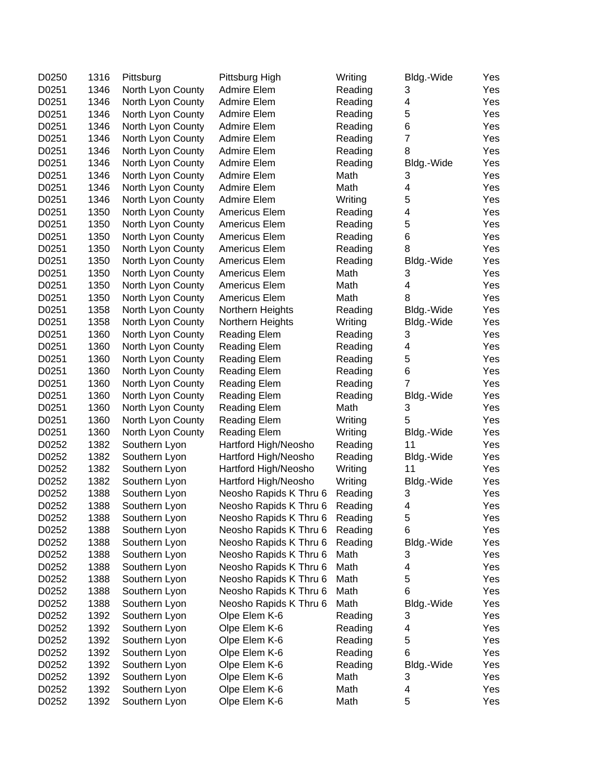| D0250 | 1316 | Pittsburg         | Pittsburg High         | Writing | Bldg.-Wide              | Yes |
|-------|------|-------------------|------------------------|---------|-------------------------|-----|
| D0251 | 1346 | North Lyon County | Admire Elem            | Reading | 3                       | Yes |
| D0251 | 1346 | North Lyon County | Admire Elem            | Reading | 4                       | Yes |
| D0251 | 1346 | North Lyon County | <b>Admire Elem</b>     | Reading | $\mathbf 5$             | Yes |
| D0251 | 1346 | North Lyon County | Admire Elem            | Reading | $\,6$                   | Yes |
| D0251 | 1346 | North Lyon County | Admire Elem            | Reading | $\overline{7}$          | Yes |
| D0251 | 1346 | North Lyon County | Admire Elem            | Reading | 8                       | Yes |
| D0251 | 1346 | North Lyon County | Admire Elem            | Reading | Bldg.-Wide              | Yes |
| D0251 | 1346 | North Lyon County | Admire Elem            | Math    | 3                       | Yes |
| D0251 | 1346 | North Lyon County | Admire Elem            | Math    | 4                       | Yes |
| D0251 | 1346 | North Lyon County | Admire Elem            | Writing | 5                       | Yes |
| D0251 | 1350 | North Lyon County | Americus Elem          | Reading | 4                       | Yes |
| D0251 | 1350 | North Lyon County | Americus Elem          | Reading | 5                       | Yes |
| D0251 | 1350 | North Lyon County | Americus Elem          | Reading | $\,6$                   | Yes |
| D0251 | 1350 | North Lyon County | <b>Americus Elem</b>   | Reading | 8                       | Yes |
| D0251 | 1350 | North Lyon County | <b>Americus Elem</b>   | Reading | Bldg.-Wide              | Yes |
| D0251 | 1350 | North Lyon County | <b>Americus Elem</b>   | Math    | 3                       | Yes |
| D0251 | 1350 | North Lyon County | Americus Elem          | Math    | $\overline{\mathbf{4}}$ | Yes |
| D0251 | 1350 | North Lyon County | <b>Americus Elem</b>   | Math    | 8                       | Yes |
| D0251 | 1358 | North Lyon County | Northern Heights       | Reading | Bldg.-Wide              | Yes |
| D0251 | 1358 | North Lyon County | Northern Heights       | Writing | Bldg.-Wide              | Yes |
| D0251 | 1360 | North Lyon County | <b>Reading Elem</b>    | Reading | 3                       | Yes |
| D0251 | 1360 | North Lyon County | Reading Elem           | Reading | 4                       | Yes |
| D0251 | 1360 | North Lyon County | <b>Reading Elem</b>    | Reading | 5                       | Yes |
| D0251 | 1360 | North Lyon County | <b>Reading Elem</b>    | Reading | 6                       | Yes |
| D0251 | 1360 | North Lyon County | <b>Reading Elem</b>    | Reading | $\overline{7}$          | Yes |
| D0251 | 1360 | North Lyon County | Reading Elem           | Reading | Bldg.-Wide              | Yes |
| D0251 | 1360 | North Lyon County | <b>Reading Elem</b>    | Math    | 3                       | Yes |
| D0251 | 1360 | North Lyon County | <b>Reading Elem</b>    | Writing | 5                       | Yes |
| D0251 | 1360 | North Lyon County | <b>Reading Elem</b>    | Writing | Bldg.-Wide              | Yes |
| D0252 | 1382 | Southern Lyon     | Hartford High/Neosho   | Reading | 11                      | Yes |
| D0252 | 1382 | Southern Lyon     | Hartford High/Neosho   | Reading | Bldg.-Wide              | Yes |
| D0252 | 1382 | Southern Lyon     | Hartford High/Neosho   | Writing | 11                      | Yes |
| D0252 | 1382 | Southern Lyon     | Hartford High/Neosho   | Writing | Bldg.-Wide              | Yes |
| D0252 | 1388 | Southern Lyon     | Neosho Rapids K Thru 6 | Reading | 3                       | Yes |
| D0252 | 1388 | Southern Lyon     | Neosho Rapids K Thru 6 | Reading | 4                       | Yes |
| D0252 | 1388 | Southern Lyon     | Neosho Rapids K Thru 6 | Reading | 5                       | Yes |
| D0252 | 1388 | Southern Lyon     | Neosho Rapids K Thru 6 | Reading | 6                       | Yes |
| D0252 | 1388 | Southern Lyon     | Neosho Rapids K Thru 6 | Reading | Bldg.-Wide              | Yes |
| D0252 | 1388 | Southern Lyon     | Neosho Rapids K Thru 6 | Math    | 3                       | Yes |
| D0252 | 1388 | Southern Lyon     | Neosho Rapids K Thru 6 | Math    | 4                       | Yes |
| D0252 | 1388 | Southern Lyon     | Neosho Rapids K Thru 6 | Math    | 5                       | Yes |
| D0252 | 1388 | Southern Lyon     | Neosho Rapids K Thru 6 | Math    | 6                       | Yes |
| D0252 | 1388 | Southern Lyon     | Neosho Rapids K Thru 6 | Math    | Bldg.-Wide              | Yes |
| D0252 | 1392 | Southern Lyon     | Olpe Elem K-6          | Reading | 3                       | Yes |
| D0252 | 1392 | Southern Lyon     | Olpe Elem K-6          | Reading | 4                       | Yes |
| D0252 | 1392 | Southern Lyon     | Olpe Elem K-6          | Reading | 5                       | Yes |
| D0252 | 1392 | Southern Lyon     | Olpe Elem K-6          | Reading | 6                       | Yes |
| D0252 | 1392 | Southern Lyon     | Olpe Elem K-6          | Reading | Bldg.-Wide              | Yes |
| D0252 | 1392 | Southern Lyon     | Olpe Elem K-6          | Math    | 3                       | Yes |
| D0252 | 1392 | Southern Lyon     | Olpe Elem K-6          | Math    | 4                       | Yes |
| D0252 | 1392 | Southern Lyon     | Olpe Elem K-6          | Math    | 5                       | Yes |
|       |      |                   |                        |         |                         |     |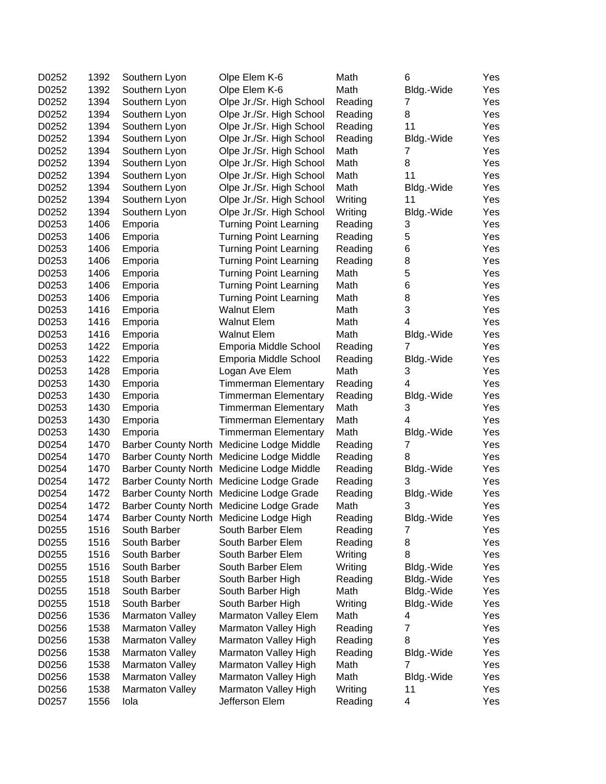| D0252<br>1392<br>Olpe Elem K-6<br>Math<br>Southern Lyon<br>D0252<br>1394<br>Southern Lyon<br>Olpe Jr./Sr. High School<br>Reading<br>1394<br>Olpe Jr./Sr. High School<br>D0252<br>Southern Lyon<br>Reading<br>D0252<br>1394<br>Olpe Jr./Sr. High School<br>Southern Lyon<br>Reading | Bldg.-Wide<br>7<br>8 | Yes<br>Yes |
|------------------------------------------------------------------------------------------------------------------------------------------------------------------------------------------------------------------------------------------------------------------------------------|----------------------|------------|
|                                                                                                                                                                                                                                                                                    |                      |            |
|                                                                                                                                                                                                                                                                                    |                      |            |
|                                                                                                                                                                                                                                                                                    |                      | Yes        |
|                                                                                                                                                                                                                                                                                    | 11                   | Yes        |
| D0252<br>1394<br>Southern Lyon<br>Olpe Jr./Sr. High School<br>Reading                                                                                                                                                                                                              | Bldg.-Wide           | Yes        |
| D0252<br>1394<br>Southern Lyon<br>Olpe Jr./Sr. High School<br>Math                                                                                                                                                                                                                 | 7                    | Yes        |
| D0252<br>1394<br>Southern Lyon<br>Math<br>Olpe Jr./Sr. High School                                                                                                                                                                                                                 | 8                    | Yes        |
| D0252<br>1394<br>Southern Lyon<br>Olpe Jr./Sr. High School<br>Math                                                                                                                                                                                                                 | 11                   | Yes        |
| D0252<br>1394<br>Southern Lyon<br>Olpe Jr./Sr. High School<br>Math                                                                                                                                                                                                                 | Bldg.-Wide           | Yes        |
| D0252<br>1394<br>Southern Lyon<br>Olpe Jr./Sr. High School<br>Writing                                                                                                                                                                                                              | 11                   | Yes        |
| D0252<br>1394<br>Writing<br>Southern Lyon<br>Olpe Jr./Sr. High School                                                                                                                                                                                                              | Bldg.-Wide           | Yes        |
| 1406<br>D0253<br>Emporia<br><b>Turning Point Learning</b><br>Reading                                                                                                                                                                                                               | 3                    | Yes        |
| D0253<br>1406<br>Emporia<br><b>Turning Point Learning</b><br>Reading                                                                                                                                                                                                               | 5                    | Yes        |
| 1406<br>D0253<br>Emporia<br><b>Turning Point Learning</b><br>Reading                                                                                                                                                                                                               | 6                    | Yes        |
| 1406<br>D0253<br>Emporia<br><b>Turning Point Learning</b><br>Reading                                                                                                                                                                                                               | 8                    | Yes        |
| D0253<br>1406<br>Emporia<br><b>Turning Point Learning</b><br>Math                                                                                                                                                                                                                  | 5                    | Yes        |
| D0253<br>1406<br><b>Turning Point Learning</b><br>Emporia<br>Math                                                                                                                                                                                                                  | 6                    | Yes        |
| D0253<br>1406<br>Emporia<br><b>Turning Point Learning</b><br>Math                                                                                                                                                                                                                  | 8                    | Yes        |
| D0253<br>1416<br><b>Walnut Elem</b><br>Emporia<br>Math                                                                                                                                                                                                                             | 3                    | Yes        |
| 1416<br>D0253<br>Emporia<br><b>Walnut Elem</b><br>Math                                                                                                                                                                                                                             | $\overline{4}$       | Yes        |
| D0253<br>1416<br>Math<br>Emporia<br><b>Walnut Elem</b>                                                                                                                                                                                                                             | Bldg.-Wide           | Yes        |
| D0253<br>1422<br>Emporia<br>Emporia Middle School<br>Reading                                                                                                                                                                                                                       | 7                    | Yes        |
| D0253<br>1422<br>Emporia<br>Emporia Middle School<br>Reading                                                                                                                                                                                                                       | Bldg.-Wide           | Yes        |
| D0253<br>1428<br>Math<br>Emporia<br>Logan Ave Elem                                                                                                                                                                                                                                 | 3                    | Yes        |
| D0253<br>1430<br><b>Timmerman Elementary</b><br>Emporia<br>Reading                                                                                                                                                                                                                 | 4                    | Yes        |
| D0253<br>1430<br>Emporia<br><b>Timmerman Elementary</b><br>Reading                                                                                                                                                                                                                 | Bldg.-Wide           | Yes        |
| D0253<br>1430<br>Math<br>Emporia<br><b>Timmerman Elementary</b>                                                                                                                                                                                                                    | 3                    | Yes        |
| D0253<br>1430<br>Emporia<br><b>Timmerman Elementary</b><br>Math                                                                                                                                                                                                                    | 4                    | Yes        |
| D0253<br>1430<br>Math<br>Emporia<br><b>Timmerman Elementary</b>                                                                                                                                                                                                                    | Bldg.-Wide           | Yes        |
| D0254<br>1470<br>Barber County North Medicine Lodge Middle<br>Reading                                                                                                                                                                                                              | 7                    | Yes        |
| 1470<br>D0254<br>Barber County North Medicine Lodge Middle<br>Reading                                                                                                                                                                                                              | 8                    | Yes        |
| D0254<br>1470<br><b>Barber County North</b><br>Medicine Lodge Middle<br>Reading                                                                                                                                                                                                    | Bldg.-Wide           | Yes        |
| D0254<br>1472<br>Barber County North Medicine Lodge Grade<br>Reading                                                                                                                                                                                                               | 3                    | Yes        |
| D0254<br>1472<br>Barber County North Medicine Lodge Grade<br>Reading                                                                                                                                                                                                               | Bldg.-Wide           | Yes        |
| 1472<br>Barber County North Medicine Lodge Grade<br>Math<br>D0254                                                                                                                                                                                                                  | 3                    | Yes        |
| Barber County North Medicine Lodge High<br>Reading<br>D0254<br>1474                                                                                                                                                                                                                | Bldg.-Wide           | Yes        |
| 1516<br>D0255<br>South Barber<br>South Barber Elem<br>Reading                                                                                                                                                                                                                      | 7                    | Yes        |
| D0255<br>1516<br>South Barber<br>South Barber Elem<br>Reading                                                                                                                                                                                                                      | 8                    | Yes        |
| D0255<br>1516<br>South Barber<br>Writing<br>South Barber Elem                                                                                                                                                                                                                      | 8                    | Yes        |
| D0255<br>1516<br>South Barber<br>Writing<br>South Barber Elem                                                                                                                                                                                                                      | Bldg.-Wide           | Yes        |
| D0255<br>1518<br>South Barber<br>South Barber High<br>Reading                                                                                                                                                                                                                      | Bldg.-Wide           | Yes        |
| D0255<br>1518<br>South Barber<br>South Barber High<br>Math                                                                                                                                                                                                                         | Bldg.-Wide           | Yes        |
| D0255<br>1518<br>South Barber<br>South Barber High<br>Writing                                                                                                                                                                                                                      | Bldg.-Wide           | Yes        |
| D0256<br>1536<br><b>Marmaton Valley</b><br>Marmaton Valley Elem<br>Math                                                                                                                                                                                                            | 4                    | Yes        |
| D0256<br>1538<br>Marmaton Valley<br>Marmaton Valley High<br>Reading                                                                                                                                                                                                                | 7                    | Yes        |
| D0256<br>1538<br>Marmaton Valley<br>Marmaton Valley High<br>Reading                                                                                                                                                                                                                | 8                    | Yes        |
| D0256<br>1538<br>Marmaton Valley<br>Marmaton Valley High<br>Reading                                                                                                                                                                                                                | Bldg.-Wide           | Yes        |
| D0256<br>1538<br>Marmaton Valley<br>Marmaton Valley High<br>Math                                                                                                                                                                                                                   | $\overline{7}$       | Yes        |
| D0256<br>1538<br>Marmaton Valley<br>Marmaton Valley High<br>Math                                                                                                                                                                                                                   | Bldg.-Wide           | Yes        |
| D0256<br>1538<br>Writing<br>Marmaton Valley<br>Marmaton Valley High                                                                                                                                                                                                                | 11                   | Yes        |
| D0257<br>1556<br>Jefferson Elem<br>Reading<br>Iola                                                                                                                                                                                                                                 | 4                    | Yes        |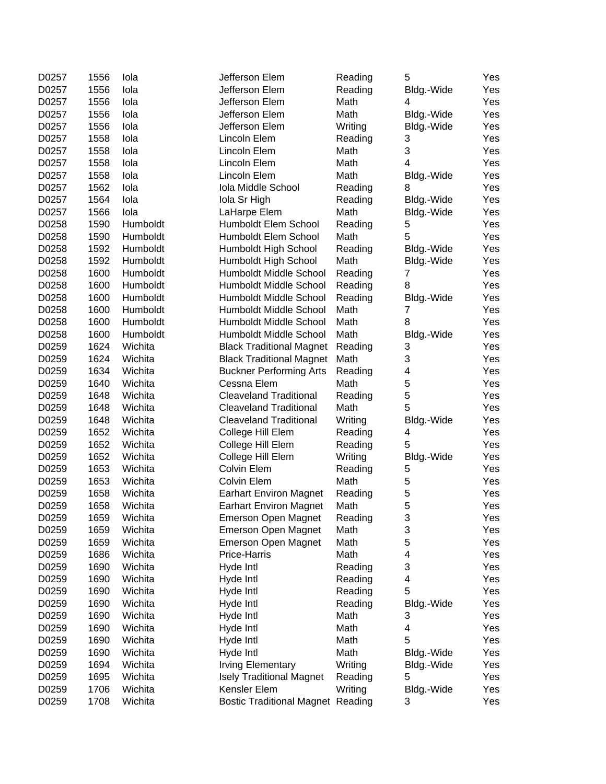| D0257 | 1556 | lola     | Jefferson Elem                           | Reading | 5          | Yes |
|-------|------|----------|------------------------------------------|---------|------------|-----|
| D0257 | 1556 | lola     | Jefferson Elem                           | Reading | Bldg.-Wide | Yes |
| D0257 | 1556 | lola     | Jefferson Elem                           | Math    | 4          | Yes |
| D0257 | 1556 | lola     | Jefferson Elem                           | Math    | Bldg.-Wide | Yes |
| D0257 | 1556 | lola     | Jefferson Elem                           | Writing | Bldg.-Wide | Yes |
| D0257 | 1558 | lola     | Lincoln Elem                             | Reading | 3          | Yes |
| D0257 | 1558 | lola     | Lincoln Elem                             | Math    | 3          | Yes |
| D0257 | 1558 | lola     | Lincoln Elem                             | Math    | 4          | Yes |
| D0257 | 1558 | lola     | Lincoln Elem                             | Math    | Bldg.-Wide | Yes |
| D0257 | 1562 | lola     | Iola Middle School                       | Reading | 8          | Yes |
| D0257 | 1564 | lola     | Iola Sr High                             | Reading | Bldg.-Wide | Yes |
| D0257 | 1566 | lola     | LaHarpe Elem                             | Math    | Bldg.-Wide | Yes |
| D0258 | 1590 | Humboldt | Humboldt Elem School                     | Reading | 5          | Yes |
| D0258 | 1590 | Humboldt | Humboldt Elem School                     | Math    | 5          | Yes |
| D0258 | 1592 | Humboldt | Humboldt High School                     | Reading | Bldg.-Wide | Yes |
| D0258 | 1592 | Humboldt | Humboldt High School                     | Math    | Bldg.-Wide | Yes |
| D0258 | 1600 | Humboldt | Humboldt Middle School                   | Reading | 7          | Yes |
| D0258 | 1600 | Humboldt | Humboldt Middle School                   | Reading | 8          | Yes |
| D0258 | 1600 | Humboldt | Humboldt Middle School                   | Reading | Bldg.-Wide | Yes |
| D0258 | 1600 | Humboldt | Humboldt Middle School                   | Math    | 7          | Yes |
| D0258 | 1600 | Humboldt | Humboldt Middle School                   | Math    | 8          | Yes |
| D0258 | 1600 | Humboldt | Humboldt Middle School                   | Math    | Bldg.-Wide | Yes |
| D0259 | 1624 | Wichita  | <b>Black Traditional Magnet</b>          | Reading | 3          | Yes |
| D0259 | 1624 | Wichita  | <b>Black Traditional Magnet</b>          | Math    | 3          | Yes |
| D0259 | 1634 | Wichita  | <b>Buckner Performing Arts</b>           | Reading | 4          | Yes |
| D0259 | 1640 | Wichita  | Cessna Elem                              | Math    | 5          | Yes |
| D0259 | 1648 | Wichita  | <b>Cleaveland Traditional</b>            | Reading | 5          | Yes |
| D0259 | 1648 | Wichita  | <b>Cleaveland Traditional</b>            | Math    | 5          | Yes |
| D0259 | 1648 | Wichita  | <b>Cleaveland Traditional</b>            | Writing | Bldg.-Wide | Yes |
| D0259 | 1652 | Wichita  | College Hill Elem                        | Reading | 4          | Yes |
| D0259 | 1652 | Wichita  | College Hill Elem                        | Reading | 5          | Yes |
| D0259 | 1652 | Wichita  | College Hill Elem                        | Writing | Bldg.-Wide | Yes |
| D0259 | 1653 | Wichita  | <b>Colvin Elem</b>                       | Reading | 5          | Yes |
| D0259 | 1653 | Wichita  | <b>Colvin Elem</b>                       | Math    | 5          | Yes |
| D0259 | 1658 | Wichita  | <b>Earhart Environ Magnet</b>            | Reading | 5          | Yes |
| D0259 | 1658 | Wichita  | <b>Earhart Environ Magnet</b>            | Math    | 5          | Yes |
| D0259 | 1659 | Wichita  | <b>Emerson Open Magnet</b>               | Reading | 3          | Yes |
| D0259 | 1659 | Wichita  | <b>Emerson Open Magnet</b>               | Math    | 3          | Yes |
| D0259 | 1659 | Wichita  | <b>Emerson Open Magnet</b>               | Math    | 5          | Yes |
| D0259 | 1686 | Wichita  | Price-Harris                             | Math    | 4          | Yes |
| D0259 | 1690 | Wichita  | Hyde Intl                                | Reading | 3          | Yes |
| D0259 | 1690 | Wichita  | Hyde Intl                                | Reading | 4          | Yes |
| D0259 | 1690 | Wichita  | Hyde Intl                                | Reading | 5          | Yes |
| D0259 | 1690 | Wichita  | Hyde Intl                                | Reading | Bldg.-Wide | Yes |
| D0259 | 1690 | Wichita  | Hyde Intl                                | Math    | 3          | Yes |
| D0259 | 1690 | Wichita  | Hyde Intl                                | Math    | 4          | Yes |
| D0259 | 1690 | Wichita  | Hyde Intl                                | Math    | 5          | Yes |
| D0259 | 1690 | Wichita  | Hyde Intl                                | Math    | Bldg.-Wide | Yes |
| D0259 | 1694 | Wichita  | <b>Irving Elementary</b>                 | Writing | Bldg.-Wide | Yes |
| D0259 | 1695 | Wichita  | <b>Isely Traditional Magnet</b>          | Reading | 5          | Yes |
| D0259 | 1706 | Wichita  | Kensler Elem                             | Writing | Bldg.-Wide | Yes |
| D0259 | 1708 | Wichita  | <b>Bostic Traditional Magnet Reading</b> |         | 3          | Yes |
|       |      |          |                                          |         |            |     |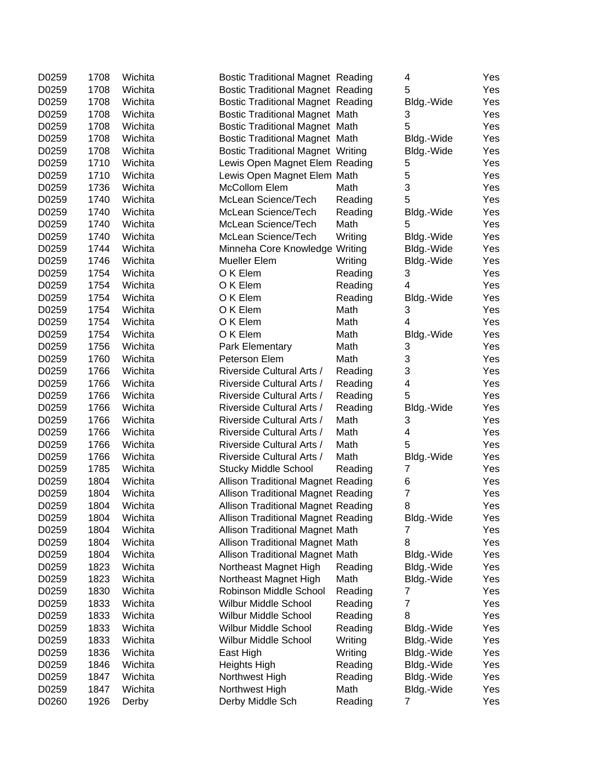| 5<br>D0259<br>1708<br>Wichita<br><b>Bostic Traditional Magnet Reading</b><br>D0259<br>1708<br>Wichita<br><b>Bostic Traditional Magnet Reading</b><br>Yes<br>Bldg.-Wide<br>D0259<br>1708<br>Wichita<br><b>Bostic Traditional Magnet Math</b><br>Yes<br>3<br>5<br>D0259<br>1708<br>Wichita<br><b>Bostic Traditional Magnet Math</b><br>Yes<br>D0259<br>1708<br>Wichita<br><b>Bostic Traditional Magnet Math</b><br>Yes<br>Bldg.-Wide<br>D0259<br>1708<br>Wichita<br><b>Bostic Traditional Magnet Writing</b><br>Yes<br>Bldg.-Wide<br>D0259<br>1710<br>Wichita<br>Lewis Open Magnet Elem Reading<br>5<br>Yes<br>5<br>D0259<br>1710<br>Wichita<br>Yes<br>Lewis Open Magnet Elem Math<br>3<br>D0259<br>1736<br>Wichita<br>McCollom Elem<br>Yes<br>Math<br>D0259<br>1740<br>Wichita<br>McLean Science/Tech<br>Reading<br>5<br>Yes<br>D0259<br>1740<br>Wichita<br>Reading<br>McLean Science/Tech<br>Bldg.-Wide<br>Yes<br>D0259<br>1740<br>McLean Science/Tech<br>5<br>Wichita<br>Math<br>Yes<br>D0259<br>1740<br>Wichita<br>McLean Science/Tech<br>Writing<br>Yes<br>Bldg.-Wide<br>D0259<br>1744<br>Wichita<br>Minneha Core Knowledge Writing<br>Bldg.-Wide<br>Yes<br>D0259<br>1746<br>Wichita<br>Mueller Elem<br>Writing<br>Bldg.-Wide<br>Yes<br>D0259<br>1754<br>O K Elem<br>3<br>Wichita<br>Reading<br>Yes<br>4<br>D0259<br>1754<br>O K Elem<br>Yes<br>Wichita<br>Reading<br>D0259<br>1754<br>Wichita<br>O K Elem<br>Reading<br>Bldg.-Wide<br>Yes<br>D0259<br>1754<br>Wichita<br>O K Elem<br>Math<br>3<br>Yes<br>$\overline{4}$<br>D0259<br>1754<br>Wichita<br>O K Elem<br>Math<br>Yes<br>D0259<br>1754<br>Wichita<br>O K Elem<br>Yes<br>Math<br>Bldg.-Wide<br>D0259<br>1756<br>Wichita<br>Park Elementary<br>3<br>Yes<br>Math<br>D0259<br>1760<br>Wichita<br>Math<br>3<br>Yes<br>Peterson Elem<br>3<br>D0259<br>1766<br>Wichita<br>Riverside Cultural Arts /<br>Reading<br>Yes<br>D0259<br>1766<br>Wichita<br>Riverside Cultural Arts /<br>4<br>Yes<br>Reading<br>D0259<br>1766<br>Wichita<br>Riverside Cultural Arts /<br>5<br>Reading<br>Yes<br>D0259<br>1766<br>Wichita<br>Riverside Cultural Arts /<br>Reading<br>Bldg.-Wide<br>Yes<br>D0259<br>1766<br>Wichita<br>Riverside Cultural Arts /<br>Math<br>3<br>Yes<br>D0259<br>1766<br>Wichita<br>Riverside Cultural Arts /<br>Math<br>4<br>Yes<br>5<br>D0259<br>1766<br>Wichita<br>Riverside Cultural Arts /<br>Math<br>Yes<br>D0259<br>1766<br>Riverside Cultural Arts /<br>Math<br>Wichita<br>Bldg.-Wide<br>Yes<br>D0259<br>1785<br><b>Stucky Middle School</b><br>7<br>Wichita<br>Reading<br>Yes<br>D0259<br>1804<br>Allison Traditional Magnet Reading<br>Yes<br>Wichita<br>6<br>$\boldsymbol{7}$<br>D0259<br>1804<br>Wichita<br><b>Allison Traditional Magnet Reading</b><br>Yes<br>D0259<br>1804<br>Wichita<br><b>Allison Traditional Magnet Reading</b><br>Yes<br>8<br>1804<br>Wichita<br><b>Allison Traditional Magnet Reading</b><br>Bldg.-Wide<br>Yes<br>D0259<br>D0259<br>1804<br>Yes<br>Wichita<br><b>Allison Traditional Magnet Math</b><br>7<br>D0259<br>1804<br>Wichita<br><b>Allison Traditional Magnet Math</b><br>8<br>Yes<br>D0259<br>1804<br>Allison Traditional Magnet Math<br>Bldg.-Wide<br>Yes<br>Wichita<br>D0259<br>1823<br>Wichita<br>Northeast Magnet High<br>Yes<br>Reading<br>Bldg.-Wide<br>D0259<br>1823<br>Wichita<br>Northeast Magnet High<br>Math<br>Yes<br>Bldg.-Wide<br>D0259<br>1830<br>Wichita<br>Robinson Middle School<br>Yes<br>Reading<br>7<br>$\overline{7}$<br>D0259<br>1833<br>Wichita<br>Wilbur Middle School<br>Yes<br>Reading<br>D0259<br>1833<br>Wichita<br>Wilbur Middle School<br>Reading<br>8<br>Yes<br>D0259<br>1833<br>Wichita<br><b>Wilbur Middle School</b><br>Reading<br>Yes<br>Bldg.-Wide<br>D0259<br>1833<br>Wichita<br>Wilbur Middle School<br>Writing<br>Yes<br>Bldg.-Wide<br>D0259<br>1836<br>Wichita<br>Writing<br>Bldg.-Wide<br>East High<br>Yes<br>D0259<br>1846<br><b>Heights High</b><br>Reading<br>Bldg.-Wide<br>Wichita<br>Yes | D0259 | 1708 | Wichita | <b>Bostic Traditional Magnet Reading</b> |         | 4          | Yes |
|----------------------------------------------------------------------------------------------------------------------------------------------------------------------------------------------------------------------------------------------------------------------------------------------------------------------------------------------------------------------------------------------------------------------------------------------------------------------------------------------------------------------------------------------------------------------------------------------------------------------------------------------------------------------------------------------------------------------------------------------------------------------------------------------------------------------------------------------------------------------------------------------------------------------------------------------------------------------------------------------------------------------------------------------------------------------------------------------------------------------------------------------------------------------------------------------------------------------------------------------------------------------------------------------------------------------------------------------------------------------------------------------------------------------------------------------------------------------------------------------------------------------------------------------------------------------------------------------------------------------------------------------------------------------------------------------------------------------------------------------------------------------------------------------------------------------------------------------------------------------------------------------------------------------------------------------------------------------------------------------------------------------------------------------------------------------------------------------------------------------------------------------------------------------------------------------------------------------------------------------------------------------------------------------------------------------------------------------------------------------------------------------------------------------------------------------------------------------------------------------------------------------------------------------------------------------------------------------------------------------------------------------------------------------------------------------------------------------------------------------------------------------------------------------------------------------------------------------------------------------------------------------------------------------------------------------------------------------------------------------------------------------------------------------------------------------------------------------------------------------------------------------------------------------------------------------------------------------------------------------------------------------------------------------------------------------------------------------------------------------------------------------------------------------------------------------------------------------------------------------------------------------------------------------------------------------------------------------------------------------------------------------------------------------------------------------------------------------------------------------------------------------------------------------------------------------------------------------------------------------------------------------------------------------------------------------------|-------|------|---------|------------------------------------------|---------|------------|-----|
|                                                                                                                                                                                                                                                                                                                                                                                                                                                                                                                                                                                                                                                                                                                                                                                                                                                                                                                                                                                                                                                                                                                                                                                                                                                                                                                                                                                                                                                                                                                                                                                                                                                                                                                                                                                                                                                                                                                                                                                                                                                                                                                                                                                                                                                                                                                                                                                                                                                                                                                                                                                                                                                                                                                                                                                                                                                                                                                                                                                                                                                                                                                                                                                                                                                                                                                                                                                                                                                                                                                                                                                                                                                                                                                                                                                                                                                                                                                                                    |       |      |         |                                          |         |            | Yes |
|                                                                                                                                                                                                                                                                                                                                                                                                                                                                                                                                                                                                                                                                                                                                                                                                                                                                                                                                                                                                                                                                                                                                                                                                                                                                                                                                                                                                                                                                                                                                                                                                                                                                                                                                                                                                                                                                                                                                                                                                                                                                                                                                                                                                                                                                                                                                                                                                                                                                                                                                                                                                                                                                                                                                                                                                                                                                                                                                                                                                                                                                                                                                                                                                                                                                                                                                                                                                                                                                                                                                                                                                                                                                                                                                                                                                                                                                                                                                                    |       |      |         |                                          |         |            |     |
|                                                                                                                                                                                                                                                                                                                                                                                                                                                                                                                                                                                                                                                                                                                                                                                                                                                                                                                                                                                                                                                                                                                                                                                                                                                                                                                                                                                                                                                                                                                                                                                                                                                                                                                                                                                                                                                                                                                                                                                                                                                                                                                                                                                                                                                                                                                                                                                                                                                                                                                                                                                                                                                                                                                                                                                                                                                                                                                                                                                                                                                                                                                                                                                                                                                                                                                                                                                                                                                                                                                                                                                                                                                                                                                                                                                                                                                                                                                                                    |       |      |         |                                          |         |            |     |
|                                                                                                                                                                                                                                                                                                                                                                                                                                                                                                                                                                                                                                                                                                                                                                                                                                                                                                                                                                                                                                                                                                                                                                                                                                                                                                                                                                                                                                                                                                                                                                                                                                                                                                                                                                                                                                                                                                                                                                                                                                                                                                                                                                                                                                                                                                                                                                                                                                                                                                                                                                                                                                                                                                                                                                                                                                                                                                                                                                                                                                                                                                                                                                                                                                                                                                                                                                                                                                                                                                                                                                                                                                                                                                                                                                                                                                                                                                                                                    |       |      |         |                                          |         |            |     |
|                                                                                                                                                                                                                                                                                                                                                                                                                                                                                                                                                                                                                                                                                                                                                                                                                                                                                                                                                                                                                                                                                                                                                                                                                                                                                                                                                                                                                                                                                                                                                                                                                                                                                                                                                                                                                                                                                                                                                                                                                                                                                                                                                                                                                                                                                                                                                                                                                                                                                                                                                                                                                                                                                                                                                                                                                                                                                                                                                                                                                                                                                                                                                                                                                                                                                                                                                                                                                                                                                                                                                                                                                                                                                                                                                                                                                                                                                                                                                    |       |      |         |                                          |         |            |     |
|                                                                                                                                                                                                                                                                                                                                                                                                                                                                                                                                                                                                                                                                                                                                                                                                                                                                                                                                                                                                                                                                                                                                                                                                                                                                                                                                                                                                                                                                                                                                                                                                                                                                                                                                                                                                                                                                                                                                                                                                                                                                                                                                                                                                                                                                                                                                                                                                                                                                                                                                                                                                                                                                                                                                                                                                                                                                                                                                                                                                                                                                                                                                                                                                                                                                                                                                                                                                                                                                                                                                                                                                                                                                                                                                                                                                                                                                                                                                                    |       |      |         |                                          |         |            |     |
|                                                                                                                                                                                                                                                                                                                                                                                                                                                                                                                                                                                                                                                                                                                                                                                                                                                                                                                                                                                                                                                                                                                                                                                                                                                                                                                                                                                                                                                                                                                                                                                                                                                                                                                                                                                                                                                                                                                                                                                                                                                                                                                                                                                                                                                                                                                                                                                                                                                                                                                                                                                                                                                                                                                                                                                                                                                                                                                                                                                                                                                                                                                                                                                                                                                                                                                                                                                                                                                                                                                                                                                                                                                                                                                                                                                                                                                                                                                                                    |       |      |         |                                          |         |            |     |
|                                                                                                                                                                                                                                                                                                                                                                                                                                                                                                                                                                                                                                                                                                                                                                                                                                                                                                                                                                                                                                                                                                                                                                                                                                                                                                                                                                                                                                                                                                                                                                                                                                                                                                                                                                                                                                                                                                                                                                                                                                                                                                                                                                                                                                                                                                                                                                                                                                                                                                                                                                                                                                                                                                                                                                                                                                                                                                                                                                                                                                                                                                                                                                                                                                                                                                                                                                                                                                                                                                                                                                                                                                                                                                                                                                                                                                                                                                                                                    |       |      |         |                                          |         |            |     |
|                                                                                                                                                                                                                                                                                                                                                                                                                                                                                                                                                                                                                                                                                                                                                                                                                                                                                                                                                                                                                                                                                                                                                                                                                                                                                                                                                                                                                                                                                                                                                                                                                                                                                                                                                                                                                                                                                                                                                                                                                                                                                                                                                                                                                                                                                                                                                                                                                                                                                                                                                                                                                                                                                                                                                                                                                                                                                                                                                                                                                                                                                                                                                                                                                                                                                                                                                                                                                                                                                                                                                                                                                                                                                                                                                                                                                                                                                                                                                    |       |      |         |                                          |         |            |     |
|                                                                                                                                                                                                                                                                                                                                                                                                                                                                                                                                                                                                                                                                                                                                                                                                                                                                                                                                                                                                                                                                                                                                                                                                                                                                                                                                                                                                                                                                                                                                                                                                                                                                                                                                                                                                                                                                                                                                                                                                                                                                                                                                                                                                                                                                                                                                                                                                                                                                                                                                                                                                                                                                                                                                                                                                                                                                                                                                                                                                                                                                                                                                                                                                                                                                                                                                                                                                                                                                                                                                                                                                                                                                                                                                                                                                                                                                                                                                                    |       |      |         |                                          |         |            |     |
|                                                                                                                                                                                                                                                                                                                                                                                                                                                                                                                                                                                                                                                                                                                                                                                                                                                                                                                                                                                                                                                                                                                                                                                                                                                                                                                                                                                                                                                                                                                                                                                                                                                                                                                                                                                                                                                                                                                                                                                                                                                                                                                                                                                                                                                                                                                                                                                                                                                                                                                                                                                                                                                                                                                                                                                                                                                                                                                                                                                                                                                                                                                                                                                                                                                                                                                                                                                                                                                                                                                                                                                                                                                                                                                                                                                                                                                                                                                                                    |       |      |         |                                          |         |            |     |
|                                                                                                                                                                                                                                                                                                                                                                                                                                                                                                                                                                                                                                                                                                                                                                                                                                                                                                                                                                                                                                                                                                                                                                                                                                                                                                                                                                                                                                                                                                                                                                                                                                                                                                                                                                                                                                                                                                                                                                                                                                                                                                                                                                                                                                                                                                                                                                                                                                                                                                                                                                                                                                                                                                                                                                                                                                                                                                                                                                                                                                                                                                                                                                                                                                                                                                                                                                                                                                                                                                                                                                                                                                                                                                                                                                                                                                                                                                                                                    |       |      |         |                                          |         |            |     |
|                                                                                                                                                                                                                                                                                                                                                                                                                                                                                                                                                                                                                                                                                                                                                                                                                                                                                                                                                                                                                                                                                                                                                                                                                                                                                                                                                                                                                                                                                                                                                                                                                                                                                                                                                                                                                                                                                                                                                                                                                                                                                                                                                                                                                                                                                                                                                                                                                                                                                                                                                                                                                                                                                                                                                                                                                                                                                                                                                                                                                                                                                                                                                                                                                                                                                                                                                                                                                                                                                                                                                                                                                                                                                                                                                                                                                                                                                                                                                    |       |      |         |                                          |         |            |     |
|                                                                                                                                                                                                                                                                                                                                                                                                                                                                                                                                                                                                                                                                                                                                                                                                                                                                                                                                                                                                                                                                                                                                                                                                                                                                                                                                                                                                                                                                                                                                                                                                                                                                                                                                                                                                                                                                                                                                                                                                                                                                                                                                                                                                                                                                                                                                                                                                                                                                                                                                                                                                                                                                                                                                                                                                                                                                                                                                                                                                                                                                                                                                                                                                                                                                                                                                                                                                                                                                                                                                                                                                                                                                                                                                                                                                                                                                                                                                                    |       |      |         |                                          |         |            |     |
|                                                                                                                                                                                                                                                                                                                                                                                                                                                                                                                                                                                                                                                                                                                                                                                                                                                                                                                                                                                                                                                                                                                                                                                                                                                                                                                                                                                                                                                                                                                                                                                                                                                                                                                                                                                                                                                                                                                                                                                                                                                                                                                                                                                                                                                                                                                                                                                                                                                                                                                                                                                                                                                                                                                                                                                                                                                                                                                                                                                                                                                                                                                                                                                                                                                                                                                                                                                                                                                                                                                                                                                                                                                                                                                                                                                                                                                                                                                                                    |       |      |         |                                          |         |            |     |
|                                                                                                                                                                                                                                                                                                                                                                                                                                                                                                                                                                                                                                                                                                                                                                                                                                                                                                                                                                                                                                                                                                                                                                                                                                                                                                                                                                                                                                                                                                                                                                                                                                                                                                                                                                                                                                                                                                                                                                                                                                                                                                                                                                                                                                                                                                                                                                                                                                                                                                                                                                                                                                                                                                                                                                                                                                                                                                                                                                                                                                                                                                                                                                                                                                                                                                                                                                                                                                                                                                                                                                                                                                                                                                                                                                                                                                                                                                                                                    |       |      |         |                                          |         |            |     |
|                                                                                                                                                                                                                                                                                                                                                                                                                                                                                                                                                                                                                                                                                                                                                                                                                                                                                                                                                                                                                                                                                                                                                                                                                                                                                                                                                                                                                                                                                                                                                                                                                                                                                                                                                                                                                                                                                                                                                                                                                                                                                                                                                                                                                                                                                                                                                                                                                                                                                                                                                                                                                                                                                                                                                                                                                                                                                                                                                                                                                                                                                                                                                                                                                                                                                                                                                                                                                                                                                                                                                                                                                                                                                                                                                                                                                                                                                                                                                    |       |      |         |                                          |         |            |     |
|                                                                                                                                                                                                                                                                                                                                                                                                                                                                                                                                                                                                                                                                                                                                                                                                                                                                                                                                                                                                                                                                                                                                                                                                                                                                                                                                                                                                                                                                                                                                                                                                                                                                                                                                                                                                                                                                                                                                                                                                                                                                                                                                                                                                                                                                                                                                                                                                                                                                                                                                                                                                                                                                                                                                                                                                                                                                                                                                                                                                                                                                                                                                                                                                                                                                                                                                                                                                                                                                                                                                                                                                                                                                                                                                                                                                                                                                                                                                                    |       |      |         |                                          |         |            |     |
|                                                                                                                                                                                                                                                                                                                                                                                                                                                                                                                                                                                                                                                                                                                                                                                                                                                                                                                                                                                                                                                                                                                                                                                                                                                                                                                                                                                                                                                                                                                                                                                                                                                                                                                                                                                                                                                                                                                                                                                                                                                                                                                                                                                                                                                                                                                                                                                                                                                                                                                                                                                                                                                                                                                                                                                                                                                                                                                                                                                                                                                                                                                                                                                                                                                                                                                                                                                                                                                                                                                                                                                                                                                                                                                                                                                                                                                                                                                                                    |       |      |         |                                          |         |            |     |
|                                                                                                                                                                                                                                                                                                                                                                                                                                                                                                                                                                                                                                                                                                                                                                                                                                                                                                                                                                                                                                                                                                                                                                                                                                                                                                                                                                                                                                                                                                                                                                                                                                                                                                                                                                                                                                                                                                                                                                                                                                                                                                                                                                                                                                                                                                                                                                                                                                                                                                                                                                                                                                                                                                                                                                                                                                                                                                                                                                                                                                                                                                                                                                                                                                                                                                                                                                                                                                                                                                                                                                                                                                                                                                                                                                                                                                                                                                                                                    |       |      |         |                                          |         |            |     |
|                                                                                                                                                                                                                                                                                                                                                                                                                                                                                                                                                                                                                                                                                                                                                                                                                                                                                                                                                                                                                                                                                                                                                                                                                                                                                                                                                                                                                                                                                                                                                                                                                                                                                                                                                                                                                                                                                                                                                                                                                                                                                                                                                                                                                                                                                                                                                                                                                                                                                                                                                                                                                                                                                                                                                                                                                                                                                                                                                                                                                                                                                                                                                                                                                                                                                                                                                                                                                                                                                                                                                                                                                                                                                                                                                                                                                                                                                                                                                    |       |      |         |                                          |         |            |     |
|                                                                                                                                                                                                                                                                                                                                                                                                                                                                                                                                                                                                                                                                                                                                                                                                                                                                                                                                                                                                                                                                                                                                                                                                                                                                                                                                                                                                                                                                                                                                                                                                                                                                                                                                                                                                                                                                                                                                                                                                                                                                                                                                                                                                                                                                                                                                                                                                                                                                                                                                                                                                                                                                                                                                                                                                                                                                                                                                                                                                                                                                                                                                                                                                                                                                                                                                                                                                                                                                                                                                                                                                                                                                                                                                                                                                                                                                                                                                                    |       |      |         |                                          |         |            |     |
|                                                                                                                                                                                                                                                                                                                                                                                                                                                                                                                                                                                                                                                                                                                                                                                                                                                                                                                                                                                                                                                                                                                                                                                                                                                                                                                                                                                                                                                                                                                                                                                                                                                                                                                                                                                                                                                                                                                                                                                                                                                                                                                                                                                                                                                                                                                                                                                                                                                                                                                                                                                                                                                                                                                                                                                                                                                                                                                                                                                                                                                                                                                                                                                                                                                                                                                                                                                                                                                                                                                                                                                                                                                                                                                                                                                                                                                                                                                                                    |       |      |         |                                          |         |            |     |
|                                                                                                                                                                                                                                                                                                                                                                                                                                                                                                                                                                                                                                                                                                                                                                                                                                                                                                                                                                                                                                                                                                                                                                                                                                                                                                                                                                                                                                                                                                                                                                                                                                                                                                                                                                                                                                                                                                                                                                                                                                                                                                                                                                                                                                                                                                                                                                                                                                                                                                                                                                                                                                                                                                                                                                                                                                                                                                                                                                                                                                                                                                                                                                                                                                                                                                                                                                                                                                                                                                                                                                                                                                                                                                                                                                                                                                                                                                                                                    |       |      |         |                                          |         |            |     |
|                                                                                                                                                                                                                                                                                                                                                                                                                                                                                                                                                                                                                                                                                                                                                                                                                                                                                                                                                                                                                                                                                                                                                                                                                                                                                                                                                                                                                                                                                                                                                                                                                                                                                                                                                                                                                                                                                                                                                                                                                                                                                                                                                                                                                                                                                                                                                                                                                                                                                                                                                                                                                                                                                                                                                                                                                                                                                                                                                                                                                                                                                                                                                                                                                                                                                                                                                                                                                                                                                                                                                                                                                                                                                                                                                                                                                                                                                                                                                    |       |      |         |                                          |         |            |     |
|                                                                                                                                                                                                                                                                                                                                                                                                                                                                                                                                                                                                                                                                                                                                                                                                                                                                                                                                                                                                                                                                                                                                                                                                                                                                                                                                                                                                                                                                                                                                                                                                                                                                                                                                                                                                                                                                                                                                                                                                                                                                                                                                                                                                                                                                                                                                                                                                                                                                                                                                                                                                                                                                                                                                                                                                                                                                                                                                                                                                                                                                                                                                                                                                                                                                                                                                                                                                                                                                                                                                                                                                                                                                                                                                                                                                                                                                                                                                                    |       |      |         |                                          |         |            |     |
|                                                                                                                                                                                                                                                                                                                                                                                                                                                                                                                                                                                                                                                                                                                                                                                                                                                                                                                                                                                                                                                                                                                                                                                                                                                                                                                                                                                                                                                                                                                                                                                                                                                                                                                                                                                                                                                                                                                                                                                                                                                                                                                                                                                                                                                                                                                                                                                                                                                                                                                                                                                                                                                                                                                                                                                                                                                                                                                                                                                                                                                                                                                                                                                                                                                                                                                                                                                                                                                                                                                                                                                                                                                                                                                                                                                                                                                                                                                                                    |       |      |         |                                          |         |            |     |
|                                                                                                                                                                                                                                                                                                                                                                                                                                                                                                                                                                                                                                                                                                                                                                                                                                                                                                                                                                                                                                                                                                                                                                                                                                                                                                                                                                                                                                                                                                                                                                                                                                                                                                                                                                                                                                                                                                                                                                                                                                                                                                                                                                                                                                                                                                                                                                                                                                                                                                                                                                                                                                                                                                                                                                                                                                                                                                                                                                                                                                                                                                                                                                                                                                                                                                                                                                                                                                                                                                                                                                                                                                                                                                                                                                                                                                                                                                                                                    |       |      |         |                                          |         |            |     |
|                                                                                                                                                                                                                                                                                                                                                                                                                                                                                                                                                                                                                                                                                                                                                                                                                                                                                                                                                                                                                                                                                                                                                                                                                                                                                                                                                                                                                                                                                                                                                                                                                                                                                                                                                                                                                                                                                                                                                                                                                                                                                                                                                                                                                                                                                                                                                                                                                                                                                                                                                                                                                                                                                                                                                                                                                                                                                                                                                                                                                                                                                                                                                                                                                                                                                                                                                                                                                                                                                                                                                                                                                                                                                                                                                                                                                                                                                                                                                    |       |      |         |                                          |         |            |     |
|                                                                                                                                                                                                                                                                                                                                                                                                                                                                                                                                                                                                                                                                                                                                                                                                                                                                                                                                                                                                                                                                                                                                                                                                                                                                                                                                                                                                                                                                                                                                                                                                                                                                                                                                                                                                                                                                                                                                                                                                                                                                                                                                                                                                                                                                                                                                                                                                                                                                                                                                                                                                                                                                                                                                                                                                                                                                                                                                                                                                                                                                                                                                                                                                                                                                                                                                                                                                                                                                                                                                                                                                                                                                                                                                                                                                                                                                                                                                                    |       |      |         |                                          |         |            |     |
|                                                                                                                                                                                                                                                                                                                                                                                                                                                                                                                                                                                                                                                                                                                                                                                                                                                                                                                                                                                                                                                                                                                                                                                                                                                                                                                                                                                                                                                                                                                                                                                                                                                                                                                                                                                                                                                                                                                                                                                                                                                                                                                                                                                                                                                                                                                                                                                                                                                                                                                                                                                                                                                                                                                                                                                                                                                                                                                                                                                                                                                                                                                                                                                                                                                                                                                                                                                                                                                                                                                                                                                                                                                                                                                                                                                                                                                                                                                                                    |       |      |         |                                          |         |            |     |
|                                                                                                                                                                                                                                                                                                                                                                                                                                                                                                                                                                                                                                                                                                                                                                                                                                                                                                                                                                                                                                                                                                                                                                                                                                                                                                                                                                                                                                                                                                                                                                                                                                                                                                                                                                                                                                                                                                                                                                                                                                                                                                                                                                                                                                                                                                                                                                                                                                                                                                                                                                                                                                                                                                                                                                                                                                                                                                                                                                                                                                                                                                                                                                                                                                                                                                                                                                                                                                                                                                                                                                                                                                                                                                                                                                                                                                                                                                                                                    |       |      |         |                                          |         |            |     |
|                                                                                                                                                                                                                                                                                                                                                                                                                                                                                                                                                                                                                                                                                                                                                                                                                                                                                                                                                                                                                                                                                                                                                                                                                                                                                                                                                                                                                                                                                                                                                                                                                                                                                                                                                                                                                                                                                                                                                                                                                                                                                                                                                                                                                                                                                                                                                                                                                                                                                                                                                                                                                                                                                                                                                                                                                                                                                                                                                                                                                                                                                                                                                                                                                                                                                                                                                                                                                                                                                                                                                                                                                                                                                                                                                                                                                                                                                                                                                    |       |      |         |                                          |         |            |     |
|                                                                                                                                                                                                                                                                                                                                                                                                                                                                                                                                                                                                                                                                                                                                                                                                                                                                                                                                                                                                                                                                                                                                                                                                                                                                                                                                                                                                                                                                                                                                                                                                                                                                                                                                                                                                                                                                                                                                                                                                                                                                                                                                                                                                                                                                                                                                                                                                                                                                                                                                                                                                                                                                                                                                                                                                                                                                                                                                                                                                                                                                                                                                                                                                                                                                                                                                                                                                                                                                                                                                                                                                                                                                                                                                                                                                                                                                                                                                                    |       |      |         |                                          |         |            |     |
|                                                                                                                                                                                                                                                                                                                                                                                                                                                                                                                                                                                                                                                                                                                                                                                                                                                                                                                                                                                                                                                                                                                                                                                                                                                                                                                                                                                                                                                                                                                                                                                                                                                                                                                                                                                                                                                                                                                                                                                                                                                                                                                                                                                                                                                                                                                                                                                                                                                                                                                                                                                                                                                                                                                                                                                                                                                                                                                                                                                                                                                                                                                                                                                                                                                                                                                                                                                                                                                                                                                                                                                                                                                                                                                                                                                                                                                                                                                                                    |       |      |         |                                          |         |            |     |
|                                                                                                                                                                                                                                                                                                                                                                                                                                                                                                                                                                                                                                                                                                                                                                                                                                                                                                                                                                                                                                                                                                                                                                                                                                                                                                                                                                                                                                                                                                                                                                                                                                                                                                                                                                                                                                                                                                                                                                                                                                                                                                                                                                                                                                                                                                                                                                                                                                                                                                                                                                                                                                                                                                                                                                                                                                                                                                                                                                                                                                                                                                                                                                                                                                                                                                                                                                                                                                                                                                                                                                                                                                                                                                                                                                                                                                                                                                                                                    |       |      |         |                                          |         |            |     |
|                                                                                                                                                                                                                                                                                                                                                                                                                                                                                                                                                                                                                                                                                                                                                                                                                                                                                                                                                                                                                                                                                                                                                                                                                                                                                                                                                                                                                                                                                                                                                                                                                                                                                                                                                                                                                                                                                                                                                                                                                                                                                                                                                                                                                                                                                                                                                                                                                                                                                                                                                                                                                                                                                                                                                                                                                                                                                                                                                                                                                                                                                                                                                                                                                                                                                                                                                                                                                                                                                                                                                                                                                                                                                                                                                                                                                                                                                                                                                    |       |      |         |                                          |         |            |     |
|                                                                                                                                                                                                                                                                                                                                                                                                                                                                                                                                                                                                                                                                                                                                                                                                                                                                                                                                                                                                                                                                                                                                                                                                                                                                                                                                                                                                                                                                                                                                                                                                                                                                                                                                                                                                                                                                                                                                                                                                                                                                                                                                                                                                                                                                                                                                                                                                                                                                                                                                                                                                                                                                                                                                                                                                                                                                                                                                                                                                                                                                                                                                                                                                                                                                                                                                                                                                                                                                                                                                                                                                                                                                                                                                                                                                                                                                                                                                                    |       |      |         |                                          |         |            |     |
|                                                                                                                                                                                                                                                                                                                                                                                                                                                                                                                                                                                                                                                                                                                                                                                                                                                                                                                                                                                                                                                                                                                                                                                                                                                                                                                                                                                                                                                                                                                                                                                                                                                                                                                                                                                                                                                                                                                                                                                                                                                                                                                                                                                                                                                                                                                                                                                                                                                                                                                                                                                                                                                                                                                                                                                                                                                                                                                                                                                                                                                                                                                                                                                                                                                                                                                                                                                                                                                                                                                                                                                                                                                                                                                                                                                                                                                                                                                                                    |       |      |         |                                          |         |            |     |
|                                                                                                                                                                                                                                                                                                                                                                                                                                                                                                                                                                                                                                                                                                                                                                                                                                                                                                                                                                                                                                                                                                                                                                                                                                                                                                                                                                                                                                                                                                                                                                                                                                                                                                                                                                                                                                                                                                                                                                                                                                                                                                                                                                                                                                                                                                                                                                                                                                                                                                                                                                                                                                                                                                                                                                                                                                                                                                                                                                                                                                                                                                                                                                                                                                                                                                                                                                                                                                                                                                                                                                                                                                                                                                                                                                                                                                                                                                                                                    |       |      |         |                                          |         |            |     |
|                                                                                                                                                                                                                                                                                                                                                                                                                                                                                                                                                                                                                                                                                                                                                                                                                                                                                                                                                                                                                                                                                                                                                                                                                                                                                                                                                                                                                                                                                                                                                                                                                                                                                                                                                                                                                                                                                                                                                                                                                                                                                                                                                                                                                                                                                                                                                                                                                                                                                                                                                                                                                                                                                                                                                                                                                                                                                                                                                                                                                                                                                                                                                                                                                                                                                                                                                                                                                                                                                                                                                                                                                                                                                                                                                                                                                                                                                                                                                    |       |      |         |                                          |         |            |     |
|                                                                                                                                                                                                                                                                                                                                                                                                                                                                                                                                                                                                                                                                                                                                                                                                                                                                                                                                                                                                                                                                                                                                                                                                                                                                                                                                                                                                                                                                                                                                                                                                                                                                                                                                                                                                                                                                                                                                                                                                                                                                                                                                                                                                                                                                                                                                                                                                                                                                                                                                                                                                                                                                                                                                                                                                                                                                                                                                                                                                                                                                                                                                                                                                                                                                                                                                                                                                                                                                                                                                                                                                                                                                                                                                                                                                                                                                                                                                                    |       |      |         |                                          |         |            |     |
|                                                                                                                                                                                                                                                                                                                                                                                                                                                                                                                                                                                                                                                                                                                                                                                                                                                                                                                                                                                                                                                                                                                                                                                                                                                                                                                                                                                                                                                                                                                                                                                                                                                                                                                                                                                                                                                                                                                                                                                                                                                                                                                                                                                                                                                                                                                                                                                                                                                                                                                                                                                                                                                                                                                                                                                                                                                                                                                                                                                                                                                                                                                                                                                                                                                                                                                                                                                                                                                                                                                                                                                                                                                                                                                                                                                                                                                                                                                                                    |       |      |         |                                          |         |            |     |
|                                                                                                                                                                                                                                                                                                                                                                                                                                                                                                                                                                                                                                                                                                                                                                                                                                                                                                                                                                                                                                                                                                                                                                                                                                                                                                                                                                                                                                                                                                                                                                                                                                                                                                                                                                                                                                                                                                                                                                                                                                                                                                                                                                                                                                                                                                                                                                                                                                                                                                                                                                                                                                                                                                                                                                                                                                                                                                                                                                                                                                                                                                                                                                                                                                                                                                                                                                                                                                                                                                                                                                                                                                                                                                                                                                                                                                                                                                                                                    |       |      |         |                                          |         |            |     |
|                                                                                                                                                                                                                                                                                                                                                                                                                                                                                                                                                                                                                                                                                                                                                                                                                                                                                                                                                                                                                                                                                                                                                                                                                                                                                                                                                                                                                                                                                                                                                                                                                                                                                                                                                                                                                                                                                                                                                                                                                                                                                                                                                                                                                                                                                                                                                                                                                                                                                                                                                                                                                                                                                                                                                                                                                                                                                                                                                                                                                                                                                                                                                                                                                                                                                                                                                                                                                                                                                                                                                                                                                                                                                                                                                                                                                                                                                                                                                    |       |      |         |                                          |         |            |     |
|                                                                                                                                                                                                                                                                                                                                                                                                                                                                                                                                                                                                                                                                                                                                                                                                                                                                                                                                                                                                                                                                                                                                                                                                                                                                                                                                                                                                                                                                                                                                                                                                                                                                                                                                                                                                                                                                                                                                                                                                                                                                                                                                                                                                                                                                                                                                                                                                                                                                                                                                                                                                                                                                                                                                                                                                                                                                                                                                                                                                                                                                                                                                                                                                                                                                                                                                                                                                                                                                                                                                                                                                                                                                                                                                                                                                                                                                                                                                                    |       |      |         |                                          |         |            |     |
|                                                                                                                                                                                                                                                                                                                                                                                                                                                                                                                                                                                                                                                                                                                                                                                                                                                                                                                                                                                                                                                                                                                                                                                                                                                                                                                                                                                                                                                                                                                                                                                                                                                                                                                                                                                                                                                                                                                                                                                                                                                                                                                                                                                                                                                                                                                                                                                                                                                                                                                                                                                                                                                                                                                                                                                                                                                                                                                                                                                                                                                                                                                                                                                                                                                                                                                                                                                                                                                                                                                                                                                                                                                                                                                                                                                                                                                                                                                                                    |       |      |         |                                          |         |            |     |
|                                                                                                                                                                                                                                                                                                                                                                                                                                                                                                                                                                                                                                                                                                                                                                                                                                                                                                                                                                                                                                                                                                                                                                                                                                                                                                                                                                                                                                                                                                                                                                                                                                                                                                                                                                                                                                                                                                                                                                                                                                                                                                                                                                                                                                                                                                                                                                                                                                                                                                                                                                                                                                                                                                                                                                                                                                                                                                                                                                                                                                                                                                                                                                                                                                                                                                                                                                                                                                                                                                                                                                                                                                                                                                                                                                                                                                                                                                                                                    |       |      |         |                                          |         |            |     |
|                                                                                                                                                                                                                                                                                                                                                                                                                                                                                                                                                                                                                                                                                                                                                                                                                                                                                                                                                                                                                                                                                                                                                                                                                                                                                                                                                                                                                                                                                                                                                                                                                                                                                                                                                                                                                                                                                                                                                                                                                                                                                                                                                                                                                                                                                                                                                                                                                                                                                                                                                                                                                                                                                                                                                                                                                                                                                                                                                                                                                                                                                                                                                                                                                                                                                                                                                                                                                                                                                                                                                                                                                                                                                                                                                                                                                                                                                                                                                    | D0259 | 1847 | Wichita | Northwest High                           | Reading | Bldg.-Wide | Yes |
| Math<br>D0259<br>1847<br>Northwest High<br>Yes<br>Wichita<br>Bldg.-Wide                                                                                                                                                                                                                                                                                                                                                                                                                                                                                                                                                                                                                                                                                                                                                                                                                                                                                                                                                                                                                                                                                                                                                                                                                                                                                                                                                                                                                                                                                                                                                                                                                                                                                                                                                                                                                                                                                                                                                                                                                                                                                                                                                                                                                                                                                                                                                                                                                                                                                                                                                                                                                                                                                                                                                                                                                                                                                                                                                                                                                                                                                                                                                                                                                                                                                                                                                                                                                                                                                                                                                                                                                                                                                                                                                                                                                                                                            |       |      |         |                                          |         |            |     |
| Derby Middle Sch<br>D0260<br>1926<br>Reading<br>Yes<br>Derby<br>7                                                                                                                                                                                                                                                                                                                                                                                                                                                                                                                                                                                                                                                                                                                                                                                                                                                                                                                                                                                                                                                                                                                                                                                                                                                                                                                                                                                                                                                                                                                                                                                                                                                                                                                                                                                                                                                                                                                                                                                                                                                                                                                                                                                                                                                                                                                                                                                                                                                                                                                                                                                                                                                                                                                                                                                                                                                                                                                                                                                                                                                                                                                                                                                                                                                                                                                                                                                                                                                                                                                                                                                                                                                                                                                                                                                                                                                                                  |       |      |         |                                          |         |            |     |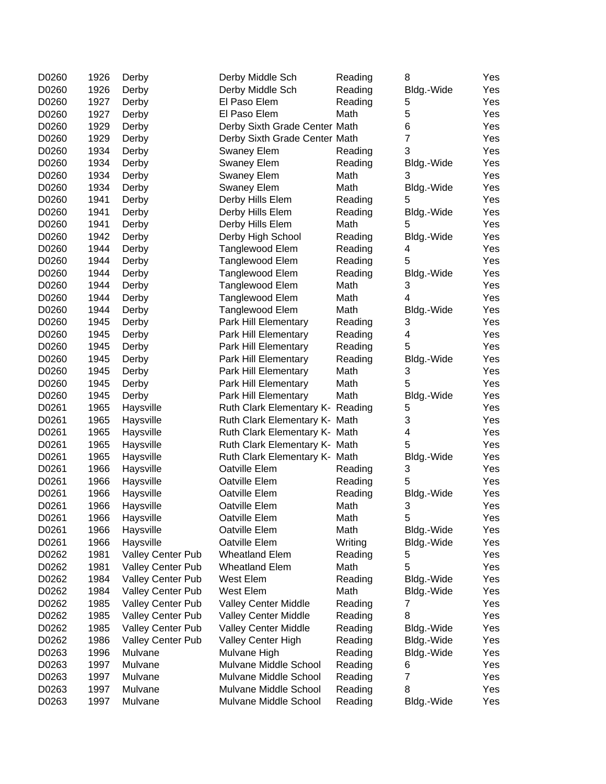| D0260 | 1926 | Derby             | Derby Middle Sch                 | Reading | 8              | Yes |
|-------|------|-------------------|----------------------------------|---------|----------------|-----|
| D0260 | 1926 | Derby             | Derby Middle Sch                 | Reading | Bldg.-Wide     | Yes |
| D0260 | 1927 | Derby             | El Paso Elem                     | Reading | 5              | Yes |
| D0260 | 1927 | Derby             | El Paso Elem                     | Math    | 5              | Yes |
| D0260 | 1929 | Derby             | Derby Sixth Grade Center Math    |         | 6              | Yes |
| D0260 | 1929 | Derby             | Derby Sixth Grade Center Math    |         | $\overline{7}$ | Yes |
| D0260 | 1934 | Derby             | <b>Swaney Elem</b>               | Reading | 3              | Yes |
| D0260 | 1934 | Derby             | <b>Swaney Elem</b>               | Reading | Bldg.-Wide     | Yes |
| D0260 | 1934 | Derby             | <b>Swaney Elem</b>               | Math    | 3              | Yes |
| D0260 | 1934 | Derby             | <b>Swaney Elem</b>               | Math    | Bldg.-Wide     | Yes |
| D0260 | 1941 | Derby             | Derby Hills Elem                 | Reading | 5              | Yes |
| D0260 | 1941 | Derby             | Derby Hills Elem                 | Reading | Bldg.-Wide     | Yes |
| D0260 | 1941 | Derby             | Derby Hills Elem                 | Math    | 5              | Yes |
| D0260 | 1942 | Derby             | Derby High School                | Reading | Bldg.-Wide     | Yes |
| D0260 | 1944 | Derby             | Tanglewood Elem                  | Reading | 4              | Yes |
| D0260 | 1944 | Derby             | Tanglewood Elem                  | Reading | 5              | Yes |
| D0260 | 1944 | Derby             | Tanglewood Elem                  | Reading | Bldg.-Wide     | Yes |
| D0260 | 1944 | Derby             | Tanglewood Elem                  | Math    | 3              | Yes |
| D0260 | 1944 | Derby             | Tanglewood Elem                  | Math    | 4              | Yes |
| D0260 | 1944 | Derby             | Tanglewood Elem                  | Math    | Bldg.-Wide     | Yes |
| D0260 | 1945 | Derby             | Park Hill Elementary             | Reading | 3              | Yes |
| D0260 | 1945 | Derby             | Park Hill Elementary             | Reading | 4              | Yes |
| D0260 | 1945 | Derby             | Park Hill Elementary             | Reading | 5              | Yes |
| D0260 | 1945 | Derby             | Park Hill Elementary             | Reading | Bldg.-Wide     | Yes |
| D0260 | 1945 | Derby             | Park Hill Elementary             | Math    | 3              | Yes |
| D0260 | 1945 | Derby             | Park Hill Elementary             | Math    | 5              | Yes |
| D0260 | 1945 | Derby             | Park Hill Elementary             | Math    | Bldg.-Wide     | Yes |
| D0261 | 1965 | Haysville         | Ruth Clark Elementary K- Reading |         | 5              | Yes |
| D0261 | 1965 | Haysville         | Ruth Clark Elementary K- Math    |         | 3              | Yes |
| D0261 | 1965 | Haysville         | Ruth Clark Elementary K- Math    |         | 4              | Yes |
| D0261 | 1965 | Haysville         | Ruth Clark Elementary K- Math    |         | 5              | Yes |
| D0261 | 1965 | Haysville         | Ruth Clark Elementary K- Math    |         | Bldg.-Wide     | Yes |
| D0261 | 1966 | Haysville         | Oatville Elem                    | Reading | 3              | Yes |
| D0261 | 1966 | Haysville         | Oatville Elem                    | Reading | 5              | Yes |
| D0261 | 1966 | Haysville         | Oatville Elem                    | Reading | Bldg.-Wide     | Yes |
| D0261 | 1966 | Haysville         | Oatville Elem                    | Math    | 3              | Yes |
| D0261 | 1966 | Haysville         | Oatville Elem                    | Math    | 5              | Yes |
| D0261 | 1966 | Haysville         | Oatville Elem                    | Math    | Bldg.-Wide     | Yes |
| D0261 | 1966 | Haysville         | Oatville Elem                    | Writing | Bldg.-Wide     | Yes |
| D0262 | 1981 | Valley Center Pub | <b>Wheatland Elem</b>            | Reading | 5              | Yes |
| D0262 | 1981 | Valley Center Pub | <b>Wheatland Elem</b>            | Math    | 5              | Yes |
| D0262 | 1984 | Valley Center Pub | West Elem                        | Reading | Bldg.-Wide     | Yes |
| D0262 | 1984 | Valley Center Pub | West Elem                        | Math    | Bldg.-Wide     | Yes |
| D0262 | 1985 | Valley Center Pub | Valley Center Middle             | Reading | 7              | Yes |
| D0262 | 1985 | Valley Center Pub | <b>Valley Center Middle</b>      | Reading | 8              | Yes |
| D0262 | 1985 | Valley Center Pub | Valley Center Middle             | Reading | Bldg.-Wide     | Yes |
| D0262 | 1986 | Valley Center Pub | Valley Center High               | Reading | Bldg.-Wide     | Yes |
| D0263 | 1996 | Mulvane           | Mulvane High                     | Reading | Bldg.-Wide     | Yes |
| D0263 | 1997 | Mulvane           | Mulvane Middle School            | Reading | 6              | Yes |
| D0263 | 1997 | Mulvane           | Mulvane Middle School            | Reading | 7              | Yes |
| D0263 | 1997 | Mulvane           | Mulvane Middle School            | Reading | 8              | Yes |
| D0263 | 1997 | Mulvane           | Mulvane Middle School            | Reading | Bldg.-Wide     | Yes |
|       |      |                   |                                  |         |                |     |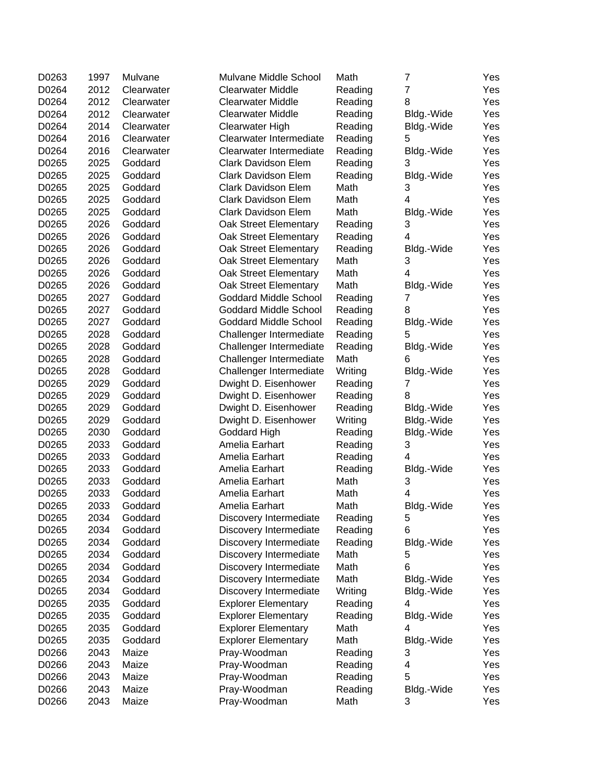| D0263 | 1997 | Mulvane    | Mulvane Middle School        | Math    | 7              | Yes |
|-------|------|------------|------------------------------|---------|----------------|-----|
| D0264 | 2012 | Clearwater | <b>Clearwater Middle</b>     | Reading | $\overline{7}$ | Yes |
| D0264 | 2012 | Clearwater | <b>Clearwater Middle</b>     | Reading | 8              | Yes |
| D0264 | 2012 | Clearwater | <b>Clearwater Middle</b>     | Reading | Bldg.-Wide     | Yes |
| D0264 | 2014 | Clearwater | Clearwater High              | Reading | Bldg.-Wide     | Yes |
| D0264 | 2016 | Clearwater | Clearwater Intermediate      | Reading | 5              | Yes |
| D0264 | 2016 | Clearwater | Clearwater Intermediate      | Reading | Bldg.-Wide     | Yes |
| D0265 | 2025 | Goddard    | <b>Clark Davidson Elem</b>   | Reading | 3              | Yes |
| D0265 | 2025 | Goddard    | <b>Clark Davidson Elem</b>   | Reading | Bldg.-Wide     | Yes |
| D0265 | 2025 | Goddard    | <b>Clark Davidson Elem</b>   | Math    | 3              | Yes |
| D0265 | 2025 | Goddard    | <b>Clark Davidson Elem</b>   | Math    | 4              | Yes |
| D0265 | 2025 | Goddard    | Clark Davidson Elem          | Math    | Bldg.-Wide     | Yes |
| D0265 | 2026 | Goddard    | Oak Street Elementary        | Reading | 3              | Yes |
| D0265 | 2026 | Goddard    | Oak Street Elementary        | Reading | 4              | Yes |
| D0265 | 2026 | Goddard    | Oak Street Elementary        | Reading | Bldg.-Wide     | Yes |
| D0265 | 2026 | Goddard    | Oak Street Elementary        | Math    | 3              | Yes |
| D0265 | 2026 | Goddard    | Oak Street Elementary        | Math    | 4              | Yes |
| D0265 | 2026 | Goddard    | Oak Street Elementary        | Math    | Bldg.-Wide     | Yes |
| D0265 | 2027 | Goddard    | Goddard Middle School        | Reading | 7              | Yes |
| D0265 | 2027 | Goddard    | <b>Goddard Middle School</b> | Reading | 8              | Yes |
| D0265 | 2027 | Goddard    | <b>Goddard Middle School</b> | Reading | Bldg.-Wide     | Yes |
| D0265 | 2028 | Goddard    | Challenger Intermediate      | Reading | 5              | Yes |
| D0265 | 2028 | Goddard    | Challenger Intermediate      | Reading | Bldg.-Wide     | Yes |
| D0265 | 2028 | Goddard    | Challenger Intermediate      | Math    | 6              | Yes |
| D0265 | 2028 | Goddard    | Challenger Intermediate      | Writing | Bldg.-Wide     | Yes |
| D0265 | 2029 | Goddard    | Dwight D. Eisenhower         | Reading | 7              | Yes |
| D0265 | 2029 | Goddard    | Dwight D. Eisenhower         | Reading | 8              | Yes |
| D0265 | 2029 | Goddard    | Dwight D. Eisenhower         | Reading | Bldg.-Wide     | Yes |
| D0265 | 2029 | Goddard    | Dwight D. Eisenhower         | Writing | Bldg.-Wide     | Yes |
| D0265 | 2030 | Goddard    | Goddard High                 | Reading | Bldg.-Wide     | Yes |
| D0265 | 2033 | Goddard    | Amelia Earhart               | Reading | 3              | Yes |
| D0265 | 2033 | Goddard    | Amelia Earhart               | Reading | 4              | Yes |
| D0265 | 2033 | Goddard    | Amelia Earhart               | Reading | Bldg.-Wide     | Yes |
| D0265 | 2033 | Goddard    | Amelia Earhart               | Math    | 3              | Yes |
| D0265 | 2033 | Goddard    | Amelia Earhart               | Math    | 4              | Yes |
| D0265 | 2033 | Goddard    | Amelia Earhart               | Math    | Bldg.-Wide     | Yes |
| D0265 | 2034 | Goddard    | Discovery Intermediate       | Reading | 5              | Yes |
| D0265 | 2034 | Goddard    | Discovery Intermediate       | Reading | 6              | Yes |
| D0265 | 2034 | Goddard    | Discovery Intermediate       | Reading | Bldg.-Wide     | Yes |
| D0265 | 2034 | Goddard    | Discovery Intermediate       | Math    | 5              | Yes |
| D0265 | 2034 | Goddard    | Discovery Intermediate       | Math    | 6              | Yes |
| D0265 | 2034 | Goddard    | Discovery Intermediate       | Math    | Bldg.-Wide     | Yes |
| D0265 | 2034 | Goddard    | Discovery Intermediate       | Writing | Bldg.-Wide     | Yes |
| D0265 | 2035 | Goddard    | <b>Explorer Elementary</b>   | Reading | 4              | Yes |
| D0265 | 2035 | Goddard    | <b>Explorer Elementary</b>   | Reading | Bldg.-Wide     | Yes |
| D0265 | 2035 | Goddard    | <b>Explorer Elementary</b>   | Math    | 4              | Yes |
| D0265 | 2035 | Goddard    | <b>Explorer Elementary</b>   | Math    | Bldg.-Wide     | Yes |
| D0266 | 2043 | Maize      | Pray-Woodman                 | Reading | 3              | Yes |
| D0266 | 2043 | Maize      | Pray-Woodman                 | Reading | 4              | Yes |
| D0266 | 2043 | Maize      | Pray-Woodman                 | Reading | 5              | Yes |
| D0266 | 2043 | Maize      | Pray-Woodman                 | Reading | Bldg.-Wide     | Yes |
| D0266 | 2043 | Maize      | Pray-Woodman                 | Math    | 3              | Yes |
|       |      |            |                              |         |                |     |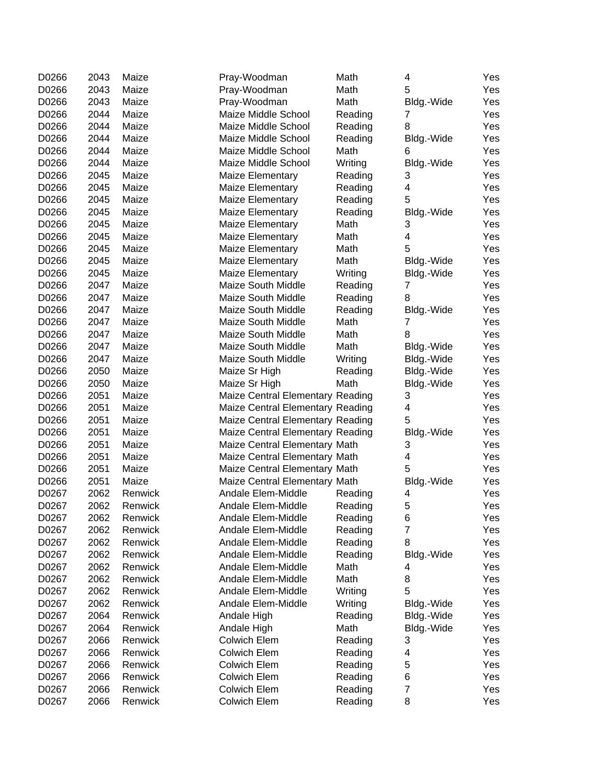| D0266 | 2043 | Maize   | Pray-Woodman                     | Math    | 4              | Yes |
|-------|------|---------|----------------------------------|---------|----------------|-----|
| D0266 | 2043 | Maize   | Pray-Woodman                     | Math    | 5              | Yes |
| D0266 | 2043 | Maize   | Pray-Woodman                     | Math    | Bldg.-Wide     | Yes |
| D0266 | 2044 | Maize   | Maize Middle School              | Reading | 7              | Yes |
| D0266 | 2044 | Maize   | Maize Middle School              | Reading | 8              | Yes |
| D0266 | 2044 | Maize   | Maize Middle School              | Reading | Bldg.-Wide     | Yes |
| D0266 | 2044 | Maize   | Maize Middle School              | Math    | 6              | Yes |
| D0266 | 2044 | Maize   | Maize Middle School              | Writing | Bldg.-Wide     | Yes |
| D0266 | 2045 | Maize   | Maize Elementary                 | Reading | 3              | Yes |
| D0266 | 2045 | Maize   | Maize Elementary                 | Reading | 4              | Yes |
| D0266 | 2045 | Maize   | Maize Elementary                 | Reading | 5              | Yes |
| D0266 | 2045 | Maize   | Maize Elementary                 | Reading | Bldg.-Wide     | Yes |
| D0266 | 2045 | Maize   | Maize Elementary                 | Math    | 3              | Yes |
| D0266 | 2045 | Maize   | Maize Elementary                 | Math    | 4              | Yes |
| D0266 | 2045 | Maize   | Maize Elementary                 | Math    | 5              | Yes |
| D0266 | 2045 | Maize   | Maize Elementary                 | Math    | Bldg.-Wide     | Yes |
| D0266 | 2045 | Maize   | Maize Elementary                 | Writing | Bldg.-Wide     | Yes |
| D0266 | 2047 | Maize   | <b>Maize South Middle</b>        | Reading | 7              | Yes |
| D0266 | 2047 | Maize   | Maize South Middle               | Reading | 8              | Yes |
| D0266 | 2047 | Maize   | Maize South Middle               | Reading | Bldg.-Wide     | Yes |
| D0266 | 2047 | Maize   | <b>Maize South Middle</b>        | Math    | 7              | Yes |
| D0266 | 2047 | Maize   | Maize South Middle               | Math    | 8              | Yes |
| D0266 | 2047 | Maize   | <b>Maize South Middle</b>        | Math    | Bldg.-Wide     | Yes |
| D0266 | 2047 | Maize   | Maize South Middle               | Writing | Bldg.-Wide     | Yes |
| D0266 | 2050 | Maize   | Maize Sr High                    | Reading | Bldg.-Wide     | Yes |
| D0266 | 2050 | Maize   | Maize Sr High                    | Math    | Bldg.-Wide     | Yes |
| D0266 | 2051 | Maize   | Maize Central Elementary Reading |         | 3              | Yes |
| D0266 | 2051 | Maize   | Maize Central Elementary Reading |         | 4              | Yes |
| D0266 | 2051 | Maize   | Maize Central Elementary Reading |         | 5              | Yes |
| D0266 | 2051 | Maize   | Maize Central Elementary Reading |         | Bldg.-Wide     | Yes |
| D0266 | 2051 | Maize   | Maize Central Elementary Math    |         | 3              | Yes |
| D0266 | 2051 | Maize   | Maize Central Elementary Math    |         | 4              | Yes |
| D0266 | 2051 | Maize   | Maize Central Elementary Math    |         | 5              | Yes |
| D0266 | 2051 | Maize   | Maize Central Elementary Math    |         | Bldg.-Wide     | Yes |
| D0267 | 2062 | Renwick | Andale Elem-Middle               | Reading | 4              | Yes |
| D0267 | 2062 | Renwick | Andale Elem-Middle               | Reading | 5              | Yes |
| D0267 | 2062 | Renwick | Andale Elem-Middle               | Reading | 6              | Yes |
| D0267 | 2062 | Renwick | Andale Elem-Middle               | Reading | $\overline{7}$ | Yes |
| D0267 | 2062 | Renwick | Andale Elem-Middle               | Reading | 8              | Yes |
| D0267 | 2062 | Renwick | Andale Elem-Middle               | Reading | Bldg.-Wide     | Yes |
| D0267 | 2062 | Renwick | Andale Elem-Middle               | Math    | 4              | Yes |
| D0267 | 2062 | Renwick | Andale Elem-Middle               | Math    | 8              | Yes |
| D0267 | 2062 | Renwick | Andale Elem-Middle               | Writing | 5              | Yes |
| D0267 | 2062 | Renwick | Andale Elem-Middle               | Writing | Bldg.-Wide     | Yes |
| D0267 | 2064 | Renwick | Andale High                      | Reading | Bldg.-Wide     | Yes |
| D0267 | 2064 | Renwick | Andale High                      | Math    | Bldg.-Wide     | Yes |
| D0267 | 2066 | Renwick | Colwich Elem                     | Reading | 3              | Yes |
| D0267 | 2066 | Renwick | <b>Colwich Elem</b>              | Reading | 4              | Yes |
| D0267 | 2066 | Renwick | <b>Colwich Elem</b>              | Reading | 5              | Yes |
| D0267 | 2066 | Renwick | Colwich Elem                     | Reading | 6              | Yes |
| D0267 | 2066 | Renwick | Colwich Elem                     | Reading | $\overline{7}$ | Yes |
| D0267 | 2066 | Renwick | <b>Colwich Elem</b>              | Reading | 8              | Yes |
|       |      |         |                                  |         |                |     |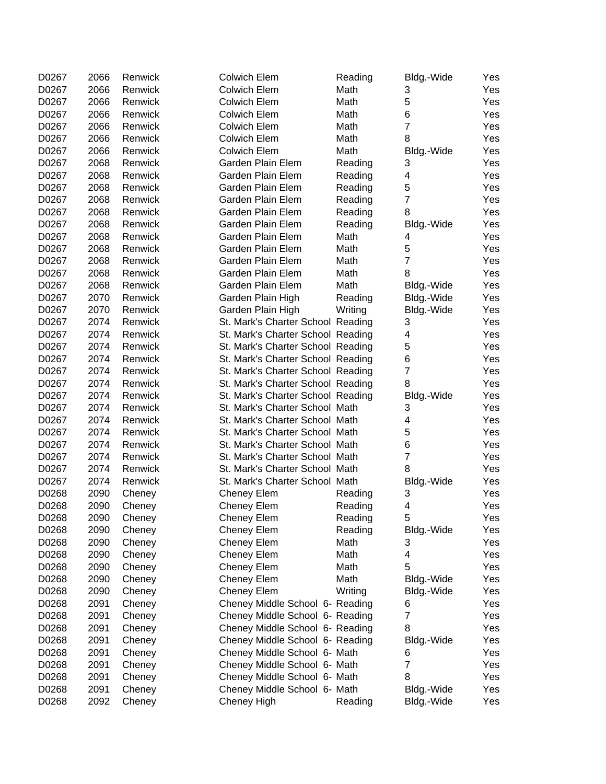| D0267 | 2066 | Renwick | <b>Colwich Elem</b>               | Reading | Bldg.-Wide     | Yes |
|-------|------|---------|-----------------------------------|---------|----------------|-----|
| D0267 | 2066 | Renwick | <b>Colwich Elem</b>               | Math    | 3              | Yes |
| D0267 | 2066 | Renwick | <b>Colwich Elem</b>               | Math    | 5              | Yes |
| D0267 | 2066 | Renwick | <b>Colwich Elem</b>               | Math    | 6              | Yes |
| D0267 | 2066 | Renwick | <b>Colwich Elem</b>               | Math    | $\overline{7}$ | Yes |
| D0267 | 2066 | Renwick | <b>Colwich Elem</b>               | Math    | 8              | Yes |
| D0267 | 2066 | Renwick | <b>Colwich Elem</b>               | Math    | Bldg.-Wide     | Yes |
| D0267 | 2068 | Renwick | Garden Plain Elem                 | Reading | 3              | Yes |
| D0267 | 2068 | Renwick | Garden Plain Elem                 | Reading | 4              | Yes |
| D0267 | 2068 | Renwick | Garden Plain Elem                 | Reading | 5              | Yes |
| D0267 | 2068 | Renwick | Garden Plain Elem                 | Reading | $\overline{7}$ | Yes |
| D0267 | 2068 | Renwick | Garden Plain Elem                 | Reading | 8              | Yes |
| D0267 | 2068 | Renwick | Garden Plain Elem                 | Reading | Bldg.-Wide     | Yes |
| D0267 | 2068 | Renwick | Garden Plain Elem                 | Math    | 4              | Yes |
| D0267 | 2068 | Renwick | Garden Plain Elem                 | Math    | 5              | Yes |
| D0267 | 2068 | Renwick | Garden Plain Elem                 | Math    | $\overline{7}$ | Yes |
| D0267 | 2068 | Renwick | Garden Plain Elem                 | Math    | 8              | Yes |
| D0267 | 2068 | Renwick | Garden Plain Elem                 | Math    | Bldg.-Wide     | Yes |
| D0267 | 2070 | Renwick | Garden Plain High                 | Reading | Bldg.-Wide     | Yes |
| D0267 | 2070 | Renwick | Garden Plain High                 | Writing | Bldg.-Wide     | Yes |
| D0267 | 2074 | Renwick | St. Mark's Charter School Reading |         | 3              | Yes |
| D0267 | 2074 | Renwick | St. Mark's Charter School Reading |         | 4              | Yes |
| D0267 | 2074 | Renwick | St. Mark's Charter School Reading |         | 5              | Yes |
| D0267 | 2074 | Renwick | St. Mark's Charter School Reading |         | 6              | Yes |
| D0267 | 2074 | Renwick | St. Mark's Charter School Reading |         | $\overline{7}$ | Yes |
| D0267 | 2074 | Renwick | St. Mark's Charter School Reading |         | 8              | Yes |
| D0267 | 2074 | Renwick | St. Mark's Charter School Reading |         | Bldg.-Wide     | Yes |
| D0267 | 2074 | Renwick | St. Mark's Charter School Math    |         | 3              | Yes |
| D0267 | 2074 | Renwick | St. Mark's Charter School Math    |         | 4              | Yes |
| D0267 | 2074 | Renwick | St. Mark's Charter School Math    |         | 5              | Yes |
| D0267 | 2074 | Renwick | St. Mark's Charter School Math    |         | 6              | Yes |
| D0267 | 2074 | Renwick | St. Mark's Charter School Math    |         | $\overline{7}$ | Yes |
| D0267 | 2074 | Renwick | St. Mark's Charter School Math    |         | 8              | Yes |
| D0267 | 2074 | Renwick | St. Mark's Charter School Math    |         | Bldg.-Wide     | Yes |
| D0268 | 2090 | Cheney  | <b>Cheney Elem</b>                | Reading | 3              | Yes |
| D0268 | 2090 | Cheney  | <b>Cheney Elem</b>                | Reading | 4              | Yes |
| D0268 | 2090 | Cheney  | Cheney Elem                       | Reading | 5              | Yes |
| D0268 | 2090 | Cheney  | <b>Cheney Elem</b>                | Reading | Bldg.-Wide     | Yes |
| D0268 | 2090 | Cheney  | <b>Cheney Elem</b>                | Math    | 3              | Yes |
| D0268 | 2090 | Cheney  | <b>Cheney Elem</b>                | Math    | 4              | Yes |
| D0268 | 2090 | Cheney  | <b>Cheney Elem</b>                | Math    | 5              | Yes |
| D0268 | 2090 | Cheney  | <b>Cheney Elem</b>                | Math    | Bldg.-Wide     | Yes |
| D0268 | 2090 | Cheney  | <b>Cheney Elem</b>                | Writing | Bldg.-Wide     | Yes |
| D0268 | 2091 | Cheney  | Cheney Middle School 6- Reading   |         | 6              | Yes |
| D0268 | 2091 | Cheney  | Cheney Middle School 6- Reading   |         | 7              | Yes |
| D0268 | 2091 | Cheney  | Cheney Middle School 6- Reading   |         | 8              | Yes |
| D0268 | 2091 | Cheney  | Cheney Middle School 6- Reading   |         | Bldg.-Wide     | Yes |
| D0268 | 2091 | Cheney  | Cheney Middle School 6- Math      |         | 6              | Yes |
| D0268 | 2091 | Cheney  | Cheney Middle School 6- Math      |         | $\overline{7}$ | Yes |
| D0268 | 2091 | Cheney  | Cheney Middle School 6- Math      |         | 8              | Yes |
| D0268 | 2091 | Cheney  | Cheney Middle School 6- Math      |         | Bldg.-Wide     | Yes |
| D0268 | 2092 | Cheney  | Cheney High                       | Reading | Bldg.-Wide     | Yes |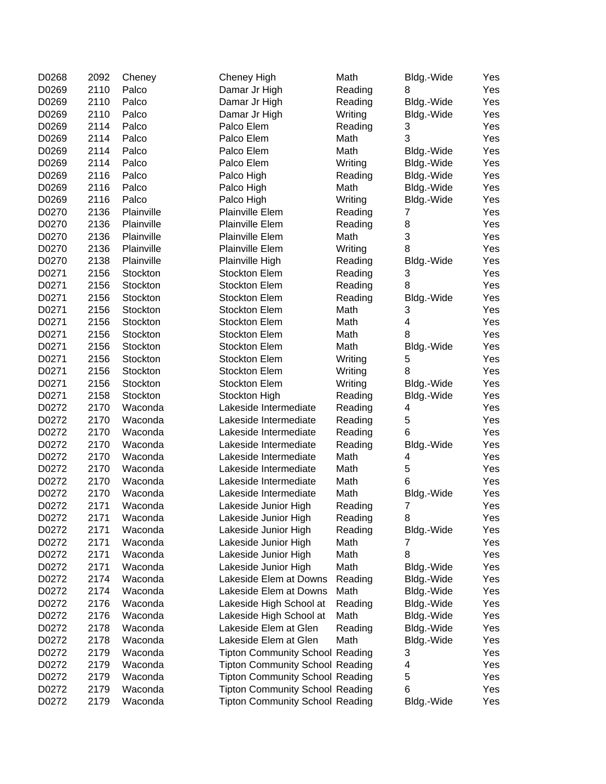| D0268 | 2092 | Cheney     | Cheney High                            | Math    | Bldg.-Wide                | Yes |
|-------|------|------------|----------------------------------------|---------|---------------------------|-----|
| D0269 | 2110 | Palco      | Damar Jr High                          | Reading | 8                         | Yes |
| D0269 | 2110 | Palco      | Damar Jr High                          | Reading | Bldg.-Wide                | Yes |
| D0269 | 2110 | Palco      | Damar Jr High                          | Writing | Bldg.-Wide                | Yes |
| D0269 | 2114 | Palco      | Palco Elem                             | Reading | 3                         | Yes |
| D0269 | 2114 | Palco      | Palco Elem                             | Math    | 3                         | Yes |
| D0269 | 2114 | Palco      | Palco Elem                             | Math    | Bldg.-Wide                | Yes |
| D0269 | 2114 | Palco      | Palco Elem                             | Writing | Bldg.-Wide                | Yes |
| D0269 | 2116 | Palco      | Palco High                             | Reading | Bldg.-Wide                | Yes |
| D0269 | 2116 | Palco      | Palco High                             | Math    | Bldg.-Wide                | Yes |
| D0269 | 2116 | Palco      | Palco High                             | Writing | Bldg.-Wide                | Yes |
| D0270 | 2136 | Plainville | <b>Plainville Elem</b>                 | Reading | 7                         | Yes |
| D0270 | 2136 | Plainville | <b>Plainville Elem</b>                 | Reading | 8                         | Yes |
| D0270 | 2136 | Plainville | <b>Plainville Elem</b>                 | Math    | $\ensuremath{\mathsf{3}}$ | Yes |
| D0270 | 2136 | Plainville | <b>Plainville Elem</b>                 | Writing | 8                         | Yes |
| D0270 | 2138 | Plainville | Plainville High                        | Reading | Bldg.-Wide                | Yes |
| D0271 | 2156 | Stockton   | Stockton Elem                          | Reading | 3                         | Yes |
| D0271 | 2156 | Stockton   | Stockton Elem                          | Reading | 8                         | Yes |
| D0271 | 2156 | Stockton   | Stockton Elem                          | Reading | Bldg.-Wide                | Yes |
| D0271 | 2156 | Stockton   | <b>Stockton Elem</b>                   | Math    | 3                         | Yes |
| D0271 | 2156 | Stockton   | Stockton Elem                          | Math    | 4                         | Yes |
| D0271 | 2156 | Stockton   | Stockton Elem                          | Math    | 8                         | Yes |
| D0271 | 2156 | Stockton   | Stockton Elem                          | Math    | Bldg.-Wide                | Yes |
| D0271 | 2156 | Stockton   | Stockton Elem                          | Writing | 5                         | Yes |
| D0271 | 2156 | Stockton   | Stockton Elem                          | Writing | 8                         | Yes |
| D0271 | 2156 | Stockton   | Stockton Elem                          | Writing | Bldg.-Wide                | Yes |
| D0271 | 2158 | Stockton   | Stockton High                          | Reading |                           | Yes |
| D0272 | 2170 | Waconda    |                                        |         | Bldg.-Wide                |     |
|       |      |            | Lakeside Intermediate                  | Reading | 4                         | Yes |
| D0272 | 2170 | Waconda    | Lakeside Intermediate                  | Reading | 5                         | Yes |
| D0272 | 2170 | Waconda    | Lakeside Intermediate                  | Reading | 6                         | Yes |
| D0272 | 2170 | Waconda    | Lakeside Intermediate                  | Reading | Bldg.-Wide                | Yes |
| D0272 | 2170 | Waconda    | Lakeside Intermediate                  | Math    | 4                         | Yes |
| D0272 | 2170 | Waconda    | Lakeside Intermediate                  | Math    | 5                         | Yes |
| D0272 | 2170 | Waconda    | Lakeside Intermediate                  | Math    | 6                         | Yes |
| D0272 | 2170 | Waconda    | Lakeside Intermediate                  | Math    | Bldg.-Wide                | Yes |
| D0272 | 2171 | Waconda    | Lakeside Junior High                   | Reading | 7                         | Yes |
| D0272 | 2171 | Waconda    | Lakeside Junior High                   | Reading | 8                         | Yes |
| D0272 | 2171 | Waconda    | Lakeside Junior High                   | Reading | Bldg.-Wide                | Yes |
| D0272 | 2171 | Waconda    | Lakeside Junior High                   | Math    | 7                         | Yes |
| D0272 | 2171 | Waconda    | Lakeside Junior High                   | Math    | 8                         | Yes |
| D0272 | 2171 | Waconda    | Lakeside Junior High                   | Math    | Bldg.-Wide                | Yes |
| D0272 | 2174 | Waconda    | Lakeside Elem at Downs                 | Reading | Bldg.-Wide                | Yes |
| D0272 | 2174 | Waconda    | Lakeside Elem at Downs                 | Math    | Bldg.-Wide                | Yes |
| D0272 | 2176 | Waconda    | Lakeside High School at                | Reading | Bldg.-Wide                | Yes |
| D0272 | 2176 | Waconda    | Lakeside High School at                | Math    | Bldg.-Wide                | Yes |
| D0272 | 2178 | Waconda    | Lakeside Elem at Glen                  | Reading | Bldg.-Wide                | Yes |
| D0272 | 2178 | Waconda    | Lakeside Elem at Glen                  | Math    | Bldg.-Wide                | Yes |
| D0272 | 2179 | Waconda    | <b>Tipton Community School Reading</b> |         | 3                         | Yes |
| D0272 | 2179 | Waconda    | <b>Tipton Community School Reading</b> |         | 4                         | Yes |
| D0272 | 2179 | Waconda    | <b>Tipton Community School Reading</b> |         | 5                         | Yes |
| D0272 | 2179 | Waconda    | <b>Tipton Community School Reading</b> |         | 6                         | Yes |
| D0272 | 2179 | Waconda    | <b>Tipton Community School Reading</b> |         | Bldg.-Wide                | Yes |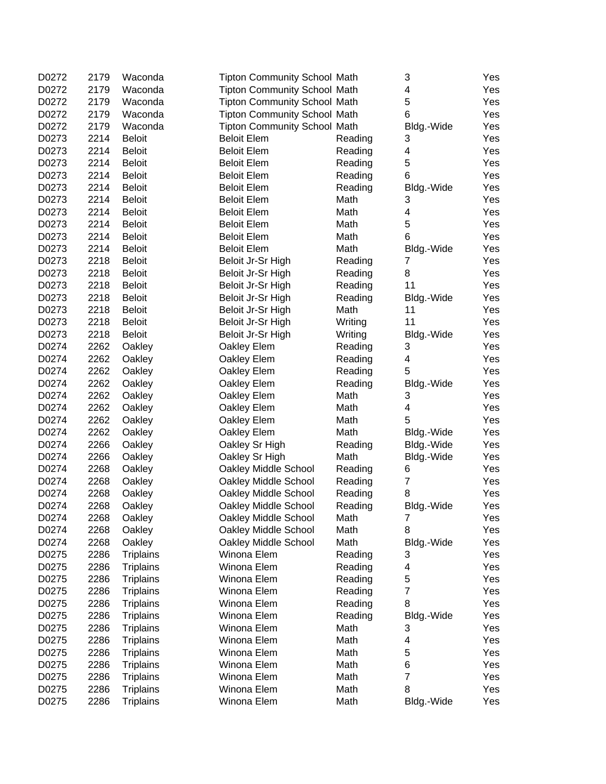| D0272 | 2179 | Waconda          | <b>Tipton Community School Math</b> |                 | 3              | Yes |
|-------|------|------------------|-------------------------------------|-----------------|----------------|-----|
| D0272 | 2179 | Waconda          | <b>Tipton Community School Math</b> |                 | 4              | Yes |
| D0272 | 2179 | Waconda          | <b>Tipton Community School Math</b> |                 | 5              | Yes |
| D0272 | 2179 | Waconda          | <b>Tipton Community School Math</b> |                 | 6              | Yes |
| D0272 | 2179 | Waconda          | <b>Tipton Community School Math</b> |                 | Bldg.-Wide     | Yes |
| D0273 | 2214 | <b>Beloit</b>    | <b>Beloit Elem</b>                  | Reading         | 3              | Yes |
| D0273 | 2214 | <b>Beloit</b>    | <b>Beloit Elem</b>                  | Reading         | 4              | Yes |
| D0273 | 2214 | <b>Beloit</b>    | <b>Beloit Elem</b>                  | Reading         | 5              | Yes |
| D0273 | 2214 | <b>Beloit</b>    | <b>Beloit Elem</b>                  | Reading         | 6              | Yes |
| D0273 | 2214 | <b>Beloit</b>    | <b>Beloit Elem</b>                  | Reading         | Bldg.-Wide     | Yes |
| D0273 | 2214 | <b>Beloit</b>    | <b>Beloit Elem</b>                  | Math            | 3              | Yes |
| D0273 | 2214 | <b>Beloit</b>    | <b>Beloit Elem</b>                  | Math            | 4              | Yes |
| D0273 | 2214 | <b>Beloit</b>    | <b>Beloit Elem</b>                  | Math            | 5              | Yes |
| D0273 | 2214 | <b>Beloit</b>    | <b>Beloit Elem</b>                  | Math            | 6              | Yes |
| D0273 | 2214 | <b>Beloit</b>    | <b>Beloit Elem</b>                  | Math            | Bldg.-Wide     | Yes |
| D0273 | 2218 | <b>Beloit</b>    | Beloit Jr-Sr High                   | Reading         | $\overline{7}$ | Yes |
| D0273 | 2218 | <b>Beloit</b>    | Beloit Jr-Sr High                   | Reading         | 8              | Yes |
| D0273 | 2218 | <b>Beloit</b>    | Beloit Jr-Sr High                   | Reading         | 11             | Yes |
| D0273 | 2218 | <b>Beloit</b>    | Beloit Jr-Sr High                   | Reading         | Bldg.-Wide     | Yes |
| D0273 | 2218 | <b>Beloit</b>    | Beloit Jr-Sr High                   | Math            | 11             | Yes |
| D0273 | 2218 | <b>Beloit</b>    | Beloit Jr-Sr High                   | Writing         | 11             | Yes |
| D0273 | 2218 | <b>Beloit</b>    | Beloit Jr-Sr High                   | Writing         | Bldg.-Wide     | Yes |
| D0274 | 2262 | Oakley           | Oakley Elem                         | Reading         | 3              | Yes |
| D0274 | 2262 | Oakley           | Oakley Elem                         | Reading         | 4              | Yes |
| D0274 | 2262 | Oakley           | Oakley Elem                         | Reading         | 5              | Yes |
| D0274 | 2262 |                  |                                     |                 |                |     |
|       |      | Oakley           | Oakley Elem                         | Reading<br>Math | Bldg.-Wide     | Yes |
| D0274 | 2262 | Oakley           | Oakley Elem                         |                 | 3              | Yes |
| D0274 | 2262 | Oakley           | Oakley Elem                         | Math            | 4<br>5         | Yes |
| D0274 | 2262 | Oakley           | Oakley Elem                         | Math            |                | Yes |
| D0274 | 2262 | Oakley           | Oakley Elem                         | Math            | Bldg.-Wide     | Yes |
| D0274 | 2266 | Oakley           | Oakley Sr High                      | Reading         | Bldg.-Wide     | Yes |
| D0274 | 2266 | Oakley           | Oakley Sr High                      | Math            | Bldg.-Wide     | Yes |
| D0274 | 2268 | Oakley           | Oakley Middle School                | Reading         | 6              | Yes |
| D0274 | 2268 | Oakley           | Oakley Middle School                | Reading         | $\overline{7}$ | Yes |
| D0274 | 2268 | Oakley           | Oakley Middle School                | Reading         | 8              | Yes |
| D0274 | 2268 | Oakley           | Oakley Middle School                | Reading         | Bldg.-Wide     | Yes |
| D0274 | 2268 | Oakley           | Oakley Middle School                | Math            | 7 <sup>1</sup> | Yes |
| D0274 | 2268 | Oakley           | Oakley Middle School                | Math            | 8              | Yes |
| D0274 | 2268 | Oakley           | Oakley Middle School                | Math            | Bldg.-Wide     | Yes |
| D0275 | 2286 | <b>Triplains</b> | Winona Elem                         | Reading         | 3              | Yes |
| D0275 | 2286 | <b>Triplains</b> | Winona Elem                         | Reading         | 4              | Yes |
| D0275 | 2286 | <b>Triplains</b> | Winona Elem                         | Reading         | 5              | Yes |
| D0275 | 2286 | <b>Triplains</b> | Winona Elem                         | Reading         | 7              | Yes |
| D0275 | 2286 | <b>Triplains</b> | Winona Elem                         | Reading         | 8              | Yes |
| D0275 | 2286 | <b>Triplains</b> | Winona Elem                         | Reading         | Bldg.-Wide     | Yes |
| D0275 | 2286 | <b>Triplains</b> | Winona Elem                         | Math            | 3              | Yes |
| D0275 | 2286 | <b>Triplains</b> | Winona Elem                         | Math            | 4              | Yes |
| D0275 | 2286 | <b>Triplains</b> | Winona Elem                         | Math            | 5              | Yes |
| D0275 | 2286 | <b>Triplains</b> | Winona Elem                         | Math            | 6              | Yes |
| D0275 | 2286 | <b>Triplains</b> | Winona Elem                         | Math            | $\overline{7}$ | Yes |
| D0275 | 2286 | <b>Triplains</b> | Winona Elem                         | Math            | 8              | Yes |
| D0275 | 2286 | <b>Triplains</b> | Winona Elem                         | Math            | Bldg.-Wide     | Yes |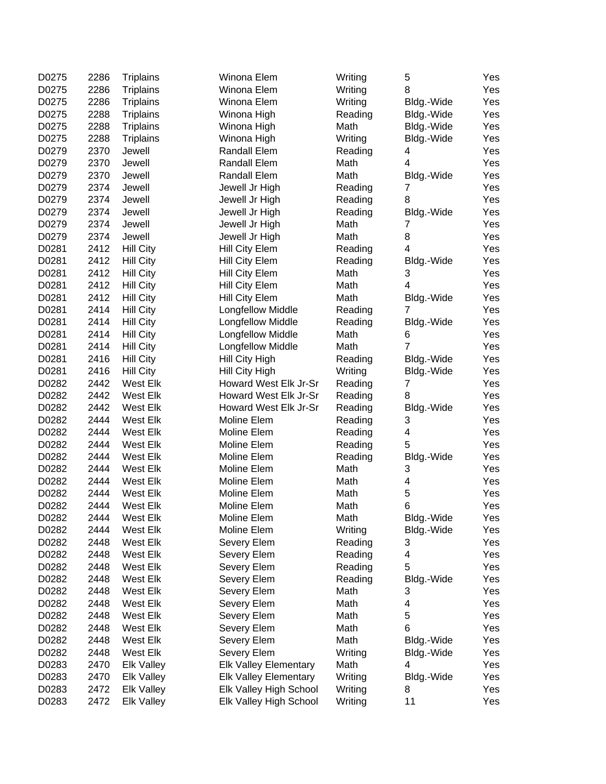| D0275 | 2286 | <b>Triplains</b>     | Winona Elem                  | Writing         | 5               | Yes |
|-------|------|----------------------|------------------------------|-----------------|-----------------|-----|
| D0275 | 2286 | <b>Triplains</b>     | Winona Elem                  | Writing         | 8               | Yes |
| D0275 | 2286 | <b>Triplains</b>     | Winona Elem                  | Writing         | Bldg.-Wide      | Yes |
| D0275 | 2288 | <b>Triplains</b>     | Winona High                  | Reading         | Bldg.-Wide      | Yes |
| D0275 | 2288 | <b>Triplains</b>     | Winona High                  | Math            | Bldg.-Wide      | Yes |
| D0275 | 2288 | <b>Triplains</b>     | Winona High                  | Writing         | Bldg.-Wide      | Yes |
| D0279 | 2370 | Jewell               | Randall Elem                 | Reading         | 4               | Yes |
| D0279 | 2370 | Jewell               | Randall Elem                 | Math            | 4               | Yes |
| D0279 | 2370 | Jewell               | Randall Elem                 | Math            | Bldg.-Wide      | Yes |
| D0279 | 2374 | Jewell               | Jewell Jr High               | Reading         | 7               | Yes |
| D0279 | 2374 | Jewell               | Jewell Jr High               | Reading         | 8               | Yes |
| D0279 | 2374 | Jewell               | Jewell Jr High               | Reading         | Bldg.-Wide      | Yes |
| D0279 | 2374 | Jewell               | Jewell Jr High               | Math            | 7               | Yes |
| D0279 | 2374 | Jewell               | Jewell Jr High               | Math            | 8               | Yes |
| D0281 | 2412 | <b>Hill City</b>     | Hill City Elem               | Reading         | 4               | Yes |
| D0281 | 2412 | <b>Hill City</b>     | Hill City Elem               | Reading         | Bldg.-Wide      | Yes |
| D0281 | 2412 | <b>Hill City</b>     | Hill City Elem               | Math            | 3               | Yes |
| D0281 | 2412 | <b>Hill City</b>     | Hill City Elem               | Math            | 4               | Yes |
| D0281 | 2412 | <b>Hill City</b>     | Hill City Elem               | Math            | Bldg.-Wide      | Yes |
| D0281 | 2414 | <b>Hill City</b>     | <b>Longfellow Middle</b>     | Reading         | 7               | Yes |
| D0281 | 2414 | <b>Hill City</b>     | Longfellow Middle            | Reading         | Bldg.-Wide      | Yes |
| D0281 | 2414 | <b>Hill City</b>     | <b>Longfellow Middle</b>     | Math            | 6               | Yes |
| D0281 | 2414 | <b>Hill City</b>     | <b>Longfellow Middle</b>     | Math            | 7               | Yes |
| D0281 | 2416 | <b>Hill City</b>     | Hill City High               | Reading         | Bldg.-Wide      | Yes |
| D0281 | 2416 | <b>Hill City</b>     | Hill City High               | Writing         | Bldg.-Wide      | Yes |
| D0282 | 2442 | West Elk             | Howard West Elk Jr-Sr        | Reading         | 7               | Yes |
| D0282 | 2442 | West Elk             | Howard West Elk Jr-Sr        | Reading         | 8               | Yes |
| D0282 | 2442 | West Elk             | Howard West Elk Jr-Sr        | Reading         | Bldg.-Wide      | Yes |
| D0282 | 2444 | West Elk             | Moline Elem                  | Reading         | 3               | Yes |
| D0282 | 2444 | West Elk             | Moline Elem                  | Reading         | 4               | Yes |
| D0282 | 2444 | West Elk             | Moline Elem                  | Reading         | 5               | Yes |
| D0282 | 2444 | West Elk             | Moline Elem                  |                 |                 | Yes |
| D0282 | 2444 | West Elk             | Moline Elem                  | Reading<br>Math | Bldg.-Wide<br>3 | Yes |
| D0282 | 2444 | West Elk             | Moline Elem                  | Math            | 4               | Yes |
|       |      |                      |                              |                 | 5               |     |
| D0282 | 2444 | West Elk             | Moline Elem<br>Moline Elem   | Math            | 6               | Yes |
| D0282 | 2444 | West Elk<br>West Elk |                              | Math            |                 | Yes |
| D0282 | 2444 |                      | Moline Elem                  | Math            | Bldg.-Wide      | Yes |
| D0282 | 2444 | West Elk             | Moline Elem                  | Writing         | Bldg.-Wide      | Yes |
| D0282 | 2448 | West Elk             | Severy Elem                  | Reading         | 3               | Yes |
| D0282 | 2448 | West Elk             | Severy Elem                  | Reading         | 4               | Yes |
| D0282 | 2448 | West Elk             | Severy Elem                  | Reading         | 5               | Yes |
| D0282 | 2448 | West Elk             | Severy Elem                  | Reading         | Bldg.-Wide      | Yes |
| D0282 | 2448 | West Elk             | Severy Elem                  | Math            | 3               | Yes |
| D0282 | 2448 | West Elk             | Severy Elem                  | Math            | 4               | Yes |
| D0282 | 2448 | West Elk             | Severy Elem                  | Math            | 5               | Yes |
| D0282 | 2448 | West Elk             | Severy Elem                  | Math            | 6               | Yes |
| D0282 | 2448 | West Elk             | Severy Elem                  | Math            | Bldg.-Wide      | Yes |
| D0282 | 2448 | West Elk             | Severy Elem                  | Writing         | Bldg.-Wide      | Yes |
| D0283 | 2470 | <b>Elk Valley</b>    | <b>Elk Valley Elementary</b> | Math            | 4               | Yes |
| D0283 | 2470 | <b>Elk Valley</b>    | <b>Elk Valley Elementary</b> | Writing         | Bldg.-Wide      | Yes |
| D0283 | 2472 | <b>Elk Valley</b>    | Elk Valley High School       | Writing         | 8               | Yes |
| D0283 | 2472 | <b>Elk Valley</b>    | Elk Valley High School       | Writing         | 11              | Yes |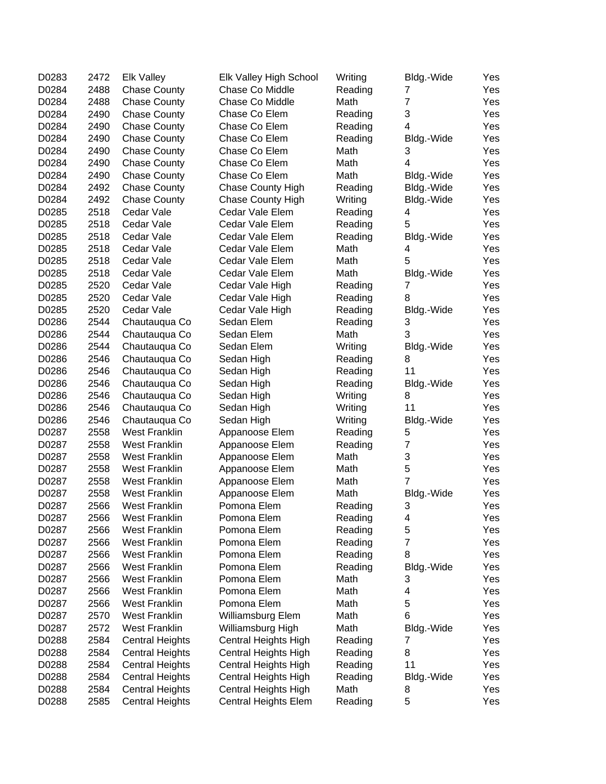| D0283 | 2472 | <b>Elk Valley</b>      | Elk Valley High School   | Writing | Bldg.-Wide              | Yes |
|-------|------|------------------------|--------------------------|---------|-------------------------|-----|
| D0284 | 2488 | <b>Chase County</b>    | Chase Co Middle          | Reading | 7                       | Yes |
| D0284 | 2488 | <b>Chase County</b>    | Chase Co Middle          | Math    | $\overline{7}$          | Yes |
| D0284 | 2490 | <b>Chase County</b>    | Chase Co Elem            | Reading | 3                       | Yes |
| D0284 | 2490 | <b>Chase County</b>    | Chase Co Elem            | Reading | 4                       | Yes |
| D0284 | 2490 | <b>Chase County</b>    | Chase Co Elem            | Reading | Bldg.-Wide              | Yes |
| D0284 | 2490 | <b>Chase County</b>    | Chase Co Elem            | Math    | 3                       | Yes |
| D0284 | 2490 | <b>Chase County</b>    | Chase Co Elem            | Math    | 4                       | Yes |
| D0284 | 2490 | <b>Chase County</b>    | Chase Co Elem            | Math    | Bldg.-Wide              | Yes |
| D0284 | 2492 | <b>Chase County</b>    | <b>Chase County High</b> | Reading | Bldg.-Wide              | Yes |
| D0284 | 2492 | <b>Chase County</b>    | <b>Chase County High</b> | Writing | Bldg.-Wide              | Yes |
| D0285 | 2518 | Cedar Vale             | Cedar Vale Elem          | Reading | 4                       | Yes |
| D0285 | 2518 | Cedar Vale             | Cedar Vale Elem          | Reading | 5                       | Yes |
| D0285 | 2518 | Cedar Vale             | Cedar Vale Elem          | Reading | Bldg.-Wide              | Yes |
| D0285 | 2518 | Cedar Vale             | Cedar Vale Elem          | Math    | 4                       | Yes |
| D0285 | 2518 | Cedar Vale             | Cedar Vale Elem          | Math    | 5                       | Yes |
| D0285 | 2518 | Cedar Vale             | Cedar Vale Elem          | Math    | Bldg.-Wide              | Yes |
| D0285 | 2520 | Cedar Vale             | Cedar Vale High          | Reading | 7                       | Yes |
| D0285 | 2520 | Cedar Vale             | Cedar Vale High          | Reading | 8                       | Yes |
| D0285 | 2520 | Cedar Vale             | Cedar Vale High          | Reading | Bldg.-Wide              | Yes |
| D0286 | 2544 | Chautauqua Co          | Sedan Elem               | Reading | 3                       | Yes |
| D0286 | 2544 | Chautauqua Co          | Sedan Elem               | Math    | 3                       | Yes |
| D0286 | 2544 | Chautauqua Co          | Sedan Elem               | Writing | Bldg.-Wide              | Yes |
| D0286 | 2546 | Chautauqua Co          | Sedan High               | Reading | 8                       | Yes |
| D0286 | 2546 | Chautauqua Co          | Sedan High               | Reading | 11                      | Yes |
| D0286 | 2546 | Chautauqua Co          | Sedan High               | Reading | Bldg.-Wide              | Yes |
| D0286 | 2546 | Chautauqua Co          | Sedan High               | Writing | 8                       | Yes |
| D0286 | 2546 | Chautauqua Co          | Sedan High               | Writing | 11                      | Yes |
| D0286 | 2546 | Chautauqua Co          | Sedan High               | Writing | Bldg.-Wide              | Yes |
| D0287 | 2558 | <b>West Franklin</b>   | Appanoose Elem           | Reading | 5                       | Yes |
| D0287 | 2558 | <b>West Franklin</b>   | Appanoose Elem           | Reading | $\overline{\mathbf{7}}$ | Yes |
| D0287 | 2558 | <b>West Franklin</b>   | Appanoose Elem           | Math    | 3                       | Yes |
| D0287 | 2558 | <b>West Franklin</b>   | Appanoose Elem           | Math    | 5                       | Yes |
| D0287 | 2558 | <b>West Franklin</b>   | Appanoose Elem           | Math    | $\overline{7}$          | Yes |
| D0287 | 2558 | <b>West Franklin</b>   | Appanoose Elem           | Math    | Bldg.-Wide              | Yes |
| D0287 | 2566 | <b>West Franklin</b>   | Pomona Elem              | Reading | 3                       | Yes |
| D0287 | 2566 | <b>West Franklin</b>   | Pomona Elem              | Reading | 4                       | Yes |
| D0287 | 2566 | <b>West Franklin</b>   | Pomona Elem              | Reading | 5                       | Yes |
| D0287 | 2566 | <b>West Franklin</b>   | Pomona Elem              | Reading | $\overline{7}$          | Yes |
| D0287 | 2566 | <b>West Franklin</b>   | Pomona Elem              | Reading | 8                       | Yes |
| D0287 | 2566 | <b>West Franklin</b>   | Pomona Elem              | Reading | Bldg.-Wide              | Yes |
| D0287 | 2566 | <b>West Franklin</b>   | Pomona Elem              | Math    | 3                       | Yes |
| D0287 | 2566 | <b>West Franklin</b>   | Pomona Elem              | Math    | 4                       | Yes |
| D0287 | 2566 | <b>West Franklin</b>   | Pomona Elem              | Math    | 5                       | Yes |
| D0287 | 2570 | <b>West Franklin</b>   | Williamsburg Elem        | Math    | 6                       | Yes |
| D0287 | 2572 | <b>West Franklin</b>   | Williamsburg High        | Math    |                         |     |
|       | 2584 |                        |                          |         | Bldg.-Wide<br>7         | Yes |
| D0288 |      | <b>Central Heights</b> | Central Heights High     | Reading |                         | Yes |
| D0288 | 2584 | <b>Central Heights</b> | Central Heights High     | Reading | 8<br>11                 | Yes |
| D0288 | 2584 | <b>Central Heights</b> | Central Heights High     | Reading |                         | Yes |
| D0288 | 2584 | <b>Central Heights</b> | Central Heights High     | Reading | Bldg.-Wide              | Yes |
| D0288 | 2584 | <b>Central Heights</b> | Central Heights High     | Math    | 8                       | Yes |
| D0288 | 2585 | <b>Central Heights</b> | Central Heights Elem     | Reading | 5                       | Yes |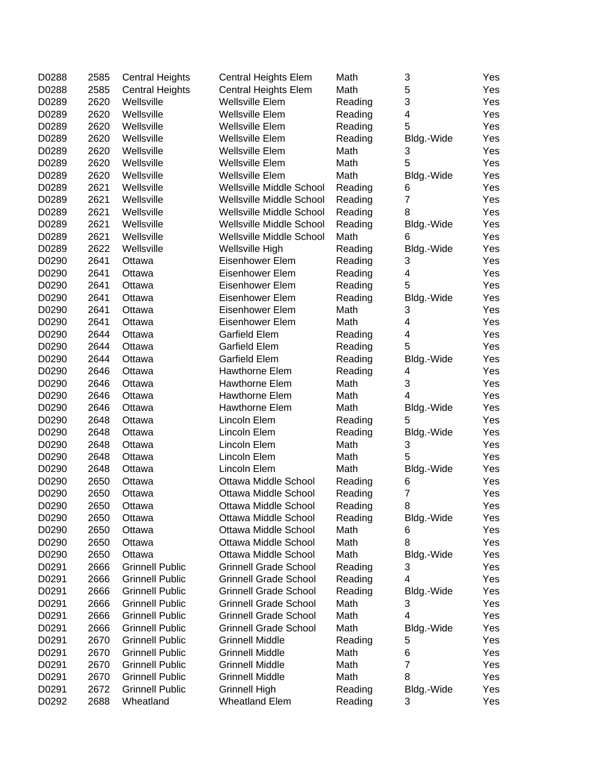| D0288 | 2585 | <b>Central Heights</b> | <b>Central Heights Elem</b>  | Math            | 3               | Yes |
|-------|------|------------------------|------------------------------|-----------------|-----------------|-----|
| D0288 | 2585 | <b>Central Heights</b> | <b>Central Heights Elem</b>  | Math            | 5               | Yes |
| D0289 | 2620 | Wellsville             | <b>Wellsville Elem</b>       | Reading         | 3               | Yes |
| D0289 | 2620 | Wellsville             | <b>Wellsville Elem</b>       | Reading         | 4               | Yes |
| D0289 | 2620 | Wellsville             | Wellsville Elem              | Reading         | 5               | Yes |
| D0289 | 2620 | Wellsville             | <b>Wellsville Elem</b>       | Reading         | Bldg.-Wide      | Yes |
| D0289 | 2620 | Wellsville             | Wellsville Elem              | Math            | 3               | Yes |
| D0289 | 2620 | Wellsville             | Wellsville Elem              | Math            | 5               | Yes |
| D0289 | 2620 | Wellsville             | <b>Wellsville Elem</b>       | Math            | Bldg.-Wide      | Yes |
| D0289 | 2621 | Wellsville             | Wellsville Middle School     | Reading         | 6               | Yes |
| D0289 | 2621 | Wellsville             | Wellsville Middle School     | Reading         | $\overline{7}$  | Yes |
| D0289 | 2621 | Wellsville             | Wellsville Middle School     | Reading         | 8               | Yes |
| D0289 | 2621 | Wellsville             | Wellsville Middle School     | Reading         | Bldg.-Wide      | Yes |
| D0289 | 2621 | Wellsville             | Wellsville Middle School     | Math            | 6               | Yes |
| D0289 | 2622 | Wellsville             | Wellsville High              | Reading         | Bldg.-Wide      | Yes |
| D0290 | 2641 | Ottawa                 | Eisenhower Elem              | Reading         | 3               | Yes |
| D0290 | 2641 | Ottawa                 | Eisenhower Elem              | Reading         | 4               | Yes |
| D0290 | 2641 | Ottawa                 | Eisenhower Elem              | Reading         | 5               | Yes |
| D0290 | 2641 | Ottawa                 | Eisenhower Elem              | Reading         | Bldg.-Wide      | Yes |
| D0290 | 2641 | Ottawa                 | Eisenhower Elem              | Math            | 3               | Yes |
| D0290 | 2641 | Ottawa                 | Eisenhower Elem              | Math            | 4               | Yes |
| D0290 | 2644 | Ottawa                 | <b>Garfield Elem</b>         | Reading         | 4               | Yes |
| D0290 | 2644 | Ottawa                 | <b>Garfield Elem</b>         | Reading         | 5               | Yes |
| D0290 | 2644 | Ottawa                 | Garfield Elem                | Reading         | Bldg.-Wide      | Yes |
| D0290 | 2646 | Ottawa                 | Hawthorne Elem               | Reading         | 4               | Yes |
| D0290 | 2646 | Ottawa                 | Hawthorne Elem               | Math            | 3               | Yes |
| D0290 | 2646 | Ottawa                 | Hawthorne Elem               | Math            | 4               | Yes |
| D0290 | 2646 | Ottawa                 | Hawthorne Elem               | Math            | Bldg.-Wide      | Yes |
| D0290 | 2648 | Ottawa                 | Lincoln Elem                 | Reading         | 5               | Yes |
| D0290 | 2648 | Ottawa                 | Lincoln Elem                 | Reading         | Bldg.-Wide      | Yes |
| D0290 | 2648 | Ottawa                 | Lincoln Elem                 | Math            | 3               | Yes |
| D0290 | 2648 | Ottawa                 | Lincoln Elem                 | Math            | 5               | Yes |
| D0290 | 2648 | Ottawa                 | Lincoln Elem                 | Math            | Bldg.-Wide      | Yes |
| D0290 | 2650 | Ottawa                 | <b>Ottawa Middle School</b>  | Reading         | 6               | Yes |
| D0290 | 2650 | Ottawa                 | Ottawa Middle School         | Reading         | $\overline{7}$  | Yes |
| D0290 | 2650 | Ottawa                 | Ottawa Middle School         | Reading         | 8               | Yes |
| D0290 | 2650 | Ottawa                 | Ottawa Middle School         | Reading         | Bldg.-Wide      | Yes |
| D0290 | 2650 | Ottawa                 | Ottawa Middle School         | Math            | 6               | Yes |
| D0290 | 2650 | Ottawa                 | Ottawa Middle School         | Math            | 8               | Yes |
| D0290 | 2650 | Ottawa                 | Ottawa Middle School         | Math            | Bldg.-Wide      | Yes |
| D0291 | 2666 | <b>Grinnell Public</b> | <b>Grinnell Grade School</b> | Reading         | 3               | Yes |
| D0291 | 2666 | <b>Grinnell Public</b> | <b>Grinnell Grade School</b> | Reading         | 4               | Yes |
| D0291 | 2666 | <b>Grinnell Public</b> | <b>Grinnell Grade School</b> |                 |                 |     |
| D0291 | 2666 | <b>Grinnell Public</b> | <b>Grinnell Grade School</b> | Reading<br>Math | Bldg.-Wide<br>3 | Yes |
| D0291 | 2666 | <b>Grinnell Public</b> | <b>Grinnell Grade School</b> | Math            | 4               | Yes |
|       |      |                        | <b>Grinnell Grade School</b> |                 |                 | Yes |
| D0291 | 2666 | <b>Grinnell Public</b> |                              | Math            | Bldg.-Wide      | Yes |
| D0291 | 2670 | <b>Grinnell Public</b> | <b>Grinnell Middle</b>       | Reading         | 5               | Yes |
| D0291 | 2670 | <b>Grinnell Public</b> | <b>Grinnell Middle</b>       | Math            | 6               | Yes |
| D0291 | 2670 | <b>Grinnell Public</b> | <b>Grinnell Middle</b>       | Math            | 7<br>8          | Yes |
| D0291 | 2670 | <b>Grinnell Public</b> | <b>Grinnell Middle</b>       | Math            |                 | Yes |
| D0291 | 2672 | <b>Grinnell Public</b> | <b>Grinnell High</b>         | Reading         | Bldg.-Wide      | Yes |
| D0292 | 2688 | Wheatland              | <b>Wheatland Elem</b>        | Reading         | 3               | Yes |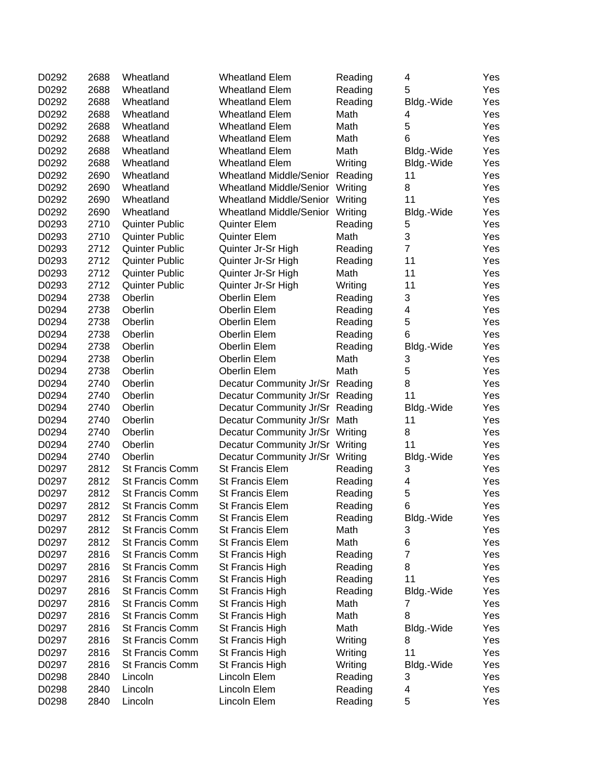| D0292          | 2688         | Wheatland                                        | <b>Wheatland Elem</b>              | Reading         | 4              | Yes |
|----------------|--------------|--------------------------------------------------|------------------------------------|-----------------|----------------|-----|
| D0292          | 2688         | Wheatland                                        | <b>Wheatland Elem</b>              | Reading         | 5              | Yes |
| D0292          | 2688         | Wheatland                                        | <b>Wheatland Elem</b>              | Reading         | Bldg.-Wide     | Yes |
| D0292          | 2688         | Wheatland                                        | <b>Wheatland Elem</b>              | Math            | 4              | Yes |
| D0292          | 2688         | Wheatland                                        | <b>Wheatland Elem</b>              | Math            | 5              | Yes |
| D0292          | 2688         | Wheatland                                        | <b>Wheatland Elem</b>              | Math            | 6              | Yes |
| D0292          | 2688         | Wheatland                                        | <b>Wheatland Elem</b>              | Math            | Bldg.-Wide     | Yes |
| D0292          | 2688         | Wheatland                                        | <b>Wheatland Elem</b>              | Writing         | Bldg.-Wide     | Yes |
| D0292          | 2690         | Wheatland                                        | Wheatland Middle/Senior            | Reading         | 11             | Yes |
| D0292          | 2690         | Wheatland                                        | <b>Wheatland Middle/Senior</b>     | Writing         | 8              | Yes |
| D0292          | 2690         | Wheatland                                        | <b>Wheatland Middle/Senior</b>     | Writing         | 11             | Yes |
| D0292          | 2690         | Wheatland                                        | Wheatland Middle/Senior            | Writing         | Bldg.-Wide     | Yes |
| D0293          | 2710         | <b>Quinter Public</b>                            | <b>Quinter Elem</b>                | Reading         | 5              | Yes |
| D0293          | 2710         | <b>Quinter Public</b>                            | <b>Quinter Elem</b>                | Math            | 3              | Yes |
| D0293          | 2712         | <b>Quinter Public</b>                            | Quinter Jr-Sr High                 | Reading         | $\overline{7}$ | Yes |
| D0293          | 2712         | <b>Quinter Public</b>                            | Quinter Jr-Sr High                 | Reading         | 11             | Yes |
| D0293          | 2712         | <b>Quinter Public</b>                            | Quinter Jr-Sr High                 | Math            | 11             | Yes |
| D0293          | 2712         | <b>Quinter Public</b>                            | Quinter Jr-Sr High                 | Writing         | 11             | Yes |
| D0294          | 2738         | Oberlin                                          | Oberlin Elem                       | Reading         | 3              | Yes |
| D0294          | 2738         | Oberlin                                          | Oberlin Elem                       | Reading         | 4              | Yes |
| D0294          | 2738         | Oberlin                                          | Oberlin Elem                       | Reading         | 5              | Yes |
| D0294          | 2738         | Oberlin                                          | Oberlin Elem                       | Reading         | 6              | Yes |
| D0294          | 2738         | Oberlin                                          | Oberlin Elem                       | Reading         | Bldg.-Wide     | Yes |
| D0294          | 2738         | Oberlin                                          | Oberlin Elem                       | Math            | 3              | Yes |
| D0294          | 2738         | Oberlin                                          | <b>Oberlin Elem</b>                | Math            | 5              | Yes |
| D0294          | 2740         | Oberlin                                          | Decatur Community Jr/Sr Reading    |                 | 8              | Yes |
| D0294          | 2740         | Oberlin                                          | Decatur Community Jr/Sr Reading    |                 | 11             | Yes |
| D0294          | 2740         | Oberlin                                          | Decatur Community Jr/Sr Reading    |                 | Bldg.-Wide     | Yes |
| D0294          | 2740         | Oberlin                                          | Decatur Community Jr/Sr Math       |                 | 11             | Yes |
| D0294          | 2740         | Oberlin                                          | Decatur Community Jr/Sr Writing    |                 | 8              | Yes |
| D0294          | 2740         | Oberlin                                          | Decatur Community Jr/Sr Writing    |                 | 11             | Yes |
| D0294          | 2740         | Oberlin                                          | Decatur Community Jr/Sr Writing    |                 | Bldg.-Wide     | Yes |
| D0297          | 2812         | <b>St Francis Comm</b>                           | St Francis Elem                    | Reading         | 3              | Yes |
| D0297          | 2812         | St Francis Comm                                  | St Francis Elem                    | Reading         | 4              | Yes |
| D0297          | 2812         | St Francis Comm                                  | St Francis Elem                    | Reading         | 5              | Yes |
| D0297          | 2812         | <b>St Francis Comm</b>                           | <b>St Francis Elem</b>             | Reading         | 6              | Yes |
|                |              |                                                  |                                    |                 | Bldg.-Wide     | Yes |
| D0297<br>D0297 | 2812<br>2812 | St Francis Comm<br>St Francis Comm               | St Francis Elem<br>St Francis Elem | Reading<br>Math | 3              | Yes |
| D0297          | 2812         | <b>St Francis Comm</b>                           | St Francis Elem                    | Math            | 6              | Yes |
| D0297          | 2816         |                                                  | St Francis High                    |                 | 7              |     |
|                |              | <b>St Francis Comm</b><br><b>St Francis Comm</b> |                                    | Reading         | 8              | Yes |
| D0297          | 2816         |                                                  | St Francis High                    | Reading         |                | Yes |
| D0297          | 2816         | St Francis Comm                                  | St Francis High                    | Reading         | 11             | Yes |
| D0297          | 2816         | St Francis Comm                                  | St Francis High                    | Reading         | Bldg.-Wide     | Yes |
| D0297          | 2816         | <b>St Francis Comm</b>                           | St Francis High                    | Math            | 7              | Yes |
| D0297          | 2816         | St Francis Comm                                  | St Francis High                    | Math            | 8              | Yes |
| D0297          | 2816         | <b>St Francis Comm</b>                           | St Francis High                    | Math            | Bldg.-Wide     | Yes |
| D0297          | 2816         | <b>St Francis Comm</b>                           | St Francis High                    | Writing         | 8              | Yes |
| D0297          | 2816         | St Francis Comm                                  | St Francis High                    | Writing         | 11             | Yes |
| D0297          | 2816         | St Francis Comm                                  | St Francis High                    | Writing         | Bldg.-Wide     | Yes |
| D0298          | 2840         | Lincoln                                          | Lincoln Elem                       | Reading         | 3              | Yes |
| D0298          | 2840         | Lincoln                                          | Lincoln Elem                       | Reading         | 4              | Yes |
| D0298          | 2840         | Lincoln                                          | Lincoln Elem                       | Reading         | 5              | Yes |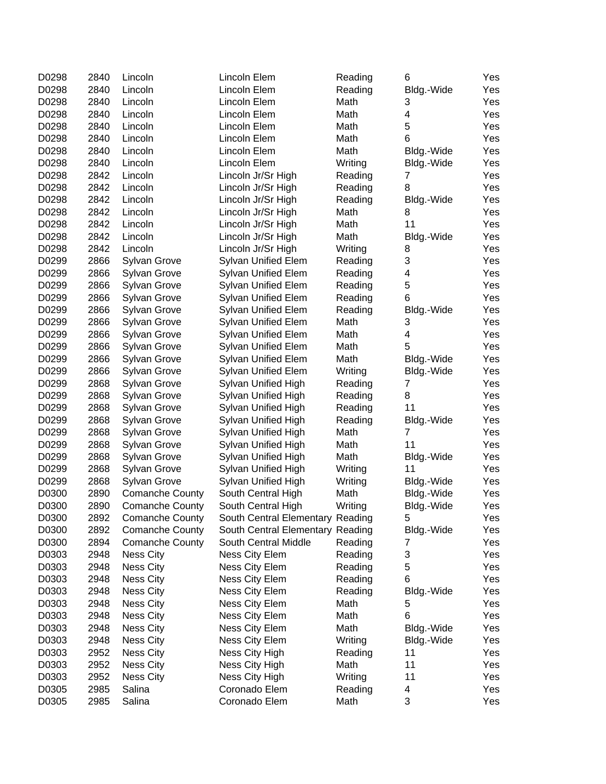| D0298 | 2840 | Lincoln                | Lincoln Elem                     | Reading | 6                       | Yes |
|-------|------|------------------------|----------------------------------|---------|-------------------------|-----|
| D0298 | 2840 | Lincoln                | Lincoln Elem                     | Reading | Bldg.-Wide              | Yes |
| D0298 | 2840 | Lincoln                | Lincoln Elem                     | Math    | 3                       | Yes |
| D0298 | 2840 | Lincoln                | Lincoln Elem                     | Math    | $\overline{\mathbf{4}}$ | Yes |
| D0298 | 2840 | Lincoln                | Lincoln Elem                     | Math    | 5                       | Yes |
| D0298 | 2840 | Lincoln                | Lincoln Elem                     | Math    | 6                       | Yes |
| D0298 | 2840 | Lincoln                | Lincoln Elem                     | Math    | Bldg.-Wide              | Yes |
| D0298 | 2840 | Lincoln                | Lincoln Elem                     | Writing | Bldg.-Wide              | Yes |
| D0298 | 2842 | Lincoln                | Lincoln Jr/Sr High               | Reading | 7                       | Yes |
| D0298 | 2842 | Lincoln                | Lincoln Jr/Sr High               | Reading | 8                       | Yes |
| D0298 | 2842 | Lincoln                | Lincoln Jr/Sr High               | Reading | Bldg.-Wide              | Yes |
| D0298 | 2842 | Lincoln                | Lincoln Jr/Sr High               | Math    | 8                       | Yes |
| D0298 | 2842 | Lincoln                | Lincoln Jr/Sr High               | Math    | 11                      | Yes |
| D0298 | 2842 | Lincoln                | Lincoln Jr/Sr High               | Math    | Bldg.-Wide              | Yes |
| D0298 | 2842 | Lincoln                | Lincoln Jr/Sr High               | Writing | 8                       | Yes |
| D0299 | 2866 | <b>Sylvan Grove</b>    | Sylvan Unified Elem              | Reading | 3                       | Yes |
| D0299 | 2866 | Sylvan Grove           | Sylvan Unified Elem              | Reading | 4                       | Yes |
| D0299 | 2866 | Sylvan Grove           | Sylvan Unified Elem              | Reading | 5                       | Yes |
| D0299 | 2866 | Sylvan Grove           | Sylvan Unified Elem              | Reading | 6                       | Yes |
| D0299 | 2866 | Sylvan Grove           | Sylvan Unified Elem              | Reading | Bldg.-Wide              | Yes |
| D0299 | 2866 | Sylvan Grove           | Sylvan Unified Elem              | Math    | 3                       | Yes |
| D0299 | 2866 | Sylvan Grove           | Sylvan Unified Elem              | Math    | 4                       | Yes |
| D0299 | 2866 | Sylvan Grove           | Sylvan Unified Elem              | Math    | 5                       | Yes |
| D0299 | 2866 | Sylvan Grove           | Sylvan Unified Elem              | Math    | Bldg.-Wide              | Yes |
| D0299 | 2866 | Sylvan Grove           | Sylvan Unified Elem              | Writing | Bldg.-Wide              | Yes |
| D0299 | 2868 | Sylvan Grove           | Sylvan Unified High              | Reading | 7                       | Yes |
| D0299 | 2868 | Sylvan Grove           | Sylvan Unified High              | Reading | 8                       | Yes |
| D0299 | 2868 | <b>Sylvan Grove</b>    | Sylvan Unified High              | Reading | 11                      | Yes |
| D0299 | 2868 | Sylvan Grove           | Sylvan Unified High              | Reading | Bldg.-Wide              | Yes |
| D0299 | 2868 | Sylvan Grove           | Sylvan Unified High              | Math    | $\overline{7}$          | Yes |
| D0299 | 2868 | Sylvan Grove           | Sylvan Unified High              | Math    | 11                      | Yes |
| D0299 | 2868 | Sylvan Grove           | Sylvan Unified High              | Math    | Bldg.-Wide              | Yes |
| D0299 | 2868 | Sylvan Grove           | Sylvan Unified High              | Writing | 11                      | Yes |
| D0299 | 2868 | Sylvan Grove           | Sylvan Unified High              | Writing | Bldg.-Wide              | Yes |
| D0300 | 2890 | <b>Comanche County</b> | South Central High               | Math    | Bldg.-Wide              | Yes |
| D0300 | 2890 | <b>Comanche County</b> | South Central High               | Writing | Bldg.-Wide              | Yes |
| D0300 | 2892 | <b>Comanche County</b> | South Central Elementary Reading |         | 5                       | Yes |
| D0300 | 2892 | <b>Comanche County</b> | South Central Elementary Reading |         | Bldg.-Wide              | Yes |
| D0300 | 2894 | <b>Comanche County</b> | South Central Middle             | Reading | 7                       | Yes |
| D0303 | 2948 | <b>Ness City</b>       | Ness City Elem                   | Reading | 3                       | Yes |
| D0303 | 2948 | <b>Ness City</b>       | Ness City Elem                   | Reading | 5                       | Yes |
| D0303 | 2948 | <b>Ness City</b>       | Ness City Elem                   | Reading | 6                       | Yes |
| D0303 | 2948 | <b>Ness City</b>       | Ness City Elem                   | Reading | Bldg.-Wide              | Yes |
| D0303 | 2948 | <b>Ness City</b>       | Ness City Elem                   | Math    | 5                       | Yes |
| D0303 | 2948 | <b>Ness City</b>       | Ness City Elem                   | Math    | 6                       | Yes |
| D0303 | 2948 | <b>Ness City</b>       | Ness City Elem                   | Math    | Bldg.-Wide              | Yes |
| D0303 | 2948 | <b>Ness City</b>       | Ness City Elem                   | Writing | Bldg.-Wide              | Yes |
| D0303 | 2952 | <b>Ness City</b>       | Ness City High                   | Reading | 11                      | Yes |
| D0303 | 2952 | <b>Ness City</b>       | Ness City High                   | Math    | 11                      | Yes |
| D0303 | 2952 | <b>Ness City</b>       | Ness City High                   | Writing | 11                      | Yes |
| D0305 | 2985 | Salina                 | Coronado Elem                    | Reading | 4                       | Yes |
| D0305 | 2985 | Salina                 | Coronado Elem                    | Math    | 3                       | Yes |
|       |      |                        |                                  |         |                         |     |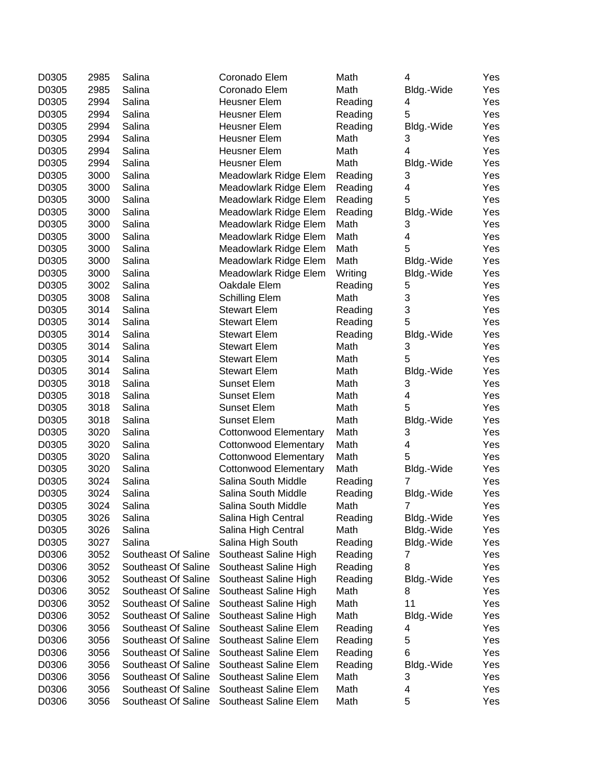| D0305 | 2985 | Salina              | Coronado Elem                | Math    | 4               | Yes |
|-------|------|---------------------|------------------------------|---------|-----------------|-----|
| D0305 | 2985 | Salina              | Coronado Elem                | Math    | Bldg.-Wide      | Yes |
| D0305 | 2994 | Salina              | <b>Heusner Elem</b>          | Reading | 4               | Yes |
| D0305 | 2994 | Salina              | <b>Heusner Elem</b>          | Reading | 5               | Yes |
| D0305 | 2994 | Salina              | <b>Heusner Elem</b>          | Reading | Bldg.-Wide      | Yes |
| D0305 | 2994 | Salina              | <b>Heusner Elem</b>          | Math    | 3               | Yes |
| D0305 | 2994 | Salina              | Heusner Elem                 | Math    | 4               | Yes |
| D0305 | 2994 | Salina              | <b>Heusner Elem</b>          | Math    | Bldg.-Wide      | Yes |
| D0305 | 3000 | Salina              | Meadowlark Ridge Elem        | Reading | 3               | Yes |
| D0305 | 3000 | Salina              | Meadowlark Ridge Elem        | Reading | 4               | Yes |
| D0305 | 3000 | Salina              | Meadowlark Ridge Elem        | Reading | 5               | Yes |
| D0305 | 3000 | Salina              | Meadowlark Ridge Elem        | Reading | Bldg.-Wide      | Yes |
| D0305 | 3000 | Salina              | Meadowlark Ridge Elem        | Math    | 3               | Yes |
| D0305 | 3000 | Salina              | Meadowlark Ridge Elem        | Math    | 4               | Yes |
| D0305 | 3000 | Salina              | Meadowlark Ridge Elem        | Math    | 5               | Yes |
| D0305 | 3000 | Salina              | Meadowlark Ridge Elem        | Math    | Bldg.-Wide      | Yes |
| D0305 | 3000 | Salina              | Meadowlark Ridge Elem        | Writing | Bldg.-Wide      | Yes |
| D0305 | 3002 | Salina              | Oakdale Elem                 | Reading | 5               | Yes |
| D0305 | 3008 | Salina              | <b>Schilling Elem</b>        | Math    | 3               | Yes |
| D0305 | 3014 | Salina              | <b>Stewart Elem</b>          | Reading | 3               | Yes |
| D0305 | 3014 | Salina              | <b>Stewart Elem</b>          | Reading | 5               | Yes |
| D0305 | 3014 | Salina              | <b>Stewart Elem</b>          | Reading | Bldg.-Wide      | Yes |
| D0305 | 3014 | Salina              | <b>Stewart Elem</b>          | Math    | 3               | Yes |
| D0305 | 3014 | Salina              | <b>Stewart Elem</b>          | Math    | 5               | Yes |
| D0305 | 3014 | Salina              | <b>Stewart Elem</b>          | Math    |                 | Yes |
| D0305 | 3018 | Salina              | <b>Sunset Elem</b>           | Math    | Bldg.-Wide<br>3 | Yes |
|       | 3018 |                     | <b>Sunset Elem</b>           | Math    |                 |     |
| D0305 |      | Salina              |                              |         | 4               | Yes |
| D0305 | 3018 | Salina              | <b>Sunset Elem</b>           | Math    | 5               | Yes |
| D0305 | 3018 | Salina              | <b>Sunset Elem</b>           | Math    | Bldg.-Wide      | Yes |
| D0305 | 3020 | Salina              | <b>Cottonwood Elementary</b> | Math    | 3               | Yes |
| D0305 | 3020 | Salina              | <b>Cottonwood Elementary</b> | Math    | 4               | Yes |
| D0305 | 3020 | Salina              | <b>Cottonwood Elementary</b> | Math    | 5               | Yes |
| D0305 | 3020 | Salina              | <b>Cottonwood Elementary</b> | Math    | Bldg.-Wide      | Yes |
| D0305 | 3024 | Salina              | Salina South Middle          | Reading | 7               | Yes |
| D0305 | 3024 | Salina              | Salina South Middle          | Reading | Bldg.-Wide      | Yes |
| D0305 | 3024 | Salina              | Salina South Middle          | Math    | 7               | Yes |
| D0305 | 3026 | Salina              | Salina High Central          | Reading | Bldg.-Wide      | Yes |
| D0305 | 3026 | Salina              | Salina High Central          | Math    | Bldg.-Wide      | Yes |
| D0305 | 3027 | Salina              | Salina High South            | Reading | Bldg.-Wide      | Yes |
| D0306 | 3052 | Southeast Of Saline | Southeast Saline High        | Reading | 7               | Yes |
| D0306 | 3052 | Southeast Of Saline | Southeast Saline High        | Reading | 8               | Yes |
| D0306 | 3052 | Southeast Of Saline | Southeast Saline High        | Reading | Bldg.-Wide      | Yes |
| D0306 | 3052 | Southeast Of Saline | Southeast Saline High        | Math    | 8               | Yes |
| D0306 | 3052 | Southeast Of Saline | Southeast Saline High        | Math    | 11              | Yes |
| D0306 | 3052 | Southeast Of Saline | Southeast Saline High        | Math    | Bldg.-Wide      | Yes |
| D0306 | 3056 | Southeast Of Saline | Southeast Saline Elem        | Reading | 4               | Yes |
| D0306 | 3056 | Southeast Of Saline | Southeast Saline Elem        | Reading | 5               | Yes |
| D0306 | 3056 | Southeast Of Saline | Southeast Saline Elem        | Reading | 6               | Yes |
| D0306 | 3056 | Southeast Of Saline | Southeast Saline Elem        | Reading | Bldg.-Wide      | Yes |
| D0306 | 3056 | Southeast Of Saline | Southeast Saline Elem        | Math    | 3               | Yes |
| D0306 | 3056 | Southeast Of Saline | Southeast Saline Elem        | Math    | 4               | Yes |
| D0306 | 3056 | Southeast Of Saline | Southeast Saline Elem        | Math    | 5               | Yes |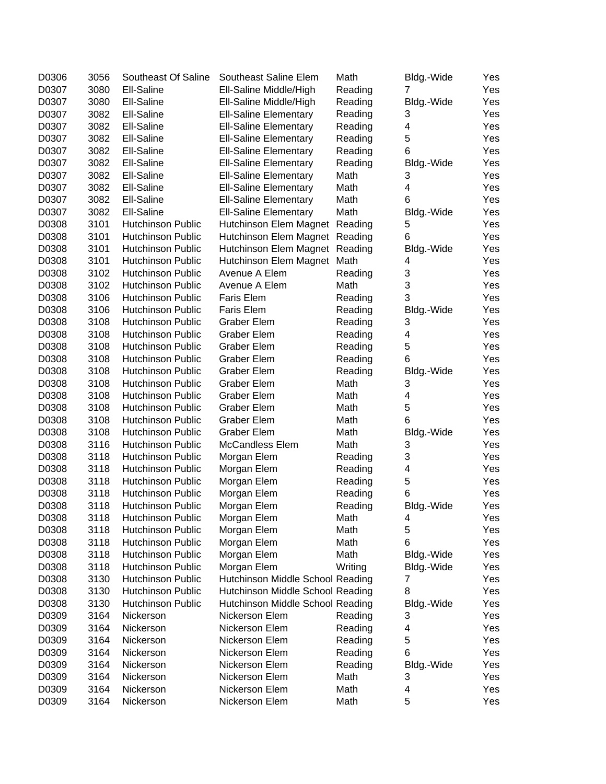| D0306 | 3056 | Southeast Of Saline      | Southeast Saline Elem            | Math    | Bldg.-Wide     | Yes |
|-------|------|--------------------------|----------------------------------|---------|----------------|-----|
| D0307 | 3080 | Ell-Saline               | Ell-Saline Middle/High           | Reading | $\overline{7}$ | Yes |
| D0307 | 3080 | Ell-Saline               | Ell-Saline Middle/High           | Reading | Bldg.-Wide     | Yes |
| D0307 | 3082 | Ell-Saline               | <b>Ell-Saline Elementary</b>     | Reading | 3              | Yes |
| D0307 | 3082 | Ell-Saline               | <b>Ell-Saline Elementary</b>     | Reading | 4              | Yes |
| D0307 | 3082 | Ell-Saline               | <b>Ell-Saline Elementary</b>     | Reading | 5              | Yes |
| D0307 | 3082 | Ell-Saline               | <b>Ell-Saline Elementary</b>     | Reading | 6              | Yes |
| D0307 | 3082 | Ell-Saline               | <b>Ell-Saline Elementary</b>     | Reading | Bldg.-Wide     | Yes |
| D0307 | 3082 | Ell-Saline               | <b>Ell-Saline Elementary</b>     | Math    | 3              | Yes |
| D0307 | 3082 | Ell-Saline               | <b>Ell-Saline Elementary</b>     | Math    | 4              | Yes |
| D0307 | 3082 | Ell-Saline               | <b>Ell-Saline Elementary</b>     | Math    | 6              | Yes |
| D0307 | 3082 | Ell-Saline               | <b>Ell-Saline Elementary</b>     | Math    | Bldg.-Wide     | Yes |
| D0308 | 3101 | <b>Hutchinson Public</b> | Hutchinson Elem Magnet           | Reading | 5              | Yes |
| D0308 | 3101 | <b>Hutchinson Public</b> | Hutchinson Elem Magnet           | Reading | 6              | Yes |
| D0308 | 3101 | <b>Hutchinson Public</b> | Hutchinson Elem Magnet Reading   |         | Bldg.-Wide     | Yes |
| D0308 | 3101 | <b>Hutchinson Public</b> | Hutchinson Elem Magnet           | Math    | 4              | Yes |
| D0308 | 3102 | <b>Hutchinson Public</b> | Avenue A Elem                    | Reading | 3              | Yes |
| D0308 | 3102 | <b>Hutchinson Public</b> | Avenue A Elem                    | Math    | 3              | Yes |
| D0308 | 3106 | <b>Hutchinson Public</b> | Faris Elem                       | Reading | 3              | Yes |
| D0308 | 3106 | Hutchinson Public        | <b>Faris Elem</b>                | Reading | Bldg.-Wide     | Yes |
| D0308 | 3108 | <b>Hutchinson Public</b> | <b>Graber Elem</b>               | Reading | 3              | Yes |
| D0308 | 3108 | <b>Hutchinson Public</b> | <b>Graber Elem</b>               | Reading | 4              | Yes |
| D0308 | 3108 | <b>Hutchinson Public</b> | <b>Graber Elem</b>               | Reading | 5              | Yes |
| D0308 | 3108 | <b>Hutchinson Public</b> | Graber Elem                      | Reading | 6              | Yes |
| D0308 | 3108 | <b>Hutchinson Public</b> | <b>Graber Elem</b>               | Reading | Bldg.-Wide     | Yes |
| D0308 | 3108 | <b>Hutchinson Public</b> | <b>Graber Elem</b>               | Math    | 3              | Yes |
| D0308 | 3108 | <b>Hutchinson Public</b> | <b>Graber Elem</b>               | Math    | 4              | Yes |
| D0308 | 3108 | Hutchinson Public        | Graber Elem                      | Math    | 5              | Yes |
| D0308 | 3108 | <b>Hutchinson Public</b> | <b>Graber Elem</b>               | Math    | 6              | Yes |
| D0308 | 3108 | <b>Hutchinson Public</b> | <b>Graber Elem</b>               | Math    | Bldg.-Wide     | Yes |
| D0308 | 3116 | <b>Hutchinson Public</b> | <b>McCandless Elem</b>           | Math    | 3              | Yes |
| D0308 | 3118 | <b>Hutchinson Public</b> | Morgan Elem                      | Reading | 3              | Yes |
| D0308 | 3118 | <b>Hutchinson Public</b> | Morgan Elem                      | Reading | 4              | Yes |
| D0308 | 3118 | <b>Hutchinson Public</b> | Morgan Elem                      | Reading | 5              | Yes |
| D0308 | 3118 | Hutchinson Public        | Morgan Elem                      | Reading | 6              | Yes |
| D0308 | 3118 | <b>Hutchinson Public</b> | Morgan Elem                      | Reading | Bldg.-Wide     | Yes |
| D0308 | 3118 | Hutchinson Public        | Morgan Elem                      | Math    | 4              | Yes |
| D0308 | 3118 | <b>Hutchinson Public</b> | Morgan Elem                      | Math    | 5              | Yes |
| D0308 | 3118 | Hutchinson Public        | Morgan Elem                      | Math    | 6              | Yes |
| D0308 | 3118 | Hutchinson Public        | Morgan Elem                      | Math    | Bldg.-Wide     | Yes |
| D0308 | 3118 | Hutchinson Public        | Morgan Elem                      | Writing | Bldg.-Wide     | Yes |
| D0308 | 3130 | <b>Hutchinson Public</b> | Hutchinson Middle School Reading |         | 7              | Yes |
| D0308 | 3130 | <b>Hutchinson Public</b> | Hutchinson Middle School Reading |         | 8              | Yes |
| D0308 | 3130 | Hutchinson Public        | Hutchinson Middle School Reading |         | Bldg.-Wide     | Yes |
| D0309 | 3164 | Nickerson                | Nickerson Elem                   | Reading | 3              | Yes |
| D0309 | 3164 | Nickerson                | Nickerson Elem                   | Reading | 4              | Yes |
| D0309 | 3164 | Nickerson                | Nickerson Elem                   | Reading | 5              | Yes |
| D0309 | 3164 | Nickerson                | Nickerson Elem                   | Reading | 6              | Yes |
| D0309 | 3164 | Nickerson                | Nickerson Elem                   | Reading | Bldg.-Wide     | Yes |
| D0309 | 3164 | Nickerson                | Nickerson Elem                   | Math    | 3              | Yes |
| D0309 | 3164 | Nickerson                | Nickerson Elem                   | Math    | 4              | Yes |
| D0309 | 3164 | Nickerson                | Nickerson Elem                   | Math    | 5              | Yes |
|       |      |                          |                                  |         |                |     |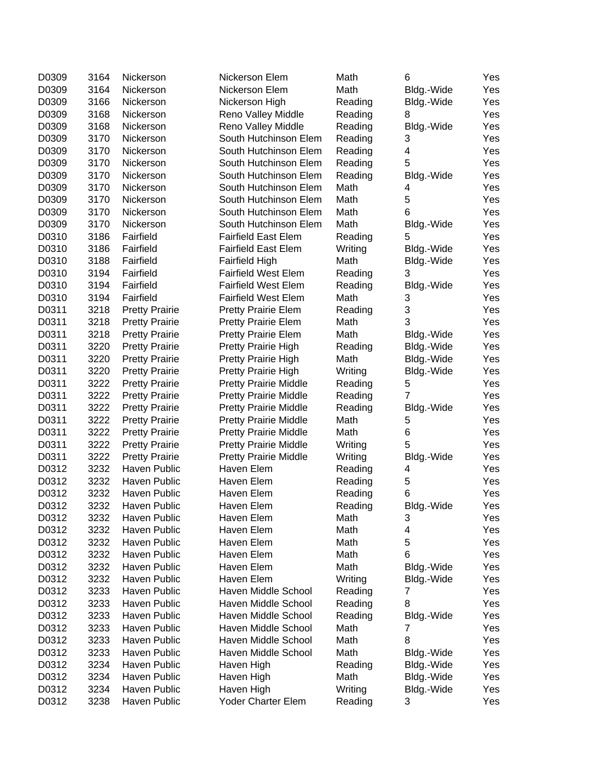| D0309 | 3164 | Nickerson             | Nickerson Elem               | Math    | 6          | Yes |
|-------|------|-----------------------|------------------------------|---------|------------|-----|
| D0309 | 3164 | Nickerson             | Nickerson Elem               | Math    | Bldg.-Wide | Yes |
| D0309 | 3166 | Nickerson             | Nickerson High               | Reading | Bldg.-Wide | Yes |
| D0309 | 3168 | Nickerson             | Reno Valley Middle           | Reading | 8          | Yes |
| D0309 | 3168 | Nickerson             | Reno Valley Middle           | Reading | Bldg.-Wide | Yes |
| D0309 | 3170 | Nickerson             | South Hutchinson Elem        | Reading | 3          | Yes |
| D0309 | 3170 | Nickerson             | South Hutchinson Elem        | Reading | 4          | Yes |
| D0309 | 3170 | Nickerson             | South Hutchinson Elem        | Reading | 5          | Yes |
| D0309 | 3170 | Nickerson             | South Hutchinson Elem        | Reading | Bldg.-Wide | Yes |
| D0309 | 3170 | Nickerson             | South Hutchinson Elem        | Math    | 4          | Yes |
| D0309 | 3170 | Nickerson             | South Hutchinson Elem        | Math    | 5          | Yes |
| D0309 | 3170 | Nickerson             | South Hutchinson Elem        | Math    | 6          | Yes |
| D0309 | 3170 | Nickerson             | South Hutchinson Elem        | Math    | Bldg.-Wide | Yes |
| D0310 | 3186 | Fairfield             | <b>Fairfield East Elem</b>   | Reading | 5          | Yes |
| D0310 | 3186 | Fairfield             | <b>Fairfield East Elem</b>   | Writing | Bldg.-Wide | Yes |
| D0310 | 3188 | Fairfield             | <b>Fairfield High</b>        | Math    | Bldg.-Wide | Yes |
| D0310 | 3194 | Fairfield             | <b>Fairfield West Elem</b>   | Reading | 3          | Yes |
| D0310 | 3194 | Fairfield             | <b>Fairfield West Elem</b>   | Reading | Bldg.-Wide | Yes |
| D0310 | 3194 | Fairfield             | <b>Fairfield West Elem</b>   | Math    | 3          | Yes |
| D0311 | 3218 | <b>Pretty Prairie</b> | <b>Pretty Prairie Elem</b>   | Reading | 3          | Yes |
| D0311 | 3218 | <b>Pretty Prairie</b> | <b>Pretty Prairie Elem</b>   | Math    | 3          | Yes |
| D0311 | 3218 | <b>Pretty Prairie</b> | <b>Pretty Prairie Elem</b>   | Math    | Bldg.-Wide | Yes |
| D0311 | 3220 | <b>Pretty Prairie</b> | Pretty Prairie High          | Reading | Bldg.-Wide | Yes |
| D0311 | 3220 | <b>Pretty Prairie</b> | Pretty Prairie High          | Math    | Bldg.-Wide | Yes |
| D0311 | 3220 | <b>Pretty Prairie</b> | Pretty Prairie High          | Writing | Bldg.-Wide | Yes |
| D0311 | 3222 | <b>Pretty Prairie</b> | <b>Pretty Prairie Middle</b> | Reading | 5          | Yes |
| D0311 | 3222 | <b>Pretty Prairie</b> | <b>Pretty Prairie Middle</b> | Reading | 7          | Yes |
| D0311 | 3222 | <b>Pretty Prairie</b> | <b>Pretty Prairie Middle</b> | Reading | Bldg.-Wide | Yes |
| D0311 | 3222 | <b>Pretty Prairie</b> | <b>Pretty Prairie Middle</b> | Math    | 5          | Yes |
| D0311 | 3222 | <b>Pretty Prairie</b> | <b>Pretty Prairie Middle</b> | Math    | 6          | Yes |
| D0311 | 3222 | <b>Pretty Prairie</b> | <b>Pretty Prairie Middle</b> | Writing | 5          | Yes |
| D0311 | 3222 | <b>Pretty Prairie</b> | <b>Pretty Prairie Middle</b> | Writing | Bldg.-Wide | Yes |
| D0312 | 3232 | Haven Public          | Haven Elem                   | Reading | 4          | Yes |
| D0312 | 3232 | Haven Public          | Haven Elem                   | Reading | 5          | Yes |
| D0312 | 3232 | Haven Public          | Haven Elem                   | Reading | 6          | Yes |
| D0312 | 3232 | <b>Haven Public</b>   | Haven Elem                   | Reading | Bldg.-Wide | Yes |
| D0312 | 3232 | Haven Public          | Haven Elem                   | Math    | 3          | Yes |
| D0312 | 3232 | Haven Public          | Haven Elem                   | Math    | 4          | Yes |
| D0312 | 3232 | Haven Public          | Haven Elem                   | Math    | 5          | Yes |
| D0312 | 3232 | Haven Public          | Haven Elem                   | Math    | 6          | Yes |
| D0312 | 3232 | Haven Public          | Haven Elem                   | Math    | Bldg.-Wide | Yes |
| D0312 | 3232 | Haven Public          | Haven Elem                   | Writing | Bldg.-Wide | Yes |
| D0312 | 3233 | Haven Public          | Haven Middle School          | Reading | 7          | Yes |
| D0312 | 3233 | Haven Public          | Haven Middle School          | Reading | 8          | Yes |
| D0312 | 3233 | Haven Public          | Haven Middle School          | Reading | Bldg.-Wide | Yes |
| D0312 | 3233 | Haven Public          | Haven Middle School          | Math    | 7          | Yes |
| D0312 | 3233 | Haven Public          | Haven Middle School          | Math    | 8          | Yes |
| D0312 | 3233 | Haven Public          | Haven Middle School          | Math    | Bldg.-Wide | Yes |
| D0312 | 3234 | Haven Public          | Haven High                   | Reading | Bldg.-Wide | Yes |
| D0312 | 3234 | Haven Public          | Haven High                   | Math    | Bldg.-Wide | Yes |
| D0312 | 3234 | Haven Public          | Haven High                   | Writing | Bldg.-Wide | Yes |
| D0312 | 3238 | Haven Public          | Yoder Charter Elem           | Reading | 3          | Yes |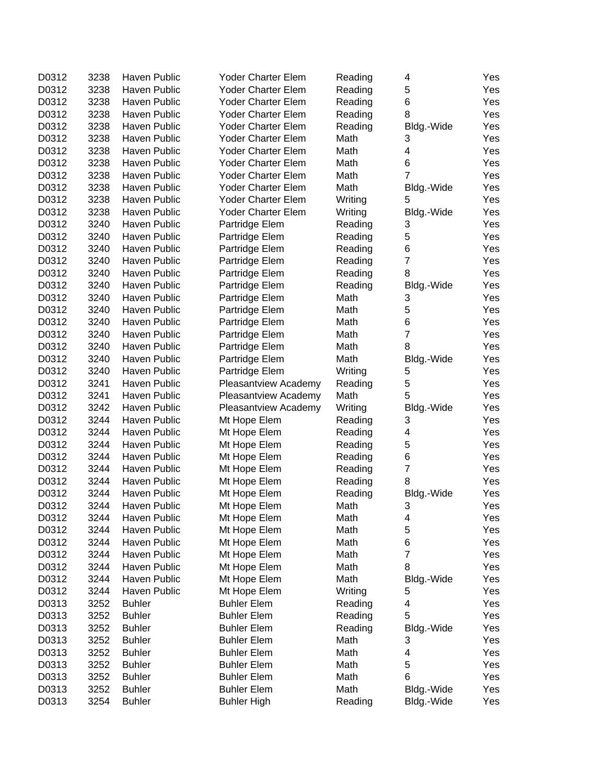| D0312 | 3238 | Haven Public        | <b>Yoder Charter Elem</b> | Reading | 4              | Yes |
|-------|------|---------------------|---------------------------|---------|----------------|-----|
| D0312 | 3238 | <b>Haven Public</b> | Yoder Charter Elem        | Reading | 5              | Yes |
| D0312 | 3238 | Haven Public        | <b>Yoder Charter Elem</b> | Reading | 6              | Yes |
| D0312 | 3238 | Haven Public        | Yoder Charter Elem        | Reading | 8              | Yes |
| D0312 | 3238 | Haven Public        | Yoder Charter Elem        | Reading | Bldg.-Wide     | Yes |
| D0312 | 3238 | Haven Public        | Yoder Charter Elem        | Math    | 3              | Yes |
| D0312 | 3238 | Haven Public        | Yoder Charter Elem        | Math    | 4              | Yes |
| D0312 | 3238 | Haven Public        | Yoder Charter Elem        | Math    | 6              | Yes |
| D0312 | 3238 | Haven Public        | Yoder Charter Elem        | Math    | $\overline{7}$ | Yes |
| D0312 | 3238 | Haven Public        | Yoder Charter Elem        | Math    | Bldg.-Wide     | Yes |
| D0312 | 3238 | Haven Public        | Yoder Charter Elem        | Writing | 5              | Yes |
| D0312 | 3238 | Haven Public        | <b>Yoder Charter Elem</b> | Writing | Bldg.-Wide     | Yes |
| D0312 | 3240 | Haven Public        | Partridge Elem            | Reading | 3              | Yes |
| D0312 | 3240 | Haven Public        | Partridge Elem            | Reading | 5              | Yes |
| D0312 | 3240 | Haven Public        | Partridge Elem            | Reading | 6              | Yes |
| D0312 | 3240 | Haven Public        | Partridge Elem            | Reading | $\overline{7}$ | Yes |
| D0312 | 3240 | Haven Public        | Partridge Elem            | Reading | 8              | Yes |
| D0312 | 3240 | Haven Public        | Partridge Elem            | Reading | Bldg.-Wide     | Yes |
| D0312 | 3240 | Haven Public        | Partridge Elem            | Math    | 3              | Yes |
| D0312 | 3240 | Haven Public        | Partridge Elem            | Math    | 5              | Yes |
| D0312 | 3240 | Haven Public        | Partridge Elem            | Math    | 6              | Yes |
| D0312 | 3240 | Haven Public        | Partridge Elem            | Math    | $\overline{7}$ | Yes |
| D0312 | 3240 | Haven Public        | Partridge Elem            | Math    | 8              | Yes |
| D0312 | 3240 | Haven Public        | Partridge Elem            | Math    | Bldg.-Wide     | Yes |
| D0312 | 3240 | Haven Public        | Partridge Elem            | Writing | 5              | Yes |
| D0312 | 3241 | Haven Public        |                           | Reading | 5              | Yes |
|       | 3241 | Haven Public        | Pleasantview Academy      |         | 5              |     |
| D0312 |      |                     | Pleasantview Academy      | Math    |                | Yes |
| D0312 | 3242 | Haven Public        | Pleasantview Academy      | Writing | Bldg.-Wide     | Yes |
| D0312 | 3244 | Haven Public        | Mt Hope Elem              | Reading | 3              | Yes |
| D0312 | 3244 | Haven Public        | Mt Hope Elem              | Reading | 4              | Yes |
| D0312 | 3244 | Haven Public        | Mt Hope Elem              | Reading | 5              | Yes |
| D0312 | 3244 | Haven Public        | Mt Hope Elem              | Reading | 6              | Yes |
| D0312 | 3244 | Haven Public        | Mt Hope Elem              | Reading | $\overline{7}$ | Yes |
| D0312 | 3244 | Haven Public        | Mt Hope Elem              | Reading | 8              | Yes |
| D0312 | 3244 | Haven Public        | Mt Hope Elem              | Reading | Bldg.-Wide     | Yes |
| D0312 | 3244 | Haven Public        | Mt Hope Elem              | Math    | 3              | Yes |
| D0312 | 3244 | Haven Public        | Mt Hope Elem              | Math    | 4              | Yes |
| D0312 | 3244 | Haven Public        | Mt Hope Elem              | Math    | 5              | Yes |
| D0312 | 3244 | Haven Public        | Mt Hope Elem              | Math    | 6              | Yes |
| D0312 | 3244 | Haven Public        | Mt Hope Elem              | Math    | $\overline{7}$ | Yes |
| D0312 | 3244 | Haven Public        | Mt Hope Elem              | Math    | 8              | Yes |
| D0312 | 3244 | Haven Public        | Mt Hope Elem              | Math    | Bldg.-Wide     | Yes |
| D0312 | 3244 | Haven Public        | Mt Hope Elem              | Writing | 5              | Yes |
| D0313 | 3252 | <b>Buhler</b>       | <b>Buhler Elem</b>        | Reading | 4              | Yes |
| D0313 | 3252 | <b>Buhler</b>       | <b>Buhler Elem</b>        | Reading | 5              | Yes |
| D0313 | 3252 | <b>Buhler</b>       | <b>Buhler Elem</b>        | Reading | Bldg.-Wide     | Yes |
| D0313 | 3252 | <b>Buhler</b>       | <b>Buhler Elem</b>        | Math    | 3              | Yes |
| D0313 | 3252 | <b>Buhler</b>       | <b>Buhler Elem</b>        | Math    | 4              | Yes |
| D0313 | 3252 | <b>Buhler</b>       | <b>Buhler Elem</b>        | Math    | 5              | Yes |
| D0313 | 3252 | <b>Buhler</b>       | <b>Buhler Elem</b>        | Math    | 6              | Yes |
| D0313 | 3252 | <b>Buhler</b>       | <b>Buhler Elem</b>        | Math    | Bldg.-Wide     | Yes |
| D0313 | 3254 | <b>Buhler</b>       | <b>Buhler High</b>        | Reading | Bldg.-Wide     | Yes |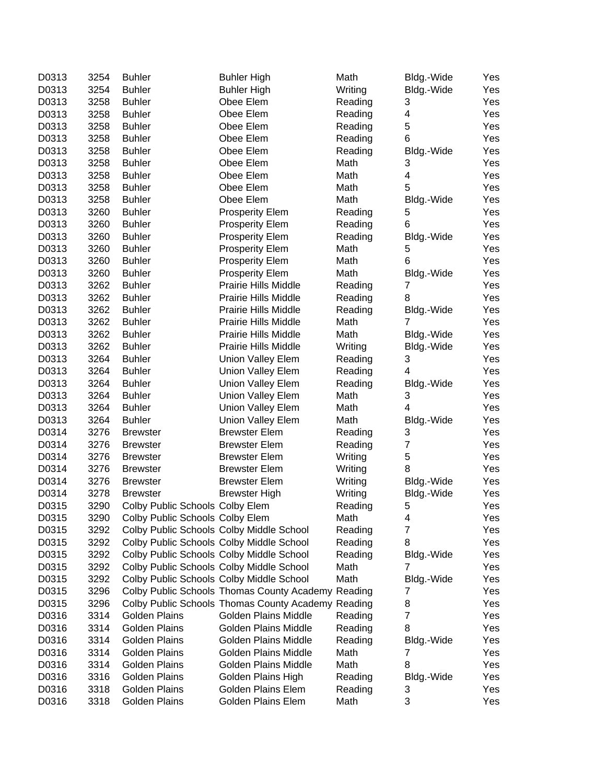| D0313 | 3254 | <b>Buhler</b>                            | <b>Buhler High</b>                                 | Math    | Bldg.-Wide       | Yes |
|-------|------|------------------------------------------|----------------------------------------------------|---------|------------------|-----|
| D0313 | 3254 | <b>Buhler</b>                            | <b>Buhler High</b>                                 | Writing | Bldg.-Wide       | Yes |
| D0313 | 3258 | <b>Buhler</b>                            | Obee Elem                                          | Reading | 3                | Yes |
| D0313 | 3258 | <b>Buhler</b>                            | Obee Elem                                          | Reading | 4                | Yes |
| D0313 | 3258 | <b>Buhler</b>                            | Obee Elem                                          | Reading | 5                | Yes |
| D0313 | 3258 | <b>Buhler</b>                            | Obee Elem                                          | Reading | 6                | Yes |
| D0313 | 3258 | <b>Buhler</b>                            | Obee Elem                                          | Reading | Bldg.-Wide       | Yes |
| D0313 | 3258 | <b>Buhler</b>                            | Obee Elem                                          | Math    | 3                | Yes |
| D0313 | 3258 | <b>Buhler</b>                            | Obee Elem                                          | Math    | 4                | Yes |
| D0313 | 3258 | <b>Buhler</b>                            | Obee Elem                                          | Math    | 5                | Yes |
| D0313 | 3258 | <b>Buhler</b>                            | Obee Elem                                          | Math    | Bldg.-Wide       | Yes |
| D0313 | 3260 | <b>Buhler</b>                            | <b>Prosperity Elem</b>                             | Reading | 5                | Yes |
| D0313 | 3260 | <b>Buhler</b>                            | <b>Prosperity Elem</b>                             | Reading | 6                | Yes |
| D0313 | 3260 | <b>Buhler</b>                            | <b>Prosperity Elem</b>                             | Reading | Bldg.-Wide       | Yes |
| D0313 | 3260 | <b>Buhler</b>                            | <b>Prosperity Elem</b>                             | Math    | 5                | Yes |
| D0313 | 3260 | <b>Buhler</b>                            | <b>Prosperity Elem</b>                             | Math    | 6                | Yes |
| D0313 | 3260 | <b>Buhler</b>                            | <b>Prosperity Elem</b>                             | Math    | Bldg.-Wide       | Yes |
| D0313 | 3262 | <b>Buhler</b>                            | Prairie Hills Middle                               | Reading | $\overline{7}$   | Yes |
| D0313 | 3262 | <b>Buhler</b>                            | Prairie Hills Middle                               | Reading | 8                | Yes |
| D0313 | 3262 | <b>Buhler</b>                            | <b>Prairie Hills Middle</b>                        | Reading | Bldg.-Wide       | Yes |
| D0313 | 3262 | <b>Buhler</b>                            | <b>Prairie Hills Middle</b>                        | Math    | 7                | Yes |
| D0313 | 3262 | <b>Buhler</b>                            | <b>Prairie Hills Middle</b>                        | Math    | Bldg.-Wide       | Yes |
| D0313 | 3262 | <b>Buhler</b>                            | <b>Prairie Hills Middle</b>                        | Writing | Bldg.-Wide       | Yes |
| D0313 | 3264 | <b>Buhler</b>                            | <b>Union Valley Elem</b>                           | Reading | 3                | Yes |
| D0313 | 3264 | <b>Buhler</b>                            | Union Valley Elem                                  | Reading | 4                | Yes |
| D0313 | 3264 | <b>Buhler</b>                            | <b>Union Valley Elem</b>                           | Reading | Bldg.-Wide       | Yes |
| D0313 | 3264 | <b>Buhler</b>                            | <b>Union Valley Elem</b>                           | Math    | 3                | Yes |
| D0313 | 3264 | <b>Buhler</b>                            | Union Valley Elem                                  | Math    | 4                | Yes |
| D0313 | 3264 | <b>Buhler</b>                            | <b>Union Valley Elem</b>                           | Math    | Bldg.-Wide       | Yes |
| D0314 | 3276 | <b>Brewster</b>                          | <b>Brewster Elem</b>                               | Reading | 3                | Yes |
| D0314 | 3276 | <b>Brewster</b>                          | <b>Brewster Elem</b>                               | Reading | $\boldsymbol{7}$ | Yes |
| D0314 | 3276 | <b>Brewster</b>                          | <b>Brewster Elem</b>                               | Writing | 5                | Yes |
| D0314 | 3276 | <b>Brewster</b>                          | <b>Brewster Elem</b>                               | Writing | 8                | Yes |
| D0314 | 3276 | <b>Brewster</b>                          | <b>Brewster Elem</b>                               | Writing | Bldg.-Wide       | Yes |
| D0314 | 3278 | <b>Brewster</b>                          | <b>Brewster High</b>                               | Writing | Bldg.-Wide       | Yes |
| D0315 | 3290 | Colby Public Schools Colby Elem          |                                                    | Reading | 5                | Yes |
| D0315 | 3290 | Colby Public Schools Colby Elem          |                                                    | Math    | 4                | Yes |
| D0315 | 3292 | Colby Public Schools Colby Middle School |                                                    | Reading | $\overline{7}$   | Yes |
| D0315 | 3292 | Colby Public Schools Colby Middle School |                                                    | Reading | 8                | Yes |
| D0315 | 3292 | Colby Public Schools Colby Middle School |                                                    | Reading | Bldg.-Wide       | Yes |
| D0315 | 3292 | Colby Public Schools Colby Middle School |                                                    | Math    | 7                | Yes |
| D0315 | 3292 | Colby Public Schools Colby Middle School |                                                    | Math    | Bldg.-Wide       | Yes |
| D0315 | 3296 |                                          | Colby Public Schools Thomas County Academy Reading |         | 7                | Yes |
| D0315 | 3296 |                                          | Colby Public Schools Thomas County Academy Reading |         | 8                | Yes |
| D0316 | 3314 | <b>Golden Plains</b>                     | Golden Plains Middle                               | Reading | 7                | Yes |
| D0316 | 3314 | <b>Golden Plains</b>                     | <b>Golden Plains Middle</b>                        | Reading | 8                | Yes |
| D0316 | 3314 | Golden Plains                            | Golden Plains Middle                               | Reading | Bldg.-Wide       | Yes |
| D0316 | 3314 | <b>Golden Plains</b>                     | Golden Plains Middle                               | Math    | 7                | Yes |
| D0316 | 3314 | <b>Golden Plains</b>                     | Golden Plains Middle                               | Math    | 8                | Yes |
| D0316 | 3316 | <b>Golden Plains</b>                     | Golden Plains High                                 | Reading | Bldg.-Wide       | Yes |
| D0316 | 3318 | Golden Plains                            | Golden Plains Elem                                 | Reading | 3                | Yes |
| D0316 | 3318 | Golden Plains                            | Golden Plains Elem                                 | Math    | 3                | Yes |
|       |      |                                          |                                                    |         |                  |     |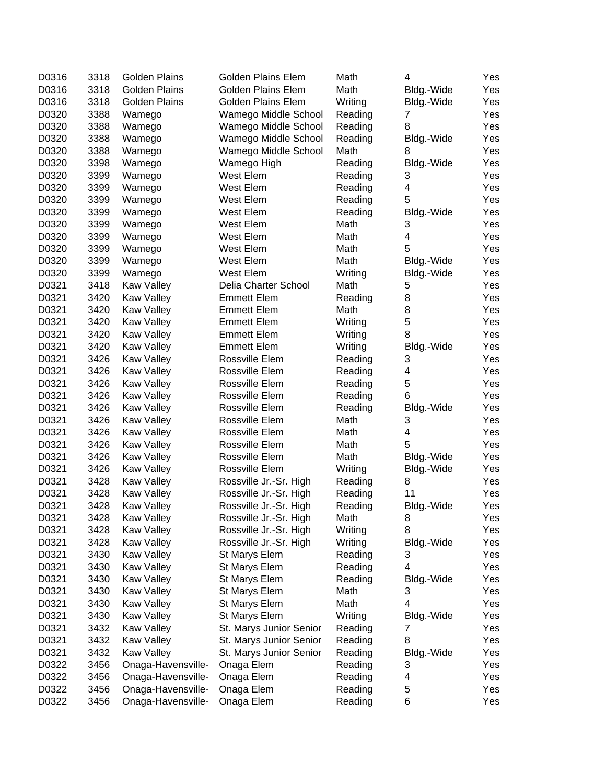| D0316 | 3318 | <b>Golden Plains</b> | Golden Plains Elem        | Math    | 4          | Yes |
|-------|------|----------------------|---------------------------|---------|------------|-----|
| D0316 | 3318 | <b>Golden Plains</b> | <b>Golden Plains Elem</b> | Math    | Bldg.-Wide | Yes |
| D0316 | 3318 | <b>Golden Plains</b> | <b>Golden Plains Elem</b> | Writing | Bldg.-Wide | Yes |
| D0320 | 3388 | Wamego               | Wamego Middle School      | Reading | 7          | Yes |
| D0320 | 3388 | Wamego               | Wamego Middle School      | Reading | 8          | Yes |
| D0320 | 3388 | Wamego               | Wamego Middle School      | Reading | Bldg.-Wide | Yes |
| D0320 | 3388 | Wamego               | Wamego Middle School      | Math    | 8          | Yes |
| D0320 | 3398 | Wamego               | Wamego High               | Reading | Bldg.-Wide | Yes |
| D0320 | 3399 | Wamego               | West Elem                 | Reading | 3          | Yes |
| D0320 | 3399 | Wamego               | West Elem                 | Reading | 4          | Yes |
| D0320 | 3399 | Wamego               | West Elem                 | Reading | 5          | Yes |
| D0320 | 3399 | Wamego               | West Elem                 | Reading | Bldg.-Wide | Yes |
| D0320 | 3399 | Wamego               | West Elem                 | Math    | 3          | Yes |
| D0320 | 3399 | Wamego               | West Elem                 | Math    | 4          | Yes |
| D0320 | 3399 | Wamego               | West Elem                 | Math    | 5          | Yes |
| D0320 | 3399 | Wamego               | West Elem                 | Math    | Bldg.-Wide | Yes |
| D0320 | 3399 | Wamego               | West Elem                 | Writing | Bldg.-Wide | Yes |
| D0321 | 3418 | <b>Kaw Valley</b>    | Delia Charter School      | Math    | 5          | Yes |
| D0321 | 3420 | <b>Kaw Valley</b>    | <b>Emmett Elem</b>        | Reading | 8          | Yes |
| D0321 | 3420 | <b>Kaw Valley</b>    | <b>Emmett Elem</b>        | Math    | 8          | Yes |
| D0321 | 3420 | <b>Kaw Valley</b>    | <b>Emmett Elem</b>        | Writing | 5          | Yes |
| D0321 | 3420 | <b>Kaw Valley</b>    | <b>Emmett Elem</b>        | Writing | 8          | Yes |
| D0321 | 3420 | <b>Kaw Valley</b>    | <b>Emmett Elem</b>        | Writing | Bldg.-Wide | Yes |
| D0321 | 3426 | Kaw Valley           | Rossville Elem            | Reading | 3          | Yes |
| D0321 | 3426 | <b>Kaw Valley</b>    | Rossville Elem            | Reading | 4          | Yes |
| D0321 | 3426 |                      | Rossville Elem            | Reading | 5          | Yes |
| D0321 | 3426 | <b>Kaw Valley</b>    | Rossville Elem            | Reading | 6          |     |
|       | 3426 | Kaw Valley           | Rossville Elem            |         |            | Yes |
| D0321 |      | Kaw Valley           |                           | Reading | Bldg.-Wide | Yes |
| D0321 | 3426 | <b>Kaw Valley</b>    | Rossville Elem            | Math    | 3          | Yes |
| D0321 | 3426 | <b>Kaw Valley</b>    | Rossville Elem            | Math    | 4          | Yes |
| D0321 | 3426 | <b>Kaw Valley</b>    | Rossville Elem            | Math    | 5          | Yes |
| D0321 | 3426 | <b>Kaw Valley</b>    | Rossville Elem            | Math    | Bldg.-Wide | Yes |
| D0321 | 3426 | <b>Kaw Valley</b>    | Rossville Elem            | Writing | Bldg.-Wide | Yes |
| D0321 | 3428 | <b>Kaw Valley</b>    | Rossville Jr.-Sr. High    | Reading | 8          | Yes |
| D0321 | 3428 | <b>Kaw Valley</b>    | Rossville Jr.-Sr. High    | Reading | 11         | Yes |
| D0321 | 3428 | <b>Kaw Valley</b>    | Rossville Jr.-Sr. High    | Reading | Bldg.-Wide | Yes |
| D0321 | 3428 | Kaw Valley           | Rossville Jr.-Sr. High    | Math    | 8          | Yes |
| D0321 | 3428 | <b>Kaw Valley</b>    | Rossville Jr.-Sr. High    | Writing | 8          | Yes |
| D0321 | 3428 | <b>Kaw Valley</b>    | Rossville Jr.-Sr. High    | Writing | Bldg.-Wide | Yes |
| D0321 | 3430 | Kaw Valley           | St Marys Elem             | Reading | 3          | Yes |
| D0321 | 3430 | Kaw Valley           | St Marys Elem             | Reading | 4          | Yes |
| D0321 | 3430 | <b>Kaw Valley</b>    | St Marys Elem             | Reading | Bldg.-Wide | Yes |
| D0321 | 3430 | Kaw Valley           | St Marys Elem             | Math    | 3          | Yes |
| D0321 | 3430 | Kaw Valley           | St Marys Elem             | Math    | 4          | Yes |
| D0321 | 3430 | Kaw Valley           | St Marys Elem             | Writing | Bldg.-Wide | Yes |
| D0321 | 3432 | Kaw Valley           | St. Marys Junior Senior   | Reading | 7          | Yes |
| D0321 | 3432 | Kaw Valley           | St. Marys Junior Senior   | Reading | 8          | Yes |
| D0321 | 3432 | Kaw Valley           | St. Marys Junior Senior   | Reading | Bldg.-Wide | Yes |
| D0322 | 3456 | Onaga-Havensville-   | Onaga Elem                | Reading | 3          | Yes |
| D0322 | 3456 | Onaga-Havensville-   | Onaga Elem                | Reading | 4          | Yes |
| D0322 | 3456 | Onaga-Havensville-   | Onaga Elem                | Reading | 5          | Yes |
| D0322 | 3456 | Onaga-Havensville-   | Onaga Elem                | Reading | 6          | Yes |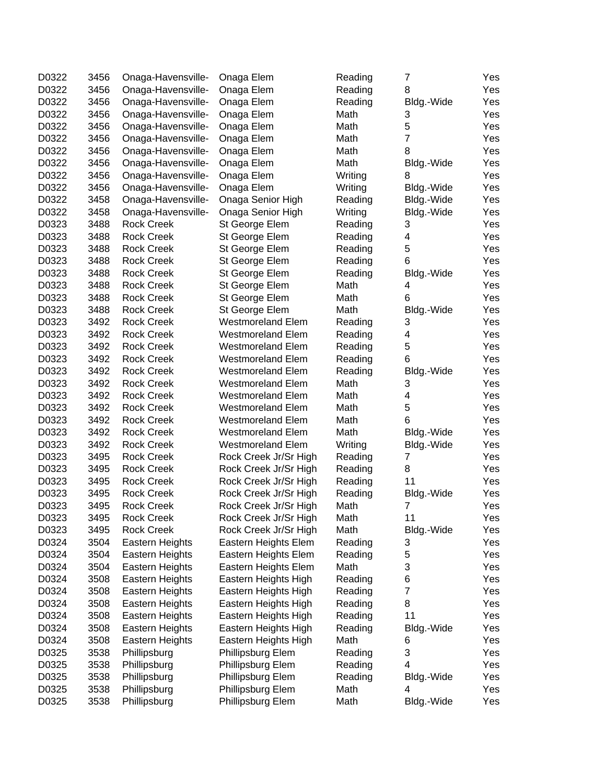| D0322 | 3456 | Onaga-Havensville-                     | Onaga Elem               | Reading | 7              | Yes        |
|-------|------|----------------------------------------|--------------------------|---------|----------------|------------|
| D0322 | 3456 | Onaga-Havensville-                     | Onaga Elem               | Reading | 8              | Yes        |
| D0322 | 3456 | Onaga-Havensville-                     | Onaga Elem               | Reading | Bldg.-Wide     | Yes        |
| D0322 | 3456 | Onaga-Havensville-                     | Onaga Elem               | Math    | 3              | Yes        |
| D0322 | 3456 | Onaga-Havensville-                     | Onaga Elem               | Math    | 5              | Yes        |
| D0322 | 3456 | Onaga-Havensville-                     | Onaga Elem               | Math    | $\overline{7}$ | Yes        |
| D0322 | 3456 | Onaga-Havensville-                     | Onaga Elem               | Math    | 8              | Yes        |
| D0322 | 3456 | Onaga-Havensville-                     | Onaga Elem               | Math    | Bldg.-Wide     | Yes        |
| D0322 | 3456 | Onaga-Havensville-                     | Onaga Elem               | Writing | 8              | Yes        |
| D0322 | 3456 | Onaga-Havensville-                     | Onaga Elem               | Writing | Bldg.-Wide     | Yes        |
| D0322 | 3458 | Onaga-Havensville-                     | Onaga Senior High        | Reading | Bldg.-Wide     | Yes        |
| D0322 | 3458 | Onaga-Havensville-                     | Onaga Senior High        | Writing | Bldg.-Wide     | Yes        |
| D0323 | 3488 | <b>Rock Creek</b>                      | St George Elem           | Reading | 3              | Yes        |
| D0323 | 3488 | <b>Rock Creek</b>                      | St George Elem           | Reading | 4              | Yes        |
| D0323 | 3488 | <b>Rock Creek</b>                      | St George Elem           | Reading | 5              | Yes        |
| D0323 | 3488 | <b>Rock Creek</b>                      | St George Elem           | Reading | 6              | Yes        |
| D0323 | 3488 | <b>Rock Creek</b>                      | St George Elem           | Reading | Bldg.-Wide     | Yes        |
| D0323 | 3488 | <b>Rock Creek</b>                      | St George Elem           | Math    | 4              | Yes        |
| D0323 | 3488 | <b>Rock Creek</b>                      | St George Elem           | Math    | 6              | Yes        |
| D0323 | 3488 | <b>Rock Creek</b>                      | St George Elem           | Math    | Bldg.-Wide     | Yes        |
| D0323 | 3492 | <b>Rock Creek</b>                      | <b>Westmoreland Elem</b> | Reading | 3              | Yes        |
| D0323 | 3492 | <b>Rock Creek</b>                      | <b>Westmoreland Elem</b> | Reading | 4              | Yes        |
| D0323 | 3492 | <b>Rock Creek</b>                      | <b>Westmoreland Elem</b> | Reading | 5              | Yes        |
| D0323 | 3492 | <b>Rock Creek</b>                      | <b>Westmoreland Elem</b> | Reading | 6              | Yes        |
| D0323 | 3492 | <b>Rock Creek</b>                      | <b>Westmoreland Elem</b> | Reading | Bldg.-Wide     | Yes        |
| D0323 | 3492 | <b>Rock Creek</b>                      | <b>Westmoreland Elem</b> | Math    | 3              | Yes        |
| D0323 | 3492 | <b>Rock Creek</b>                      | <b>Westmoreland Elem</b> | Math    | 4              | Yes        |
| D0323 | 3492 | <b>Rock Creek</b>                      | <b>Westmoreland Elem</b> | Math    | 5              | Yes        |
| D0323 | 3492 | <b>Rock Creek</b>                      | <b>Westmoreland Elem</b> | Math    | 6              | Yes        |
| D0323 | 3492 | <b>Rock Creek</b>                      | <b>Westmoreland Elem</b> | Math    | Bldg.-Wide     | Yes        |
| D0323 | 3492 | <b>Rock Creek</b>                      | <b>Westmoreland Elem</b> | Writing | Bldg.-Wide     | Yes        |
| D0323 | 3495 | <b>Rock Creek</b>                      | Rock Creek Jr/Sr High    | Reading | 7              | Yes        |
| D0323 | 3495 | <b>Rock Creek</b>                      |                          | Reading | 8              |            |
|       | 3495 | <b>Rock Creek</b>                      | Rock Creek Jr/Sr High    |         | 11             | Yes<br>Yes |
| D0323 | 3495 |                                        | Rock Creek Jr/Sr High    | Reading |                |            |
| D0323 |      | <b>Rock Creek</b><br><b>Rock Creek</b> | Rock Creek Jr/Sr High    | Reading | Bldg.-Wide     | Yes        |
| D0323 | 3495 |                                        | Rock Creek Jr/Sr High    | Math    | 7              | Yes        |
| D0323 | 3495 | <b>Rock Creek</b>                      | Rock Creek Jr/Sr High    | Math    | 11             | Yes        |
| D0323 | 3495 | <b>Rock Creek</b>                      | Rock Creek Jr/Sr High    | Math    | Bldg.-Wide     | Yes        |
| D0324 | 3504 | <b>Eastern Heights</b>                 | Eastern Heights Elem     | Reading | 3              | Yes        |
| D0324 | 3504 | Eastern Heights                        | Eastern Heights Elem     | Reading | 5              | Yes        |
| D0324 | 3504 | <b>Eastern Heights</b>                 | Eastern Heights Elem     | Math    | 3              | Yes        |
| D0324 | 3508 | Eastern Heights                        | Eastern Heights High     | Reading | 6              | Yes        |
| D0324 | 3508 | Eastern Heights                        | Eastern Heights High     | Reading | $\overline{7}$ | Yes        |
| D0324 | 3508 | Eastern Heights                        | Eastern Heights High     | Reading | 8              | Yes        |
| D0324 | 3508 | Eastern Heights                        | Eastern Heights High     | Reading | 11             | Yes        |
| D0324 | 3508 | <b>Eastern Heights</b>                 | Eastern Heights High     | Reading | Bldg.-Wide     | Yes        |
| D0324 | 3508 | <b>Eastern Heights</b>                 | Eastern Heights High     | Math    | 6              | Yes        |
| D0325 | 3538 | Phillipsburg                           | Phillipsburg Elem        | Reading | 3              | Yes        |
| D0325 | 3538 | Phillipsburg                           | Phillipsburg Elem        | Reading | 4              | Yes        |
| D0325 | 3538 | Phillipsburg                           | Phillipsburg Elem        | Reading | Bldg.-Wide     | Yes        |
| D0325 | 3538 | Phillipsburg                           | Phillipsburg Elem        | Math    | 4              | Yes        |
| D0325 | 3538 | Phillipsburg                           | Phillipsburg Elem        | Math    | Bldg.-Wide     | Yes        |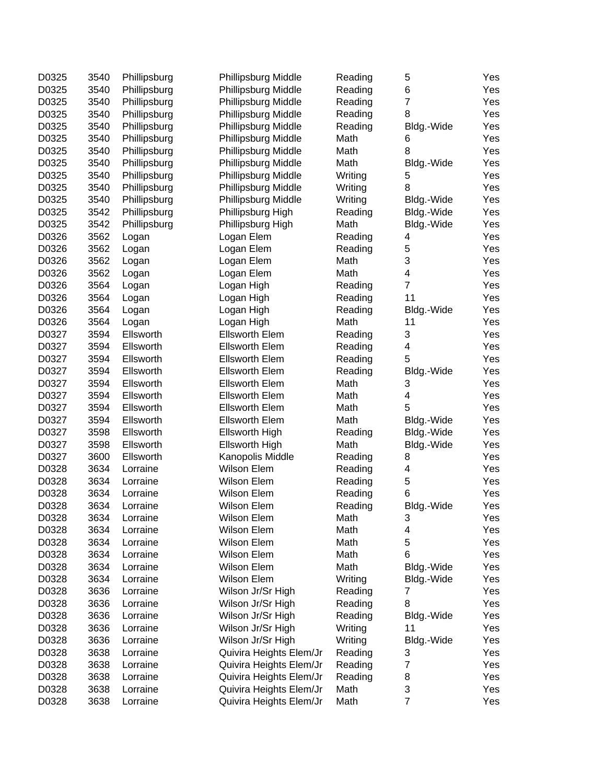| D0325 | 3540 | Phillipsburg | Phillipsburg Middle     | Reading | 5              | Yes |
|-------|------|--------------|-------------------------|---------|----------------|-----|
| D0325 | 3540 | Phillipsburg | Phillipsburg Middle     | Reading | 6              | Yes |
| D0325 | 3540 | Phillipsburg | Phillipsburg Middle     | Reading | $\overline{7}$ | Yes |
| D0325 | 3540 | Phillipsburg | Phillipsburg Middle     | Reading | 8              | Yes |
| D0325 | 3540 | Phillipsburg | Phillipsburg Middle     | Reading | Bldg.-Wide     | Yes |
| D0325 | 3540 | Phillipsburg | Phillipsburg Middle     | Math    | 6              | Yes |
| D0325 | 3540 | Phillipsburg | Phillipsburg Middle     | Math    | 8              | Yes |
| D0325 | 3540 | Phillipsburg | Phillipsburg Middle     | Math    | Bldg.-Wide     | Yes |
| D0325 | 3540 | Phillipsburg | Phillipsburg Middle     | Writing | 5              | Yes |
| D0325 | 3540 | Phillipsburg | Phillipsburg Middle     | Writing | 8              | Yes |
| D0325 | 3540 | Phillipsburg | Phillipsburg Middle     | Writing | Bldg.-Wide     | Yes |
| D0325 | 3542 | Phillipsburg | Phillipsburg High       | Reading | Bldg.-Wide     | Yes |
| D0325 | 3542 | Phillipsburg | Phillipsburg High       | Math    | Bldg.-Wide     | Yes |
| D0326 | 3562 | Logan        | Logan Elem              | Reading | 4              | Yes |
| D0326 | 3562 | Logan        | Logan Elem              | Reading | 5              | Yes |
| D0326 | 3562 | Logan        | Logan Elem              | Math    | 3              | Yes |
| D0326 | 3562 | Logan        | Logan Elem              | Math    | 4              | Yes |
| D0326 | 3564 | Logan        | Logan High              | Reading | $\overline{7}$ | Yes |
| D0326 | 3564 | Logan        | Logan High              | Reading | 11             | Yes |
| D0326 | 3564 | Logan        | Logan High              | Reading | Bldg.-Wide     | Yes |
| D0326 | 3564 | Logan        | Logan High              | Math    | 11             | Yes |
| D0327 | 3594 | Ellsworth    | <b>Ellsworth Elem</b>   | Reading | 3              | Yes |
| D0327 | 3594 | Ellsworth    | <b>Ellsworth Elem</b>   | Reading | 4              | Yes |
| D0327 | 3594 | Ellsworth    | <b>Ellsworth Elem</b>   | Reading | 5              | Yes |
| D0327 | 3594 | Ellsworth    | <b>Ellsworth Elem</b>   | Reading | Bldg.-Wide     | Yes |
| D0327 | 3594 | Ellsworth    | <b>Ellsworth Elem</b>   | Math    | 3              | Yes |
| D0327 | 3594 | Ellsworth    | <b>Ellsworth Elem</b>   | Math    | 4              | Yes |
| D0327 | 3594 | Ellsworth    | <b>Ellsworth Elem</b>   | Math    | 5              | Yes |
| D0327 | 3594 | Ellsworth    | <b>Ellsworth Elem</b>   | Math    | Bldg.-Wide     | Yes |
| D0327 | 3598 | Ellsworth    | Ellsworth High          | Reading | Bldg.-Wide     | Yes |
| D0327 | 3598 | Ellsworth    | Ellsworth High          | Math    | Bldg.-Wide     | Yes |
| D0327 | 3600 | Ellsworth    | Kanopolis Middle        | Reading | 8              | Yes |
| D0328 | 3634 | Lorraine     | Wilson Elem             | Reading | 4              | Yes |
| D0328 | 3634 | Lorraine     | <b>Wilson Elem</b>      | Reading | 5              | Yes |
| D0328 | 3634 | Lorraine     | <b>Wilson Elem</b>      | Reading | 6              | Yes |
| D0328 | 3634 | Lorraine     | <b>Wilson Elem</b>      | Reading | Bldg.-Wide     | Yes |
| D0328 | 3634 | Lorraine     | Wilson Elem             | Math    | 3              | Yes |
| D0328 | 3634 | Lorraine     | Wilson Elem             | Math    | 4              | Yes |
| D0328 | 3634 | Lorraine     | Wilson Elem             | Math    | 5              | Yes |
| D0328 | 3634 | Lorraine     | Wilson Elem             | Math    | 6              | Yes |
| D0328 | 3634 | Lorraine     | Wilson Elem             | Math    | Bldg.-Wide     | Yes |
| D0328 | 3634 | Lorraine     | Wilson Elem             | Writing | Bldg.-Wide     | Yes |
| D0328 | 3636 | Lorraine     | Wilson Jr/Sr High       | Reading | 7              | Yes |
| D0328 | 3636 | Lorraine     | Wilson Jr/Sr High       | Reading | 8              | Yes |
| D0328 | 3636 | Lorraine     | Wilson Jr/Sr High       | Reading | Bldg.-Wide     | Yes |
| D0328 | 3636 | Lorraine     | Wilson Jr/Sr High       | Writing | 11             | Yes |
| D0328 | 3636 | Lorraine     | Wilson Jr/Sr High       | Writing | Bldg.-Wide     | Yes |
| D0328 | 3638 | Lorraine     | Quivira Heights Elem/Jr | Reading | 3              | Yes |
| D0328 | 3638 | Lorraine     | Quivira Heights Elem/Jr | Reading | 7              | Yes |
| D0328 | 3638 | Lorraine     | Quivira Heights Elem/Jr | Reading | 8              | Yes |
| D0328 | 3638 | Lorraine     | Quivira Heights Elem/Jr | Math    | 3              | Yes |
| D0328 | 3638 | Lorraine     | Quivira Heights Elem/Jr | Math    | $\overline{7}$ | Yes |
|       |      |              |                         |         |                |     |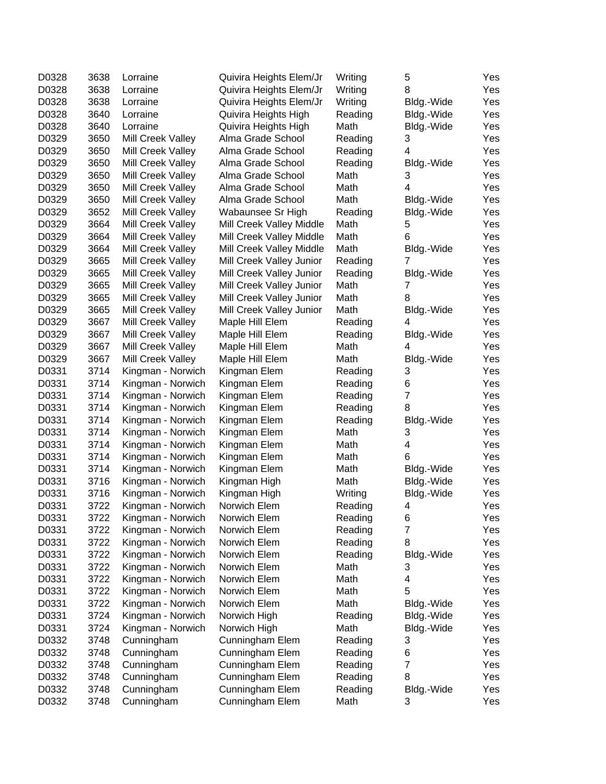| D0328 | 3638 | Lorraine          | Quivira Heights Elem/Jr  | Writing | 5              | Yes |
|-------|------|-------------------|--------------------------|---------|----------------|-----|
| D0328 | 3638 | Lorraine          | Quivira Heights Elem/Jr  | Writing | 8              | Yes |
| D0328 | 3638 | Lorraine          | Quivira Heights Elem/Jr  | Writing | Bldg.-Wide     | Yes |
| D0328 | 3640 | Lorraine          | Quivira Heights High     | Reading | Bldg.-Wide     | Yes |
| D0328 | 3640 | Lorraine          | Quivira Heights High     | Math    | Bldg.-Wide     | Yes |
| D0329 | 3650 | Mill Creek Valley | Alma Grade School        | Reading | 3              | Yes |
| D0329 | 3650 | Mill Creek Valley | Alma Grade School        | Reading | 4              | Yes |
| D0329 | 3650 | Mill Creek Valley | Alma Grade School        | Reading | Bldg.-Wide     | Yes |
| D0329 | 3650 | Mill Creek Valley | Alma Grade School        | Math    | 3              | Yes |
| D0329 | 3650 | Mill Creek Valley | Alma Grade School        | Math    | 4              | Yes |
| D0329 | 3650 | Mill Creek Valley | Alma Grade School        | Math    | Bldg.-Wide     | Yes |
| D0329 | 3652 | Mill Creek Valley | Wabaunsee Sr High        | Reading | Bldg.-Wide     | Yes |
| D0329 | 3664 | Mill Creek Valley | Mill Creek Valley Middle | Math    | 5              | Yes |
| D0329 | 3664 | Mill Creek Valley | Mill Creek Valley Middle | Math    | 6              | Yes |
| D0329 | 3664 | Mill Creek Valley | Mill Creek Valley Middle | Math    | Bldg.-Wide     | Yes |
| D0329 | 3665 | Mill Creek Valley | Mill Creek Valley Junior | Reading | 7              | Yes |
| D0329 | 3665 | Mill Creek Valley | Mill Creek Valley Junior | Reading | Bldg.-Wide     | Yes |
| D0329 | 3665 | Mill Creek Valley | Mill Creek Valley Junior | Math    | 7              | Yes |
| D0329 | 3665 | Mill Creek Valley | Mill Creek Valley Junior | Math    | 8              | Yes |
| D0329 | 3665 | Mill Creek Valley | Mill Creek Valley Junior | Math    | Bldg.-Wide     | Yes |
| D0329 | 3667 | Mill Creek Valley | Maple Hill Elem          | Reading | 4              | Yes |
| D0329 | 3667 | Mill Creek Valley | Maple Hill Elem          | Reading | Bldg.-Wide     | Yes |
| D0329 | 3667 | Mill Creek Valley | Maple Hill Elem          | Math    | 4              | Yes |
| D0329 | 3667 | Mill Creek Valley | Maple Hill Elem          | Math    | Bldg.-Wide     | Yes |
| D0331 | 3714 | Kingman - Norwich | Kingman Elem             | Reading | 3              | Yes |
| D0331 | 3714 | Kingman - Norwich | Kingman Elem             | Reading | 6              | Yes |
| D0331 | 3714 | Kingman - Norwich | Kingman Elem             | Reading | $\overline{7}$ | Yes |
| D0331 | 3714 | Kingman - Norwich | Kingman Elem             | Reading | 8              | Yes |
| D0331 | 3714 | Kingman - Norwich | Kingman Elem             | Reading | Bldg.-Wide     | Yes |
| D0331 | 3714 | Kingman - Norwich | Kingman Elem             | Math    | 3              | Yes |
| D0331 | 3714 | Kingman - Norwich | Kingman Elem             | Math    | 4              | Yes |
| D0331 | 3714 | Kingman - Norwich | Kingman Elem             | Math    | 6              | Yes |
| D0331 | 3714 | Kingman - Norwich | Kingman Elem             | Math    | Bldg.-Wide     | Yes |
| D0331 | 3716 | Kingman - Norwich | Kingman High             | Math    | Bldg.-Wide     | Yes |
| D0331 | 3716 | Kingman - Norwich | Kingman High             | Writing | Bldg.-Wide     | Yes |
| D0331 | 3722 | Kingman - Norwich | Norwich Elem             | Reading | 4              | Yes |
| D0331 | 3722 | Kingman - Norwich | Norwich Elem             | Reading | 6              | Yes |
| D0331 | 3722 | Kingman - Norwich | Norwich Elem             | Reading | $\overline{7}$ | Yes |
| D0331 | 3722 | Kingman - Norwich | Norwich Elem             | Reading | 8              | Yes |
| D0331 | 3722 | Kingman - Norwich | Norwich Elem             | Reading | Bldg.-Wide     | Yes |
| D0331 | 3722 | Kingman - Norwich | Norwich Elem             | Math    | 3              | Yes |
| D0331 | 3722 | Kingman - Norwich | Norwich Elem             | Math    | 4              | Yes |
| D0331 | 3722 | Kingman - Norwich | Norwich Elem             | Math    | 5              | Yes |
| D0331 | 3722 | Kingman - Norwich | Norwich Elem             | Math    | Bldg.-Wide     | Yes |
| D0331 | 3724 | Kingman - Norwich | Norwich High             | Reading | Bldg.-Wide     | Yes |
| D0331 | 3724 | Kingman - Norwich | Norwich High             | Math    | Bldg.-Wide     | Yes |
| D0332 | 3748 | Cunningham        | Cunningham Elem          | Reading | 3              | Yes |
| D0332 | 3748 | Cunningham        | Cunningham Elem          | Reading | 6              | Yes |
| D0332 | 3748 | Cunningham        | Cunningham Elem          | Reading | $\overline{7}$ | Yes |
| D0332 | 3748 | Cunningham        | Cunningham Elem          | Reading | 8              | Yes |
| D0332 | 3748 | Cunningham        | Cunningham Elem          | Reading | Bldg.-Wide     | Yes |
| D0332 | 3748 | Cunningham        | Cunningham Elem          | Math    | 3              | Yes |
|       |      |                   |                          |         |                |     |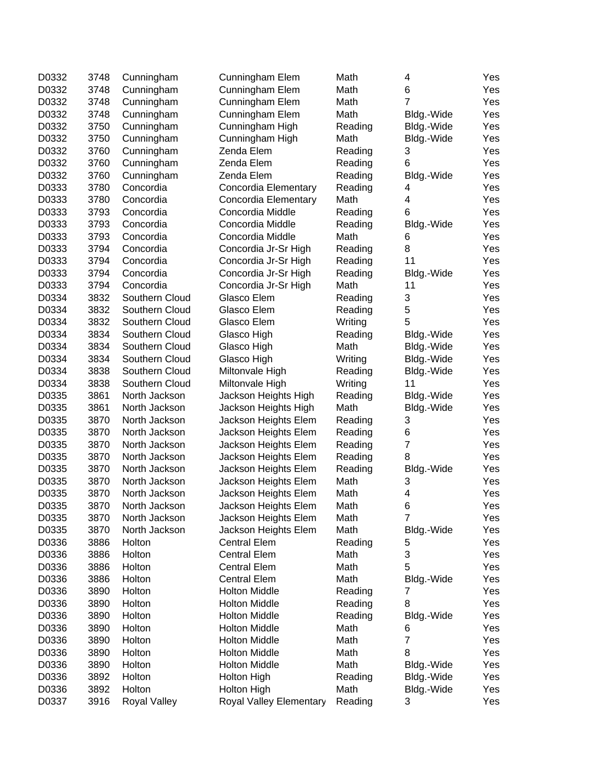| D0332 | 3748 | Cunningham     | Cunningham Elem         | Math    | 4              | Yes |
|-------|------|----------------|-------------------------|---------|----------------|-----|
| D0332 | 3748 | Cunningham     | Cunningham Elem         | Math    | 6              | Yes |
| D0332 | 3748 | Cunningham     | Cunningham Elem         | Math    | $\overline{7}$ | Yes |
| D0332 | 3748 | Cunningham     | Cunningham Elem         | Math    | Bldg.-Wide     | Yes |
| D0332 | 3750 | Cunningham     | Cunningham High         | Reading | Bldg.-Wide     | Yes |
| D0332 | 3750 | Cunningham     | Cunningham High         | Math    | Bldg.-Wide     | Yes |
| D0332 | 3760 | Cunningham     | Zenda Elem              | Reading | 3              | Yes |
| D0332 | 3760 | Cunningham     | Zenda Elem              | Reading | 6              | Yes |
| D0332 | 3760 | Cunningham     | Zenda Elem              | Reading | Bldg.-Wide     | Yes |
| D0333 | 3780 | Concordia      | Concordia Elementary    | Reading | 4              | Yes |
| D0333 | 3780 | Concordia      | Concordia Elementary    | Math    | 4              | Yes |
| D0333 | 3793 | Concordia      | Concordia Middle        | Reading | 6              | Yes |
| D0333 | 3793 | Concordia      | Concordia Middle        | Reading | Bldg.-Wide     | Yes |
| D0333 | 3793 | Concordia      | Concordia Middle        | Math    | 6              | Yes |
| D0333 | 3794 | Concordia      | Concordia Jr-Sr High    | Reading | 8              | Yes |
| D0333 | 3794 | Concordia      | Concordia Jr-Sr High    | Reading | 11             | Yes |
| D0333 | 3794 | Concordia      | Concordia Jr-Sr High    | Reading | Bldg.-Wide     | Yes |
| D0333 | 3794 | Concordia      | Concordia Jr-Sr High    | Math    | 11             | Yes |
| D0334 | 3832 | Southern Cloud | Glasco Elem             | Reading | 3              | Yes |
| D0334 | 3832 | Southern Cloud | Glasco Elem             | Reading | 5              | Yes |
| D0334 | 3832 | Southern Cloud | Glasco Elem             | Writing | 5              | Yes |
| D0334 | 3834 | Southern Cloud | Glasco High             | Reading | Bldg.-Wide     | Yes |
| D0334 | 3834 | Southern Cloud | Glasco High             | Math    | Bldg.-Wide     | Yes |
| D0334 | 3834 | Southern Cloud | Glasco High             | Writing | Bldg.-Wide     | Yes |
| D0334 | 3838 | Southern Cloud | Miltonvale High         | Reading | Bldg.-Wide     | Yes |
| D0334 | 3838 | Southern Cloud | Miltonvale High         | Writing | 11             | Yes |
| D0335 | 3861 | North Jackson  | Jackson Heights High    | Reading | Bldg.-Wide     | Yes |
| D0335 | 3861 | North Jackson  | Jackson Heights High    | Math    | Bldg.-Wide     | Yes |
| D0335 | 3870 | North Jackson  | Jackson Heights Elem    | Reading | 3              | Yes |
| D0335 | 3870 | North Jackson  | Jackson Heights Elem    | Reading | 6              | Yes |
| D0335 | 3870 | North Jackson  | Jackson Heights Elem    | Reading | $\overline{7}$ | Yes |
| D0335 | 3870 | North Jackson  | Jackson Heights Elem    | Reading | 8              | Yes |
| D0335 | 3870 | North Jackson  | Jackson Heights Elem    | Reading | Bldg.-Wide     | Yes |
| D0335 | 3870 | North Jackson  | Jackson Heights Elem    | Math    | 3              | Yes |
| D0335 | 3870 | North Jackson  | Jackson Heights Elem    | Math    | 4              | Yes |
| D0335 | 3870 | North Jackson  | Jackson Heights Elem    | Math    | 6              | Yes |
| D0335 | 3870 | North Jackson  | Jackson Heights Elem    | Math    | 7              | Yes |
| D0335 | 3870 | North Jackson  | Jackson Heights Elem    | Math    | Bldg.-Wide     | Yes |
| D0336 | 3886 | Holton         | <b>Central Elem</b>     | Reading | 5              | Yes |
| D0336 | 3886 | Holton         | <b>Central Elem</b>     | Math    | 3              | Yes |
| D0336 | 3886 | Holton         | <b>Central Elem</b>     | Math    | 5              | Yes |
| D0336 | 3886 | Holton         | <b>Central Elem</b>     | Math    | Bldg.-Wide     | Yes |
| D0336 | 3890 | Holton         | <b>Holton Middle</b>    | Reading | 7              | Yes |
| D0336 | 3890 | Holton         | <b>Holton Middle</b>    | Reading | 8              | Yes |
| D0336 | 3890 | Holton         | <b>Holton Middle</b>    | Reading | Bldg.-Wide     | Yes |
| D0336 | 3890 | Holton         | <b>Holton Middle</b>    | Math    | 6              | Yes |
| D0336 | 3890 | Holton         | <b>Holton Middle</b>    | Math    | 7              | Yes |
| D0336 | 3890 | Holton         | <b>Holton Middle</b>    | Math    | 8              | Yes |
| D0336 | 3890 | Holton         | <b>Holton Middle</b>    | Math    | Bldg.-Wide     | Yes |
| D0336 | 3892 | Holton         | <b>Holton High</b>      | Reading | Bldg.-Wide     | Yes |
| D0336 | 3892 | Holton         | <b>Holton High</b>      | Math    | Bldg.-Wide     | Yes |
| D0337 | 3916 | Royal Valley   | Royal Valley Elementary | Reading | 3              | Yes |
|       |      |                |                         |         |                |     |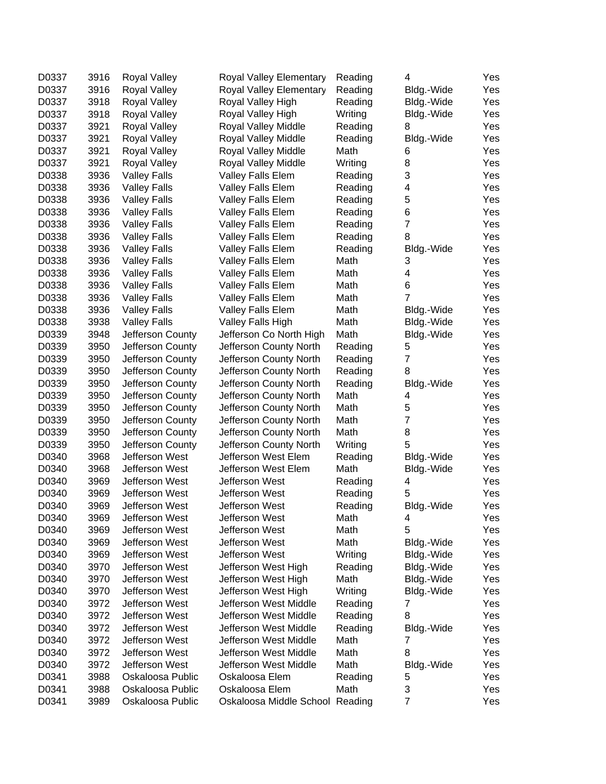| D0337 | 3916 | <b>Royal Valley</b> | Royal Valley Elementary         | Reading | 4                         | Yes |
|-------|------|---------------------|---------------------------------|---------|---------------------------|-----|
| D0337 | 3916 | Royal Valley        | Royal Valley Elementary         | Reading | Bldg.-Wide                | Yes |
| D0337 | 3918 | Royal Valley        | Royal Valley High               | Reading | Bldg.-Wide                | Yes |
| D0337 | 3918 | <b>Royal Valley</b> | Royal Valley High               | Writing | Bldg.-Wide                | Yes |
| D0337 | 3921 | Royal Valley        | Royal Valley Middle             | Reading | 8                         | Yes |
| D0337 | 3921 | Royal Valley        | Royal Valley Middle             | Reading | Bldg.-Wide                | Yes |
| D0337 | 3921 | <b>Royal Valley</b> | Royal Valley Middle             | Math    | 6                         | Yes |
| D0337 | 3921 | <b>Royal Valley</b> | Royal Valley Middle             | Writing | 8                         | Yes |
| D0338 | 3936 | <b>Valley Falls</b> | Valley Falls Elem               | Reading | 3                         | Yes |
| D0338 | 3936 | <b>Valley Falls</b> | Valley Falls Elem               | Reading | 4                         | Yes |
| D0338 | 3936 | <b>Valley Falls</b> | Valley Falls Elem               | Reading | 5                         | Yes |
| D0338 | 3936 | <b>Valley Falls</b> | <b>Valley Falls Elem</b>        | Reading | 6                         | Yes |
| D0338 | 3936 | <b>Valley Falls</b> | <b>Valley Falls Elem</b>        | Reading | 7                         | Yes |
| D0338 | 3936 | <b>Valley Falls</b> | Valley Falls Elem               | Reading | 8                         | Yes |
| D0338 | 3936 | <b>Valley Falls</b> | Valley Falls Elem               | Reading | Bldg.-Wide                | Yes |
| D0338 | 3936 | <b>Valley Falls</b> | Valley Falls Elem               | Math    | 3                         | Yes |
| D0338 | 3936 | <b>Valley Falls</b> | Valley Falls Elem               | Math    | 4                         | Yes |
| D0338 | 3936 | <b>Valley Falls</b> | Valley Falls Elem               | Math    | 6                         | Yes |
| D0338 | 3936 | <b>Valley Falls</b> | Valley Falls Elem               | Math    | $\overline{7}$            | Yes |
| D0338 | 3936 | <b>Valley Falls</b> | Valley Falls Elem               | Math    | Bldg.-Wide                | Yes |
| D0338 | 3938 | <b>Valley Falls</b> | Valley Falls High               | Math    | Bldg.-Wide                | Yes |
| D0339 | 3948 | Jefferson County    | Jefferson Co North High         | Math    | Bldg.-Wide                | Yes |
| D0339 | 3950 | Jefferson County    | Jefferson County North          | Reading | 5                         | Yes |
| D0339 | 3950 | Jefferson County    | Jefferson County North          | Reading | 7                         | Yes |
| D0339 | 3950 | Jefferson County    | Jefferson County North          | Reading | 8                         | Yes |
| D0339 | 3950 | Jefferson County    | Jefferson County North          | Reading | Bldg.-Wide                | Yes |
| D0339 | 3950 | Jefferson County    | Jefferson County North          | Math    | 4                         | Yes |
| D0339 | 3950 | Jefferson County    | Jefferson County North          | Math    | 5                         | Yes |
| D0339 | 3950 | Jefferson County    | Jefferson County North          | Math    | $\overline{7}$            | Yes |
| D0339 | 3950 | Jefferson County    | Jefferson County North          | Math    | 8                         | Yes |
| D0339 | 3950 | Jefferson County    | Jefferson County North          | Writing | 5                         | Yes |
| D0340 | 3968 | Jefferson West      | Jefferson West Elem             | Reading | Bldg.-Wide                | Yes |
| D0340 | 3968 | Jefferson West      | Jefferson West Elem             | Math    | Bldg.-Wide                | Yes |
| D0340 | 3969 | Jefferson West      | Jefferson West                  | Reading | 4                         | Yes |
| D0340 | 3969 | Jefferson West      | Jefferson West                  | Reading | 5                         | Yes |
| D0340 | 3969 | Jefferson West      | Jefferson West                  | Reading | Bldg.-Wide                | Yes |
| D0340 | 3969 | Jefferson West      | Jefferson West                  | Math    | 4                         | Yes |
| D0340 | 3969 | Jefferson West      | Jefferson West                  | Math    | 5                         | Yes |
| D0340 | 3969 | Jefferson West      | Jefferson West                  | Math    | Bldg.-Wide                | Yes |
| D0340 | 3969 | Jefferson West      | Jefferson West                  | Writing | Bldg.-Wide                | Yes |
| D0340 | 3970 | Jefferson West      | Jefferson West High             | Reading | Bldg.-Wide                | Yes |
| D0340 | 3970 | Jefferson West      | Jefferson West High             | Math    | Bldg.-Wide                | Yes |
| D0340 | 3970 | Jefferson West      | Jefferson West High             | Writing | Bldg.-Wide                | Yes |
| D0340 | 3972 | Jefferson West      | Jefferson West Middle           | Reading | 7                         | Yes |
| D0340 | 3972 | Jefferson West      | Jefferson West Middle           | Reading | 8                         | Yes |
| D0340 | 3972 | Jefferson West      | Jefferson West Middle           | Reading | Bldg.-Wide                | Yes |
| D0340 | 3972 | Jefferson West      | Jefferson West Middle           | Math    | 7                         | Yes |
| D0340 | 3972 | Jefferson West      | Jefferson West Middle           | Math    | 8                         | Yes |
| D0340 | 3972 | Jefferson West      | Jefferson West Middle           | Math    | Bldg.-Wide                | Yes |
| D0341 | 3988 | Oskaloosa Public    | Oskaloosa Elem                  | Reading | 5                         | Yes |
| D0341 | 3988 | Oskaloosa Public    | Oskaloosa Elem                  | Math    | $\ensuremath{\mathsf{3}}$ | Yes |
| D0341 | 3989 | Oskaloosa Public    | Oskaloosa Middle School Reading |         | $\overline{7}$            | Yes |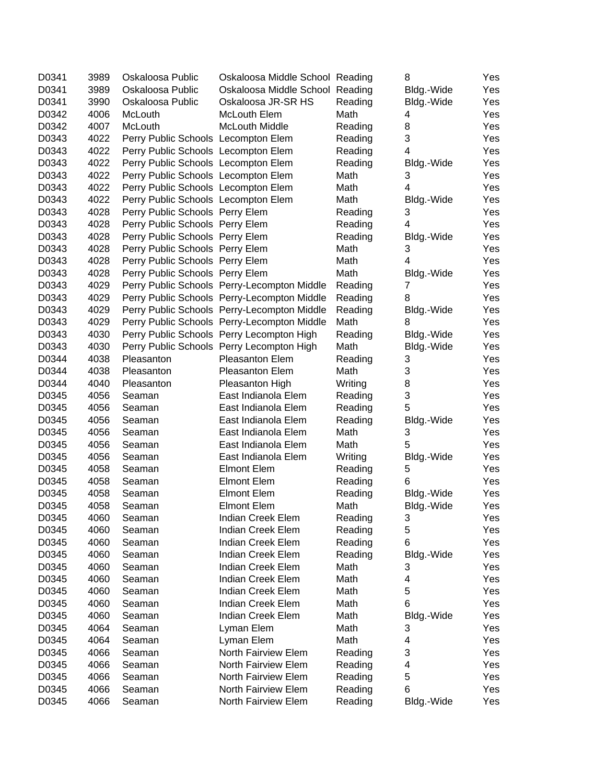| D0341 | 3989 | Oskaloosa Public                    | Oskaloosa Middle School Reading             |         | 8              | Yes |
|-------|------|-------------------------------------|---------------------------------------------|---------|----------------|-----|
| D0341 | 3989 | Oskaloosa Public                    | Oskaloosa Middle School Reading             |         | Bldg.-Wide     | Yes |
| D0341 | 3990 | Oskaloosa Public                    | Oskaloosa JR-SR HS                          | Reading | Bldg.-Wide     | Yes |
| D0342 | 4006 | McLouth                             | McLouth Elem                                | Math    | 4              | Yes |
| D0342 | 4007 | McLouth                             | <b>McLouth Middle</b>                       | Reading | 8              | Yes |
| D0343 | 4022 | Perry Public Schools Lecompton Elem |                                             | Reading | 3              | Yes |
| D0343 | 4022 | Perry Public Schools Lecompton Elem |                                             | Reading | 4              | Yes |
| D0343 | 4022 | Perry Public Schools Lecompton Elem |                                             | Reading | Bldg.-Wide     | Yes |
| D0343 | 4022 | Perry Public Schools Lecompton Elem |                                             | Math    | 3              | Yes |
| D0343 | 4022 | Perry Public Schools Lecompton Elem |                                             | Math    | 4              | Yes |
| D0343 | 4022 | Perry Public Schools Lecompton Elem |                                             | Math    | Bldg.-Wide     | Yes |
| D0343 | 4028 | Perry Public Schools Perry Elem     |                                             | Reading | 3              | Yes |
| D0343 | 4028 | Perry Public Schools Perry Elem     |                                             | Reading | 4              | Yes |
| D0343 | 4028 | Perry Public Schools Perry Elem     |                                             | Reading | Bldg.-Wide     | Yes |
| D0343 | 4028 | Perry Public Schools Perry Elem     |                                             | Math    | 3              | Yes |
| D0343 | 4028 | Perry Public Schools Perry Elem     |                                             | Math    | 4              | Yes |
| D0343 | 4028 | Perry Public Schools Perry Elem     |                                             | Math    | Bldg.-Wide     | Yes |
| D0343 | 4029 |                                     | Perry Public Schools Perry-Lecompton Middle | Reading | 7              | Yes |
| D0343 | 4029 |                                     | Perry Public Schools Perry-Lecompton Middle | Reading | 8              | Yes |
| D0343 | 4029 |                                     | Perry Public Schools Perry-Lecompton Middle | Reading | Bldg.-Wide     | Yes |
| D0343 | 4029 |                                     | Perry Public Schools Perry-Lecompton Middle | Math    | 8              | Yes |
| D0343 | 4030 |                                     | Perry Public Schools Perry Lecompton High   | Reading | Bldg.-Wide     | Yes |
| D0343 | 4030 |                                     | Perry Public Schools Perry Lecompton High   | Math    | Bldg.-Wide     | Yes |
| D0344 | 4038 | Pleasanton                          | <b>Pleasanton Elem</b>                      | Reading | 3              | Yes |
| D0344 | 4038 | Pleasanton                          | <b>Pleasanton Elem</b>                      | Math    | 3              | Yes |
| D0344 | 4040 | Pleasanton                          | Pleasanton High                             | Writing | 8              | Yes |
| D0345 | 4056 | Seaman                              | East Indianola Elem                         | Reading | 3              | Yes |
| D0345 | 4056 | Seaman                              | East Indianola Elem                         | Reading | 5              | Yes |
| D0345 | 4056 | Seaman                              | East Indianola Elem                         | Reading | Bldg.-Wide     | Yes |
| D0345 | 4056 | Seaman                              | East Indianola Elem                         | Math    | 3              | Yes |
| D0345 | 4056 | Seaman                              | East Indianola Elem                         | Math    | 5              | Yes |
| D0345 | 4056 | Seaman                              | East Indianola Elem                         | Writing | Bldg.-Wide     | Yes |
| D0345 | 4058 | Seaman                              | <b>Elmont Elem</b>                          | Reading | 5              | Yes |
| D0345 | 4058 | Seaman                              | <b>Elmont Elem</b>                          | Reading | 6              | Yes |
| D0345 | 4058 | Seaman                              | <b>Elmont Elem</b>                          | Reading | Bldg.-Wide     | Yes |
| D0345 | 4058 | Seaman                              | <b>Elmont Elem</b>                          | Math    | Bldg.-Wide     | Yes |
| D0345 | 4060 | Seaman                              | Indian Creek Elem                           | Reading | 3 <sup>1</sup> | Yes |
| D0345 | 4060 | Seaman                              | Indian Creek Elem                           | Reading | 5              | Yes |
| D0345 | 4060 | Seaman                              | Indian Creek Elem                           | Reading | 6              | Yes |
| D0345 | 4060 | Seaman                              | Indian Creek Elem                           | Reading | Bldg.-Wide     | Yes |
| D0345 | 4060 | Seaman                              | Indian Creek Elem                           | Math    | 3              | Yes |
| D0345 | 4060 | Seaman                              | Indian Creek Elem                           | Math    | 4              | Yes |
| D0345 | 4060 | Seaman                              | Indian Creek Elem                           | Math    | 5              | Yes |
| D0345 | 4060 | Seaman                              | Indian Creek Elem                           | Math    | 6              | Yes |
| D0345 | 4060 | Seaman                              | Indian Creek Elem                           | Math    | Bldg.-Wide     | Yes |
| D0345 | 4064 | Seaman                              | Lyman Elem                                  | Math    | 3              | Yes |
| D0345 | 4064 | Seaman                              | Lyman Elem                                  | Math    | 4              | Yes |
| D0345 | 4066 | Seaman                              | North Fairview Elem                         | Reading | 3              | Yes |
| D0345 | 4066 | Seaman                              | North Fairview Elem                         | Reading | 4              | Yes |
| D0345 | 4066 | Seaman                              | North Fairview Elem                         | Reading | 5              | Yes |
| D0345 | 4066 | Seaman                              | North Fairview Elem                         | Reading | 6              | Yes |
| D0345 | 4066 | Seaman                              | North Fairview Elem                         | Reading | Bldg.-Wide     | Yes |
|       |      |                                     |                                             |         |                |     |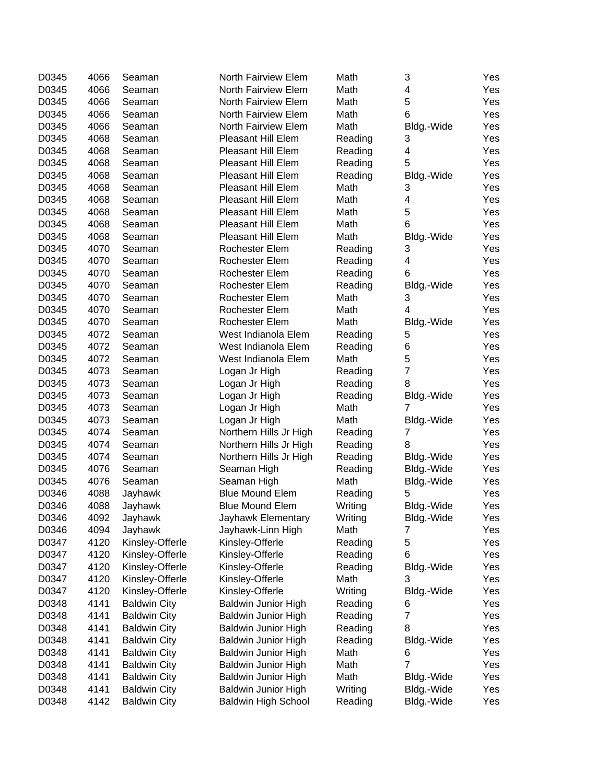| D0345 | 4066 | Seaman              | North Fairview Elem        | Math    | 3              | Yes |
|-------|------|---------------------|----------------------------|---------|----------------|-----|
| D0345 | 4066 | Seaman              | North Fairview Elem        | Math    | 4              | Yes |
| D0345 | 4066 | Seaman              | North Fairview Elem        | Math    | 5              | Yes |
| D0345 | 4066 | Seaman              | North Fairview Elem        | Math    | 6              | Yes |
| D0345 | 4066 | Seaman              | North Fairview Elem        | Math    | Bldg.-Wide     | Yes |
| D0345 | 4068 | Seaman              | Pleasant Hill Elem         | Reading | 3              | Yes |
| D0345 | 4068 | Seaman              | <b>Pleasant Hill Elem</b>  | Reading | 4              | Yes |
| D0345 | 4068 | Seaman              | <b>Pleasant Hill Elem</b>  | Reading | 5              | Yes |
| D0345 | 4068 | Seaman              | <b>Pleasant Hill Elem</b>  | Reading | Bldg.-Wide     | Yes |
| D0345 | 4068 | Seaman              | <b>Pleasant Hill Elem</b>  | Math    | 3              | Yes |
| D0345 | 4068 | Seaman              | <b>Pleasant Hill Elem</b>  | Math    | 4              | Yes |
| D0345 | 4068 | Seaman              | Pleasant Hill Elem         | Math    | 5              | Yes |
| D0345 | 4068 | Seaman              | Pleasant Hill Elem         | Math    | 6              | Yes |
| D0345 | 4068 | Seaman              | <b>Pleasant Hill Elem</b>  | Math    | Bldg.-Wide     | Yes |
| D0345 | 4070 | Seaman              | Rochester Elem             | Reading | 3              | Yes |
| D0345 | 4070 | Seaman              | Rochester Elem             | Reading | 4              | Yes |
| D0345 | 4070 | Seaman              | Rochester Elem             | Reading | 6              | Yes |
| D0345 | 4070 | Seaman              | Rochester Elem             | Reading | Bldg.-Wide     | Yes |
| D0345 | 4070 | Seaman              | Rochester Elem             | Math    | 3              | Yes |
| D0345 | 4070 | Seaman              | Rochester Elem             | Math    | $\overline{4}$ | Yes |
| D0345 | 4070 | Seaman              | Rochester Elem             | Math    | Bldg.-Wide     | Yes |
| D0345 | 4072 | Seaman              | West Indianola Elem        | Reading | 5              | Yes |
| D0345 | 4072 | Seaman              | West Indianola Elem        | Reading | 6              | Yes |
| D0345 | 4072 | Seaman              | West Indianola Elem        | Math    | 5              | Yes |
| D0345 | 4073 | Seaman              | Logan Jr High              | Reading | $\overline{7}$ | Yes |
| D0345 | 4073 | Seaman              | Logan Jr High              | Reading | 8              | Yes |
| D0345 | 4073 | Seaman              | Logan Jr High              | Reading | Bldg.-Wide     | Yes |
| D0345 | 4073 | Seaman              | Logan Jr High              | Math    | 7              | Yes |
| D0345 | 4073 | Seaman              | Logan Jr High              | Math    | Bldg.-Wide     | Yes |
| D0345 | 4074 | Seaman              | Northern Hills Jr High     | Reading | 7              | Yes |
| D0345 | 4074 | Seaman              | Northern Hills Jr High     | Reading | 8              | Yes |
| D0345 | 4074 | Seaman              | Northern Hills Jr High     | Reading | Bldg.-Wide     | Yes |
| D0345 | 4076 | Seaman              | Seaman High                | Reading | Bldg.-Wide     | Yes |
| D0345 | 4076 | Seaman              | Seaman High                | Math    | Bldg.-Wide     | Yes |
| D0346 | 4088 | Jayhawk             | <b>Blue Mound Elem</b>     | Reading | 5              | Yes |
| D0346 | 4088 | Jayhawk             | <b>Blue Mound Elem</b>     | Writing | Bldg.-Wide     | Yes |
| D0346 | 4092 | Jayhawk             | Jayhawk Elementary         | Writing | Bldg.-Wide     | Yes |
| D0346 | 4094 | Jayhawk             | Jayhawk-Linn High          | Math    | 7              | Yes |
| D0347 | 4120 | Kinsley-Offerle     | Kinsley-Offerle            | Reading | 5              | Yes |
| D0347 | 4120 | Kinsley-Offerle     | Kinsley-Offerle            | Reading | 6              | Yes |
| D0347 | 4120 | Kinsley-Offerle     | Kinsley-Offerle            | Reading | Bldg.-Wide     | Yes |
| D0347 | 4120 | Kinsley-Offerle     | Kinsley-Offerle            | Math    | 3              | Yes |
| D0347 | 4120 | Kinsley-Offerle     | Kinsley-Offerle            | Writing | Bldg.-Wide     | Yes |
| D0348 | 4141 | <b>Baldwin City</b> | Baldwin Junior High        | Reading | 6              | Yes |
| D0348 | 4141 | <b>Baldwin City</b> | Baldwin Junior High        | Reading | 7              | Yes |
| D0348 | 4141 | <b>Baldwin City</b> | <b>Baldwin Junior High</b> | Reading | 8              | Yes |
| D0348 | 4141 | <b>Baldwin City</b> | <b>Baldwin Junior High</b> | Reading | Bldg.-Wide     | Yes |
| D0348 | 4141 | <b>Baldwin City</b> | Baldwin Junior High        | Math    | 6              | Yes |
| D0348 | 4141 | <b>Baldwin City</b> | Baldwin Junior High        | Math    | $\overline{7}$ | Yes |
| D0348 | 4141 | <b>Baldwin City</b> | Baldwin Junior High        | Math    | Bldg.-Wide     | Yes |
| D0348 | 4141 | <b>Baldwin City</b> | Baldwin Junior High        | Writing | Bldg.-Wide     | Yes |
| D0348 | 4142 | <b>Baldwin City</b> | <b>Baldwin High School</b> | Reading | Bldg.-Wide     | Yes |
|       |      |                     |                            |         |                |     |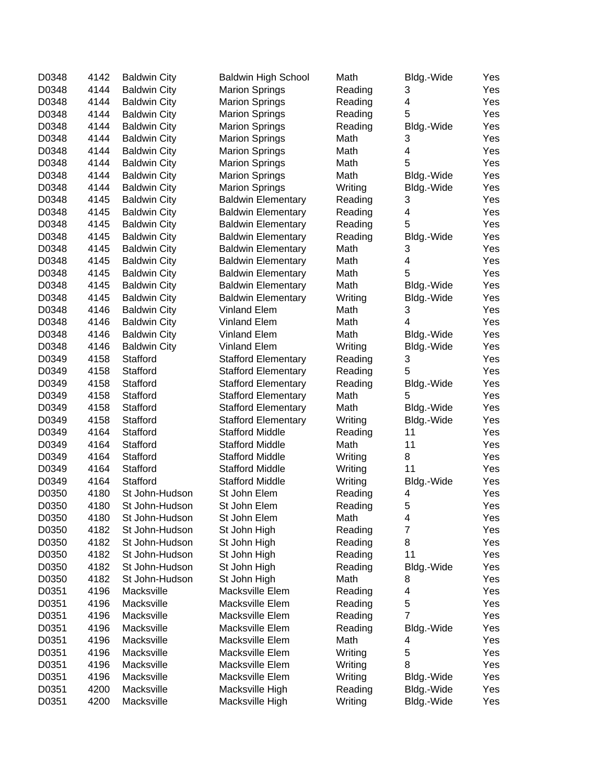| D0348 | 4142 | <b>Baldwin City</b> | <b>Baldwin High School</b> | Math    | Bldg.-Wide              | Yes |
|-------|------|---------------------|----------------------------|---------|-------------------------|-----|
| D0348 | 4144 | <b>Baldwin City</b> | <b>Marion Springs</b>      | Reading | 3                       | Yes |
| D0348 | 4144 | <b>Baldwin City</b> | <b>Marion Springs</b>      | Reading | 4                       | Yes |
| D0348 | 4144 | <b>Baldwin City</b> | <b>Marion Springs</b>      | Reading | 5                       | Yes |
| D0348 | 4144 | <b>Baldwin City</b> | <b>Marion Springs</b>      | Reading | Bldg.-Wide              | Yes |
| D0348 | 4144 | <b>Baldwin City</b> | <b>Marion Springs</b>      | Math    | 3                       | Yes |
| D0348 | 4144 | <b>Baldwin City</b> | <b>Marion Springs</b>      | Math    | 4                       | Yes |
| D0348 | 4144 | <b>Baldwin City</b> | <b>Marion Springs</b>      | Math    | 5                       | Yes |
| D0348 | 4144 | <b>Baldwin City</b> | <b>Marion Springs</b>      | Math    | Bldg.-Wide              | Yes |
| D0348 | 4144 | <b>Baldwin City</b> | <b>Marion Springs</b>      | Writing | Bldg.-Wide              | Yes |
| D0348 | 4145 | <b>Baldwin City</b> | <b>Baldwin Elementary</b>  | Reading | 3                       | Yes |
| D0348 | 4145 | <b>Baldwin City</b> | <b>Baldwin Elementary</b>  | Reading | 4                       | Yes |
| D0348 | 4145 | <b>Baldwin City</b> | <b>Baldwin Elementary</b>  | Reading | 5                       | Yes |
| D0348 | 4145 | <b>Baldwin City</b> | <b>Baldwin Elementary</b>  | Reading | Bldg.-Wide              | Yes |
| D0348 | 4145 | <b>Baldwin City</b> | <b>Baldwin Elementary</b>  | Math    | 3                       | Yes |
| D0348 | 4145 | <b>Baldwin City</b> | <b>Baldwin Elementary</b>  | Math    | $\overline{\mathbf{4}}$ | Yes |
| D0348 | 4145 | <b>Baldwin City</b> | <b>Baldwin Elementary</b>  | Math    | 5                       | Yes |
| D0348 | 4145 | <b>Baldwin City</b> | <b>Baldwin Elementary</b>  | Math    | Bldg.-Wide              | Yes |
| D0348 | 4145 | <b>Baldwin City</b> | <b>Baldwin Elementary</b>  | Writing | Bldg.-Wide              | Yes |
| D0348 | 4146 | <b>Baldwin City</b> | <b>Vinland Elem</b>        | Math    | 3                       | Yes |
| D0348 | 4146 | <b>Baldwin City</b> | <b>Vinland Elem</b>        | Math    | 4                       | Yes |
| D0348 | 4146 | <b>Baldwin City</b> | <b>Vinland Elem</b>        | Math    | Bldg.-Wide              | Yes |
| D0348 | 4146 | <b>Baldwin City</b> | <b>Vinland Elem</b>        | Writing | Bldg.-Wide              | Yes |
| D0349 | 4158 | Stafford            | <b>Stafford Elementary</b> | Reading | 3                       | Yes |
| D0349 | 4158 | Stafford            | <b>Stafford Elementary</b> | Reading | 5                       | Yes |
| D0349 | 4158 | Stafford            | <b>Stafford Elementary</b> | Reading | Bldg.-Wide              | Yes |
| D0349 | 4158 | Stafford            | <b>Stafford Elementary</b> | Math    | 5                       | Yes |
| D0349 | 4158 | Stafford            | <b>Stafford Elementary</b> | Math    | Bldg.-Wide              | Yes |
| D0349 | 4158 | Stafford            | <b>Stafford Elementary</b> | Writing | Bldg.-Wide              | Yes |
| D0349 | 4164 | Stafford            | <b>Stafford Middle</b>     | Reading | 11                      | Yes |
| D0349 | 4164 | Stafford            | <b>Stafford Middle</b>     | Math    | 11                      | Yes |
| D0349 | 4164 | Stafford            | <b>Stafford Middle</b>     | Writing | 8                       | Yes |
| D0349 | 4164 | Stafford            | <b>Stafford Middle</b>     | Writing | 11                      | Yes |
| D0349 | 4164 | Stafford            | <b>Stafford Middle</b>     | Writing | Bldg.-Wide              | Yes |
| D0350 | 4180 | St John-Hudson      | St John Elem               | Reading | 4                       | Yes |
| D0350 | 4180 | St John-Hudson      | St John Elem               | Reading | 5                       | Yes |
| D0350 | 4180 | St John-Hudson      | St John Elem               | Math    | 4                       | Yes |
| D0350 | 4182 | St John-Hudson      | St John High               | Reading | $\overline{7}$          | Yes |
| D0350 | 4182 | St John-Hudson      | St John High               | Reading | 8                       | Yes |
| D0350 | 4182 | St John-Hudson      | St John High               | Reading | 11                      | Yes |
| D0350 | 4182 | St John-Hudson      | St John High               | Reading | Bldg.-Wide              | Yes |
| D0350 | 4182 | St John-Hudson      | St John High               | Math    | 8                       | Yes |
| D0351 | 4196 | Macksville          | Macksville Elem            | Reading | 4                       | Yes |
| D0351 | 4196 | Macksville          | Macksville Elem            | Reading | 5                       | Yes |
| D0351 | 4196 | Macksville          | Macksville Elem            | Reading | $\overline{7}$          | Yes |
| D0351 | 4196 | Macksville          | Macksville Elem            | Reading | Bldg.-Wide              | Yes |
| D0351 | 4196 | Macksville          | Macksville Elem            | Math    | 4                       | Yes |
| D0351 | 4196 | Macksville          | Macksville Elem            | Writing | 5                       | Yes |
| D0351 | 4196 | Macksville          | Macksville Elem            | Writing | 8                       | Yes |
| D0351 | 4196 | Macksville          | Macksville Elem            | Writing | Bldg.-Wide              | Yes |
| D0351 | 4200 | Macksville          | Macksville High            | Reading | Bldg.-Wide              | Yes |
| D0351 | 4200 | Macksville          | Macksville High            | Writing | Bldg.-Wide              | Yes |
|       |      |                     |                            |         |                         |     |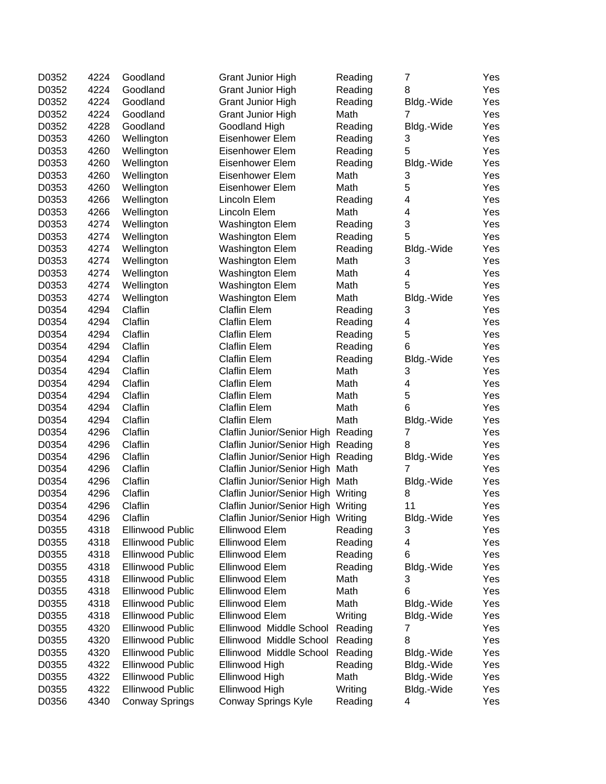| D0352 | 4224 | Goodland                | <b>Grant Junior High</b>           | Reading | 7               | Yes |
|-------|------|-------------------------|------------------------------------|---------|-----------------|-----|
| D0352 | 4224 | Goodland                | <b>Grant Junior High</b>           | Reading | 8               | Yes |
| D0352 | 4224 | Goodland                | <b>Grant Junior High</b>           | Reading | Bldg.-Wide      | Yes |
| D0352 | 4224 | Goodland                | <b>Grant Junior High</b>           | Math    | 7               | Yes |
| D0352 | 4228 | Goodland                | Goodland High                      | Reading | Bldg.-Wide      | Yes |
| D0353 | 4260 | Wellington              | Eisenhower Elem                    | Reading | 3               | Yes |
| D0353 | 4260 | Wellington              | Eisenhower Elem                    | Reading | 5               | Yes |
| D0353 | 4260 | Wellington              | Eisenhower Elem                    | Reading | Bldg.-Wide      | Yes |
| D0353 | 4260 | Wellington              | Eisenhower Elem                    | Math    | 3               | Yes |
| D0353 | 4260 | Wellington              | Eisenhower Elem                    | Math    | 5               | Yes |
| D0353 | 4266 | Wellington              | Lincoln Elem                       | Reading | 4               | Yes |
| D0353 | 4266 | Wellington              | Lincoln Elem                       | Math    | 4               | Yes |
| D0353 | 4274 | Wellington              | <b>Washington Elem</b>             | Reading | 3               | Yes |
| D0353 | 4274 | Wellington              | <b>Washington Elem</b>             | Reading | 5               | Yes |
| D0353 | 4274 | Wellington              | Washington Elem                    | Reading | Bldg.-Wide      | Yes |
| D0353 | 4274 | Wellington              | <b>Washington Elem</b>             | Math    | 3               | Yes |
| D0353 | 4274 | Wellington              | <b>Washington Elem</b>             | Math    | 4               | Yes |
| D0353 | 4274 | Wellington              | Washington Elem                    | Math    | 5               | Yes |
| D0353 | 4274 | Wellington              | <b>Washington Elem</b>             | Math    | Bldg.-Wide      | Yes |
| D0354 | 4294 | Claflin                 | <b>Claflin Elem</b>                | Reading | 3               | Yes |
| D0354 | 4294 | Claflin                 | <b>Claflin Elem</b>                | Reading | 4               | Yes |
| D0354 | 4294 | Claflin                 | <b>Claflin Elem</b>                | Reading | 5               | Yes |
| D0354 | 4294 | Claflin                 | <b>Claflin Elem</b>                | Reading | 6               | Yes |
| D0354 | 4294 | Claflin                 | <b>Claflin Elem</b>                | Reading | Bldg.-Wide      | Yes |
| D0354 | 4294 | Claflin                 | <b>Claflin Elem</b>                | Math    | 3               | Yes |
| D0354 | 4294 | Claflin                 | <b>Claflin Elem</b>                | Math    | 4               | Yes |
| D0354 | 4294 | Claflin                 | <b>Claflin Elem</b>                | Math    | 5               | Yes |
| D0354 | 4294 | Claflin                 | <b>Claflin Elem</b>                | Math    | 6               | Yes |
| D0354 | 4294 | Claflin                 | <b>Claflin Elem</b>                | Math    |                 | Yes |
| D0354 | 4296 | Claflin                 |                                    |         | Bldg.-Wide<br>7 | Yes |
| D0354 | 4296 | Claflin                 | Claflin Junior/Senior High Reading |         | 8               |     |
|       |      |                         | Claflin Junior/Senior High Reading |         |                 | Yes |
| D0354 | 4296 | Claflin                 | Claflin Junior/Senior High Reading |         | Bldg.-Wide<br>7 | Yes |
| D0354 | 4296 | Claflin                 | Claflin Junior/Senior High Math    |         |                 | Yes |
| D0354 | 4296 | Claflin                 | Claflin Junior/Senior High Math    |         | Bldg.-Wide      | Yes |
| D0354 | 4296 | Claflin                 | Claflin Junior/Senior High Writing |         | 8               | Yes |
| D0354 | 4296 | Claflin                 | Claflin Junior/Senior High Writing |         | 11              | Yes |
| D0354 | 4296 | Claflin                 | Claflin Junior/Senior High Writing |         | Bldg.-Wide      | Yes |
| D0355 | 4318 | <b>Ellinwood Public</b> | Ellinwood Elem                     | Reading | 3               | Yes |
| D0355 | 4318 | <b>Ellinwood Public</b> | Ellinwood Elem                     | Reading | 4               | Yes |
| D0355 | 4318 | <b>Ellinwood Public</b> | Ellinwood Elem                     | Reading | 6               | Yes |
| D0355 | 4318 | <b>Ellinwood Public</b> | Ellinwood Elem                     | Reading | Bldg.-Wide      | Yes |
| D0355 | 4318 | <b>Ellinwood Public</b> | Ellinwood Elem                     | Math    | 3               | Yes |
| D0355 | 4318 | <b>Ellinwood Public</b> | Ellinwood Elem                     | Math    | 6               | Yes |
| D0355 | 4318 | <b>Ellinwood Public</b> | Ellinwood Elem                     | Math    | Bldg.-Wide      | Yes |
| D0355 | 4318 | <b>Ellinwood Public</b> | Ellinwood Elem                     | Writing | Bldg.-Wide      | Yes |
| D0355 | 4320 | <b>Ellinwood Public</b> | Ellinwood Middle School            | Reading | 7               | Yes |
| D0355 | 4320 | <b>Ellinwood Public</b> | Ellinwood Middle School            | Reading | 8               | Yes |
| D0355 | 4320 | <b>Ellinwood Public</b> | Ellinwood Middle School            | Reading | Bldg.-Wide      | Yes |
| D0355 | 4322 | <b>Ellinwood Public</b> | Ellinwood High                     | Reading | Bldg.-Wide      | Yes |
| D0355 | 4322 | Ellinwood Public        | Ellinwood High                     | Math    | Bldg.-Wide      | Yes |
| D0355 | 4322 | Ellinwood Public        | Ellinwood High                     | Writing | Bldg.-Wide      | Yes |
| D0356 | 4340 | <b>Conway Springs</b>   | Conway Springs Kyle                | Reading | 4               | Yes |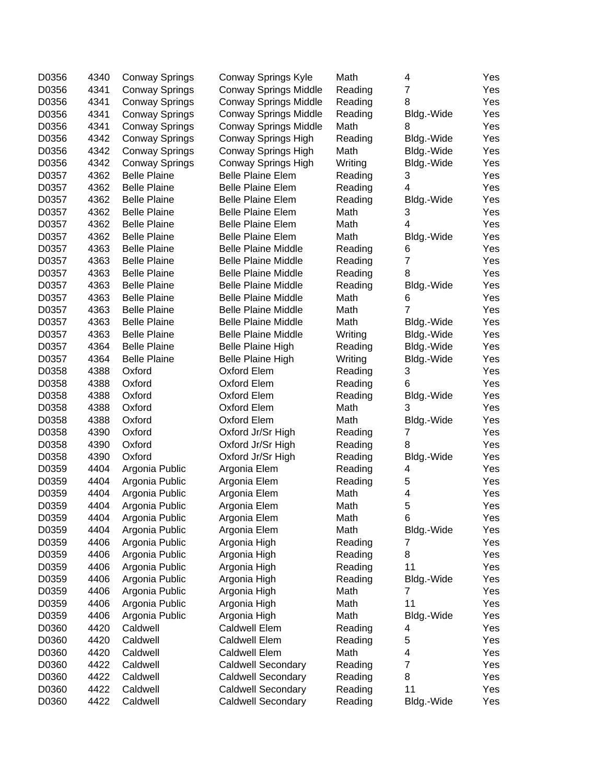| D0356 | 4340 | <b>Conway Springs</b> | Conway Springs Kyle          | Math    | 4              | Yes |
|-------|------|-----------------------|------------------------------|---------|----------------|-----|
| D0356 | 4341 | <b>Conway Springs</b> | <b>Conway Springs Middle</b> | Reading | $\overline{7}$ | Yes |
| D0356 | 4341 | <b>Conway Springs</b> | <b>Conway Springs Middle</b> | Reading | 8              | Yes |
| D0356 | 4341 | <b>Conway Springs</b> | <b>Conway Springs Middle</b> | Reading | Bldg.-Wide     | Yes |
| D0356 | 4341 | <b>Conway Springs</b> | <b>Conway Springs Middle</b> | Math    | 8              | Yes |
| D0356 | 4342 | <b>Conway Springs</b> | Conway Springs High          | Reading | Bldg.-Wide     | Yes |
| D0356 | 4342 | <b>Conway Springs</b> | Conway Springs High          | Math    | Bldg.-Wide     | Yes |
| D0356 | 4342 | <b>Conway Springs</b> | Conway Springs High          | Writing | Bldg.-Wide     | Yes |
| D0357 | 4362 | <b>Belle Plaine</b>   | <b>Belle Plaine Elem</b>     | Reading | 3              | Yes |
| D0357 | 4362 | <b>Belle Plaine</b>   | <b>Belle Plaine Elem</b>     | Reading | 4              | Yes |
| D0357 | 4362 | <b>Belle Plaine</b>   | <b>Belle Plaine Elem</b>     | Reading | Bldg.-Wide     | Yes |
| D0357 | 4362 | <b>Belle Plaine</b>   | <b>Belle Plaine Elem</b>     | Math    | 3              | Yes |
| D0357 | 4362 | <b>Belle Plaine</b>   | <b>Belle Plaine Elem</b>     | Math    | 4              | Yes |
| D0357 | 4362 | <b>Belle Plaine</b>   | <b>Belle Plaine Elem</b>     | Math    | Bldg.-Wide     | Yes |
| D0357 | 4363 | <b>Belle Plaine</b>   | <b>Belle Plaine Middle</b>   | Reading | 6              | Yes |
| D0357 | 4363 | <b>Belle Plaine</b>   | <b>Belle Plaine Middle</b>   | Reading | $\overline{7}$ | Yes |
| D0357 | 4363 | <b>Belle Plaine</b>   | <b>Belle Plaine Middle</b>   | Reading | 8              | Yes |
| D0357 | 4363 | <b>Belle Plaine</b>   | <b>Belle Plaine Middle</b>   | Reading | Bldg.-Wide     | Yes |
| D0357 | 4363 | <b>Belle Plaine</b>   | <b>Belle Plaine Middle</b>   | Math    | 6              | Yes |
| D0357 | 4363 | <b>Belle Plaine</b>   | <b>Belle Plaine Middle</b>   | Math    | 7              | Yes |
| D0357 | 4363 | <b>Belle Plaine</b>   | <b>Belle Plaine Middle</b>   | Math    | Bldg.-Wide     | Yes |
| D0357 | 4363 | <b>Belle Plaine</b>   | <b>Belle Plaine Middle</b>   | Writing | Bldg.-Wide     | Yes |
| D0357 | 4364 | <b>Belle Plaine</b>   | <b>Belle Plaine High</b>     | Reading | Bldg.-Wide     | Yes |
| D0357 | 4364 | <b>Belle Plaine</b>   | <b>Belle Plaine High</b>     | Writing | Bldg.-Wide     | Yes |
| D0358 | 4388 | Oxford                | Oxford Elem                  | Reading | 3              | Yes |
| D0358 | 4388 | Oxford                | Oxford Elem                  | Reading | 6              | Yes |
| D0358 | 4388 | Oxford                | Oxford Elem                  | Reading | Bldg.-Wide     | Yes |
| D0358 | 4388 | Oxford                | Oxford Elem                  | Math    | 3              | Yes |
| D0358 | 4388 | Oxford                | Oxford Elem                  | Math    | Bldg.-Wide     | Yes |
| D0358 | 4390 | Oxford                | Oxford Jr/Sr High            | Reading | 7              | Yes |
| D0358 | 4390 | Oxford                | Oxford Jr/Sr High            | Reading | 8              | Yes |
| D0358 | 4390 | Oxford                | Oxford Jr/Sr High            | Reading | Bldg.-Wide     | Yes |
| D0359 | 4404 | Argonia Public        | Argonia Elem                 | Reading | 4              | Yes |
| D0359 | 4404 | Argonia Public        | Argonia Elem                 | Reading | 5              | Yes |
| D0359 | 4404 | Argonia Public        | Argonia Elem                 | Math    | 4              | Yes |
| D0359 | 4404 | Argonia Public        | Argonia Elem                 | Math    | 5              | Yes |
| D0359 | 4404 | Argonia Public        | Argonia Elem                 | Math    | 6              | Yes |
| D0359 | 4404 | Argonia Public        | Argonia Elem                 | Math    | Bldg.-Wide     | Yes |
| D0359 | 4406 | Argonia Public        | Argonia High                 | Reading | 7              | Yes |
| D0359 | 4406 | Argonia Public        | Argonia High                 | Reading | 8              | Yes |
| D0359 | 4406 | Argonia Public        | Argonia High                 | Reading | 11             | Yes |
| D0359 | 4406 | Argonia Public        | Argonia High                 | Reading | Bldg.-Wide     | Yes |
| D0359 | 4406 | Argonia Public        | Argonia High                 | Math    | 7              | Yes |
| D0359 | 4406 | Argonia Public        | Argonia High                 | Math    | 11             | Yes |
| D0359 | 4406 | Argonia Public        | Argonia High                 | Math    | Bldg.-Wide     | Yes |
| D0360 | 4420 | Caldwell              | Caldwell Elem                | Reading | 4              | Yes |
| D0360 | 4420 | Caldwell              | <b>Caldwell Elem</b>         | Reading | 5              | Yes |
| D0360 | 4420 | Caldwell              | Caldwell Elem                | Math    | 4              | Yes |
| D0360 | 4422 | Caldwell              | <b>Caldwell Secondary</b>    | Reading | $\overline{7}$ | Yes |
| D0360 | 4422 | Caldwell              | <b>Caldwell Secondary</b>    | Reading | 8              | Yes |
| D0360 | 4422 | Caldwell              | <b>Caldwell Secondary</b>    | Reading | 11             | Yes |
| D0360 | 4422 | Caldwell              | <b>Caldwell Secondary</b>    | Reading | Bldg.-Wide     | Yes |
|       |      |                       |                              |         |                |     |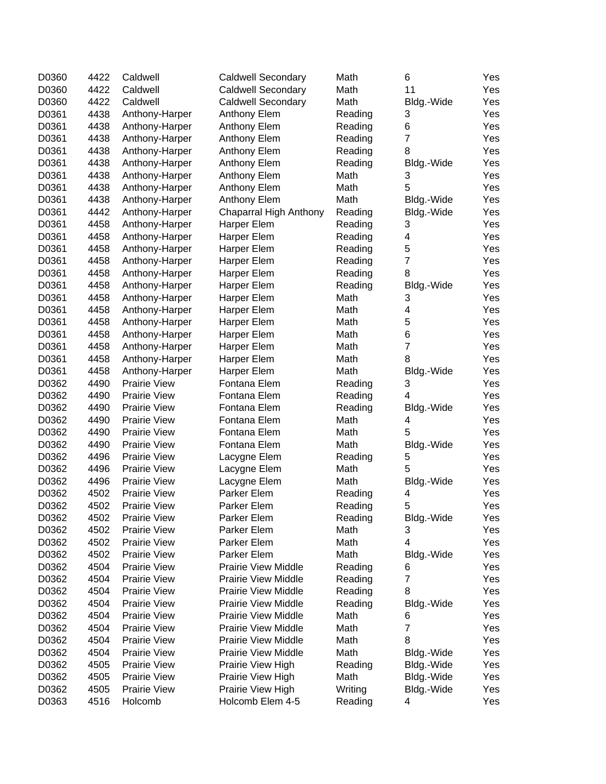| D0360 | 4422 | Caldwell            | <b>Caldwell Secondary</b>  | Math    | 6                       | Yes |
|-------|------|---------------------|----------------------------|---------|-------------------------|-----|
| D0360 | 4422 | Caldwell            | <b>Caldwell Secondary</b>  | Math    | 11                      | Yes |
| D0360 | 4422 | Caldwell            | <b>Caldwell Secondary</b>  | Math    | Bldg.-Wide              | Yes |
| D0361 | 4438 | Anthony-Harper      | Anthony Elem               | Reading | 3                       | Yes |
| D0361 | 4438 | Anthony-Harper      | Anthony Elem               | Reading | 6                       | Yes |
| D0361 | 4438 | Anthony-Harper      | Anthony Elem               | Reading | $\overline{7}$          | Yes |
| D0361 | 4438 | Anthony-Harper      | Anthony Elem               | Reading | 8                       | Yes |
| D0361 | 4438 | Anthony-Harper      | Anthony Elem               | Reading | Bldg.-Wide              | Yes |
| D0361 | 4438 | Anthony-Harper      | Anthony Elem               | Math    | 3                       | Yes |
| D0361 | 4438 | Anthony-Harper      | Anthony Elem               | Math    | 5                       | Yes |
| D0361 | 4438 | Anthony-Harper      | Anthony Elem               | Math    | Bldg.-Wide              | Yes |
| D0361 | 4442 | Anthony-Harper      | Chaparral High Anthony     | Reading | Bldg.-Wide              | Yes |
| D0361 | 4458 | Anthony-Harper      | Harper Elem                | Reading | 3                       | Yes |
| D0361 | 4458 | Anthony-Harper      | Harper Elem                | Reading | 4                       | Yes |
| D0361 | 4458 | Anthony-Harper      | Harper Elem                | Reading | 5                       | Yes |
| D0361 | 4458 | Anthony-Harper      | Harper Elem                | Reading | $\overline{7}$          | Yes |
| D0361 | 4458 | Anthony-Harper      | Harper Elem                | Reading | 8                       | Yes |
| D0361 | 4458 | Anthony-Harper      | Harper Elem                | Reading | Bldg.-Wide              | Yes |
| D0361 | 4458 | Anthony-Harper      | Harper Elem                | Math    | 3                       | Yes |
| D0361 | 4458 | Anthony-Harper      | Harper Elem                | Math    | $\overline{\mathbf{4}}$ | Yes |
| D0361 | 4458 | Anthony-Harper      | Harper Elem                | Math    | 5                       | Yes |
| D0361 | 4458 | Anthony-Harper      | Harper Elem                | Math    | 6                       | Yes |
| D0361 | 4458 | Anthony-Harper      | Harper Elem                | Math    | $\overline{7}$          | Yes |
| D0361 | 4458 | Anthony-Harper      | Harper Elem                | Math    | 8                       | Yes |
| D0361 | 4458 | Anthony-Harper      | Harper Elem                | Math    | Bldg.-Wide              | Yes |
| D0362 | 4490 | <b>Prairie View</b> | Fontana Elem               | Reading | 3                       | Yes |
| D0362 | 4490 | <b>Prairie View</b> | Fontana Elem               | Reading | 4                       | Yes |
| D0362 | 4490 | <b>Prairie View</b> | Fontana Elem               | Reading | Bldg.-Wide              | Yes |
| D0362 | 4490 | <b>Prairie View</b> | Fontana Elem               | Math    | 4                       | Yes |
| D0362 | 4490 | <b>Prairie View</b> | Fontana Elem               | Math    | 5                       | Yes |
| D0362 | 4490 | <b>Prairie View</b> | Fontana Elem               | Math    | Bldg.-Wide              | Yes |
| D0362 | 4496 | <b>Prairie View</b> | Lacygne Elem               | Reading | 5                       | Yes |
| D0362 | 4496 | <b>Prairie View</b> | Lacygne Elem               | Math    | 5                       | Yes |
| D0362 | 4496 | <b>Prairie View</b> | Lacygne Elem               | Math    | Bldg.-Wide              | Yes |
| D0362 | 4502 | <b>Prairie View</b> | Parker Elem                | Reading | 4                       | Yes |
| D0362 | 4502 | <b>Prairie View</b> | Parker Elem                | Reading | 5                       | Yes |
| D0362 | 4502 | Prairie View        | Parker Elem                | Reading | Bldg.-Wide              | Yes |
| D0362 | 4502 | <b>Prairie View</b> | Parker Elem                | Math    | 3                       | Yes |
| D0362 | 4502 | Prairie View        | Parker Elem                | Math    | $\overline{\mathbf{4}}$ | Yes |
| D0362 | 4502 | <b>Prairie View</b> | Parker Elem                | Math    | Bldg.-Wide              | Yes |
| D0362 | 4504 | <b>Prairie View</b> | <b>Prairie View Middle</b> | Reading | 6                       | Yes |
| D0362 | 4504 | <b>Prairie View</b> | <b>Prairie View Middle</b> | Reading | 7                       | Yes |
| D0362 | 4504 | <b>Prairie View</b> | <b>Prairie View Middle</b> | Reading | 8                       | Yes |
| D0362 | 4504 | <b>Prairie View</b> | <b>Prairie View Middle</b> | Reading | Bldg.-Wide              | Yes |
| D0362 | 4504 | <b>Prairie View</b> | <b>Prairie View Middle</b> | Math    | 6                       | Yes |
| D0362 | 4504 | <b>Prairie View</b> | <b>Prairie View Middle</b> | Math    | 7                       | Yes |
| D0362 | 4504 | <b>Prairie View</b> | <b>Prairie View Middle</b> | Math    | 8                       | Yes |
| D0362 | 4504 | <b>Prairie View</b> | <b>Prairie View Middle</b> | Math    | Bldg.-Wide              | Yes |
| D0362 | 4505 | <b>Prairie View</b> | Prairie View High          | Reading | Bldg.-Wide              | Yes |
| D0362 | 4505 | <b>Prairie View</b> | Prairie View High          | Math    | Bldg.-Wide              | Yes |
| D0362 | 4505 | <b>Prairie View</b> | Prairie View High          | Writing | Bldg.-Wide              | Yes |
| D0363 | 4516 | Holcomb             | Holcomb Elem 4-5           | Reading | 4                       | Yes |
|       |      |                     |                            |         |                         |     |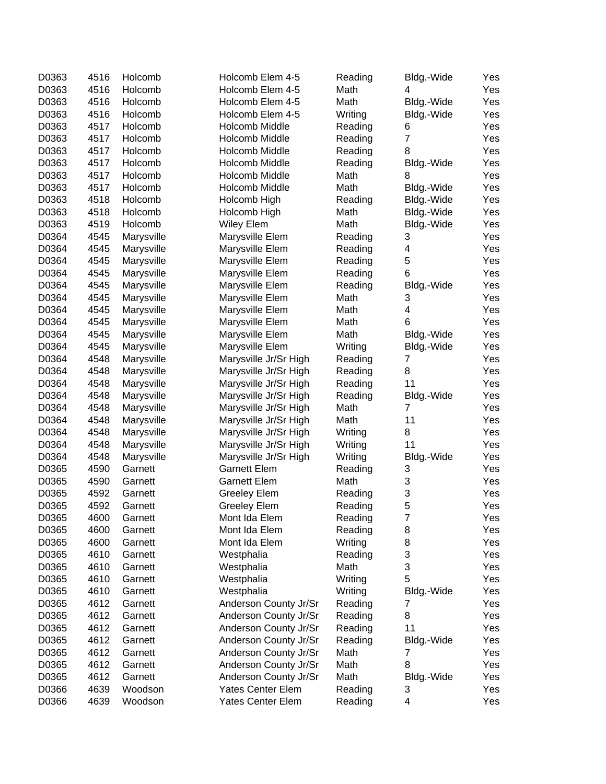| D0363 | 4516 | Holcomb    | Holcomb Elem 4-5         | Reading | Bldg.-Wide     | Yes |
|-------|------|------------|--------------------------|---------|----------------|-----|
| D0363 | 4516 | Holcomb    | Holcomb Elem 4-5         | Math    | 4              | Yes |
| D0363 | 4516 | Holcomb    | Holcomb Elem 4-5         | Math    | Bldg.-Wide     | Yes |
| D0363 | 4516 | Holcomb    | Holcomb Elem 4-5         | Writing | Bldg.-Wide     | Yes |
| D0363 | 4517 | Holcomb    | Holcomb Middle           | Reading | 6              | Yes |
| D0363 | 4517 | Holcomb    | Holcomb Middle           | Reading | $\overline{7}$ | Yes |
| D0363 | 4517 | Holcomb    | Holcomb Middle           | Reading | 8              | Yes |
| D0363 | 4517 | Holcomb    | Holcomb Middle           | Reading | Bldg.-Wide     | Yes |
| D0363 | 4517 | Holcomb    | Holcomb Middle           | Math    | 8              | Yes |
| D0363 | 4517 | Holcomb    | Holcomb Middle           | Math    | Bldg.-Wide     | Yes |
| D0363 | 4518 | Holcomb    | Holcomb High             | Reading | Bldg.-Wide     | Yes |
| D0363 | 4518 | Holcomb    | Holcomb High             | Math    | Bldg.-Wide     | Yes |
| D0363 | 4519 | Holcomb    | <b>Wiley Elem</b>        | Math    | Bldg.-Wide     | Yes |
| D0364 | 4545 | Marysville | Marysville Elem          | Reading | 3              | Yes |
| D0364 | 4545 | Marysville | Marysville Elem          | Reading | 4              | Yes |
| D0364 | 4545 | Marysville | Marysville Elem          | Reading | 5              | Yes |
| D0364 | 4545 | Marysville | Marysville Elem          | Reading | 6              | Yes |
| D0364 | 4545 | Marysville | Marysville Elem          | Reading | Bldg.-Wide     | Yes |
| D0364 | 4545 | Marysville | Marysville Elem          | Math    | 3              | Yes |
| D0364 | 4545 | Marysville | Marysville Elem          | Math    | 4              | Yes |
| D0364 | 4545 | Marysville | Marysville Elem          | Math    | 6              | Yes |
| D0364 | 4545 | Marysville | Marysville Elem          | Math    | Bldg.-Wide     | Yes |
| D0364 | 4545 | Marysville | Marysville Elem          | Writing | Bldg.-Wide     | Yes |
| D0364 | 4548 | Marysville | Marysville Jr/Sr High    | Reading | 7              | Yes |
| D0364 | 4548 | Marysville | Marysville Jr/Sr High    | Reading | 8              | Yes |
| D0364 | 4548 | Marysville | Marysville Jr/Sr High    | Reading | 11             | Yes |
| D0364 | 4548 | Marysville | Marysville Jr/Sr High    | Reading | Bldg.-Wide     | Yes |
| D0364 | 4548 | Marysville | Marysville Jr/Sr High    | Math    | 7              | Yes |
| D0364 | 4548 | Marysville | Marysville Jr/Sr High    | Math    | 11             | Yes |
| D0364 | 4548 | Marysville | Marysville Jr/Sr High    | Writing | 8              | Yes |
| D0364 | 4548 | Marysville | Marysville Jr/Sr High    | Writing | 11             | Yes |
| D0364 | 4548 | Marysville | Marysville Jr/Sr High    | Writing | Bldg.-Wide     | Yes |
| D0365 | 4590 | Garnett    | <b>Garnett Elem</b>      | Reading | 3              | Yes |
| D0365 | 4590 | Garnett    | <b>Garnett Elem</b>      | Math    | 3              | Yes |
| D0365 | 4592 | Garnett    | <b>Greeley Elem</b>      | Reading | 3              | Yes |
| D0365 | 4592 | Garnett    | <b>Greeley Elem</b>      | Reading | 5              | Yes |
| D0365 | 4600 | Garnett    | Mont Ida Elem            | Reading | 7              | Yes |
| D0365 | 4600 | Garnett    | Mont Ida Elem            | Reading | 8              | Yes |
| D0365 | 4600 | Garnett    | Mont Ida Elem            | Writing | 8              | Yes |
| D0365 | 4610 | Garnett    | Westphalia               | Reading | 3              | Yes |
| D0365 | 4610 | Garnett    | Westphalia               | Math    | 3              | Yes |
| D0365 | 4610 | Garnett    | Westphalia               | Writing | 5              | Yes |
| D0365 | 4610 | Garnett    | Westphalia               | Writing | Bldg.-Wide     | Yes |
| D0365 | 4612 | Garnett    | Anderson County Jr/Sr    | Reading | 7              | Yes |
| D0365 | 4612 | Garnett    | Anderson County Jr/Sr    | Reading | 8              | Yes |
| D0365 | 4612 | Garnett    | Anderson County Jr/Sr    | Reading | 11             | Yes |
| D0365 | 4612 | Garnett    | Anderson County Jr/Sr    | Reading | Bldg.-Wide     | Yes |
| D0365 | 4612 | Garnett    | Anderson County Jr/Sr    | Math    | 7              | Yes |
| D0365 | 4612 | Garnett    | Anderson County Jr/Sr    | Math    | 8              | Yes |
| D0365 | 4612 | Garnett    | Anderson County Jr/Sr    | Math    | Bldg.-Wide     | Yes |
| D0366 | 4639 | Woodson    | <b>Yates Center Elem</b> | Reading | 3              | Yes |
| D0366 | 4639 | Woodson    | Yates Center Elem        | Reading | 4              | Yes |
|       |      |            |                          |         |                |     |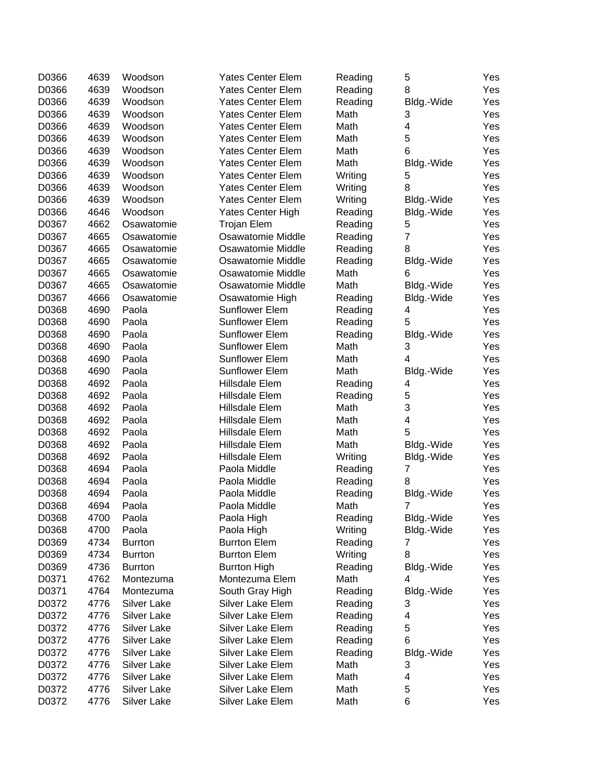| D0366 | 4639 | Woodson            | <b>Yates Center Elem</b> | Reading | 5              | Yes |
|-------|------|--------------------|--------------------------|---------|----------------|-----|
| D0366 | 4639 | Woodson            | <b>Yates Center Elem</b> | Reading | 8              | Yes |
| D0366 | 4639 | Woodson            | Yates Center Elem        | Reading | Bldg.-Wide     | Yes |
| D0366 | 4639 | Woodson            | Yates Center Elem        | Math    | 3              | Yes |
| D0366 | 4639 | Woodson            | <b>Yates Center Elem</b> | Math    | 4              | Yes |
| D0366 | 4639 | Woodson            | <b>Yates Center Elem</b> | Math    | 5              | Yes |
| D0366 | 4639 | Woodson            | <b>Yates Center Elem</b> | Math    | 6              | Yes |
| D0366 | 4639 | Woodson            | <b>Yates Center Elem</b> | Math    | Bldg.-Wide     | Yes |
| D0366 | 4639 | Woodson            | <b>Yates Center Elem</b> | Writing | 5              | Yes |
| D0366 | 4639 | Woodson            | <b>Yates Center Elem</b> | Writing | 8              | Yes |
| D0366 | 4639 | Woodson            | <b>Yates Center Elem</b> | Writing | Bldg.-Wide     | Yes |
| D0366 | 4646 | Woodson            | Yates Center High        | Reading | Bldg.-Wide     | Yes |
| D0367 | 4662 | Osawatomie         | <b>Trojan Elem</b>       | Reading | 5              | Yes |
| D0367 | 4665 | Osawatomie         | Osawatomie Middle        | Reading | $\overline{7}$ | Yes |
| D0367 | 4665 | Osawatomie         | Osawatomie Middle        | Reading | 8              | Yes |
| D0367 | 4665 | Osawatomie         | Osawatomie Middle        | Reading | Bldg.-Wide     | Yes |
| D0367 | 4665 | Osawatomie         | Osawatomie Middle        | Math    | 6              | Yes |
| D0367 | 4665 | Osawatomie         | Osawatomie Middle        | Math    | Bldg.-Wide     | Yes |
| D0367 | 4666 | Osawatomie         | Osawatomie High          | Reading | Bldg.-Wide     | Yes |
| D0368 | 4690 | Paola              | <b>Sunflower Elem</b>    | Reading | 4              | Yes |
| D0368 | 4690 | Paola              | <b>Sunflower Elem</b>    | Reading | 5              | Yes |
| D0368 | 4690 | Paola              | <b>Sunflower Elem</b>    | Reading | Bldg.-Wide     | Yes |
| D0368 | 4690 | Paola              | <b>Sunflower Elem</b>    | Math    | 3              | Yes |
| D0368 | 4690 | Paola              | <b>Sunflower Elem</b>    | Math    | 4              | Yes |
| D0368 | 4690 | Paola              | <b>Sunflower Elem</b>    | Math    | Bldg.-Wide     | Yes |
| D0368 | 4692 | Paola              | Hillsdale Elem           | Reading | 4              | Yes |
| D0368 | 4692 | Paola              | Hillsdale Elem           | Reading | 5              | Yes |
| D0368 | 4692 | Paola              | Hillsdale Elem           | Math    | 3              | Yes |
| D0368 | 4692 | Paola              | Hillsdale Elem           | Math    | 4              | Yes |
| D0368 | 4692 | Paola              | Hillsdale Elem           | Math    | 5              | Yes |
| D0368 | 4692 | Paola              | Hillsdale Elem           | Math    | Bldg.-Wide     | Yes |
| D0368 | 4692 | Paola              | Hillsdale Elem           | Writing | Bldg.-Wide     | Yes |
| D0368 | 4694 | Paola              | Paola Middle             | Reading | 7              | Yes |
| D0368 | 4694 | Paola              | Paola Middle             | Reading | 8              | Yes |
| D0368 | 4694 | Paola              | Paola Middle             | Reading | Bldg.-Wide     | Yes |
| D0368 | 4694 | Paola              | Paola Middle             | Math    | 7              | Yes |
| D0368 | 4700 | Paola              | Paola High               | Reading | Bldg.-Wide     | Yes |
| D0368 | 4700 | Paola              | Paola High               | Writing | Bldg.-Wide     | Yes |
| D0369 | 4734 | <b>Burrton</b>     | <b>Burrton Elem</b>      | Reading | 7              | Yes |
| D0369 | 4734 | <b>Burrton</b>     | <b>Burrton Elem</b>      | Writing | 8              | Yes |
| D0369 | 4736 | <b>Burrton</b>     | <b>Burrton High</b>      | Reading | Bldg.-Wide     | Yes |
| D0371 | 4762 | Montezuma          | Montezuma Elem           | Math    | 4              | Yes |
| D0371 | 4764 | Montezuma          | South Gray High          | Reading | Bldg.-Wide     | Yes |
| D0372 | 4776 | Silver Lake        | Silver Lake Elem         | Reading | 3              | Yes |
| D0372 | 4776 | <b>Silver Lake</b> | Silver Lake Elem         | Reading | 4              | Yes |
| D0372 | 4776 | Silver Lake        | Silver Lake Elem         | Reading | 5              | Yes |
| D0372 | 4776 | <b>Silver Lake</b> | Silver Lake Elem         | Reading | 6              | Yes |
| D0372 | 4776 | Silver Lake        | Silver Lake Elem         | Reading | Bldg.-Wide     | Yes |
| D0372 | 4776 | Silver Lake        | Silver Lake Elem         | Math    | 3              | Yes |
| D0372 | 4776 | Silver Lake        | Silver Lake Elem         | Math    | 4              | Yes |
| D0372 | 4776 | Silver Lake        | Silver Lake Elem         | Math    | 5              | Yes |
| D0372 | 4776 | Silver Lake        | Silver Lake Elem         | Math    | 6              | Yes |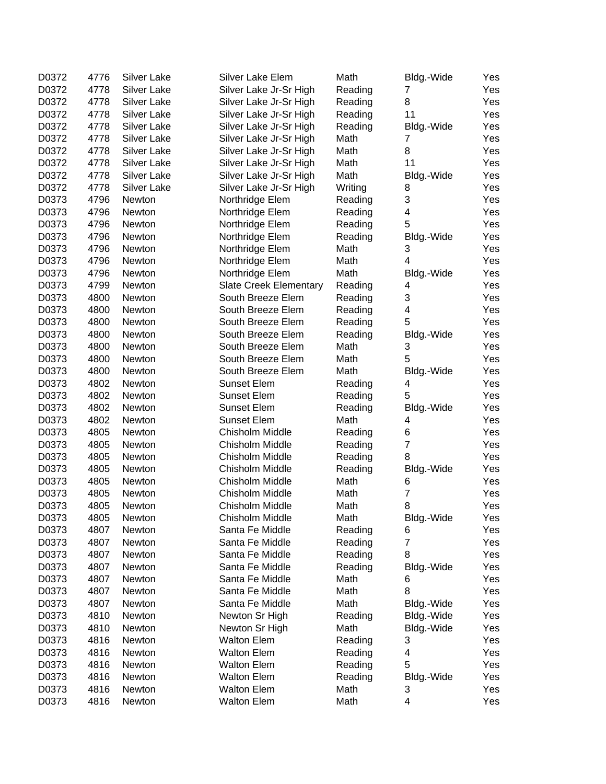| D0372 | 4776 | <b>Silver Lake</b> | Silver Lake Elem              | Math    | Bldg.-Wide     | Yes |
|-------|------|--------------------|-------------------------------|---------|----------------|-----|
| D0372 | 4778 | <b>Silver Lake</b> | Silver Lake Jr-Sr High        | Reading | 7              | Yes |
| D0372 | 4778 | <b>Silver Lake</b> | Silver Lake Jr-Sr High        | Reading | 8              | Yes |
| D0372 | 4778 | <b>Silver Lake</b> | Silver Lake Jr-Sr High        | Reading | 11             | Yes |
| D0372 | 4778 | Silver Lake        | Silver Lake Jr-Sr High        | Reading | Bldg.-Wide     | Yes |
| D0372 | 4778 | Silver Lake        | Silver Lake Jr-Sr High        | Math    | 7              | Yes |
| D0372 | 4778 | <b>Silver Lake</b> | Silver Lake Jr-Sr High        | Math    | 8              | Yes |
| D0372 | 4778 | Silver Lake        | Silver Lake Jr-Sr High        | Math    | 11             | Yes |
| D0372 | 4778 | <b>Silver Lake</b> | Silver Lake Jr-Sr High        | Math    | Bldg.-Wide     | Yes |
| D0372 | 4778 | Silver Lake        | Silver Lake Jr-Sr High        | Writing | 8              | Yes |
| D0373 | 4796 | Newton             | Northridge Elem               | Reading | 3              | Yes |
| D0373 | 4796 | Newton             | Northridge Elem               | Reading | 4              | Yes |
| D0373 | 4796 | Newton             | Northridge Elem               | Reading | 5              | Yes |
| D0373 | 4796 | Newton             | Northridge Elem               | Reading | Bldg.-Wide     | Yes |
| D0373 | 4796 | Newton             | Northridge Elem               | Math    | 3              | Yes |
| D0373 | 4796 | Newton             | Northridge Elem               | Math    | $\overline{4}$ | Yes |
| D0373 | 4796 | Newton             | Northridge Elem               | Math    | Bldg.-Wide     | Yes |
| D0373 | 4799 | Newton             | <b>Slate Creek Elementary</b> | Reading | 4              | Yes |
| D0373 | 4800 | Newton             | South Breeze Elem             | Reading | 3              | Yes |
| D0373 | 4800 | Newton             | South Breeze Elem             | Reading | 4              | Yes |
| D0373 | 4800 | Newton             | South Breeze Elem             | Reading | 5              | Yes |
| D0373 | 4800 | Newton             | South Breeze Elem             | Reading | Bldg.-Wide     | Yes |
| D0373 | 4800 | Newton             | South Breeze Elem             | Math    | 3              | Yes |
| D0373 | 4800 | Newton             | South Breeze Elem             | Math    | 5              | Yes |
| D0373 | 4800 | Newton             | South Breeze Elem             | Math    | Bldg.-Wide     | Yes |
| D0373 | 4802 | Newton             | <b>Sunset Elem</b>            | Reading | 4              | Yes |
| D0373 | 4802 | Newton             | <b>Sunset Elem</b>            | Reading | 5              | Yes |
| D0373 | 4802 | Newton             | <b>Sunset Elem</b>            | Reading | Bldg.-Wide     | Yes |
| D0373 | 4802 | Newton             | <b>Sunset Elem</b>            | Math    | 4              | Yes |
| D0373 | 4805 | Newton             | Chisholm Middle               | Reading | 6              | Yes |
| D0373 | 4805 | Newton             | Chisholm Middle               | Reading | $\overline{7}$ | Yes |
| D0373 | 4805 | Newton             | Chisholm Middle               | Reading | 8              | Yes |
| D0373 | 4805 | Newton             | Chisholm Middle               | Reading | Bldg.-Wide     | Yes |
| D0373 | 4805 | Newton             | Chisholm Middle               | Math    | 6              | Yes |
| D0373 | 4805 | Newton             | Chisholm Middle               | Math    | $\overline{7}$ | Yes |
| D0373 | 4805 | Newton             | Chisholm Middle               | Math    | 8              | Yes |
| D0373 | 4805 | Newton             | Chisholm Middle               | Math    | Bldg.-Wide     | Yes |
| D0373 | 4807 | Newton             | Santa Fe Middle               | Reading | 6              | Yes |
| D0373 | 4807 | Newton             | Santa Fe Middle               | Reading | $\overline{7}$ | Yes |
| D0373 | 4807 | Newton             | Santa Fe Middle               | Reading | 8              | Yes |
| D0373 | 4807 | Newton             | Santa Fe Middle               | Reading | Bldg.-Wide     | Yes |
| D0373 | 4807 | Newton             | Santa Fe Middle               | Math    | 6              | Yes |
| D0373 | 4807 | Newton             | Santa Fe Middle               | Math    | 8              | Yes |
| D0373 | 4807 | Newton             | Santa Fe Middle               | Math    | Bldg.-Wide     | Yes |
| D0373 | 4810 | Newton             | Newton Sr High                | Reading | Bldg.-Wide     | Yes |
| D0373 | 4810 | Newton             | Newton Sr High                | Math    | Bldg.-Wide     | Yes |
| D0373 | 4816 | Newton             | <b>Walton Elem</b>            | Reading | 3              | Yes |
| D0373 | 4816 | Newton             | <b>Walton Elem</b>            | Reading | 4              | Yes |
| D0373 | 4816 | Newton             | <b>Walton Elem</b>            | Reading | 5              | Yes |
| D0373 | 4816 | Newton             | <b>Walton Elem</b>            | Reading | Bldg.-Wide     | Yes |
| D0373 | 4816 | Newton             | <b>Walton Elem</b>            | Math    | 3              | Yes |
| D0373 | 4816 | Newton             | <b>Walton Elem</b>            | Math    | 4              | Yes |
|       |      |                    |                               |         |                |     |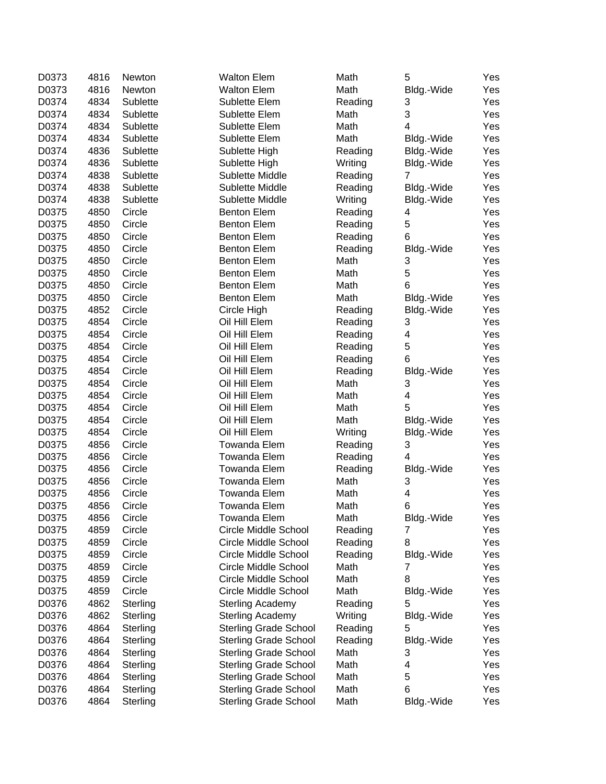| D0373 | 4816 | Newton   | <b>Walton Elem</b>           | Math    | 5                       | Yes |
|-------|------|----------|------------------------------|---------|-------------------------|-----|
| D0373 | 4816 | Newton   | <b>Walton Elem</b>           | Math    | Bldg.-Wide              | Yes |
| D0374 | 4834 | Sublette | Sublette Elem                | Reading | 3                       | Yes |
| D0374 | 4834 | Sublette | Sublette Elem                | Math    | 3                       | Yes |
| D0374 | 4834 | Sublette | Sublette Elem                | Math    | $\overline{4}$          | Yes |
| D0374 | 4834 | Sublette | Sublette Elem                | Math    | Bldg.-Wide              | Yes |
| D0374 | 4836 | Sublette | Sublette High                | Reading | Bldg.-Wide              | Yes |
| D0374 | 4836 | Sublette | Sublette High                | Writing | Bldg.-Wide              | Yes |
| D0374 | 4838 | Sublette | Sublette Middle              | Reading | 7                       | Yes |
| D0374 | 4838 | Sublette | Sublette Middle              | Reading | Bldg.-Wide              | Yes |
| D0374 | 4838 | Sublette | Sublette Middle              | Writing | Bldg.-Wide              | Yes |
| D0375 | 4850 | Circle   | <b>Benton Elem</b>           | Reading | 4                       | Yes |
| D0375 | 4850 | Circle   | <b>Benton Elem</b>           | Reading | $\mathbf 5$             | Yes |
| D0375 | 4850 | Circle   | <b>Benton Elem</b>           | Reading | 6                       | Yes |
| D0375 | 4850 | Circle   | <b>Benton Elem</b>           | Reading | Bldg.-Wide              | Yes |
| D0375 | 4850 | Circle   | <b>Benton Elem</b>           | Math    | 3                       | Yes |
| D0375 | 4850 | Circle   | <b>Benton Elem</b>           | Math    | 5                       | Yes |
| D0375 | 4850 | Circle   | <b>Benton Elem</b>           | Math    | 6                       | Yes |
| D0375 | 4850 | Circle   | <b>Benton Elem</b>           | Math    | Bldg.-Wide              | Yes |
| D0375 | 4852 | Circle   | Circle High                  | Reading | Bldg.-Wide              | Yes |
| D0375 | 4854 | Circle   | Oil Hill Elem                | Reading | 3                       | Yes |
| D0375 | 4854 | Circle   | Oil Hill Elem                | Reading | 4                       | Yes |
| D0375 | 4854 | Circle   | Oil Hill Elem                | Reading | 5                       | Yes |
| D0375 | 4854 | Circle   | Oil Hill Elem                | Reading | 6                       | Yes |
| D0375 | 4854 | Circle   | Oil Hill Elem                | Reading | Bldg.-Wide              | Yes |
| D0375 | 4854 | Circle   | Oil Hill Elem                | Math    | 3                       | Yes |
| D0375 | 4854 | Circle   | Oil Hill Elem                | Math    | $\overline{\mathbf{4}}$ | Yes |
| D0375 | 4854 | Circle   | Oil Hill Elem                | Math    | 5                       | Yes |
| D0375 | 4854 | Circle   | Oil Hill Elem                | Math    | Bldg.-Wide              | Yes |
| D0375 | 4854 | Circle   | Oil Hill Elem                | Writing | Bldg.-Wide              | Yes |
| D0375 | 4856 | Circle   | <b>Towanda Elem</b>          | Reading | 3                       | Yes |
| D0375 | 4856 | Circle   | <b>Towanda Elem</b>          | Reading | 4                       | Yes |
| D0375 | 4856 | Circle   | <b>Towanda Elem</b>          | Reading | Bldg.-Wide              | Yes |
| D0375 | 4856 | Circle   | <b>Towanda Elem</b>          | Math    | 3                       | Yes |
| D0375 | 4856 | Circle   | <b>Towanda Elem</b>          | Math    | 4                       | Yes |
| D0375 | 4856 | Circle   | <b>Towanda Elem</b>          | Math    | 6                       | Yes |
| D0375 | 4856 | Circle   | Towanda Elem                 | Math    | Bldg.-Wide              | Yes |
| D0375 | 4859 | Circle   | Circle Middle School         | Reading | 7                       | Yes |
| D0375 | 4859 | Circle   | Circle Middle School         | Reading | 8                       | Yes |
| D0375 | 4859 | Circle   | Circle Middle School         | Reading | Bldg.-Wide              | Yes |
| D0375 | 4859 | Circle   | Circle Middle School         | Math    | 7                       | Yes |
| D0375 | 4859 | Circle   | Circle Middle School         | Math    | 8                       | Yes |
| D0375 | 4859 | Circle   | Circle Middle School         | Math    | Bldg.-Wide              | Yes |
| D0376 | 4862 | Sterling | <b>Sterling Academy</b>      | Reading | 5                       | Yes |
| D0376 | 4862 | Sterling | <b>Sterling Academy</b>      | Writing | Bldg.-Wide              | Yes |
| D0376 | 4864 | Sterling | <b>Sterling Grade School</b> | Reading | 5                       | Yes |
| D0376 | 4864 | Sterling | <b>Sterling Grade School</b> | Reading | Bldg.-Wide              | Yes |
| D0376 | 4864 | Sterling | <b>Sterling Grade School</b> | Math    | 3                       | Yes |
| D0376 | 4864 | Sterling | <b>Sterling Grade School</b> | Math    | 4                       | Yes |
| D0376 | 4864 | Sterling | <b>Sterling Grade School</b> | Math    | 5                       | Yes |
| D0376 | 4864 | Sterling | <b>Sterling Grade School</b> | Math    | 6                       | Yes |
| D0376 | 4864 | Sterling | <b>Sterling Grade School</b> | Math    | Bldg.-Wide              | Yes |
|       |      |          |                              |         |                         |     |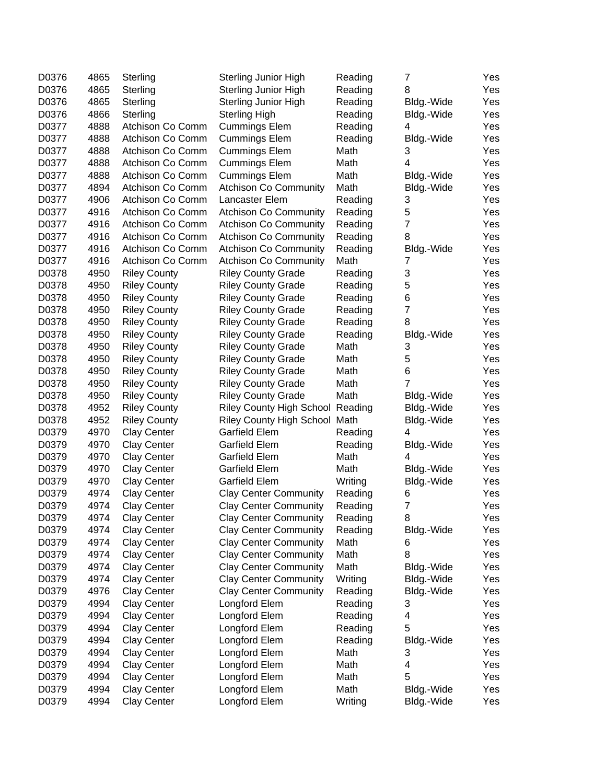| D0376 | 4865 | Sterling            | <b>Sterling Junior High</b>      | Reading | 7              | Yes |
|-------|------|---------------------|----------------------------------|---------|----------------|-----|
| D0376 | 4865 | Sterling            | <b>Sterling Junior High</b>      | Reading | 8              | Yes |
| D0376 | 4865 | Sterling            | <b>Sterling Junior High</b>      | Reading | Bldg.-Wide     | Yes |
| D0376 | 4866 | Sterling            | <b>Sterling High</b>             | Reading | Bldg.-Wide     | Yes |
| D0377 | 4888 | Atchison Co Comm    | <b>Cummings Elem</b>             | Reading | 4              | Yes |
| D0377 | 4888 | Atchison Co Comm    | <b>Cummings Elem</b>             | Reading | Bldg.-Wide     | Yes |
| D0377 | 4888 | Atchison Co Comm    | <b>Cummings Elem</b>             | Math    | 3              | Yes |
| D0377 | 4888 | Atchison Co Comm    | <b>Cummings Elem</b>             | Math    | 4              | Yes |
| D0377 | 4888 | Atchison Co Comm    | <b>Cummings Elem</b>             | Math    | Bldg.-Wide     | Yes |
| D0377 | 4894 | Atchison Co Comm    | <b>Atchison Co Community</b>     | Math    | Bldg.-Wide     | Yes |
| D0377 | 4906 | Atchison Co Comm    | Lancaster Elem                   | Reading | 3              | Yes |
| D0377 | 4916 | Atchison Co Comm    | <b>Atchison Co Community</b>     | Reading | 5              | Yes |
| D0377 | 4916 | Atchison Co Comm    | <b>Atchison Co Community</b>     | Reading | 7              | Yes |
| D0377 | 4916 | Atchison Co Comm    | <b>Atchison Co Community</b>     | Reading | 8              | Yes |
| D0377 | 4916 | Atchison Co Comm    | <b>Atchison Co Community</b>     | Reading | Bldg.-Wide     | Yes |
| D0377 | 4916 | Atchison Co Comm    | <b>Atchison Co Community</b>     | Math    | 7              | Yes |
| D0378 | 4950 | <b>Riley County</b> | <b>Riley County Grade</b>        | Reading | 3              | Yes |
| D0378 | 4950 | <b>Riley County</b> | <b>Riley County Grade</b>        | Reading | 5              | Yes |
| D0378 | 4950 | <b>Riley County</b> | <b>Riley County Grade</b>        | Reading | 6              | Yes |
| D0378 | 4950 | <b>Riley County</b> | <b>Riley County Grade</b>        | Reading | $\overline{7}$ | Yes |
| D0378 | 4950 | <b>Riley County</b> | <b>Riley County Grade</b>        | Reading | 8              | Yes |
| D0378 | 4950 | <b>Riley County</b> | <b>Riley County Grade</b>        | Reading | Bldg.-Wide     | Yes |
| D0378 | 4950 | <b>Riley County</b> | <b>Riley County Grade</b>        | Math    | 3              | Yes |
| D0378 | 4950 | <b>Riley County</b> | <b>Riley County Grade</b>        | Math    | 5              | Yes |
| D0378 | 4950 | <b>Riley County</b> | <b>Riley County Grade</b>        | Math    | 6              | Yes |
| D0378 | 4950 | <b>Riley County</b> | <b>Riley County Grade</b>        | Math    | 7              | Yes |
| D0378 | 4950 | <b>Riley County</b> | <b>Riley County Grade</b>        | Math    | Bldg.-Wide     | Yes |
| D0378 | 4952 | <b>Riley County</b> | Riley County High School Reading |         | Bldg.-Wide     | Yes |
| D0378 | 4952 | <b>Riley County</b> | Riley County High School Math    |         | Bldg.-Wide     | Yes |
| D0379 | 4970 | <b>Clay Center</b>  | <b>Garfield Elem</b>             | Reading | 4              | Yes |
| D0379 | 4970 | <b>Clay Center</b>  | Garfield Elem                    | Reading | Bldg.-Wide     | Yes |
| D0379 | 4970 | <b>Clay Center</b>  | <b>Garfield Elem</b>             | Math    | 4              | Yes |
| D0379 | 4970 | <b>Clay Center</b>  | Garfield Elem                    | Math    | Bldg.-Wide     | Yes |
| D0379 | 4970 | <b>Clay Center</b>  | <b>Garfield Elem</b>             | Writing | Bldg.-Wide     | Yes |
| D0379 | 4974 | <b>Clay Center</b>  | <b>Clay Center Community</b>     | Reading | 6              | Yes |
| D0379 | 4974 | <b>Clay Center</b>  | <b>Clay Center Community</b>     | Reading | $\overline{7}$ | Yes |
| D0379 | 4974 | Clay Center         | <b>Clay Center Community</b>     | Reading | 8              | Yes |
| D0379 | 4974 | <b>Clay Center</b>  | <b>Clay Center Community</b>     | Reading | Bldg.-Wide     | Yes |
| D0379 | 4974 | Clay Center         | <b>Clay Center Community</b>     | Math    | 6              | Yes |
| D0379 | 4974 | Clay Center         | <b>Clay Center Community</b>     | Math    | 8              | Yes |
| D0379 | 4974 | Clay Center         | <b>Clay Center Community</b>     | Math    | Bldg.-Wide     | Yes |
| D0379 | 4974 | Clay Center         | <b>Clay Center Community</b>     | Writing | Bldg.-Wide     | Yes |
| D0379 | 4976 | Clay Center         | <b>Clay Center Community</b>     | Reading | Bldg.-Wide     | Yes |
| D0379 | 4994 | Clay Center         | Longford Elem                    | Reading | 3              | Yes |
| D0379 | 4994 | <b>Clay Center</b>  | Longford Elem                    | Reading | 4              | Yes |
| D0379 | 4994 | <b>Clay Center</b>  | Longford Elem                    | Reading | 5              | Yes |
| D0379 | 4994 | <b>Clay Center</b>  | Longford Elem                    | Reading | Bldg.-Wide     | Yes |
| D0379 | 4994 | <b>Clay Center</b>  | Longford Elem                    | Math    | 3              | Yes |
| D0379 | 4994 | <b>Clay Center</b>  | Longford Elem                    | Math    | 4              | Yes |
| D0379 | 4994 | <b>Clay Center</b>  | Longford Elem                    | Math    | 5              | Yes |
| D0379 | 4994 | <b>Clay Center</b>  | Longford Elem                    | Math    | Bldg.-Wide     | Yes |
| D0379 | 4994 | <b>Clay Center</b>  | Longford Elem                    | Writing | Bldg.-Wide     | Yes |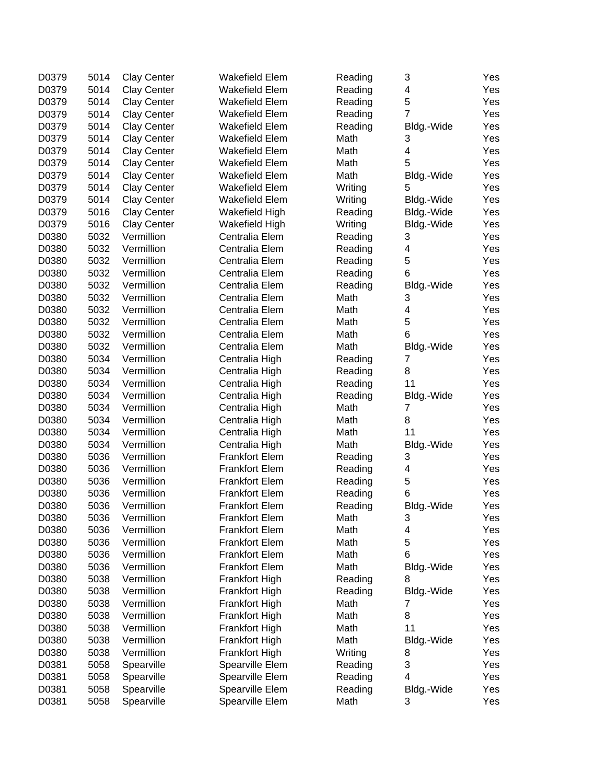| D0379 | 5014 | <b>Clay Center</b> | <b>Wakefield Elem</b> | Reading | 3                       | Yes |
|-------|------|--------------------|-----------------------|---------|-------------------------|-----|
| D0379 | 5014 | <b>Clay Center</b> | <b>Wakefield Elem</b> | Reading | 4                       | Yes |
| D0379 | 5014 | <b>Clay Center</b> | Wakefield Elem        | Reading | 5                       | Yes |
| D0379 | 5014 | <b>Clay Center</b> | <b>Wakefield Elem</b> | Reading | $\overline{7}$          | Yes |
| D0379 | 5014 | <b>Clay Center</b> | <b>Wakefield Elem</b> | Reading | Bldg.-Wide              | Yes |
| D0379 | 5014 | <b>Clay Center</b> | Wakefield Elem        | Math    | 3                       | Yes |
| D0379 | 5014 | <b>Clay Center</b> | Wakefield Elem        | Math    | 4                       | Yes |
| D0379 | 5014 | Clay Center        | <b>Wakefield Elem</b> | Math    | 5                       | Yes |
| D0379 | 5014 | <b>Clay Center</b> | Wakefield Elem        | Math    | Bldg.-Wide              | Yes |
| D0379 | 5014 | <b>Clay Center</b> | <b>Wakefield Elem</b> | Writing | 5                       | Yes |
| D0379 | 5014 | <b>Clay Center</b> | Wakefield Elem        | Writing | Bldg.-Wide              | Yes |
| D0379 | 5016 | <b>Clay Center</b> | Wakefield High        | Reading | Bldg.-Wide              | Yes |
| D0379 | 5016 | <b>Clay Center</b> | Wakefield High        | Writing | Bldg.-Wide              | Yes |
| D0380 | 5032 | Vermillion         | Centralia Elem        | Reading | 3                       | Yes |
| D0380 | 5032 | Vermillion         | Centralia Elem        | Reading | 4                       | Yes |
| D0380 | 5032 | Vermillion         | Centralia Elem        | Reading | 5                       | Yes |
| D0380 | 5032 | Vermillion         | Centralia Elem        | Reading | 6                       | Yes |
| D0380 | 5032 | Vermillion         | Centralia Elem        | Reading | Bldg.-Wide              | Yes |
| D0380 | 5032 | Vermillion         | Centralia Elem        | Math    | 3                       | Yes |
| D0380 | 5032 | Vermillion         | Centralia Elem        | Math    | $\overline{\mathbf{4}}$ | Yes |
| D0380 | 5032 | Vermillion         | Centralia Elem        | Math    | 5                       | Yes |
| D0380 | 5032 | Vermillion         | Centralia Elem        | Math    | 6                       | Yes |
| D0380 | 5032 | Vermillion         | Centralia Elem        | Math    | Bldg.-Wide              | Yes |
| D0380 | 5034 | Vermillion         | Centralia High        | Reading | 7                       | Yes |
| D0380 | 5034 | Vermillion         | Centralia High        | Reading | 8                       | Yes |
| D0380 | 5034 | Vermillion         | Centralia High        | Reading | 11                      | Yes |
| D0380 | 5034 | Vermillion         | Centralia High        | Reading | Bldg.-Wide              | Yes |
| D0380 | 5034 | Vermillion         | Centralia High        | Math    | 7                       | Yes |
| D0380 | 5034 | Vermillion         | Centralia High        | Math    | 8                       | Yes |
| D0380 | 5034 | Vermillion         | Centralia High        | Math    | 11                      | Yes |
| D0380 | 5034 | Vermillion         | Centralia High        | Math    | Bldg.-Wide              | Yes |
| D0380 | 5036 | Vermillion         | <b>Frankfort Elem</b> | Reading | 3                       | Yes |
| D0380 | 5036 | Vermillion         | <b>Frankfort Elem</b> | Reading | 4                       | Yes |
| D0380 | 5036 | Vermillion         | <b>Frankfort Elem</b> | Reading | 5                       | Yes |
| D0380 | 5036 | Vermillion         | <b>Frankfort Elem</b> | Reading | 6                       | Yes |
| D0380 | 5036 | Vermillion         | <b>Frankfort Elem</b> | Reading | Bldg.-Wide              | Yes |
| D0380 | 5036 | Vermillion         | <b>Frankfort Elem</b> | Math    | 3                       | Yes |
| D0380 | 5036 | Vermillion         | <b>Frankfort Elem</b> | Math    | 4                       | Yes |
| D0380 | 5036 | Vermillion         | <b>Frankfort Elem</b> | Math    | 5                       | Yes |
| D0380 | 5036 | Vermillion         | <b>Frankfort Elem</b> | Math    | 6                       | Yes |
| D0380 | 5036 | Vermillion         | <b>Frankfort Elem</b> | Math    | Bldg.-Wide              | Yes |
| D0380 | 5038 | Vermillion         | Frankfort High        | Reading | 8                       | Yes |
| D0380 | 5038 | Vermillion         | Frankfort High        | Reading | Bldg.-Wide              | Yes |
| D0380 | 5038 | Vermillion         | Frankfort High        | Math    | 7                       | Yes |
| D0380 | 5038 | Vermillion         | Frankfort High        | Math    | 8                       | Yes |
| D0380 | 5038 | Vermillion         | Frankfort High        | Math    | 11                      | Yes |
| D0380 | 5038 | Vermillion         | Frankfort High        | Math    | Bldg.-Wide              | Yes |
| D0380 | 5038 | Vermillion         | Frankfort High        | Writing | 8                       | Yes |
| D0381 | 5058 | Spearville         | Spearville Elem       | Reading | 3                       | Yes |
| D0381 | 5058 | Spearville         | Spearville Elem       | Reading | 4                       | Yes |
| D0381 | 5058 | Spearville         | Spearville Elem       | Reading | Bldg.-Wide              | Yes |
| D0381 | 5058 | Spearville         | Spearville Elem       | Math    | 3                       | Yes |
|       |      |                    |                       |         |                         |     |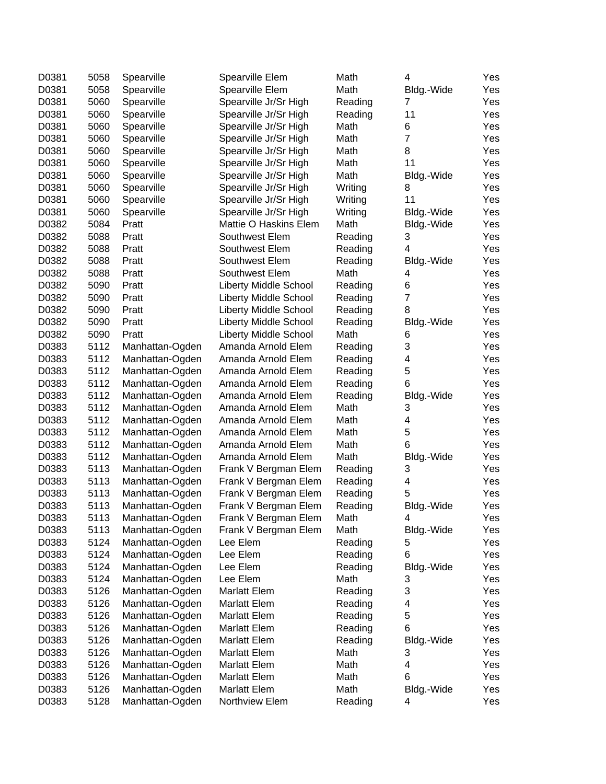| D0381 | 5058 | Spearville      | Spearville Elem              | Math    | 4              | Yes |
|-------|------|-----------------|------------------------------|---------|----------------|-----|
| D0381 | 5058 | Spearville      | Spearville Elem              | Math    | Bldg.-Wide     | Yes |
| D0381 | 5060 | Spearville      | Spearville Jr/Sr High        | Reading | 7              | Yes |
| D0381 | 5060 | Spearville      | Spearville Jr/Sr High        | Reading | 11             | Yes |
| D0381 | 5060 | Spearville      | Spearville Jr/Sr High        | Math    | 6              | Yes |
| D0381 | 5060 | Spearville      | Spearville Jr/Sr High        | Math    | 7              | Yes |
| D0381 | 5060 | Spearville      | Spearville Jr/Sr High        | Math    | 8              | Yes |
| D0381 | 5060 | Spearville      | Spearville Jr/Sr High        | Math    | 11             | Yes |
| D0381 | 5060 | Spearville      | Spearville Jr/Sr High        | Math    | Bldg.-Wide     | Yes |
| D0381 | 5060 | Spearville      | Spearville Jr/Sr High        | Writing | 8              | Yes |
| D0381 | 5060 | Spearville      | Spearville Jr/Sr High        | Writing | 11             | Yes |
| D0381 | 5060 | Spearville      | Spearville Jr/Sr High        | Writing | Bldg.-Wide     | Yes |
| D0382 | 5084 | Pratt           | Mattie O Haskins Elem        | Math    | Bldg.-Wide     | Yes |
| D0382 | 5088 | Pratt           | Southwest Elem               | Reading | 3              | Yes |
| D0382 | 5088 | Pratt           | Southwest Elem               | Reading | 4              | Yes |
| D0382 | 5088 | Pratt           | Southwest Elem               | Reading | Bldg.-Wide     | Yes |
| D0382 | 5088 | Pratt           | Southwest Elem               | Math    | 4              | Yes |
| D0382 | 5090 | Pratt           | <b>Liberty Middle School</b> | Reading | 6              | Yes |
| D0382 | 5090 | Pratt           | <b>Liberty Middle School</b> | Reading | $\overline{7}$ | Yes |
| D0382 | 5090 | Pratt           | <b>Liberty Middle School</b> | Reading | 8              | Yes |
| D0382 | 5090 | Pratt           | <b>Liberty Middle School</b> | Reading | Bldg.-Wide     | Yes |
| D0382 | 5090 | Pratt           | <b>Liberty Middle School</b> | Math    | 6              | Yes |
| D0383 | 5112 | Manhattan-Ogden | Amanda Arnold Elem           | Reading | 3              | Yes |
| D0383 | 5112 | Manhattan-Ogden | Amanda Arnold Elem           | Reading | 4              | Yes |
| D0383 | 5112 | Manhattan-Ogden | Amanda Arnold Elem           | Reading | 5              | Yes |
| D0383 | 5112 | Manhattan-Ogden | Amanda Arnold Elem           | Reading | 6              | Yes |
| D0383 | 5112 | Manhattan-Ogden | Amanda Arnold Elem           | Reading | Bldg.-Wide     | Yes |
| D0383 | 5112 | Manhattan-Ogden | Amanda Arnold Elem           | Math    | 3              | Yes |
| D0383 | 5112 | Manhattan-Ogden | Amanda Arnold Elem           | Math    | 4              | Yes |
| D0383 | 5112 | Manhattan-Ogden | Amanda Arnold Elem           | Math    | 5              | Yes |
| D0383 | 5112 | Manhattan-Ogden | Amanda Arnold Elem           | Math    | 6              | Yes |
| D0383 | 5112 | Manhattan-Ogden | Amanda Arnold Elem           | Math    | Bldg.-Wide     | Yes |
| D0383 | 5113 | Manhattan-Ogden | Frank V Bergman Elem         | Reading | 3              | Yes |
| D0383 | 5113 | Manhattan-Ogden | Frank V Bergman Elem         | Reading | 4              | Yes |
| D0383 | 5113 | Manhattan-Ogden | Frank V Bergman Elem         | Reading | 5              | Yes |
| D0383 | 5113 | Manhattan-Ogden | Frank V Bergman Elem         | Reading | Bldg.-Wide     | Yes |
| D0383 | 5113 | Manhattan-Ogden | Frank V Bergman Elem         | Math    | 4              | Yes |
| D0383 | 5113 | Manhattan-Ogden | Frank V Bergman Elem         | Math    | Bldg.-Wide     | Yes |
| D0383 | 5124 | Manhattan-Ogden | Lee Elem                     | Reading | 5              | Yes |
| D0383 | 5124 | Manhattan-Ogden | Lee Elem                     | Reading | 6              | Yes |
| D0383 | 5124 | Manhattan-Ogden | Lee Elem                     | Reading | Bldg.-Wide     | Yes |
| D0383 | 5124 | Manhattan-Ogden | Lee Elem                     | Math    | 3              | Yes |
| D0383 | 5126 | Manhattan-Ogden | Marlatt Elem                 | Reading | 3              | Yes |
| D0383 | 5126 | Manhattan-Ogden | <b>Marlatt Elem</b>          | Reading | 4              | Yes |
| D0383 | 5126 | Manhattan-Ogden | Marlatt Elem                 | Reading | 5              | Yes |
| D0383 | 5126 | Manhattan-Ogden | <b>Marlatt Elem</b>          | Reading | 6              | Yes |
| D0383 | 5126 | Manhattan-Ogden | Marlatt Elem                 | Reading | Bldg.-Wide     | Yes |
| D0383 | 5126 | Manhattan-Ogden | Marlatt Elem                 | Math    | 3              | Yes |
| D0383 | 5126 | Manhattan-Ogden | Marlatt Elem                 | Math    | 4              | Yes |
| D0383 | 5126 | Manhattan-Ogden | Marlatt Elem                 | Math    | 6              | Yes |
| D0383 | 5126 | Manhattan-Ogden | Marlatt Elem                 | Math    | Bldg.-Wide     | Yes |
| D0383 | 5128 | Manhattan-Ogden | Northview Elem               | Reading | 4              | Yes |
|       |      |                 |                              |         |                |     |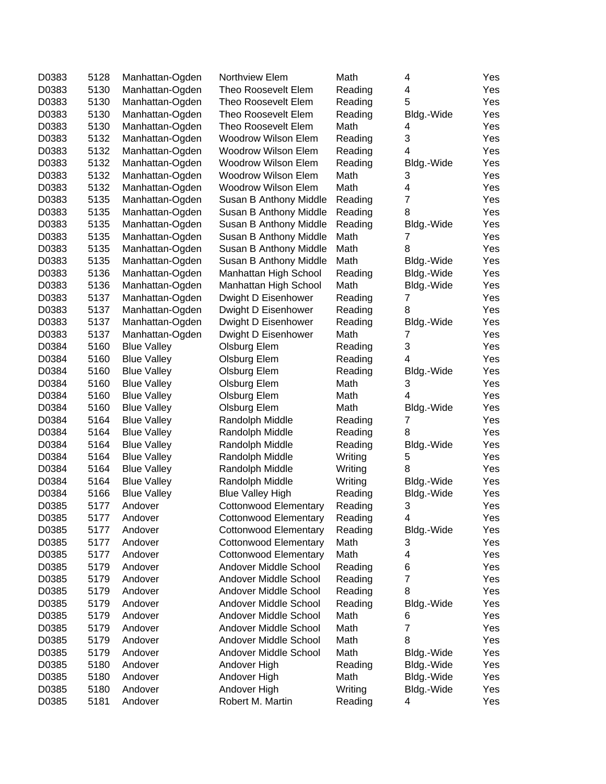| D0383 | 5128 | Manhattan-Ogden    | Northview Elem               | Math    | 4              | Yes |
|-------|------|--------------------|------------------------------|---------|----------------|-----|
| D0383 | 5130 | Manhattan-Ogden    | Theo Roosevelt Elem          | Reading | 4              | Yes |
| D0383 | 5130 | Manhattan-Ogden    | Theo Roosevelt Elem          | Reading | 5              | Yes |
| D0383 | 5130 | Manhattan-Ogden    | Theo Roosevelt Elem          | Reading | Bldg.-Wide     | Yes |
| D0383 | 5130 | Manhattan-Ogden    | Theo Roosevelt Elem          | Math    | 4              | Yes |
| D0383 | 5132 | Manhattan-Ogden    | Woodrow Wilson Elem          | Reading | 3              | Yes |
| D0383 | 5132 | Manhattan-Ogden    | <b>Woodrow Wilson Elem</b>   | Reading | 4              | Yes |
| D0383 | 5132 | Manhattan-Ogden    | <b>Woodrow Wilson Elem</b>   | Reading | Bldg.-Wide     | Yes |
| D0383 | 5132 | Manhattan-Ogden    | <b>Woodrow Wilson Elem</b>   | Math    | 3              | Yes |
| D0383 | 5132 | Manhattan-Ogden    | <b>Woodrow Wilson Elem</b>   | Math    | 4              | Yes |
| D0383 | 5135 | Manhattan-Ogden    | Susan B Anthony Middle       | Reading | $\overline{7}$ | Yes |
| D0383 | 5135 | Manhattan-Ogden    | Susan B Anthony Middle       | Reading | 8              | Yes |
| D0383 | 5135 | Manhattan-Ogden    | Susan B Anthony Middle       | Reading | Bldg.-Wide     | Yes |
| D0383 | 5135 | Manhattan-Ogden    | Susan B Anthony Middle       | Math    | 7              | Yes |
| D0383 | 5135 | Manhattan-Ogden    | Susan B Anthony Middle       | Math    | 8              | Yes |
| D0383 | 5135 | Manhattan-Ogden    | Susan B Anthony Middle       | Math    | Bldg.-Wide     | Yes |
| D0383 | 5136 | Manhattan-Ogden    | Manhattan High School        | Reading | Bldg.-Wide     | Yes |
| D0383 | 5136 | Manhattan-Ogden    | Manhattan High School        | Math    | Bldg.-Wide     | Yes |
| D0383 | 5137 | Manhattan-Ogden    | Dwight D Eisenhower          | Reading | 7              | Yes |
| D0383 | 5137 | Manhattan-Ogden    | Dwight D Eisenhower          | Reading | 8              | Yes |
| D0383 | 5137 | Manhattan-Ogden    | Dwight D Eisenhower          | Reading | Bldg.-Wide     | Yes |
| D0383 | 5137 | Manhattan-Ogden    | Dwight D Eisenhower          | Math    | 7              | Yes |
| D0384 | 5160 | <b>Blue Valley</b> | Olsburg Elem                 | Reading | 3              | Yes |
| D0384 | 5160 | <b>Blue Valley</b> | Olsburg Elem                 | Reading | 4              | Yes |
| D0384 | 5160 | <b>Blue Valley</b> | Olsburg Elem                 | Reading | Bldg.-Wide     | Yes |
| D0384 | 5160 | <b>Blue Valley</b> | Olsburg Elem                 | Math    | 3              | Yes |
| D0384 | 5160 | <b>Blue Valley</b> | Olsburg Elem                 | Math    | 4              | Yes |
| D0384 | 5160 | <b>Blue Valley</b> | Olsburg Elem                 | Math    | Bldg.-Wide     | Yes |
| D0384 | 5164 | <b>Blue Valley</b> | Randolph Middle              | Reading | 7              | Yes |
| D0384 | 5164 | <b>Blue Valley</b> | Randolph Middle              | Reading | 8              | Yes |
| D0384 | 5164 | <b>Blue Valley</b> | Randolph Middle              | Reading | Bldg.-Wide     | Yes |
| D0384 | 5164 | <b>Blue Valley</b> | Randolph Middle              | Writing | 5              | Yes |
| D0384 | 5164 | <b>Blue Valley</b> | Randolph Middle              | Writing | 8              | Yes |
| D0384 | 5164 | <b>Blue Valley</b> | Randolph Middle              | Writing | Bldg.-Wide     | Yes |
| D0384 | 5166 | <b>Blue Valley</b> | <b>Blue Valley High</b>      | Reading | Bldg.-Wide     | Yes |
| D0385 | 5177 | Andover            | <b>Cottonwood Elementary</b> | Reading | 3              | Yes |
| D0385 | 5177 | Andover            | Cottonwood Elementary        | Reading | 4              | Yes |
| D0385 | 5177 | Andover            | <b>Cottonwood Elementary</b> | Reading | Bldg.-Wide     | Yes |
| D0385 | 5177 | Andover            | <b>Cottonwood Elementary</b> | Math    | 3              | Yes |
| D0385 | 5177 | Andover            | <b>Cottonwood Elementary</b> | Math    | 4              | Yes |
| D0385 | 5179 | Andover            | Andover Middle School        | Reading | 6              | Yes |
| D0385 | 5179 | Andover            | Andover Middle School        | Reading | $\overline{7}$ | Yes |
| D0385 | 5179 | Andover            | Andover Middle School        | Reading | 8              | Yes |
| D0385 | 5179 | Andover            | Andover Middle School        | Reading | Bldg.-Wide     | Yes |
| D0385 | 5179 | Andover            | Andover Middle School        | Math    | 6              | Yes |
| D0385 | 5179 | Andover            | Andover Middle School        | Math    | $\overline{7}$ | Yes |
| D0385 | 5179 | Andover            | Andover Middle School        | Math    | 8              | Yes |
| D0385 | 5179 | Andover            | Andover Middle School        | Math    | Bldg.-Wide     | Yes |
| D0385 | 5180 | Andover            | Andover High                 | Reading | Bldg.-Wide     | Yes |
| D0385 | 5180 | Andover            | Andover High                 | Math    | Bldg.-Wide     | Yes |
| D0385 | 5180 | Andover            | Andover High                 | Writing | Bldg.-Wide     | Yes |
| D0385 | 5181 | Andover            | Robert M. Martin             | Reading | 4              | Yes |
|       |      |                    |                              |         |                |     |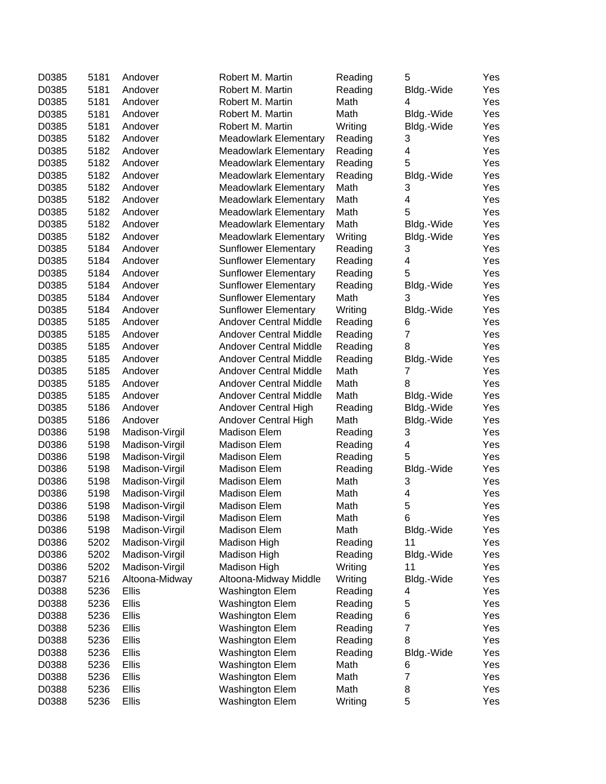| D0385 | 5181 | Andover            | Robert M. Martin                             | Reading            | 5                       | Yes        |
|-------|------|--------------------|----------------------------------------------|--------------------|-------------------------|------------|
| D0385 | 5181 | Andover            | Robert M. Martin                             | Reading            | Bldg.-Wide              | Yes        |
| D0385 | 5181 | Andover            | Robert M. Martin                             | Math               | 4                       | Yes        |
| D0385 | 5181 | Andover            | Robert M. Martin                             | Math               | Bldg.-Wide              | Yes        |
| D0385 | 5181 | Andover            | Robert M. Martin                             | Writing            | Bldg.-Wide              | Yes        |
| D0385 | 5182 | Andover            | <b>Meadowlark Elementary</b>                 | Reading            | 3                       | Yes        |
| D0385 | 5182 | Andover            | <b>Meadowlark Elementary</b>                 | Reading            | 4                       | Yes        |
| D0385 | 5182 | Andover            | <b>Meadowlark Elementary</b>                 | Reading            | 5                       | Yes        |
| D0385 | 5182 | Andover            | <b>Meadowlark Elementary</b>                 | Reading            | Bldg.-Wide              | Yes        |
| D0385 | 5182 | Andover            | <b>Meadowlark Elementary</b>                 | Math               | 3                       | Yes        |
| D0385 | 5182 | Andover            | <b>Meadowlark Elementary</b>                 | Math               | 4                       | Yes        |
| D0385 | 5182 | Andover            | <b>Meadowlark Elementary</b>                 | Math               | 5                       | Yes        |
| D0385 | 5182 | Andover            | <b>Meadowlark Elementary</b>                 | Math               | Bldg.-Wide              | Yes        |
| D0385 | 5182 | Andover            | <b>Meadowlark Elementary</b>                 | Writing            | Bldg.-Wide              | Yes        |
| D0385 | 5184 | Andover            | <b>Sunflower Elementary</b>                  | Reading            | 3                       | Yes        |
| D0385 | 5184 | Andover            | <b>Sunflower Elementary</b>                  | Reading            | $\overline{\mathbf{4}}$ | Yes        |
| D0385 | 5184 | Andover            | <b>Sunflower Elementary</b>                  | Reading            | 5                       | Yes        |
| D0385 | 5184 | Andover            | <b>Sunflower Elementary</b>                  | Reading            | Bldg.-Wide              | Yes        |
| D0385 | 5184 | Andover            | <b>Sunflower Elementary</b>                  | Math               | 3                       | Yes        |
| D0385 | 5184 | Andover            | <b>Sunflower Elementary</b>                  | Writing            | Bldg.-Wide              | Yes        |
| D0385 | 5185 | Andover            | <b>Andover Central Middle</b>                | Reading            | 6                       | Yes        |
| D0385 | 5185 | Andover            | <b>Andover Central Middle</b>                | Reading            | $\overline{7}$          | Yes        |
| D0385 | 5185 | Andover            | <b>Andover Central Middle</b>                | Reading            | 8                       | Yes        |
| D0385 | 5185 | Andover            | <b>Andover Central Middle</b>                | Reading            | Bldg.-Wide              | Yes        |
| D0385 | 5185 | Andover            | <b>Andover Central Middle</b>                | Math               | 7                       | Yes        |
| D0385 | 5185 | Andover            | <b>Andover Central Middle</b>                | Math               | 8                       | Yes        |
| D0385 | 5185 | Andover            | Andover Central Middle                       | Math               | Bldg.-Wide              | Yes        |
| D0385 | 5186 |                    |                                              |                    |                         |            |
| D0385 | 5186 | Andover<br>Andover | Andover Central High<br>Andover Central High | Reading<br>Math    | Bldg.-Wide              | Yes<br>Yes |
| D0386 | 5198 |                    | <b>Madison Elem</b>                          |                    | Bldg.-Wide              |            |
| D0386 | 5198 | Madison-Virgil     | <b>Madison Elem</b>                          | Reading<br>Reading | 3<br>4                  | Yes        |
|       |      | Madison-Virgil     |                                              |                    | 5                       | Yes        |
| D0386 | 5198 | Madison-Virgil     | Madison Elem                                 | Reading            |                         | Yes        |
| D0386 | 5198 | Madison-Virgil     | <b>Madison Elem</b>                          | Reading            | Bldg.-Wide              | Yes        |
| D0386 | 5198 | Madison-Virgil     | <b>Madison Elem</b>                          | Math               | 3                       | Yes        |
| D0386 | 5198 | Madison-Virgil     | Madison Elem                                 | Math               | 4                       | Yes        |
| D0386 | 5198 | Madison-Virgil     | <b>Madison Elem</b>                          | Math               | 5                       | Yes        |
| D0386 | 5198 | Madison-Virgil     | Madison Elem                                 | Math               | 6                       | Yes        |
| D0386 | 5198 | Madison-Virgil     | <b>Madison Elem</b>                          | Math               | Bldg.-Wide              | Yes        |
| D0386 | 5202 | Madison-Virgil     | Madison High                                 | Reading            | 11                      | Yes        |
| D0386 | 5202 | Madison-Virgil     | Madison High                                 | Reading            | Bldg.-Wide              | Yes        |
| D0386 | 5202 | Madison-Virgil     | Madison High                                 | Writing            | 11                      | Yes        |
| D0387 | 5216 | Altoona-Midway     | Altoona-Midway Middle                        | Writing            | Bldg.-Wide              | Yes        |
| D0388 | 5236 | <b>Ellis</b>       | Washington Elem                              | Reading            | 4                       | Yes        |
| D0388 | 5236 | Ellis              | <b>Washington Elem</b>                       | Reading            | 5                       | Yes        |
| D0388 | 5236 | <b>Ellis</b>       | Washington Elem                              | Reading            | 6                       | Yes        |
| D0388 | 5236 | <b>Ellis</b>       | Washington Elem                              | Reading            | $\overline{7}$          | Yes        |
| D0388 | 5236 | Ellis              | Washington Elem                              | Reading            | 8                       | Yes        |
| D0388 | 5236 | <b>Ellis</b>       | Washington Elem                              | Reading            | Bldg.-Wide              | Yes        |
| D0388 | 5236 | <b>Ellis</b>       | Washington Elem                              | Math               | 6                       | Yes        |
| D0388 | 5236 | <b>Ellis</b>       | Washington Elem                              | Math               | $\overline{7}$          | Yes        |
| D0388 | 5236 | <b>Ellis</b>       | Washington Elem                              | Math               | 8                       | Yes        |
| D0388 | 5236 | Ellis              | Washington Elem                              | Writing            | 5                       | Yes        |
|       |      |                    |                                              |                    |                         |            |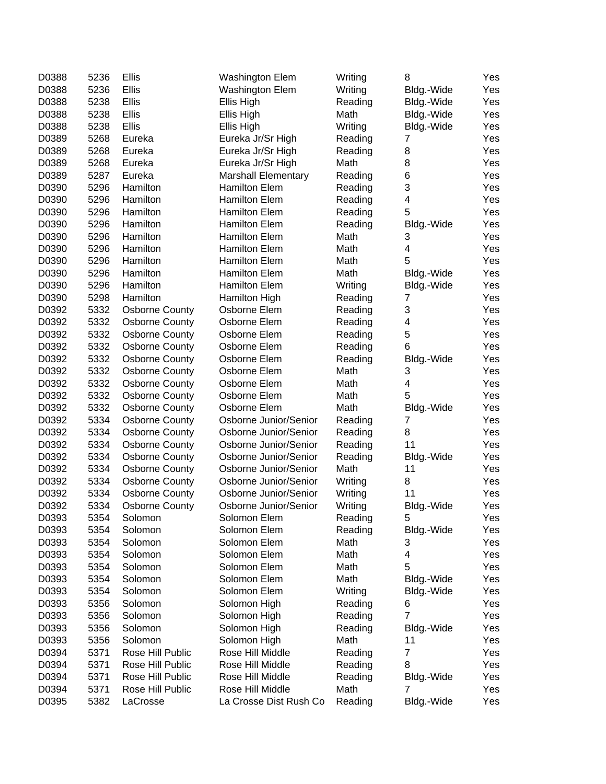| D0388 | 5236 | Ellis                 | <b>Washington Elem</b>     | Writing | 8                       | Yes        |
|-------|------|-----------------------|----------------------------|---------|-------------------------|------------|
| D0388 | 5236 | Ellis                 | <b>Washington Elem</b>     | Writing | Bldg.-Wide              | Yes        |
| D0388 | 5238 | Ellis                 | Ellis High                 | Reading | Bldg.-Wide              | Yes        |
| D0388 | 5238 | Ellis                 | Ellis High                 | Math    | Bldg.-Wide              | Yes        |
| D0388 | 5238 | <b>Ellis</b>          | Ellis High                 | Writing | Bldg.-Wide              | Yes        |
| D0389 | 5268 | Eureka                | Eureka Jr/Sr High          | Reading | 7                       | Yes        |
| D0389 | 5268 | Eureka                | Eureka Jr/Sr High          | Reading | 8                       | Yes        |
| D0389 | 5268 | Eureka                | Eureka Jr/Sr High          | Math    | 8                       | Yes        |
| D0389 | 5287 | Eureka                | <b>Marshall Elementary</b> | Reading | 6                       | Yes        |
| D0390 | 5296 | Hamilton              | <b>Hamilton Elem</b>       | Reading | 3                       | Yes        |
| D0390 | 5296 | Hamilton              | <b>Hamilton Elem</b>       | Reading | 4                       | Yes        |
| D0390 | 5296 | Hamilton              | <b>Hamilton Elem</b>       | Reading | 5                       | Yes        |
| D0390 | 5296 | Hamilton              | <b>Hamilton Elem</b>       | Reading | Bldg.-Wide              | Yes        |
| D0390 | 5296 | Hamilton              | <b>Hamilton Elem</b>       | Math    | 3                       | Yes        |
| D0390 | 5296 | Hamilton              | <b>Hamilton Elem</b>       | Math    | $\overline{\mathbf{4}}$ | Yes        |
| D0390 | 5296 | Hamilton              | <b>Hamilton Elem</b>       | Math    | 5                       | Yes        |
| D0390 | 5296 | Hamilton              | <b>Hamilton Elem</b>       | Math    | Bldg.-Wide              | Yes        |
| D0390 | 5296 | Hamilton              | <b>Hamilton Elem</b>       | Writing | Bldg.-Wide              | Yes        |
| D0390 | 5298 | Hamilton              | Hamilton High              | Reading | $\overline{7}$          | Yes        |
| D0392 | 5332 | <b>Osborne County</b> | Osborne Elem               | Reading | 3                       | Yes        |
| D0392 | 5332 | <b>Osborne County</b> | Osborne Elem               | Reading | $\overline{\mathbf{4}}$ | Yes        |
| D0392 | 5332 | <b>Osborne County</b> | Osborne Elem               | Reading | 5                       | Yes        |
| D0392 | 5332 | <b>Osborne County</b> | Osborne Elem               | Reading | 6                       | Yes        |
| D0392 | 5332 | <b>Osborne County</b> | Osborne Elem               | Reading | Bldg.-Wide              | Yes        |
| D0392 | 5332 | <b>Osborne County</b> | Osborne Elem               | Math    | 3                       | Yes        |
| D0392 | 5332 | <b>Osborne County</b> | Osborne Elem               | Math    | 4                       | Yes        |
| D0392 | 5332 | <b>Osborne County</b> | Osborne Elem               | Math    | 5                       | Yes        |
| D0392 | 5332 | <b>Osborne County</b> | Osborne Elem               | Math    | Bldg.-Wide              | Yes        |
| D0392 | 5334 | <b>Osborne County</b> | Osborne Junior/Senior      | Reading | 7                       | Yes        |
| D0392 | 5334 | <b>Osborne County</b> | Osborne Junior/Senior      | Reading | 8                       | Yes        |
| D0392 | 5334 | <b>Osborne County</b> | Osborne Junior/Senior      | Reading | 11                      | Yes        |
| D0392 | 5334 | <b>Osborne County</b> | Osborne Junior/Senior      | Reading | Bldg.-Wide              | Yes        |
| D0392 | 5334 | <b>Osborne County</b> | Osborne Junior/Senior      | Math    | 11                      | Yes        |
| D0392 | 5334 | <b>Osborne County</b> | Osborne Junior/Senior      | Writing | 8                       | Yes        |
| D0392 | 5334 | <b>Osborne County</b> | Osborne Junior/Senior      | Writing | 11                      | Yes        |
| D0392 | 5334 | <b>Osborne County</b> | Osborne Junior/Senior      | Writing | Bldg.-Wide              | Yes        |
| D0393 | 5354 | Solomon               | Solomon Elem               | Reading | 5                       | Yes        |
| D0393 | 5354 | Solomon               | Solomon Elem               | Reading | Bldg.-Wide              | Yes        |
| D0393 | 5354 | Solomon               | Solomon Elem               | Math    | 3                       | Yes        |
| D0393 | 5354 | Solomon               | Solomon Elem               | Math    | 4                       | Yes        |
| D0393 | 5354 | Solomon               | Solomon Elem               | Math    | 5                       | Yes        |
| D0393 | 5354 | Solomon               | Solomon Elem               | Math    | Bldg.-Wide              | Yes        |
| D0393 | 5354 | Solomon               | Solomon Elem               | Writing | Bldg.-Wide              | Yes        |
| D0393 | 5356 | Solomon               | Solomon High               | Reading | 6                       | Yes        |
| D0393 | 5356 | Solomon               | Solomon High               | Reading | 7                       | Yes        |
| D0393 | 5356 | Solomon               | Solomon High               | Reading | Bldg.-Wide              | Yes        |
| D0393 | 5356 | Solomon               | Solomon High               | Math    | 11                      |            |
| D0394 | 5371 | Rose Hill Public      | Rose Hill Middle           | Reading | 7                       | Yes<br>Yes |
| D0394 | 5371 | Rose Hill Public      | Rose Hill Middle           | Reading | 8                       | Yes        |
| D0394 | 5371 | Rose Hill Public      | Rose Hill Middle           | Reading |                         | Yes        |
| D0394 | 5371 | Rose Hill Public      | Rose Hill Middle           | Math    | Bldg.-Wide<br>7         | Yes        |
| D0395 | 5382 | LaCrosse              | La Crosse Dist Rush Co     | Reading | Bldg.-Wide              | Yes        |
|       |      |                       |                            |         |                         |            |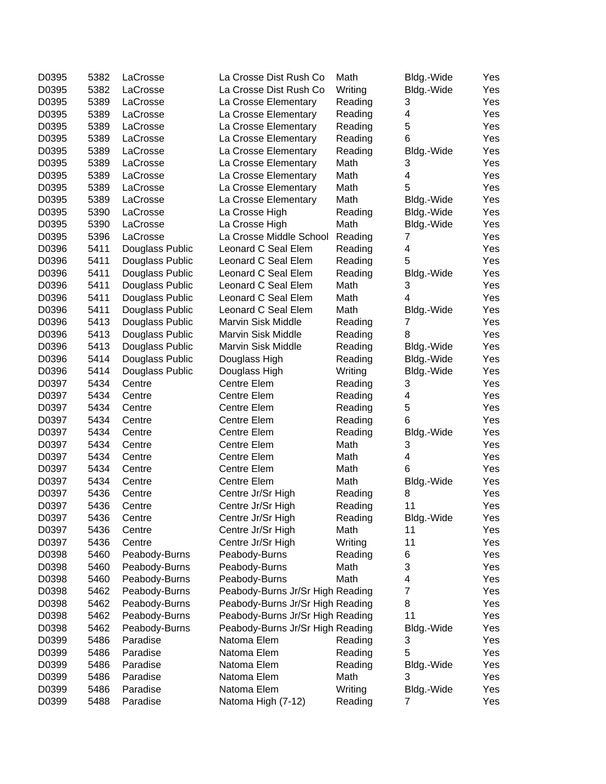| D0395 | 5382 | LaCrosse        | La Crosse Dist Rush Co           | Math    | Bldg.-Wide | Yes |
|-------|------|-----------------|----------------------------------|---------|------------|-----|
| D0395 | 5382 | LaCrosse        | La Crosse Dist Rush Co           | Writing | Bldg.-Wide | Yes |
| D0395 | 5389 | LaCrosse        | La Crosse Elementary             | Reading | 3          | Yes |
| D0395 | 5389 | LaCrosse        | La Crosse Elementary             | Reading | 4          | Yes |
| D0395 | 5389 | LaCrosse        | La Crosse Elementary             | Reading | 5          | Yes |
| D0395 | 5389 | LaCrosse        | La Crosse Elementary             | Reading | 6          | Yes |
| D0395 | 5389 | LaCrosse        | La Crosse Elementary             | Reading | Bldg.-Wide | Yes |
| D0395 | 5389 | LaCrosse        | La Crosse Elementary             | Math    | 3          | Yes |
| D0395 | 5389 | LaCrosse        | La Crosse Elementary             | Math    | 4          | Yes |
| D0395 | 5389 | LaCrosse        | La Crosse Elementary             | Math    | 5          | Yes |
| D0395 | 5389 | LaCrosse        | La Crosse Elementary             | Math    | Bldg.-Wide | Yes |
| D0395 | 5390 | LaCrosse        | La Crosse High                   | Reading | Bldg.-Wide | Yes |
| D0395 | 5390 | LaCrosse        | La Crosse High                   | Math    | Bldg.-Wide | Yes |
| D0395 | 5396 | LaCrosse        | La Crosse Middle School          | Reading | 7          | Yes |
| D0396 | 5411 | Douglass Public | Leonard C Seal Elem              | Reading | 4          | Yes |
| D0396 | 5411 | Douglass Public | Leonard C Seal Elem              | Reading | 5          | Yes |
| D0396 | 5411 | Douglass Public | Leonard C Seal Elem              | Reading | Bldg.-Wide | Yes |
| D0396 | 5411 | Douglass Public | Leonard C Seal Elem              | Math    | 3          | Yes |
| D0396 | 5411 | Douglass Public | Leonard C Seal Elem              | Math    | 4          | Yes |
| D0396 | 5411 | Douglass Public | Leonard C Seal Elem              | Math    | Bldg.-Wide | Yes |
| D0396 | 5413 | Douglass Public | <b>Marvin Sisk Middle</b>        | Reading | 7          | Yes |
| D0396 | 5413 | Douglass Public | Marvin Sisk Middle               | Reading | 8          | Yes |
| D0396 | 5413 | Douglass Public | Marvin Sisk Middle               | Reading | Bldg.-Wide | Yes |
| D0396 | 5414 | Douglass Public | Douglass High                    | Reading | Bldg.-Wide | Yes |
| D0396 | 5414 | Douglass Public | Douglass High                    | Writing | Bldg.-Wide | Yes |
| D0397 | 5434 | Centre          | Centre Elem                      |         | 3          |     |
|       |      |                 |                                  | Reading |            | Yes |
| D0397 | 5434 | Centre          | Centre Elem                      | Reading | 4          | Yes |
| D0397 | 5434 | Centre          | Centre Elem                      | Reading | 5          | Yes |
| D0397 | 5434 | Centre          | Centre Elem                      | Reading | 6          | Yes |
| D0397 | 5434 | Centre          | Centre Elem                      | Reading | Bldg.-Wide | Yes |
| D0397 | 5434 | Centre          | Centre Elem                      | Math    | 3          | Yes |
| D0397 | 5434 | Centre          | Centre Elem                      | Math    | 4          | Yes |
| D0397 | 5434 | Centre          | Centre Elem                      | Math    | 6          | Yes |
| D0397 | 5434 | Centre          | Centre Elem                      | Math    | Bldg.-Wide | Yes |
| D0397 | 5436 | Centre          | Centre Jr/Sr High                | Reading | 8          | Yes |
| D0397 | 5436 | Centre          | Centre Jr/Sr High                | Reading | 11         | Yes |
| D0397 | 5436 | Centre          | Centre Jr/Sr High                | Reading | Bldg.-Wide | Yes |
| D0397 | 5436 | Centre          | Centre Jr/Sr High                | Math    | 11         | Yes |
| D0397 | 5436 | Centre          | Centre Jr/Sr High                | Writing | 11         | Yes |
| D0398 | 5460 | Peabody-Burns   | Peabody-Burns                    | Reading | 6          | Yes |
| D0398 | 5460 | Peabody-Burns   | Peabody-Burns                    | Math    | 3          | Yes |
| D0398 | 5460 | Peabody-Burns   | Peabody-Burns                    | Math    | 4          | Yes |
| D0398 | 5462 | Peabody-Burns   | Peabody-Burns Jr/Sr High Reading |         | 7          | Yes |
| D0398 | 5462 | Peabody-Burns   | Peabody-Burns Jr/Sr High Reading |         | 8          | Yes |
| D0398 | 5462 | Peabody-Burns   | Peabody-Burns Jr/Sr High Reading |         | 11         | Yes |
| D0398 | 5462 | Peabody-Burns   | Peabody-Burns Jr/Sr High Reading |         | Bldg.-Wide | Yes |
| D0399 | 5486 | Paradise        | Natoma Elem                      | Reading | 3          | Yes |
| D0399 | 5486 | Paradise        | Natoma Elem                      | Reading | 5          | Yes |
| D0399 | 5486 | Paradise        | Natoma Elem                      | Reading | Bldg.-Wide | Yes |
| D0399 | 5486 | Paradise        | Natoma Elem                      | Math    | 3          | Yes |
| D0399 | 5486 | Paradise        | Natoma Elem                      | Writing | Bldg.-Wide | Yes |
| D0399 | 5488 | Paradise        | Natoma High (7-12)               | Reading | 7          | Yes |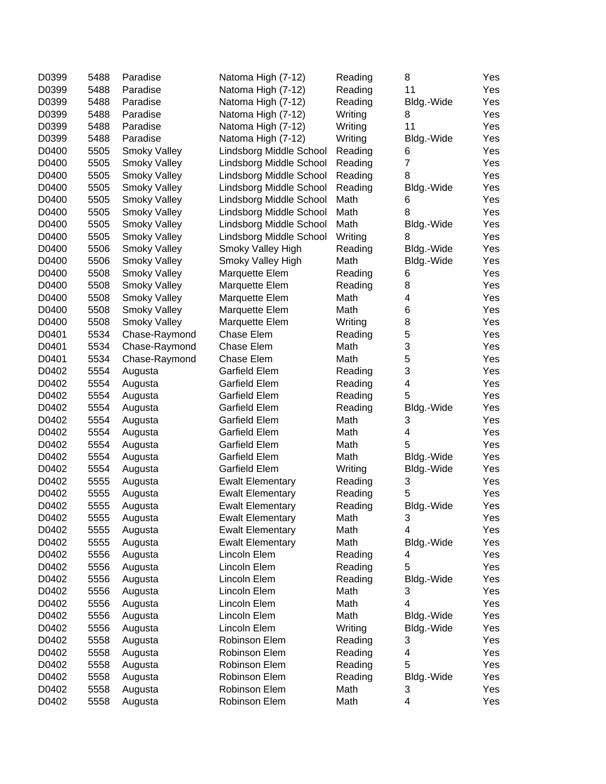| D0399 | 5488 | Paradise            | Natoma High (7-12)      | Reading | 8              | Yes |
|-------|------|---------------------|-------------------------|---------|----------------|-----|
| D0399 | 5488 | Paradise            | Natoma High (7-12)      | Reading | 11             | Yes |
| D0399 | 5488 | Paradise            | Natoma High (7-12)      | Reading | Bldg.-Wide     | Yes |
| D0399 | 5488 | Paradise            | Natoma High (7-12)      | Writing | 8              | Yes |
| D0399 | 5488 | Paradise            | Natoma High (7-12)      | Writing | 11             | Yes |
| D0399 | 5488 | Paradise            | Natoma High (7-12)      | Writing | Bldg.-Wide     | Yes |
| D0400 | 5505 | <b>Smoky Valley</b> | Lindsborg Middle School | Reading | 6              | Yes |
| D0400 | 5505 | <b>Smoky Valley</b> | Lindsborg Middle School | Reading | $\overline{7}$ | Yes |
| D0400 | 5505 | Smoky Valley        | Lindsborg Middle School | Reading | 8              | Yes |
| D0400 | 5505 | <b>Smoky Valley</b> | Lindsborg Middle School | Reading | Bldg.-Wide     | Yes |
| D0400 | 5505 | <b>Smoky Valley</b> | Lindsborg Middle School | Math    | 6              | Yes |
| D0400 | 5505 | Smoky Valley        | Lindsborg Middle School | Math    | 8              | Yes |
| D0400 | 5505 | Smoky Valley        | Lindsborg Middle School | Math    | Bldg.-Wide     | Yes |
| D0400 | 5505 | Smoky Valley        | Lindsborg Middle School | Writing | 8              | Yes |
| D0400 | 5506 | Smoky Valley        | Smoky Valley High       | Reading | Bldg.-Wide     | Yes |
| D0400 | 5506 | Smoky Valley        | Smoky Valley High       | Math    | Bldg.-Wide     | Yes |
| D0400 | 5508 | Smoky Valley        | Marquette Elem          | Reading | 6              | Yes |
| D0400 | 5508 | Smoky Valley        | Marquette Elem          | Reading | 8              | Yes |
| D0400 | 5508 | Smoky Valley        | Marquette Elem          | Math    | 4              | Yes |
| D0400 | 5508 | <b>Smoky Valley</b> | Marquette Elem          | Math    | 6              | Yes |
| D0400 | 5508 | <b>Smoky Valley</b> | Marquette Elem          | Writing | 8              | Yes |
| D0401 | 5534 | Chase-Raymond       | Chase Elem              | Reading | 5              | Yes |
| D0401 | 5534 | Chase-Raymond       | Chase Elem              | Math    | 3              | Yes |
| D0401 | 5534 | Chase-Raymond       | Chase Elem              | Math    | 5              | Yes |
| D0402 | 5554 | Augusta             | Garfield Elem           | Reading | 3              | Yes |
| D0402 | 5554 | Augusta             | <b>Garfield Elem</b>    | Reading | 4              | Yes |
| D0402 | 5554 | Augusta             | Garfield Elem           | Reading | 5              | Yes |
| D0402 | 5554 | Augusta             | Garfield Elem           | Reading | Bldg.-Wide     | Yes |
| D0402 | 5554 | Augusta             | <b>Garfield Elem</b>    | Math    | 3              | Yes |
| D0402 | 5554 | Augusta             | <b>Garfield Elem</b>    | Math    | 4              | Yes |
| D0402 | 5554 | Augusta             | <b>Garfield Elem</b>    | Math    | 5              | Yes |
| D0402 | 5554 | Augusta             | <b>Garfield Elem</b>    | Math    | Bldg.-Wide     | Yes |
| D0402 | 5554 | Augusta             | <b>Garfield Elem</b>    | Writing | Bldg.-Wide     | Yes |
| D0402 | 5555 | Augusta             | <b>Ewalt Elementary</b> | Reading | 3              | Yes |
| D0402 | 5555 | Augusta             | <b>Ewalt Elementary</b> | Reading | 5              | Yes |
| D0402 | 5555 | Augusta             | <b>Ewalt Elementary</b> | Reading | Bldg.-Wide     | Yes |
| D0402 | 5555 | Augusta             | <b>Ewalt Elementary</b> | Math    | 3              | Yes |
| D0402 | 5555 | Augusta             | <b>Ewalt Elementary</b> | Math    | 4              | Yes |
| D0402 | 5555 | Augusta             | <b>Ewalt Elementary</b> | Math    | Bldg.-Wide     | Yes |
| D0402 | 5556 | Augusta             | Lincoln Elem            | Reading | 4              | Yes |
| D0402 | 5556 | Augusta             | Lincoln Elem            | Reading | 5              | Yes |
| D0402 | 5556 | Augusta             | Lincoln Elem            | Reading | Bldg.-Wide     | Yes |
| D0402 | 5556 | Augusta             | Lincoln Elem            | Math    | 3              | Yes |
| D0402 | 5556 | Augusta             | Lincoln Elem            | Math    | 4              | Yes |
| D0402 | 5556 | Augusta             | Lincoln Elem            | Math    | Bldg.-Wide     | Yes |
| D0402 | 5556 | Augusta             | Lincoln Elem            | Writing | Bldg.-Wide     | Yes |
| D0402 | 5558 | Augusta             | Robinson Elem           | Reading | 3              | Yes |
| D0402 | 5558 | Augusta             | Robinson Elem           | Reading | 4              | Yes |
| D0402 | 5558 | Augusta             | Robinson Elem           | Reading | 5              | Yes |
| D0402 | 5558 | Augusta             | Robinson Elem           | Reading | Bldg.-Wide     | Yes |
| D0402 | 5558 | Augusta             | Robinson Elem           | Math    | 3              | Yes |
| D0402 | 5558 | Augusta             | Robinson Elem           | Math    | 4              | Yes |
|       |      |                     |                         |         |                |     |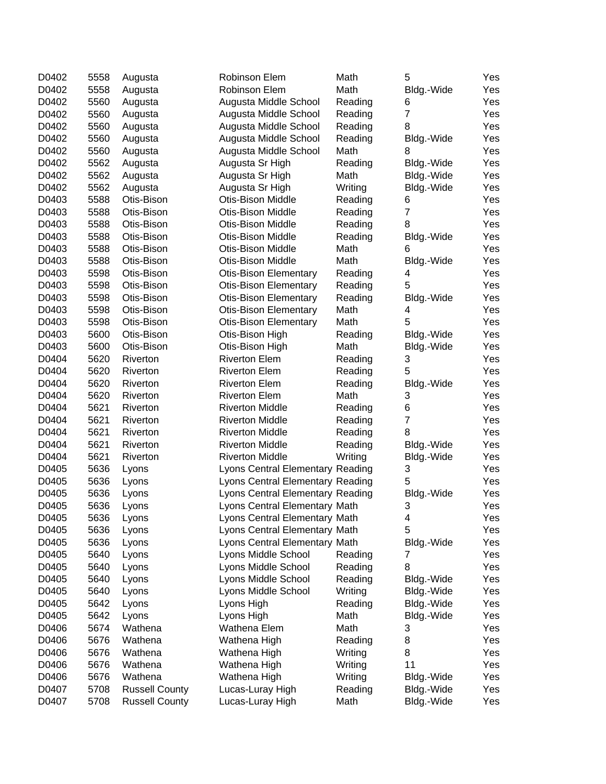| D0402 | 5558 | Augusta               | Robinson Elem                    | Math    | 5              | Yes |
|-------|------|-----------------------|----------------------------------|---------|----------------|-----|
| D0402 | 5558 | Augusta               | Robinson Elem                    | Math    | Bldg.-Wide     | Yes |
| D0402 | 5560 | Augusta               | Augusta Middle School            | Reading | 6              | Yes |
| D0402 | 5560 | Augusta               | Augusta Middle School            | Reading | $\overline{7}$ | Yes |
| D0402 | 5560 | Augusta               | Augusta Middle School            | Reading | 8              | Yes |
| D0402 | 5560 | Augusta               | Augusta Middle School            | Reading | Bldg.-Wide     | Yes |
| D0402 | 5560 | Augusta               | Augusta Middle School            | Math    | 8              | Yes |
| D0402 | 5562 | Augusta               | Augusta Sr High                  | Reading | Bldg.-Wide     | Yes |
| D0402 | 5562 | Augusta               | Augusta Sr High                  | Math    | Bldg.-Wide     | Yes |
| D0402 | 5562 | Augusta               | Augusta Sr High                  | Writing | Bldg.-Wide     | Yes |
| D0403 | 5588 | Otis-Bison            | Otis-Bison Middle                | Reading | 6              | Yes |
| D0403 | 5588 | Otis-Bison            | Otis-Bison Middle                | Reading | $\overline{7}$ | Yes |
| D0403 | 5588 | Otis-Bison            | Otis-Bison Middle                | Reading | 8              | Yes |
| D0403 | 5588 | Otis-Bison            | Otis-Bison Middle                | Reading | Bldg.-Wide     | Yes |
| D0403 | 5588 | Otis-Bison            | Otis-Bison Middle                | Math    | 6              | Yes |
| D0403 | 5588 | Otis-Bison            | Otis-Bison Middle                | Math    | Bldg.-Wide     | Yes |
| D0403 | 5598 | Otis-Bison            | <b>Otis-Bison Elementary</b>     | Reading | 4              | Yes |
| D0403 | 5598 | Otis-Bison            | <b>Otis-Bison Elementary</b>     | Reading | 5              | Yes |
| D0403 | 5598 | Otis-Bison            | <b>Otis-Bison Elementary</b>     | Reading | Bldg.-Wide     | Yes |
| D0403 | 5598 | Otis-Bison            | <b>Otis-Bison Elementary</b>     | Math    | 4              | Yes |
| D0403 | 5598 | Otis-Bison            | <b>Otis-Bison Elementary</b>     | Math    | 5              | Yes |
| D0403 | 5600 | Otis-Bison            | Otis-Bison High                  | Reading | Bldg.-Wide     | Yes |
| D0403 | 5600 | Otis-Bison            | Otis-Bison High                  | Math    | Bldg.-Wide     | Yes |
| D0404 | 5620 | Riverton              | <b>Riverton Elem</b>             | Reading | 3              | Yes |
| D0404 | 5620 |                       |                                  |         | 5              |     |
|       |      | Riverton              | <b>Riverton Elem</b>             | Reading |                | Yes |
| D0404 | 5620 | Riverton              | <b>Riverton Elem</b>             | Reading | Bldg.-Wide     | Yes |
| D0404 | 5620 | Riverton              | <b>Riverton Elem</b>             | Math    | 3              | Yes |
| D0404 | 5621 | Riverton              | <b>Riverton Middle</b>           | Reading | 6              | Yes |
| D0404 | 5621 | Riverton              | <b>Riverton Middle</b>           | Reading | $\overline{7}$ | Yes |
| D0404 | 5621 | Riverton              | <b>Riverton Middle</b>           | Reading | 8              | Yes |
| D0404 | 5621 | Riverton              | <b>Riverton Middle</b>           | Reading | Bldg.-Wide     | Yes |
| D0404 | 5621 | Riverton              | <b>Riverton Middle</b>           | Writing | Bldg.-Wide     | Yes |
| D0405 | 5636 | Lyons                 | Lyons Central Elementary Reading |         | 3              | Yes |
| D0405 | 5636 | Lyons                 | Lyons Central Elementary Reading |         | 5              | Yes |
| D0405 | 5636 | Lyons                 | Lyons Central Elementary Reading |         | Bldg.-Wide     | Yes |
| D0405 | 5636 | Lyons                 | Lyons Central Elementary Math    |         | 3              | Yes |
| D0405 | 5636 | Lyons                 | Lyons Central Elementary Math    |         | 4              | Yes |
| D0405 | 5636 | Lyons                 | Lyons Central Elementary Math    |         | 5              | Yes |
| D0405 | 5636 | Lyons                 | Lyons Central Elementary Math    |         | Bldg.-Wide     | Yes |
| D0405 | 5640 | Lyons                 | Lyons Middle School              | Reading | 7              | Yes |
| D0405 | 5640 | Lyons                 | Lyons Middle School              | Reading | 8              | Yes |
| D0405 | 5640 | Lyons                 | Lyons Middle School              | Reading | Bldg.-Wide     | Yes |
| D0405 | 5640 | Lyons                 | Lyons Middle School              | Writing | Bldg.-Wide     | Yes |
| D0405 | 5642 | Lyons                 | Lyons High                       | Reading | Bldg.-Wide     | Yes |
| D0405 | 5642 | Lyons                 | Lyons High                       | Math    | Bldg.-Wide     | Yes |
| D0406 | 5674 | Wathena               | Wathena Elem                     | Math    | 3              | Yes |
| D0406 | 5676 | Wathena               | Wathena High                     | Reading | 8              | Yes |
| D0406 | 5676 | Wathena               | Wathena High                     | Writing | 8              | Yes |
| D0406 | 5676 | Wathena               | Wathena High                     | Writing | 11             | Yes |
| D0406 | 5676 | Wathena               | Wathena High                     | Writing | Bldg.-Wide     | Yes |
| D0407 | 5708 | <b>Russell County</b> | Lucas-Luray High                 | Reading | Bldg.-Wide     | Yes |
| D0407 | 5708 | <b>Russell County</b> | Lucas-Luray High                 | Math    | Bldg.-Wide     | Yes |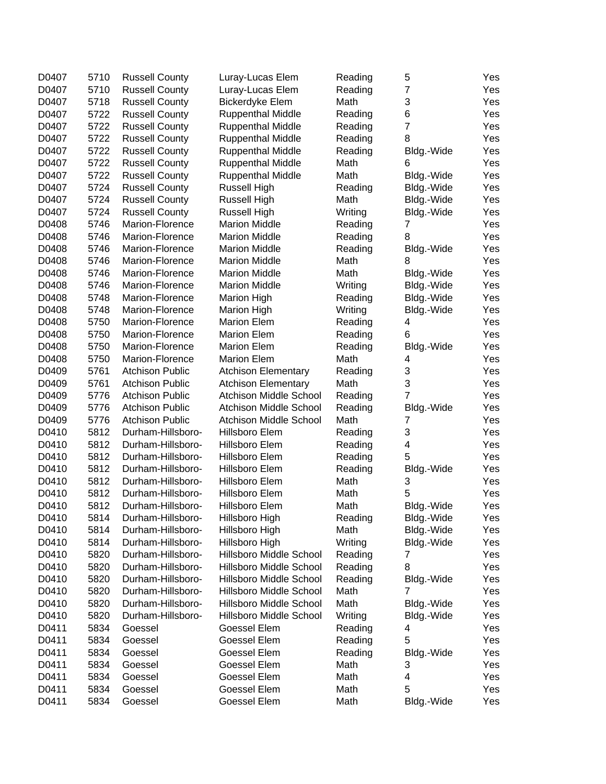| D0407 | 5710 | <b>Russell County</b>  | Luray-Lucas Elem               | Reading | 5                        | Yes |
|-------|------|------------------------|--------------------------------|---------|--------------------------|-----|
| D0407 | 5710 | <b>Russell County</b>  | Luray-Lucas Elem               | Reading | $\overline{\mathbf{7}}$  | Yes |
| D0407 | 5718 | <b>Russell County</b>  | <b>Bickerdyke Elem</b>         | Math    | 3                        | Yes |
| D0407 | 5722 | <b>Russell County</b>  | <b>Ruppenthal Middle</b>       | Reading | 6                        | Yes |
| D0407 | 5722 | <b>Russell County</b>  | <b>Ruppenthal Middle</b>       | Reading | $\overline{7}$           | Yes |
| D0407 | 5722 | <b>Russell County</b>  | <b>Ruppenthal Middle</b>       | Reading | 8                        | Yes |
| D0407 | 5722 | <b>Russell County</b>  | <b>Ruppenthal Middle</b>       | Reading | Bldg.-Wide               | Yes |
| D0407 | 5722 | <b>Russell County</b>  | <b>Ruppenthal Middle</b>       | Math    | 6                        | Yes |
| D0407 | 5722 | <b>Russell County</b>  | <b>Ruppenthal Middle</b>       | Math    | Bldg.-Wide               | Yes |
| D0407 | 5724 | <b>Russell County</b>  | Russell High                   | Reading | Bldg.-Wide               | Yes |
| D0407 | 5724 | <b>Russell County</b>  | Russell High                   | Math    | Bldg.-Wide               | Yes |
| D0407 | 5724 | <b>Russell County</b>  | Russell High                   | Writing | Bldg.-Wide               | Yes |
| D0408 | 5746 | Marion-Florence        | <b>Marion Middle</b>           | Reading | 7                        | Yes |
| D0408 | 5746 | Marion-Florence        | <b>Marion Middle</b>           | Reading | 8                        | Yes |
| D0408 | 5746 | Marion-Florence        | <b>Marion Middle</b>           | Reading | Bldg.-Wide               | Yes |
| D0408 | 5746 | Marion-Florence        | <b>Marion Middle</b>           | Math    | 8                        | Yes |
| D0408 | 5746 | Marion-Florence        | <b>Marion Middle</b>           | Math    | Bldg.-Wide               | Yes |
| D0408 | 5746 | Marion-Florence        | <b>Marion Middle</b>           | Writing | Bldg.-Wide               | Yes |
| D0408 | 5748 | Marion-Florence        | <b>Marion High</b>             | Reading | Bldg.-Wide               | Yes |
| D0408 | 5748 | Marion-Florence        | <b>Marion High</b>             | Writing | Bldg.-Wide               | Yes |
| D0408 | 5750 | Marion-Florence        | <b>Marion Elem</b>             | Reading | 4                        | Yes |
| D0408 | 5750 | Marion-Florence        | <b>Marion Elem</b>             | Reading | 6                        | Yes |
| D0408 | 5750 | Marion-Florence        | <b>Marion Elem</b>             | Reading | Bldg.-Wide               | Yes |
| D0408 | 5750 | Marion-Florence        | <b>Marion Elem</b>             | Math    | 4                        | Yes |
| D0409 | 5761 | <b>Atchison Public</b> | <b>Atchison Elementary</b>     | Reading | 3                        | Yes |
| D0409 | 5761 | <b>Atchison Public</b> | <b>Atchison Elementary</b>     | Math    | 3                        | Yes |
| D0409 | 5776 | <b>Atchison Public</b> | <b>Atchison Middle School</b>  | Reading | 7                        | Yes |
| D0409 | 5776 | <b>Atchison Public</b> | <b>Atchison Middle School</b>  | Reading | Bldg.-Wide               | Yes |
| D0409 | 5776 | <b>Atchison Public</b> | <b>Atchison Middle School</b>  | Math    | 7                        | Yes |
| D0410 | 5812 | Durham-Hillsboro-      | Hillsboro Elem                 | Reading | 3                        | Yes |
| D0410 | 5812 | Durham-Hillsboro-      | Hillsboro Elem                 | Reading | 4                        | Yes |
| D0410 | 5812 | Durham-Hillsboro-      | Hillsboro Elem                 | Reading | 5                        | Yes |
| D0410 | 5812 | Durham-Hillsboro-      | Hillsboro Elem                 | Reading | Bldg.-Wide               | Yes |
| D0410 | 5812 | Durham-Hillsboro-      | Hillsboro Elem                 | Math    | 3                        | Yes |
| D0410 | 5812 | Durham-Hillsboro-      | Hillsboro Elem                 | Math    | 5                        | Yes |
| D0410 | 5812 | Durham-Hillsboro-      | Hillsboro Elem                 | Math    |                          | Yes |
| D0410 | 5814 | Durham-Hillsboro-      | Hillsboro High                 | Reading | Bldg.-Wide<br>Bldg.-Wide | Yes |
| D0410 | 5814 | Durham-Hillsboro-      | Hillsboro High                 | Math    | Bldg.-Wide               | Yes |
| D0410 | 5814 | Durham-Hillsboro-      | Hillsboro High                 | Writing |                          |     |
| D0410 | 5820 | Durham-Hillsboro-      | <b>Hillsboro Middle School</b> |         | Bldg.-Wide<br>7          | Yes |
|       |      | Durham-Hillsboro-      | <b>Hillsboro Middle School</b> | Reading |                          | Yes |
| D0410 | 5820 |                        |                                | Reading | 8                        | Yes |
| D0410 | 5820 | Durham-Hillsboro-      | <b>Hillsboro Middle School</b> | Reading | Bldg.-Wide               | Yes |
| D0410 | 5820 | Durham-Hillsboro-      | <b>Hillsboro Middle School</b> | Math    | 7                        | Yes |
| D0410 | 5820 | Durham-Hillsboro-      | <b>Hillsboro Middle School</b> | Math    | Bldg.-Wide               | Yes |
| D0410 | 5820 | Durham-Hillsboro-      | Hillsboro Middle School        | Writing | Bldg.-Wide               | Yes |
| D0411 | 5834 | Goessel                | Goessel Elem                   | Reading | 4                        | Yes |
| D0411 | 5834 | Goessel                | Goessel Elem                   | Reading | 5                        | Yes |
| D0411 | 5834 | Goessel                | Goessel Elem                   | Reading | Bldg.-Wide               | Yes |
| D0411 | 5834 | Goessel                | Goessel Elem                   | Math    | 3                        | Yes |
| D0411 | 5834 | Goessel                | Goessel Elem                   | Math    | 4                        | Yes |
| D0411 | 5834 | Goessel                | Goessel Elem                   | Math    | 5                        | Yes |
| D0411 | 5834 | Goessel                | Goessel Elem                   | Math    | Bldg.-Wide               | Yes |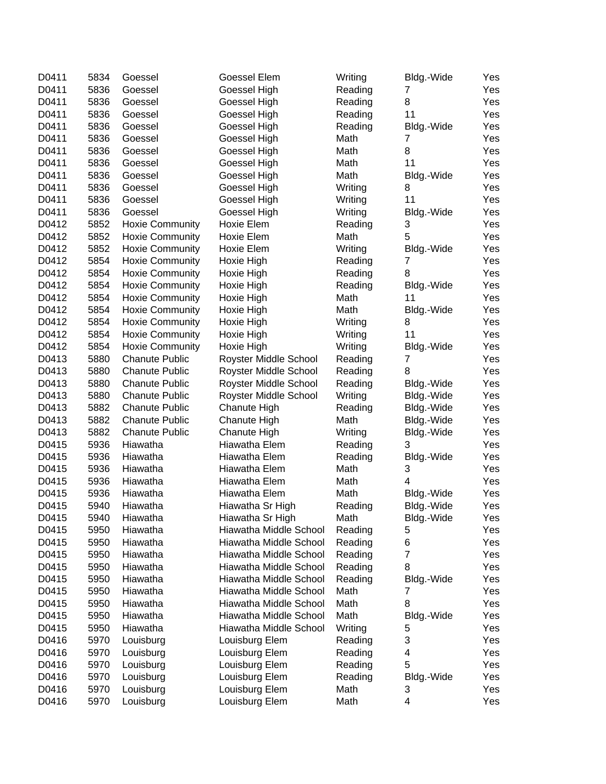| 5836<br>D0411<br>Goessel<br>Goessel High<br>Yes<br>Reading<br>7<br>D0411<br>5836<br>8<br>Yes<br>Goessel<br>Goessel High<br>Reading<br>D0411<br>5836<br>Goessel<br>Reading<br>11<br>Yes<br>Goessel High<br>D0411<br>5836<br>Goessel<br>Yes<br>Goessel High<br>Reading<br>Bldg.-Wide<br>D0411<br>5836<br>Math<br>Yes<br>Goessel<br>Goessel High<br>7<br>D0411<br>5836<br>Math<br>8<br>Yes<br>Goessel<br>Goessel High<br>D0411<br>5836<br>Math<br>11<br>Yes<br>Goessel<br>Goessel High<br>D0411<br>5836<br>Yes<br>Goessel<br>Goessel High<br>Math<br>Bldg.-Wide<br>D0411<br>5836<br>8<br>Yes<br>Goessel<br>Goessel High<br>Writing<br>5836<br>D0411<br>Goessel High<br>11<br>Yes<br>Goessel<br>Writing<br>5836<br>D0411<br>Goessel<br>Goessel High<br>Writing<br>Bldg.-Wide<br>Yes<br>5852<br>3<br>D0412<br><b>Hoxie Community</b><br>Hoxie Elem<br>Reading<br>Yes<br>5<br>5852<br>D0412<br><b>Hoxie Community</b><br>Hoxie Elem<br>Math<br>Yes<br>5852<br>D0412<br>Yes<br><b>Hoxie Community</b><br>Hoxie Elem<br>Writing<br>Bldg.-Wide<br>5854<br>D0412<br>7<br>Yes<br><b>Hoxie Community</b><br>Hoxie High<br>Reading<br>5854<br>D0412<br>Hoxie High<br>8<br>Yes<br><b>Hoxie Community</b><br>Reading<br>5854<br>D0412<br>Yes<br><b>Hoxie Community</b><br>Hoxie High<br>Reading<br>Bldg.-Wide<br>5854<br>D0412<br>Math<br>Yes<br><b>Hoxie Community</b><br>Hoxie High<br>11<br>5854<br>D0412<br>Yes<br><b>Hoxie Community</b><br>Hoxie High<br>Math<br>Bldg.-Wide<br>5854<br>D0412<br>Yes<br><b>Hoxie Community</b><br>Hoxie High<br>Writing<br>8<br>D0412<br>5854<br>11<br>Yes<br><b>Hoxie Community</b><br>Hoxie High<br>Writing<br>5854<br>D0412<br>Yes<br><b>Hoxie Community</b><br>Hoxie High<br>Writing<br>Bldg.-Wide<br>5880<br>D0413<br><b>Chanute Public</b><br>Reading<br>7<br>Yes<br>Royster Middle School<br>5880<br>D0413<br>Royster Middle School<br>Reading<br>8<br>Yes<br><b>Chanute Public</b><br>D0413<br>5880<br>Royster Middle School<br>Yes<br><b>Chanute Public</b><br>Reading<br>Bldg.-Wide<br>5880<br>D0413<br>Writing<br>Yes<br><b>Chanute Public</b><br>Royster Middle School<br>Bldg.-Wide<br>5882<br>D0413<br>Chanute High<br>Bldg.-Wide<br>Yes<br><b>Chanute Public</b><br>Reading<br>5882<br>D0413<br>Math<br><b>Chanute Public</b><br>Chanute High<br>Bldg.-Wide<br>Yes<br>5882<br>D0413<br><b>Chanute Public</b><br>Yes<br>Chanute High<br>Writing<br>Bldg.-Wide<br>5936<br>D0415<br>Hiawatha<br>Hiawatha Elem<br>3<br>Yes<br>Reading<br>5936<br>Hiawatha<br>Yes<br>D0415<br>Hiawatha Elem<br>Reading<br>Bldg.-Wide<br>5936<br>Hiawatha<br>Hiawatha Elem<br>Math<br>Yes<br>D0415<br>3<br>4<br>D0415<br>5936<br>Hiawatha<br>Hiawatha Elem<br>Math<br>Yes<br>5936<br>D0415<br>Hiawatha<br>Hiawatha Elem<br>Math<br>Yes<br>Bldg.-Wide<br>5940<br>Yes<br>D0415<br>Hiawatha<br>Hiawatha Sr High<br>Reading<br>Bldg.-Wide<br>D0415<br>5940<br>Hiawatha<br>Hiawatha Sr High<br>Math<br>Bldg.-Wide<br>Yes<br>5950<br>D0415<br>Hiawatha<br>Hiawatha Middle School<br>Reading<br>5<br>Yes<br>6<br>D0415<br>5950<br>Hiawatha<br>Hiawatha Middle School<br>Reading<br>Yes<br>7<br>5950<br>D0415<br>Hiawatha<br>Hiawatha Middle School<br>Reading<br>Yes<br>5950<br>Hiawatha Middle School<br>Reading<br>8<br>D0415<br>Hiawatha<br>Yes<br>5950<br>Hiawatha<br>Hiawatha Middle School<br>Reading<br>D0415<br>Bldg.-Wide<br>Yes<br>Hiawatha<br>Hiawatha Middle School<br>Math<br>7<br>D0415<br>5950<br>Yes<br>8<br>5950<br>Hiawatha<br>Hiawatha Middle School<br>Math<br>D0415<br>Yes<br>5950<br>Hiawatha<br>Hiawatha Middle School<br>Math<br>D0415<br>Bldg.-Wide<br>Yes<br>5950<br>Hiawatha<br>D0415<br>Hiawatha Middle School<br>Writing<br>5<br>Yes<br>3<br>5970<br>Louisburg Elem<br>D0416<br>Louisburg<br>Reading<br>Yes<br>D0416<br>5970<br>Louisburg<br>Louisburg Elem<br>4<br>Reading<br>Yes<br>5<br>5970<br>Louisburg Elem<br>D0416<br>Louisburg<br>Reading<br>Yes<br>5970<br>Louisburg Elem<br>D0416<br>Louisburg<br>Reading<br>Bldg.-Wide<br>Yes<br>D0416<br>5970<br>Louisburg Elem<br>Math<br>3<br>Louisburg<br>Yes<br>D0416<br>5970<br>Louisburg Elem<br>Math<br>4<br>Yes<br>Louisburg | D0411 | 5834 | Goessel | <b>Goessel Elem</b> | Writing | Bldg.-Wide | Yes |
|------------------------------------------------------------------------------------------------------------------------------------------------------------------------------------------------------------------------------------------------------------------------------------------------------------------------------------------------------------------------------------------------------------------------------------------------------------------------------------------------------------------------------------------------------------------------------------------------------------------------------------------------------------------------------------------------------------------------------------------------------------------------------------------------------------------------------------------------------------------------------------------------------------------------------------------------------------------------------------------------------------------------------------------------------------------------------------------------------------------------------------------------------------------------------------------------------------------------------------------------------------------------------------------------------------------------------------------------------------------------------------------------------------------------------------------------------------------------------------------------------------------------------------------------------------------------------------------------------------------------------------------------------------------------------------------------------------------------------------------------------------------------------------------------------------------------------------------------------------------------------------------------------------------------------------------------------------------------------------------------------------------------------------------------------------------------------------------------------------------------------------------------------------------------------------------------------------------------------------------------------------------------------------------------------------------------------------------------------------------------------------------------------------------------------------------------------------------------------------------------------------------------------------------------------------------------------------------------------------------------------------------------------------------------------------------------------------------------------------------------------------------------------------------------------------------------------------------------------------------------------------------------------------------------------------------------------------------------------------------------------------------------------------------------------------------------------------------------------------------------------------------------------------------------------------------------------------------------------------------------------------------------------------------------------------------------------------------------------------------------------------------------------------------------------------------------------------------------------------------------------------------------------------------------------------------------------------------------------------------------------------------------------------------------------------------------------------------------------------------------------------------------------------------------------------------------------------------------------------------------------------------------------------------------------------------------------------------------------------------------------------------------------------------------------------------------------------------------------------------------|-------|------|---------|---------------------|---------|------------|-----|
|                                                                                                                                                                                                                                                                                                                                                                                                                                                                                                                                                                                                                                                                                                                                                                                                                                                                                                                                                                                                                                                                                                                                                                                                                                                                                                                                                                                                                                                                                                                                                                                                                                                                                                                                                                                                                                                                                                                                                                                                                                                                                                                                                                                                                                                                                                                                                                                                                                                                                                                                                                                                                                                                                                                                                                                                                                                                                                                                                                                                                                                                                                                                                                                                                                                                                                                                                                                                                                                                                                                                                                                                                                                                                                                                                                                                                                                                                                                                                                                                                                                                                                                        |       |      |         |                     |         |            |     |
|                                                                                                                                                                                                                                                                                                                                                                                                                                                                                                                                                                                                                                                                                                                                                                                                                                                                                                                                                                                                                                                                                                                                                                                                                                                                                                                                                                                                                                                                                                                                                                                                                                                                                                                                                                                                                                                                                                                                                                                                                                                                                                                                                                                                                                                                                                                                                                                                                                                                                                                                                                                                                                                                                                                                                                                                                                                                                                                                                                                                                                                                                                                                                                                                                                                                                                                                                                                                                                                                                                                                                                                                                                                                                                                                                                                                                                                                                                                                                                                                                                                                                                                        |       |      |         |                     |         |            |     |
|                                                                                                                                                                                                                                                                                                                                                                                                                                                                                                                                                                                                                                                                                                                                                                                                                                                                                                                                                                                                                                                                                                                                                                                                                                                                                                                                                                                                                                                                                                                                                                                                                                                                                                                                                                                                                                                                                                                                                                                                                                                                                                                                                                                                                                                                                                                                                                                                                                                                                                                                                                                                                                                                                                                                                                                                                                                                                                                                                                                                                                                                                                                                                                                                                                                                                                                                                                                                                                                                                                                                                                                                                                                                                                                                                                                                                                                                                                                                                                                                                                                                                                                        |       |      |         |                     |         |            |     |
|                                                                                                                                                                                                                                                                                                                                                                                                                                                                                                                                                                                                                                                                                                                                                                                                                                                                                                                                                                                                                                                                                                                                                                                                                                                                                                                                                                                                                                                                                                                                                                                                                                                                                                                                                                                                                                                                                                                                                                                                                                                                                                                                                                                                                                                                                                                                                                                                                                                                                                                                                                                                                                                                                                                                                                                                                                                                                                                                                                                                                                                                                                                                                                                                                                                                                                                                                                                                                                                                                                                                                                                                                                                                                                                                                                                                                                                                                                                                                                                                                                                                                                                        |       |      |         |                     |         |            |     |
|                                                                                                                                                                                                                                                                                                                                                                                                                                                                                                                                                                                                                                                                                                                                                                                                                                                                                                                                                                                                                                                                                                                                                                                                                                                                                                                                                                                                                                                                                                                                                                                                                                                                                                                                                                                                                                                                                                                                                                                                                                                                                                                                                                                                                                                                                                                                                                                                                                                                                                                                                                                                                                                                                                                                                                                                                                                                                                                                                                                                                                                                                                                                                                                                                                                                                                                                                                                                                                                                                                                                                                                                                                                                                                                                                                                                                                                                                                                                                                                                                                                                                                                        |       |      |         |                     |         |            |     |
|                                                                                                                                                                                                                                                                                                                                                                                                                                                                                                                                                                                                                                                                                                                                                                                                                                                                                                                                                                                                                                                                                                                                                                                                                                                                                                                                                                                                                                                                                                                                                                                                                                                                                                                                                                                                                                                                                                                                                                                                                                                                                                                                                                                                                                                                                                                                                                                                                                                                                                                                                                                                                                                                                                                                                                                                                                                                                                                                                                                                                                                                                                                                                                                                                                                                                                                                                                                                                                                                                                                                                                                                                                                                                                                                                                                                                                                                                                                                                                                                                                                                                                                        |       |      |         |                     |         |            |     |
|                                                                                                                                                                                                                                                                                                                                                                                                                                                                                                                                                                                                                                                                                                                                                                                                                                                                                                                                                                                                                                                                                                                                                                                                                                                                                                                                                                                                                                                                                                                                                                                                                                                                                                                                                                                                                                                                                                                                                                                                                                                                                                                                                                                                                                                                                                                                                                                                                                                                                                                                                                                                                                                                                                                                                                                                                                                                                                                                                                                                                                                                                                                                                                                                                                                                                                                                                                                                                                                                                                                                                                                                                                                                                                                                                                                                                                                                                                                                                                                                                                                                                                                        |       |      |         |                     |         |            |     |
|                                                                                                                                                                                                                                                                                                                                                                                                                                                                                                                                                                                                                                                                                                                                                                                                                                                                                                                                                                                                                                                                                                                                                                                                                                                                                                                                                                                                                                                                                                                                                                                                                                                                                                                                                                                                                                                                                                                                                                                                                                                                                                                                                                                                                                                                                                                                                                                                                                                                                                                                                                                                                                                                                                                                                                                                                                                                                                                                                                                                                                                                                                                                                                                                                                                                                                                                                                                                                                                                                                                                                                                                                                                                                                                                                                                                                                                                                                                                                                                                                                                                                                                        |       |      |         |                     |         |            |     |
|                                                                                                                                                                                                                                                                                                                                                                                                                                                                                                                                                                                                                                                                                                                                                                                                                                                                                                                                                                                                                                                                                                                                                                                                                                                                                                                                                                                                                                                                                                                                                                                                                                                                                                                                                                                                                                                                                                                                                                                                                                                                                                                                                                                                                                                                                                                                                                                                                                                                                                                                                                                                                                                                                                                                                                                                                                                                                                                                                                                                                                                                                                                                                                                                                                                                                                                                                                                                                                                                                                                                                                                                                                                                                                                                                                                                                                                                                                                                                                                                                                                                                                                        |       |      |         |                     |         |            |     |
|                                                                                                                                                                                                                                                                                                                                                                                                                                                                                                                                                                                                                                                                                                                                                                                                                                                                                                                                                                                                                                                                                                                                                                                                                                                                                                                                                                                                                                                                                                                                                                                                                                                                                                                                                                                                                                                                                                                                                                                                                                                                                                                                                                                                                                                                                                                                                                                                                                                                                                                                                                                                                                                                                                                                                                                                                                                                                                                                                                                                                                                                                                                                                                                                                                                                                                                                                                                                                                                                                                                                                                                                                                                                                                                                                                                                                                                                                                                                                                                                                                                                                                                        |       |      |         |                     |         |            |     |
|                                                                                                                                                                                                                                                                                                                                                                                                                                                                                                                                                                                                                                                                                                                                                                                                                                                                                                                                                                                                                                                                                                                                                                                                                                                                                                                                                                                                                                                                                                                                                                                                                                                                                                                                                                                                                                                                                                                                                                                                                                                                                                                                                                                                                                                                                                                                                                                                                                                                                                                                                                                                                                                                                                                                                                                                                                                                                                                                                                                                                                                                                                                                                                                                                                                                                                                                                                                                                                                                                                                                                                                                                                                                                                                                                                                                                                                                                                                                                                                                                                                                                                                        |       |      |         |                     |         |            |     |
|                                                                                                                                                                                                                                                                                                                                                                                                                                                                                                                                                                                                                                                                                                                                                                                                                                                                                                                                                                                                                                                                                                                                                                                                                                                                                                                                                                                                                                                                                                                                                                                                                                                                                                                                                                                                                                                                                                                                                                                                                                                                                                                                                                                                                                                                                                                                                                                                                                                                                                                                                                                                                                                                                                                                                                                                                                                                                                                                                                                                                                                                                                                                                                                                                                                                                                                                                                                                                                                                                                                                                                                                                                                                                                                                                                                                                                                                                                                                                                                                                                                                                                                        |       |      |         |                     |         |            |     |
|                                                                                                                                                                                                                                                                                                                                                                                                                                                                                                                                                                                                                                                                                                                                                                                                                                                                                                                                                                                                                                                                                                                                                                                                                                                                                                                                                                                                                                                                                                                                                                                                                                                                                                                                                                                                                                                                                                                                                                                                                                                                                                                                                                                                                                                                                                                                                                                                                                                                                                                                                                                                                                                                                                                                                                                                                                                                                                                                                                                                                                                                                                                                                                                                                                                                                                                                                                                                                                                                                                                                                                                                                                                                                                                                                                                                                                                                                                                                                                                                                                                                                                                        |       |      |         |                     |         |            |     |
|                                                                                                                                                                                                                                                                                                                                                                                                                                                                                                                                                                                                                                                                                                                                                                                                                                                                                                                                                                                                                                                                                                                                                                                                                                                                                                                                                                                                                                                                                                                                                                                                                                                                                                                                                                                                                                                                                                                                                                                                                                                                                                                                                                                                                                                                                                                                                                                                                                                                                                                                                                                                                                                                                                                                                                                                                                                                                                                                                                                                                                                                                                                                                                                                                                                                                                                                                                                                                                                                                                                                                                                                                                                                                                                                                                                                                                                                                                                                                                                                                                                                                                                        |       |      |         |                     |         |            |     |
|                                                                                                                                                                                                                                                                                                                                                                                                                                                                                                                                                                                                                                                                                                                                                                                                                                                                                                                                                                                                                                                                                                                                                                                                                                                                                                                                                                                                                                                                                                                                                                                                                                                                                                                                                                                                                                                                                                                                                                                                                                                                                                                                                                                                                                                                                                                                                                                                                                                                                                                                                                                                                                                                                                                                                                                                                                                                                                                                                                                                                                                                                                                                                                                                                                                                                                                                                                                                                                                                                                                                                                                                                                                                                                                                                                                                                                                                                                                                                                                                                                                                                                                        |       |      |         |                     |         |            |     |
|                                                                                                                                                                                                                                                                                                                                                                                                                                                                                                                                                                                                                                                                                                                                                                                                                                                                                                                                                                                                                                                                                                                                                                                                                                                                                                                                                                                                                                                                                                                                                                                                                                                                                                                                                                                                                                                                                                                                                                                                                                                                                                                                                                                                                                                                                                                                                                                                                                                                                                                                                                                                                                                                                                                                                                                                                                                                                                                                                                                                                                                                                                                                                                                                                                                                                                                                                                                                                                                                                                                                                                                                                                                                                                                                                                                                                                                                                                                                                                                                                                                                                                                        |       |      |         |                     |         |            |     |
|                                                                                                                                                                                                                                                                                                                                                                                                                                                                                                                                                                                                                                                                                                                                                                                                                                                                                                                                                                                                                                                                                                                                                                                                                                                                                                                                                                                                                                                                                                                                                                                                                                                                                                                                                                                                                                                                                                                                                                                                                                                                                                                                                                                                                                                                                                                                                                                                                                                                                                                                                                                                                                                                                                                                                                                                                                                                                                                                                                                                                                                                                                                                                                                                                                                                                                                                                                                                                                                                                                                                                                                                                                                                                                                                                                                                                                                                                                                                                                                                                                                                                                                        |       |      |         |                     |         |            |     |
|                                                                                                                                                                                                                                                                                                                                                                                                                                                                                                                                                                                                                                                                                                                                                                                                                                                                                                                                                                                                                                                                                                                                                                                                                                                                                                                                                                                                                                                                                                                                                                                                                                                                                                                                                                                                                                                                                                                                                                                                                                                                                                                                                                                                                                                                                                                                                                                                                                                                                                                                                                                                                                                                                                                                                                                                                                                                                                                                                                                                                                                                                                                                                                                                                                                                                                                                                                                                                                                                                                                                                                                                                                                                                                                                                                                                                                                                                                                                                                                                                                                                                                                        |       |      |         |                     |         |            |     |
|                                                                                                                                                                                                                                                                                                                                                                                                                                                                                                                                                                                                                                                                                                                                                                                                                                                                                                                                                                                                                                                                                                                                                                                                                                                                                                                                                                                                                                                                                                                                                                                                                                                                                                                                                                                                                                                                                                                                                                                                                                                                                                                                                                                                                                                                                                                                                                                                                                                                                                                                                                                                                                                                                                                                                                                                                                                                                                                                                                                                                                                                                                                                                                                                                                                                                                                                                                                                                                                                                                                                                                                                                                                                                                                                                                                                                                                                                                                                                                                                                                                                                                                        |       |      |         |                     |         |            |     |
|                                                                                                                                                                                                                                                                                                                                                                                                                                                                                                                                                                                                                                                                                                                                                                                                                                                                                                                                                                                                                                                                                                                                                                                                                                                                                                                                                                                                                                                                                                                                                                                                                                                                                                                                                                                                                                                                                                                                                                                                                                                                                                                                                                                                                                                                                                                                                                                                                                                                                                                                                                                                                                                                                                                                                                                                                                                                                                                                                                                                                                                                                                                                                                                                                                                                                                                                                                                                                                                                                                                                                                                                                                                                                                                                                                                                                                                                                                                                                                                                                                                                                                                        |       |      |         |                     |         |            |     |
|                                                                                                                                                                                                                                                                                                                                                                                                                                                                                                                                                                                                                                                                                                                                                                                                                                                                                                                                                                                                                                                                                                                                                                                                                                                                                                                                                                                                                                                                                                                                                                                                                                                                                                                                                                                                                                                                                                                                                                                                                                                                                                                                                                                                                                                                                                                                                                                                                                                                                                                                                                                                                                                                                                                                                                                                                                                                                                                                                                                                                                                                                                                                                                                                                                                                                                                                                                                                                                                                                                                                                                                                                                                                                                                                                                                                                                                                                                                                                                                                                                                                                                                        |       |      |         |                     |         |            |     |
|                                                                                                                                                                                                                                                                                                                                                                                                                                                                                                                                                                                                                                                                                                                                                                                                                                                                                                                                                                                                                                                                                                                                                                                                                                                                                                                                                                                                                                                                                                                                                                                                                                                                                                                                                                                                                                                                                                                                                                                                                                                                                                                                                                                                                                                                                                                                                                                                                                                                                                                                                                                                                                                                                                                                                                                                                                                                                                                                                                                                                                                                                                                                                                                                                                                                                                                                                                                                                                                                                                                                                                                                                                                                                                                                                                                                                                                                                                                                                                                                                                                                                                                        |       |      |         |                     |         |            |     |
|                                                                                                                                                                                                                                                                                                                                                                                                                                                                                                                                                                                                                                                                                                                                                                                                                                                                                                                                                                                                                                                                                                                                                                                                                                                                                                                                                                                                                                                                                                                                                                                                                                                                                                                                                                                                                                                                                                                                                                                                                                                                                                                                                                                                                                                                                                                                                                                                                                                                                                                                                                                                                                                                                                                                                                                                                                                                                                                                                                                                                                                                                                                                                                                                                                                                                                                                                                                                                                                                                                                                                                                                                                                                                                                                                                                                                                                                                                                                                                                                                                                                                                                        |       |      |         |                     |         |            |     |
|                                                                                                                                                                                                                                                                                                                                                                                                                                                                                                                                                                                                                                                                                                                                                                                                                                                                                                                                                                                                                                                                                                                                                                                                                                                                                                                                                                                                                                                                                                                                                                                                                                                                                                                                                                                                                                                                                                                                                                                                                                                                                                                                                                                                                                                                                                                                                                                                                                                                                                                                                                                                                                                                                                                                                                                                                                                                                                                                                                                                                                                                                                                                                                                                                                                                                                                                                                                                                                                                                                                                                                                                                                                                                                                                                                                                                                                                                                                                                                                                                                                                                                                        |       |      |         |                     |         |            |     |
|                                                                                                                                                                                                                                                                                                                                                                                                                                                                                                                                                                                                                                                                                                                                                                                                                                                                                                                                                                                                                                                                                                                                                                                                                                                                                                                                                                                                                                                                                                                                                                                                                                                                                                                                                                                                                                                                                                                                                                                                                                                                                                                                                                                                                                                                                                                                                                                                                                                                                                                                                                                                                                                                                                                                                                                                                                                                                                                                                                                                                                                                                                                                                                                                                                                                                                                                                                                                                                                                                                                                                                                                                                                                                                                                                                                                                                                                                                                                                                                                                                                                                                                        |       |      |         |                     |         |            |     |
|                                                                                                                                                                                                                                                                                                                                                                                                                                                                                                                                                                                                                                                                                                                                                                                                                                                                                                                                                                                                                                                                                                                                                                                                                                                                                                                                                                                                                                                                                                                                                                                                                                                                                                                                                                                                                                                                                                                                                                                                                                                                                                                                                                                                                                                                                                                                                                                                                                                                                                                                                                                                                                                                                                                                                                                                                                                                                                                                                                                                                                                                                                                                                                                                                                                                                                                                                                                                                                                                                                                                                                                                                                                                                                                                                                                                                                                                                                                                                                                                                                                                                                                        |       |      |         |                     |         |            |     |
|                                                                                                                                                                                                                                                                                                                                                                                                                                                                                                                                                                                                                                                                                                                                                                                                                                                                                                                                                                                                                                                                                                                                                                                                                                                                                                                                                                                                                                                                                                                                                                                                                                                                                                                                                                                                                                                                                                                                                                                                                                                                                                                                                                                                                                                                                                                                                                                                                                                                                                                                                                                                                                                                                                                                                                                                                                                                                                                                                                                                                                                                                                                                                                                                                                                                                                                                                                                                                                                                                                                                                                                                                                                                                                                                                                                                                                                                                                                                                                                                                                                                                                                        |       |      |         |                     |         |            |     |
|                                                                                                                                                                                                                                                                                                                                                                                                                                                                                                                                                                                                                                                                                                                                                                                                                                                                                                                                                                                                                                                                                                                                                                                                                                                                                                                                                                                                                                                                                                                                                                                                                                                                                                                                                                                                                                                                                                                                                                                                                                                                                                                                                                                                                                                                                                                                                                                                                                                                                                                                                                                                                                                                                                                                                                                                                                                                                                                                                                                                                                                                                                                                                                                                                                                                                                                                                                                                                                                                                                                                                                                                                                                                                                                                                                                                                                                                                                                                                                                                                                                                                                                        |       |      |         |                     |         |            |     |
|                                                                                                                                                                                                                                                                                                                                                                                                                                                                                                                                                                                                                                                                                                                                                                                                                                                                                                                                                                                                                                                                                                                                                                                                                                                                                                                                                                                                                                                                                                                                                                                                                                                                                                                                                                                                                                                                                                                                                                                                                                                                                                                                                                                                                                                                                                                                                                                                                                                                                                                                                                                                                                                                                                                                                                                                                                                                                                                                                                                                                                                                                                                                                                                                                                                                                                                                                                                                                                                                                                                                                                                                                                                                                                                                                                                                                                                                                                                                                                                                                                                                                                                        |       |      |         |                     |         |            |     |
|                                                                                                                                                                                                                                                                                                                                                                                                                                                                                                                                                                                                                                                                                                                                                                                                                                                                                                                                                                                                                                                                                                                                                                                                                                                                                                                                                                                                                                                                                                                                                                                                                                                                                                                                                                                                                                                                                                                                                                                                                                                                                                                                                                                                                                                                                                                                                                                                                                                                                                                                                                                                                                                                                                                                                                                                                                                                                                                                                                                                                                                                                                                                                                                                                                                                                                                                                                                                                                                                                                                                                                                                                                                                                                                                                                                                                                                                                                                                                                                                                                                                                                                        |       |      |         |                     |         |            |     |
|                                                                                                                                                                                                                                                                                                                                                                                                                                                                                                                                                                                                                                                                                                                                                                                                                                                                                                                                                                                                                                                                                                                                                                                                                                                                                                                                                                                                                                                                                                                                                                                                                                                                                                                                                                                                                                                                                                                                                                                                                                                                                                                                                                                                                                                                                                                                                                                                                                                                                                                                                                                                                                                                                                                                                                                                                                                                                                                                                                                                                                                                                                                                                                                                                                                                                                                                                                                                                                                                                                                                                                                                                                                                                                                                                                                                                                                                                                                                                                                                                                                                                                                        |       |      |         |                     |         |            |     |
|                                                                                                                                                                                                                                                                                                                                                                                                                                                                                                                                                                                                                                                                                                                                                                                                                                                                                                                                                                                                                                                                                                                                                                                                                                                                                                                                                                                                                                                                                                                                                                                                                                                                                                                                                                                                                                                                                                                                                                                                                                                                                                                                                                                                                                                                                                                                                                                                                                                                                                                                                                                                                                                                                                                                                                                                                                                                                                                                                                                                                                                                                                                                                                                                                                                                                                                                                                                                                                                                                                                                                                                                                                                                                                                                                                                                                                                                                                                                                                                                                                                                                                                        |       |      |         |                     |         |            |     |
|                                                                                                                                                                                                                                                                                                                                                                                                                                                                                                                                                                                                                                                                                                                                                                                                                                                                                                                                                                                                                                                                                                                                                                                                                                                                                                                                                                                                                                                                                                                                                                                                                                                                                                                                                                                                                                                                                                                                                                                                                                                                                                                                                                                                                                                                                                                                                                                                                                                                                                                                                                                                                                                                                                                                                                                                                                                                                                                                                                                                                                                                                                                                                                                                                                                                                                                                                                                                                                                                                                                                                                                                                                                                                                                                                                                                                                                                                                                                                                                                                                                                                                                        |       |      |         |                     |         |            |     |
|                                                                                                                                                                                                                                                                                                                                                                                                                                                                                                                                                                                                                                                                                                                                                                                                                                                                                                                                                                                                                                                                                                                                                                                                                                                                                                                                                                                                                                                                                                                                                                                                                                                                                                                                                                                                                                                                                                                                                                                                                                                                                                                                                                                                                                                                                                                                                                                                                                                                                                                                                                                                                                                                                                                                                                                                                                                                                                                                                                                                                                                                                                                                                                                                                                                                                                                                                                                                                                                                                                                                                                                                                                                                                                                                                                                                                                                                                                                                                                                                                                                                                                                        |       |      |         |                     |         |            |     |
|                                                                                                                                                                                                                                                                                                                                                                                                                                                                                                                                                                                                                                                                                                                                                                                                                                                                                                                                                                                                                                                                                                                                                                                                                                                                                                                                                                                                                                                                                                                                                                                                                                                                                                                                                                                                                                                                                                                                                                                                                                                                                                                                                                                                                                                                                                                                                                                                                                                                                                                                                                                                                                                                                                                                                                                                                                                                                                                                                                                                                                                                                                                                                                                                                                                                                                                                                                                                                                                                                                                                                                                                                                                                                                                                                                                                                                                                                                                                                                                                                                                                                                                        |       |      |         |                     |         |            |     |
|                                                                                                                                                                                                                                                                                                                                                                                                                                                                                                                                                                                                                                                                                                                                                                                                                                                                                                                                                                                                                                                                                                                                                                                                                                                                                                                                                                                                                                                                                                                                                                                                                                                                                                                                                                                                                                                                                                                                                                                                                                                                                                                                                                                                                                                                                                                                                                                                                                                                                                                                                                                                                                                                                                                                                                                                                                                                                                                                                                                                                                                                                                                                                                                                                                                                                                                                                                                                                                                                                                                                                                                                                                                                                                                                                                                                                                                                                                                                                                                                                                                                                                                        |       |      |         |                     |         |            |     |
|                                                                                                                                                                                                                                                                                                                                                                                                                                                                                                                                                                                                                                                                                                                                                                                                                                                                                                                                                                                                                                                                                                                                                                                                                                                                                                                                                                                                                                                                                                                                                                                                                                                                                                                                                                                                                                                                                                                                                                                                                                                                                                                                                                                                                                                                                                                                                                                                                                                                                                                                                                                                                                                                                                                                                                                                                                                                                                                                                                                                                                                                                                                                                                                                                                                                                                                                                                                                                                                                                                                                                                                                                                                                                                                                                                                                                                                                                                                                                                                                                                                                                                                        |       |      |         |                     |         |            |     |
|                                                                                                                                                                                                                                                                                                                                                                                                                                                                                                                                                                                                                                                                                                                                                                                                                                                                                                                                                                                                                                                                                                                                                                                                                                                                                                                                                                                                                                                                                                                                                                                                                                                                                                                                                                                                                                                                                                                                                                                                                                                                                                                                                                                                                                                                                                                                                                                                                                                                                                                                                                                                                                                                                                                                                                                                                                                                                                                                                                                                                                                                                                                                                                                                                                                                                                                                                                                                                                                                                                                                                                                                                                                                                                                                                                                                                                                                                                                                                                                                                                                                                                                        |       |      |         |                     |         |            |     |
|                                                                                                                                                                                                                                                                                                                                                                                                                                                                                                                                                                                                                                                                                                                                                                                                                                                                                                                                                                                                                                                                                                                                                                                                                                                                                                                                                                                                                                                                                                                                                                                                                                                                                                                                                                                                                                                                                                                                                                                                                                                                                                                                                                                                                                                                                                                                                                                                                                                                                                                                                                                                                                                                                                                                                                                                                                                                                                                                                                                                                                                                                                                                                                                                                                                                                                                                                                                                                                                                                                                                                                                                                                                                                                                                                                                                                                                                                                                                                                                                                                                                                                                        |       |      |         |                     |         |            |     |
|                                                                                                                                                                                                                                                                                                                                                                                                                                                                                                                                                                                                                                                                                                                                                                                                                                                                                                                                                                                                                                                                                                                                                                                                                                                                                                                                                                                                                                                                                                                                                                                                                                                                                                                                                                                                                                                                                                                                                                                                                                                                                                                                                                                                                                                                                                                                                                                                                                                                                                                                                                                                                                                                                                                                                                                                                                                                                                                                                                                                                                                                                                                                                                                                                                                                                                                                                                                                                                                                                                                                                                                                                                                                                                                                                                                                                                                                                                                                                                                                                                                                                                                        |       |      |         |                     |         |            |     |
|                                                                                                                                                                                                                                                                                                                                                                                                                                                                                                                                                                                                                                                                                                                                                                                                                                                                                                                                                                                                                                                                                                                                                                                                                                                                                                                                                                                                                                                                                                                                                                                                                                                                                                                                                                                                                                                                                                                                                                                                                                                                                                                                                                                                                                                                                                                                                                                                                                                                                                                                                                                                                                                                                                                                                                                                                                                                                                                                                                                                                                                                                                                                                                                                                                                                                                                                                                                                                                                                                                                                                                                                                                                                                                                                                                                                                                                                                                                                                                                                                                                                                                                        |       |      |         |                     |         |            |     |
|                                                                                                                                                                                                                                                                                                                                                                                                                                                                                                                                                                                                                                                                                                                                                                                                                                                                                                                                                                                                                                                                                                                                                                                                                                                                                                                                                                                                                                                                                                                                                                                                                                                                                                                                                                                                                                                                                                                                                                                                                                                                                                                                                                                                                                                                                                                                                                                                                                                                                                                                                                                                                                                                                                                                                                                                                                                                                                                                                                                                                                                                                                                                                                                                                                                                                                                                                                                                                                                                                                                                                                                                                                                                                                                                                                                                                                                                                                                                                                                                                                                                                                                        |       |      |         |                     |         |            |     |
|                                                                                                                                                                                                                                                                                                                                                                                                                                                                                                                                                                                                                                                                                                                                                                                                                                                                                                                                                                                                                                                                                                                                                                                                                                                                                                                                                                                                                                                                                                                                                                                                                                                                                                                                                                                                                                                                                                                                                                                                                                                                                                                                                                                                                                                                                                                                                                                                                                                                                                                                                                                                                                                                                                                                                                                                                                                                                                                                                                                                                                                                                                                                                                                                                                                                                                                                                                                                                                                                                                                                                                                                                                                                                                                                                                                                                                                                                                                                                                                                                                                                                                                        |       |      |         |                     |         |            |     |
|                                                                                                                                                                                                                                                                                                                                                                                                                                                                                                                                                                                                                                                                                                                                                                                                                                                                                                                                                                                                                                                                                                                                                                                                                                                                                                                                                                                                                                                                                                                                                                                                                                                                                                                                                                                                                                                                                                                                                                                                                                                                                                                                                                                                                                                                                                                                                                                                                                                                                                                                                                                                                                                                                                                                                                                                                                                                                                                                                                                                                                                                                                                                                                                                                                                                                                                                                                                                                                                                                                                                                                                                                                                                                                                                                                                                                                                                                                                                                                                                                                                                                                                        |       |      |         |                     |         |            |     |
|                                                                                                                                                                                                                                                                                                                                                                                                                                                                                                                                                                                                                                                                                                                                                                                                                                                                                                                                                                                                                                                                                                                                                                                                                                                                                                                                                                                                                                                                                                                                                                                                                                                                                                                                                                                                                                                                                                                                                                                                                                                                                                                                                                                                                                                                                                                                                                                                                                                                                                                                                                                                                                                                                                                                                                                                                                                                                                                                                                                                                                                                                                                                                                                                                                                                                                                                                                                                                                                                                                                                                                                                                                                                                                                                                                                                                                                                                                                                                                                                                                                                                                                        |       |      |         |                     |         |            |     |
|                                                                                                                                                                                                                                                                                                                                                                                                                                                                                                                                                                                                                                                                                                                                                                                                                                                                                                                                                                                                                                                                                                                                                                                                                                                                                                                                                                                                                                                                                                                                                                                                                                                                                                                                                                                                                                                                                                                                                                                                                                                                                                                                                                                                                                                                                                                                                                                                                                                                                                                                                                                                                                                                                                                                                                                                                                                                                                                                                                                                                                                                                                                                                                                                                                                                                                                                                                                                                                                                                                                                                                                                                                                                                                                                                                                                                                                                                                                                                                                                                                                                                                                        |       |      |         |                     |         |            |     |
|                                                                                                                                                                                                                                                                                                                                                                                                                                                                                                                                                                                                                                                                                                                                                                                                                                                                                                                                                                                                                                                                                                                                                                                                                                                                                                                                                                                                                                                                                                                                                                                                                                                                                                                                                                                                                                                                                                                                                                                                                                                                                                                                                                                                                                                                                                                                                                                                                                                                                                                                                                                                                                                                                                                                                                                                                                                                                                                                                                                                                                                                                                                                                                                                                                                                                                                                                                                                                                                                                                                                                                                                                                                                                                                                                                                                                                                                                                                                                                                                                                                                                                                        |       |      |         |                     |         |            |     |
|                                                                                                                                                                                                                                                                                                                                                                                                                                                                                                                                                                                                                                                                                                                                                                                                                                                                                                                                                                                                                                                                                                                                                                                                                                                                                                                                                                                                                                                                                                                                                                                                                                                                                                                                                                                                                                                                                                                                                                                                                                                                                                                                                                                                                                                                                                                                                                                                                                                                                                                                                                                                                                                                                                                                                                                                                                                                                                                                                                                                                                                                                                                                                                                                                                                                                                                                                                                                                                                                                                                                                                                                                                                                                                                                                                                                                                                                                                                                                                                                                                                                                                                        |       |      |         |                     |         |            |     |
|                                                                                                                                                                                                                                                                                                                                                                                                                                                                                                                                                                                                                                                                                                                                                                                                                                                                                                                                                                                                                                                                                                                                                                                                                                                                                                                                                                                                                                                                                                                                                                                                                                                                                                                                                                                                                                                                                                                                                                                                                                                                                                                                                                                                                                                                                                                                                                                                                                                                                                                                                                                                                                                                                                                                                                                                                                                                                                                                                                                                                                                                                                                                                                                                                                                                                                                                                                                                                                                                                                                                                                                                                                                                                                                                                                                                                                                                                                                                                                                                                                                                                                                        |       |      |         |                     |         |            |     |
|                                                                                                                                                                                                                                                                                                                                                                                                                                                                                                                                                                                                                                                                                                                                                                                                                                                                                                                                                                                                                                                                                                                                                                                                                                                                                                                                                                                                                                                                                                                                                                                                                                                                                                                                                                                                                                                                                                                                                                                                                                                                                                                                                                                                                                                                                                                                                                                                                                                                                                                                                                                                                                                                                                                                                                                                                                                                                                                                                                                                                                                                                                                                                                                                                                                                                                                                                                                                                                                                                                                                                                                                                                                                                                                                                                                                                                                                                                                                                                                                                                                                                                                        |       |      |         |                     |         |            |     |
|                                                                                                                                                                                                                                                                                                                                                                                                                                                                                                                                                                                                                                                                                                                                                                                                                                                                                                                                                                                                                                                                                                                                                                                                                                                                                                                                                                                                                                                                                                                                                                                                                                                                                                                                                                                                                                                                                                                                                                                                                                                                                                                                                                                                                                                                                                                                                                                                                                                                                                                                                                                                                                                                                                                                                                                                                                                                                                                                                                                                                                                                                                                                                                                                                                                                                                                                                                                                                                                                                                                                                                                                                                                                                                                                                                                                                                                                                                                                                                                                                                                                                                                        |       |      |         |                     |         |            |     |
|                                                                                                                                                                                                                                                                                                                                                                                                                                                                                                                                                                                                                                                                                                                                                                                                                                                                                                                                                                                                                                                                                                                                                                                                                                                                                                                                                                                                                                                                                                                                                                                                                                                                                                                                                                                                                                                                                                                                                                                                                                                                                                                                                                                                                                                                                                                                                                                                                                                                                                                                                                                                                                                                                                                                                                                                                                                                                                                                                                                                                                                                                                                                                                                                                                                                                                                                                                                                                                                                                                                                                                                                                                                                                                                                                                                                                                                                                                                                                                                                                                                                                                                        |       |      |         |                     |         |            |     |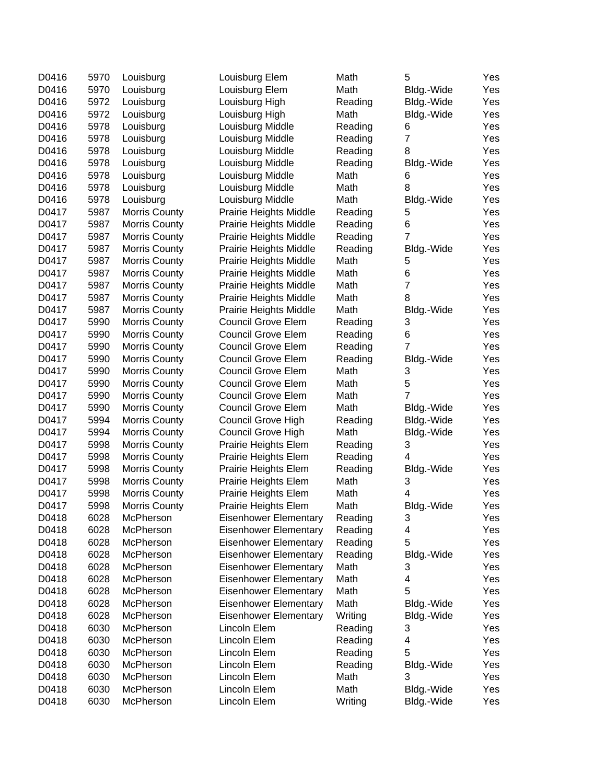| D0416 | 5970 | Louisburg     | Louisburg Elem                | Math    | 5              | Yes |
|-------|------|---------------|-------------------------------|---------|----------------|-----|
| D0416 | 5970 | Louisburg     | Louisburg Elem                | Math    | Bldg.-Wide     | Yes |
| D0416 | 5972 | Louisburg     | Louisburg High                | Reading | Bldg.-Wide     | Yes |
| D0416 | 5972 | Louisburg     | Louisburg High                | Math    | Bldg.-Wide     | Yes |
| D0416 | 5978 | Louisburg     | Louisburg Middle              | Reading | 6              | Yes |
| D0416 | 5978 | Louisburg     | Louisburg Middle              | Reading | $\overline{7}$ | Yes |
| D0416 | 5978 | Louisburg     | Louisburg Middle              | Reading | 8              | Yes |
| D0416 | 5978 | Louisburg     | Louisburg Middle              | Reading | Bldg.-Wide     | Yes |
| D0416 | 5978 | Louisburg     | Louisburg Middle              | Math    | 6              | Yes |
| D0416 | 5978 | Louisburg     | Louisburg Middle              | Math    | 8              | Yes |
| D0416 | 5978 | Louisburg     | Louisburg Middle              | Math    | Bldg.-Wide     | Yes |
| D0417 | 5987 | Morris County | Prairie Heights Middle        | Reading | 5              | Yes |
| D0417 | 5987 | Morris County | Prairie Heights Middle        | Reading | 6              | Yes |
| D0417 | 5987 | Morris County | Prairie Heights Middle        | Reading | $\overline{7}$ | Yes |
| D0417 | 5987 | Morris County | Prairie Heights Middle        | Reading | Bldg.-Wide     | Yes |
| D0417 | 5987 | Morris County | Prairie Heights Middle        | Math    | 5              | Yes |
| D0417 | 5987 | Morris County | Prairie Heights Middle        | Math    | 6              | Yes |
| D0417 | 5987 | Morris County | <b>Prairie Heights Middle</b> | Math    | $\overline{7}$ | Yes |
| D0417 | 5987 | Morris County | <b>Prairie Heights Middle</b> | Math    | 8              | Yes |
| D0417 | 5987 | Morris County | <b>Prairie Heights Middle</b> | Math    | Bldg.-Wide     | Yes |
| D0417 | 5990 | Morris County | <b>Council Grove Elem</b>     | Reading | 3              | Yes |
| D0417 | 5990 | Morris County | <b>Council Grove Elem</b>     | Reading | 6              | Yes |
| D0417 | 5990 | Morris County | <b>Council Grove Elem</b>     | Reading | $\overline{7}$ | Yes |
| D0417 | 5990 | Morris County | <b>Council Grove Elem</b>     | Reading | Bldg.-Wide     | Yes |
| D0417 | 5990 | Morris County | <b>Council Grove Elem</b>     | Math    | 3              | Yes |
| D0417 | 5990 | Morris County | <b>Council Grove Elem</b>     | Math    | 5              | Yes |
| D0417 | 5990 | Morris County | <b>Council Grove Elem</b>     | Math    | $\overline{7}$ | Yes |
| D0417 | 5990 | Morris County | <b>Council Grove Elem</b>     | Math    | Bldg.-Wide     | Yes |
| D0417 | 5994 | Morris County | Council Grove High            | Reading | Bldg.-Wide     | Yes |
| D0417 | 5994 | Morris County | <b>Council Grove High</b>     | Math    | Bldg.-Wide     | Yes |
| D0417 | 5998 | Morris County | Prairie Heights Elem          | Reading | 3              | Yes |
| D0417 | 5998 | Morris County | Prairie Heights Elem          | Reading | 4              | Yes |
| D0417 | 5998 | Morris County | Prairie Heights Elem          | Reading | Bldg.-Wide     | Yes |
| D0417 | 5998 | Morris County | Prairie Heights Elem          | Math    | 3              | Yes |
| D0417 | 5998 | Morris County | Prairie Heights Elem          | Math    | 4              | Yes |
| D0417 | 5998 | Morris County | Prairie Heights Elem          | Math    | Bldg.-Wide     | Yes |
| D0418 | 6028 | McPherson     | Eisenhower Elementary         | Reading | 3              | Yes |
| D0418 | 6028 | McPherson     | <b>Eisenhower Elementary</b>  | Reading | 4              | Yes |
| D0418 | 6028 | McPherson     | <b>Eisenhower Elementary</b>  | Reading | 5              | Yes |
| D0418 | 6028 | McPherson     | <b>Eisenhower Elementary</b>  | Reading | Bldg.-Wide     | Yes |
| D0418 | 6028 | McPherson     | <b>Eisenhower Elementary</b>  | Math    | 3              | Yes |
| D0418 | 6028 | McPherson     | <b>Eisenhower Elementary</b>  | Math    | 4              | Yes |
| D0418 | 6028 | McPherson     | <b>Eisenhower Elementary</b>  | Math    | 5              | Yes |
| D0418 | 6028 | McPherson     | <b>Eisenhower Elementary</b>  | Math    | Bldg.-Wide     | Yes |
| D0418 | 6028 | McPherson     | <b>Eisenhower Elementary</b>  | Writing | Bldg.-Wide     | Yes |
| D0418 | 6030 | McPherson     | Lincoln Elem                  | Reading | 3              | Yes |
| D0418 | 6030 | McPherson     | Lincoln Elem                  | Reading | 4              | Yes |
| D0418 | 6030 | McPherson     | Lincoln Elem                  | Reading | 5              | Yes |
| D0418 | 6030 | McPherson     | Lincoln Elem                  | Reading | Bldg.-Wide     | Yes |
| D0418 | 6030 | McPherson     | Lincoln Elem                  | Math    | 3              | Yes |
| D0418 | 6030 | McPherson     | Lincoln Elem                  | Math    | Bldg.-Wide     | Yes |
| D0418 | 6030 | McPherson     | Lincoln Elem                  | Writing | Bldg.-Wide     | Yes |
|       |      |               |                               |         |                |     |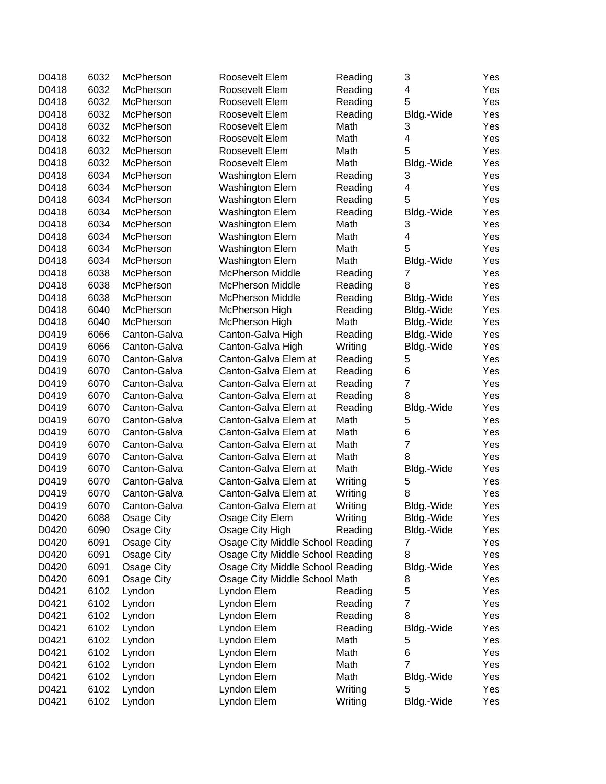| D0418          | 6032 | McPherson         | Roosevelt Elem                   | Reading | 3               | Yes        |
|----------------|------|-------------------|----------------------------------|---------|-----------------|------------|
| D0418          | 6032 | McPherson         | Roosevelt Elem                   | Reading | 4               | Yes        |
| D0418          | 6032 | McPherson         | Roosevelt Elem                   | Reading | 5               | Yes        |
| D0418          | 6032 | McPherson         | Roosevelt Elem                   | Reading | Bldg.-Wide      | Yes        |
| D0418          | 6032 | McPherson         | Roosevelt Elem                   | Math    | 3               | Yes        |
| D0418          | 6032 | McPherson         | Roosevelt Elem                   | Math    | 4               | Yes        |
| D0418          | 6032 | McPherson         | Roosevelt Elem                   | Math    | 5               | Yes        |
| D0418          | 6032 | McPherson         | Roosevelt Elem                   | Math    | Bldg.-Wide      | Yes        |
| D0418          | 6034 | McPherson         | <b>Washington Elem</b>           | Reading | 3               | Yes        |
| D0418          | 6034 | McPherson         | <b>Washington Elem</b>           | Reading | 4               | Yes        |
| D0418          | 6034 | McPherson         | Washington Elem                  | Reading | 5               | Yes        |
| D0418          | 6034 | McPherson         | Washington Elem                  | Reading | Bldg.-Wide      | Yes        |
| D0418          | 6034 | McPherson         | <b>Washington Elem</b>           | Math    | 3               | Yes        |
| D0418          | 6034 | McPherson         | <b>Washington Elem</b>           | Math    | 4               | Yes        |
| D0418          | 6034 | McPherson         | <b>Washington Elem</b>           | Math    | 5               | Yes        |
| D0418          | 6034 | McPherson         | <b>Washington Elem</b>           | Math    | Bldg.-Wide      | Yes        |
| D0418          | 6038 | McPherson         | <b>McPherson Middle</b>          | Reading | 7               | Yes        |
| D0418          | 6038 | McPherson         | <b>McPherson Middle</b>          | Reading | 8               | Yes        |
| D0418          | 6038 | McPherson         | <b>McPherson Middle</b>          | Reading | Bldg.-Wide      | Yes        |
| D0418          | 6040 | McPherson         | McPherson High                   | Reading | Bldg.-Wide      | Yes        |
| D0418          | 6040 | McPherson         | McPherson High                   | Math    | Bldg.-Wide      | Yes        |
| D0419          | 6066 | Canton-Galva      | Canton-Galva High                | Reading | Bldg.-Wide      | Yes        |
| D0419          | 6066 | Canton-Galva      | Canton-Galva High                | Writing | Bldg.-Wide      | Yes        |
| D0419          | 6070 | Canton-Galva      | Canton-Galva Elem at             | Reading | 5               | Yes        |
| D0419          | 6070 | Canton-Galva      | Canton-Galva Elem at             | Reading | 6               | Yes        |
| D0419          | 6070 | Canton-Galva      | Canton-Galva Elem at             | Reading | $\overline{7}$  | Yes        |
| D0419          | 6070 | Canton-Galva      | Canton-Galva Elem at             | Reading | 8               | Yes        |
| D0419          | 6070 | Canton-Galva      | Canton-Galva Elem at             | Reading | Bldg.-Wide      | Yes        |
| D0419          | 6070 | Canton-Galva      | Canton-Galva Elem at             | Math    | 5               | Yes        |
| D0419          | 6070 | Canton-Galva      | Canton-Galva Elem at             | Math    | 6               | Yes        |
| D0419          | 6070 | Canton-Galva      | Canton-Galva Elem at             | Math    | $\overline{7}$  | Yes        |
| D0419          | 6070 | Canton-Galva      | Canton-Galva Elem at             | Math    | 8               | Yes        |
|                | 6070 | Canton-Galva      | Canton-Galva Elem at             | Math    |                 |            |
| D0419<br>D0419 | 6070 | Canton-Galva      | Canton-Galva Elem at             |         | Bldg.-Wide<br>5 | Yes<br>Yes |
|                |      |                   |                                  | Writing | 8               |            |
| D0419          | 6070 | Canton-Galva      | Canton-Galva Elem at             | Writing |                 | Yes        |
| D0419          | 6070 | Canton-Galva      | Canton-Galva Elem at             | Writing | Bldg.-Wide      | Yes        |
| D0420          | 6088 | <b>Osage City</b> | Osage City Elem                  | Writing | Bldg.-Wide      | Yes        |
| D0420          | 6090 | Osage City        | Osage City High                  | Reading | Bldg.-Wide      | Yes        |
| D0420          | 6091 | Osage City        | Osage City Middle School Reading |         | 7               | Yes        |
| D0420          | 6091 | Osage City        | Osage City Middle School Reading |         | 8               | Yes        |
| D0420          | 6091 | Osage City        | Osage City Middle School Reading |         | Bldg.-Wide      | Yes        |
| D0420          | 6091 | Osage City        | Osage City Middle School Math    |         | 8               | Yes        |
| D0421          | 6102 | Lyndon            | Lyndon Elem                      | Reading | 5               | Yes        |
| D0421          | 6102 | Lyndon            | Lyndon Elem                      | Reading | 7               | Yes        |
| D0421          | 6102 | Lyndon            | Lyndon Elem                      | Reading | 8               | Yes        |
| D0421          | 6102 | Lyndon            | Lyndon Elem                      | Reading | Bldg.-Wide      | Yes        |
| D0421          | 6102 | Lyndon            | Lyndon Elem                      | Math    | 5               | Yes        |
| D0421          | 6102 | Lyndon            | Lyndon Elem                      | Math    | 6               | Yes        |
| D0421          | 6102 | Lyndon            | Lyndon Elem                      | Math    | $\overline{7}$  | Yes        |
| D0421          | 6102 | Lyndon            | Lyndon Elem                      | Math    | Bldg.-Wide      | Yes        |
| D0421          | 6102 | Lyndon            | Lyndon Elem                      | Writing | 5               | Yes        |
| D0421          | 6102 | Lyndon            | Lyndon Elem                      | Writing | Bldg.-Wide      | Yes        |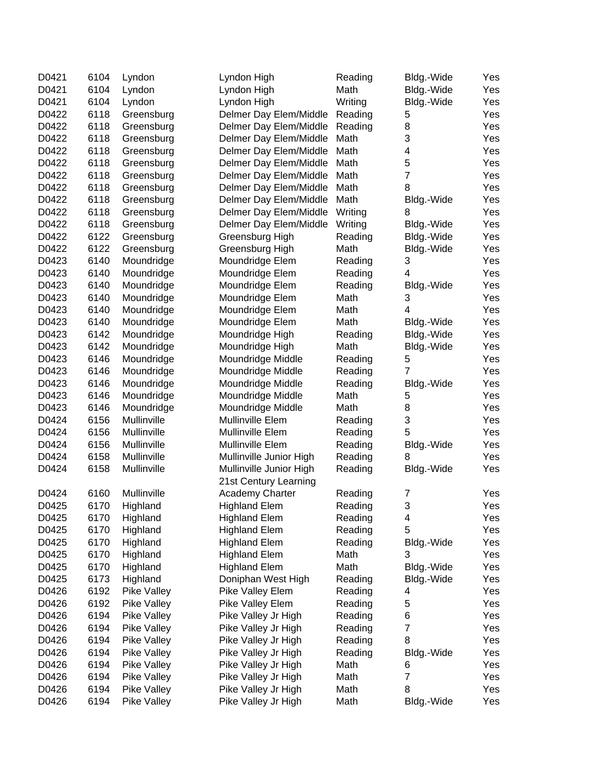| D0421 | 6104 | Lyndon             | Lyndon High             | Reading | Bldg.-Wide              | Yes |
|-------|------|--------------------|-------------------------|---------|-------------------------|-----|
| D0421 | 6104 | Lyndon             | Lyndon High             | Math    | Bldg.-Wide              | Yes |
| D0421 | 6104 | Lyndon             | Lyndon High             | Writing | Bldg.-Wide              | Yes |
| D0422 | 6118 | Greensburg         | Delmer Day Elem/Middle  | Reading | 5                       | Yes |
| D0422 | 6118 | Greensburg         | Delmer Day Elem/Middle  | Reading | 8                       | Yes |
| D0422 | 6118 | Greensburg         | Delmer Day Elem/Middle  | Math    | 3                       | Yes |
| D0422 | 6118 | Greensburg         | Delmer Day Elem/Middle  | Math    | 4                       | Yes |
|       |      |                    |                         |         | 5                       | Yes |
| D0422 | 6118 | Greensburg         | Delmer Day Elem/Middle  | Math    |                         |     |
| D0422 | 6118 | Greensburg         | Delmer Day Elem/Middle  | Math    | $\overline{7}$          | Yes |
| D0422 | 6118 | Greensburg         | Delmer Day Elem/Middle  | Math    | 8                       | Yes |
| D0422 | 6118 | Greensburg         | Delmer Day Elem/Middle  | Math    | Bldg.-Wide              | Yes |
| D0422 | 6118 | Greensburg         | Delmer Day Elem/Middle  | Writing | 8                       | Yes |
| D0422 | 6118 | Greensburg         | Delmer Day Elem/Middle  | Writing | Bldg.-Wide              | Yes |
| D0422 | 6122 | Greensburg         | Greensburg High         | Reading | Bldg.-Wide              | Yes |
| D0422 | 6122 | Greensburg         | Greensburg High         | Math    | Bldg.-Wide              | Yes |
| D0423 | 6140 | Moundridge         | Moundridge Elem         | Reading | 3                       | Yes |
| D0423 | 6140 | Moundridge         | Moundridge Elem         | Reading | 4                       | Yes |
| D0423 | 6140 | Moundridge         | Moundridge Elem         | Reading | Bldg.-Wide              | Yes |
| D0423 | 6140 | Moundridge         | Moundridge Elem         | Math    | 3                       | Yes |
| D0423 | 6140 | Moundridge         | Moundridge Elem         | Math    | 4                       | Yes |
| D0423 | 6140 | Moundridge         | Moundridge Elem         | Math    | Bldg.-Wide              | Yes |
| D0423 | 6142 | Moundridge         | Moundridge High         | Reading | Bldg.-Wide              | Yes |
| D0423 | 6142 | Moundridge         | Moundridge High         | Math    | Bldg.-Wide              | Yes |
| D0423 | 6146 | Moundridge         | Moundridge Middle       | Reading | 5                       | Yes |
| D0423 | 6146 | Moundridge         | Moundridge Middle       | Reading | 7                       | Yes |
| D0423 | 6146 |                    |                         |         |                         | Yes |
|       |      | Moundridge         | Moundridge Middle       | Reading | Bldg.-Wide              |     |
| D0423 | 6146 | Moundridge         | Moundridge Middle       | Math    | 5                       | Yes |
| D0423 | 6146 | Moundridge         | Moundridge Middle       | Math    | 8                       | Yes |
| D0424 | 6156 | Mullinville        | Mullinville Elem        | Reading | 3                       | Yes |
| D0424 | 6156 | Mullinville        | Mullinville Elem        | Reading | 5                       | Yes |
| D0424 | 6156 | Mullinville        | Mullinville Elem        | Reading | Bldg.-Wide              | Yes |
| D0424 | 6158 | Mullinville        | Mullinville Junior High | Reading | 8                       | Yes |
| D0424 | 6158 | Mullinville        | Mullinville Junior High | Reading | Bldg.-Wide              | Yes |
|       |      |                    | 21st Century Learning   |         |                         |     |
| D0424 | 6160 | Mullinville        | Academy Charter         | Reading | 7                       | Yes |
| D0425 | 6170 | Highland           | <b>Highland Elem</b>    | Reading | 3                       | Yes |
| D0425 | 6170 | Highland           | <b>Highland Elem</b>    | Reading | 4                       | Yes |
| D0425 | 6170 | Highland           | <b>Highland Elem</b>    | Reading | 5                       | Yes |
| D0425 | 6170 | Highland           | <b>Highland Elem</b>    | Reading | Bldg.-Wide              | Yes |
| D0425 | 6170 | Highland           | <b>Highland Elem</b>    | Math    | 3                       | Yes |
| D0425 | 6170 | Highland           | <b>Highland Elem</b>    | Math    | Bldg.-Wide              | Yes |
| D0425 | 6173 | Highland           | Doniphan West High      | Reading | Bldg.-Wide              | Yes |
| D0426 | 6192 | Pike Valley        | Pike Valley Elem        | Reading | 4                       | Yes |
| D0426 | 6192 | Pike Valley        | Pike Valley Elem        | Reading | 5                       | Yes |
| D0426 | 6194 | <b>Pike Valley</b> | Pike Valley Jr High     | Reading | 6                       | Yes |
| D0426 | 6194 | Pike Valley        | Pike Valley Jr High     | Reading | $\overline{7}$          | Yes |
|       |      |                    |                         |         |                         |     |
| D0426 | 6194 | Pike Valley        | Pike Valley Jr High     | Reading | 8                       | Yes |
| D0426 | 6194 | Pike Valley        | Pike Valley Jr High     | Reading | Bldg.-Wide              | Yes |
| D0426 | 6194 | Pike Valley        | Pike Valley Jr High     | Math    | 6                       | Yes |
| D0426 | 6194 | Pike Valley        | Pike Valley Jr High     | Math    | $\overline{\mathbf{7}}$ | Yes |
| D0426 | 6194 | Pike Valley        | Pike Valley Jr High     | Math    | 8                       | Yes |
| D0426 | 6194 | Pike Valley        | Pike Valley Jr High     | Math    | Bldg.-Wide              | Yes |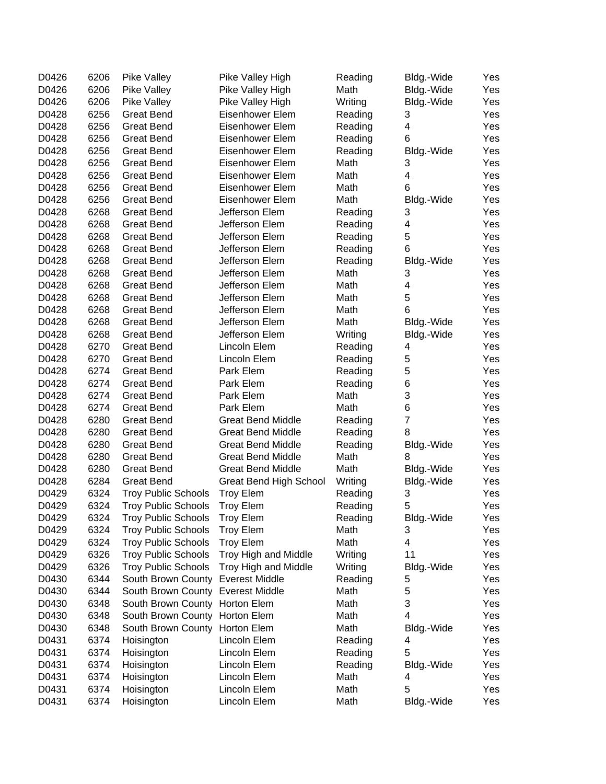| D0426 | 6206 | <b>Pike Valley</b>                | Pike Valley High              | Reading | Bldg.-Wide              | Yes |
|-------|------|-----------------------------------|-------------------------------|---------|-------------------------|-----|
| D0426 | 6206 | Pike Valley                       | Pike Valley High              | Math    | Bldg.-Wide              | Yes |
| D0426 | 6206 | Pike Valley                       | Pike Valley High              | Writing | Bldg.-Wide              | Yes |
| D0428 | 6256 | <b>Great Bend</b>                 | Eisenhower Elem               | Reading | 3                       | Yes |
| D0428 | 6256 | Great Bend                        | Eisenhower Elem               | Reading | 4                       | Yes |
| D0428 | 6256 | <b>Great Bend</b>                 | Eisenhower Elem               | Reading | 6                       | Yes |
| D0428 | 6256 | <b>Great Bend</b>                 | Eisenhower Elem               | Reading | Bldg.-Wide              | Yes |
| D0428 | 6256 | <b>Great Bend</b>                 | Eisenhower Elem               | Math    | 3                       | Yes |
| D0428 | 6256 | <b>Great Bend</b>                 | Eisenhower Elem               | Math    | 4                       | Yes |
| D0428 | 6256 | <b>Great Bend</b>                 | Eisenhower Elem               | Math    | 6                       | Yes |
| D0428 | 6256 | <b>Great Bend</b>                 | Eisenhower Elem               | Math    | Bldg.-Wide              | Yes |
| D0428 | 6268 | <b>Great Bend</b>                 | Jefferson Elem                | Reading | 3                       | Yes |
| D0428 | 6268 | <b>Great Bend</b>                 | Jefferson Elem                | Reading | 4                       | Yes |
| D0428 | 6268 | <b>Great Bend</b>                 | Jefferson Elem                | Reading | 5                       | Yes |
| D0428 | 6268 | <b>Great Bend</b>                 | Jefferson Elem                | Reading | 6                       | Yes |
| D0428 | 6268 | <b>Great Bend</b>                 | Jefferson Elem                | Reading | Bldg.-Wide              | Yes |
| D0428 | 6268 | <b>Great Bend</b>                 | Jefferson Elem                | Math    | 3                       | Yes |
| D0428 | 6268 | <b>Great Bend</b>                 | Jefferson Elem                | Math    | 4                       | Yes |
| D0428 | 6268 | <b>Great Bend</b>                 | Jefferson Elem                | Math    | 5                       | Yes |
| D0428 | 6268 | <b>Great Bend</b>                 | Jefferson Elem                | Math    | 6                       | Yes |
| D0428 | 6268 |                                   | Jefferson Elem                |         |                         | Yes |
|       |      | Great Bend                        | Jefferson Elem                | Math    | Bldg.-Wide              |     |
| D0428 | 6268 | Great Bend                        | Lincoln Elem                  | Writing | Bldg.-Wide              | Yes |
| D0428 | 6270 | <b>Great Bend</b>                 |                               | Reading | 4                       | Yes |
| D0428 | 6270 | <b>Great Bend</b>                 | Lincoln Elem                  | Reading | 5                       | Yes |
| D0428 | 6274 | <b>Great Bend</b>                 | Park Elem                     | Reading | 5                       | Yes |
| D0428 | 6274 | <b>Great Bend</b>                 | Park Elem                     | Reading | 6                       | Yes |
| D0428 | 6274 | <b>Great Bend</b>                 | Park Elem                     | Math    | 3                       | Yes |
| D0428 | 6274 | <b>Great Bend</b>                 | Park Elem                     | Math    | 6                       | Yes |
| D0428 | 6280 | <b>Great Bend</b>                 | <b>Great Bend Middle</b>      | Reading | $\overline{7}$          | Yes |
| D0428 | 6280 | <b>Great Bend</b>                 | <b>Great Bend Middle</b>      | Reading | 8                       | Yes |
| D0428 | 6280 | <b>Great Bend</b>                 | <b>Great Bend Middle</b>      | Reading | Bldg.-Wide              | Yes |
| D0428 | 6280 | <b>Great Bend</b>                 | <b>Great Bend Middle</b>      | Math    | 8                       | Yes |
| D0428 | 6280 | <b>Great Bend</b>                 | <b>Great Bend Middle</b>      | Math    | Bldg.-Wide              | Yes |
| D0428 | 6284 | <b>Great Bend</b>                 | <b>Great Bend High School</b> | Writing | Bldg.-Wide              | Yes |
| D0429 | 6324 | <b>Troy Public Schools</b>        | <b>Troy Elem</b>              | Reading | 3                       | Yes |
| D0429 | 6324 | <b>Troy Public Schools</b>        | <b>Troy Elem</b>              | Reading | 5                       | Yes |
| D0429 | 6324 | <b>Troy Public Schools</b>        | <b>Troy Elem</b>              | Reading | Bldg.-Wide              | Yes |
| D0429 | 6324 | <b>Troy Public Schools</b>        | <b>Troy Elem</b>              | Math    | 3                       | Yes |
| D0429 | 6324 | <b>Troy Public Schools</b>        | <b>Troy Elem</b>              | Math    | $\overline{\mathbf{4}}$ | Yes |
| D0429 | 6326 | <b>Troy Public Schools</b>        | Troy High and Middle          | Writing | 11                      | Yes |
| D0429 | 6326 | <b>Troy Public Schools</b>        | Troy High and Middle          | Writing | Bldg.-Wide              | Yes |
| D0430 | 6344 | South Brown County                | <b>Everest Middle</b>         | Reading | 5                       | Yes |
| D0430 | 6344 | South Brown County Everest Middle |                               | Math    | 5                       | Yes |
| D0430 | 6348 | South Brown County Horton Elem    |                               | Math    | 3                       | Yes |
| D0430 | 6348 | South Brown County Horton Elem    |                               | Math    | 4                       | Yes |
| D0430 | 6348 | South Brown County Horton Elem    |                               | Math    | Bldg.-Wide              | Yes |
| D0431 | 6374 | Hoisington                        | Lincoln Elem                  | Reading | 4                       | Yes |
| D0431 | 6374 | Hoisington                        | Lincoln Elem                  | Reading | 5                       | Yes |
| D0431 | 6374 | Hoisington                        | Lincoln Elem                  | Reading | Bldg.-Wide              | Yes |
| D0431 | 6374 | Hoisington                        | Lincoln Elem                  | Math    | 4                       | Yes |
| D0431 | 6374 | Hoisington                        | Lincoln Elem                  | Math    | 5                       | Yes |
| D0431 | 6374 | Hoisington                        | Lincoln Elem                  | Math    | Bldg.-Wide              | Yes |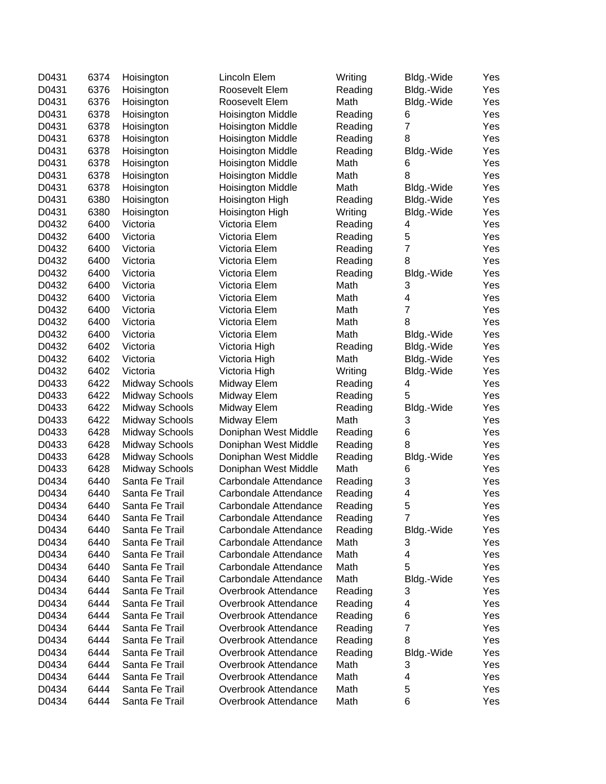| D0431 | 6374 | Hoisington            | Lincoln Elem             | Writing | Bldg.-Wide              | Yes |
|-------|------|-----------------------|--------------------------|---------|-------------------------|-----|
| D0431 | 6376 | Hoisington            | Roosevelt Elem           | Reading | Bldg.-Wide              | Yes |
| D0431 | 6376 | Hoisington            | Roosevelt Elem           | Math    | Bldg.-Wide              | Yes |
| D0431 | 6378 | Hoisington            | <b>Hoisington Middle</b> | Reading | 6                       | Yes |
| D0431 | 6378 | Hoisington            | <b>Hoisington Middle</b> | Reading | $\overline{7}$          | Yes |
| D0431 | 6378 | Hoisington            | <b>Hoisington Middle</b> | Reading | 8                       | Yes |
| D0431 | 6378 | Hoisington            | <b>Hoisington Middle</b> | Reading | Bldg.-Wide              | Yes |
| D0431 | 6378 | Hoisington            | <b>Hoisington Middle</b> | Math    | 6                       | Yes |
| D0431 | 6378 | Hoisington            | <b>Hoisington Middle</b> | Math    | 8                       | Yes |
| D0431 | 6378 | Hoisington            | <b>Hoisington Middle</b> | Math    | Bldg.-Wide              | Yes |
| D0431 | 6380 | Hoisington            | Hoisington High          | Reading | Bldg.-Wide              | Yes |
| D0431 | 6380 | Hoisington            | Hoisington High          | Writing | Bldg.-Wide              | Yes |
| D0432 | 6400 | Victoria              | Victoria Elem            | Reading | 4                       | Yes |
| D0432 | 6400 | Victoria              | Victoria Elem            | Reading | $\mathbf 5$             | Yes |
| D0432 | 6400 | Victoria              | Victoria Elem            | Reading | $\overline{7}$          | Yes |
| D0432 | 6400 | Victoria              | Victoria Elem            | Reading | 8                       | Yes |
| D0432 | 6400 | Victoria              | Victoria Elem            | Reading | Bldg.-Wide              | Yes |
| D0432 | 6400 | Victoria              | Victoria Elem            | Math    | 3                       | Yes |
| D0432 | 6400 | Victoria              | Victoria Elem            | Math    | $\overline{\mathbf{4}}$ | Yes |
| D0432 | 6400 | Victoria              | Victoria Elem            | Math    | $\overline{7}$          | Yes |
| D0432 | 6400 | Victoria              | Victoria Elem            | Math    | 8                       | Yes |
| D0432 | 6400 | Victoria              | Victoria Elem            | Math    | Bldg.-Wide              | Yes |
| D0432 | 6402 | Victoria              | Victoria High            | Reading | Bldg.-Wide              | Yes |
| D0432 | 6402 | Victoria              | Victoria High            | Math    | Bldg.-Wide              | Yes |
| D0432 | 6402 | Victoria              | Victoria High            | Writing | Bldg.-Wide              | Yes |
| D0433 | 6422 | <b>Midway Schools</b> | Midway Elem              | Reading | 4                       | Yes |
| D0433 | 6422 | <b>Midway Schools</b> | Midway Elem              | Reading | 5                       | Yes |
| D0433 | 6422 | <b>Midway Schools</b> | Midway Elem              | Reading | Bldg.-Wide              | Yes |
| D0433 | 6422 | <b>Midway Schools</b> | Midway Elem              | Math    | 3                       | Yes |
| D0433 | 6428 | <b>Midway Schools</b> | Doniphan West Middle     | Reading | 6                       | Yes |
| D0433 | 6428 | <b>Midway Schools</b> | Doniphan West Middle     | Reading | 8                       | Yes |
| D0433 | 6428 | <b>Midway Schools</b> | Doniphan West Middle     | Reading | Bldg.-Wide              | Yes |
| D0433 | 6428 | <b>Midway Schools</b> | Doniphan West Middle     | Math    | 6                       | Yes |
| D0434 | 6440 | Santa Fe Trail        | Carbondale Attendance    | Reading | 3                       | Yes |
| D0434 | 6440 | Santa Fe Trail        | Carbondale Attendance    | Reading | 4                       | Yes |
| D0434 | 6440 | Santa Fe Trail        | Carbondale Attendance    | Reading | 5                       | Yes |
| D0434 | 6440 | Santa Fe Trail        | Carbondale Attendance    | Reading | 7                       | Yes |
| D0434 | 6440 | Santa Fe Trail        | Carbondale Attendance    | Reading | Bldg.-Wide              | Yes |
| D0434 | 6440 | Santa Fe Trail        | Carbondale Attendance    | Math    | 3                       | Yes |
| D0434 | 6440 | Santa Fe Trail        | Carbondale Attendance    | Math    | 4                       | Yes |
| D0434 | 6440 | Santa Fe Trail        | Carbondale Attendance    | Math    | 5                       | Yes |
| D0434 | 6440 | Santa Fe Trail        | Carbondale Attendance    | Math    | Bldg.-Wide              | Yes |
| D0434 | 6444 | Santa Fe Trail        | Overbrook Attendance     | Reading | 3                       | Yes |
| D0434 | 6444 | Santa Fe Trail        | Overbrook Attendance     | Reading | 4                       | Yes |
| D0434 | 6444 | Santa Fe Trail        | Overbrook Attendance     | Reading | 6                       | Yes |
| D0434 | 6444 | Santa Fe Trail        | Overbrook Attendance     | Reading | 7                       | Yes |
| D0434 | 6444 | Santa Fe Trail        | Overbrook Attendance     | Reading | 8                       | Yes |
| D0434 | 6444 | Santa Fe Trail        | Overbrook Attendance     | Reading | Bldg.-Wide              | Yes |
| D0434 | 6444 | Santa Fe Trail        | Overbrook Attendance     | Math    | 3                       | Yes |
| D0434 | 6444 | Santa Fe Trail        | Overbrook Attendance     | Math    | 4                       | Yes |
| D0434 | 6444 | Santa Fe Trail        | Overbrook Attendance     | Math    | 5                       | Yes |
| D0434 | 6444 | Santa Fe Trail        | Overbrook Attendance     | Math    | 6                       | Yes |
|       |      |                       |                          |         |                         |     |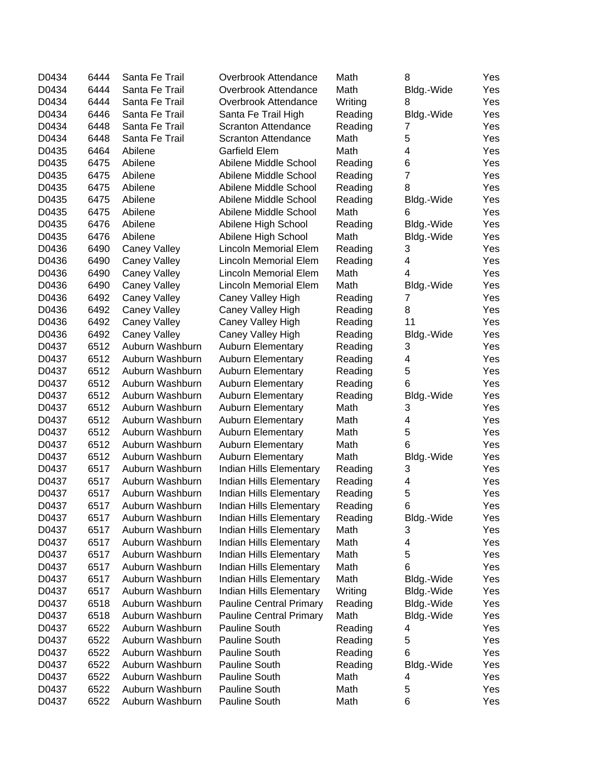| D0434 | 6444 | Santa Fe Trail      | Overbrook Attendance           | Math    | 8          | Yes |
|-------|------|---------------------|--------------------------------|---------|------------|-----|
| D0434 | 6444 | Santa Fe Trail      | Overbrook Attendance           | Math    | Bldg.-Wide | Yes |
| D0434 | 6444 | Santa Fe Trail      | Overbrook Attendance           | Writing | 8          | Yes |
| D0434 | 6446 | Santa Fe Trail      | Santa Fe Trail High            | Reading | Bldg.-Wide | Yes |
| D0434 | 6448 | Santa Fe Trail      | Scranton Attendance            | Reading | 7          | Yes |
| D0434 | 6448 | Santa Fe Trail      | Scranton Attendance            | Math    | 5          | Yes |
| D0435 | 6464 | Abilene             | Garfield Elem                  | Math    | 4          | Yes |
| D0435 | 6475 | Abilene             | Abilene Middle School          | Reading | 6          | Yes |
| D0435 | 6475 | Abilene             | Abilene Middle School          | Reading | 7          | Yes |
| D0435 | 6475 | Abilene             | Abilene Middle School          | Reading | 8          | Yes |
| D0435 | 6475 | Abilene             | Abilene Middle School          | Reading | Bldg.-Wide | Yes |
| D0435 | 6475 | Abilene             | Abilene Middle School          | Math    | 6          | Yes |
| D0435 | 6476 | Abilene             | Abilene High School            | Reading | Bldg.-Wide | Yes |
| D0435 | 6476 | Abilene             | Abilene High School            | Math    | Bldg.-Wide | Yes |
| D0436 | 6490 | <b>Caney Valley</b> | <b>Lincoln Memorial Elem</b>   | Reading | 3          | Yes |
| D0436 | 6490 | <b>Caney Valley</b> | <b>Lincoln Memorial Elem</b>   | Reading | 4          | Yes |
| D0436 | 6490 | <b>Caney Valley</b> | <b>Lincoln Memorial Elem</b>   | Math    | 4          | Yes |
| D0436 | 6490 | <b>Caney Valley</b> | <b>Lincoln Memorial Elem</b>   | Math    | Bldg.-Wide | Yes |
| D0436 | 6492 | <b>Caney Valley</b> | Caney Valley High              | Reading | 7          | Yes |
| D0436 | 6492 | <b>Caney Valley</b> | Caney Valley High              | Reading | 8          | Yes |
| D0436 | 6492 | <b>Caney Valley</b> | Caney Valley High              | Reading | 11         | Yes |
| D0436 | 6492 | <b>Caney Valley</b> | Caney Valley High              | Reading | Bldg.-Wide | Yes |
| D0437 | 6512 | Auburn Washburn     | <b>Auburn Elementary</b>       | Reading | 3          | Yes |
| D0437 | 6512 | Auburn Washburn     | <b>Auburn Elementary</b>       | Reading | 4          | Yes |
| D0437 | 6512 | Auburn Washburn     | <b>Auburn Elementary</b>       | Reading | 5          | Yes |
| D0437 | 6512 | Auburn Washburn     | <b>Auburn Elementary</b>       | Reading | 6          | Yes |
| D0437 | 6512 | Auburn Washburn     | <b>Auburn Elementary</b>       | Reading | Bldg.-Wide | Yes |
| D0437 | 6512 | Auburn Washburn     | <b>Auburn Elementary</b>       | Math    | 3          | Yes |
| D0437 | 6512 | Auburn Washburn     | <b>Auburn Elementary</b>       | Math    | 4          | Yes |
| D0437 | 6512 | Auburn Washburn     | <b>Auburn Elementary</b>       | Math    | 5          | Yes |
| D0437 | 6512 | Auburn Washburn     | <b>Auburn Elementary</b>       | Math    | 6          | Yes |
| D0437 | 6512 | Auburn Washburn     | <b>Auburn Elementary</b>       | Math    | Bldg.-Wide | Yes |
| D0437 | 6517 | Auburn Washburn     | Indian Hills Elementary        | Reading | 3          | Yes |
| D0437 | 6517 | Auburn Washburn     | Indian Hills Elementary        | Reading | 4          | Yes |
| D0437 | 6517 | Auburn Washburn     | Indian Hills Elementary        | Reading | 5          | Yes |
| D0437 | 6517 | Auburn Washburn     | Indian Hills Elementary        | Reading | 6          | Yes |
| D0437 | 6517 | Auburn Washburn     | Indian Hills Elementary        | Reading | Bldg.-Wide | Yes |
| D0437 | 6517 | Auburn Washburn     | Indian Hills Elementary        | Math    | 3          | Yes |
| D0437 | 6517 | Auburn Washburn     | Indian Hills Elementary        | Math    | 4          | Yes |
| D0437 | 6517 | Auburn Washburn     | Indian Hills Elementary        | Math    | 5          | Yes |
| D0437 | 6517 | Auburn Washburn     | Indian Hills Elementary        | Math    | 6          | Yes |
| D0437 | 6517 | Auburn Washburn     | Indian Hills Elementary        | Math    | Bldg.-Wide | Yes |
| D0437 | 6517 | Auburn Washburn     | Indian Hills Elementary        | Writing | Bldg.-Wide | Yes |
| D0437 | 6518 | Auburn Washburn     | <b>Pauline Central Primary</b> | Reading | Bldg.-Wide | Yes |
| D0437 | 6518 | Auburn Washburn     | <b>Pauline Central Primary</b> | Math    | Bldg.-Wide | Yes |
| D0437 | 6522 | Auburn Washburn     | Pauline South                  | Reading | 4          | Yes |
| D0437 | 6522 | Auburn Washburn     | Pauline South                  | Reading | 5          | Yes |
| D0437 | 6522 | Auburn Washburn     | Pauline South                  | Reading | 6          | Yes |
| D0437 | 6522 | Auburn Washburn     | Pauline South                  | Reading | Bldg.-Wide | Yes |
| D0437 | 6522 | Auburn Washburn     | Pauline South                  | Math    | 4          | Yes |
| D0437 | 6522 | Auburn Washburn     | Pauline South                  | Math    | 5          | Yes |
| D0437 | 6522 | Auburn Washburn     | Pauline South                  | Math    | 6          | Yes |
|       |      |                     |                                |         |            |     |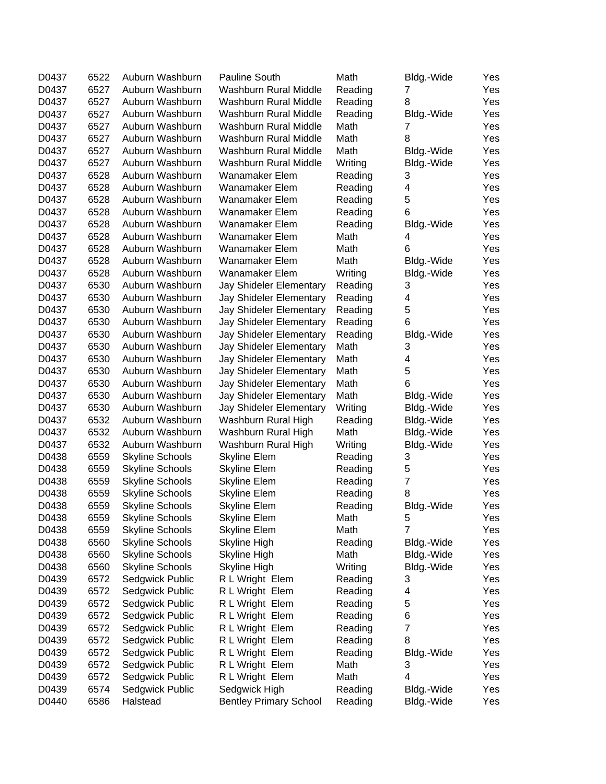| D0437 | 6522 | Auburn Washburn        | <b>Pauline South</b>          | Math    | Bldg.-Wide     | Yes |
|-------|------|------------------------|-------------------------------|---------|----------------|-----|
| D0437 | 6527 | Auburn Washburn        | Washburn Rural Middle         | Reading | 7              | Yes |
| D0437 | 6527 | Auburn Washburn        | Washburn Rural Middle         | Reading | 8              | Yes |
| D0437 | 6527 | Auburn Washburn        | Washburn Rural Middle         | Reading | Bldg.-Wide     | Yes |
| D0437 | 6527 | Auburn Washburn        | Washburn Rural Middle         | Math    | 7              | Yes |
| D0437 | 6527 | Auburn Washburn        | Washburn Rural Middle         | Math    | 8              | Yes |
| D0437 | 6527 | Auburn Washburn        | Washburn Rural Middle         | Math    | Bldg.-Wide     | Yes |
| D0437 | 6527 | Auburn Washburn        | Washburn Rural Middle         | Writing | Bldg.-Wide     | Yes |
| D0437 | 6528 | Auburn Washburn        | <b>Wanamaker Elem</b>         | Reading | 3              | Yes |
| D0437 | 6528 | Auburn Washburn        | Wanamaker Elem                | Reading | 4              | Yes |
| D0437 | 6528 | Auburn Washburn        | Wanamaker Elem                | Reading | 5              | Yes |
| D0437 | 6528 | Auburn Washburn        | <b>Wanamaker Elem</b>         | Reading | 6              | Yes |
| D0437 | 6528 | Auburn Washburn        | Wanamaker Elem                | Reading | Bldg.-Wide     | Yes |
| D0437 | 6528 | Auburn Washburn        | Wanamaker Elem                | Math    | 4              | Yes |
| D0437 | 6528 | Auburn Washburn        | Wanamaker Elem                | Math    | 6              | Yes |
| D0437 | 6528 | Auburn Washburn        | Wanamaker Elem                | Math    | Bldg.-Wide     | Yes |
| D0437 | 6528 | Auburn Washburn        | <b>Wanamaker Elem</b>         | Writing | Bldg.-Wide     | Yes |
| D0437 | 6530 | Auburn Washburn        | Jay Shideler Elementary       | Reading | 3              | Yes |
| D0437 | 6530 | Auburn Washburn        | Jay Shideler Elementary       | Reading | 4              | Yes |
| D0437 | 6530 | Auburn Washburn        | Jay Shideler Elementary       | Reading | 5              | Yes |
| D0437 | 6530 | Auburn Washburn        | Jay Shideler Elementary       | Reading | 6              | Yes |
| D0437 | 6530 | Auburn Washburn        | Jay Shideler Elementary       | Reading | Bldg.-Wide     | Yes |
| D0437 | 6530 | Auburn Washburn        | Jay Shideler Elementary       | Math    | 3              | Yes |
| D0437 | 6530 | Auburn Washburn        |                               | Math    | 4              | Yes |
| D0437 | 6530 | Auburn Washburn        | Jay Shideler Elementary       | Math    | 5              | Yes |
|       | 6530 | Auburn Washburn        | Jay Shideler Elementary       | Math    | 6              |     |
| D0437 |      |                        | Jay Shideler Elementary       |         |                | Yes |
| D0437 | 6530 | Auburn Washburn        | Jay Shideler Elementary       | Math    | Bldg.-Wide     | Yes |
| D0437 | 6530 | Auburn Washburn        | Jay Shideler Elementary       | Writing | Bldg.-Wide     | Yes |
| D0437 | 6532 | Auburn Washburn        | Washburn Rural High           | Reading | Bldg.-Wide     | Yes |
| D0437 | 6532 | Auburn Washburn        | Washburn Rural High           | Math    | Bldg.-Wide     | Yes |
| D0437 | 6532 | Auburn Washburn        | Washburn Rural High           | Writing | Bldg.-Wide     | Yes |
| D0438 | 6559 | <b>Skyline Schools</b> | <b>Skyline Elem</b>           | Reading | 3              | Yes |
| D0438 | 6559 | <b>Skyline Schools</b> | <b>Skyline Elem</b>           | Reading | 5              | Yes |
| D0438 | 6559 | <b>Skyline Schools</b> | <b>Skyline Elem</b>           | Reading | $\overline{7}$ | Yes |
| D0438 | 6559 | <b>Skyline Schools</b> | <b>Skyline Elem</b>           | Reading | 8              | Yes |
| D0438 | 6559 | <b>Skyline Schools</b> | <b>Skyline Elem</b>           | Reading | Bldg.-Wide     | Yes |
| D0438 | 6559 | Skyline Schools        | Skyline Elem                  | Math    | 5              | Yes |
| D0438 | 6559 | <b>Skyline Schools</b> | <b>Skyline Elem</b>           | Math    | $\overline{7}$ | Yes |
| D0438 | 6560 | <b>Skyline Schools</b> | Skyline High                  | Reading | Bldg.-Wide     | Yes |
| D0438 | 6560 | <b>Skyline Schools</b> | Skyline High                  | Math    | Bldg.-Wide     | Yes |
| D0438 | 6560 | <b>Skyline Schools</b> | Skyline High                  | Writing | Bldg.-Wide     | Yes |
| D0439 | 6572 | Sedgwick Public        | R L Wright Elem               | Reading | 3              | Yes |
| D0439 | 6572 | Sedgwick Public        | R L Wright Elem               | Reading | 4              | Yes |
| D0439 | 6572 | Sedgwick Public        | R L Wright Elem               | Reading | 5              | Yes |
| D0439 | 6572 | Sedgwick Public        | R L Wright Elem               | Reading | 6              | Yes |
| D0439 | 6572 | Sedgwick Public        | R L Wright Elem               | Reading | $\overline{7}$ | Yes |
| D0439 | 6572 | Sedgwick Public        | R L Wright Elem               | Reading | 8              | Yes |
| D0439 | 6572 | Sedgwick Public        | R L Wright Elem               | Reading | Bldg.-Wide     | Yes |
| D0439 | 6572 | Sedgwick Public        | R L Wright Elem               | Math    | 3              | Yes |
| D0439 | 6572 | Sedgwick Public        | R L Wright Elem               | Math    | 4              | Yes |
| D0439 | 6574 | Sedgwick Public        | Sedgwick High                 | Reading | Bldg.-Wide     | Yes |
| D0440 | 6586 | Halstead               | <b>Bentley Primary School</b> | Reading | Bldg.-Wide     | Yes |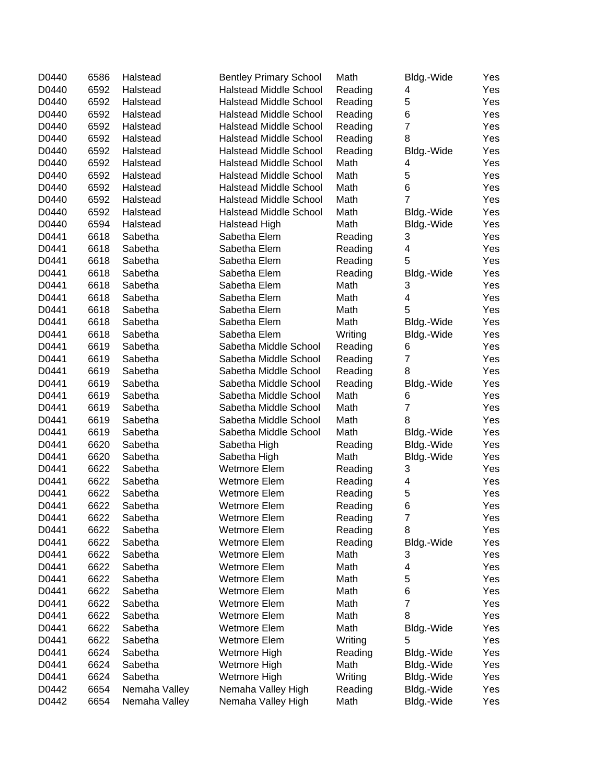| D0440 | 6586         | Halstead      | <b>Bentley Primary School</b> | Math    | Bldg.-Wide              | Yes |
|-------|--------------|---------------|-------------------------------|---------|-------------------------|-----|
| D0440 | 6592         | Halstead      | <b>Halstead Middle School</b> | Reading | 4                       | Yes |
| D0440 | 6592         | Halstead      | <b>Halstead Middle School</b> | Reading | 5                       | Yes |
| D0440 | 6592         | Halstead      | <b>Halstead Middle School</b> | Reading | 6                       | Yes |
| D0440 | 6592         | Halstead      | <b>Halstead Middle School</b> | Reading | $\overline{7}$          | Yes |
| D0440 | 6592         | Halstead      | <b>Halstead Middle School</b> | Reading | 8                       | Yes |
| D0440 | 6592         | Halstead      | <b>Halstead Middle School</b> | Reading | Bldg.-Wide              | Yes |
| D0440 | 6592         | Halstead      | <b>Halstead Middle School</b> | Math    | 4                       | Yes |
| D0440 | 6592         | Halstead      | <b>Halstead Middle School</b> | Math    | 5                       | Yes |
| D0440 | 6592         | Halstead      | <b>Halstead Middle School</b> | Math    | 6                       | Yes |
| D0440 | 6592         | Halstead      | <b>Halstead Middle School</b> | Math    | $\overline{7}$          | Yes |
| D0440 | 6592         | Halstead      | <b>Halstead Middle School</b> | Math    | Bldg.-Wide              | Yes |
| D0440 | 6594         | Halstead      | Halstead High                 | Math    | Bldg.-Wide              | Yes |
| D0441 | 6618         | Sabetha       | Sabetha Elem                  | Reading | 3                       | Yes |
| D0441 | 6618         | Sabetha       | Sabetha Elem                  | Reading | 4                       | Yes |
| D0441 | 6618         | Sabetha       | Sabetha Elem                  | Reading | 5                       | Yes |
| D0441 | 6618         | Sabetha       | Sabetha Elem                  | Reading | Bldg.-Wide              | Yes |
| D0441 | 6618         | Sabetha       | Sabetha Elem                  | Math    | 3                       | Yes |
| D0441 | 6618         | Sabetha       | Sabetha Elem                  | Math    | $\overline{\mathbf{4}}$ | Yes |
| D0441 | 6618         | Sabetha       | Sabetha Elem                  | Math    | 5                       | Yes |
| D0441 | 6618         | Sabetha       | Sabetha Elem                  | Math    | Bldg.-Wide              | Yes |
| D0441 | 6618         | Sabetha       | Sabetha Elem                  | Writing | Bldg.-Wide              | Yes |
| D0441 | 6619         | Sabetha       | Sabetha Middle School         | Reading | 6                       | Yes |
| D0441 | 6619         | Sabetha       | Sabetha Middle School         | Reading | 7                       | Yes |
| D0441 | 6619         | Sabetha       | Sabetha Middle School         | Reading | 8                       | Yes |
| D0441 | 6619         | Sabetha       | Sabetha Middle School         | Reading | Bldg.-Wide              | Yes |
| D0441 | 6619         | Sabetha       | Sabetha Middle School         | Math    | 6                       | Yes |
| D0441 | 6619         | Sabetha       | Sabetha Middle School         | Math    | 7                       | Yes |
| D0441 | 6619         | Sabetha       | Sabetha Middle School         | Math    | 8                       | Yes |
| D0441 | 6619         | Sabetha       | Sabetha Middle School         | Math    | Bldg.-Wide              | Yes |
| D0441 | 6620         | Sabetha       | Sabetha High                  | Reading | Bldg.-Wide              | Yes |
| D0441 | 6620         | Sabetha       | Sabetha High                  | Math    | Bldg.-Wide              | Yes |
| D0441 | 6622         | Sabetha       | Wetmore Elem                  | Reading | 3                       | Yes |
| D0441 | 6622         | Sabetha       | Wetmore Elem                  | Reading | 4                       | Yes |
| D0441 | 6622         | Sabetha       | Wetmore Elem                  | Reading | 5                       | Yes |
| D0441 | 6622         | Sabetha       | Wetmore Elem                  | Reading | 6                       | Yes |
| D0441 | 6622         | Sabetha       | Wetmore Elem                  | Reading | 7                       | Yes |
| D0441 | 6622         | Sabetha       | <b>Wetmore Elem</b>           | Reading | 8                       | Yes |
| D0441 | 6622         | Sabetha       | <b>Wetmore Elem</b>           | Reading | Bldg.-Wide              | Yes |
| D0441 | 6622         | Sabetha       | <b>Wetmore Elem</b>           | Math    | 3                       | Yes |
| D0441 | 6622         | Sabetha       | <b>Wetmore Elem</b>           | Math    | 4                       | Yes |
| D0441 | 6622         | Sabetha       | Wetmore Elem                  | Math    | 5                       | Yes |
| D0441 | 6622         | Sabetha       | <b>Wetmore Elem</b>           | Math    | 6                       | Yes |
| D0441 |              | Sabetha       | <b>Wetmore Elem</b>           | Math    | $\overline{7}$          | Yes |
| D0441 | 6622<br>6622 |               | <b>Wetmore Elem</b>           | Math    | 8                       |     |
|       |              | Sabetha       | <b>Wetmore Elem</b>           |         |                         | Yes |
| D0441 | 6622         | Sabetha       |                               | Math    | Bldg.-Wide              | Yes |
| D0441 | 6622         | Sabetha       | <b>Wetmore Elem</b>           | Writing | 5                       | Yes |
| D0441 | 6624         | Sabetha       | Wetmore High                  | Reading | Bldg.-Wide              | Yes |
| D0441 | 6624         | Sabetha       | Wetmore High                  | Math    | Bldg.-Wide              | Yes |
| D0441 | 6624         | Sabetha       | Wetmore High                  | Writing | Bldg.-Wide              | Yes |
| D0442 | 6654         | Nemaha Valley | Nemaha Valley High            | Reading | Bldg.-Wide              | Yes |
| D0442 | 6654         | Nemaha Valley | Nemaha Valley High            | Math    | Bldg.-Wide              | Yes |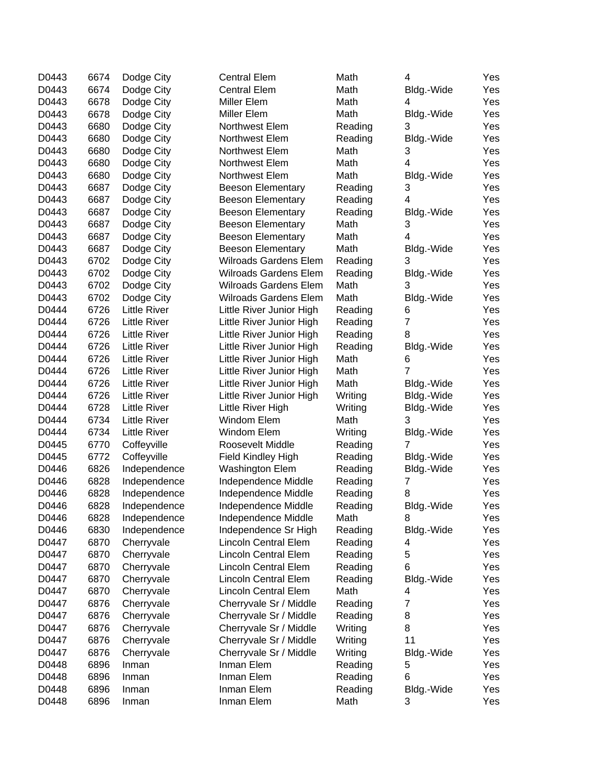| D0443 | 6674 | Dodge City          | <b>Central Elem</b>          | Math    | 4          | Yes |
|-------|------|---------------------|------------------------------|---------|------------|-----|
| D0443 | 6674 | Dodge City          | <b>Central Elem</b>          | Math    | Bldg.-Wide | Yes |
| D0443 | 6678 | Dodge City          | Miller Elem                  | Math    | 4          | Yes |
| D0443 | 6678 | Dodge City          | Miller Elem                  | Math    | Bldg.-Wide | Yes |
| D0443 | 6680 | Dodge City          | Northwest Elem               | Reading | 3          | Yes |
| D0443 | 6680 | Dodge City          | Northwest Elem               | Reading | Bldg.-Wide | Yes |
| D0443 | 6680 | Dodge City          | Northwest Elem               | Math    | 3          | Yes |
| D0443 | 6680 | Dodge City          | Northwest Elem               | Math    | 4          | Yes |
| D0443 | 6680 | Dodge City          | Northwest Elem               | Math    | Bldg.-Wide | Yes |
| D0443 | 6687 | Dodge City          | <b>Beeson Elementary</b>     | Reading | 3          | Yes |
| D0443 | 6687 | Dodge City          | <b>Beeson Elementary</b>     | Reading | 4          | Yes |
| D0443 | 6687 | Dodge City          | <b>Beeson Elementary</b>     | Reading | Bldg.-Wide | Yes |
| D0443 | 6687 | Dodge City          | <b>Beeson Elementary</b>     | Math    | 3          | Yes |
| D0443 | 6687 | Dodge City          | <b>Beeson Elementary</b>     | Math    | 4          | Yes |
| D0443 | 6687 | Dodge City          | <b>Beeson Elementary</b>     | Math    | Bldg.-Wide | Yes |
| D0443 | 6702 | Dodge City          | <b>Wilroads Gardens Elem</b> | Reading | 3          | Yes |
| D0443 | 6702 | Dodge City          | <b>Wilroads Gardens Elem</b> | Reading | Bldg.-Wide | Yes |
| D0443 | 6702 | Dodge City          | <b>Wilroads Gardens Elem</b> | Math    | 3          | Yes |
| D0443 | 6702 | Dodge City          | <b>Wilroads Gardens Elem</b> | Math    | Bldg.-Wide | Yes |
| D0444 | 6726 | <b>Little River</b> | Little River Junior High     | Reading | 6          | Yes |
| D0444 | 6726 | <b>Little River</b> | Little River Junior High     | Reading | 7          | Yes |
| D0444 | 6726 | <b>Little River</b> | Little River Junior High     | Reading | 8          | Yes |
| D0444 | 6726 | <b>Little River</b> | Little River Junior High     | Reading | Bldg.-Wide | Yes |
| D0444 | 6726 | <b>Little River</b> | Little River Junior High     | Math    | 6          | Yes |
| D0444 | 6726 | <b>Little River</b> | Little River Junior High     | Math    | 7          | Yes |
| D0444 | 6726 | <b>Little River</b> | Little River Junior High     | Math    | Bldg.-Wide | Yes |
| D0444 | 6726 | <b>Little River</b> | Little River Junior High     | Writing | Bldg.-Wide | Yes |
| D0444 | 6728 | <b>Little River</b> | Little River High            | Writing | Bldg.-Wide | Yes |
| D0444 | 6734 | <b>Little River</b> | Windom Elem                  | Math    | 3          | Yes |
| D0444 | 6734 | <b>Little River</b> | Windom Elem                  | Writing | Bldg.-Wide | Yes |
| D0445 | 6770 | Coffeyville         | Roosevelt Middle             | Reading | 7          | Yes |
| D0445 | 6772 | Coffeyville         | Field Kindley High           | Reading | Bldg.-Wide | Yes |
| D0446 | 6826 | Independence        | <b>Washington Elem</b>       | Reading | Bldg.-Wide | Yes |
| D0446 | 6828 | Independence        | Independence Middle          | Reading | 7          | Yes |
| D0446 | 6828 | Independence        | Independence Middle          | Reading | 8          | Yes |
| D0446 | 6828 | Independence        | Independence Middle          | Reading | Bldg.-Wide | Yes |
| D0446 | 6828 | Independence        | Independence Middle          | Math    | 8          | Yes |
| D0446 | 6830 | Independence        | Independence Sr High         | Reading | Bldg.-Wide | Yes |
| D0447 | 6870 | Cherryvale          | <b>Lincoln Central Elem</b>  | Reading | 4          | Yes |
| D0447 | 6870 | Cherryvale          | Lincoln Central Elem         | Reading | 5          | Yes |
| D0447 | 6870 | Cherryvale          | Lincoln Central Elem         | Reading | 6          | Yes |
| D0447 | 6870 | Cherryvale          | Lincoln Central Elem         | Reading | Bldg.-Wide | Yes |
| D0447 | 6870 | Cherryvale          | Lincoln Central Elem         | Math    | 4          | Yes |
| D0447 | 6876 | Cherryvale          | Cherryvale Sr / Middle       | Reading | 7          | Yes |
| D0447 | 6876 | Cherryvale          | Cherryvale Sr / Middle       | Reading | 8          | Yes |
| D0447 | 6876 | Cherryvale          | Cherryvale Sr / Middle       | Writing | 8          | Yes |
| D0447 | 6876 | Cherryvale          | Cherryvale Sr / Middle       | Writing | 11         | Yes |
| D0447 | 6876 | Cherryvale          | Cherryvale Sr / Middle       | Writing | Bldg.-Wide | Yes |
| D0448 | 6896 | Inman               | Inman Elem                   | Reading | 5          | Yes |
| D0448 | 6896 | Inman               | Inman Elem                   | Reading | 6          | Yes |
| D0448 | 6896 | Inman               | Inman Elem                   | Reading | Bldg.-Wide | Yes |
| D0448 | 6896 | Inman               | Inman Elem                   | Math    | 3          | Yes |
|       |      |                     |                              |         |            |     |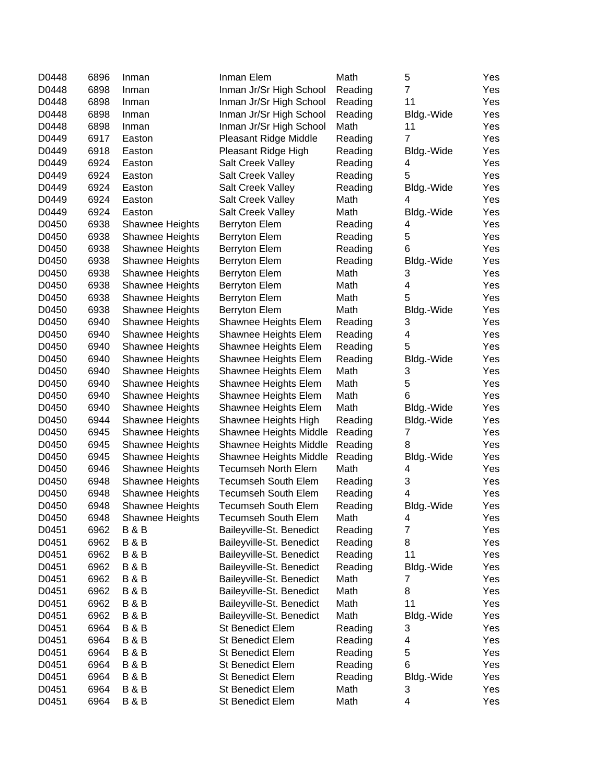| D0448 | 6896 | Inman                  | Inman Elem                 | Math    | 5              | Yes |
|-------|------|------------------------|----------------------------|---------|----------------|-----|
| D0448 | 6898 | Inman                  | Inman Jr/Sr High School    | Reading | $\overline{7}$ | Yes |
| D0448 | 6898 | Inman                  | Inman Jr/Sr High School    | Reading | 11             | Yes |
| D0448 | 6898 | Inman                  | Inman Jr/Sr High School    | Reading | Bldg.-Wide     | Yes |
| D0448 | 6898 | Inman                  | Inman Jr/Sr High School    | Math    | 11             | Yes |
| D0449 | 6917 | Easton                 | Pleasant Ridge Middle      | Reading | 7              | Yes |
| D0449 | 6918 | Easton                 | Pleasant Ridge High        | Reading | Bldg.-Wide     | Yes |
| D0449 | 6924 | Easton                 | Salt Creek Valley          | Reading | 4              | Yes |
| D0449 | 6924 | Easton                 | Salt Creek Valley          | Reading | 5              | Yes |
| D0449 | 6924 | Easton                 | Salt Creek Valley          | Reading | Bldg.-Wide     | Yes |
| D0449 | 6924 | Easton                 | Salt Creek Valley          | Math    | 4              | Yes |
| D0449 | 6924 | Easton                 | Salt Creek Valley          | Math    | Bldg.-Wide     | Yes |
| D0450 | 6938 | <b>Shawnee Heights</b> | Berryton Elem              | Reading | 4              | Yes |
| D0450 | 6938 | Shawnee Heights        | Berryton Elem              | Reading | 5              | Yes |
| D0450 | 6938 | Shawnee Heights        | Berryton Elem              | Reading | 6              | Yes |
| D0450 | 6938 | Shawnee Heights        | Berryton Elem              | Reading | Bldg.-Wide     | Yes |
| D0450 | 6938 | Shawnee Heights        | Berryton Elem              | Math    | 3              | Yes |
| D0450 | 6938 | Shawnee Heights        | Berryton Elem              | Math    | 4              | Yes |
| D0450 | 6938 | Shawnee Heights        | Berryton Elem              | Math    | 5              | Yes |
| D0450 | 6938 | Shawnee Heights        | Berryton Elem              | Math    | Bldg.-Wide     | Yes |
| D0450 | 6940 | Shawnee Heights        | Shawnee Heights Elem       | Reading | 3              | Yes |
| D0450 | 6940 | Shawnee Heights        | Shawnee Heights Elem       | Reading | 4              | Yes |
| D0450 | 6940 | Shawnee Heights        | Shawnee Heights Elem       | Reading | 5              | Yes |
| D0450 | 6940 | Shawnee Heights        | Shawnee Heights Elem       | Reading | Bldg.-Wide     | Yes |
| D0450 | 6940 | Shawnee Heights        | Shawnee Heights Elem       | Math    | 3              | Yes |
| D0450 | 6940 | Shawnee Heights        | Shawnee Heights Elem       | Math    | 5              | Yes |
| D0450 | 6940 | Shawnee Heights        | Shawnee Heights Elem       | Math    | 6              | Yes |
| D0450 | 6940 | Shawnee Heights        | Shawnee Heights Elem       | Math    | Bldg.-Wide     | Yes |
| D0450 | 6944 | Shawnee Heights        | Shawnee Heights High       | Reading | Bldg.-Wide     | Yes |
| D0450 | 6945 | Shawnee Heights        | Shawnee Heights Middle     | Reading | 7              | Yes |
| D0450 | 6945 | Shawnee Heights        | Shawnee Heights Middle     | Reading | 8              | Yes |
| D0450 | 6945 | Shawnee Heights        | Shawnee Heights Middle     | Reading | Bldg.-Wide     | Yes |
| D0450 | 6946 | Shawnee Heights        | <b>Tecumseh North Elem</b> | Math    | 4              | Yes |
| D0450 | 6948 | Shawnee Heights        | <b>Tecumseh South Elem</b> | Reading | 3              | Yes |
| D0450 | 6948 | Shawnee Heights        | <b>Tecumseh South Elem</b> | Reading | 4              | Yes |
| D0450 | 6948 | Shawnee Heights        | <b>Tecumseh South Elem</b> | Reading | Bldg.-Wide     | Yes |
| D0450 | 6948 | Shawnee Heights        | Tecumseh South Elem        | Math    | 4              | Yes |
| D0451 | 6962 | <b>B&amp;B</b>         | Baileyville-St. Benedict   | Reading | $\overline{7}$ | Yes |
| D0451 | 6962 | <b>B&amp;B</b>         | Baileyville-St. Benedict   | Reading | 8              | Yes |
| D0451 | 6962 | <b>B&amp;B</b>         | Baileyville-St. Benedict   | Reading | 11             | Yes |
| D0451 | 6962 | <b>B&amp;B</b>         | Baileyville-St. Benedict   | Reading | Bldg.-Wide     | Yes |
| D0451 | 6962 | <b>B&amp;B</b>         | Baileyville-St. Benedict   | Math    | 7              | Yes |
| D0451 | 6962 | <b>B&amp;B</b>         | Baileyville-St. Benedict   | Math    | 8              | Yes |
| D0451 | 6962 | <b>B&amp;B</b>         | Baileyville-St. Benedict   | Math    | 11             | Yes |
| D0451 | 6962 | <b>B&amp;B</b>         | Baileyville-St. Benedict   | Math    | Bldg.-Wide     | Yes |
| D0451 | 6964 | <b>B&amp;B</b>         | <b>St Benedict Elem</b>    | Reading | 3              | Yes |
| D0451 | 6964 | <b>B&amp;B</b>         | St Benedict Elem           | Reading | 4              | Yes |
| D0451 | 6964 | <b>B&amp;B</b>         | St Benedict Elem           | Reading | 5              | Yes |
| D0451 | 6964 | <b>B&amp;B</b>         | St Benedict Elem           | Reading | 6              | Yes |
| D0451 | 6964 | <b>B&amp;B</b>         | St Benedict Elem           | Reading | Bldg.-Wide     | Yes |
| D0451 | 6964 | B & B                  | St Benedict Elem           | Math    | 3              | Yes |
| D0451 | 6964 | <b>B&amp;B</b>         | St Benedict Elem           | Math    | 4              | Yes |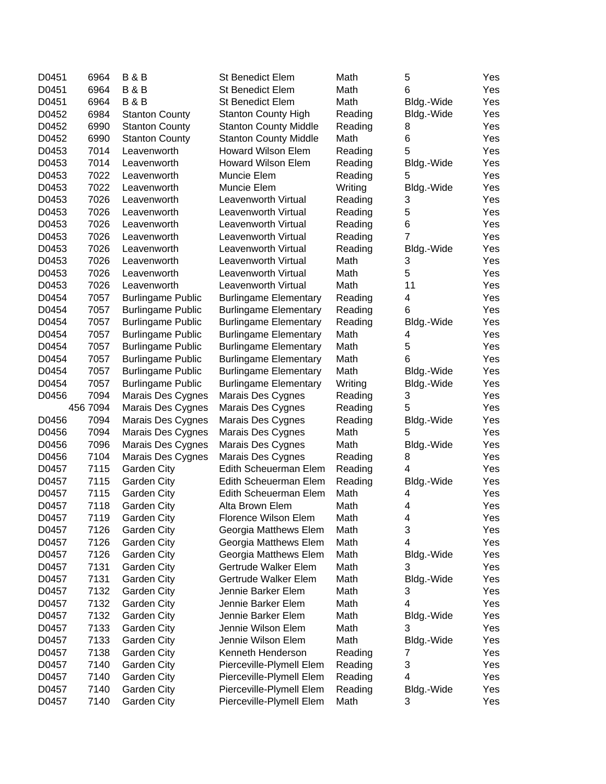| D0451 | 6964     | <b>B&amp;B</b>           | <b>St Benedict Elem</b>      | Math    | 5              | Yes |
|-------|----------|--------------------------|------------------------------|---------|----------------|-----|
| D0451 | 6964     | <b>B&amp;B</b>           | <b>St Benedict Elem</b>      | Math    | 6              | Yes |
| D0451 | 6964     | <b>B&amp;B</b>           | St Benedict Elem             | Math    | Bldg.-Wide     | Yes |
| D0452 | 6984     | <b>Stanton County</b>    | <b>Stanton County High</b>   | Reading | Bldg.-Wide     | Yes |
| D0452 | 6990     | <b>Stanton County</b>    | <b>Stanton County Middle</b> | Reading | 8              | Yes |
| D0452 | 6990     | <b>Stanton County</b>    | <b>Stanton County Middle</b> | Math    | 6              | Yes |
| D0453 | 7014     | Leavenworth              | <b>Howard Wilson Elem</b>    | Reading | 5              | Yes |
| D0453 | 7014     | Leavenworth              | <b>Howard Wilson Elem</b>    | Reading | Bldg.-Wide     | Yes |
| D0453 | 7022     | Leavenworth              | Muncie Elem                  | Reading | 5              | Yes |
| D0453 | 7022     | Leavenworth              | Muncie Elem                  | Writing | Bldg.-Wide     | Yes |
| D0453 | 7026     | Leavenworth              | Leavenworth Virtual          | Reading | 3              | Yes |
| D0453 | 7026     | Leavenworth              | Leavenworth Virtual          | Reading | 5              | Yes |
| D0453 | 7026     | Leavenworth              | Leavenworth Virtual          | Reading | 6              | Yes |
| D0453 | 7026     | Leavenworth              | Leavenworth Virtual          | Reading | $\overline{7}$ | Yes |
| D0453 | 7026     | Leavenworth              | Leavenworth Virtual          | Reading | Bldg.-Wide     | Yes |
| D0453 | 7026     | Leavenworth              | Leavenworth Virtual          | Math    | 3              | Yes |
| D0453 | 7026     | Leavenworth              | Leavenworth Virtual          | Math    | 5              | Yes |
| D0453 | 7026     | Leavenworth              | Leavenworth Virtual          | Math    | 11             | Yes |
| D0454 | 7057     | <b>Burlingame Public</b> | <b>Burlingame Elementary</b> | Reading | 4              | Yes |
| D0454 | 7057     | <b>Burlingame Public</b> | <b>Burlingame Elementary</b> | Reading | 6              | Yes |
| D0454 | 7057     | <b>Burlingame Public</b> | <b>Burlingame Elementary</b> | Reading | Bldg.-Wide     | Yes |
| D0454 | 7057     | <b>Burlingame Public</b> | <b>Burlingame Elementary</b> | Math    | 4              | Yes |
| D0454 | 7057     | <b>Burlingame Public</b> | <b>Burlingame Elementary</b> | Math    | 5              | Yes |
| D0454 | 7057     | <b>Burlingame Public</b> | <b>Burlingame Elementary</b> | Math    | 6              | Yes |
| D0454 | 7057     | <b>Burlingame Public</b> | <b>Burlingame Elementary</b> | Math    | Bldg.-Wide     | Yes |
| D0454 | 7057     | <b>Burlingame Public</b> | <b>Burlingame Elementary</b> | Writing | Bldg.-Wide     | Yes |
| D0456 | 7094     | Marais Des Cygnes        | Marais Des Cygnes            | Reading | 3              | Yes |
|       | 456 7094 | Marais Des Cygnes        | Marais Des Cygnes            | Reading | 5              | Yes |
| D0456 | 7094     | Marais Des Cygnes        | Marais Des Cygnes            | Reading | Bldg.-Wide     | Yes |
| D0456 | 7094     | Marais Des Cygnes        | Marais Des Cygnes            | Math    | 5              | Yes |
| D0456 | 7096     | Marais Des Cygnes        | Marais Des Cygnes            | Math    | Bldg.-Wide     | Yes |
| D0456 | 7104     | <b>Marais Des Cygnes</b> | Marais Des Cygnes            | Reading | 8              | Yes |
| D0457 | 7115     | Garden City              | Edith Scheuerman Elem        | Reading | 4              | Yes |
| D0457 | 7115     | <b>Garden City</b>       | Edith Scheuerman Elem        | Reading | Bldg.-Wide     | Yes |
| D0457 | 7115     | Garden City              | Edith Scheuerman Elem        | Math    | 4              | Yes |
| D0457 | 7118     | Garden City              | Alta Brown Elem              | Math    | 4              | Yes |
| D0457 | 7119     | Garden City              | Florence Wilson Elem         | Math    | 4              | Yes |
| D0457 | 7126     | <b>Garden City</b>       | Georgia Matthews Elem        | Math    | 3              | Yes |
| D0457 | 7126     | Garden City              | Georgia Matthews Elem        | Math    | 4              | Yes |
| D0457 | 7126     | Garden City              | Georgia Matthews Elem        | Math    | Bldg.-Wide     | Yes |
| D0457 | 7131     | Garden City              | Gertrude Walker Elem         | Math    | 3              | Yes |
| D0457 | 7131     | Garden City              | Gertrude Walker Elem         | Math    | Bldg.-Wide     | Yes |
| D0457 | 7132     | Garden City              | Jennie Barker Elem           | Math    | 3              | Yes |
| D0457 | 7132     | Garden City              | Jennie Barker Elem           | Math    | 4              | Yes |
| D0457 | 7132     | Garden City              | Jennie Barker Elem           | Math    | Bldg.-Wide     | Yes |
| D0457 | 7133     | Garden City              | Jennie Wilson Elem           | Math    | 3              | Yes |
| D0457 | 7133     | Garden City              | Jennie Wilson Elem           | Math    | Bldg.-Wide     | Yes |
| D0457 | 7138     | Garden City              | Kenneth Henderson            | Reading | 7              | Yes |
| D0457 | 7140     | Garden City              | Pierceville-Plymell Elem     | Reading | 3              | Yes |
| D0457 | 7140     | Garden City              | Pierceville-Plymell Elem     | Reading | 4              | Yes |
| D0457 | 7140     | Garden City              | Pierceville-Plymell Elem     | Reading | Bldg.-Wide     | Yes |
| D0457 | 7140     | <b>Garden City</b>       | Pierceville-Plymell Elem     | Math    | 3              | Yes |
|       |          |                          |                              |         |                |     |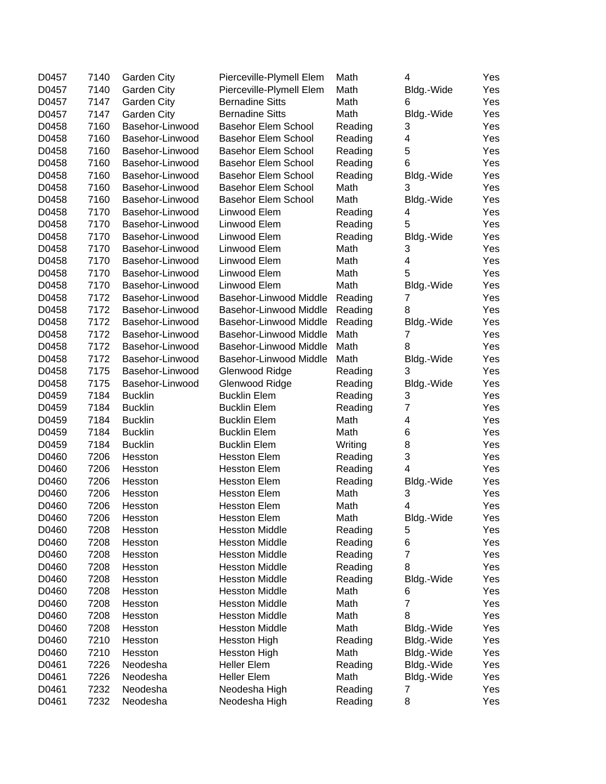| D0457 | 7140 | <b>Garden City</b> | Pierceville-Plymell Elem   | Math    | 4              | Yes |
|-------|------|--------------------|----------------------------|---------|----------------|-----|
| D0457 | 7140 | Garden City        | Pierceville-Plymell Elem   | Math    | Bldg.-Wide     | Yes |
| D0457 | 7147 | Garden City        | <b>Bernadine Sitts</b>     | Math    | 6              | Yes |
| D0457 | 7147 | Garden City        | <b>Bernadine Sitts</b>     | Math    | Bldg.-Wide     | Yes |
| D0458 | 7160 | Basehor-Linwood    | <b>Basehor Elem School</b> | Reading | 3              | Yes |
| D0458 | 7160 | Basehor-Linwood    | <b>Basehor Elem School</b> | Reading | 4              | Yes |
| D0458 | 7160 | Basehor-Linwood    | <b>Basehor Elem School</b> | Reading | 5              | Yes |
| D0458 | 7160 | Basehor-Linwood    | <b>Basehor Elem School</b> | Reading | 6              | Yes |
| D0458 | 7160 | Basehor-Linwood    | <b>Basehor Elem School</b> | Reading | Bldg.-Wide     | Yes |
| D0458 | 7160 | Basehor-Linwood    | <b>Basehor Elem School</b> | Math    | 3              | Yes |
| D0458 | 7160 | Basehor-Linwood    | <b>Basehor Elem School</b> | Math    | Bldg.-Wide     | Yes |
| D0458 | 7170 | Basehor-Linwood    | Linwood Elem               | Reading | 4              | Yes |
| D0458 | 7170 | Basehor-Linwood    | Linwood Elem               | Reading | 5              | Yes |
| D0458 | 7170 | Basehor-Linwood    | Linwood Elem               | Reading | Bldg.-Wide     | Yes |
| D0458 | 7170 | Basehor-Linwood    | Linwood Elem               | Math    | 3              | Yes |
| D0458 | 7170 | Basehor-Linwood    | Linwood Elem               | Math    | 4              | Yes |
| D0458 | 7170 | Basehor-Linwood    | Linwood Elem               | Math    | 5              | Yes |
| D0458 | 7170 | Basehor-Linwood    | Linwood Elem               | Math    | Bldg.-Wide     | Yes |
| D0458 | 7172 | Basehor-Linwood    | Basehor-Linwood Middle     | Reading | 7              | Yes |
| D0458 | 7172 | Basehor-Linwood    | Basehor-Linwood Middle     | Reading | 8              | Yes |
| D0458 | 7172 | Basehor-Linwood    | Basehor-Linwood Middle     | Reading | Bldg.-Wide     | Yes |
| D0458 | 7172 | Basehor-Linwood    | Basehor-Linwood Middle     | Math    | 7              | Yes |
| D0458 | 7172 | Basehor-Linwood    | Basehor-Linwood Middle     | Math    | 8              | Yes |
| D0458 | 7172 | Basehor-Linwood    | Basehor-Linwood Middle     | Math    | Bldg.-Wide     | Yes |
| D0458 | 7175 | Basehor-Linwood    | Glenwood Ridge             | Reading | 3              | Yes |
| D0458 | 7175 | Basehor-Linwood    | Glenwood Ridge             | Reading | Bldg.-Wide     | Yes |
| D0459 | 7184 | <b>Bucklin</b>     | <b>Bucklin Elem</b>        | Reading | 3              | Yes |
| D0459 | 7184 |                    |                            |         | $\overline{7}$ |     |
|       | 7184 | <b>Bucklin</b>     | <b>Bucklin Elem</b>        | Reading |                | Yes |
| D0459 | 7184 | <b>Bucklin</b>     | <b>Bucklin Elem</b>        | Math    | 4              | Yes |
| D0459 |      | <b>Bucklin</b>     | <b>Bucklin Elem</b>        | Math    | 6              | Yes |
| D0459 | 7184 | <b>Bucklin</b>     | <b>Bucklin Elem</b>        | Writing | 8              | Yes |
| D0460 | 7206 | Hesston            | <b>Hesston Elem</b>        | Reading | 3              | Yes |
| D0460 | 7206 | Hesston            | <b>Hesston Elem</b>        | Reading | 4              | Yes |
| D0460 | 7206 | Hesston            | <b>Hesston Elem</b>        | Reading | Bldg.-Wide     | Yes |
| D0460 | 7206 | Hesston            | <b>Hesston Elem</b>        | Math    | 3              | Yes |
| D0460 | 7206 | Hesston            | <b>Hesston Elem</b>        | Math    | 4              | Yes |
| D0460 | 7206 | Hesston            | <b>Hesston Elem</b>        | Math    | Bldg.-Wide     | Yes |
| D0460 | 7208 | Hesston            | <b>Hesston Middle</b>      | Reading | 5              | Yes |
| D0460 | 7208 | Hesston            | <b>Hesston Middle</b>      | Reading | 6              | Yes |
| D0460 | 7208 | Hesston            | <b>Hesston Middle</b>      | Reading | $\overline{7}$ | Yes |
| D0460 | 7208 | Hesston            | <b>Hesston Middle</b>      | Reading | 8              | Yes |
| D0460 | 7208 | Hesston            | <b>Hesston Middle</b>      | Reading | Bldg.-Wide     | Yes |
| D0460 | 7208 | Hesston            | <b>Hesston Middle</b>      | Math    | 6              | Yes |
| D0460 | 7208 | Hesston            | <b>Hesston Middle</b>      | Math    | $\overline{7}$ | Yes |
| D0460 | 7208 | Hesston            | <b>Hesston Middle</b>      | Math    | 8              | Yes |
| D0460 | 7208 | Hesston            | <b>Hesston Middle</b>      | Math    | Bldg.-Wide     | Yes |
| D0460 | 7210 | Hesston            | <b>Hesston High</b>        | Reading | Bldg.-Wide     | Yes |
| D0460 | 7210 | Hesston            | <b>Hesston High</b>        | Math    | Bldg.-Wide     | Yes |
| D0461 | 7226 | Neodesha           | <b>Heller Elem</b>         | Reading | Bldg.-Wide     | Yes |
| D0461 | 7226 | Neodesha           | <b>Heller Elem</b>         | Math    | Bldg.-Wide     | Yes |
| D0461 | 7232 | Neodesha           | Neodesha High              | Reading | 7              | Yes |
| D0461 | 7232 | Neodesha           | Neodesha High              | Reading | 8              | Yes |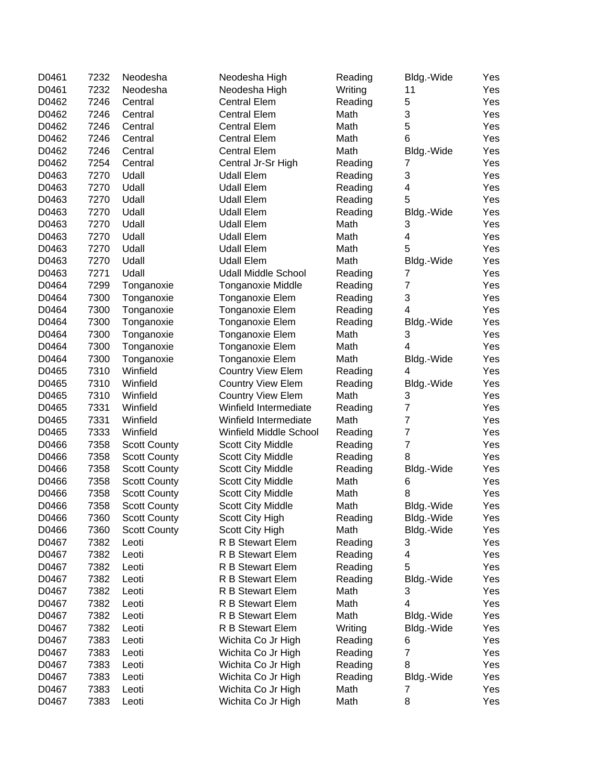| D0461 | 7232 | Neodesha            | Neodesha High              | Reading | Bldg.-Wide     | Yes |
|-------|------|---------------------|----------------------------|---------|----------------|-----|
| D0461 | 7232 | Neodesha            | Neodesha High              | Writing | 11             | Yes |
| D0462 | 7246 | Central             | <b>Central Elem</b>        | Reading | 5              | Yes |
| D0462 | 7246 | Central             | <b>Central Elem</b>        | Math    | 3              | Yes |
| D0462 | 7246 | Central             | <b>Central Elem</b>        | Math    | 5              | Yes |
| D0462 | 7246 | Central             | <b>Central Elem</b>        | Math    | 6              | Yes |
| D0462 | 7246 | Central             | <b>Central Elem</b>        | Math    | Bldg.-Wide     | Yes |
| D0462 | 7254 | Central             | Central Jr-Sr High         | Reading | 7              | Yes |
| D0463 | 7270 | Udall               | <b>Udall Elem</b>          | Reading | 3              | Yes |
| D0463 | 7270 | Udall               | <b>Udall Elem</b>          | Reading | 4              | Yes |
| D0463 | 7270 | Udall               | <b>Udall Elem</b>          | Reading | 5              | Yes |
| D0463 | 7270 | Udall               | <b>Udall Elem</b>          | Reading | Bldg.-Wide     | Yes |
| D0463 | 7270 | Udall               | <b>Udall Elem</b>          | Math    | 3              | Yes |
| D0463 | 7270 | Udall               | <b>Udall Elem</b>          | Math    | 4              | Yes |
| D0463 | 7270 | Udall               | <b>Udall Elem</b>          | Math    | 5              | Yes |
| D0463 | 7270 | Udall               | <b>Udall Elem</b>          | Math    | Bldg.-Wide     | Yes |
| D0463 | 7271 | Udall               | <b>Udall Middle School</b> | Reading | 7              | Yes |
| D0464 | 7299 | Tonganoxie          | <b>Tonganoxie Middle</b>   | Reading | $\overline{7}$ | Yes |
| D0464 | 7300 | Tonganoxie          | Tonganoxie Elem            | Reading | 3              | Yes |
| D0464 | 7300 | Tonganoxie          | Tonganoxie Elem            | Reading | 4              | Yes |
| D0464 | 7300 | Tonganoxie          | Tonganoxie Elem            | Reading | Bldg.-Wide     | Yes |
| D0464 | 7300 | Tonganoxie          | Tonganoxie Elem            | Math    | 3              | Yes |
| D0464 | 7300 | Tonganoxie          | Tonganoxie Elem            | Math    | 4              | Yes |
| D0464 | 7300 | Tonganoxie          | Tonganoxie Elem            | Math    | Bldg.-Wide     | Yes |
| D0465 | 7310 | Winfield            | <b>Country View Elem</b>   | Reading | 4              | Yes |
| D0465 | 7310 | Winfield            | <b>Country View Elem</b>   | Reading | Bldg.-Wide     | Yes |
| D0465 | 7310 | Winfield            | <b>Country View Elem</b>   | Math    | 3              | Yes |
| D0465 | 7331 | Winfield            | Winfield Intermediate      | Reading | $\overline{7}$ | Yes |
| D0465 | 7331 | Winfield            | Winfield Intermediate      | Math    | $\overline{7}$ | Yes |
| D0465 | 7333 | Winfield            | Winfield Middle School     | Reading | $\overline{7}$ | Yes |
| D0466 | 7358 | <b>Scott County</b> | <b>Scott City Middle</b>   | Reading | $\overline{7}$ | Yes |
| D0466 | 7358 | <b>Scott County</b> | <b>Scott City Middle</b>   | Reading | 8              | Yes |
| D0466 | 7358 | <b>Scott County</b> | <b>Scott City Middle</b>   | Reading | Bldg.-Wide     | Yes |
| D0466 | 7358 | <b>Scott County</b> | <b>Scott City Middle</b>   | Math    | 6              | Yes |
| D0466 | 7358 | <b>Scott County</b> | <b>Scott City Middle</b>   | Math    | 8              | Yes |
| D0466 | 7358 | <b>Scott County</b> | <b>Scott City Middle</b>   | Math    | Bldg.-Wide     | Yes |
| D0466 | 7360 | <b>Scott County</b> | Scott City High            | Reading | Bldg.-Wide     | Yes |
| D0466 | 7360 | <b>Scott County</b> | Scott City High            | Math    | Bldg.-Wide     | Yes |
| D0467 | 7382 | Leoti               | R B Stewart Elem           | Reading | 3              | Yes |
| D0467 | 7382 | Leoti               | <b>R B Stewart Elem</b>    | Reading | 4              | Yes |
| D0467 | 7382 | Leoti               | R B Stewart Elem           | Reading | 5              | Yes |
| D0467 | 7382 | Leoti               | R B Stewart Elem           | Reading | Bldg.-Wide     | Yes |
| D0467 | 7382 | Leoti               | R B Stewart Elem           | Math    | 3              | Yes |
| D0467 | 7382 | Leoti               | R B Stewart Elem           | Math    | 4              | Yes |
| D0467 | 7382 | Leoti               | R B Stewart Elem           | Math    | Bldg.-Wide     | Yes |
| D0467 | 7382 | Leoti               | R B Stewart Elem           | Writing | Bldg.-Wide     | Yes |
| D0467 | 7383 | Leoti               | Wichita Co Jr High         | Reading | 6              | Yes |
| D0467 | 7383 | Leoti               | Wichita Co Jr High         | Reading | $\overline{7}$ | Yes |
| D0467 | 7383 | Leoti               | Wichita Co Jr High         | Reading | 8              | Yes |
| D0467 | 7383 | Leoti               | Wichita Co Jr High         | Reading | Bldg.-Wide     | Yes |
| D0467 | 7383 | Leoti               | Wichita Co Jr High         | Math    | 7              | Yes |
| D0467 | 7383 | Leoti               | Wichita Co Jr High         | Math    | 8              | Yes |
|       |      |                     |                            |         |                |     |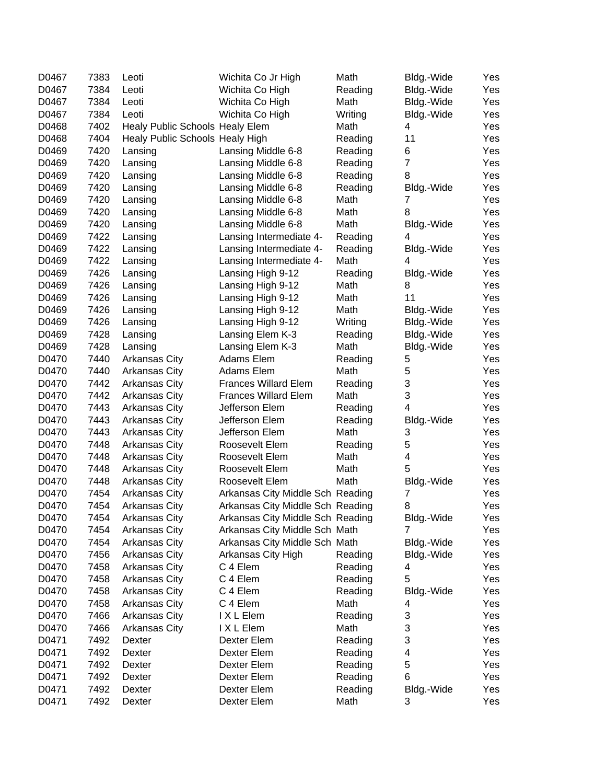| D0467 | 7383 | Leoti                           | Wichita Co Jr High               | Math    | Bldg.-Wide                | Yes |
|-------|------|---------------------------------|----------------------------------|---------|---------------------------|-----|
| D0467 | 7384 | Leoti                           | Wichita Co High                  | Reading | Bldg.-Wide                | Yes |
| D0467 | 7384 | Leoti                           | Wichita Co High                  | Math    | Bldg.-Wide                | Yes |
| D0467 | 7384 | Leoti                           | Wichita Co High                  | Writing | Bldg.-Wide                | Yes |
| D0468 | 7402 | Healy Public Schools Healy Elem |                                  | Math    | 4                         | Yes |
| D0468 | 7404 | Healy Public Schools Healy High |                                  | Reading | 11                        | Yes |
| D0469 | 7420 | Lansing                         | Lansing Middle 6-8               | Reading | 6                         | Yes |
| D0469 | 7420 | Lansing                         | Lansing Middle 6-8               | Reading | $\overline{7}$            | Yes |
| D0469 | 7420 | Lansing                         | Lansing Middle 6-8               | Reading | 8                         | Yes |
| D0469 | 7420 | Lansing                         | Lansing Middle 6-8               | Reading | Bldg.-Wide                | Yes |
| D0469 | 7420 | Lansing                         | Lansing Middle 6-8               | Math    | 7                         | Yes |
| D0469 | 7420 | Lansing                         | Lansing Middle 6-8               | Math    | 8                         | Yes |
| D0469 | 7420 | Lansing                         | Lansing Middle 6-8               | Math    | Bldg.-Wide                | Yes |
| D0469 | 7422 | Lansing                         | Lansing Intermediate 4-          | Reading | 4                         | Yes |
| D0469 | 7422 | Lansing                         | Lansing Intermediate 4-          | Reading | Bldg.-Wide                | Yes |
| D0469 | 7422 | Lansing                         | Lansing Intermediate 4-          | Math    | 4                         | Yes |
| D0469 | 7426 | Lansing                         | Lansing High 9-12                | Reading | Bldg.-Wide                | Yes |
| D0469 | 7426 | Lansing                         | Lansing High 9-12                | Math    | 8                         | Yes |
| D0469 | 7426 | Lansing                         | Lansing High 9-12                | Math    | 11                        | Yes |
| D0469 | 7426 | Lansing                         | Lansing High 9-12                | Math    | Bldg.-Wide                | Yes |
| D0469 | 7426 | Lansing                         | Lansing High 9-12                | Writing | Bldg.-Wide                | Yes |
| D0469 | 7428 | Lansing                         | Lansing Elem K-3                 | Reading | Bldg.-Wide                | Yes |
| D0469 | 7428 | Lansing                         | Lansing Elem K-3                 | Math    | Bldg.-Wide                | Yes |
| D0470 | 7440 | <b>Arkansas City</b>            | Adams Elem                       | Reading | 5                         | Yes |
| D0470 | 7440 | <b>Arkansas City</b>            | Adams Elem                       | Math    | 5                         | Yes |
| D0470 | 7442 | <b>Arkansas City</b>            | <b>Frances Willard Elem</b>      | Reading | 3                         | Yes |
| D0470 | 7442 | Arkansas City                   | <b>Frances Willard Elem</b>      | Math    | 3                         | Yes |
| D0470 | 7443 | Arkansas City                   | Jefferson Elem                   | Reading | 4                         | Yes |
| D0470 | 7443 | Arkansas City                   | Jefferson Elem                   | Reading | Bldg.-Wide                | Yes |
| D0470 | 7443 | Arkansas City                   | Jefferson Elem                   | Math    | 3                         | Yes |
| D0470 | 7448 | Arkansas City                   | Roosevelt Elem                   | Reading | 5                         | Yes |
| D0470 | 7448 | Arkansas City                   | Roosevelt Elem                   | Math    | 4                         | Yes |
| D0470 | 7448 | Arkansas City                   | Roosevelt Elem                   | Math    | 5                         | Yes |
| D0470 | 7448 | <b>Arkansas City</b>            | Roosevelt Elem                   | Math    | Bldg.-Wide                | Yes |
| D0470 | 7454 | <b>Arkansas City</b>            | Arkansas City Middle Sch Reading |         | 7                         | Yes |
| D0470 | 7454 | <b>Arkansas City</b>            | Arkansas City Middle Sch Reading |         | 8                         | Yes |
| D0470 | 7454 | <b>Arkansas City</b>            | Arkansas City Middle Sch Reading |         | Bldg.-Wide                | Yes |
| D0470 | 7454 | <b>Arkansas City</b>            | Arkansas City Middle Sch Math    |         | 7                         | Yes |
| D0470 | 7454 | <b>Arkansas City</b>            | Arkansas City Middle Sch Math    |         | Bldg.-Wide                | Yes |
| D0470 | 7456 | <b>Arkansas City</b>            | Arkansas City High               | Reading | Bldg.-Wide                | Yes |
| D0470 | 7458 | Arkansas City                   | C 4 Elem                         | Reading | 4                         | Yes |
| D0470 | 7458 | Arkansas City                   | C 4 Elem                         | Reading | 5                         | Yes |
| D0470 | 7458 | Arkansas City                   | C 4 Elem                         | Reading | Bldg.-Wide                | Yes |
| D0470 | 7458 | Arkansas City                   | C 4 Elem                         | Math    | 4                         | Yes |
| D0470 | 7466 | <b>Arkansas City</b>            | I X L Elem                       | Reading | 3                         | Yes |
| D0470 | 7466 | Arkansas City                   | I X L Elem                       | Math    | $\ensuremath{\mathsf{3}}$ | Yes |
| D0471 | 7492 | Dexter                          | Dexter Elem                      | Reading | 3                         | Yes |
| D0471 | 7492 | Dexter                          | Dexter Elem                      | Reading | 4                         | Yes |
| D0471 | 7492 | Dexter                          | Dexter Elem                      | Reading | $\mathbf 5$               | Yes |
| D0471 | 7492 | Dexter                          | Dexter Elem                      | Reading | 6                         | Yes |
| D0471 | 7492 | Dexter                          | Dexter Elem                      | Reading | Bldg.-Wide                | Yes |
| D0471 | 7492 | Dexter                          | Dexter Elem                      | Math    | 3                         | Yes |
|       |      |                                 |                                  |         |                           |     |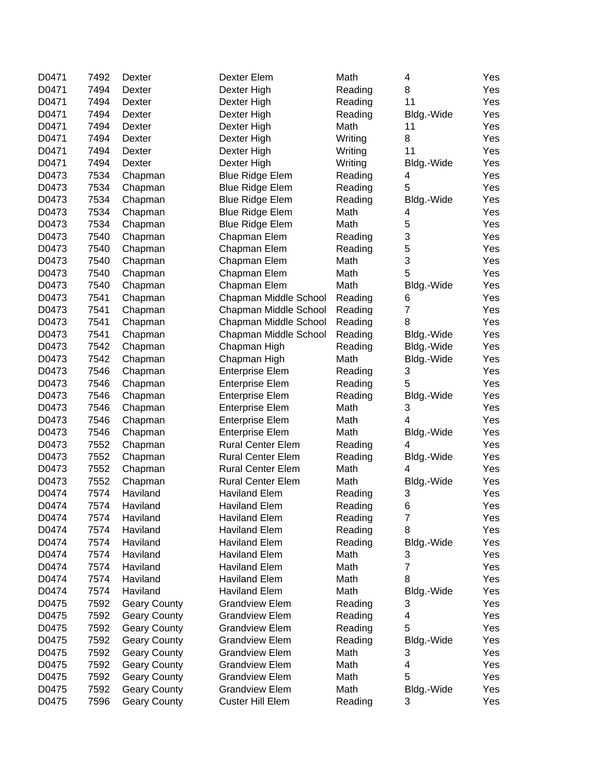| D0471 | 7492 | Dexter              | Dexter Elem              | Math    | 4                         | Yes |
|-------|------|---------------------|--------------------------|---------|---------------------------|-----|
| D0471 | 7494 | Dexter              | Dexter High              | Reading | 8                         | Yes |
| D0471 | 7494 | Dexter              | Dexter High              | Reading | 11                        | Yes |
| D0471 | 7494 | Dexter              | Dexter High              | Reading | Bldg.-Wide                | Yes |
| D0471 | 7494 | Dexter              | Dexter High              | Math    | 11                        | Yes |
| D0471 | 7494 | Dexter              | Dexter High              | Writing | 8                         | Yes |
| D0471 | 7494 | Dexter              | Dexter High              | Writing | 11                        | Yes |
| D0471 | 7494 | Dexter              | Dexter High              | Writing | Bldg.-Wide                | Yes |
| D0473 | 7534 | Chapman             | <b>Blue Ridge Elem</b>   | Reading | 4                         | Yes |
| D0473 | 7534 | Chapman             | <b>Blue Ridge Elem</b>   | Reading | 5                         | Yes |
| D0473 | 7534 | Chapman             | <b>Blue Ridge Elem</b>   | Reading | Bldg.-Wide                | Yes |
| D0473 | 7534 | Chapman             | <b>Blue Ridge Elem</b>   | Math    | 4                         | Yes |
| D0473 | 7534 | Chapman             | <b>Blue Ridge Elem</b>   | Math    | 5                         | Yes |
| D0473 | 7540 | Chapman             | Chapman Elem             | Reading | 3                         | Yes |
| D0473 | 7540 | Chapman             | Chapman Elem             | Reading | 5                         | Yes |
| D0473 | 7540 | Chapman             | Chapman Elem             | Math    | $\ensuremath{\mathsf{3}}$ | Yes |
| D0473 | 7540 | Chapman             | Chapman Elem             | Math    | 5                         | Yes |
| D0473 | 7540 | Chapman             | Chapman Elem             | Math    | Bldg.-Wide                | Yes |
| D0473 | 7541 | Chapman             | Chapman Middle School    | Reading | 6                         | Yes |
| D0473 | 7541 | Chapman             | Chapman Middle School    | Reading | $\overline{7}$            | Yes |
| D0473 | 7541 | Chapman             | Chapman Middle School    | Reading | 8                         | Yes |
| D0473 | 7541 | Chapman             | Chapman Middle School    | Reading | Bldg.-Wide                | Yes |
| D0473 | 7542 | Chapman             | Chapman High             | Reading | Bldg.-Wide                | Yes |
| D0473 | 7542 | Chapman             | Chapman High             | Math    | Bldg.-Wide                | Yes |
| D0473 | 7546 | Chapman             | <b>Enterprise Elem</b>   | Reading | 3                         | Yes |
| D0473 | 7546 | Chapman             | <b>Enterprise Elem</b>   | Reading | 5                         | Yes |
| D0473 | 7546 | Chapman             | <b>Enterprise Elem</b>   | Reading | Bldg.-Wide                | Yes |
| D0473 | 7546 | Chapman             | <b>Enterprise Elem</b>   | Math    | 3                         | Yes |
| D0473 | 7546 | Chapman             | <b>Enterprise Elem</b>   | Math    | 4                         | Yes |
| D0473 | 7546 | Chapman             | <b>Enterprise Elem</b>   | Math    | Bldg.-Wide                | Yes |
| D0473 | 7552 | Chapman             | <b>Rural Center Elem</b> | Reading | 4                         | Yes |
| D0473 | 7552 | Chapman             | <b>Rural Center Elem</b> | Reading | Bldg.-Wide                | Yes |
| D0473 | 7552 | Chapman             | <b>Rural Center Elem</b> | Math    | 4                         | Yes |
| D0473 | 7552 | Chapman             | <b>Rural Center Elem</b> | Math    | Bldg.-Wide                | Yes |
| D0474 | 7574 | Haviland            | <b>Haviland Elem</b>     | Reading | 3                         | Yes |
| D0474 | 7574 | Haviland            | <b>Haviland Elem</b>     | Reading | 6                         | Yes |
| D0474 | 7574 | Haviland            | <b>Haviland Elem</b>     | Reading | 7                         | Yes |
| D0474 | 7574 | Haviland            | <b>Haviland Elem</b>     | Reading | 8                         | Yes |
| D0474 | 7574 | Haviland            | <b>Haviland Elem</b>     | Reading |                           | Yes |
| D0474 | 7574 | Haviland            | <b>Haviland Elem</b>     | Math    | Bldg.-Wide                | Yes |
|       | 7574 | Haviland            | <b>Haviland Elem</b>     | Math    | 3<br>$\overline{7}$       |     |
| D0474 |      |                     |                          |         |                           | Yes |
| D0474 | 7574 | Haviland            | <b>Haviland Elem</b>     | Math    | 8                         | Yes |
| D0474 | 7574 | Haviland            | <b>Haviland Elem</b>     | Math    | Bldg.-Wide                | Yes |
| D0475 | 7592 | <b>Geary County</b> | <b>Grandview Elem</b>    | Reading | 3                         | Yes |
| D0475 | 7592 | <b>Geary County</b> | <b>Grandview Elem</b>    | Reading | 4                         | Yes |
| D0475 | 7592 | <b>Geary County</b> | <b>Grandview Elem</b>    | Reading | 5                         | Yes |
| D0475 | 7592 | <b>Geary County</b> | <b>Grandview Elem</b>    | Reading | Bldg.-Wide                | Yes |
| D0475 | 7592 | <b>Geary County</b> | <b>Grandview Elem</b>    | Math    | 3                         | Yes |
| D0475 | 7592 | <b>Geary County</b> | <b>Grandview Elem</b>    | Math    | 4                         | Yes |
| D0475 | 7592 | <b>Geary County</b> | <b>Grandview Elem</b>    | Math    | 5                         | Yes |
| D0475 | 7592 | <b>Geary County</b> | <b>Grandview Elem</b>    | Math    | Bldg.-Wide                | Yes |
| D0475 | 7596 | <b>Geary County</b> | Custer Hill Elem         | Reading | 3                         | Yes |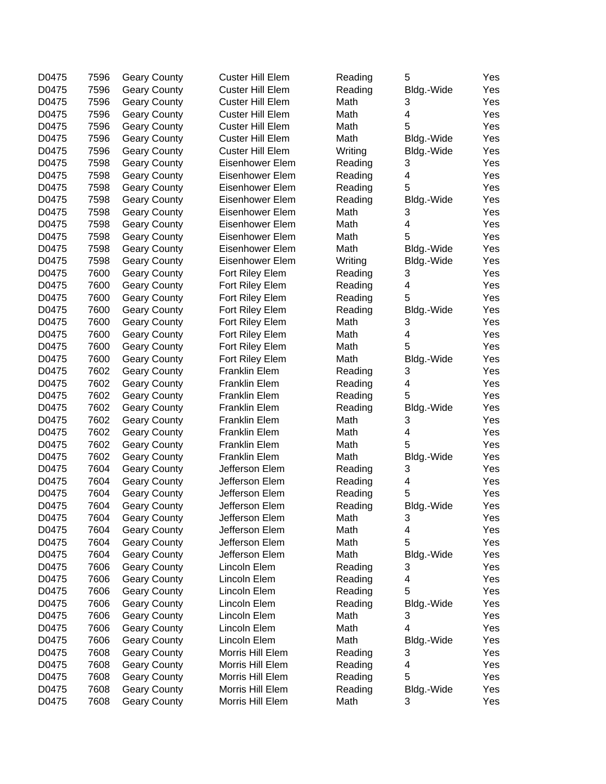| D0475 | 7596 | <b>Geary County</b> | <b>Custer Hill Elem</b> | Reading | 5                       | Yes |
|-------|------|---------------------|-------------------------|---------|-------------------------|-----|
| D0475 | 7596 | <b>Geary County</b> | <b>Custer Hill Elem</b> | Reading | Bldg.-Wide              | Yes |
| D0475 | 7596 | <b>Geary County</b> | <b>Custer Hill Elem</b> | Math    | 3                       | Yes |
| D0475 | 7596 | <b>Geary County</b> | <b>Custer Hill Elem</b> | Math    | 4                       | Yes |
| D0475 | 7596 | <b>Geary County</b> | <b>Custer Hill Elem</b> | Math    | 5                       | Yes |
| D0475 | 7596 | <b>Geary County</b> | Custer Hill Elem        | Math    | Bldg.-Wide              | Yes |
| D0475 | 7596 | <b>Geary County</b> | Custer Hill Elem        | Writing | Bldg.-Wide              | Yes |
| D0475 | 7598 | <b>Geary County</b> | Eisenhower Elem         | Reading | 3                       | Yes |
| D0475 | 7598 | <b>Geary County</b> | Eisenhower Elem         | Reading | 4                       | Yes |
| D0475 | 7598 | <b>Geary County</b> | Eisenhower Elem         | Reading | 5                       | Yes |
| D0475 | 7598 | <b>Geary County</b> | Eisenhower Elem         | Reading |                         | Yes |
| D0475 | 7598 | <b>Geary County</b> | Eisenhower Elem         | Math    | Bldg.-Wide<br>3         | Yes |
| D0475 | 7598 |                     | Eisenhower Elem         | Math    | 4                       | Yes |
| D0475 | 7598 | <b>Geary County</b> | Eisenhower Elem         | Math    | 5                       | Yes |
|       |      | <b>Geary County</b> |                         |         |                         |     |
| D0475 | 7598 | <b>Geary County</b> | Eisenhower Elem         | Math    | Bldg.-Wide              | Yes |
| D0475 | 7598 | <b>Geary County</b> | Eisenhower Elem         | Writing | Bldg.-Wide              | Yes |
| D0475 | 7600 | <b>Geary County</b> | Fort Riley Elem         | Reading | 3                       | Yes |
| D0475 | 7600 | <b>Geary County</b> | Fort Riley Elem         | Reading | $\overline{\mathbf{4}}$ | Yes |
| D0475 | 7600 | <b>Geary County</b> | Fort Riley Elem         | Reading | 5                       | Yes |
| D0475 | 7600 | <b>Geary County</b> | Fort Riley Elem         | Reading | Bldg.-Wide              | Yes |
| D0475 | 7600 | <b>Geary County</b> | Fort Riley Elem         | Math    | 3                       | Yes |
| D0475 | 7600 | <b>Geary County</b> | Fort Riley Elem         | Math    | 4                       | Yes |
| D0475 | 7600 | <b>Geary County</b> | Fort Riley Elem         | Math    | 5                       | Yes |
| D0475 | 7600 | <b>Geary County</b> | Fort Riley Elem         | Math    | Bldg.-Wide              | Yes |
| D0475 | 7602 | <b>Geary County</b> | Franklin Elem           | Reading | 3                       | Yes |
| D0475 | 7602 | <b>Geary County</b> | <b>Franklin Elem</b>    | Reading | 4                       | Yes |
| D0475 | 7602 | <b>Geary County</b> | <b>Franklin Elem</b>    | Reading | 5                       | Yes |
| D0475 | 7602 | <b>Geary County</b> | <b>Franklin Elem</b>    | Reading | Bldg.-Wide              | Yes |
| D0475 | 7602 | <b>Geary County</b> | Franklin Elem           | Math    | 3                       | Yes |
| D0475 | 7602 | <b>Geary County</b> | <b>Franklin Elem</b>    | Math    | 4                       | Yes |
| D0475 | 7602 | <b>Geary County</b> | <b>Franklin Elem</b>    | Math    | 5                       | Yes |
| D0475 | 7602 | <b>Geary County</b> | <b>Franklin Elem</b>    | Math    | Bldg.-Wide              | Yes |
| D0475 | 7604 | <b>Geary County</b> | Jefferson Elem          | Reading | 3                       | Yes |
| D0475 | 7604 | <b>Geary County</b> | Jefferson Elem          | Reading | 4                       | Yes |
| D0475 | 7604 | <b>Geary County</b> | Jefferson Elem          | Reading | 5                       | Yes |
| D0475 | 7604 | <b>Geary County</b> | Jefferson Elem          | Reading | Bldg.-Wide              | Yes |
| D0475 | 7604 | Geary County        | Jefferson Elem          | Math    | З                       | Yes |
| D0475 | 7604 | <b>Geary County</b> | Jefferson Elem          | Math    | 4                       | Yes |
| D0475 | 7604 | <b>Geary County</b> | Jefferson Elem          | Math    | 5                       | Yes |
| D0475 | 7604 | <b>Geary County</b> | Jefferson Elem          | Math    | Bldg.-Wide              | Yes |
| D0475 | 7606 | <b>Geary County</b> | Lincoln Elem            | Reading | 3                       | Yes |
| D0475 | 7606 | <b>Geary County</b> | Lincoln Elem            | Reading | 4                       | Yes |
| D0475 | 7606 | <b>Geary County</b> | Lincoln Elem            | Reading | 5                       | Yes |
| D0475 | 7606 | <b>Geary County</b> | Lincoln Elem            | Reading | Bldg.-Wide              | Yes |
| D0475 | 7606 | <b>Geary County</b> | Lincoln Elem            | Math    | 3                       | Yes |
| D0475 | 7606 |                     | Lincoln Elem            | Math    | $\overline{4}$          |     |
|       |      | <b>Geary County</b> |                         |         |                         | Yes |
| D0475 | 7606 | <b>Geary County</b> | Lincoln Elem            | Math    | Bldg.-Wide              | Yes |
| D0475 | 7608 | <b>Geary County</b> | Morris Hill Elem        | Reading | 3                       | Yes |
| D0475 | 7608 | <b>Geary County</b> | Morris Hill Elem        | Reading | 4                       | Yes |
| D0475 | 7608 | <b>Geary County</b> | Morris Hill Elem        | Reading | 5                       | Yes |
| D0475 | 7608 | <b>Geary County</b> | Morris Hill Elem        | Reading | Bldg.-Wide              | Yes |
| D0475 | 7608 | <b>Geary County</b> | Morris Hill Elem        | Math    | 3                       | Yes |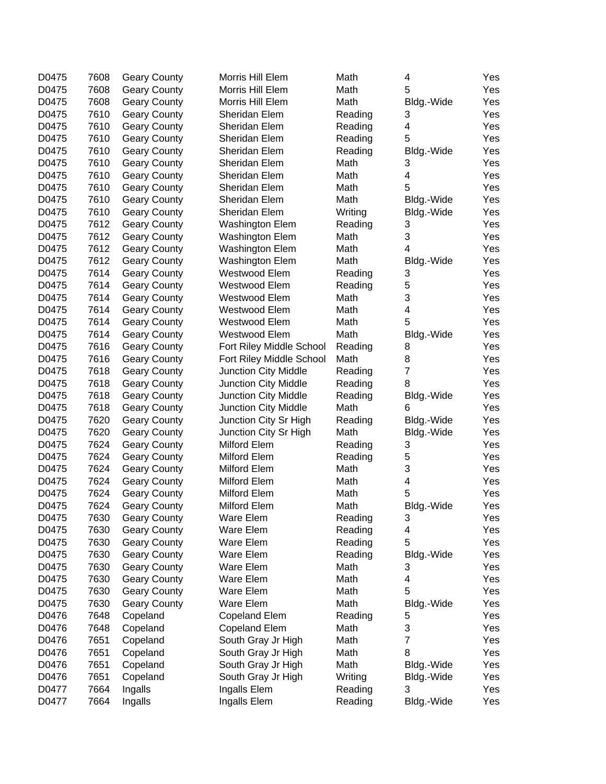| D0475 | 7608 | <b>Geary County</b> | Morris Hill Elem         | Math    | 4                         | Yes |
|-------|------|---------------------|--------------------------|---------|---------------------------|-----|
| D0475 | 7608 | <b>Geary County</b> | Morris Hill Elem         | Math    | 5                         | Yes |
| D0475 | 7608 | <b>Geary County</b> | Morris Hill Elem         | Math    | Bldg.-Wide                | Yes |
| D0475 | 7610 | <b>Geary County</b> | Sheridan Elem            | Reading | 3                         | Yes |
| D0475 | 7610 | <b>Geary County</b> | Sheridan Elem            | Reading | 4                         | Yes |
| D0475 | 7610 | <b>Geary County</b> | Sheridan Elem            | Reading | 5                         | Yes |
| D0475 | 7610 | <b>Geary County</b> | Sheridan Elem            | Reading | Bldg.-Wide                | Yes |
| D0475 | 7610 | <b>Geary County</b> | Sheridan Elem            | Math    | 3                         | Yes |
| D0475 | 7610 | <b>Geary County</b> | Sheridan Elem            | Math    | 4                         | Yes |
| D0475 | 7610 | <b>Geary County</b> | Sheridan Elem            | Math    | 5                         | Yes |
| D0475 | 7610 | <b>Geary County</b> | Sheridan Elem            | Math    | Bldg.-Wide                | Yes |
| D0475 | 7610 | <b>Geary County</b> | Sheridan Elem            | Writing | Bldg.-Wide                | Yes |
| D0475 | 7612 | <b>Geary County</b> | <b>Washington Elem</b>   | Reading | 3                         | Yes |
| D0475 | 7612 | <b>Geary County</b> | Washington Elem          | Math    | 3                         | Yes |
| D0475 | 7612 | <b>Geary County</b> | <b>Washington Elem</b>   | Math    | 4                         | Yes |
| D0475 | 7612 | <b>Geary County</b> | <b>Washington Elem</b>   | Math    | Bldg.-Wide                | Yes |
| D0475 | 7614 | <b>Geary County</b> | Westwood Elem            | Reading | 3                         | Yes |
| D0475 | 7614 | <b>Geary County</b> | Westwood Elem            | Reading | 5                         | Yes |
| D0475 | 7614 | <b>Geary County</b> | Westwood Elem            | Math    | 3                         | Yes |
| D0475 | 7614 | <b>Geary County</b> | Westwood Elem            | Math    | 4                         | Yes |
| D0475 | 7614 | <b>Geary County</b> | Westwood Elem            | Math    | 5                         | Yes |
| D0475 | 7614 | <b>Geary County</b> | Westwood Elem            | Math    | Bldg.-Wide                | Yes |
| D0475 | 7616 | <b>Geary County</b> | Fort Riley Middle School | Reading | 8                         | Yes |
| D0475 | 7616 |                     |                          | Math    | 8                         | Yes |
| D0475 | 7618 | <b>Geary County</b> | Fort Riley Middle School |         | $\overline{7}$            | Yes |
|       | 7618 | <b>Geary County</b> | Junction City Middle     | Reading | 8                         |     |
| D0475 |      | <b>Geary County</b> | Junction City Middle     | Reading |                           | Yes |
| D0475 | 7618 | <b>Geary County</b> | Junction City Middle     | Reading | Bldg.-Wide                | Yes |
| D0475 | 7618 | <b>Geary County</b> | Junction City Middle     | Math    | 6                         | Yes |
| D0475 | 7620 | <b>Geary County</b> | Junction City Sr High    | Reading | Bldg.-Wide                | Yes |
| D0475 | 7620 | <b>Geary County</b> | Junction City Sr High    | Math    | Bldg.-Wide                | Yes |
| D0475 | 7624 | <b>Geary County</b> | Milford Elem             | Reading | 3                         | Yes |
| D0475 | 7624 | <b>Geary County</b> | Milford Elem             | Reading | 5                         | Yes |
| D0475 | 7624 | <b>Geary County</b> | Milford Elem             | Math    | $\ensuremath{\mathsf{3}}$ | Yes |
| D0475 | 7624 | <b>Geary County</b> | Milford Elem             | Math    | 4                         | Yes |
| D0475 | 7624 | <b>Geary County</b> | Milford Elem             | Math    | 5                         | Yes |
| D0475 | 7624 | <b>Geary County</b> | Milford Elem             | Math    | Bldg.-Wide                | Yes |
| D0475 | 7630 | <b>Geary County</b> | Ware Elem                | Reading | 3                         | Yes |
| D0475 | 7630 | <b>Geary County</b> | Ware Elem                | Reading | 4                         | Yes |
| D0475 | 7630 | <b>Geary County</b> | Ware Elem                | Reading | 5                         | Yes |
| D0475 | 7630 | <b>Geary County</b> | Ware Elem                | Reading | Bldg.-Wide                | Yes |
| D0475 | 7630 | <b>Geary County</b> | Ware Elem                | Math    | 3                         | Yes |
| D0475 | 7630 | <b>Geary County</b> | Ware Elem                | Math    | 4                         | Yes |
| D0475 | 7630 | <b>Geary County</b> | Ware Elem                | Math    | 5                         | Yes |
| D0475 | 7630 | <b>Geary County</b> | <b>Ware Elem</b>         | Math    | Bldg.-Wide                | Yes |
| D0476 | 7648 | Copeland            | <b>Copeland Elem</b>     | Reading | 5                         | Yes |
| D0476 | 7648 | Copeland            | <b>Copeland Elem</b>     | Math    | 3                         | Yes |
| D0476 | 7651 | Copeland            | South Gray Jr High       | Math    | $\overline{7}$            | Yes |
| D0476 | 7651 | Copeland            | South Gray Jr High       | Math    | 8                         | Yes |
| D0476 | 7651 | Copeland            | South Gray Jr High       | Math    | Bldg.-Wide                | Yes |
| D0476 | 7651 | Copeland            | South Gray Jr High       | Writing | Bldg.-Wide                | Yes |
| D0477 | 7664 | Ingalls             | Ingalls Elem             | Reading | 3                         | Yes |
| D0477 | 7664 | Ingalls             | Ingalls Elem             | Reading | Bldg.-Wide                | Yes |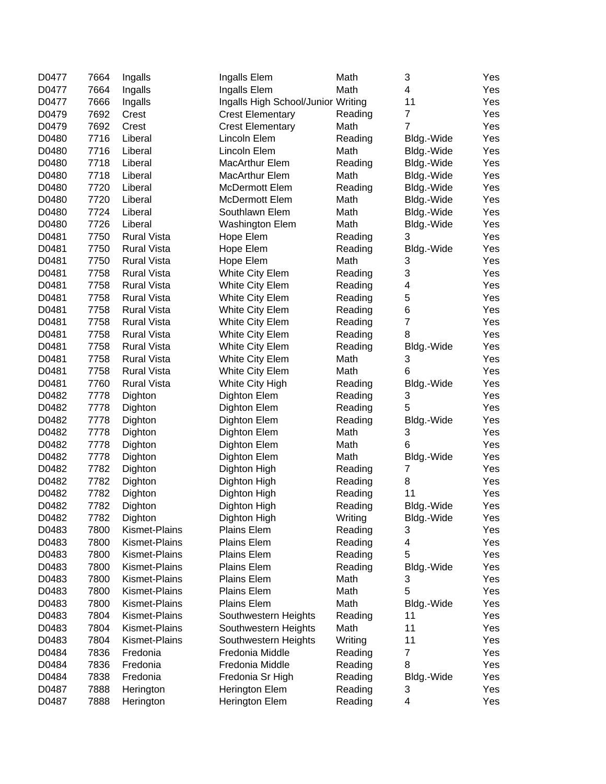| D0477 | 7664 | Ingalls              | Ingalls Elem                       | Math    | 3              | Yes |
|-------|------|----------------------|------------------------------------|---------|----------------|-----|
| D0477 | 7664 | Ingalls              | Ingalls Elem                       | Math    | 4              | Yes |
| D0477 | 7666 | Ingalls              | Ingalls High School/Junior Writing |         | 11             | Yes |
| D0479 | 7692 | Crest                | <b>Crest Elementary</b>            | Reading | $\overline{7}$ | Yes |
| D0479 | 7692 | Crest                | <b>Crest Elementary</b>            | Math    | $\overline{7}$ | Yes |
| D0480 | 7716 | Liberal              | Lincoln Elem                       | Reading | Bldg.-Wide     | Yes |
| D0480 | 7716 | Liberal              | Lincoln Elem                       | Math    | Bldg.-Wide     | Yes |
| D0480 | 7718 | Liberal              | MacArthur Elem                     | Reading | Bldg.-Wide     | Yes |
| D0480 | 7718 | Liberal              | MacArthur Elem                     | Math    | Bldg.-Wide     | Yes |
| D0480 | 7720 | Liberal              | McDermott Elem                     | Reading | Bldg.-Wide     | Yes |
| D0480 | 7720 | Liberal              | McDermott Elem                     | Math    | Bldg.-Wide     | Yes |
| D0480 | 7724 | Liberal              | Southlawn Elem                     | Math    | Bldg.-Wide     | Yes |
| D0480 | 7726 | Liberal              | <b>Washington Elem</b>             | Math    | Bldg.-Wide     | Yes |
| D0481 | 7750 | <b>Rural Vista</b>   | Hope Elem                          | Reading | 3              | Yes |
| D0481 | 7750 | <b>Rural Vista</b>   | Hope Elem                          | Reading | Bldg.-Wide     | Yes |
| D0481 | 7750 | <b>Rural Vista</b>   | Hope Elem                          | Math    | 3              | Yes |
| D0481 | 7758 | <b>Rural Vista</b>   | White City Elem                    | Reading | 3              | Yes |
| D0481 | 7758 | <b>Rural Vista</b>   | White City Elem                    | Reading | 4              | Yes |
| D0481 | 7758 | <b>Rural Vista</b>   | White City Elem                    | Reading | $\mathbf 5$    | Yes |
| D0481 | 7758 | <b>Rural Vista</b>   | White City Elem                    | Reading | $\,6$          | Yes |
| D0481 | 7758 | <b>Rural Vista</b>   | White City Elem                    | Reading | $\overline{7}$ | Yes |
| D0481 | 7758 | <b>Rural Vista</b>   | White City Elem                    | Reading | 8              | Yes |
| D0481 | 7758 | <b>Rural Vista</b>   | White City Elem                    | Reading | Bldg.-Wide     | Yes |
| D0481 | 7758 | <b>Rural Vista</b>   | White City Elem                    | Math    | 3              | Yes |
| D0481 | 7758 | <b>Rural Vista</b>   | <b>White City Elem</b>             | Math    | 6              | Yes |
| D0481 | 7760 | <b>Rural Vista</b>   | White City High                    | Reading | Bldg.-Wide     | Yes |
| D0482 | 7778 | Dighton              | Dighton Elem                       | Reading | 3              | Yes |
| D0482 | 7778 | Dighton              | Dighton Elem                       | Reading | 5              | Yes |
| D0482 | 7778 | Dighton              | Dighton Elem                       | Reading | Bldg.-Wide     | Yes |
| D0482 | 7778 | Dighton              | Dighton Elem                       | Math    | 3              | Yes |
| D0482 | 7778 | Dighton              | Dighton Elem                       | Math    | 6              | Yes |
| D0482 | 7778 | Dighton              | Dighton Elem                       | Math    | Bldg.-Wide     | Yes |
| D0482 | 7782 | Dighton              | Dighton High                       | Reading | $\overline{7}$ | Yes |
| D0482 | 7782 | Dighton              | Dighton High                       | Reading | 8              | Yes |
| D0482 | 7782 | Dighton              | Dighton High                       | Reading | 11             | Yes |
| D0482 | 7782 | Dighton              | Dighton High                       | Reading | Bldg.-Wide     | Yes |
| D0482 | 7782 | Dighton              | Dighton High                       | Writing | Bldg.-Wide     | Yes |
| D0483 | 7800 | Kismet-Plains        | Plains Elem                        | Reading | 3              | Yes |
| D0483 | 7800 | <b>Kismet-Plains</b> | Plains Elem                        | Reading | 4              | Yes |
| D0483 | 7800 | Kismet-Plains        | Plains Elem                        | Reading | 5              | Yes |
| D0483 | 7800 | Kismet-Plains        | Plains Elem                        | Reading | Bldg.-Wide     | Yes |
| D0483 | 7800 | Kismet-Plains        | Plains Elem                        | Math    | 3              | Yes |
| D0483 | 7800 | Kismet-Plains        | Plains Elem                        | Math    | 5              | Yes |
| D0483 | 7800 | <b>Kismet-Plains</b> | <b>Plains Elem</b>                 | Math    | Bldg.-Wide     | Yes |
| D0483 | 7804 | Kismet-Plains        | Southwestern Heights               | Reading | 11             | Yes |
| D0483 | 7804 | Kismet-Plains        | Southwestern Heights               | Math    | 11             | Yes |
| D0483 | 7804 | Kismet-Plains        | Southwestern Heights               | Writing | 11             | Yes |
| D0484 | 7836 | Fredonia             | Fredonia Middle                    | Reading | $\overline{7}$ | Yes |
| D0484 | 7836 | Fredonia             | Fredonia Middle                    | Reading | 8              | Yes |
| D0484 | 7838 | Fredonia             | Fredonia Sr High                   | Reading | Bldg.-Wide     | Yes |
| D0487 | 7888 | Herington            | Herington Elem                     | Reading | 3              | Yes |
| D0487 | 7888 | Herington            | Herington Elem                     | Reading | 4              | Yes |
|       |      |                      |                                    |         |                |     |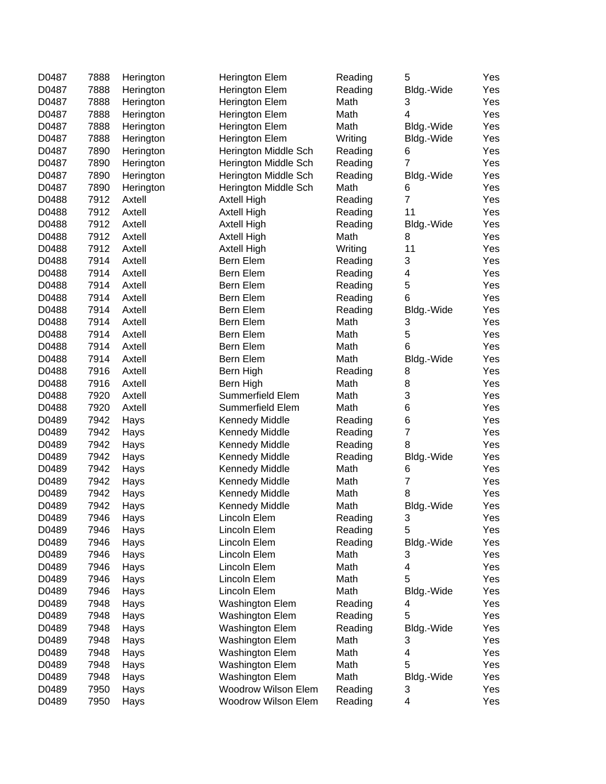| D0487 | 7888 | Herington | Herington Elem         | Reading | 5                       | Yes |
|-------|------|-----------|------------------------|---------|-------------------------|-----|
| D0487 | 7888 | Herington | Herington Elem         | Reading | Bldg.-Wide              | Yes |
| D0487 | 7888 | Herington | Herington Elem         | Math    | 3                       | Yes |
| D0487 | 7888 | Herington | Herington Elem         | Math    | 4                       | Yes |
| D0487 | 7888 | Herington | Herington Elem         | Math    | Bldg.-Wide              | Yes |
| D0487 | 7888 | Herington | Herington Elem         | Writing | Bldg.-Wide              | Yes |
| D0487 | 7890 | Herington | Herington Middle Sch   | Reading | 6                       | Yes |
| D0487 | 7890 | Herington | Herington Middle Sch   | Reading | $\overline{7}$          | Yes |
| D0487 | 7890 | Herington | Herington Middle Sch   | Reading | Bldg.-Wide              | Yes |
| D0487 | 7890 | Herington | Herington Middle Sch   | Math    | 6                       | Yes |
| D0488 | 7912 | Axtell    | Axtell High            | Reading | $\overline{7}$          | Yes |
| D0488 | 7912 | Axtell    | Axtell High            | Reading | 11                      | Yes |
| D0488 | 7912 | Axtell    | Axtell High            | Reading | Bldg.-Wide              | Yes |
| D0488 | 7912 | Axtell    | Axtell High            | Math    | 8                       | Yes |
| D0488 | 7912 | Axtell    | Axtell High            | Writing | 11                      | Yes |
| D0488 | 7914 | Axtell    | Bern Elem              | Reading | 3                       | Yes |
| D0488 | 7914 | Axtell    | Bern Elem              | Reading | $\overline{\mathbf{4}}$ | Yes |
| D0488 | 7914 | Axtell    | Bern Elem              | Reading | 5                       | Yes |
| D0488 | 7914 | Axtell    | Bern Elem              | Reading | 6                       | Yes |
| D0488 | 7914 | Axtell    | Bern Elem              | Reading |                         | Yes |
| D0488 | 7914 | Axtell    | Bern Elem              | Math    | Bldg.-Wide<br>3         | Yes |
|       |      |           |                        |         | 5                       |     |
| D0488 | 7914 | Axtell    | Bern Elem              | Math    |                         | Yes |
| D0488 | 7914 | Axtell    | Bern Elem              | Math    | 6                       | Yes |
| D0488 | 7914 | Axtell    | Bern Elem              | Math    | Bldg.-Wide              | Yes |
| D0488 | 7916 | Axtell    | Bern High              | Reading | 8                       | Yes |
| D0488 | 7916 | Axtell    | Bern High              | Math    | 8                       | Yes |
| D0488 | 7920 | Axtell    | Summerfield Elem       | Math    | 3                       | Yes |
| D0488 | 7920 | Axtell    | Summerfield Elem       | Math    | 6                       | Yes |
| D0489 | 7942 | Hays      | Kennedy Middle         | Reading | 6                       | Yes |
| D0489 | 7942 | Hays      | <b>Kennedy Middle</b>  | Reading | $\overline{\mathbf{7}}$ | Yes |
| D0489 | 7942 | Hays      | <b>Kennedy Middle</b>  | Reading | 8                       | Yes |
| D0489 | 7942 | Hays      | <b>Kennedy Middle</b>  | Reading | Bldg.-Wide              | Yes |
| D0489 | 7942 | Hays      | <b>Kennedy Middle</b>  | Math    | 6                       | Yes |
| D0489 | 7942 | Hays      | <b>Kennedy Middle</b>  | Math    | $\overline{7}$          | Yes |
| D0489 | 7942 | Hays      | <b>Kennedy Middle</b>  | Math    | 8                       | Yes |
| D0489 | 7942 | Hays      | <b>Kennedy Middle</b>  | Math    | Bldg.-Wide              | Yes |
| D0489 | 7946 | Hays      | Lincoln Elem           | Reading | 3                       | Yes |
| D0489 | 7946 | Hays      | Lincoln Elem           | Reading | 5                       | Yes |
| D0489 | 7946 | Hays      | Lincoln Elem           | Reading | Bldg.-Wide              | Yes |
| D0489 | 7946 | Hays      | Lincoln Elem           | Math    | 3                       | Yes |
| D0489 | 7946 | Hays      | Lincoln Elem           | Math    | 4                       | Yes |
| D0489 | 7946 | Hays      | Lincoln Elem           | Math    | 5                       | Yes |
| D0489 | 7946 | Hays      | Lincoln Elem           | Math    | Bldg.-Wide              | Yes |
| D0489 | 7948 | Hays      | <b>Washington Elem</b> | Reading | 4                       | Yes |
| D0489 | 7948 | Hays      | <b>Washington Elem</b> | Reading | 5                       | Yes |
| D0489 | 7948 | Hays      | <b>Washington Elem</b> | Reading | Bldg.-Wide              | Yes |
| D0489 | 7948 | Hays      | <b>Washington Elem</b> | Math    | 3                       | Yes |
| D0489 | 7948 | Hays      | <b>Washington Elem</b> | Math    | 4                       | Yes |
| D0489 | 7948 | Hays      | <b>Washington Elem</b> | Math    | 5                       | Yes |
| D0489 | 7948 | Hays      | <b>Washington Elem</b> | Math    | Bldg.-Wide              | Yes |
| D0489 | 7950 | Hays      | Woodrow Wilson Elem    | Reading | 3                       | Yes |
| D0489 | 7950 | Hays      | Woodrow Wilson Elem    | Reading | 4                       | Yes |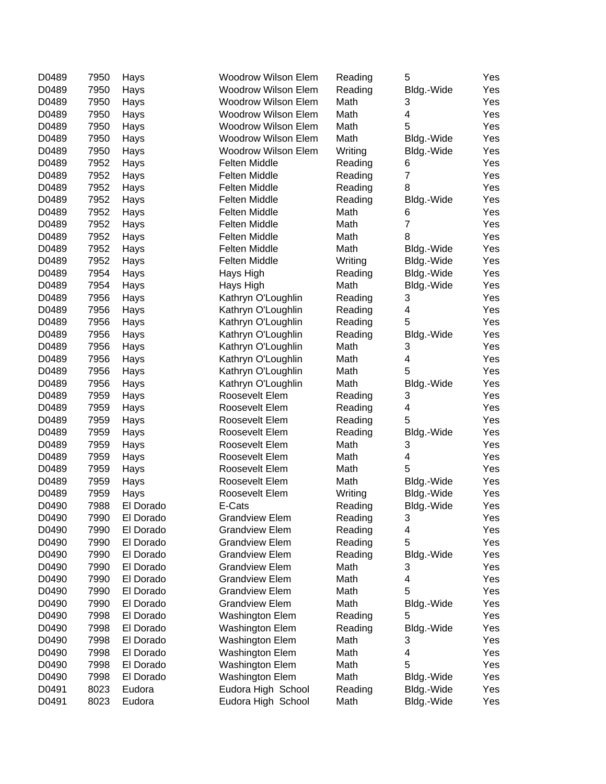| D0489 | 7950 | Hays      | <b>Woodrow Wilson Elem</b> | Reading | 5              | Yes |
|-------|------|-----------|----------------------------|---------|----------------|-----|
| D0489 | 7950 | Hays      | <b>Woodrow Wilson Elem</b> | Reading | Bldg.-Wide     | Yes |
| D0489 | 7950 | Hays      | <b>Woodrow Wilson Elem</b> | Math    | 3              | Yes |
| D0489 | 7950 | Hays      | <b>Woodrow Wilson Elem</b> | Math    | 4              | Yes |
| D0489 | 7950 | Hays      | <b>Woodrow Wilson Elem</b> | Math    | 5              | Yes |
| D0489 | 7950 | Hays      | <b>Woodrow Wilson Elem</b> | Math    | Bldg.-Wide     | Yes |
| D0489 | 7950 | Hays      | <b>Woodrow Wilson Elem</b> | Writing | Bldg.-Wide     | Yes |
| D0489 | 7952 | Hays      | <b>Felten Middle</b>       | Reading | 6              | Yes |
| D0489 | 7952 | Hays      | <b>Felten Middle</b>       | Reading | $\overline{7}$ | Yes |
| D0489 | 7952 | Hays      | Felten Middle              | Reading | 8              | Yes |
| D0489 | 7952 | Hays      | <b>Felten Middle</b>       | Reading | Bldg.-Wide     | Yes |
| D0489 | 7952 | Hays      | Felten Middle              | Math    | 6              | Yes |
| D0489 | 7952 | Hays      | Felten Middle              | Math    | $\overline{7}$ | Yes |
| D0489 | 7952 | Hays      | Felten Middle              | Math    | 8              | Yes |
| D0489 | 7952 | Hays      | <b>Felten Middle</b>       | Math    | Bldg.-Wide     | Yes |
| D0489 | 7952 | Hays      | <b>Felten Middle</b>       | Writing | Bldg.-Wide     | Yes |
| D0489 | 7954 | Hays      | Hays High                  | Reading | Bldg.-Wide     | Yes |
| D0489 | 7954 | Hays      | Hays High                  | Math    | Bldg.-Wide     | Yes |
| D0489 | 7956 | Hays      | Kathryn O'Loughlin         | Reading | 3              | Yes |
| D0489 | 7956 | Hays      | Kathryn O'Loughlin         | Reading | 4              | Yes |
| D0489 | 7956 | Hays      | Kathryn O'Loughlin         | Reading | 5              | Yes |
| D0489 | 7956 | Hays      | Kathryn O'Loughlin         | Reading | Bldg.-Wide     | Yes |
| D0489 | 7956 | Hays      | Kathryn O'Loughlin         | Math    | 3              | Yes |
| D0489 | 7956 | Hays      | Kathryn O'Loughlin         | Math    | 4              | Yes |
| D0489 | 7956 | Hays      | Kathryn O'Loughlin         | Math    | 5              | Yes |
| D0489 | 7956 |           | Kathryn O'Loughlin         | Math    |                | Yes |
|       |      | Hays      | Roosevelt Elem             |         | Bldg.-Wide     |     |
| D0489 | 7959 | Hays      |                            | Reading | 3              | Yes |
| D0489 | 7959 | Hays      | Roosevelt Elem             | Reading | 4<br>5         | Yes |
| D0489 | 7959 | Hays      | Roosevelt Elem             | Reading |                | Yes |
| D0489 | 7959 | Hays      | Roosevelt Elem             | Reading | Bldg.-Wide     | Yes |
| D0489 | 7959 | Hays      | Roosevelt Elem             | Math    | 3              | Yes |
| D0489 | 7959 | Hays      | Roosevelt Elem             | Math    | 4              | Yes |
| D0489 | 7959 | Hays      | Roosevelt Elem             | Math    | 5              | Yes |
| D0489 | 7959 | Hays      | Roosevelt Elem             | Math    | Bldg.-Wide     | Yes |
| D0489 | 7959 | Hays      | Roosevelt Elem             | Writing | Bldg.-Wide     | Yes |
| D0490 | 7988 | El Dorado | E-Cats                     | Reading | Bldg.-Wide     | Yes |
| D0490 | 7990 | El Dorado | <b>Grandview Elem</b>      | Reading | З              | Yes |
| D0490 | 7990 | El Dorado | <b>Grandview Elem</b>      | Reading | 4              | Yes |
| D0490 | 7990 | El Dorado | <b>Grandview Elem</b>      | Reading | 5              | Yes |
| D0490 | 7990 | El Dorado | <b>Grandview Elem</b>      | Reading | Bldg.-Wide     | Yes |
| D0490 | 7990 | El Dorado | <b>Grandview Elem</b>      | Math    | 3              | Yes |
| D0490 | 7990 | El Dorado | <b>Grandview Elem</b>      | Math    | 4              | Yes |
| D0490 | 7990 | El Dorado | <b>Grandview Elem</b>      | Math    | 5              | Yes |
| D0490 | 7990 | El Dorado | <b>Grandview Elem</b>      | Math    | Bldg.-Wide     | Yes |
| D0490 | 7998 | El Dorado | <b>Washington Elem</b>     | Reading | 5              | Yes |
| D0490 | 7998 | El Dorado | Washington Elem            | Reading | Bldg.-Wide     | Yes |
| D0490 | 7998 | El Dorado | Washington Elem            | Math    | 3              | Yes |
| D0490 | 7998 | El Dorado | Washington Elem            | Math    | 4              | Yes |
| D0490 | 7998 | El Dorado | Washington Elem            | Math    | 5              | Yes |
| D0490 | 7998 | El Dorado | Washington Elem            | Math    | Bldg.-Wide     | Yes |
| D0491 | 8023 | Eudora    | Eudora High School         | Reading | Bldg.-Wide     | Yes |
| D0491 | 8023 | Eudora    | Eudora High School         | Math    | Bldg.-Wide     | Yes |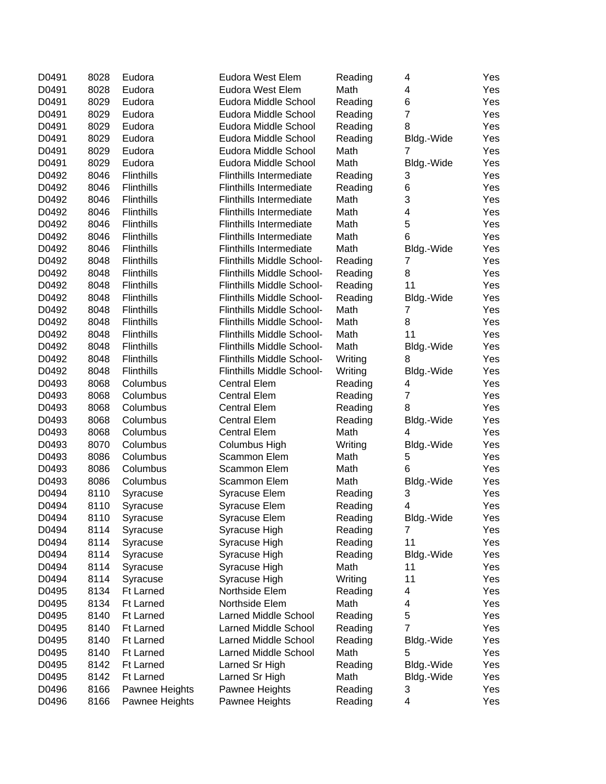| D0491          | 8028 | Eudora               | Eudora West Elem                      | Reading            | 4                   | Yes        |
|----------------|------|----------------------|---------------------------------------|--------------------|---------------------|------------|
| D0491          | 8028 | Eudora               | Eudora West Elem                      | Math               | 4                   | Yes        |
| D0491          | 8029 | Eudora               | Eudora Middle School                  | Reading            | 6                   | Yes        |
| D0491          | 8029 | Eudora               | Eudora Middle School                  | Reading            | $\overline{7}$      | Yes        |
| D0491          | 8029 | Eudora               | Eudora Middle School                  | Reading            | 8                   | Yes        |
| D0491          | 8029 | Eudora               | Eudora Middle School                  | Reading            | Bldg.-Wide          | Yes        |
| D0491          | 8029 | Eudora               | Eudora Middle School                  | Math               | 7                   | Yes        |
| D0491          | 8029 | Eudora               | Eudora Middle School                  | Math               | Bldg.-Wide          | Yes        |
| D0492          | 8046 | <b>Flinthills</b>    | <b>Flinthills Intermediate</b>        | Reading            | 3                   | Yes        |
| D0492          | 8046 | <b>Flinthills</b>    | <b>Flinthills Intermediate</b>        | Reading            | 6                   | Yes        |
| D0492          | 8046 | <b>Flinthills</b>    | <b>Flinthills Intermediate</b>        | Math               | 3                   | Yes        |
| D0492          | 8046 | Flinthills           | <b>Flinthills Intermediate</b>        | Math               | 4                   | Yes        |
| D0492          | 8046 | <b>Flinthills</b>    | <b>Flinthills Intermediate</b>        | Math               | 5                   | Yes        |
| D0492          | 8046 | <b>Flinthills</b>    | <b>Flinthills Intermediate</b>        | Math               | 6                   | Yes        |
| D0492          | 8046 | <b>Flinthills</b>    | <b>Flinthills Intermediate</b>        | Math               | Bldg.-Wide          | Yes        |
| D0492          | 8048 | <b>Flinthills</b>    | Flinthills Middle School-             | Reading            | 7                   | Yes        |
| D0492          | 8048 | Flinthills           | Flinthills Middle School-             | Reading            | 8                   | Yes        |
| D0492          | 8048 | Flinthills           | Flinthills Middle School-             | Reading            | 11                  | Yes        |
| D0492          | 8048 | Flinthills           | Flinthills Middle School-             | Reading            | Bldg.-Wide          | Yes        |
| D0492          | 8048 | <b>Flinthills</b>    | Flinthills Middle School-             | Math               | 7                   | Yes        |
| D0492          | 8048 | <b>Flinthills</b>    | Flinthills Middle School-             | Math               | 8                   | Yes        |
| D0492          | 8048 | <b>Flinthills</b>    | Flinthills Middle School-             | Math               | 11                  | Yes        |
| D0492          | 8048 | <b>Flinthills</b>    | Flinthills Middle School-             | Math               | Bldg.-Wide          | Yes        |
| D0492          | 8048 | <b>Flinthills</b>    | Flinthills Middle School-             | Writing            | 8                   | Yes        |
| D0492          | 8048 | <b>Flinthills</b>    | Flinthills Middle School-             | Writing            | Bldg.-Wide          | Yes        |
| D0493          | 8068 | Columbus             | <b>Central Elem</b>                   | Reading            | 4                   | Yes        |
| D0493          | 8068 | Columbus             | <b>Central Elem</b>                   | Reading            | $\overline{7}$      | Yes        |
| D0493          | 8068 | Columbus             | <b>Central Elem</b>                   | Reading            | 8                   | Yes        |
| D0493          | 8068 | Columbus             | <b>Central Elem</b>                   | Reading            | Bldg.-Wide          | Yes        |
| D0493          | 8068 | Columbus             | <b>Central Elem</b>                   | Math               | 4                   | Yes        |
| D0493          | 8070 | Columbus             | Columbus High                         | Writing            | Bldg.-Wide          | Yes        |
| D0493          | 8086 | Columbus             | Scammon Elem                          | Math               | 5                   | Yes        |
| D0493          | 8086 | Columbus             | Scammon Elem                          | Math               | 6                   | Yes        |
| D0493          | 8086 | Columbus             | Scammon Elem                          | Math               | Bldg.-Wide          | Yes        |
| D0494          | 8110 |                      |                                       | Reading            | 3                   | Yes        |
|                | 8110 | Syracuse             | Syracuse Elem                         |                    | 4                   |            |
| D0494<br>D0494 | 8110 | Syracuse             | <b>Syracuse Elem</b><br>Syracuse Elem | Reading<br>Reading | Bldg.-Wide          | Yes<br>Yes |
| D0494          | 8114 | Syracuse<br>Syracuse | Syracuse High                         | Reading            | 7                   | Yes        |
| D0494          | 8114 |                      |                                       |                    | 11                  |            |
| D0494          | 8114 | Syracuse             | Syracuse High                         | Reading<br>Reading | Bldg.-Wide          | Yes        |
|                |      | Syracuse             | Syracuse High                         | Math               |                     | Yes        |
| D0494          | 8114 | Syracuse             | Syracuse High                         |                    | 11                  | Yes        |
| D0494          | 8114 | Syracuse             | Syracuse High                         | Writing            | 11                  | Yes        |
| D0495          | 8134 | <b>Ft Larned</b>     | Northside Elem                        | Reading            | 4                   | Yes        |
| D0495          | 8134 | <b>Ft Larned</b>     | Northside Elem                        | Math               | 4                   | Yes        |
| D0495          | 8140 | <b>Ft Larned</b>     | Larned Middle School                  | Reading            | 5<br>$\overline{7}$ | Yes        |
| D0495          | 8140 | Ft Larned            | Larned Middle School                  | Reading            |                     | Yes        |
| D0495          | 8140 | <b>Ft Larned</b>     | Larned Middle School                  | Reading            | Bldg.-Wide          | Yes        |
| D0495          | 8140 | <b>Ft Larned</b>     | Larned Middle School                  | Math               | 5                   | Yes        |
| D0495          | 8142 | <b>Ft Larned</b>     | Larned Sr High                        | Reading            | Bldg.-Wide          | Yes        |
| D0495          | 8142 | <b>Ft Larned</b>     | Larned Sr High                        | Math               | Bldg.-Wide          | Yes        |
| D0496          | 8166 | Pawnee Heights       | Pawnee Heights                        | Reading            | 3                   | Yes        |
| D0496          | 8166 | Pawnee Heights       | Pawnee Heights                        | Reading            | 4                   | Yes        |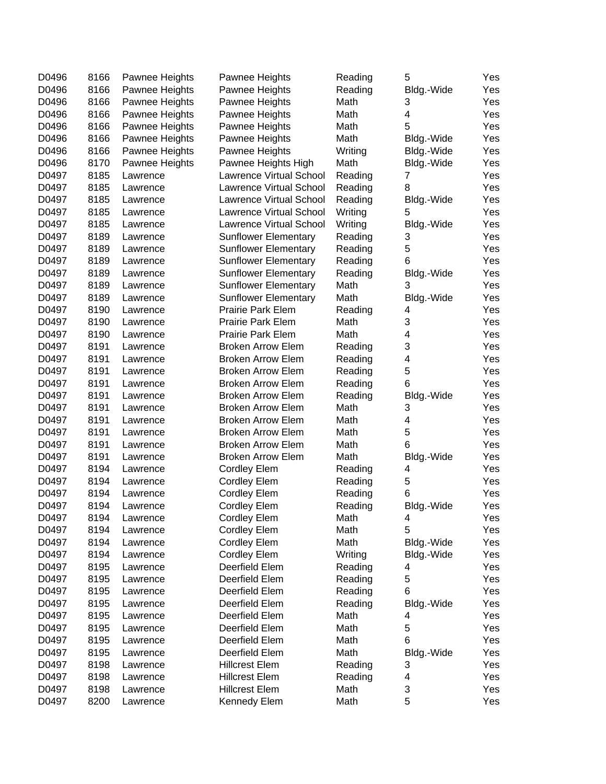| D0496 | 8166 | Pawnee Heights | Pawnee Heights                 | Reading | 5               | Yes |
|-------|------|----------------|--------------------------------|---------|-----------------|-----|
| D0496 | 8166 | Pawnee Heights | Pawnee Heights                 | Reading | Bldg.-Wide      | Yes |
| D0496 | 8166 | Pawnee Heights | Pawnee Heights                 | Math    | 3               | Yes |
| D0496 | 8166 | Pawnee Heights | Pawnee Heights                 | Math    | 4               | Yes |
| D0496 | 8166 | Pawnee Heights | Pawnee Heights                 | Math    | 5               | Yes |
| D0496 | 8166 | Pawnee Heights | Pawnee Heights                 | Math    | Bldg.-Wide      | Yes |
| D0496 | 8166 | Pawnee Heights | Pawnee Heights                 | Writing | Bldg.-Wide      | Yes |
| D0496 | 8170 | Pawnee Heights | Pawnee Heights High            | Math    | Bldg.-Wide      | Yes |
| D0497 | 8185 | Lawrence       | <b>Lawrence Virtual School</b> | Reading | 7               | Yes |
| D0497 | 8185 | Lawrence       | <b>Lawrence Virtual School</b> | Reading | 8               | Yes |
| D0497 | 8185 | Lawrence       | Lawrence Virtual School        | Reading | Bldg.-Wide      | Yes |
| D0497 | 8185 | Lawrence       | <b>Lawrence Virtual School</b> | Writing | 5               | Yes |
| D0497 | 8185 | Lawrence       | Lawrence Virtual School        | Writing | Bldg.-Wide      | Yes |
| D0497 | 8189 | Lawrence       | <b>Sunflower Elementary</b>    | Reading | 3               | Yes |
| D0497 | 8189 | Lawrence       | <b>Sunflower Elementary</b>    | Reading | 5               | Yes |
| D0497 | 8189 | Lawrence       | <b>Sunflower Elementary</b>    | Reading | 6               | Yes |
| D0497 | 8189 | Lawrence       | <b>Sunflower Elementary</b>    | Reading | Bldg.-Wide      | Yes |
| D0497 | 8189 | Lawrence       | <b>Sunflower Elementary</b>    | Math    | 3               | Yes |
| D0497 | 8189 | Lawrence       | <b>Sunflower Elementary</b>    | Math    | Bldg.-Wide      | Yes |
| D0497 | 8190 | Lawrence       | Prairie Park Elem              | Reading | 4               | Yes |
| D0497 | 8190 | Lawrence       | Prairie Park Elem              | Math    | 3               | Yes |
| D0497 | 8190 | Lawrence       | Prairie Park Elem              | Math    | 4               | Yes |
| D0497 | 8191 | Lawrence       | <b>Broken Arrow Elem</b>       | Reading | 3               | Yes |
| D0497 | 8191 | Lawrence       | <b>Broken Arrow Elem</b>       | Reading | 4               | Yes |
| D0497 | 8191 | Lawrence       | <b>Broken Arrow Elem</b>       | Reading | 5               | Yes |
| D0497 | 8191 | Lawrence       | <b>Broken Arrow Elem</b>       | Reading | 6               | Yes |
| D0497 | 8191 | Lawrence       | <b>Broken Arrow Elem</b>       | Reading | Bldg.-Wide      | Yes |
| D0497 | 8191 | Lawrence       | <b>Broken Arrow Elem</b>       | Math    | 3               | Yes |
| D0497 | 8191 | Lawrence       | <b>Broken Arrow Elem</b>       | Math    | 4               | Yes |
| D0497 | 8191 | Lawrence       | <b>Broken Arrow Elem</b>       | Math    | 5               | Yes |
| D0497 | 8191 | Lawrence       | <b>Broken Arrow Elem</b>       | Math    | 6               | Yes |
| D0497 | 8191 | Lawrence       | <b>Broken Arrow Elem</b>       | Math    | Bldg.-Wide      | Yes |
| D0497 | 8194 | Lawrence       | <b>Cordley Elem</b>            | Reading | 4               | Yes |
| D0497 | 8194 | Lawrence       | <b>Cordley Elem</b>            | Reading | 5               | Yes |
| D0497 | 8194 | Lawrence       | <b>Cordley Elem</b>            | Reading | 6               | Yes |
| D0497 | 8194 | Lawrence       | <b>Cordley Elem</b>            | Reading | Bldg.-Wide      | Yes |
| D0497 | 8194 | Lawrence       | <b>Cordley Elem</b>            | Math    | 4               | Yes |
| D0497 | 8194 | Lawrence       | <b>Cordley Elem</b>            | Math    | 5               | Yes |
| D0497 | 8194 | Lawrence       | <b>Cordley Elem</b>            | Math    | Bldg.-Wide      | Yes |
| D0497 | 8194 | Lawrence       | <b>Cordley Elem</b>            | Writing | Bldg.-Wide      | Yes |
| D0497 | 8195 | Lawrence       | Deerfield Elem                 | Reading | 4               | Yes |
| D0497 | 8195 | Lawrence       | Deerfield Elem                 | Reading | 5               | Yes |
| D0497 | 8195 | Lawrence       | Deerfield Elem                 | Reading | 6               | Yes |
| D0497 | 8195 | Lawrence       | Deerfield Elem                 | Reading | Bldg.-Wide      | Yes |
| D0497 | 8195 | Lawrence       | Deerfield Elem                 | Math    | 4               | Yes |
| D0497 | 8195 | Lawrence       | Deerfield Elem                 | Math    | 5               | Yes |
| D0497 | 8195 | Lawrence       | Deerfield Elem                 | Math    | 6               | Yes |
| D0497 | 8195 |                | Deerfield Elem                 | Math    |                 | Yes |
| D0497 | 8198 | Lawrence       | <b>Hillcrest Elem</b>          | Reading | Bldg.-Wide<br>3 | Yes |
| D0497 | 8198 | Lawrence       | <b>Hillcrest Elem</b>          | Reading | 4               | Yes |
| D0497 | 8198 | Lawrence       | <b>Hillcrest Elem</b>          | Math    | 3               | Yes |
| D0497 | 8200 | Lawrence       | Kennedy Elem                   | Math    | 5               | Yes |
|       |      | Lawrence       |                                |         |                 |     |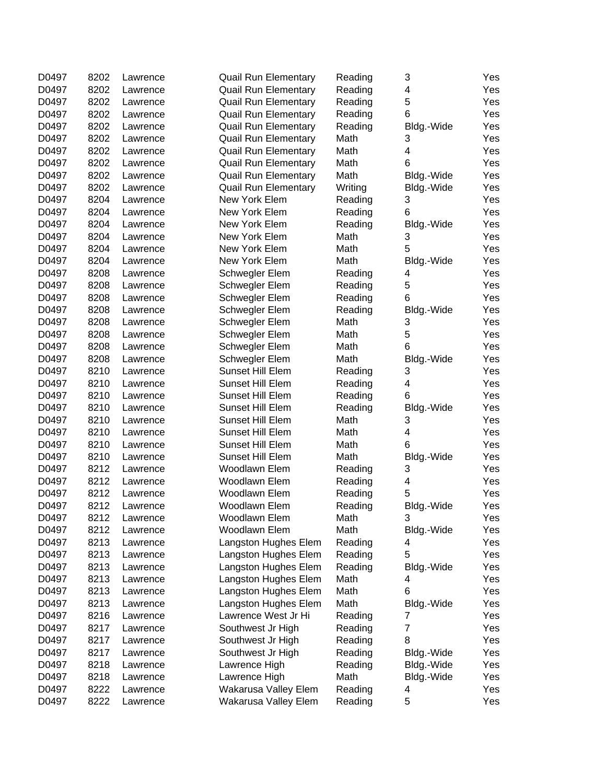| D0497          | 8202 | Lawrence | <b>Quail Run Elementary</b> | Reading | 3               | Yes |
|----------------|------|----------|-----------------------------|---------|-----------------|-----|
| D0497          | 8202 | Lawrence | <b>Quail Run Elementary</b> | Reading | 4               | Yes |
| D0497          | 8202 | Lawrence | <b>Quail Run Elementary</b> | Reading | 5               | Yes |
| D0497          | 8202 | Lawrence | <b>Quail Run Elementary</b> | Reading | 6               | Yes |
| D0497          | 8202 | Lawrence | <b>Quail Run Elementary</b> | Reading | Bldg.-Wide      | Yes |
| D0497          | 8202 | Lawrence | <b>Quail Run Elementary</b> | Math    | 3               | Yes |
| D0497          | 8202 | Lawrence | <b>Quail Run Elementary</b> | Math    | 4               | Yes |
| D0497          | 8202 | Lawrence | <b>Quail Run Elementary</b> | Math    | 6               | Yes |
| D0497          | 8202 | Lawrence | <b>Quail Run Elementary</b> | Math    | Bldg.-Wide      | Yes |
| D0497          | 8202 | Lawrence | <b>Quail Run Elementary</b> | Writing | Bldg.-Wide      | Yes |
| D0497          | 8204 | Lawrence | New York Elem               | Reading | 3               | Yes |
| D0497          | 8204 | Lawrence | New York Elem               | Reading | 6               | Yes |
| D0497          | 8204 | Lawrence | New York Elem               | Reading | Bldg.-Wide      | Yes |
| D0497          | 8204 | Lawrence | New York Elem               | Math    | 3               | Yes |
| D0497          | 8204 | Lawrence | New York Elem               | Math    | 5               | Yes |
| D0497          | 8204 | Lawrence | New York Elem               | Math    | Bldg.-Wide      | Yes |
| D0497          | 8208 | Lawrence | Schwegler Elem              | Reading | 4               | Yes |
| D0497          | 8208 | Lawrence | Schwegler Elem              | Reading | 5               | Yes |
| D0497          | 8208 | Lawrence | Schwegler Elem              | Reading | 6               | Yes |
| D0497          | 8208 | Lawrence | Schwegler Elem              | Reading | Bldg.-Wide      | Yes |
| D0497          | 8208 | Lawrence | Schwegler Elem              | Math    | 3               | Yes |
| D0497          | 8208 | Lawrence | Schwegler Elem              | Math    | 5               | Yes |
| D0497          | 8208 | Lawrence | Schwegler Elem              | Math    | 6               | Yes |
| D0497          | 8208 | Lawrence | Schwegler Elem              | Math    | Bldg.-Wide      | Yes |
| D0497          | 8210 | Lawrence | Sunset Hill Elem            | Reading | 3               | Yes |
| D0497          | 8210 | Lawrence | Sunset Hill Elem            | Reading | 4               | Yes |
| D0497          | 8210 | Lawrence | Sunset Hill Elem            | Reading | 6               | Yes |
| D0497          | 8210 | Lawrence | Sunset Hill Elem            | Reading | Bldg.-Wide      | Yes |
| D0497          | 8210 | Lawrence | Sunset Hill Elem            | Math    | 3               | Yes |
| D0497          | 8210 | Lawrence | Sunset Hill Elem            | Math    | 4               | Yes |
| D0497          | 8210 | Lawrence | Sunset Hill Elem            | Math    | 6               | Yes |
| D0497          | 8210 | Lawrence | Sunset Hill Elem            | Math    | Bldg.-Wide      | Yes |
| D0497          | 8212 | Lawrence | Woodlawn Elem               | Reading | 3               | Yes |
| D0497          | 8212 | Lawrence | Woodlawn Elem               | Reading | 4               | Yes |
| D0497          | 8212 |          | Woodlawn Elem               | Reading | 5               | Yes |
| D0497          | 8212 | Lawrence | Woodlawn Elem               | Reading |                 | Yes |
|                | 8212 | Lawrence | Woodlawn Elem               | Math    | Bldg.-Wide      | Yes |
| D0497<br>D0497 | 8212 | Lawrence | Woodlawn Elem               | Math    | 3<br>Bldg.-Wide | Yes |
| D0497          | 8213 | Lawrence | Langston Hughes Elem        |         |                 |     |
| D0497          | 8213 | Lawrence |                             | Reading | 4<br>5          | Yes |
|                |      | Lawrence | Langston Hughes Elem        | Reading |                 | Yes |
| D0497          | 8213 | Lawrence | Langston Hughes Elem        | Reading | Bldg.-Wide      | Yes |
| D0497          | 8213 | Lawrence | Langston Hughes Elem        | Math    | 4               | Yes |
| D0497          | 8213 | Lawrence | Langston Hughes Elem        | Math    | 6               | Yes |
| D0497          | 8213 | Lawrence | Langston Hughes Elem        | Math    | Bldg.-Wide      | Yes |
| D0497          | 8216 | Lawrence | Lawrence West Jr Hi         | Reading | 7               | Yes |
| D0497          | 8217 | Lawrence | Southwest Jr High           | Reading | 7               | Yes |
| D0497          | 8217 | Lawrence | Southwest Jr High           | Reading | 8               | Yes |
| D0497          | 8217 | Lawrence | Southwest Jr High           | Reading | Bldg.-Wide      | Yes |
| D0497          | 8218 | Lawrence | Lawrence High               | Reading | Bldg.-Wide      | Yes |
| D0497          | 8218 | Lawrence | Lawrence High               | Math    | Bldg.-Wide      | Yes |
| D0497          | 8222 | Lawrence | Wakarusa Valley Elem        | Reading | 4               | Yes |
| D0497          | 8222 | Lawrence | Wakarusa Valley Elem        | Reading | 5               | Yes |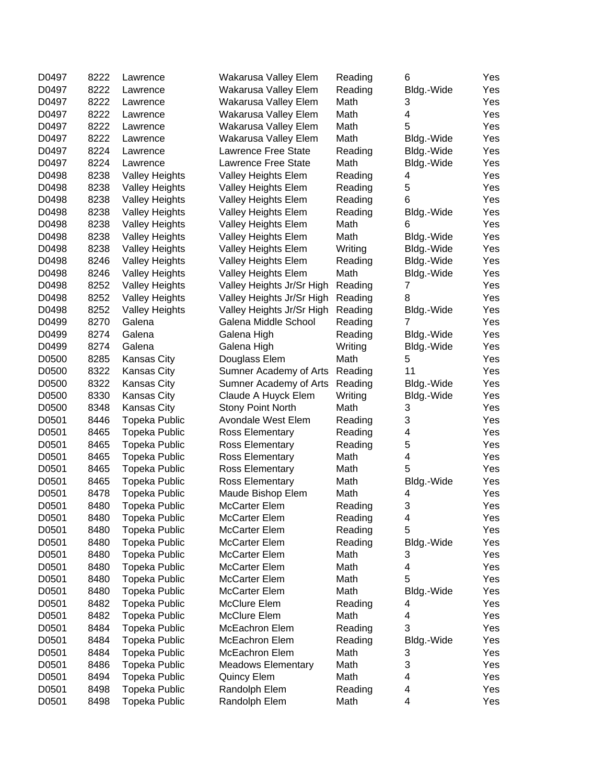| D0497          | 8222 | Lawrence              | Wakarusa Valley Elem      | Reading         | 6               | Yes        |
|----------------|------|-----------------------|---------------------------|-----------------|-----------------|------------|
| D0497          | 8222 | Lawrence              | Wakarusa Valley Elem      | Reading         | Bldg.-Wide      | Yes        |
| D0497          | 8222 | Lawrence              | Wakarusa Valley Elem      | Math            | 3               | Yes        |
| D0497          | 8222 | Lawrence              | Wakarusa Valley Elem      | Math            | 4               | Yes        |
| D0497          | 8222 | Lawrence              | Wakarusa Valley Elem      | Math            | 5               | Yes        |
| D0497          | 8222 | Lawrence              | Wakarusa Valley Elem      | Math            | Bldg.-Wide      | Yes        |
| D0497          | 8224 | Lawrence              | Lawrence Free State       | Reading         | Bldg.-Wide      | Yes        |
| D0497          | 8224 | Lawrence              | Lawrence Free State       | Math            | Bldg.-Wide      | Yes        |
| D0498          | 8238 | <b>Valley Heights</b> | Valley Heights Elem       | Reading         | 4               | Yes        |
| D0498          | 8238 | <b>Valley Heights</b> | Valley Heights Elem       | Reading         | 5               | Yes        |
| D0498          | 8238 | <b>Valley Heights</b> | Valley Heights Elem       | Reading         | 6               | Yes        |
| D0498          | 8238 | <b>Valley Heights</b> | Valley Heights Elem       | Reading         |                 | Yes        |
| D0498          | 8238 |                       |                           | Math            | Bldg.-Wide<br>6 | Yes        |
|                |      | <b>Valley Heights</b> | Valley Heights Elem       |                 |                 |            |
| D0498          | 8238 | <b>Valley Heights</b> | Valley Heights Elem       | Math            | Bldg.-Wide      | Yes        |
| D0498          | 8238 | <b>Valley Heights</b> | Valley Heights Elem       | Writing         | Bldg.-Wide      | Yes        |
| D0498          | 8246 | <b>Valley Heights</b> | Valley Heights Elem       | Reading         | Bldg.-Wide      | Yes        |
| D0498          | 8246 | <b>Valley Heights</b> | Valley Heights Elem       | Math            | Bldg.-Wide      | Yes        |
| D0498          | 8252 | <b>Valley Heights</b> | Valley Heights Jr/Sr High | Reading         | 7               | Yes        |
| D0498          | 8252 | <b>Valley Heights</b> | Valley Heights Jr/Sr High | Reading         | 8               | Yes        |
| D0498          | 8252 | <b>Valley Heights</b> | Valley Heights Jr/Sr High | Reading         | Bldg.-Wide      | Yes        |
| D0499          | 8270 | Galena                | Galena Middle School      | Reading         | 7               | Yes        |
| D0499          | 8274 | Galena                | Galena High               | Reading         | Bldg.-Wide      | Yes        |
| D0499          | 8274 | Galena                | Galena High               | Writing         | Bldg.-Wide      | Yes        |
| D0500          | 8285 | Kansas City           | Douglass Elem             | Math            | 5               | Yes        |
| D0500          | 8322 | Kansas City           | Sumner Academy of Arts    | Reading         | 11              | Yes        |
| D0500          | 8322 | Kansas City           | Sumner Academy of Arts    | Reading         | Bldg.-Wide      | Yes        |
| D0500          | 8330 | Kansas City           | Claude A Huyck Elem       | Writing         | Bldg.-Wide      | Yes        |
| D0500          | 8348 | Kansas City           | <b>Stony Point North</b>  | Math            | 3               | Yes        |
| D0501          | 8446 | <b>Topeka Public</b>  | Avondale West Elem        | Reading         | 3               | Yes        |
| D0501          | 8465 | <b>Topeka Public</b>  | Ross Elementary           | Reading         | 4               | Yes        |
| D0501          | 8465 | <b>Topeka Public</b>  | Ross Elementary           | Reading         | 5               | Yes        |
| D0501          | 8465 | <b>Topeka Public</b>  | Ross Elementary           | Math            | 4               | Yes        |
| D0501          | 8465 | <b>Topeka Public</b>  | Ross Elementary           | Math            | 5               | Yes        |
| D0501          | 8465 | <b>Topeka Public</b>  | Ross Elementary           | Math            | Bldg.-Wide      | Yes        |
| D0501          | 8478 | <b>Topeka Public</b>  | Maude Bishop Elem         | Math            | 4               | Yes        |
| D0501          | 8480 | <b>Topeka Public</b>  | McCarter Elem             | Reading         | 3               | Yes        |
| D0501          | 8480 | <b>Topeka Public</b>  | <b>McCarter Elem</b>      | Reading         | 4               | Yes        |
| D0501          | 8480 | <b>Topeka Public</b>  | <b>McCarter Elem</b>      | Reading         | 5               | Yes        |
| D0501          | 8480 | <b>Topeka Public</b>  | <b>McCarter Elem</b>      | Reading         | Bldg.-Wide      | Yes        |
| D0501          | 8480 | <b>Topeka Public</b>  | <b>McCarter Elem</b>      | Math            | 3               | Yes        |
| D0501          | 8480 | Topeka Public         | McCarter Elem             | Math            | 4               | Yes        |
| D0501          | 8480 | <b>Topeka Public</b>  | McCarter Elem             | Math            | 5               | Yes        |
| D0501          | 8480 | Topeka Public         | McCarter Elem             | Math            | Bldg.-Wide      | Yes        |
| D0501          | 8482 | <b>Topeka Public</b>  | McClure Elem              | Reading         | 4               | Yes        |
| D0501          | 8482 | <b>Topeka Public</b>  | McClure Elem              | Math            | 4               | Yes        |
| D0501          | 8484 | <b>Topeka Public</b>  | McEachron Elem            | Reading         | 3               | Yes        |
| D0501          | 8484 | <b>Topeka Public</b>  | McEachron Elem            | Reading         | Bldg.-Wide      | Yes        |
| D0501          | 8484 | <b>Topeka Public</b>  | McEachron Elem            | Math            | 3               | Yes        |
| D0501          | 8486 | <b>Topeka Public</b>  | <b>Meadows Elementary</b> | Math            | 3               | Yes        |
| D0501          | 8494 | <b>Topeka Public</b>  | <b>Quincy Elem</b>        | Math            | 4               | Yes        |
|                | 8498 |                       |                           |                 | 4               |            |
| D0501<br>D0501 | 8498 | <b>Topeka Public</b>  | Randolph Elem             | Reading<br>Math | 4               | Yes<br>Yes |
|                |      | <b>Topeka Public</b>  | Randolph Elem             |                 |                 |            |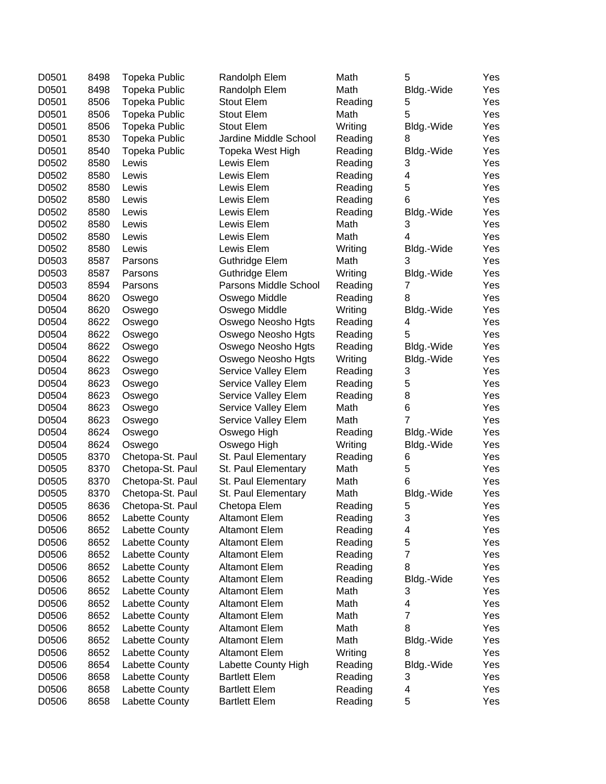| D0501 | 8498 | <b>Topeka Public</b> | Randolph Elem         | Math    | 5              | Yes |
|-------|------|----------------------|-----------------------|---------|----------------|-----|
| D0501 | 8498 | <b>Topeka Public</b> | Randolph Elem         | Math    | Bldg.-Wide     | Yes |
| D0501 | 8506 | <b>Topeka Public</b> | <b>Stout Elem</b>     | Reading | 5              | Yes |
| D0501 | 8506 | <b>Topeka Public</b> | Stout Elem            | Math    | 5              | Yes |
| D0501 | 8506 | <b>Topeka Public</b> | <b>Stout Elem</b>     | Writing | Bldg.-Wide     | Yes |
| D0501 | 8530 | <b>Topeka Public</b> | Jardine Middle School | Reading | 8              | Yes |
| D0501 | 8540 | <b>Topeka Public</b> | Topeka West High      | Reading | Bldg.-Wide     | Yes |
| D0502 | 8580 | Lewis                | Lewis Elem            | Reading | 3              | Yes |
| D0502 | 8580 | Lewis                | Lewis Elem            | Reading | 4              | Yes |
| D0502 | 8580 | Lewis                | Lewis Elem            | Reading | 5              | Yes |
| D0502 | 8580 | Lewis                | Lewis Elem            | Reading | 6              | Yes |
| D0502 | 8580 | Lewis                | Lewis Elem            | Reading | Bldg.-Wide     | Yes |
| D0502 | 8580 | Lewis                | Lewis Elem            | Math    | 3              | Yes |
| D0502 | 8580 | Lewis                | Lewis Elem            | Math    | $\overline{4}$ | Yes |
| D0502 | 8580 | Lewis                | Lewis Elem            | Writing | Bldg.-Wide     | Yes |
| D0503 | 8587 | Parsons              | Guthridge Elem        | Math    | 3              | Yes |
| D0503 | 8587 | Parsons              | Guthridge Elem        | Writing | Bldg.-Wide     | Yes |
| D0503 | 8594 | Parsons              | Parsons Middle School | Reading | 7              | Yes |
| D0504 | 8620 | Oswego               | Oswego Middle         | Reading | 8              | Yes |
| D0504 | 8620 | Oswego               | Oswego Middle         | Writing | Bldg.-Wide     | Yes |
| D0504 | 8622 | Oswego               | Oswego Neosho Hgts    | Reading | 4              | Yes |
| D0504 | 8622 | Oswego               | Oswego Neosho Hgts    | Reading | 5              | Yes |
| D0504 | 8622 | Oswego               | Oswego Neosho Hgts    | Reading | Bldg.-Wide     | Yes |
| D0504 | 8622 | Oswego               | Oswego Neosho Hgts    | Writing | Bldg.-Wide     | Yes |
| D0504 | 8623 | Oswego               | Service Valley Elem   | Reading | 3              | Yes |
| D0504 | 8623 | Oswego               | Service Valley Elem   | Reading | 5              | Yes |
| D0504 | 8623 | Oswego               | Service Valley Elem   | Reading | 8              | Yes |
| D0504 | 8623 | Oswego               | Service Valley Elem   | Math    | 6              | Yes |
| D0504 | 8623 | Oswego               | Service Valley Elem   | Math    | 7              | Yes |
| D0504 | 8624 | Oswego               | Oswego High           | Reading | Bldg.-Wide     | Yes |
| D0504 | 8624 | Oswego               | Oswego High           | Writing | Bldg.-Wide     | Yes |
| D0505 | 8370 | Chetopa-St. Paul     | St. Paul Elementary   | Reading | 6              | Yes |
| D0505 | 8370 | Chetopa-St. Paul     | St. Paul Elementary   | Math    | 5              | Yes |
| D0505 | 8370 | Chetopa-St. Paul     | St. Paul Elementary   | Math    | 6              | Yes |
| D0505 | 8370 | Chetopa-St. Paul     | St. Paul Elementary   | Math    | Bldg.-Wide     | Yes |
| D0505 | 8636 | Chetopa-St. Paul     | Chetopa Elem          | Reading | 5              | Yes |
| D0506 | 8652 | Labette County       | <b>Altamont Elem</b>  | Reading | 3              | Yes |
| D0506 | 8652 | Labette County       | <b>Altamont Elem</b>  | Reading | 4              | Yes |
| D0506 | 8652 | Labette County       | <b>Altamont Elem</b>  | Reading | 5              | Yes |
| D0506 | 8652 | Labette County       | <b>Altamont Elem</b>  | Reading | 7              | Yes |
| D0506 | 8652 | Labette County       | <b>Altamont Elem</b>  | Reading | 8              | Yes |
| D0506 | 8652 | Labette County       | <b>Altamont Elem</b>  | Reading | Bldg.-Wide     | Yes |
| D0506 | 8652 | Labette County       | <b>Altamont Elem</b>  | Math    | 3              | Yes |
| D0506 | 8652 | Labette County       | <b>Altamont Elem</b>  | Math    | 4              | Yes |
| D0506 | 8652 | Labette County       | <b>Altamont Elem</b>  | Math    | 7              | Yes |
| D0506 | 8652 | Labette County       | <b>Altamont Elem</b>  | Math    | 8              | Yes |
| D0506 | 8652 | Labette County       | <b>Altamont Elem</b>  | Math    | Bldg.-Wide     | Yes |
| D0506 | 8652 | Labette County       | <b>Altamont Elem</b>  | Writing | 8              | Yes |
| D0506 | 8654 | Labette County       | Labette County High   | Reading | Bldg.-Wide     | Yes |
| D0506 | 8658 | Labette County       | <b>Bartlett Elem</b>  | Reading | 3              | Yes |
| D0506 | 8658 | Labette County       | <b>Bartlett Elem</b>  | Reading | 4              | Yes |
| D0506 | 8658 | Labette County       | <b>Bartlett Elem</b>  | Reading | 5              | Yes |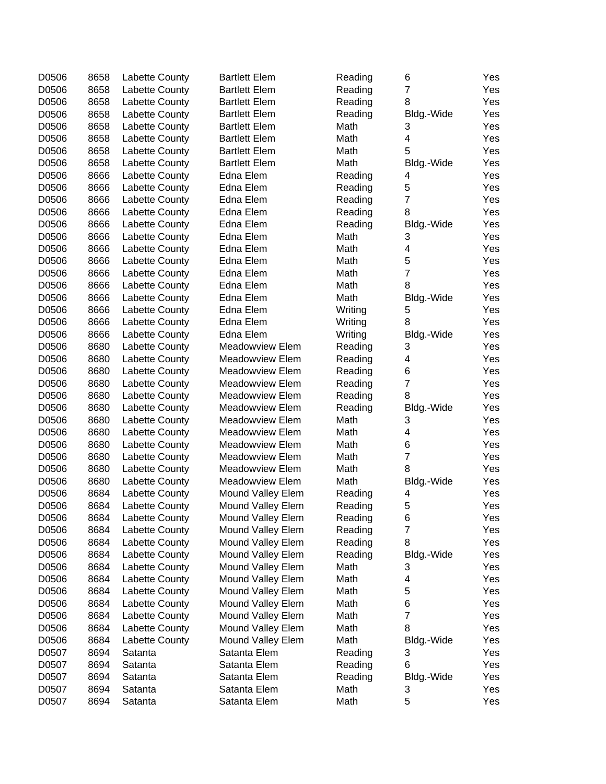| D0506 | 8658 | Labette County | <b>Bartlett Elem</b>   | Reading | 6                       | Yes |
|-------|------|----------------|------------------------|---------|-------------------------|-----|
| D0506 | 8658 | Labette County | <b>Bartlett Elem</b>   | Reading | $\overline{7}$          | Yes |
| D0506 | 8658 | Labette County | <b>Bartlett Elem</b>   | Reading | 8                       | Yes |
| D0506 | 8658 | Labette County | <b>Bartlett Elem</b>   | Reading | Bldg.-Wide              | Yes |
| D0506 | 8658 | Labette County | <b>Bartlett Elem</b>   | Math    | 3                       | Yes |
| D0506 | 8658 | Labette County | <b>Bartlett Elem</b>   | Math    | 4                       | Yes |
| D0506 | 8658 | Labette County | <b>Bartlett Elem</b>   | Math    | 5                       | Yes |
| D0506 | 8658 | Labette County | <b>Bartlett Elem</b>   | Math    | Bldg.-Wide              | Yes |
| D0506 | 8666 | Labette County | <b>Edna Elem</b>       | Reading | 4                       | Yes |
| D0506 | 8666 | Labette County | Edna Elem              | Reading | 5                       | Yes |
| D0506 | 8666 | Labette County | Edna Elem              | Reading | $\overline{7}$          | Yes |
| D0506 | 8666 | Labette County | Edna Elem              | Reading | 8                       | Yes |
| D0506 | 8666 | Labette County | Edna Elem              | Reading | Bldg.-Wide              | Yes |
| D0506 | 8666 | Labette County | Edna Elem              | Math    | 3                       | Yes |
| D0506 | 8666 | Labette County | Edna Elem              | Math    | $\overline{\mathbf{4}}$ | Yes |
| D0506 | 8666 | Labette County | Edna Elem              | Math    | 5                       | Yes |
| D0506 | 8666 | Labette County | Edna Elem              | Math    | $\overline{7}$          | Yes |
| D0506 | 8666 | Labette County | Edna Elem              | Math    | 8                       | Yes |
| D0506 | 8666 | Labette County | Edna Elem              | Math    | Bldg.-Wide              | Yes |
| D0506 | 8666 | Labette County | Edna Elem              | Writing | 5                       | Yes |
| D0506 | 8666 | Labette County | Edna Elem              | Writing | 8                       | Yes |
| D0506 | 8666 | Labette County | Edna Elem              | Writing | Bldg.-Wide              | Yes |
| D0506 | 8680 | Labette County | Meadowview Elem        | Reading | 3                       | Yes |
| D0506 | 8680 | Labette County | Meadowview Elem        | Reading | 4                       | Yes |
| D0506 | 8680 | Labette County | Meadowview Elem        | Reading | 6                       | Yes |
| D0506 | 8680 | Labette County | Meadowview Elem        | Reading | $\overline{7}$          | Yes |
| D0506 | 8680 | Labette County | Meadowview Elem        | Reading | 8                       | Yes |
| D0506 | 8680 | Labette County | Meadowview Elem        | Reading | Bldg.-Wide              | Yes |
| D0506 | 8680 | Labette County | Meadowview Elem        | Math    | 3                       | Yes |
| D0506 | 8680 | Labette County | Meadowview Elem        | Math    | 4                       | Yes |
| D0506 | 8680 | Labette County | Meadowview Elem        | Math    | 6                       | Yes |
| D0506 | 8680 | Labette County | Meadowview Elem        | Math    | $\overline{7}$          | Yes |
| D0506 | 8680 | Labette County | <b>Meadowview Elem</b> | Math    | 8                       | Yes |
| D0506 | 8680 | Labette County | Meadowview Elem        | Math    | Bldg.-Wide              | Yes |
| D0506 | 8684 | Labette County | Mound Valley Elem      | Reading | 4                       | Yes |
| D0506 | 8684 | Labette County | Mound Valley Elem      | Reading | 5                       | Yes |
| D0506 | 8684 | Labette County | Mound Valley Elem      | Reading | 6                       | Yes |
| D0506 | 8684 | Labette County | Mound Valley Elem      | Reading | $\overline{7}$          | Yes |
| D0506 | 8684 | Labette County | Mound Valley Elem      | Reading | 8                       | Yes |
| D0506 | 8684 | Labette County | Mound Valley Elem      | Reading | Bldg.-Wide              | Yes |
| D0506 | 8684 | Labette County | Mound Valley Elem      | Math    | 3                       | Yes |
| D0506 | 8684 | Labette County | Mound Valley Elem      | Math    | 4                       | Yes |
| D0506 | 8684 | Labette County | Mound Valley Elem      | Math    | 5                       | Yes |
| D0506 | 8684 | Labette County | Mound Valley Elem      | Math    | 6                       | Yes |
| D0506 | 8684 | Labette County | Mound Valley Elem      | Math    | $\overline{7}$          | Yes |
| D0506 | 8684 | Labette County | Mound Valley Elem      | Math    | 8                       | Yes |
| D0506 | 8684 | Labette County | Mound Valley Elem      | Math    | Bldg.-Wide              | Yes |
| D0507 | 8694 | Satanta        | Satanta Elem           | Reading | 3                       | Yes |
| D0507 | 8694 | Satanta        | Satanta Elem           | Reading | 6                       | Yes |
| D0507 | 8694 | Satanta        | Satanta Elem           | Reading | Bldg.-Wide              | Yes |
| D0507 | 8694 | Satanta        | Satanta Elem           | Math    | 3                       | Yes |
| D0507 | 8694 | Satanta        | Satanta Elem           | Math    | 5                       | Yes |
|       |      |                |                        |         |                         |     |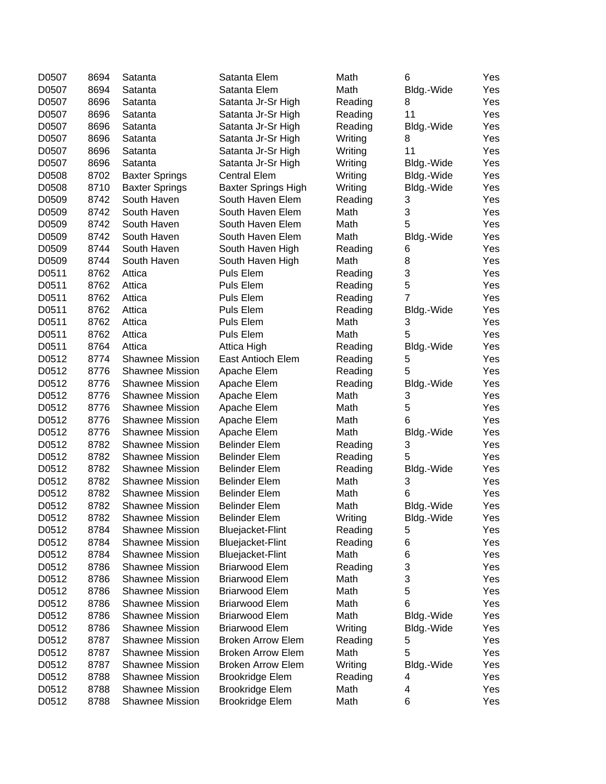| D0507 | 8694                                                                                                                                                                                                                                                                                                                                                                                                                                                           |                                                                                                                                                                                                                                                                                                                                                                                                                      | Satanta Elem                                                                                                                                                                                                                                                                                                                                                                                                                                                                                                                                                                                                                                                                                                                                                                                                                                                                                                                                                                                                                                     | Math                                                                                                                                                                                                                                                                                                                                                                                                                                                                                                                                                                                                                                                                                                                                                                                                                                                                                                                                                                                                                                                                      | 6                                                                                                                                                                                                                                                                                                                                                                                                                                                                                                   | Yes                                                                                                                                                                                                                                                                                                                                                                                                                                                 |
|-------|----------------------------------------------------------------------------------------------------------------------------------------------------------------------------------------------------------------------------------------------------------------------------------------------------------------------------------------------------------------------------------------------------------------------------------------------------------------|----------------------------------------------------------------------------------------------------------------------------------------------------------------------------------------------------------------------------------------------------------------------------------------------------------------------------------------------------------------------------------------------------------------------|--------------------------------------------------------------------------------------------------------------------------------------------------------------------------------------------------------------------------------------------------------------------------------------------------------------------------------------------------------------------------------------------------------------------------------------------------------------------------------------------------------------------------------------------------------------------------------------------------------------------------------------------------------------------------------------------------------------------------------------------------------------------------------------------------------------------------------------------------------------------------------------------------------------------------------------------------------------------------------------------------------------------------------------------------|---------------------------------------------------------------------------------------------------------------------------------------------------------------------------------------------------------------------------------------------------------------------------------------------------------------------------------------------------------------------------------------------------------------------------------------------------------------------------------------------------------------------------------------------------------------------------------------------------------------------------------------------------------------------------------------------------------------------------------------------------------------------------------------------------------------------------------------------------------------------------------------------------------------------------------------------------------------------------------------------------------------------------------------------------------------------------|-----------------------------------------------------------------------------------------------------------------------------------------------------------------------------------------------------------------------------------------------------------------------------------------------------------------------------------------------------------------------------------------------------------------------------------------------------------------------------------------------------|-----------------------------------------------------------------------------------------------------------------------------------------------------------------------------------------------------------------------------------------------------------------------------------------------------------------------------------------------------------------------------------------------------------------------------------------------------|
| D0507 |                                                                                                                                                                                                                                                                                                                                                                                                                                                                |                                                                                                                                                                                                                                                                                                                                                                                                                      | Satanta Elem                                                                                                                                                                                                                                                                                                                                                                                                                                                                                                                                                                                                                                                                                                                                                                                                                                                                                                                                                                                                                                     |                                                                                                                                                                                                                                                                                                                                                                                                                                                                                                                                                                                                                                                                                                                                                                                                                                                                                                                                                                                                                                                                           |                                                                                                                                                                                                                                                                                                                                                                                                                                                                                                     | Yes                                                                                                                                                                                                                                                                                                                                                                                                                                                 |
|       |                                                                                                                                                                                                                                                                                                                                                                                                                                                                |                                                                                                                                                                                                                                                                                                                                                                                                                      |                                                                                                                                                                                                                                                                                                                                                                                                                                                                                                                                                                                                                                                                                                                                                                                                                                                                                                                                                                                                                                                  |                                                                                                                                                                                                                                                                                                                                                                                                                                                                                                                                                                                                                                                                                                                                                                                                                                                                                                                                                                                                                                                                           | 8                                                                                                                                                                                                                                                                                                                                                                                                                                                                                                   | Yes                                                                                                                                                                                                                                                                                                                                                                                                                                                 |
|       |                                                                                                                                                                                                                                                                                                                                                                                                                                                                |                                                                                                                                                                                                                                                                                                                                                                                                                      |                                                                                                                                                                                                                                                                                                                                                                                                                                                                                                                                                                                                                                                                                                                                                                                                                                                                                                                                                                                                                                                  |                                                                                                                                                                                                                                                                                                                                                                                                                                                                                                                                                                                                                                                                                                                                                                                                                                                                                                                                                                                                                                                                           |                                                                                                                                                                                                                                                                                                                                                                                                                                                                                                     | Yes                                                                                                                                                                                                                                                                                                                                                                                                                                                 |
|       |                                                                                                                                                                                                                                                                                                                                                                                                                                                                |                                                                                                                                                                                                                                                                                                                                                                                                                      |                                                                                                                                                                                                                                                                                                                                                                                                                                                                                                                                                                                                                                                                                                                                                                                                                                                                                                                                                                                                                                                  |                                                                                                                                                                                                                                                                                                                                                                                                                                                                                                                                                                                                                                                                                                                                                                                                                                                                                                                                                                                                                                                                           |                                                                                                                                                                                                                                                                                                                                                                                                                                                                                                     | Yes                                                                                                                                                                                                                                                                                                                                                                                                                                                 |
|       |                                                                                                                                                                                                                                                                                                                                                                                                                                                                |                                                                                                                                                                                                                                                                                                                                                                                                                      |                                                                                                                                                                                                                                                                                                                                                                                                                                                                                                                                                                                                                                                                                                                                                                                                                                                                                                                                                                                                                                                  |                                                                                                                                                                                                                                                                                                                                                                                                                                                                                                                                                                                                                                                                                                                                                                                                                                                                                                                                                                                                                                                                           | 8                                                                                                                                                                                                                                                                                                                                                                                                                                                                                                   | Yes                                                                                                                                                                                                                                                                                                                                                                                                                                                 |
|       |                                                                                                                                                                                                                                                                                                                                                                                                                                                                |                                                                                                                                                                                                                                                                                                                                                                                                                      |                                                                                                                                                                                                                                                                                                                                                                                                                                                                                                                                                                                                                                                                                                                                                                                                                                                                                                                                                                                                                                                  |                                                                                                                                                                                                                                                                                                                                                                                                                                                                                                                                                                                                                                                                                                                                                                                                                                                                                                                                                                                                                                                                           |                                                                                                                                                                                                                                                                                                                                                                                                                                                                                                     | Yes                                                                                                                                                                                                                                                                                                                                                                                                                                                 |
|       |                                                                                                                                                                                                                                                                                                                                                                                                                                                                |                                                                                                                                                                                                                                                                                                                                                                                                                      |                                                                                                                                                                                                                                                                                                                                                                                                                                                                                                                                                                                                                                                                                                                                                                                                                                                                                                                                                                                                                                                  |                                                                                                                                                                                                                                                                                                                                                                                                                                                                                                                                                                                                                                                                                                                                                                                                                                                                                                                                                                                                                                                                           |                                                                                                                                                                                                                                                                                                                                                                                                                                                                                                     | Yes                                                                                                                                                                                                                                                                                                                                                                                                                                                 |
|       |                                                                                                                                                                                                                                                                                                                                                                                                                                                                |                                                                                                                                                                                                                                                                                                                                                                                                                      |                                                                                                                                                                                                                                                                                                                                                                                                                                                                                                                                                                                                                                                                                                                                                                                                                                                                                                                                                                                                                                                  |                                                                                                                                                                                                                                                                                                                                                                                                                                                                                                                                                                                                                                                                                                                                                                                                                                                                                                                                                                                                                                                                           |                                                                                                                                                                                                                                                                                                                                                                                                                                                                                                     | Yes                                                                                                                                                                                                                                                                                                                                                                                                                                                 |
|       |                                                                                                                                                                                                                                                                                                                                                                                                                                                                |                                                                                                                                                                                                                                                                                                                                                                                                                      |                                                                                                                                                                                                                                                                                                                                                                                                                                                                                                                                                                                                                                                                                                                                                                                                                                                                                                                                                                                                                                                  |                                                                                                                                                                                                                                                                                                                                                                                                                                                                                                                                                                                                                                                                                                                                                                                                                                                                                                                                                                                                                                                                           |                                                                                                                                                                                                                                                                                                                                                                                                                                                                                                     | Yes                                                                                                                                                                                                                                                                                                                                                                                                                                                 |
|       |                                                                                                                                                                                                                                                                                                                                                                                                                                                                |                                                                                                                                                                                                                                                                                                                                                                                                                      |                                                                                                                                                                                                                                                                                                                                                                                                                                                                                                                                                                                                                                                                                                                                                                                                                                                                                                                                                                                                                                                  |                                                                                                                                                                                                                                                                                                                                                                                                                                                                                                                                                                                                                                                                                                                                                                                                                                                                                                                                                                                                                                                                           |                                                                                                                                                                                                                                                                                                                                                                                                                                                                                                     | Yes                                                                                                                                                                                                                                                                                                                                                                                                                                                 |
|       |                                                                                                                                                                                                                                                                                                                                                                                                                                                                |                                                                                                                                                                                                                                                                                                                                                                                                                      |                                                                                                                                                                                                                                                                                                                                                                                                                                                                                                                                                                                                                                                                                                                                                                                                                                                                                                                                                                                                                                                  |                                                                                                                                                                                                                                                                                                                                                                                                                                                                                                                                                                                                                                                                                                                                                                                                                                                                                                                                                                                                                                                                           |                                                                                                                                                                                                                                                                                                                                                                                                                                                                                                     | Yes                                                                                                                                                                                                                                                                                                                                                                                                                                                 |
|       |                                                                                                                                                                                                                                                                                                                                                                                                                                                                |                                                                                                                                                                                                                                                                                                                                                                                                                      |                                                                                                                                                                                                                                                                                                                                                                                                                                                                                                                                                                                                                                                                                                                                                                                                                                                                                                                                                                                                                                                  |                                                                                                                                                                                                                                                                                                                                                                                                                                                                                                                                                                                                                                                                                                                                                                                                                                                                                                                                                                                                                                                                           | 5                                                                                                                                                                                                                                                                                                                                                                                                                                                                                                   | Yes                                                                                                                                                                                                                                                                                                                                                                                                                                                 |
|       |                                                                                                                                                                                                                                                                                                                                                                                                                                                                |                                                                                                                                                                                                                                                                                                                                                                                                                      |                                                                                                                                                                                                                                                                                                                                                                                                                                                                                                                                                                                                                                                                                                                                                                                                                                                                                                                                                                                                                                                  |                                                                                                                                                                                                                                                                                                                                                                                                                                                                                                                                                                                                                                                                                                                                                                                                                                                                                                                                                                                                                                                                           |                                                                                                                                                                                                                                                                                                                                                                                                                                                                                                     | Yes                                                                                                                                                                                                                                                                                                                                                                                                                                                 |
|       |                                                                                                                                                                                                                                                                                                                                                                                                                                                                |                                                                                                                                                                                                                                                                                                                                                                                                                      |                                                                                                                                                                                                                                                                                                                                                                                                                                                                                                                                                                                                                                                                                                                                                                                                                                                                                                                                                                                                                                                  |                                                                                                                                                                                                                                                                                                                                                                                                                                                                                                                                                                                                                                                                                                                                                                                                                                                                                                                                                                                                                                                                           |                                                                                                                                                                                                                                                                                                                                                                                                                                                                                                     | Yes                                                                                                                                                                                                                                                                                                                                                                                                                                                 |
|       |                                                                                                                                                                                                                                                                                                                                                                                                                                                                |                                                                                                                                                                                                                                                                                                                                                                                                                      |                                                                                                                                                                                                                                                                                                                                                                                                                                                                                                                                                                                                                                                                                                                                                                                                                                                                                                                                                                                                                                                  |                                                                                                                                                                                                                                                                                                                                                                                                                                                                                                                                                                                                                                                                                                                                                                                                                                                                                                                                                                                                                                                                           |                                                                                                                                                                                                                                                                                                                                                                                                                                                                                                     | Yes                                                                                                                                                                                                                                                                                                                                                                                                                                                 |
|       |                                                                                                                                                                                                                                                                                                                                                                                                                                                                |                                                                                                                                                                                                                                                                                                                                                                                                                      |                                                                                                                                                                                                                                                                                                                                                                                                                                                                                                                                                                                                                                                                                                                                                                                                                                                                                                                                                                                                                                                  |                                                                                                                                                                                                                                                                                                                                                                                                                                                                                                                                                                                                                                                                                                                                                                                                                                                                                                                                                                                                                                                                           |                                                                                                                                                                                                                                                                                                                                                                                                                                                                                                     | Yes                                                                                                                                                                                                                                                                                                                                                                                                                                                 |
|       |                                                                                                                                                                                                                                                                                                                                                                                                                                                                |                                                                                                                                                                                                                                                                                                                                                                                                                      |                                                                                                                                                                                                                                                                                                                                                                                                                                                                                                                                                                                                                                                                                                                                                                                                                                                                                                                                                                                                                                                  |                                                                                                                                                                                                                                                                                                                                                                                                                                                                                                                                                                                                                                                                                                                                                                                                                                                                                                                                                                                                                                                                           |                                                                                                                                                                                                                                                                                                                                                                                                                                                                                                     | Yes                                                                                                                                                                                                                                                                                                                                                                                                                                                 |
|       |                                                                                                                                                                                                                                                                                                                                                                                                                                                                |                                                                                                                                                                                                                                                                                                                                                                                                                      |                                                                                                                                                                                                                                                                                                                                                                                                                                                                                                                                                                                                                                                                                                                                                                                                                                                                                                                                                                                                                                                  |                                                                                                                                                                                                                                                                                                                                                                                                                                                                                                                                                                                                                                                                                                                                                                                                                                                                                                                                                                                                                                                                           |                                                                                                                                                                                                                                                                                                                                                                                                                                                                                                     | Yes                                                                                                                                                                                                                                                                                                                                                                                                                                                 |
|       |                                                                                                                                                                                                                                                                                                                                                                                                                                                                |                                                                                                                                                                                                                                                                                                                                                                                                                      |                                                                                                                                                                                                                                                                                                                                                                                                                                                                                                                                                                                                                                                                                                                                                                                                                                                                                                                                                                                                                                                  |                                                                                                                                                                                                                                                                                                                                                                                                                                                                                                                                                                                                                                                                                                                                                                                                                                                                                                                                                                                                                                                                           |                                                                                                                                                                                                                                                                                                                                                                                                                                                                                                     | Yes                                                                                                                                                                                                                                                                                                                                                                                                                                                 |
|       |                                                                                                                                                                                                                                                                                                                                                                                                                                                                |                                                                                                                                                                                                                                                                                                                                                                                                                      |                                                                                                                                                                                                                                                                                                                                                                                                                                                                                                                                                                                                                                                                                                                                                                                                                                                                                                                                                                                                                                                  |                                                                                                                                                                                                                                                                                                                                                                                                                                                                                                                                                                                                                                                                                                                                                                                                                                                                                                                                                                                                                                                                           |                                                                                                                                                                                                                                                                                                                                                                                                                                                                                                     | Yes                                                                                                                                                                                                                                                                                                                                                                                                                                                 |
|       |                                                                                                                                                                                                                                                                                                                                                                                                                                                                |                                                                                                                                                                                                                                                                                                                                                                                                                      |                                                                                                                                                                                                                                                                                                                                                                                                                                                                                                                                                                                                                                                                                                                                                                                                                                                                                                                                                                                                                                                  |                                                                                                                                                                                                                                                                                                                                                                                                                                                                                                                                                                                                                                                                                                                                                                                                                                                                                                                                                                                                                                                                           |                                                                                                                                                                                                                                                                                                                                                                                                                                                                                                     | Yes                                                                                                                                                                                                                                                                                                                                                                                                                                                 |
|       |                                                                                                                                                                                                                                                                                                                                                                                                                                                                |                                                                                                                                                                                                                                                                                                                                                                                                                      |                                                                                                                                                                                                                                                                                                                                                                                                                                                                                                                                                                                                                                                                                                                                                                                                                                                                                                                                                                                                                                                  |                                                                                                                                                                                                                                                                                                                                                                                                                                                                                                                                                                                                                                                                                                                                                                                                                                                                                                                                                                                                                                                                           |                                                                                                                                                                                                                                                                                                                                                                                                                                                                                                     | Yes                                                                                                                                                                                                                                                                                                                                                                                                                                                 |
|       |                                                                                                                                                                                                                                                                                                                                                                                                                                                                |                                                                                                                                                                                                                                                                                                                                                                                                                      |                                                                                                                                                                                                                                                                                                                                                                                                                                                                                                                                                                                                                                                                                                                                                                                                                                                                                                                                                                                                                                                  |                                                                                                                                                                                                                                                                                                                                                                                                                                                                                                                                                                                                                                                                                                                                                                                                                                                                                                                                                                                                                                                                           |                                                                                                                                                                                                                                                                                                                                                                                                                                                                                                     | Yes                                                                                                                                                                                                                                                                                                                                                                                                                                                 |
|       |                                                                                                                                                                                                                                                                                                                                                                                                                                                                |                                                                                                                                                                                                                                                                                                                                                                                                                      |                                                                                                                                                                                                                                                                                                                                                                                                                                                                                                                                                                                                                                                                                                                                                                                                                                                                                                                                                                                                                                                  |                                                                                                                                                                                                                                                                                                                                                                                                                                                                                                                                                                                                                                                                                                                                                                                                                                                                                                                                                                                                                                                                           |                                                                                                                                                                                                                                                                                                                                                                                                                                                                                                     | Yes                                                                                                                                                                                                                                                                                                                                                                                                                                                 |
|       |                                                                                                                                                                                                                                                                                                                                                                                                                                                                |                                                                                                                                                                                                                                                                                                                                                                                                                      |                                                                                                                                                                                                                                                                                                                                                                                                                                                                                                                                                                                                                                                                                                                                                                                                                                                                                                                                                                                                                                                  |                                                                                                                                                                                                                                                                                                                                                                                                                                                                                                                                                                                                                                                                                                                                                                                                                                                                                                                                                                                                                                                                           |                                                                                                                                                                                                                                                                                                                                                                                                                                                                                                     | Yes                                                                                                                                                                                                                                                                                                                                                                                                                                                 |
|       |                                                                                                                                                                                                                                                                                                                                                                                                                                                                |                                                                                                                                                                                                                                                                                                                                                                                                                      |                                                                                                                                                                                                                                                                                                                                                                                                                                                                                                                                                                                                                                                                                                                                                                                                                                                                                                                                                                                                                                                  |                                                                                                                                                                                                                                                                                                                                                                                                                                                                                                                                                                                                                                                                                                                                                                                                                                                                                                                                                                                                                                                                           |                                                                                                                                                                                                                                                                                                                                                                                                                                                                                                     | Yes                                                                                                                                                                                                                                                                                                                                                                                                                                                 |
|       |                                                                                                                                                                                                                                                                                                                                                                                                                                                                |                                                                                                                                                                                                                                                                                                                                                                                                                      |                                                                                                                                                                                                                                                                                                                                                                                                                                                                                                                                                                                                                                                                                                                                                                                                                                                                                                                                                                                                                                                  |                                                                                                                                                                                                                                                                                                                                                                                                                                                                                                                                                                                                                                                                                                                                                                                                                                                                                                                                                                                                                                                                           |                                                                                                                                                                                                                                                                                                                                                                                                                                                                                                     | Yes                                                                                                                                                                                                                                                                                                                                                                                                                                                 |
|       |                                                                                                                                                                                                                                                                                                                                                                                                                                                                |                                                                                                                                                                                                                                                                                                                                                                                                                      |                                                                                                                                                                                                                                                                                                                                                                                                                                                                                                                                                                                                                                                                                                                                                                                                                                                                                                                                                                                                                                                  |                                                                                                                                                                                                                                                                                                                                                                                                                                                                                                                                                                                                                                                                                                                                                                                                                                                                                                                                                                                                                                                                           |                                                                                                                                                                                                                                                                                                                                                                                                                                                                                                     | Yes                                                                                                                                                                                                                                                                                                                                                                                                                                                 |
|       |                                                                                                                                                                                                                                                                                                                                                                                                                                                                |                                                                                                                                                                                                                                                                                                                                                                                                                      |                                                                                                                                                                                                                                                                                                                                                                                                                                                                                                                                                                                                                                                                                                                                                                                                                                                                                                                                                                                                                                                  |                                                                                                                                                                                                                                                                                                                                                                                                                                                                                                                                                                                                                                                                                                                                                                                                                                                                                                                                                                                                                                                                           |                                                                                                                                                                                                                                                                                                                                                                                                                                                                                                     | Yes                                                                                                                                                                                                                                                                                                                                                                                                                                                 |
|       |                                                                                                                                                                                                                                                                                                                                                                                                                                                                |                                                                                                                                                                                                                                                                                                                                                                                                                      |                                                                                                                                                                                                                                                                                                                                                                                                                                                                                                                                                                                                                                                                                                                                                                                                                                                                                                                                                                                                                                                  |                                                                                                                                                                                                                                                                                                                                                                                                                                                                                                                                                                                                                                                                                                                                                                                                                                                                                                                                                                                                                                                                           |                                                                                                                                                                                                                                                                                                                                                                                                                                                                                                     | Yes                                                                                                                                                                                                                                                                                                                                                                                                                                                 |
|       |                                                                                                                                                                                                                                                                                                                                                                                                                                                                |                                                                                                                                                                                                                                                                                                                                                                                                                      |                                                                                                                                                                                                                                                                                                                                                                                                                                                                                                                                                                                                                                                                                                                                                                                                                                                                                                                                                                                                                                                  |                                                                                                                                                                                                                                                                                                                                                                                                                                                                                                                                                                                                                                                                                                                                                                                                                                                                                                                                                                                                                                                                           |                                                                                                                                                                                                                                                                                                                                                                                                                                                                                                     | Yes                                                                                                                                                                                                                                                                                                                                                                                                                                                 |
|       |                                                                                                                                                                                                                                                                                                                                                                                                                                                                |                                                                                                                                                                                                                                                                                                                                                                                                                      |                                                                                                                                                                                                                                                                                                                                                                                                                                                                                                                                                                                                                                                                                                                                                                                                                                                                                                                                                                                                                                                  |                                                                                                                                                                                                                                                                                                                                                                                                                                                                                                                                                                                                                                                                                                                                                                                                                                                                                                                                                                                                                                                                           |                                                                                                                                                                                                                                                                                                                                                                                                                                                                                                     | Yes                                                                                                                                                                                                                                                                                                                                                                                                                                                 |
|       |                                                                                                                                                                                                                                                                                                                                                                                                                                                                |                                                                                                                                                                                                                                                                                                                                                                                                                      |                                                                                                                                                                                                                                                                                                                                                                                                                                                                                                                                                                                                                                                                                                                                                                                                                                                                                                                                                                                                                                                  |                                                                                                                                                                                                                                                                                                                                                                                                                                                                                                                                                                                                                                                                                                                                                                                                                                                                                                                                                                                                                                                                           |                                                                                                                                                                                                                                                                                                                                                                                                                                                                                                     | Yes                                                                                                                                                                                                                                                                                                                                                                                                                                                 |
|       |                                                                                                                                                                                                                                                                                                                                                                                                                                                                |                                                                                                                                                                                                                                                                                                                                                                                                                      |                                                                                                                                                                                                                                                                                                                                                                                                                                                                                                                                                                                                                                                                                                                                                                                                                                                                                                                                                                                                                                                  |                                                                                                                                                                                                                                                                                                                                                                                                                                                                                                                                                                                                                                                                                                                                                                                                                                                                                                                                                                                                                                                                           |                                                                                                                                                                                                                                                                                                                                                                                                                                                                                                     | Yes                                                                                                                                                                                                                                                                                                                                                                                                                                                 |
|       |                                                                                                                                                                                                                                                                                                                                                                                                                                                                |                                                                                                                                                                                                                                                                                                                                                                                                                      |                                                                                                                                                                                                                                                                                                                                                                                                                                                                                                                                                                                                                                                                                                                                                                                                                                                                                                                                                                                                                                                  |                                                                                                                                                                                                                                                                                                                                                                                                                                                                                                                                                                                                                                                                                                                                                                                                                                                                                                                                                                                                                                                                           |                                                                                                                                                                                                                                                                                                                                                                                                                                                                                                     | Yes                                                                                                                                                                                                                                                                                                                                                                                                                                                 |
|       |                                                                                                                                                                                                                                                                                                                                                                                                                                                                |                                                                                                                                                                                                                                                                                                                                                                                                                      |                                                                                                                                                                                                                                                                                                                                                                                                                                                                                                                                                                                                                                                                                                                                                                                                                                                                                                                                                                                                                                                  |                                                                                                                                                                                                                                                                                                                                                                                                                                                                                                                                                                                                                                                                                                                                                                                                                                                                                                                                                                                                                                                                           |                                                                                                                                                                                                                                                                                                                                                                                                                                                                                                     | Yes                                                                                                                                                                                                                                                                                                                                                                                                                                                 |
|       |                                                                                                                                                                                                                                                                                                                                                                                                                                                                |                                                                                                                                                                                                                                                                                                                                                                                                                      |                                                                                                                                                                                                                                                                                                                                                                                                                                                                                                                                                                                                                                                                                                                                                                                                                                                                                                                                                                                                                                                  |                                                                                                                                                                                                                                                                                                                                                                                                                                                                                                                                                                                                                                                                                                                                                                                                                                                                                                                                                                                                                                                                           |                                                                                                                                                                                                                                                                                                                                                                                                                                                                                                     | Yes                                                                                                                                                                                                                                                                                                                                                                                                                                                 |
|       |                                                                                                                                                                                                                                                                                                                                                                                                                                                                |                                                                                                                                                                                                                                                                                                                                                                                                                      |                                                                                                                                                                                                                                                                                                                                                                                                                                                                                                                                                                                                                                                                                                                                                                                                                                                                                                                                                                                                                                                  |                                                                                                                                                                                                                                                                                                                                                                                                                                                                                                                                                                                                                                                                                                                                                                                                                                                                                                                                                                                                                                                                           |                                                                                                                                                                                                                                                                                                                                                                                                                                                                                                     | Yes                                                                                                                                                                                                                                                                                                                                                                                                                                                 |
|       |                                                                                                                                                                                                                                                                                                                                                                                                                                                                |                                                                                                                                                                                                                                                                                                                                                                                                                      |                                                                                                                                                                                                                                                                                                                                                                                                                                                                                                                                                                                                                                                                                                                                                                                                                                                                                                                                                                                                                                                  |                                                                                                                                                                                                                                                                                                                                                                                                                                                                                                                                                                                                                                                                                                                                                                                                                                                                                                                                                                                                                                                                           |                                                                                                                                                                                                                                                                                                                                                                                                                                                                                                     | Yes                                                                                                                                                                                                                                                                                                                                                                                                                                                 |
|       |                                                                                                                                                                                                                                                                                                                                                                                                                                                                |                                                                                                                                                                                                                                                                                                                                                                                                                      |                                                                                                                                                                                                                                                                                                                                                                                                                                                                                                                                                                                                                                                                                                                                                                                                                                                                                                                                                                                                                                                  |                                                                                                                                                                                                                                                                                                                                                                                                                                                                                                                                                                                                                                                                                                                                                                                                                                                                                                                                                                                                                                                                           |                                                                                                                                                                                                                                                                                                                                                                                                                                                                                                     | Yes                                                                                                                                                                                                                                                                                                                                                                                                                                                 |
|       |                                                                                                                                                                                                                                                                                                                                                                                                                                                                |                                                                                                                                                                                                                                                                                                                                                                                                                      |                                                                                                                                                                                                                                                                                                                                                                                                                                                                                                                                                                                                                                                                                                                                                                                                                                                                                                                                                                                                                                                  |                                                                                                                                                                                                                                                                                                                                                                                                                                                                                                                                                                                                                                                                                                                                                                                                                                                                                                                                                                                                                                                                           |                                                                                                                                                                                                                                                                                                                                                                                                                                                                                                     | Yes                                                                                                                                                                                                                                                                                                                                                                                                                                                 |
|       |                                                                                                                                                                                                                                                                                                                                                                                                                                                                |                                                                                                                                                                                                                                                                                                                                                                                                                      |                                                                                                                                                                                                                                                                                                                                                                                                                                                                                                                                                                                                                                                                                                                                                                                                                                                                                                                                                                                                                                                  |                                                                                                                                                                                                                                                                                                                                                                                                                                                                                                                                                                                                                                                                                                                                                                                                                                                                                                                                                                                                                                                                           |                                                                                                                                                                                                                                                                                                                                                                                                                                                                                                     | Yes                                                                                                                                                                                                                                                                                                                                                                                                                                                 |
|       |                                                                                                                                                                                                                                                                                                                                                                                                                                                                |                                                                                                                                                                                                                                                                                                                                                                                                                      |                                                                                                                                                                                                                                                                                                                                                                                                                                                                                                                                                                                                                                                                                                                                                                                                                                                                                                                                                                                                                                                  |                                                                                                                                                                                                                                                                                                                                                                                                                                                                                                                                                                                                                                                                                                                                                                                                                                                                                                                                                                                                                                                                           |                                                                                                                                                                                                                                                                                                                                                                                                                                                                                                     | Yes                                                                                                                                                                                                                                                                                                                                                                                                                                                 |
|       |                                                                                                                                                                                                                                                                                                                                                                                                                                                                |                                                                                                                                                                                                                                                                                                                                                                                                                      |                                                                                                                                                                                                                                                                                                                                                                                                                                                                                                                                                                                                                                                                                                                                                                                                                                                                                                                                                                                                                                                  |                                                                                                                                                                                                                                                                                                                                                                                                                                                                                                                                                                                                                                                                                                                                                                                                                                                                                                                                                                                                                                                                           |                                                                                                                                                                                                                                                                                                                                                                                                                                                                                                     | Yes                                                                                                                                                                                                                                                                                                                                                                                                                                                 |
|       |                                                                                                                                                                                                                                                                                                                                                                                                                                                                |                                                                                                                                                                                                                                                                                                                                                                                                                      |                                                                                                                                                                                                                                                                                                                                                                                                                                                                                                                                                                                                                                                                                                                                                                                                                                                                                                                                                                                                                                                  |                                                                                                                                                                                                                                                                                                                                                                                                                                                                                                                                                                                                                                                                                                                                                                                                                                                                                                                                                                                                                                                                           |                                                                                                                                                                                                                                                                                                                                                                                                                                                                                                     | Yes                                                                                                                                                                                                                                                                                                                                                                                                                                                 |
|       |                                                                                                                                                                                                                                                                                                                                                                                                                                                                |                                                                                                                                                                                                                                                                                                                                                                                                                      |                                                                                                                                                                                                                                                                                                                                                                                                                                                                                                                                                                                                                                                                                                                                                                                                                                                                                                                                                                                                                                                  |                                                                                                                                                                                                                                                                                                                                                                                                                                                                                                                                                                                                                                                                                                                                                                                                                                                                                                                                                                                                                                                                           |                                                                                                                                                                                                                                                                                                                                                                                                                                                                                                     | Yes                                                                                                                                                                                                                                                                                                                                                                                                                                                 |
|       |                                                                                                                                                                                                                                                                                                                                                                                                                                                                |                                                                                                                                                                                                                                                                                                                                                                                                                      |                                                                                                                                                                                                                                                                                                                                                                                                                                                                                                                                                                                                                                                                                                                                                                                                                                                                                                                                                                                                                                                  |                                                                                                                                                                                                                                                                                                                                                                                                                                                                                                                                                                                                                                                                                                                                                                                                                                                                                                                                                                                                                                                                           |                                                                                                                                                                                                                                                                                                                                                                                                                                                                                                     | Yes                                                                                                                                                                                                                                                                                                                                                                                                                                                 |
|       |                                                                                                                                                                                                                                                                                                                                                                                                                                                                |                                                                                                                                                                                                                                                                                                                                                                                                                      |                                                                                                                                                                                                                                                                                                                                                                                                                                                                                                                                                                                                                                                                                                                                                                                                                                                                                                                                                                                                                                                  |                                                                                                                                                                                                                                                                                                                                                                                                                                                                                                                                                                                                                                                                                                                                                                                                                                                                                                                                                                                                                                                                           |                                                                                                                                                                                                                                                                                                                                                                                                                                                                                                     | Yes                                                                                                                                                                                                                                                                                                                                                                                                                                                 |
|       |                                                                                                                                                                                                                                                                                                                                                                                                                                                                |                                                                                                                                                                                                                                                                                                                                                                                                                      |                                                                                                                                                                                                                                                                                                                                                                                                                                                                                                                                                                                                                                                                                                                                                                                                                                                                                                                                                                                                                                                  |                                                                                                                                                                                                                                                                                                                                                                                                                                                                                                                                                                                                                                                                                                                                                                                                                                                                                                                                                                                                                                                                           |                                                                                                                                                                                                                                                                                                                                                                                                                                                                                                     | Yes                                                                                                                                                                                                                                                                                                                                                                                                                                                 |
|       |                                                                                                                                                                                                                                                                                                                                                                                                                                                                |                                                                                                                                                                                                                                                                                                                                                                                                                      |                                                                                                                                                                                                                                                                                                                                                                                                                                                                                                                                                                                                                                                                                                                                                                                                                                                                                                                                                                                                                                                  |                                                                                                                                                                                                                                                                                                                                                                                                                                                                                                                                                                                                                                                                                                                                                                                                                                                                                                                                                                                                                                                                           |                                                                                                                                                                                                                                                                                                                                                                                                                                                                                                     | Yes                                                                                                                                                                                                                                                                                                                                                                                                                                                 |
|       |                                                                                                                                                                                                                                                                                                                                                                                                                                                                |                                                                                                                                                                                                                                                                                                                                                                                                                      |                                                                                                                                                                                                                                                                                                                                                                                                                                                                                                                                                                                                                                                                                                                                                                                                                                                                                                                                                                                                                                                  |                                                                                                                                                                                                                                                                                                                                                                                                                                                                                                                                                                                                                                                                                                                                                                                                                                                                                                                                                                                                                                                                           |                                                                                                                                                                                                                                                                                                                                                                                                                                                                                                     | Yes                                                                                                                                                                                                                                                                                                                                                                                                                                                 |
|       | D0507<br>D0507<br>D0507<br>D0507<br>D0507<br>D0507<br>D0508<br>D0508<br>D0509<br>D0509<br>D0509<br>D0509<br>D0509<br>D0509<br>D0511<br>D0511<br>D0511<br>D0511<br>D0511<br>D0511<br>D0511<br>D0512<br>D0512<br>D0512<br>D0512<br>D0512<br>D0512<br>D0512<br>D0512<br>D0512<br>D0512<br>D0512<br>D0512<br>D0512<br>D0512<br>D0512<br>D0512<br>D0512<br>D0512<br>D0512<br>D0512<br>D0512<br>D0512<br>D0512<br>D0512<br>D0512<br>D0512<br>D0512<br>D0512<br>D0512 | 8694<br>8696<br>8696<br>8696<br>8696<br>8696<br>8696<br>8702<br>8710<br>8742<br>8742<br>8742<br>8742<br>8744<br>8744<br>8762<br>8762<br>8762<br>8762<br>8762<br>8762<br>8764<br>8774<br>8776<br>8776<br>8776<br>8776<br>8776<br>8776<br>8782<br>8782<br>8782<br>8782<br>8782<br>8782<br>8782<br>8784<br>8784<br>8784<br>8786<br>8786<br>8786<br>8786<br>8786<br>8786<br>8787<br>8787<br>8787<br>8788<br>8788<br>8788 | Satanta<br>Satanta<br>Satanta<br>Satanta<br>Satanta<br>Satanta<br>Satanta<br>Satanta<br><b>Baxter Springs</b><br><b>Baxter Springs</b><br>South Haven<br>South Haven<br>South Haven<br>South Haven<br>South Haven<br>South Haven<br>Attica<br>Attica<br>Attica<br>Attica<br>Attica<br>Attica<br>Attica<br><b>Shawnee Mission</b><br><b>Shawnee Mission</b><br><b>Shawnee Mission</b><br><b>Shawnee Mission</b><br><b>Shawnee Mission</b><br><b>Shawnee Mission</b><br><b>Shawnee Mission</b><br><b>Shawnee Mission</b><br><b>Shawnee Mission</b><br><b>Shawnee Mission</b><br><b>Shawnee Mission</b><br><b>Shawnee Mission</b><br><b>Shawnee Mission</b><br>Shawnee Mission<br><b>Shawnee Mission</b><br><b>Shawnee Mission</b><br><b>Shawnee Mission</b><br><b>Shawnee Mission</b><br><b>Shawnee Mission</b><br><b>Shawnee Mission</b><br><b>Shawnee Mission</b><br><b>Shawnee Mission</b><br><b>Shawnee Mission</b><br><b>Shawnee Mission</b><br><b>Shawnee Mission</b><br><b>Shawnee Mission</b><br><b>Shawnee Mission</b><br>Shawnee Mission | Satanta Jr-Sr High<br>Satanta Jr-Sr High<br>Satanta Jr-Sr High<br>Satanta Jr-Sr High<br>Satanta Jr-Sr High<br>Satanta Jr-Sr High<br><b>Central Elem</b><br><b>Baxter Springs High</b><br>South Haven Elem<br>South Haven Elem<br>South Haven Elem<br>South Haven Elem<br>South Haven High<br>South Haven High<br>Puls Elem<br>Puls Elem<br>Puls Elem<br>Puls Elem<br>Puls Elem<br>Puls Elem<br>Attica High<br>East Antioch Elem<br>Apache Elem<br>Apache Elem<br>Apache Elem<br>Apache Elem<br>Apache Elem<br>Apache Elem<br><b>Belinder Elem</b><br><b>Belinder Elem</b><br><b>Belinder Elem</b><br><b>Belinder Elem</b><br><b>Belinder Elem</b><br><b>Belinder Elem</b><br><b>Belinder Elem</b><br><b>Bluejacket-Flint</b><br><b>Bluejacket-Flint</b><br><b>Bluejacket-Flint</b><br><b>Briarwood Elem</b><br><b>Briarwood Elem</b><br><b>Briarwood Elem</b><br><b>Briarwood Elem</b><br><b>Briarwood Elem</b><br><b>Briarwood Elem</b><br><b>Broken Arrow Elem</b><br><b>Broken Arrow Elem</b><br><b>Broken Arrow Elem</b><br>Brookridge Elem<br><b>Brookridge Elem</b> | Math<br>Reading<br>Reading<br>Reading<br>Writing<br>Writing<br>Writing<br>Writing<br>Writing<br>Reading<br>Math<br>Math<br>Math<br>Reading<br>Math<br>Reading<br>Reading<br>Reading<br>Reading<br>Math<br>Math<br>Reading<br>Reading<br>Reading<br>Reading<br>Math<br>Math<br>Math<br>Math<br>Reading<br>Reading<br>Reading<br>Math<br>Math<br>Math<br>Writing<br>Reading<br>Reading<br>Math<br>Reading<br>Math<br>Math<br>Math<br>Math<br>Writing<br>Reading<br>Math<br>Writing<br>Reading<br>Math | Bldg.-Wide<br>11<br>Bldg.-Wide<br>11<br>Bldg.-Wide<br>Bldg.-Wide<br>Bldg.-Wide<br>3<br>3<br>Bldg.-Wide<br>6<br>8<br>3<br>5<br>7<br>Bldg.-Wide<br>3<br>5<br>Bldg.-Wide<br>5<br>5<br>Bldg.-Wide<br>3<br>5<br>6<br>Bldg.-Wide<br>3<br>5<br>Bldg.-Wide<br>3<br>6<br>Bldg.-Wide<br>Bldg.-Wide<br>5<br>6<br>6<br>3<br>3<br>5<br>6<br>Bldg.-Wide<br>Bldg.-Wide<br>5<br>5<br>Bldg.-Wide<br>4<br>4<br>6<br>Shawnee Mission<br><b>Brookridge Elem</b><br>Math |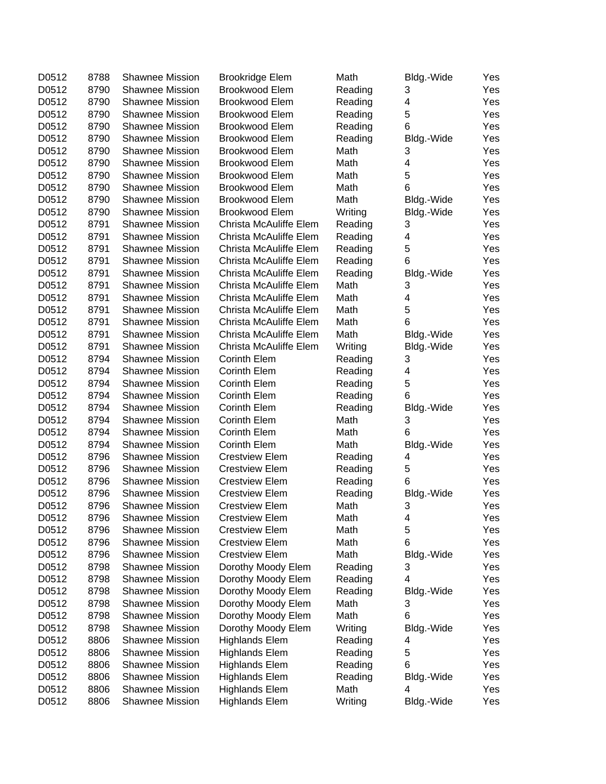| D0512 | 8788 | <b>Shawnee Mission</b> | <b>Brookridge Elem</b>                         | Math    | Bldg.-Wide | Yes |
|-------|------|------------------------|------------------------------------------------|---------|------------|-----|
| D0512 | 8790 | <b>Shawnee Mission</b> | <b>Brookwood Elem</b>                          | Reading | 3          | Yes |
| D0512 | 8790 | <b>Shawnee Mission</b> | <b>Brookwood Elem</b>                          | Reading | 4          | Yes |
| D0512 | 8790 | Shawnee Mission        | <b>Brookwood Elem</b>                          | Reading | 5          | Yes |
| D0512 | 8790 | <b>Shawnee Mission</b> | <b>Brookwood Elem</b>                          | Reading | 6          | Yes |
| D0512 | 8790 | <b>Shawnee Mission</b> | <b>Brookwood Elem</b>                          | Reading | Bldg.-Wide | Yes |
| D0512 | 8790 | <b>Shawnee Mission</b> | <b>Brookwood Elem</b>                          | Math    | 3          | Yes |
| D0512 | 8790 | <b>Shawnee Mission</b> | <b>Brookwood Elem</b>                          | Math    | 4          | Yes |
| D0512 | 8790 | <b>Shawnee Mission</b> | <b>Brookwood Elem</b>                          | Math    | 5          | Yes |
| D0512 | 8790 | <b>Shawnee Mission</b> | <b>Brookwood Elem</b>                          | Math    | 6          | Yes |
|       | 8790 | <b>Shawnee Mission</b> |                                                |         |            |     |
| D0512 |      | <b>Shawnee Mission</b> | <b>Brookwood Elem</b><br><b>Brookwood Elem</b> | Math    | Bldg.-Wide | Yes |
| D0512 | 8790 |                        |                                                | Writing | Bldg.-Wide | Yes |
| D0512 | 8791 | <b>Shawnee Mission</b> | Christa McAuliffe Elem                         | Reading | 3          | Yes |
| D0512 | 8791 | <b>Shawnee Mission</b> | Christa McAuliffe Elem                         | Reading | 4          | Yes |
| D0512 | 8791 | <b>Shawnee Mission</b> | Christa McAuliffe Elem                         | Reading | 5          | Yes |
| D0512 | 8791 | <b>Shawnee Mission</b> | Christa McAuliffe Elem                         | Reading | 6          | Yes |
| D0512 | 8791 | <b>Shawnee Mission</b> | Christa McAuliffe Elem                         | Reading | Bldg.-Wide | Yes |
| D0512 | 8791 | Shawnee Mission        | Christa McAuliffe Elem                         | Math    | 3          | Yes |
| D0512 | 8791 | Shawnee Mission        | Christa McAuliffe Elem                         | Math    | 4          | Yes |
| D0512 | 8791 | <b>Shawnee Mission</b> | Christa McAuliffe Elem                         | Math    | 5          | Yes |
| D0512 | 8791 | <b>Shawnee Mission</b> | Christa McAuliffe Elem                         | Math    | 6          | Yes |
| D0512 | 8791 | <b>Shawnee Mission</b> | Christa McAuliffe Elem                         | Math    | Bldg.-Wide | Yes |
| D0512 | 8791 | <b>Shawnee Mission</b> | Christa McAuliffe Elem                         | Writing | Bldg.-Wide | Yes |
| D0512 | 8794 | <b>Shawnee Mission</b> | Corinth Elem                                   | Reading | 3          | Yes |
| D0512 | 8794 | <b>Shawnee Mission</b> | Corinth Elem                                   | Reading | 4          | Yes |
| D0512 | 8794 | <b>Shawnee Mission</b> | Corinth Elem                                   | Reading | 5          | Yes |
| D0512 | 8794 | <b>Shawnee Mission</b> | Corinth Elem                                   | Reading | 6          | Yes |
| D0512 | 8794 | <b>Shawnee Mission</b> | Corinth Elem                                   | Reading | Bldg.-Wide | Yes |
| D0512 | 8794 | <b>Shawnee Mission</b> | Corinth Elem                                   | Math    | 3          | Yes |
| D0512 | 8794 | <b>Shawnee Mission</b> | Corinth Elem                                   | Math    | 6          | Yes |
| D0512 | 8794 | <b>Shawnee Mission</b> | Corinth Elem                                   | Math    | Bldg.-Wide | Yes |
| D0512 | 8796 | Shawnee Mission        | <b>Crestview Elem</b>                          | Reading | 4          | Yes |
| D0512 | 8796 | Shawnee Mission        | <b>Crestview Elem</b>                          | Reading | 5          | Yes |
| D0512 | 8796 | Shawnee Mission        | <b>Crestview Elem</b>                          | Reading | 6          | Yes |
| D0512 | 8796 | Shawnee Mission        | <b>Crestview Elem</b>                          | Reading | Bldg.-Wide | Yes |
| D0512 | 8796 | <b>Shawnee Mission</b> | <b>Crestview Elem</b>                          | Math    | 3          | Yes |
| D0512 | 8796 | <b>Shawnee Mission</b> | <b>Crestview Elem</b>                          | Math    |            | Yes |
| D0512 | 8796 | <b>Shawnee Mission</b> | <b>Crestview Elem</b>                          | Math    | 4<br>5     |     |
|       |      |                        |                                                |         | 6          | Yes |
| D0512 | 8796 | <b>Shawnee Mission</b> | <b>Crestview Elem</b>                          | Math    |            | Yes |
| D0512 | 8796 | <b>Shawnee Mission</b> | <b>Crestview Elem</b>                          | Math    | Bldg.-Wide | Yes |
| D0512 | 8798 | <b>Shawnee Mission</b> | Dorothy Moody Elem                             | Reading | 3          | Yes |
| D0512 | 8798 | Shawnee Mission        | Dorothy Moody Elem                             | Reading | 4          | Yes |
| D0512 | 8798 | Shawnee Mission        | Dorothy Moody Elem                             | Reading | Bldg.-Wide | Yes |
| D0512 | 8798 | Shawnee Mission        | Dorothy Moody Elem                             | Math    | 3          | Yes |
| D0512 | 8798 | <b>Shawnee Mission</b> | Dorothy Moody Elem                             | Math    | 6          | Yes |
| D0512 | 8798 | <b>Shawnee Mission</b> | Dorothy Moody Elem                             | Writing | Bldg.-Wide | Yes |
| D0512 | 8806 | <b>Shawnee Mission</b> | <b>Highlands Elem</b>                          | Reading | 4          | Yes |
| D0512 | 8806 | <b>Shawnee Mission</b> | <b>Highlands Elem</b>                          | Reading | 5          | Yes |
| D0512 | 8806 | <b>Shawnee Mission</b> | <b>Highlands Elem</b>                          | Reading | 6          | Yes |
| D0512 | 8806 | Shawnee Mission        | <b>Highlands Elem</b>                          | Reading | Bldg.-Wide | Yes |
| D0512 | 8806 | Shawnee Mission        | <b>Highlands Elem</b>                          | Math    | 4          | Yes |
| D0512 | 8806 | <b>Shawnee Mission</b> | <b>Highlands Elem</b>                          | Writing | Bldg.-Wide | Yes |
|       |      |                        |                                                |         |            |     |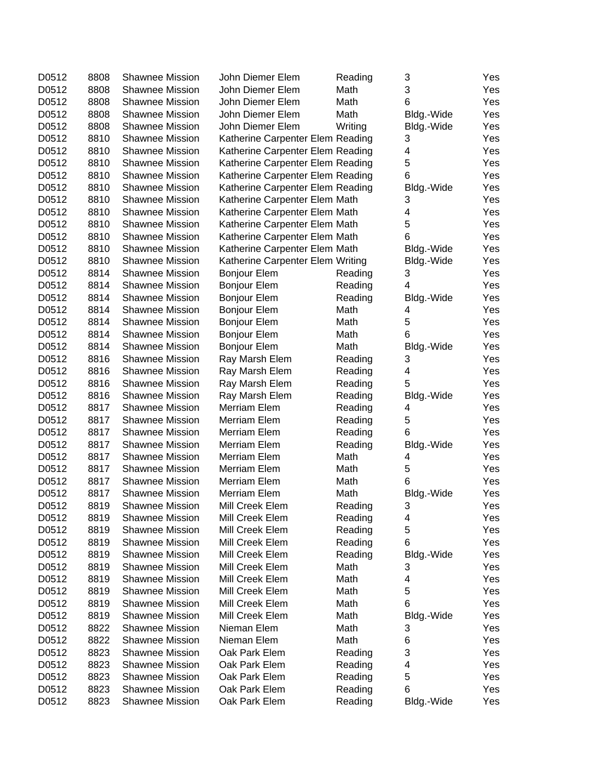| D0512          | 8808 | <b>Shawnee Mission</b>                    | John Diemer Elem                 | Reading | 3          | Yes        |
|----------------|------|-------------------------------------------|----------------------------------|---------|------------|------------|
| D0512          | 8808 | <b>Shawnee Mission</b>                    | John Diemer Elem                 | Math    | 3          | Yes        |
| D0512          | 8808 | Shawnee Mission                           | John Diemer Elem                 | Math    | 6          | Yes        |
| D0512          | 8808 | Shawnee Mission                           | John Diemer Elem                 | Math    | Bldg.-Wide | Yes        |
| D0512          | 8808 | <b>Shawnee Mission</b>                    | John Diemer Elem                 | Writing | Bldg.-Wide | Yes        |
| D0512          | 8810 | <b>Shawnee Mission</b>                    | Katherine Carpenter Elem Reading |         | 3          | Yes        |
| D0512          | 8810 | <b>Shawnee Mission</b>                    | Katherine Carpenter Elem Reading |         | 4          | Yes        |
| D0512          | 8810 | Shawnee Mission                           | Katherine Carpenter Elem Reading |         | 5          | Yes        |
| D0512          | 8810 | <b>Shawnee Mission</b>                    | Katherine Carpenter Elem Reading |         | 6          | Yes        |
| D0512          | 8810 | <b>Shawnee Mission</b>                    | Katherine Carpenter Elem Reading |         | Bldg.-Wide | Yes        |
| D0512          | 8810 | <b>Shawnee Mission</b>                    | Katherine Carpenter Elem Math    |         | 3          | Yes        |
| D0512          | 8810 | Shawnee Mission                           | Katherine Carpenter Elem Math    |         | 4          | Yes        |
| D0512          | 8810 | <b>Shawnee Mission</b>                    | Katherine Carpenter Elem Math    |         | 5          | Yes        |
| D0512          | 8810 | <b>Shawnee Mission</b>                    | Katherine Carpenter Elem Math    |         | 6          | Yes        |
| D0512          | 8810 | <b>Shawnee Mission</b>                    | Katherine Carpenter Elem Math    |         | Bldg.-Wide | Yes        |
| D0512          | 8810 | <b>Shawnee Mission</b>                    | Katherine Carpenter Elem Writing |         | Bldg.-Wide | Yes        |
| D0512          | 8814 | <b>Shawnee Mission</b>                    | <b>Bonjour Elem</b>              | Reading | 3          | Yes        |
| D0512          | 8814 | Shawnee Mission                           | <b>Bonjour Elem</b>              | Reading | 4          | Yes        |
| D0512          | 8814 | Shawnee Mission                           | <b>Bonjour Elem</b>              | Reading | Bldg.-Wide | Yes        |
| D0512          | 8814 | Shawnee Mission                           | <b>Bonjour Elem</b>              | Math    | 4          | Yes        |
| D0512          | 8814 | <b>Shawnee Mission</b>                    | <b>Bonjour Elem</b>              | Math    | 5          | Yes        |
| D0512          | 8814 | <b>Shawnee Mission</b>                    | <b>Bonjour Elem</b>              | Math    | 6          | Yes        |
| D0512          | 8814 | Shawnee Mission                           | <b>Bonjour Elem</b>              | Math    | Bldg.-Wide | Yes        |
| D0512          | 8816 | <b>Shawnee Mission</b>                    | Ray Marsh Elem                   | Reading | 3          | Yes        |
| D0512          | 8816 | <b>Shawnee Mission</b>                    | Ray Marsh Elem                   | Reading | 4          | Yes        |
| D0512          | 8816 | Shawnee Mission                           | Ray Marsh Elem                   | Reading | 5          | Yes        |
| D0512          | 8816 | <b>Shawnee Mission</b>                    | Ray Marsh Elem                   | Reading | Bldg.-Wide | Yes        |
| D0512          | 8817 | Shawnee Mission                           | Merriam Elem                     | Reading | 4          | Yes        |
| D0512          | 8817 | <b>Shawnee Mission</b>                    | Merriam Elem                     | Reading | 5          | Yes        |
| D0512          | 8817 | <b>Shawnee Mission</b>                    | Merriam Elem                     | Reading | 6          | Yes        |
| D0512          | 8817 | <b>Shawnee Mission</b>                    | Merriam Elem                     | Reading | Bldg.-Wide | Yes        |
| D0512          | 8817 | <b>Shawnee Mission</b>                    | Merriam Elem                     | Math    | 4          | Yes        |
| D0512          | 8817 | Shawnee Mission                           | Merriam Elem                     | Math    | 5          | Yes        |
| D0512          | 8817 | Shawnee Mission                           | Merriam Elem                     | Math    | 6          | Yes        |
| D0512          | 8817 | <b>Shawnee Mission</b>                    | <b>Merriam Elem</b>              | Math    | Bldg.-Wide | Yes        |
| D0512          | 8819 | <b>Shawnee Mission</b>                    | Mill Creek Elem                  | Reading | 3          | Yes        |
| D0512          | 8819 | <b>Shawnee Mission</b>                    | Mill Creek Elem                  | Reading | 4          | Yes        |
| D0512          | 8819 | <b>Shawnee Mission</b>                    | Mill Creek Elem                  | Reading | 5          | Yes        |
| D0512          | 8819 | <b>Shawnee Mission</b>                    | Mill Creek Elem                  | Reading | 6          | Yes        |
| D0512          | 8819 | <b>Shawnee Mission</b>                    | Mill Creek Elem                  | Reading | Bldg.-Wide | Yes        |
| D0512          | 8819 | <b>Shawnee Mission</b>                    | Mill Creek Elem                  | Math    | 3          | Yes        |
| D0512          | 8819 | <b>Shawnee Mission</b>                    | Mill Creek Elem                  | Math    | 4          | Yes        |
| D0512          | 8819 | <b>Shawnee Mission</b>                    | Mill Creek Elem                  | Math    | 5          | Yes        |
| D0512          | 8819 | <b>Shawnee Mission</b>                    | Mill Creek Elem                  | Math    | 6          | Yes        |
| D0512          | 8819 | <b>Shawnee Mission</b>                    | Mill Creek Elem                  | Math    | Bldg.-Wide | Yes        |
| D0512          | 8822 | <b>Shawnee Mission</b>                    | Nieman Elem                      | Math    | 3          | Yes        |
|                | 8822 | <b>Shawnee Mission</b>                    | Nieman Elem                      | Math    |            |            |
| D0512<br>D0512 | 8823 | <b>Shawnee Mission</b>                    | Oak Park Elem                    |         | 6<br>3     | Yes<br>Yes |
|                | 8823 |                                           |                                  | Reading |            |            |
| D0512          | 8823 | <b>Shawnee Mission</b>                    | Oak Park Elem<br>Oak Park Elem   | Reading | 4<br>5     | Yes        |
| D0512<br>D0512 | 8823 | <b>Shawnee Mission</b><br>Shawnee Mission | Oak Park Elem                    | Reading | 6          | Yes        |
|                |      | Shawnee Mission                           |                                  | Reading |            | Yes        |
| D0512          | 8823 |                                           | Oak Park Elem                    | Reading | Bldg.-Wide | Yes        |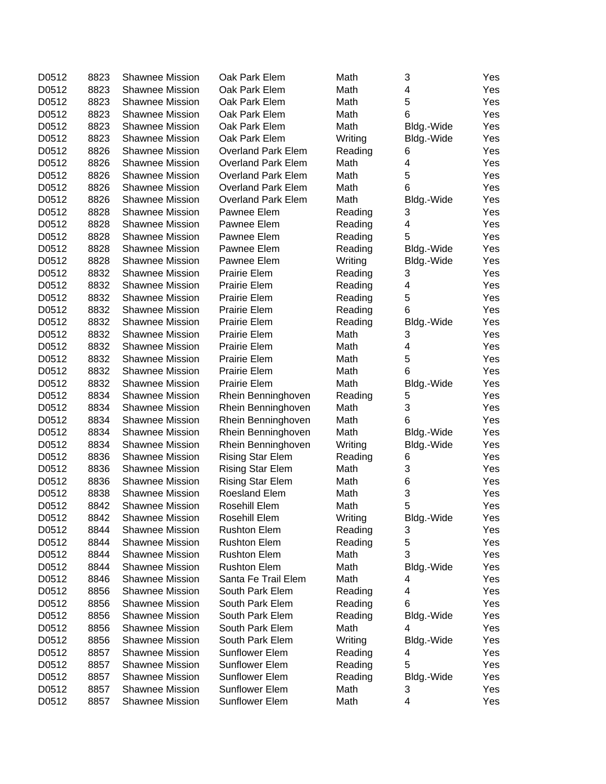| D0512 | 8823 | <b>Shawnee Mission</b> | Oak Park Elem             | Math    | 3          | Yes |
|-------|------|------------------------|---------------------------|---------|------------|-----|
| D0512 | 8823 | <b>Shawnee Mission</b> | Oak Park Elem             | Math    | 4          | Yes |
| D0512 | 8823 | <b>Shawnee Mission</b> | Oak Park Elem             | Math    | 5          | Yes |
| D0512 | 8823 | Shawnee Mission        | Oak Park Elem             | Math    | 6          | Yes |
| D0512 | 8823 | Shawnee Mission        | Oak Park Elem             | Math    | Bldg.-Wide | Yes |
| D0512 | 8823 | <b>Shawnee Mission</b> | Oak Park Elem             | Writing | Bldg.-Wide | Yes |
| D0512 | 8826 | <b>Shawnee Mission</b> | <b>Overland Park Elem</b> | Reading | 6          | Yes |
| D0512 | 8826 | <b>Shawnee Mission</b> | <b>Overland Park Elem</b> | Math    | 4          | Yes |
| D0512 | 8826 | <b>Shawnee Mission</b> | <b>Overland Park Elem</b> | Math    | 5          | Yes |
| D0512 | 8826 | <b>Shawnee Mission</b> | <b>Overland Park Elem</b> | Math    | 6          | Yes |
| D0512 | 8826 | <b>Shawnee Mission</b> | <b>Overland Park Elem</b> | Math    | Bldg.-Wide | Yes |
| D0512 | 8828 | <b>Shawnee Mission</b> | Pawnee Elem               | Reading | 3          | Yes |
| D0512 | 8828 | <b>Shawnee Mission</b> | Pawnee Elem               | Reading | 4          | Yes |
| D0512 | 8828 | <b>Shawnee Mission</b> | Pawnee Elem               | Reading | 5          | Yes |
| D0512 | 8828 | <b>Shawnee Mission</b> | Pawnee Elem               | Reading | Bldg.-Wide | Yes |
| D0512 | 8828 | <b>Shawnee Mission</b> | Pawnee Elem               | Writing | Bldg.-Wide | Yes |
| D0512 | 8832 | <b>Shawnee Mission</b> | Prairie Elem              | Reading | 3          | Yes |
| D0512 | 8832 | <b>Shawnee Mission</b> | Prairie Elem              | Reading | 4          | Yes |
| D0512 | 8832 | <b>Shawnee Mission</b> | Prairie Elem              | Reading | 5          | Yes |
| D0512 | 8832 | <b>Shawnee Mission</b> | Prairie Elem              | Reading | 6          | Yes |
| D0512 | 8832 | <b>Shawnee Mission</b> | Prairie Elem              | Reading | Bldg.-Wide | Yes |
| D0512 | 8832 | <b>Shawnee Mission</b> | Prairie Elem              | Math    | 3          | Yes |
| D0512 | 8832 | <b>Shawnee Mission</b> | Prairie Elem              | Math    | 4          | Yes |
| D0512 | 8832 | <b>Shawnee Mission</b> | Prairie Elem              | Math    | 5          | Yes |
| D0512 | 8832 | <b>Shawnee Mission</b> | Prairie Elem              | Math    | 6          | Yes |
| D0512 | 8832 | <b>Shawnee Mission</b> | <b>Prairie Elem</b>       | Math    | Bldg.-Wide | Yes |
| D0512 | 8834 | <b>Shawnee Mission</b> | Rhein Benninghoven        | Reading | 5          | Yes |
| D0512 | 8834 | <b>Shawnee Mission</b> | Rhein Benninghoven        | Math    | 3          | Yes |
| D0512 | 8834 | Shawnee Mission        | Rhein Benninghoven        | Math    | 6          | Yes |
| D0512 | 8834 | <b>Shawnee Mission</b> | Rhein Benninghoven        | Math    | Bldg.-Wide | Yes |
| D0512 | 8834 | <b>Shawnee Mission</b> | Rhein Benninghoven        | Writing | Bldg.-Wide | Yes |
| D0512 | 8836 | <b>Shawnee Mission</b> | <b>Rising Star Elem</b>   | Reading | 6          | Yes |
| D0512 | 8836 | Shawnee Mission        | <b>Rising Star Elem</b>   | Math    | 3          | Yes |
| D0512 | 8836 | <b>Shawnee Mission</b> | <b>Rising Star Elem</b>   | Math    | 6          | Yes |
| D0512 | 8838 | <b>Shawnee Mission</b> | Roesland Elem             | Math    | 3          | Yes |
| D0512 | 8842 | Shawnee Mission        | Rosehill Elem             | Math    | 5          | Yes |
| D0512 | 8842 | <b>Shawnee Mission</b> | Rosehill Elem             | Writing | Bldg.-Wide | Yes |
| D0512 | 8844 | <b>Shawnee Mission</b> | <b>Rushton Elem</b>       | Reading | 3          | Yes |
| D0512 | 8844 | <b>Shawnee Mission</b> | <b>Rushton Elem</b>       | Reading | 5          | Yes |
| D0512 | 8844 | <b>Shawnee Mission</b> | <b>Rushton Elem</b>       | Math    | 3          | Yes |
| D0512 | 8844 | <b>Shawnee Mission</b> | <b>Rushton Elem</b>       | Math    | Bldg.-Wide | Yes |
| D0512 | 8846 | <b>Shawnee Mission</b> | Santa Fe Trail Elem       | Math    | 4          | Yes |
| D0512 | 8856 | <b>Shawnee Mission</b> | South Park Elem           | Reading | 4          | Yes |
| D0512 | 8856 | <b>Shawnee Mission</b> | South Park Elem           | Reading | 6          | Yes |
| D0512 | 8856 | <b>Shawnee Mission</b> | South Park Elem           | Reading | Bldg.-Wide | Yes |
| D0512 | 8856 | <b>Shawnee Mission</b> | South Park Elem           | Math    | 4          | Yes |
| D0512 | 8856 | <b>Shawnee Mission</b> | South Park Elem           | Writing | Bldg.-Wide | Yes |
| D0512 | 8857 | <b>Shawnee Mission</b> | Sunflower Elem            | Reading | 4          | Yes |
| D0512 | 8857 | <b>Shawnee Mission</b> | <b>Sunflower Elem</b>     | Reading | 5          | Yes |
| D0512 | 8857 | <b>Shawnee Mission</b> | <b>Sunflower Elem</b>     | Reading | Bldg.-Wide | Yes |
| D0512 | 8857 | Shawnee Mission        | Sunflower Elem            | Math    | 3          | Yes |
| D0512 | 8857 | Shawnee Mission        | Sunflower Elem            | Math    | 4          | Yes |
|       |      |                        |                           |         |            |     |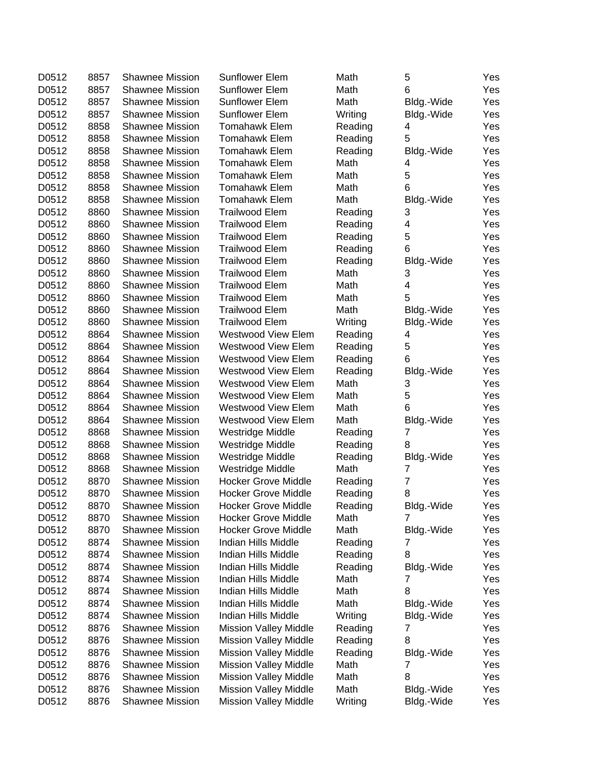| D0512 | 8857 | <b>Shawnee Mission</b> | Sunflower Elem               | Math    | 5              | Yes |
|-------|------|------------------------|------------------------------|---------|----------------|-----|
| D0512 | 8857 | Shawnee Mission        | <b>Sunflower Elem</b>        | Math    | 6              | Yes |
| D0512 | 8857 | <b>Shawnee Mission</b> | Sunflower Elem               | Math    | Bldg.-Wide     | Yes |
| D0512 | 8857 | <b>Shawnee Mission</b> | Sunflower Elem               | Writing | Bldg.-Wide     | Yes |
| D0512 | 8858 | <b>Shawnee Mission</b> | Tomahawk Elem                | Reading | 4              | Yes |
| D0512 | 8858 | <b>Shawnee Mission</b> | <b>Tomahawk Elem</b>         | Reading | 5              | Yes |
| D0512 | 8858 | <b>Shawnee Mission</b> | <b>Tomahawk Elem</b>         | Reading | Bldg.-Wide     | Yes |
| D0512 | 8858 | <b>Shawnee Mission</b> | <b>Tomahawk Elem</b>         | Math    | 4              | Yes |
| D0512 | 8858 | <b>Shawnee Mission</b> | <b>Tomahawk Elem</b>         | Math    | 5              | Yes |
| D0512 | 8858 | <b>Shawnee Mission</b> | <b>Tomahawk Elem</b>         | Math    | 6              | Yes |
| D0512 | 8858 | <b>Shawnee Mission</b> | <b>Tomahawk Elem</b>         | Math    | Bldg.-Wide     | Yes |
| D0512 | 8860 | <b>Shawnee Mission</b> | <b>Trailwood Elem</b>        | Reading | 3              | Yes |
| D0512 | 8860 | <b>Shawnee Mission</b> | <b>Trailwood Elem</b>        | Reading | 4              | Yes |
| D0512 | 8860 | <b>Shawnee Mission</b> | <b>Trailwood Elem</b>        | Reading | 5              | Yes |
| D0512 | 8860 | <b>Shawnee Mission</b> | <b>Trailwood Elem</b>        | Reading | 6              | Yes |
| D0512 | 8860 | <b>Shawnee Mission</b> | <b>Trailwood Elem</b>        | Reading | Bldg.-Wide     | Yes |
| D0512 | 8860 | <b>Shawnee Mission</b> | <b>Trailwood Elem</b>        | Math    | 3              | Yes |
| D0512 | 8860 | <b>Shawnee Mission</b> | <b>Trailwood Elem</b>        | Math    | 4              | Yes |
| D0512 | 8860 | <b>Shawnee Mission</b> | Trailwood Elem               | Math    | 5              | Yes |
| D0512 | 8860 | <b>Shawnee Mission</b> | Trailwood Elem               | Math    | Bldg.-Wide     | Yes |
| D0512 | 8860 | <b>Shawnee Mission</b> | Trailwood Elem               | Writing | Bldg.-Wide     | Yes |
| D0512 | 8864 | <b>Shawnee Mission</b> | Westwood View Elem           | Reading | 4              | Yes |
| D0512 | 8864 | <b>Shawnee Mission</b> | Westwood View Elem           | Reading | 5              | Yes |
| D0512 | 8864 | <b>Shawnee Mission</b> | <b>Westwood View Elem</b>    | Reading | 6              | Yes |
| D0512 | 8864 | <b>Shawnee Mission</b> | Westwood View Elem           | Reading | Bldg.-Wide     | Yes |
| D0512 | 8864 | Shawnee Mission        | Westwood View Elem           | Math    | 3              | Yes |
| D0512 | 8864 | <b>Shawnee Mission</b> | Westwood View Elem           | Math    | 5              | Yes |
| D0512 | 8864 | <b>Shawnee Mission</b> | Westwood View Elem           | Math    | 6              | Yes |
| D0512 | 8864 | <b>Shawnee Mission</b> | Westwood View Elem           | Math    | Bldg.-Wide     | Yes |
| D0512 | 8868 | <b>Shawnee Mission</b> | Westridge Middle             | Reading | 7              | Yes |
| D0512 | 8868 | Shawnee Mission        | Westridge Middle             | Reading | 8              | Yes |
| D0512 | 8868 | <b>Shawnee Mission</b> | Westridge Middle             | Reading | Bldg.-Wide     | Yes |
| D0512 | 8868 | Shawnee Mission        | Westridge Middle             | Math    | 7              | Yes |
| D0512 | 8870 | Shawnee Mission        | <b>Hocker Grove Middle</b>   | Reading | $\overline{7}$ | Yes |
| D0512 | 8870 | <b>Shawnee Mission</b> | <b>Hocker Grove Middle</b>   | Reading | 8              | Yes |
| D0512 | 8870 | <b>Shawnee Mission</b> | <b>Hocker Grove Middle</b>   | Reading | Bldg.-Wide     | Yes |
| D0512 | 8870 | Shawnee Mission        | <b>Hocker Grove Middle</b>   | Math    | 7              | Yes |
| D0512 | 8870 | <b>Shawnee Mission</b> | <b>Hocker Grove Middle</b>   | Math    | Bldg.-Wide     | Yes |
| D0512 | 8874 | <b>Shawnee Mission</b> | Indian Hills Middle          | Reading | 7              | Yes |
| D0512 | 8874 | <b>Shawnee Mission</b> | Indian Hills Middle          | Reading | 8              | Yes |
| D0512 | 8874 | <b>Shawnee Mission</b> | Indian Hills Middle          | Reading | Bldg.-Wide     | Yes |
| D0512 | 8874 | <b>Shawnee Mission</b> | Indian Hills Middle          | Math    | 7              | Yes |
| D0512 | 8874 | <b>Shawnee Mission</b> | Indian Hills Middle          | Math    | 8              | Yes |
| D0512 | 8874 | <b>Shawnee Mission</b> | Indian Hills Middle          | Math    | Bldg.-Wide     | Yes |
| D0512 | 8874 | <b>Shawnee Mission</b> | Indian Hills Middle          | Writing | Bldg.-Wide     | Yes |
| D0512 | 8876 | <b>Shawnee Mission</b> | <b>Mission Valley Middle</b> | Reading | 7              | Yes |
| D0512 | 8876 | <b>Shawnee Mission</b> | <b>Mission Valley Middle</b> | Reading | 8              | Yes |
| D0512 | 8876 | <b>Shawnee Mission</b> | <b>Mission Valley Middle</b> | Reading | Bldg.-Wide     | Yes |
| D0512 | 8876 | <b>Shawnee Mission</b> | <b>Mission Valley Middle</b> | Math    | 7              | Yes |
| D0512 | 8876 | <b>Shawnee Mission</b> | <b>Mission Valley Middle</b> | Math    | 8              | Yes |
| D0512 | 8876 | <b>Shawnee Mission</b> | <b>Mission Valley Middle</b> | Math    | Bldg.-Wide     | Yes |
| D0512 | 8876 | <b>Shawnee Mission</b> | <b>Mission Valley Middle</b> | Writing | Bldg.-Wide     | Yes |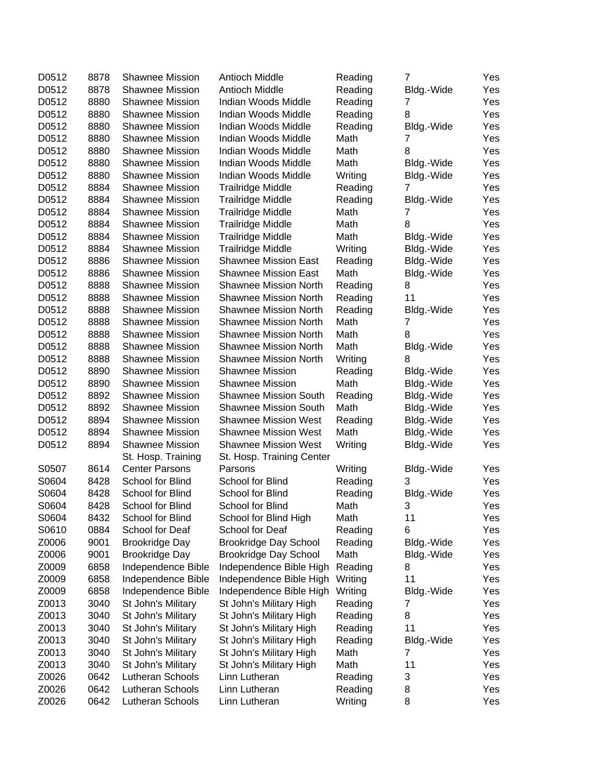| D0512 | 8878 | <b>Shawnee Mission</b> | Antioch Middle                                               | Reading | $\overline{7}$  | Yes |
|-------|------|------------------------|--------------------------------------------------------------|---------|-----------------|-----|
| D0512 | 8878 | <b>Shawnee Mission</b> | Antioch Middle                                               | Reading | Bldg.-Wide      | Yes |
| D0512 | 8880 | <b>Shawnee Mission</b> | Indian Woods Middle                                          | Reading | 7               | Yes |
| D0512 | 8880 | <b>Shawnee Mission</b> | Indian Woods Middle                                          | Reading | 8               | Yes |
| D0512 | 8880 | <b>Shawnee Mission</b> | Indian Woods Middle                                          | Reading | Bldg.-Wide      | Yes |
| D0512 | 8880 | <b>Shawnee Mission</b> | Indian Woods Middle                                          | Math    | 7               | Yes |
| D0512 | 8880 | <b>Shawnee Mission</b> | Indian Woods Middle                                          | Math    | 8               | Yes |
| D0512 | 8880 | <b>Shawnee Mission</b> | Indian Woods Middle                                          | Math    | Bldg.-Wide      | Yes |
| D0512 | 8880 | <b>Shawnee Mission</b> | Indian Woods Middle                                          | Writing | Bldg.-Wide      | Yes |
| D0512 | 8884 | <b>Shawnee Mission</b> | Trailridge Middle                                            | Reading | 7               | Yes |
| D0512 | 8884 | <b>Shawnee Mission</b> | <b>Trailridge Middle</b>                                     | Reading | Bldg.-Wide      | Yes |
| D0512 | 8884 | Shawnee Mission        | <b>Trailridge Middle</b>                                     | Math    | 7               | Yes |
| D0512 | 8884 | <b>Shawnee Mission</b> | <b>Trailridge Middle</b>                                     | Math    | 8               | Yes |
| D0512 | 8884 | <b>Shawnee Mission</b> | <b>Trailridge Middle</b>                                     | Math    | Bldg.-Wide      | Yes |
| D0512 | 8884 | <b>Shawnee Mission</b> | <b>Trailridge Middle</b>                                     | Writing | Bldg.-Wide      | Yes |
| D0512 | 8886 | <b>Shawnee Mission</b> | <b>Shawnee Mission East</b>                                  | Reading | Bldg.-Wide      | Yes |
| D0512 | 8886 | <b>Shawnee Mission</b> | <b>Shawnee Mission East</b>                                  | Math    | Bldg.-Wide      | Yes |
| D0512 | 8888 | <b>Shawnee Mission</b> | <b>Shawnee Mission North</b>                                 | Reading | 8               | Yes |
| D0512 | 8888 | <b>Shawnee Mission</b> | <b>Shawnee Mission North</b>                                 | Reading | 11              | Yes |
| D0512 | 8888 | <b>Shawnee Mission</b> | <b>Shawnee Mission North</b>                                 | Reading |                 | Yes |
| D0512 | 8888 | <b>Shawnee Mission</b> | <b>Shawnee Mission North</b>                                 | Math    | Bldg.-Wide<br>7 | Yes |
| D0512 | 8888 | <b>Shawnee Mission</b> |                                                              | Math    | 8               |     |
|       | 8888 |                        | <b>Shawnee Mission North</b><br><b>Shawnee Mission North</b> |         |                 | Yes |
| D0512 |      | <b>Shawnee Mission</b> |                                                              | Math    | Bldg.-Wide      | Yes |
| D0512 | 8888 | <b>Shawnee Mission</b> | <b>Shawnee Mission North</b>                                 | Writing | 8               | Yes |
| D0512 | 8890 | <b>Shawnee Mission</b> | <b>Shawnee Mission</b>                                       | Reading | Bldg.-Wide      | Yes |
| D0512 | 8890 | <b>Shawnee Mission</b> | <b>Shawnee Mission</b>                                       | Math    | Bldg.-Wide      | Yes |
| D0512 | 8892 | <b>Shawnee Mission</b> | <b>Shawnee Mission South</b>                                 | Reading | Bldg.-Wide      | Yes |
| D0512 | 8892 | <b>Shawnee Mission</b> | <b>Shawnee Mission South</b>                                 | Math    | Bldg.-Wide      | Yes |
| D0512 | 8894 | <b>Shawnee Mission</b> | <b>Shawnee Mission West</b>                                  | Reading | Bldg.-Wide      | Yes |
| D0512 | 8894 | <b>Shawnee Mission</b> | <b>Shawnee Mission West</b>                                  | Math    | Bldg.-Wide      | Yes |
| D0512 | 8894 | <b>Shawnee Mission</b> | <b>Shawnee Mission West</b>                                  | Writing | Bldg.-Wide      | Yes |
|       |      | St. Hosp. Training     | St. Hosp. Training Center                                    |         |                 |     |
| S0507 | 8614 | <b>Center Parsons</b>  | Parsons                                                      | Writing | Bldg.-Wide      | Yes |
| S0604 | 8428 | School for Blind       | School for Blind                                             | Reading | 3               | Yes |
| S0604 | 8428 | School for Blind       | School for Blind                                             | Reading | Bldg.-Wide      | Yes |
| S0604 | 8428 | School for Blind       | School for Blind                                             | Math    | 3               | Yes |
| S0604 | 8432 | School for Blind       | School for Blind High                                        | Math    | 11              | Yes |
| S0610 | 0884 | School for Deaf        | School for Deaf                                              | Reading | 6               | Yes |
| Z0006 | 9001 | <b>Brookridge Day</b>  | <b>Brookridge Day School</b>                                 | Reading | Bldg.-Wide      | Yes |
| Z0006 | 9001 | <b>Brookridge Day</b>  | <b>Brookridge Day School</b>                                 | Math    | Bldg.-Wide      | Yes |
| Z0009 | 6858 | Independence Bible     | Independence Bible High                                      | Reading | 8               | Yes |
| Z0009 | 6858 | Independence Bible     | Independence Bible High                                      | Writing | 11              | Yes |
| Z0009 | 6858 | Independence Bible     | Independence Bible High                                      | Writing | Bldg.-Wide      | Yes |
| Z0013 | 3040 | St John's Military     | St John's Military High                                      | Reading | 7               | Yes |
| Z0013 | 3040 | St John's Military     | St John's Military High                                      | Reading | 8               | Yes |
| Z0013 | 3040 | St John's Military     | St John's Military High                                      | Reading | 11              | Yes |
| Z0013 | 3040 | St John's Military     | St John's Military High                                      | Reading | Bldg.-Wide      | Yes |
| Z0013 | 3040 | St John's Military     | St John's Military High                                      | Math    | 7               | Yes |
| Z0013 | 3040 | St John's Military     | St John's Military High                                      | Math    | 11              | Yes |
| Z0026 | 0642 | Lutheran Schools       | Linn Lutheran                                                | Reading | 3               | Yes |
| Z0026 | 0642 | Lutheran Schools       | Linn Lutheran                                                | Reading | 8               | Yes |
| Z0026 | 0642 | Lutheran Schools       | Linn Lutheran                                                | Writing | 8               | Yes |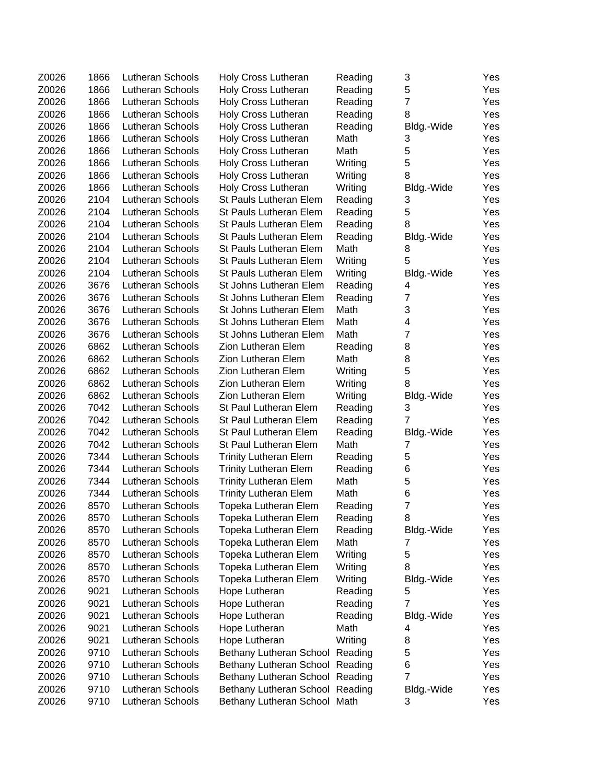| Z0026          | 1866 | Lutheran Schools        | Holy Cross Lutheran                          | Reading         | 3               | Yes        |
|----------------|------|-------------------------|----------------------------------------------|-----------------|-----------------|------------|
| Z0026          | 1866 | Lutheran Schools        | Holy Cross Lutheran                          | Reading         | 5               | Yes        |
| Z0026          | 1866 | Lutheran Schools        | <b>Holy Cross Lutheran</b>                   | Reading         | $\overline{7}$  | Yes        |
| Z0026          | 1866 | Lutheran Schools        | Holy Cross Lutheran                          | Reading         | 8               | Yes        |
| Z0026          | 1866 | Lutheran Schools        | Holy Cross Lutheran                          | Reading         | Bldg.-Wide      | Yes        |
| Z0026          | 1866 | Lutheran Schools        | Holy Cross Lutheran                          | Math            | 3               | Yes        |
| Z0026          | 1866 | Lutheran Schools        | Holy Cross Lutheran                          | Math            | 5               | Yes        |
| Z0026          | 1866 | Lutheran Schools        | Holy Cross Lutheran                          | Writing         | 5               | Yes        |
| Z0026          | 1866 | Lutheran Schools        | Holy Cross Lutheran                          | Writing         | 8               | Yes        |
| Z0026          | 1866 | Lutheran Schools        | Holy Cross Lutheran                          | Writing         | Bldg.-Wide      | Yes        |
| Z0026          | 2104 | Lutheran Schools        | St Pauls Lutheran Elem                       | Reading         | 3               | Yes        |
| Z0026          | 2104 | Lutheran Schools        | St Pauls Lutheran Elem                       | Reading         | 5               | Yes        |
| Z0026          | 2104 | Lutheran Schools        | St Pauls Lutheran Elem                       | Reading         | 8               | Yes        |
| Z0026          | 2104 | Lutheran Schools        | St Pauls Lutheran Elem                       | Reading         | Bldg.-Wide      | Yes        |
| Z0026          | 2104 | Lutheran Schools        | St Pauls Lutheran Elem                       | Math            | 8               | Yes        |
| Z0026          | 2104 | Lutheran Schools        | St Pauls Lutheran Elem                       | Writing         | 5               | Yes        |
| Z0026          | 2104 | Lutheran Schools        | St Pauls Lutheran Elem                       | Writing         | Bldg.-Wide      | Yes        |
| Z0026          | 3676 | Lutheran Schools        | St Johns Lutheran Elem                       | Reading         | 4               | Yes        |
| Z0026          | 3676 | Lutheran Schools        | St Johns Lutheran Elem                       | Reading         | $\overline{7}$  | Yes        |
| Z0026          | 3676 | Lutheran Schools        | St Johns Lutheran Elem                       | Math            | 3               | Yes        |
| Z0026          | 3676 | Lutheran Schools        | St Johns Lutheran Elem                       | Math            | 4               | Yes        |
| Z0026          | 3676 | Lutheran Schools        | St Johns Lutheran Elem                       | Math            | $\overline{7}$  | Yes        |
| Z0026          | 6862 | Lutheran Schools        | Zion Lutheran Elem                           | Reading         | 8               | Yes        |
| Z0026          | 6862 | Lutheran Schools        | Zion Lutheran Elem                           | Math            | 8               | Yes        |
| Z0026          | 6862 | Lutheran Schools        | Zion Lutheran Elem                           | Writing         | 5               | Yes        |
| Z0026          | 6862 | Lutheran Schools        | Zion Lutheran Elem                           | Writing         | 8               | Yes        |
| Z0026          | 6862 | Lutheran Schools        | <b>Zion Lutheran Elem</b>                    | Writing         | Bldg.-Wide      | Yes        |
| Z0026          | 7042 | Lutheran Schools        | St Paul Lutheran Elem                        | Reading         | 3               | Yes        |
| Z0026          | 7042 | Lutheran Schools        | St Paul Lutheran Elem                        | Reading         | 7               | Yes        |
| Z0026          | 7042 | Lutheran Schools        | St Paul Lutheran Elem                        | Reading         | Bldg.-Wide      | Yes        |
| Z0026          | 7042 | Lutheran Schools        | St Paul Lutheran Elem                        | Math            | 7               | Yes        |
| Z0026          | 7344 | Lutheran Schools        | <b>Trinity Lutheran Elem</b>                 | Reading         | 5               | Yes        |
| Z0026          | 7344 | Lutheran Schools        | <b>Trinity Lutheran Elem</b>                 | Reading         | 6               | Yes        |
| Z0026          | 7344 | <b>Lutheran Schools</b> | <b>Trinity Lutheran Elem</b>                 | Math            | 5               | Yes        |
| Z0026          | 7344 | Lutheran Schools        | <b>Trinity Lutheran Elem</b>                 | Math            | 6               | Yes        |
| Z0026          | 8570 | Lutheran Schools        | Topeka Lutheran Elem                         |                 | $\overline{7}$  | Yes        |
|                | 8570 | Lutheran Schools        |                                              | Reading         |                 |            |
| Z0026<br>Z0026 | 8570 | Lutheran Schools        | Topeka Lutheran Elem                         | Reading         | 8               | Yes<br>Yes |
|                | 8570 | Lutheran Schools        | Topeka Lutheran Elem<br>Topeka Lutheran Elem | Reading<br>Math | Bldg.-Wide<br>7 |            |
| Z0026<br>Z0026 |      |                         |                                              |                 |                 | Yes        |
|                | 8570 | Lutheran Schools        | Topeka Lutheran Elem                         | Writing         | 5<br>8          | Yes        |
| Z0026          | 8570 | Lutheran Schools        | Topeka Lutheran Elem                         | Writing         |                 | Yes        |
| Z0026          | 8570 | Lutheran Schools        | Topeka Lutheran Elem                         | Writing         | Bldg.-Wide      | Yes        |
| Z0026          | 9021 | Lutheran Schools        | Hope Lutheran                                | Reading         | 5               | Yes        |
| Z0026          | 9021 | Lutheran Schools        | Hope Lutheran                                | Reading         | 7               | Yes        |
| Z0026          | 9021 | Lutheran Schools        | Hope Lutheran                                | Reading         | Bldg.-Wide      | Yes        |
| Z0026          | 9021 | Lutheran Schools        | Hope Lutheran                                | Math            | 4               | Yes        |
| Z0026          | 9021 | Lutheran Schools        | Hope Lutheran                                | Writing         | 8               | Yes        |
| Z0026          | 9710 | Lutheran Schools        | Bethany Lutheran School                      | Reading         | 5               | Yes        |
| Z0026          | 9710 | Lutheran Schools        | Bethany Lutheran School Reading              |                 | 6               | Yes        |
| Z0026          | 9710 | Lutheran Schools        | Bethany Lutheran School                      | Reading         | $\overline{7}$  | Yes        |
| Z0026          | 9710 | Lutheran Schools        | Bethany Lutheran School                      | Reading         | Bldg.-Wide      | Yes        |
| Z0026          | 9710 | Lutheran Schools        | Bethany Lutheran School Math                 |                 | 3               | Yes        |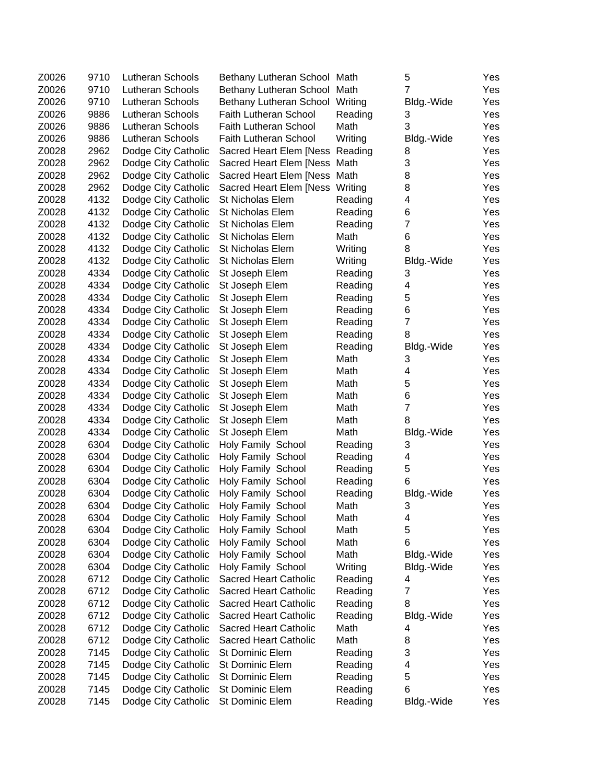| Z0026 | 9710 | Lutheran Schools    | Bethany Lutheran School Math             |              | 5                       | Yes        |
|-------|------|---------------------|------------------------------------------|--------------|-------------------------|------------|
| Z0026 | 9710 | Lutheran Schools    | Bethany Lutheran School                  | Math         | $\overline{7}$          | Yes        |
| Z0026 | 9710 | Lutheran Schools    | Bethany Lutheran School                  | Writing      | Bldg.-Wide              | Yes        |
| Z0026 | 9886 | Lutheran Schools    | <b>Faith Lutheran School</b>             | Reading      | 3                       | Yes        |
| Z0026 | 9886 | Lutheran Schools    | <b>Faith Lutheran School</b>             | Math         | 3                       | Yes        |
| Z0026 | 9886 | Lutheran Schools    | Faith Lutheran School                    | Writing      | Bldg.-Wide              | Yes        |
| Z0028 | 2962 | Dodge City Catholic | Sacred Heart Elem [Ness                  | Reading      | 8                       | Yes        |
| Z0028 | 2962 | Dodge City Catholic | Sacred Heart Elem [Ness                  | Math         | 3                       | Yes        |
| Z0028 | 2962 | Dodge City Catholic | Sacred Heart Elem [Ness                  | Math         | 8                       | Yes        |
| Z0028 | 2962 | Dodge City Catholic | Sacred Heart Elem [Ness                  | Writing      | 8                       | Yes        |
| Z0028 | 4132 | Dodge City Catholic | St Nicholas Elem                         | Reading      | 4                       | Yes        |
| Z0028 | 4132 | Dodge City Catholic | St Nicholas Elem                         | Reading      | 6                       | Yes        |
| Z0028 | 4132 | Dodge City Catholic | St Nicholas Elem                         | Reading      | $\overline{7}$          | Yes        |
| Z0028 | 4132 | Dodge City Catholic | St Nicholas Elem                         | Math         | 6                       | Yes        |
| Z0028 | 4132 | Dodge City Catholic | St Nicholas Elem                         | Writing      | 8                       | Yes        |
| Z0028 | 4132 | Dodge City Catholic | St Nicholas Elem                         | Writing      | Bldg.-Wide              | Yes        |
| Z0028 | 4334 | Dodge City Catholic | St Joseph Elem                           | Reading      | 3                       | Yes        |
| Z0028 | 4334 | Dodge City Catholic | St Joseph Elem                           | Reading      | 4                       | Yes        |
| Z0028 | 4334 | Dodge City Catholic | St Joseph Elem                           | Reading      | 5                       | Yes        |
| Z0028 | 4334 | Dodge City Catholic | St Joseph Elem                           | Reading      | 6                       | Yes        |
| Z0028 | 4334 | Dodge City Catholic | St Joseph Elem                           | Reading      | $\overline{7}$          | Yes        |
| Z0028 | 4334 | Dodge City Catholic | St Joseph Elem                           | Reading      | 8                       | Yes        |
| Z0028 | 4334 | Dodge City Catholic | St Joseph Elem                           | Reading      | Bldg.-Wide              | Yes        |
| Z0028 | 4334 | Dodge City Catholic | St Joseph Elem                           | Math         | 3                       | Yes        |
| Z0028 | 4334 | Dodge City Catholic | St Joseph Elem                           | Math         | 4                       | Yes        |
| Z0028 | 4334 | Dodge City Catholic | St Joseph Elem                           | Math         | 5                       | Yes        |
| Z0028 | 4334 | Dodge City Catholic | St Joseph Elem                           | Math         | 6                       | Yes        |
| Z0028 | 4334 | Dodge City Catholic | St Joseph Elem                           | Math         | $\overline{7}$          | Yes        |
| Z0028 | 4334 | Dodge City Catholic | St Joseph Elem                           | Math         | 8                       | Yes        |
| Z0028 | 4334 | Dodge City Catholic | St Joseph Elem                           | Math         | Bldg.-Wide              | Yes        |
| Z0028 | 6304 | Dodge City Catholic | Holy Family School                       | Reading      | 3                       | Yes        |
| Z0028 | 6304 | Dodge City Catholic | Holy Family School                       | Reading      | $\overline{\mathbf{4}}$ | Yes        |
| Z0028 | 6304 | Dodge City Catholic | Holy Family School                       | Reading      | 5                       | Yes        |
| Z0028 | 6304 | Dodge City Catholic | Holy Family School                       | Reading      | 6                       | Yes        |
| Z0028 | 6304 | Dodge City Catholic | Holy Family School                       | Reading      | Bldg.-Wide              | Yes        |
| Z0028 | 6304 | Dodge City Catholic | Holy Family School                       | Math         | 3                       | Yes        |
| Z0028 | 6304 | Dodge City Catholic | Holy Family School                       |              |                         |            |
| Z0028 | 6304 | Dodge City Catholic | Holy Family School                       | Math<br>Math | 4<br>5                  | Yes<br>Yes |
| Z0028 | 6304 | Dodge City Catholic | Holy Family School                       | Math         | 6                       | Yes        |
| Z0028 | 6304 | Dodge City Catholic | Holy Family School                       | Math         | Bldg.-Wide              | Yes        |
| Z0028 | 6304 | Dodge City Catholic | Holy Family School                       | Writing      | Bldg.-Wide              | Yes        |
| Z0028 | 6712 | Dodge City Catholic | <b>Sacred Heart Catholic</b>             | Reading      | 4                       | Yes        |
| Z0028 | 6712 | Dodge City Catholic | <b>Sacred Heart Catholic</b>             | Reading      | 7                       | Yes        |
| Z0028 | 6712 | Dodge City Catholic | <b>Sacred Heart Catholic</b>             | Reading      | 8                       | Yes        |
| Z0028 | 6712 | Dodge City Catholic | <b>Sacred Heart Catholic</b>             | Reading      |                         | Yes        |
| Z0028 | 6712 | Dodge City Catholic | <b>Sacred Heart Catholic</b>             | Math         | Bldg.-Wide              |            |
|       |      |                     |                                          |              | 4                       | Yes        |
| Z0028 | 6712 | Dodge City Catholic | Sacred Heart Catholic<br>St Dominic Elem | Math         | 8<br>3                  | Yes        |
| Z0028 | 7145 | Dodge City Catholic | St Dominic Elem                          | Reading      | 4                       | Yes        |
| Z0028 | 7145 | Dodge City Catholic | St Dominic Elem                          | Reading      | 5                       | Yes        |
| Z0028 | 7145 | Dodge City Catholic |                                          | Reading      | 6                       | Yes        |
| Z0028 | 7145 | Dodge City Catholic | St Dominic Elem                          | Reading      |                         | Yes        |
| Z0028 | 7145 | Dodge City Catholic | St Dominic Elem                          | Reading      | Bldg.-Wide              | Yes        |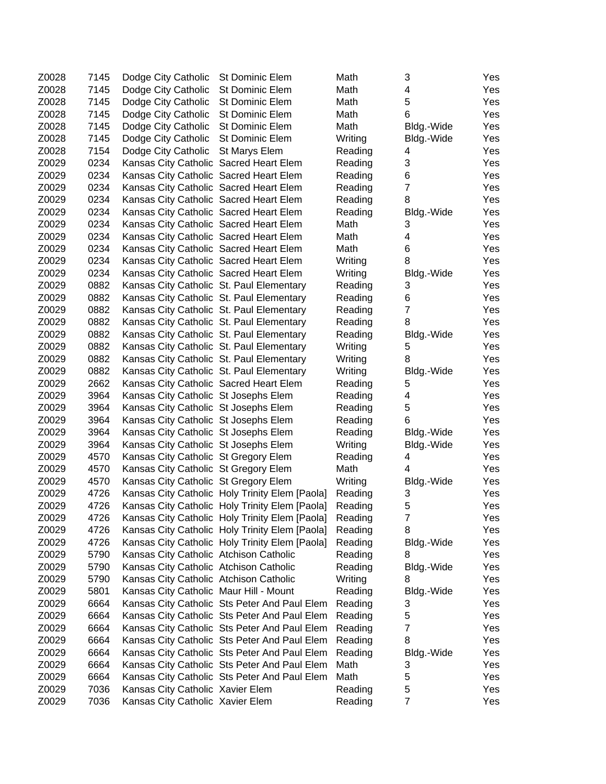| Z0028          | 7145         | Dodge City Catholic                                                          | St Dominic Elem                                                                                  | Math               | 3               | Yes        |
|----------------|--------------|------------------------------------------------------------------------------|--------------------------------------------------------------------------------------------------|--------------------|-----------------|------------|
| Z0028          | 7145         | Dodge City Catholic                                                          | St Dominic Elem                                                                                  | Math               | $\overline{4}$  | Yes        |
| Z0028          | 7145         | Dodge City Catholic                                                          | St Dominic Elem                                                                                  | Math               | 5               | Yes        |
| Z0028          | 7145         | Dodge City Catholic                                                          | St Dominic Elem                                                                                  | Math               | 6               | Yes        |
| Z0028          | 7145         | Dodge City Catholic                                                          | <b>St Dominic Elem</b>                                                                           | Math               | Bldg.-Wide      | Yes        |
| Z0028          | 7145         | Dodge City Catholic                                                          | St Dominic Elem                                                                                  | Writing            | Bldg.-Wide      | Yes        |
| Z0028          | 7154         | Dodge City Catholic                                                          | St Marys Elem                                                                                    | Reading            | 4               | Yes        |
| Z0029          | 0234         | Kansas City Catholic Sacred Heart Elem                                       |                                                                                                  | Reading            | 3               | Yes        |
| Z0029          | 0234         | Kansas City Catholic Sacred Heart Elem                                       |                                                                                                  | Reading            | 6               | Yes        |
| Z0029          | 0234         | Kansas City Catholic Sacred Heart Elem                                       |                                                                                                  | Reading            | $\overline{7}$  | Yes        |
| Z0029          | 0234         | Kansas City Catholic Sacred Heart Elem                                       |                                                                                                  | Reading            | 8               | Yes        |
| Z0029          | 0234         | Kansas City Catholic Sacred Heart Elem                                       |                                                                                                  | Reading            | Bldg.-Wide      | Yes        |
| Z0029          | 0234         | Kansas City Catholic Sacred Heart Elem                                       |                                                                                                  | Math               | 3               | Yes        |
| Z0029          | 0234         | Kansas City Catholic Sacred Heart Elem                                       |                                                                                                  | Math               | 4               | Yes        |
| Z0029          | 0234         | Kansas City Catholic Sacred Heart Elem                                       |                                                                                                  | Math               | 6               | Yes        |
| Z0029          | 0234         | Kansas City Catholic Sacred Heart Elem                                       |                                                                                                  | Writing            | 8               | Yes        |
| Z0029          | 0234         | Kansas City Catholic Sacred Heart Elem                                       |                                                                                                  | Writing            | Bldg.-Wide      | Yes        |
| Z0029          | 0882         | Kansas City Catholic St. Paul Elementary                                     |                                                                                                  | Reading            | 3               | Yes        |
| Z0029          | 0882         | Kansas City Catholic St. Paul Elementary                                     |                                                                                                  | Reading            | 6               | Yes        |
| Z0029          | 0882         | Kansas City Catholic St. Paul Elementary                                     |                                                                                                  | Reading            | $\overline{7}$  | Yes        |
| Z0029          | 0882         | Kansas City Catholic St. Paul Elementary                                     |                                                                                                  | Reading            | 8               | Yes        |
| Z0029          | 0882         | Kansas City Catholic St. Paul Elementary                                     |                                                                                                  | Reading            | Bldg.-Wide      | Yes        |
| Z0029          | 0882         | Kansas City Catholic St. Paul Elementary                                     |                                                                                                  | Writing            | 5               | Yes        |
| Z0029          | 0882         | Kansas City Catholic St. Paul Elementary                                     |                                                                                                  | Writing            | 8               | Yes        |
| Z0029          | 0882         | Kansas City Catholic St. Paul Elementary                                     |                                                                                                  | Writing            | Bldg.-Wide      | Yes        |
| Z0029          | 2662         | Kansas City Catholic Sacred Heart Elem                                       |                                                                                                  | Reading            | 5               | Yes        |
| Z0029          | 3964         | Kansas City Catholic St Josephs Elem                                         |                                                                                                  | Reading            | 4               | Yes        |
| Z0029          | 3964         | Kansas City Catholic St Josephs Elem                                         |                                                                                                  | Reading            | 5               | Yes        |
| Z0029          | 3964         | Kansas City Catholic St Josephs Elem                                         |                                                                                                  |                    | 6               | Yes        |
| Z0029          | 3964         |                                                                              |                                                                                                  | Reading            |                 | Yes        |
| Z0029          | 3964         | Kansas City Catholic St Josephs Elem                                         |                                                                                                  | Reading<br>Writing | Bldg.-Wide      | Yes        |
| Z0029          | 4570         | Kansas City Catholic St Josephs Elem<br>Kansas City Catholic St Gregory Elem |                                                                                                  | Reading            | Bldg.-Wide<br>4 | Yes        |
| Z0029          | 4570         |                                                                              |                                                                                                  | Math               | 4               |            |
|                |              | Kansas City Catholic St Gregory Elem                                         |                                                                                                  |                    |                 | Yes        |
| Z0029          | 4570         | Kansas City Catholic St Gregory Elem                                         |                                                                                                  | Writing            | Bldg.-Wide      | Yes        |
| Z0029          | 4726         |                                                                              | Kansas City Catholic Holy Trinity Elem [Paola]                                                   | Reading            | 3<br>5          | Yes        |
| Z0029<br>Z0029 | 4726<br>4726 |                                                                              | Kansas City Catholic Holy Trinity Elem [Paola]<br>Kansas City Catholic Holy Trinity Elem [Paola] | Reading            | 7               | Yes<br>Yes |
|                |              |                                                                              |                                                                                                  | Reading            |                 |            |
| Z0029          | 4726         |                                                                              | Kansas City Catholic Holy Trinity Elem [Paola]                                                   | Reading            | 8               | Yes        |
| Z0029          | 4726         |                                                                              | Kansas City Catholic Holy Trinity Elem [Paola]                                                   | Reading            | Bldg.-Wide      | Yes        |
| Z0029          | 5790         | Kansas City Catholic Atchison Catholic                                       |                                                                                                  | Reading            | 8               | Yes        |
| Z0029          | 5790         | Kansas City Catholic Atchison Catholic                                       |                                                                                                  | Reading            | Bldg.-Wide      | Yes        |
| Z0029          | 5790         | Kansas City Catholic Atchison Catholic                                       |                                                                                                  | Writing            | 8               | Yes        |
| Z0029          | 5801         | Kansas City Catholic Maur Hill - Mount                                       |                                                                                                  | Reading            | Bldg.-Wide      | Yes        |
| Z0029          | 6664         |                                                                              | Kansas City Catholic Sts Peter And Paul Elem                                                     | Reading            | 3               | Yes        |
| Z0029          | 6664         |                                                                              | Kansas City Catholic Sts Peter And Paul Elem                                                     | Reading            | 5               | Yes        |
| Z0029          | 6664         |                                                                              | Kansas City Catholic Sts Peter And Paul Elem                                                     | Reading            | 7               | Yes        |
| Z0029          | 6664         |                                                                              | Kansas City Catholic Sts Peter And Paul Elem                                                     | Reading            | 8               | Yes        |
| Z0029          | 6664         |                                                                              | Kansas City Catholic Sts Peter And Paul Elem                                                     | Reading            | Bldg.-Wide      | Yes        |
| Z0029          | 6664         |                                                                              | Kansas City Catholic Sts Peter And Paul Elem                                                     | Math               | 3               | Yes        |
| Z0029          | 6664         |                                                                              | Kansas City Catholic Sts Peter And Paul Elem                                                     | Math               | 5               | Yes        |
| Z0029          | 7036         | Kansas City Catholic Xavier Elem                                             |                                                                                                  | Reading            | 5               | Yes        |
| Z0029          | 7036         | Kansas City Catholic Xavier Elem                                             |                                                                                                  | Reading            | $\overline{7}$  | Yes        |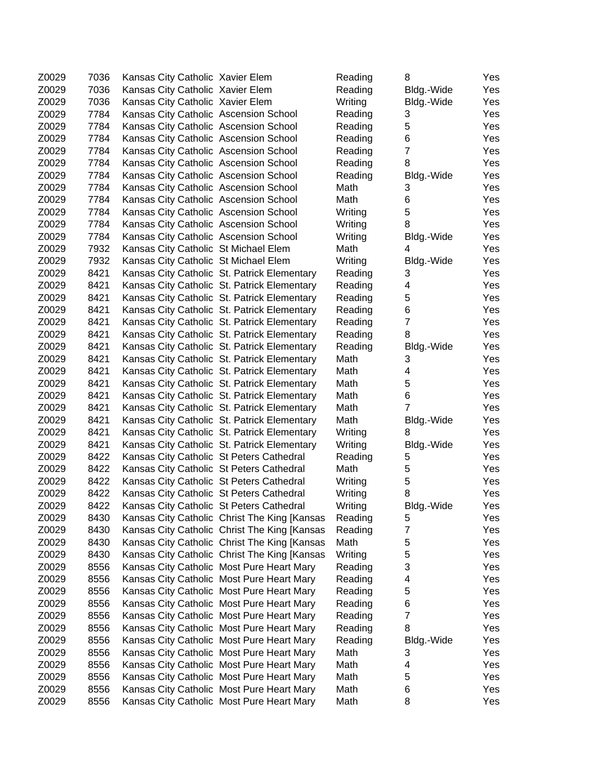| Z0029 | 7036 | Kansas City Catholic Xavier Elem         |                                              | Reading | 8              | Yes |
|-------|------|------------------------------------------|----------------------------------------------|---------|----------------|-----|
| Z0029 | 7036 | Kansas City Catholic Xavier Elem         |                                              | Reading | Bldg.-Wide     | Yes |
| Z0029 | 7036 | Kansas City Catholic Xavier Elem         |                                              | Writing | Bldg.-Wide     | Yes |
| Z0029 | 7784 | Kansas City Catholic Ascension School    |                                              | Reading | 3              | Yes |
| Z0029 | 7784 | Kansas City Catholic Ascension School    |                                              | Reading | 5              | Yes |
| Z0029 | 7784 | Kansas City Catholic Ascension School    |                                              | Reading | 6              | Yes |
| Z0029 | 7784 | Kansas City Catholic Ascension School    |                                              | Reading | $\overline{7}$ | Yes |
| Z0029 | 7784 | Kansas City Catholic Ascension School    |                                              | Reading | 8              | Yes |
| Z0029 | 7784 | Kansas City Catholic Ascension School    |                                              | Reading | Bldg.-Wide     | Yes |
| Z0029 | 7784 | Kansas City Catholic Ascension School    |                                              | Math    | 3              | Yes |
| Z0029 | 7784 | Kansas City Catholic Ascension School    |                                              | Math    | 6              | Yes |
| Z0029 | 7784 | Kansas City Catholic Ascension School    |                                              | Writing | 5              | Yes |
| Z0029 | 7784 | Kansas City Catholic Ascension School    |                                              | Writing | 8              | Yes |
| Z0029 | 7784 | Kansas City Catholic Ascension School    |                                              | Writing | Bldg.-Wide     | Yes |
| Z0029 | 7932 | Kansas City Catholic St Michael Elem     |                                              | Math    | 4              | Yes |
| Z0029 | 7932 | Kansas City Catholic St Michael Elem     |                                              | Writing | Bldg.-Wide     | Yes |
| Z0029 | 8421 |                                          | Kansas City Catholic St. Patrick Elementary  | Reading | 3              | Yes |
| Z0029 | 8421 |                                          | Kansas City Catholic St. Patrick Elementary  | Reading | 4              | Yes |
| Z0029 | 8421 |                                          | Kansas City Catholic St. Patrick Elementary  | Reading | 5              | Yes |
| Z0029 | 8421 |                                          | Kansas City Catholic St. Patrick Elementary  | Reading | 6              | Yes |
| Z0029 | 8421 |                                          | Kansas City Catholic St. Patrick Elementary  | Reading | $\overline{7}$ | Yes |
| Z0029 | 8421 |                                          | Kansas City Catholic St. Patrick Elementary  | Reading | 8              | Yes |
| Z0029 | 8421 |                                          | Kansas City Catholic St. Patrick Elementary  | Reading | Bldg.-Wide     | Yes |
| Z0029 | 8421 |                                          | Kansas City Catholic St. Patrick Elementary  | Math    | 3              | Yes |
| Z0029 | 8421 |                                          | Kansas City Catholic St. Patrick Elementary  | Math    | 4              | Yes |
| Z0029 | 8421 |                                          | Kansas City Catholic St. Patrick Elementary  | Math    | 5              | Yes |
| Z0029 | 8421 |                                          | Kansas City Catholic St. Patrick Elementary  | Math    | 6              | Yes |
| Z0029 | 8421 |                                          | Kansas City Catholic St. Patrick Elementary  | Math    | $\overline{7}$ | Yes |
| Z0029 | 8421 |                                          | Kansas City Catholic St. Patrick Elementary  | Math    | Bldg.-Wide     | Yes |
| Z0029 | 8421 |                                          | Kansas City Catholic St. Patrick Elementary  | Writing | 8              | Yes |
| Z0029 | 8421 |                                          | Kansas City Catholic St. Patrick Elementary  | Writing | Bldg.-Wide     | Yes |
| Z0029 | 8422 | Kansas City Catholic St Peters Cathedral |                                              | Reading | 5              | Yes |
| Z0029 | 8422 | Kansas City Catholic St Peters Cathedral |                                              | Math    | 5              | Yes |
| Z0029 | 8422 | Kansas City Catholic St Peters Cathedral |                                              | Writing | 5              | Yes |
| Z0029 | 8422 | Kansas City Catholic St Peters Cathedral |                                              | Writing | 8              | Yes |
| Z0029 | 8422 | Kansas City Catholic St Peters Cathedral |                                              | Writing | Bldg.-Wide     | Yes |
| Z0029 | 8430 |                                          | Kansas City Catholic Christ The King [Kansas | Reading | 5              | Yes |
| Z0029 | 8430 |                                          | Kansas City Catholic Christ The King [Kansas | Reading | $\overline{7}$ | Yes |
| Z0029 | 8430 |                                          | Kansas City Catholic Christ The King [Kansas | Math    | 5              | Yes |
| Z0029 | 8430 |                                          | Kansas City Catholic Christ The King [Kansas | Writing | 5              | Yes |
| Z0029 | 8556 |                                          | Kansas City Catholic Most Pure Heart Mary    | Reading | 3              | Yes |
| Z0029 | 8556 |                                          | Kansas City Catholic Most Pure Heart Mary    | Reading | 4              | Yes |
| Z0029 | 8556 |                                          | Kansas City Catholic Most Pure Heart Mary    | Reading | 5              | Yes |
| Z0029 | 8556 |                                          | Kansas City Catholic Most Pure Heart Mary    | Reading | 6              | Yes |
| Z0029 | 8556 |                                          | Kansas City Catholic Most Pure Heart Mary    | Reading | $\overline{7}$ | Yes |
| Z0029 | 8556 |                                          | Kansas City Catholic Most Pure Heart Mary    | Reading | 8              | Yes |
| Z0029 | 8556 |                                          | Kansas City Catholic Most Pure Heart Mary    | Reading | Bldg.-Wide     | Yes |
| Z0029 | 8556 |                                          | Kansas City Catholic Most Pure Heart Mary    | Math    | 3              | Yes |
| Z0029 | 8556 |                                          | Kansas City Catholic Most Pure Heart Mary    | Math    | 4              | Yes |
| Z0029 | 8556 |                                          | Kansas City Catholic Most Pure Heart Mary    | Math    | 5              | Yes |
| Z0029 | 8556 |                                          | Kansas City Catholic Most Pure Heart Mary    | Math    | 6              | Yes |
| Z0029 | 8556 |                                          | Kansas City Catholic Most Pure Heart Mary    | Math    | 8              | Yes |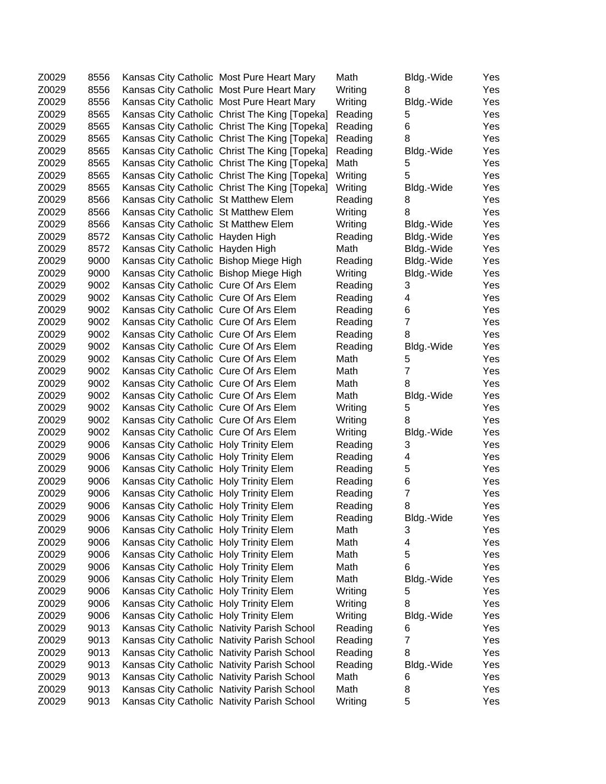| Z0029 | 8556 |                                        | Kansas City Catholic Most Pure Heart Mary     | Math    | Bldg.-Wide     | Yes |
|-------|------|----------------------------------------|-----------------------------------------------|---------|----------------|-----|
| Z0029 | 8556 |                                        | Kansas City Catholic Most Pure Heart Mary     | Writing | 8              | Yes |
| Z0029 | 8556 |                                        | Kansas City Catholic Most Pure Heart Mary     | Writing | Bldg.-Wide     | Yes |
| Z0029 | 8565 |                                        | Kansas City Catholic Christ The King [Topeka] | Reading | 5              | Yes |
| Z0029 | 8565 |                                        | Kansas City Catholic Christ The King [Topeka] | Reading | 6              | Yes |
| Z0029 | 8565 |                                        | Kansas City Catholic Christ The King [Topeka] | Reading | 8              | Yes |
| Z0029 | 8565 |                                        | Kansas City Catholic Christ The King [Topeka] | Reading | Bldg.-Wide     | Yes |
| Z0029 | 8565 |                                        | Kansas City Catholic Christ The King [Topeka] | Math    | 5              | Yes |
| Z0029 | 8565 |                                        | Kansas City Catholic Christ The King [Topeka] | Writing | 5              | Yes |
| Z0029 | 8565 |                                        | Kansas City Catholic Christ The King [Topeka] | Writing | Bldg.-Wide     | Yes |
| Z0029 | 8566 | Kansas City Catholic St Matthew Elem   |                                               | Reading | 8              | Yes |
| Z0029 | 8566 | Kansas City Catholic St Matthew Elem   |                                               | Writing | 8              | Yes |
| Z0029 | 8566 | Kansas City Catholic St Matthew Elem   |                                               | Writing | Bldg.-Wide     | Yes |
| Z0029 | 8572 | Kansas City Catholic Hayden High       |                                               | Reading | Bldg.-Wide     | Yes |
| Z0029 | 8572 | Kansas City Catholic Hayden High       |                                               | Math    | Bldg.-Wide     | Yes |
| Z0029 | 9000 | Kansas City Catholic Bishop Miege High |                                               | Reading | Bldg.-Wide     | Yes |
| Z0029 | 9000 | Kansas City Catholic Bishop Miege High |                                               | Writing | Bldg.-Wide     | Yes |
| Z0029 | 9002 | Kansas City Catholic Cure Of Ars Elem  |                                               | Reading | 3              | Yes |
| Z0029 | 9002 | Kansas City Catholic Cure Of Ars Elem  |                                               | Reading | 4              | Yes |
| Z0029 | 9002 | Kansas City Catholic Cure Of Ars Elem  |                                               | Reading | 6              | Yes |
| Z0029 | 9002 | Kansas City Catholic Cure Of Ars Elem  |                                               | Reading | $\overline{7}$ | Yes |
| Z0029 | 9002 | Kansas City Catholic Cure Of Ars Elem  |                                               | Reading | 8              | Yes |
| Z0029 | 9002 | Kansas City Catholic Cure Of Ars Elem  |                                               | Reading | Bldg.-Wide     | Yes |
| Z0029 | 9002 | Kansas City Catholic Cure Of Ars Elem  |                                               | Math    | 5              | Yes |
| Z0029 | 9002 | Kansas City Catholic Cure Of Ars Elem  |                                               | Math    | 7              | Yes |
| Z0029 | 9002 | Kansas City Catholic Cure Of Ars Elem  |                                               | Math    | 8              | Yes |
| Z0029 | 9002 | Kansas City Catholic Cure Of Ars Elem  |                                               | Math    | Bldg.-Wide     | Yes |
| Z0029 | 9002 | Kansas City Catholic Cure Of Ars Elem  |                                               | Writing | 5              | Yes |
| Z0029 | 9002 | Kansas City Catholic Cure Of Ars Elem  |                                               | Writing | 8              | Yes |
| Z0029 | 9002 | Kansas City Catholic Cure Of Ars Elem  |                                               | Writing | Bldg.-Wide     | Yes |
| Z0029 | 9006 | Kansas City Catholic Holy Trinity Elem |                                               | Reading | 3              | Yes |
| Z0029 | 9006 | Kansas City Catholic Holy Trinity Elem |                                               | Reading | 4              | Yes |
| Z0029 | 9006 | Kansas City Catholic Holy Trinity Elem |                                               | Reading | 5              | Yes |
| Z0029 | 9006 | Kansas City Catholic Holy Trinity Elem |                                               | Reading | 6              | Yes |
| Z0029 | 9006 | Kansas City Catholic Holy Trinity Elem |                                               | Reading | $\overline{7}$ | Yes |
| Z0029 | 9006 | Kansas City Catholic Holy Trinity Elem |                                               | Reading | 8              | Yes |
| Z0029 | 9006 | Kansas City Catholic Holy Trinity Elem |                                               | Reading | Bldg.-Wide     | Yes |
| Z0029 | 9006 | Kansas City Catholic Holy Trinity Elem |                                               | Math    | 3              | Yes |
| Z0029 | 9006 | Kansas City Catholic Holy Trinity Elem |                                               | Math    | 4              | Yes |
| Z0029 | 9006 | Kansas City Catholic Holy Trinity Elem |                                               | Math    | 5              | Yes |
| Z0029 | 9006 | Kansas City Catholic Holy Trinity Elem |                                               | Math    | 6              | Yes |
| Z0029 | 9006 | Kansas City Catholic Holy Trinity Elem |                                               | Math    | Bldg.-Wide     | Yes |
| Z0029 | 9006 | Kansas City Catholic Holy Trinity Elem |                                               | Writing | 5              | Yes |
| Z0029 | 9006 | Kansas City Catholic Holy Trinity Elem |                                               | Writing | 8              | Yes |
| Z0029 | 9006 | Kansas City Catholic Holy Trinity Elem |                                               | Writing | Bldg.-Wide     | Yes |
| Z0029 | 9013 |                                        | Kansas City Catholic Nativity Parish School   | Reading | 6              | Yes |
| Z0029 | 9013 |                                        | Kansas City Catholic Nativity Parish School   | Reading | 7              | Yes |
| Z0029 | 9013 |                                        | Kansas City Catholic Nativity Parish School   | Reading | 8              | Yes |
| Z0029 | 9013 |                                        | Kansas City Catholic Nativity Parish School   | Reading | Bldg.-Wide     | Yes |
| Z0029 | 9013 |                                        | Kansas City Catholic Nativity Parish School   | Math    | 6              | Yes |
| Z0029 | 9013 |                                        | Kansas City Catholic Nativity Parish School   | Math    | 8              | Yes |
| Z0029 | 9013 |                                        | Kansas City Catholic Nativity Parish School   | Writing | 5              | Yes |
|       |      |                                        |                                               |         |                |     |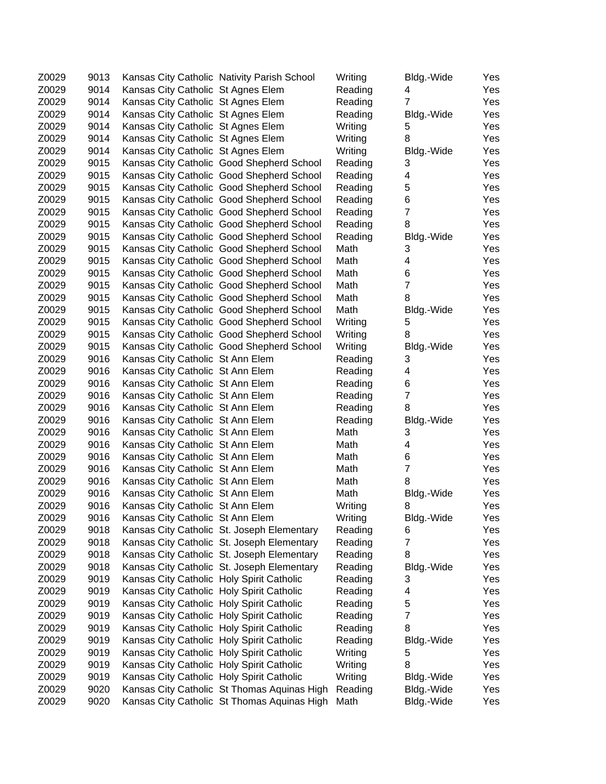| Z0029 | 9013 |                                           | Kansas City Catholic Nativity Parish School | Writing | Bldg.-Wide     | Yes |
|-------|------|-------------------------------------------|---------------------------------------------|---------|----------------|-----|
| Z0029 | 9014 | Kansas City Catholic St Agnes Elem        |                                             | Reading | 4              | Yes |
| Z0029 | 9014 | Kansas City Catholic St Agnes Elem        |                                             | Reading | $\overline{7}$ | Yes |
| Z0029 | 9014 | Kansas City Catholic St Agnes Elem        |                                             | Reading | Bldg.-Wide     | Yes |
| Z0029 | 9014 | Kansas City Catholic St Agnes Elem        |                                             | Writing | 5              | Yes |
| Z0029 | 9014 | Kansas City Catholic St Agnes Elem        |                                             | Writing | 8              | Yes |
| Z0029 | 9014 | Kansas City Catholic St Agnes Elem        |                                             | Writing | Bldg.-Wide     | Yes |
| Z0029 | 9015 |                                           | Kansas City Catholic Good Shepherd School   | Reading | 3              | Yes |
| Z0029 | 9015 |                                           | Kansas City Catholic Good Shepherd School   | Reading | 4              | Yes |
| Z0029 | 9015 |                                           | Kansas City Catholic Good Shepherd School   | Reading | 5              | Yes |
| Z0029 | 9015 |                                           | Kansas City Catholic Good Shepherd School   | Reading | 6              | Yes |
| Z0029 | 9015 |                                           | Kansas City Catholic Good Shepherd School   | Reading | $\overline{7}$ | Yes |
| Z0029 | 9015 |                                           | Kansas City Catholic Good Shepherd School   | Reading | 8              | Yes |
| Z0029 | 9015 |                                           | Kansas City Catholic Good Shepherd School   | Reading | Bldg.-Wide     | Yes |
| Z0029 | 9015 |                                           | Kansas City Catholic Good Shepherd School   | Math    | 3              | Yes |
| Z0029 | 9015 |                                           | Kansas City Catholic Good Shepherd School   | Math    | 4              | Yes |
| Z0029 | 9015 |                                           | Kansas City Catholic Good Shepherd School   | Math    | 6              | Yes |
| Z0029 | 9015 |                                           | Kansas City Catholic Good Shepherd School   | Math    | $\overline{7}$ | Yes |
| Z0029 | 9015 |                                           | Kansas City Catholic Good Shepherd School   | Math    | 8              | Yes |
| Z0029 | 9015 |                                           | Kansas City Catholic Good Shepherd School   | Math    | Bldg.-Wide     | Yes |
| Z0029 | 9015 |                                           | Kansas City Catholic Good Shepherd School   | Writing | 5              | Yes |
| Z0029 | 9015 |                                           | Kansas City Catholic Good Shepherd School   | Writing | 8              | Yes |
| Z0029 | 9015 |                                           | Kansas City Catholic Good Shepherd School   | Writing | Bldg.-Wide     | Yes |
| Z0029 | 9016 | Kansas City Catholic St Ann Elem          |                                             | Reading | 3              | Yes |
| Z0029 | 9016 | Kansas City Catholic St Ann Elem          |                                             | Reading | 4              | Yes |
| Z0029 | 9016 | Kansas City Catholic St Ann Elem          |                                             | Reading | 6              | Yes |
| Z0029 | 9016 | Kansas City Catholic St Ann Elem          |                                             | Reading | 7              | Yes |
| Z0029 | 9016 | Kansas City Catholic St Ann Elem          |                                             | Reading | 8              | Yes |
| Z0029 | 9016 | Kansas City Catholic St Ann Elem          |                                             | Reading | Bldg.-Wide     | Yes |
| Z0029 | 9016 | Kansas City Catholic St Ann Elem          |                                             | Math    | 3              | Yes |
| Z0029 | 9016 | Kansas City Catholic St Ann Elem          |                                             | Math    | 4              | Yes |
| Z0029 | 9016 | Kansas City Catholic St Ann Elem          |                                             | Math    | 6              | Yes |
| Z0029 | 9016 | Kansas City Catholic St Ann Elem          |                                             | Math    | $\overline{7}$ | Yes |
| Z0029 | 9016 | Kansas City Catholic St Ann Elem          |                                             | Math    | 8              | Yes |
| Z0029 | 9016 | Kansas City Catholic St Ann Elem          |                                             | Math    | Bldg.-Wide     | Yes |
| Z0029 | 9016 | Kansas City Catholic St Ann Elem          |                                             | Writing | 8              | Yes |
| Z0029 | 9016 | Kansas City Catholic St Ann Elem          |                                             | Writing | Bldg.-Wide     | Yes |
| Z0029 | 9018 |                                           | Kansas City Catholic St. Joseph Elementary  | Reading | 6              | Yes |
| Z0029 | 9018 |                                           | Kansas City Catholic St. Joseph Elementary  | Reading | 7              | Yes |
| Z0029 | 9018 |                                           | Kansas City Catholic St. Joseph Elementary  | Reading | 8              | Yes |
| Z0029 | 9018 |                                           | Kansas City Catholic St. Joseph Elementary  | Reading | Bldg.-Wide     | Yes |
| Z0029 | 9019 | Kansas City Catholic Holy Spirit Catholic |                                             | Reading | 3              | Yes |
| Z0029 | 9019 | Kansas City Catholic Holy Spirit Catholic |                                             | Reading | 4              | Yes |
| Z0029 | 9019 | Kansas City Catholic Holy Spirit Catholic |                                             | Reading | 5              | Yes |
| Z0029 | 9019 | Kansas City Catholic Holy Spirit Catholic |                                             | Reading | 7              | Yes |
| Z0029 | 9019 | Kansas City Catholic Holy Spirit Catholic |                                             | Reading | 8              | Yes |
| Z0029 | 9019 | Kansas City Catholic Holy Spirit Catholic |                                             | Reading | Bldg.-Wide     | Yes |
| Z0029 | 9019 | Kansas City Catholic Holy Spirit Catholic |                                             | Writing | 5              | Yes |
| Z0029 | 9019 | Kansas City Catholic Holy Spirit Catholic |                                             | Writing | 8              | Yes |
| Z0029 | 9019 | Kansas City Catholic Holy Spirit Catholic |                                             | Writing | Bldg.-Wide     | Yes |
| Z0029 | 9020 |                                           | Kansas City Catholic St Thomas Aquinas High | Reading | Bldg.-Wide     | Yes |
| Z0029 | 9020 |                                           | Kansas City Catholic St Thomas Aquinas High | Math    | Bldg.-Wide     | Yes |
|       |      |                                           |                                             |         |                |     |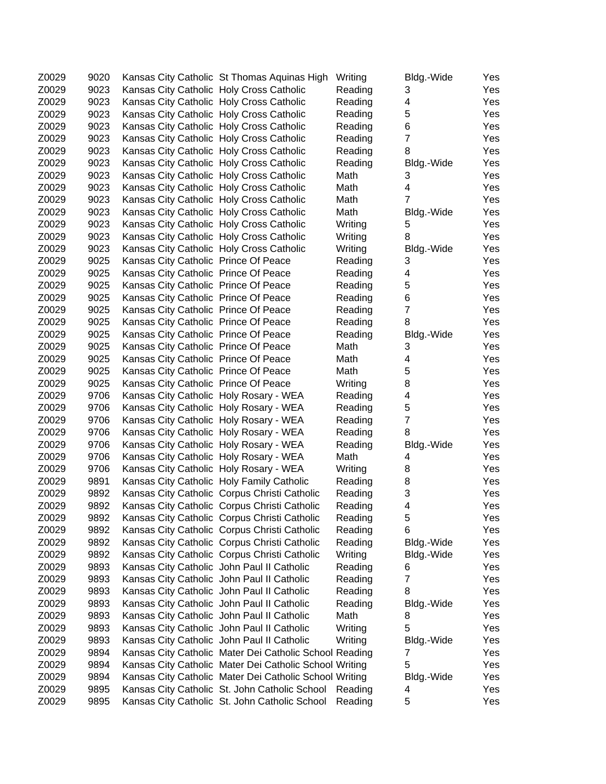| Z0029 | 9020 |                                            | Kansas City Catholic St Thomas Aquinas High            | Writing | Bldg.-Wide          | Yes |
|-------|------|--------------------------------------------|--------------------------------------------------------|---------|---------------------|-----|
| Z0029 | 9023 | Kansas City Catholic Holy Cross Catholic   |                                                        | Reading | 3                   | Yes |
| Z0029 | 9023 | Kansas City Catholic Holy Cross Catholic   |                                                        | Reading | 4                   | Yes |
| Z0029 | 9023 | Kansas City Catholic Holy Cross Catholic   |                                                        | Reading | 5                   | Yes |
| Z0029 | 9023 | Kansas City Catholic Holy Cross Catholic   |                                                        | Reading | 6                   | Yes |
| Z0029 | 9023 | Kansas City Catholic Holy Cross Catholic   |                                                        | Reading | $\overline{7}$      | Yes |
| Z0029 | 9023 | Kansas City Catholic Holy Cross Catholic   |                                                        | Reading | 8                   | Yes |
| Z0029 | 9023 | Kansas City Catholic Holy Cross Catholic   |                                                        | Reading | Bldg.-Wide          | Yes |
| Z0029 | 9023 | Kansas City Catholic Holy Cross Catholic   |                                                        | Math    | 3                   | Yes |
| Z0029 | 9023 | Kansas City Catholic Holy Cross Catholic   |                                                        | Math    | 4                   | Yes |
| Z0029 | 9023 | Kansas City Catholic Holy Cross Catholic   |                                                        | Math    | 7                   | Yes |
| Z0029 | 9023 | Kansas City Catholic Holy Cross Catholic   |                                                        | Math    | Bldg.-Wide          | Yes |
| Z0029 | 9023 | Kansas City Catholic Holy Cross Catholic   |                                                        | Writing | 5                   | Yes |
| Z0029 | 9023 | Kansas City Catholic Holy Cross Catholic   |                                                        | Writing | 8                   | Yes |
| Z0029 | 9023 | Kansas City Catholic Holy Cross Catholic   |                                                        | Writing | Bldg.-Wide          | Yes |
| Z0029 | 9025 | Kansas City Catholic Prince Of Peace       |                                                        | Reading | 3                   | Yes |
| Z0029 | 9025 | Kansas City Catholic Prince Of Peace       |                                                        | Reading | 4                   | Yes |
| Z0029 | 9025 | Kansas City Catholic Prince Of Peace       |                                                        | Reading | 5                   | Yes |
| Z0029 | 9025 | Kansas City Catholic Prince Of Peace       |                                                        | Reading | 6                   | Yes |
| Z0029 | 9025 | Kansas City Catholic Prince Of Peace       |                                                        | Reading | $\overline{7}$      | Yes |
| Z0029 | 9025 | Kansas City Catholic Prince Of Peace       |                                                        | Reading | 8                   | Yes |
| Z0029 | 9025 | Kansas City Catholic Prince Of Peace       |                                                        | Reading | Bldg.-Wide          | Yes |
| Z0029 | 9025 | Kansas City Catholic Prince Of Peace       |                                                        | Math    | 3                   | Yes |
| Z0029 | 9025 | Kansas City Catholic Prince Of Peace       |                                                        | Math    | 4                   | Yes |
| Z0029 | 9025 | Kansas City Catholic Prince Of Peace       |                                                        | Math    | 5                   | Yes |
| Z0029 | 9025 | Kansas City Catholic Prince Of Peace       |                                                        | Writing | 8                   | Yes |
| Z0029 | 9706 |                                            |                                                        |         | 4                   | Yes |
| Z0029 | 9706 | Kansas City Catholic Holy Rosary - WEA     |                                                        | Reading |                     |     |
|       |      | Kansas City Catholic Holy Rosary - WEA     |                                                        | Reading | 5<br>$\overline{7}$ | Yes |
| Z0029 | 9706 | Kansas City Catholic Holy Rosary - WEA     |                                                        | Reading |                     | Yes |
| Z0029 | 9706 | Kansas City Catholic Holy Rosary - WEA     |                                                        | Reading | 8                   | Yes |
| Z0029 | 9706 | Kansas City Catholic Holy Rosary - WEA     |                                                        | Reading | Bldg.-Wide          | Yes |
| Z0029 | 9706 | Kansas City Catholic Holy Rosary - WEA     |                                                        | Math    | 4                   | Yes |
| Z0029 | 9706 | Kansas City Catholic Holy Rosary - WEA     |                                                        | Writing | 8                   | Yes |
| Z0029 | 9891 | Kansas City Catholic Holy Family Catholic  |                                                        | Reading | 8                   | Yes |
| Z0029 | 9892 |                                            | Kansas City Catholic Corpus Christi Catholic           | Reading | 3                   | Yes |
| Z0029 | 9892 |                                            | Kansas City Catholic Corpus Christi Catholic           | Reading | 4                   | Yes |
| Z0029 | 9892 |                                            | Kansas City Catholic Corpus Christi Catholic           | Reading | 5                   | Yes |
| Z0029 | 9892 |                                            | Kansas City Catholic Corpus Christi Catholic           | Reading | 6                   | Yes |
| Z0029 | 9892 |                                            | Kansas City Catholic Corpus Christi Catholic           | Reading | Bldg.-Wide          | Yes |
| Z0029 | 9892 |                                            | Kansas City Catholic Corpus Christi Catholic           | Writing | Bldg.-Wide          | Yes |
| Z0029 | 9893 | Kansas City Catholic John Paul II Catholic |                                                        | Reading | 6                   | Yes |
| Z0029 | 9893 | Kansas City Catholic John Paul II Catholic |                                                        | Reading | $\overline{7}$      | Yes |
| Z0029 | 9893 | Kansas City Catholic John Paul II Catholic |                                                        | Reading | 8                   | Yes |
| Z0029 | 9893 | Kansas City Catholic John Paul II Catholic |                                                        | Reading | Bldg.-Wide          | Yes |
| Z0029 | 9893 | Kansas City Catholic John Paul II Catholic |                                                        | Math    | 8                   | Yes |
| Z0029 | 9893 | Kansas City Catholic John Paul II Catholic |                                                        | Writing | 5                   | Yes |
| Z0029 | 9893 | Kansas City Catholic John Paul II Catholic |                                                        | Writing | Bldg.-Wide          | Yes |
| Z0029 | 9894 |                                            | Kansas City Catholic Mater Dei Catholic School Reading |         | 7                   | Yes |
| Z0029 | 9894 |                                            | Kansas City Catholic Mater Dei Catholic School Writing |         | 5                   | Yes |
| Z0029 | 9894 |                                            | Kansas City Catholic Mater Dei Catholic School Writing |         | Bldg.-Wide          | Yes |
| Z0029 | 9895 |                                            | Kansas City Catholic St. John Catholic School Reading  |         | 4                   | Yes |
| Z0029 | 9895 |                                            | Kansas City Catholic St. John Catholic School          | Reading | 5                   | Yes |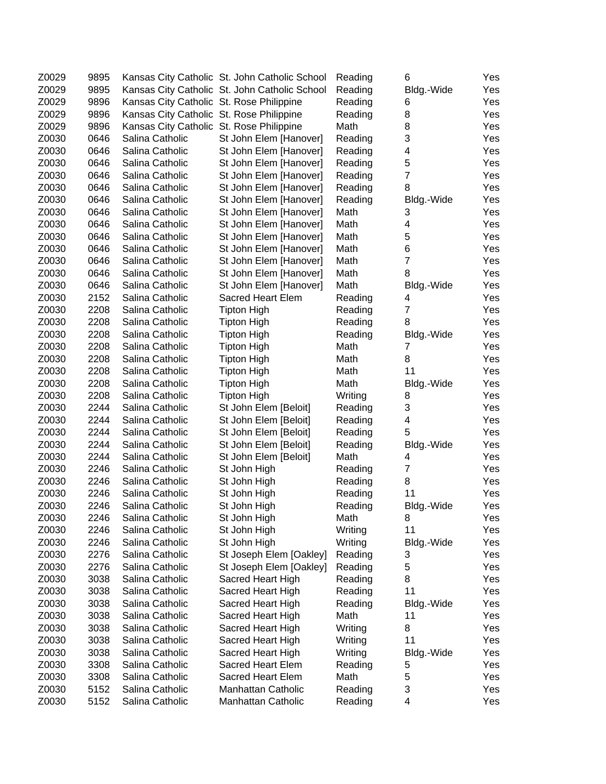| Z0029 | 9895 |                                          | Kansas City Catholic St. John Catholic School | Reading         | 6                       | Yes |
|-------|------|------------------------------------------|-----------------------------------------------|-----------------|-------------------------|-----|
| Z0029 | 9895 |                                          | Kansas City Catholic St. John Catholic School | Reading         | Bldg.-Wide              | Yes |
| Z0029 | 9896 | Kansas City Catholic St. Rose Philippine |                                               | Reading         | 6                       | Yes |
| Z0029 | 9896 | Kansas City Catholic St. Rose Philippine |                                               | Reading         | 8                       | Yes |
| Z0029 | 9896 | Kansas City Catholic St. Rose Philippine |                                               | Math            | 8                       | Yes |
| Z0030 | 0646 | Salina Catholic                          | St John Elem [Hanover]                        | Reading         | 3                       | Yes |
| Z0030 | 0646 | Salina Catholic                          | St John Elem [Hanover]                        | Reading         | 4                       | Yes |
| Z0030 | 0646 | Salina Catholic                          | St John Elem [Hanover]                        | Reading         | 5                       | Yes |
| Z0030 | 0646 | Salina Catholic                          | St John Elem [Hanover]                        | Reading         | $\overline{7}$          | Yes |
| Z0030 | 0646 | Salina Catholic                          | St John Elem [Hanover]                        | Reading         | 8                       | Yes |
| Z0030 | 0646 | Salina Catholic                          | St John Elem [Hanover]                        | Reading         | Bldg.-Wide              | Yes |
| Z0030 | 0646 | Salina Catholic                          | St John Elem [Hanover]                        | Math            | 3                       | Yes |
| Z0030 | 0646 | Salina Catholic                          | St John Elem [Hanover]                        | Math            | 4                       | Yes |
| Z0030 | 0646 | Salina Catholic                          | St John Elem [Hanover]                        | Math            | 5                       | Yes |
| Z0030 | 0646 | Salina Catholic                          | St John Elem [Hanover]                        | Math            | 6                       | Yes |
| Z0030 | 0646 | Salina Catholic                          | St John Elem [Hanover]                        | Math            | $\overline{7}$          | Yes |
| Z0030 | 0646 | Salina Catholic                          | St John Elem [Hanover]                        | Math            | 8                       | Yes |
| Z0030 | 0646 | Salina Catholic                          | St John Elem [Hanover]                        | Math            | Bldg.-Wide              | Yes |
| Z0030 | 2152 | Salina Catholic                          | <b>Sacred Heart Elem</b>                      | Reading         | 4                       | Yes |
| Z0030 | 2208 | Salina Catholic                          | <b>Tipton High</b>                            | Reading         | $\overline{7}$          | Yes |
| Z0030 | 2208 | Salina Catholic                          | <b>Tipton High</b>                            | Reading         | 8                       | Yes |
| Z0030 | 2208 | Salina Catholic                          | <b>Tipton High</b>                            | Reading         | Bldg.-Wide              | Yes |
| Z0030 | 2208 | Salina Catholic                          | <b>Tipton High</b>                            | Math            | 7                       | Yes |
| Z0030 | 2208 | Salina Catholic                          | <b>Tipton High</b>                            | Math            | 8                       | Yes |
| Z0030 | 2208 | Salina Catholic                          | <b>Tipton High</b>                            | Math            | 11                      | Yes |
| Z0030 | 2208 | Salina Catholic                          | <b>Tipton High</b>                            | Math            | Bldg.-Wide              | Yes |
| Z0030 | 2208 | Salina Catholic                          | <b>Tipton High</b>                            | Writing         | 8                       | Yes |
| Z0030 | 2244 | Salina Catholic                          | St John Elem [Beloit]                         | Reading         | 3                       | Yes |
| Z0030 | 2244 | Salina Catholic                          | St John Elem [Beloit]                         | Reading         | 4                       | Yes |
| Z0030 | 2244 | Salina Catholic                          |                                               | Reading         | 5                       | Yes |
| Z0030 | 2244 | Salina Catholic                          | St John Elem [Beloit]                         |                 |                         | Yes |
| Z0030 | 2244 | Salina Catholic                          | St John Elem [Beloit]                         | Reading<br>Math | Bldg.-Wide<br>4         | Yes |
| Z0030 | 2246 | Salina Catholic                          | St John Elem [Beloit]                         |                 | $\overline{7}$          | Yes |
| Z0030 | 2246 | Salina Catholic                          | St John High                                  | Reading         | 8                       |     |
|       |      | Salina Catholic                          | St John High                                  | Reading         | 11                      | Yes |
| Z0030 | 2246 |                                          | St John High                                  | Reading         |                         | Yes |
| Z0030 | 2246 | Salina Catholic                          | St John High                                  | Reading         | Bldg.-Wide              | Yes |
| Z0030 | 2246 | Salina Catholic<br>Salina Catholic       | St John High                                  | Math            | 8                       | Yes |
| Z0030 | 2246 |                                          | St John High                                  | Writing         | 11                      | Yes |
| Z0030 | 2246 | Salina Catholic                          | St John High                                  | Writing         | Bldg.-Wide              | Yes |
| Z0030 | 2276 | Salina Catholic                          | St Joseph Elem [Oakley]                       | Reading         | 3                       | Yes |
| Z0030 | 2276 | Salina Catholic                          | St Joseph Elem [Oakley]                       | Reading         | 5                       | Yes |
| Z0030 | 3038 | Salina Catholic                          | Sacred Heart High                             | Reading         | 8                       | Yes |
| Z0030 | 3038 | Salina Catholic                          | Sacred Heart High                             | Reading         | 11                      | Yes |
| Z0030 | 3038 | Salina Catholic                          | Sacred Heart High                             | Reading         | Bldg.-Wide              | Yes |
| Z0030 | 3038 | Salina Catholic                          | Sacred Heart High                             | Math            | 11                      | Yes |
| Z0030 | 3038 | Salina Catholic                          | Sacred Heart High                             | Writing         | 8                       | Yes |
| Z0030 | 3038 | Salina Catholic                          | Sacred Heart High                             | Writing         | 11                      | Yes |
| Z0030 | 3038 | Salina Catholic                          | Sacred Heart High                             | Writing         | Bldg.-Wide              | Yes |
| Z0030 | 3308 | Salina Catholic                          | Sacred Heart Elem                             | Reading         | 5                       | Yes |
| Z0030 | 3308 | Salina Catholic                          | Sacred Heart Elem                             | Math            | 5                       | Yes |
| Z0030 | 5152 | Salina Catholic                          | Manhattan Catholic                            | Reading         | 3                       | Yes |
| Z0030 | 5152 | Salina Catholic                          | Manhattan Catholic                            | Reading         | $\overline{\mathbf{4}}$ | Yes |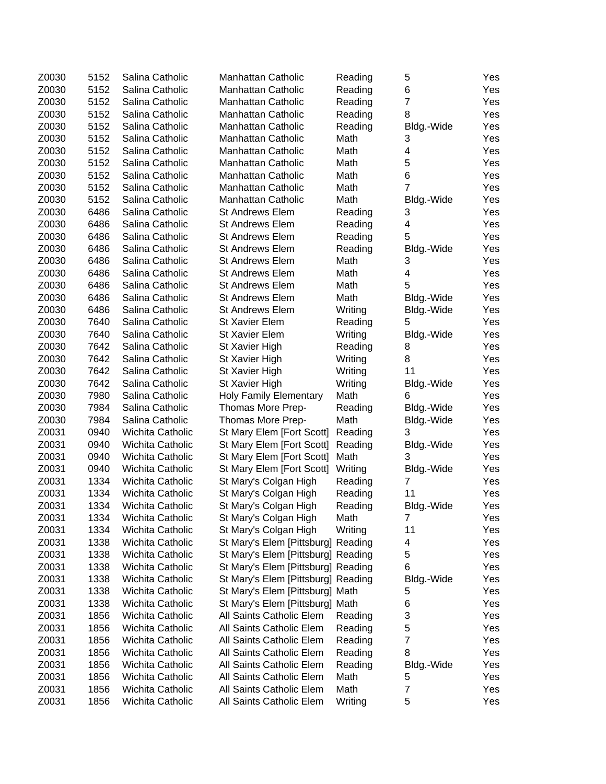| Z0030 | 5152 | Salina Catholic                    | <b>Manhattan Catholic</b>          | Reading | 5                       | Yes |
|-------|------|------------------------------------|------------------------------------|---------|-------------------------|-----|
| Z0030 | 5152 | Salina Catholic                    | <b>Manhattan Catholic</b>          | Reading | 6                       | Yes |
| Z0030 | 5152 | Salina Catholic                    | <b>Manhattan Catholic</b>          | Reading | $\overline{7}$          | Yes |
| Z0030 | 5152 | Salina Catholic                    | <b>Manhattan Catholic</b>          | Reading | 8                       | Yes |
| Z0030 | 5152 | Salina Catholic                    | <b>Manhattan Catholic</b>          | Reading | Bldg.-Wide              | Yes |
| Z0030 | 5152 | Salina Catholic                    | <b>Manhattan Catholic</b>          | Math    | 3                       | Yes |
| Z0030 | 5152 | Salina Catholic                    | <b>Manhattan Catholic</b>          | Math    | 4                       | Yes |
| Z0030 | 5152 | Salina Catholic                    | <b>Manhattan Catholic</b>          | Math    | 5                       | Yes |
| Z0030 | 5152 | Salina Catholic                    | <b>Manhattan Catholic</b>          | Math    | 6                       | Yes |
| Z0030 | 5152 |                                    |                                    |         | 7                       |     |
|       | 5152 | Salina Catholic<br>Salina Catholic | <b>Manhattan Catholic</b>          | Math    |                         | Yes |
| Z0030 | 6486 |                                    | <b>Manhattan Catholic</b>          | Math    | Bldg.-Wide              | Yes |
| Z0030 |      | Salina Catholic                    | <b>St Andrews Elem</b>             | Reading | 3                       | Yes |
| Z0030 | 6486 | Salina Catholic                    | <b>St Andrews Elem</b>             | Reading | 4                       | Yes |
| Z0030 | 6486 | Salina Catholic                    | <b>St Andrews Elem</b>             | Reading | 5                       | Yes |
| Z0030 | 6486 | Salina Catholic                    | <b>St Andrews Elem</b>             | Reading | Bldg.-Wide              | Yes |
| Z0030 | 6486 | Salina Catholic                    | <b>St Andrews Elem</b>             | Math    | 3                       | Yes |
| Z0030 | 6486 | Salina Catholic                    | <b>St Andrews Elem</b>             | Math    | $\overline{\mathbf{4}}$ | Yes |
| Z0030 | 6486 | Salina Catholic                    | <b>St Andrews Elem</b>             | Math    | 5                       | Yes |
| Z0030 | 6486 | Salina Catholic                    | <b>St Andrews Elem</b>             | Math    | Bldg.-Wide              | Yes |
| Z0030 | 6486 | Salina Catholic                    | <b>St Andrews Elem</b>             | Writing | Bldg.-Wide              | Yes |
| Z0030 | 7640 | Salina Catholic                    | <b>St Xavier Elem</b>              | Reading | 5                       | Yes |
| Z0030 | 7640 | Salina Catholic                    | <b>St Xavier Elem</b>              | Writing | Bldg.-Wide              | Yes |
| Z0030 | 7642 | Salina Catholic                    | St Xavier High                     | Reading | 8                       | Yes |
| Z0030 | 7642 | Salina Catholic                    | St Xavier High                     | Writing | 8                       | Yes |
| Z0030 | 7642 | Salina Catholic                    | St Xavier High                     | Writing | 11                      | Yes |
| Z0030 | 7642 | Salina Catholic                    | St Xavier High                     | Writing | Bldg.-Wide              | Yes |
| Z0030 | 7980 | Salina Catholic                    | <b>Holy Family Elementary</b>      | Math    | 6                       | Yes |
| Z0030 | 7984 | Salina Catholic                    | Thomas More Prep-                  | Reading | Bldg.-Wide              | Yes |
| Z0030 | 7984 | Salina Catholic                    | Thomas More Prep-                  | Math    | Bldg.-Wide              | Yes |
| Z0031 | 0940 | Wichita Catholic                   | St Mary Elem [Fort Scott]          | Reading | 3                       | Yes |
| Z0031 | 0940 | Wichita Catholic                   | St Mary Elem [Fort Scott]          | Reading | Bldg.-Wide              | Yes |
| Z0031 | 0940 | Wichita Catholic                   | St Mary Elem [Fort Scott]          | Math    | 3                       | Yes |
| Z0031 | 0940 | Wichita Catholic                   | St Mary Elem [Fort Scott]          | Writing | Bldg.-Wide              | Yes |
| Z0031 | 1334 | <b>Wichita Catholic</b>            | St Mary's Colgan High              | Reading | 7                       | Yes |
| Z0031 | 1334 | Wichita Catholic                   | St Mary's Colgan High              | Reading | 11                      | Yes |
| Z0031 | 1334 | Wichita Catholic                   | St Mary's Colgan High              | Reading | Bldg.-Wide              | Yes |
| Z0031 | 1334 | Wichita Catholic                   | St Mary's Colgan High              | Math    | 7                       | Yes |
| Z0031 | 1334 | Wichita Catholic                   | St Mary's Colgan High              | Writing | 11                      | Yes |
| Z0031 | 1338 | Wichita Catholic                   | St Mary's Elem [Pittsburg] Reading |         | 4                       | Yes |
| Z0031 | 1338 | Wichita Catholic                   | St Mary's Elem [Pittsburg] Reading |         | 5                       | Yes |
| Z0031 | 1338 | Wichita Catholic                   | St Mary's Elem [Pittsburg] Reading |         | 6                       | Yes |
| Z0031 | 1338 | Wichita Catholic                   | St Mary's Elem [Pittsburg] Reading |         | Bldg.-Wide              | Yes |
| Z0031 | 1338 | Wichita Catholic                   | St Mary's Elem [Pittsburg] Math    |         | 5                       | Yes |
| Z0031 | 1338 | Wichita Catholic                   |                                    |         |                         |     |
|       |      |                                    | St Mary's Elem [Pittsburg] Math    |         | 6                       | Yes |
| Z0031 | 1856 | Wichita Catholic                   | All Saints Catholic Elem           | Reading | 3                       | Yes |
| Z0031 | 1856 | Wichita Catholic                   | All Saints Catholic Elem           | Reading | 5                       | Yes |
| Z0031 | 1856 | Wichita Catholic                   | All Saints Catholic Elem           | Reading | 7                       | Yes |
| Z0031 | 1856 | Wichita Catholic                   | All Saints Catholic Elem           | Reading | 8                       | Yes |
| Z0031 | 1856 | Wichita Catholic                   | All Saints Catholic Elem           | Reading | Bldg.-Wide              | Yes |
| Z0031 | 1856 | Wichita Catholic                   | All Saints Catholic Elem           | Math    | 5                       | Yes |
| Z0031 | 1856 | Wichita Catholic                   | All Saints Catholic Elem           | Math    | $\overline{7}$          | Yes |
| Z0031 | 1856 | Wichita Catholic                   | All Saints Catholic Elem           | Writing | 5                       | Yes |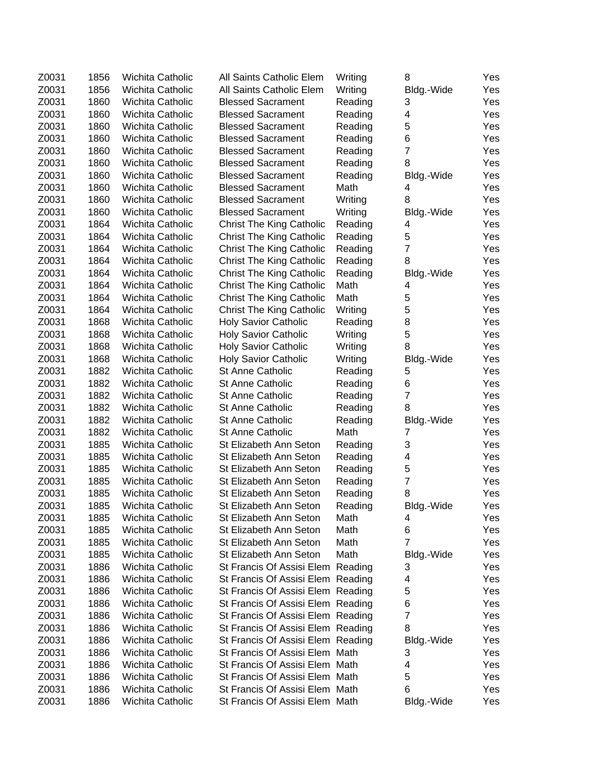| Z0031 | 1856 | Wichita Catholic        | All Saints Catholic Elem          | Writing | 8              | Yes |
|-------|------|-------------------------|-----------------------------------|---------|----------------|-----|
| Z0031 | 1856 | Wichita Catholic        | All Saints Catholic Elem          | Writing | Bldg.-Wide     | Yes |
| Z0031 | 1860 | Wichita Catholic        | <b>Blessed Sacrament</b>          | Reading | 3              | Yes |
| Z0031 | 1860 | Wichita Catholic        | <b>Blessed Sacrament</b>          | Reading | 4              | Yes |
| Z0031 | 1860 | Wichita Catholic        | <b>Blessed Sacrament</b>          | Reading | 5              | Yes |
| Z0031 | 1860 | Wichita Catholic        | <b>Blessed Sacrament</b>          | Reading | 6              | Yes |
| Z0031 | 1860 | Wichita Catholic        | <b>Blessed Sacrament</b>          | Reading | $\overline{7}$ | Yes |
| Z0031 | 1860 | Wichita Catholic        | <b>Blessed Sacrament</b>          | Reading | 8              | Yes |
| Z0031 | 1860 | <b>Wichita Catholic</b> | <b>Blessed Sacrament</b>          | Reading | Bldg.-Wide     | Yes |
| Z0031 | 1860 | Wichita Catholic        | <b>Blessed Sacrament</b>          | Math    | 4              | Yes |
| Z0031 | 1860 | <b>Wichita Catholic</b> | <b>Blessed Sacrament</b>          | Writing | 8              | Yes |
| Z0031 | 1860 | Wichita Catholic        | <b>Blessed Sacrament</b>          | Writing | Bldg.-Wide     | Yes |
| Z0031 | 1864 | Wichita Catholic        | <b>Christ The King Catholic</b>   | Reading | 4              | Yes |
| Z0031 | 1864 | Wichita Catholic        | <b>Christ The King Catholic</b>   | Reading | 5              | Yes |
| Z0031 | 1864 | Wichita Catholic        | <b>Christ The King Catholic</b>   | Reading | $\overline{7}$ | Yes |
| Z0031 | 1864 | Wichita Catholic        | <b>Christ The King Catholic</b>   | Reading | 8              | Yes |
| Z0031 | 1864 | Wichita Catholic        | <b>Christ The King Catholic</b>   | Reading | Bldg.-Wide     | Yes |
| Z0031 | 1864 | Wichita Catholic        | <b>Christ The King Catholic</b>   | Math    | 4              | Yes |
| Z0031 | 1864 | Wichita Catholic        | <b>Christ The King Catholic</b>   | Math    | 5              | Yes |
| Z0031 | 1864 | Wichita Catholic        | <b>Christ The King Catholic</b>   | Writing | 5              | Yes |
| Z0031 | 1868 | Wichita Catholic        | <b>Holy Savior Catholic</b>       | Reading | 8              | Yes |
| Z0031 | 1868 | Wichita Catholic        | Holy Savior Catholic              | Writing | 5              | Yes |
| Z0031 | 1868 | Wichita Catholic        | Holy Savior Catholic              | Writing | 8              | Yes |
| Z0031 | 1868 | Wichita Catholic        | Holy Savior Catholic              | Writing | Bldg.-Wide     | Yes |
| Z0031 | 1882 | Wichita Catholic        | <b>St Anne Catholic</b>           | Reading | 5              | Yes |
| Z0031 | 1882 | Wichita Catholic        | <b>St Anne Catholic</b>           | Reading | 6              | Yes |
| Z0031 | 1882 | Wichita Catholic        | <b>St Anne Catholic</b>           | Reading | 7              | Yes |
| Z0031 | 1882 | Wichita Catholic        | St Anne Catholic                  | Reading | 8              | Yes |
| Z0031 | 1882 | Wichita Catholic        | <b>St Anne Catholic</b>           | Reading | Bldg.-Wide     | Yes |
| Z0031 | 1882 | Wichita Catholic        | <b>St Anne Catholic</b>           | Math    | 7              | Yes |
| Z0031 | 1885 | Wichita Catholic        | St Elizabeth Ann Seton            | Reading | 3              | Yes |
| Z0031 | 1885 | Wichita Catholic        | St Elizabeth Ann Seton            | Reading | 4              | Yes |
| Z0031 | 1885 | Wichita Catholic        | St Elizabeth Ann Seton            | Reading | 5              | Yes |
| Z0031 | 1885 | Wichita Catholic        | St Elizabeth Ann Seton            | Reading | $\overline{7}$ | Yes |
| Z0031 | 1885 | Wichita Catholic        | St Elizabeth Ann Seton            | Reading | 8              | Yes |
| Z0031 | 1885 | Wichita Catholic        | St Elizabeth Ann Seton            | Reading | Bldg.-Wide     | Yes |
| Z0031 | 1885 | Wichita Catholic        | St Elizabeth Ann Seton            | Math    | 4              | Yes |
| Z0031 | 1885 | Wichita Catholic        | St Elizabeth Ann Seton            | Math    | 6              | Yes |
| Z0031 | 1885 | Wichita Catholic        | St Elizabeth Ann Seton            | Math    | $\overline{7}$ | Yes |
| Z0031 | 1885 | Wichita Catholic        | St Elizabeth Ann Seton            | Math    | Bldg.-Wide     | Yes |
| Z0031 | 1886 | Wichita Catholic        | St Francis Of Assisi Elem Reading |         | 3              | Yes |
| Z0031 | 1886 | Wichita Catholic        | St Francis Of Assisi Elem Reading |         | 4              | Yes |
| Z0031 | 1886 | Wichita Catholic        | St Francis Of Assisi Elem Reading |         | 5              | Yes |
| Z0031 | 1886 | Wichita Catholic        | St Francis Of Assisi Elem Reading |         | 6              | Yes |
| Z0031 | 1886 | Wichita Catholic        | St Francis Of Assisi Elem Reading |         | 7              | Yes |
| Z0031 | 1886 | Wichita Catholic        | St Francis Of Assisi Elem Reading |         | 8              | Yes |
| Z0031 | 1886 | Wichita Catholic        | St Francis Of Assisi Elem Reading |         | Bldg.-Wide     | Yes |
| Z0031 | 1886 | Wichita Catholic        | St Francis Of Assisi Elem Math    |         | 3              | Yes |
| Z0031 | 1886 | Wichita Catholic        | St Francis Of Assisi Elem Math    |         | 4              | Yes |
| Z0031 | 1886 | Wichita Catholic        | St Francis Of Assisi Elem Math    |         | 5              | Yes |
| Z0031 | 1886 | Wichita Catholic        | St Francis Of Assisi Elem Math    |         | 6              | Yes |
| Z0031 | 1886 | Wichita Catholic        | St Francis Of Assisi Elem Math    |         | Bldg.-Wide     | Yes |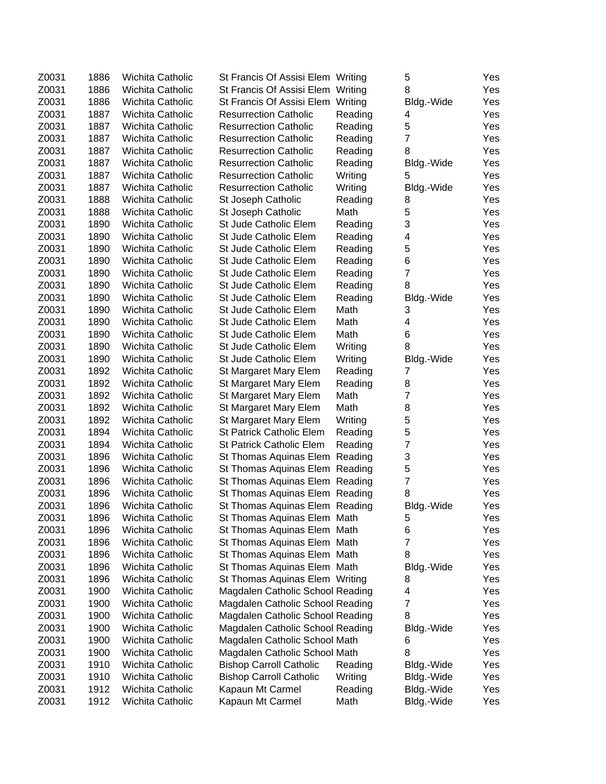| Z0031 | 1886 | Wichita Catholic        | St Francis Of Assisi Elem Writing |         | 5              | Yes |
|-------|------|-------------------------|-----------------------------------|---------|----------------|-----|
| Z0031 | 1886 | Wichita Catholic        | St Francis Of Assisi Elem Writing |         | 8              | Yes |
| Z0031 | 1886 | Wichita Catholic        | St Francis Of Assisi Elem         | Writing | Bldg.-Wide     | Yes |
| Z0031 | 1887 | Wichita Catholic        | <b>Resurrection Catholic</b>      | Reading | 4              | Yes |
| Z0031 | 1887 | Wichita Catholic        | <b>Resurrection Catholic</b>      | Reading | 5              | Yes |
| Z0031 | 1887 | <b>Wichita Catholic</b> | <b>Resurrection Catholic</b>      | Reading | $\overline{7}$ | Yes |
| Z0031 | 1887 | Wichita Catholic        | <b>Resurrection Catholic</b>      | Reading | 8              | Yes |
| Z0031 | 1887 | Wichita Catholic        | <b>Resurrection Catholic</b>      | Reading | Bldg.-Wide     | Yes |
| Z0031 | 1887 | Wichita Catholic        | <b>Resurrection Catholic</b>      | Writing | 5              | Yes |
| Z0031 | 1887 | Wichita Catholic        | <b>Resurrection Catholic</b>      | Writing | Bldg.-Wide     | Yes |
| Z0031 | 1888 | Wichita Catholic        | St Joseph Catholic                | Reading | 8              | Yes |
| Z0031 | 1888 | Wichita Catholic        | St Joseph Catholic                | Math    | 5              | Yes |
| Z0031 | 1890 | Wichita Catholic        | St Jude Catholic Elem             | Reading | 3              | Yes |
| Z0031 | 1890 | Wichita Catholic        | St Jude Catholic Elem             | Reading | 4              | Yes |
| Z0031 | 1890 | Wichita Catholic        | St Jude Catholic Elem             | Reading | 5              | Yes |
| Z0031 | 1890 | Wichita Catholic        | St Jude Catholic Elem             | Reading | 6              | Yes |
| Z0031 | 1890 | Wichita Catholic        | St Jude Catholic Elem             | Reading | $\overline{7}$ | Yes |
| Z0031 | 1890 | Wichita Catholic        | St Jude Catholic Elem             | Reading | 8              | Yes |
| Z0031 | 1890 | Wichita Catholic        | St Jude Catholic Elem             | Reading | Bldg.-Wide     | Yes |
| Z0031 | 1890 | Wichita Catholic        | St Jude Catholic Elem             | Math    | 3              | Yes |
| Z0031 | 1890 | Wichita Catholic        | St Jude Catholic Elem             | Math    | 4              | Yes |
| Z0031 | 1890 | Wichita Catholic        | St Jude Catholic Elem             | Math    | 6              | Yes |
| Z0031 | 1890 | Wichita Catholic        | St Jude Catholic Elem             | Writing | 8              | Yes |
| Z0031 | 1890 | Wichita Catholic        | St Jude Catholic Elem             | Writing | Bldg.-Wide     | Yes |
| Z0031 | 1892 | Wichita Catholic        | St Margaret Mary Elem             | Reading | 7              | Yes |
| Z0031 | 1892 | Wichita Catholic        | St Margaret Mary Elem             | Reading | 8              | Yes |
| Z0031 | 1892 | Wichita Catholic        | St Margaret Mary Elem             | Math    | 7              | Yes |
| Z0031 | 1892 | Wichita Catholic        | St Margaret Mary Elem             | Math    | 8              | Yes |
| Z0031 | 1892 | Wichita Catholic        | St Margaret Mary Elem             | Writing | 5              | Yes |
| Z0031 | 1894 | Wichita Catholic        | <b>St Patrick Catholic Elem</b>   | Reading | 5              | Yes |
| Z0031 | 1894 | Wichita Catholic        | <b>St Patrick Catholic Elem</b>   | Reading | 7              | Yes |
| Z0031 | 1896 | Wichita Catholic        | St Thomas Aquinas Elem Reading    |         | 3              | Yes |
| Z0031 | 1896 | Wichita Catholic        | St Thomas Aquinas Elem Reading    |         | 5              | Yes |
| Z0031 | 1896 | Wichita Catholic        | St Thomas Aquinas Elem Reading    |         | $\overline{7}$ | Yes |
| Z0031 | 1896 | Wichita Catholic        | St Thomas Aquinas Elem Reading    |         | 8              | Yes |
| Z0031 | 1896 | Wichita Catholic        | St Thomas Aquinas Elem Reading    |         | Bldg.-Wide     | Yes |
| Z0031 | 1896 | Wichita Catholic        | St Thomas Aquinas Elem Math       |         | 5              | Yes |
| Z0031 | 1896 | Wichita Catholic        | St Thomas Aquinas Elem Math       |         | 6              | Yes |
| Z0031 | 1896 | Wichita Catholic        | St Thomas Aquinas Elem Math       |         | 7              | Yes |
| Z0031 | 1896 | Wichita Catholic        | St Thomas Aquinas Elem Math       |         | 8              | Yes |
| Z0031 | 1896 | Wichita Catholic        | St Thomas Aquinas Elem Math       |         | Bldg.-Wide     | Yes |
| Z0031 | 1896 | Wichita Catholic        | St Thomas Aquinas Elem Writing    |         | 8              | Yes |
| Z0031 | 1900 | Wichita Catholic        | Magdalen Catholic School Reading  |         | 4              | Yes |
| Z0031 | 1900 | Wichita Catholic        | Magdalen Catholic School Reading  |         | 7              | Yes |
| Z0031 | 1900 | Wichita Catholic        | Magdalen Catholic School Reading  |         | 8              | Yes |
| Z0031 | 1900 | Wichita Catholic        | Magdalen Catholic School Reading  |         | Bldg.-Wide     | Yes |
| Z0031 | 1900 | Wichita Catholic        | Magdalen Catholic School Math     |         | 6              | Yes |
| Z0031 | 1900 | Wichita Catholic        | Magdalen Catholic School Math     |         | 8              | Yes |
| Z0031 | 1910 | Wichita Catholic        | <b>Bishop Carroll Catholic</b>    | Reading | Bldg.-Wide     | Yes |
| Z0031 | 1910 | Wichita Catholic        | <b>Bishop Carroll Catholic</b>    | Writing | Bldg.-Wide     | Yes |
| Z0031 | 1912 | Wichita Catholic        | Kapaun Mt Carmel                  | Reading | Bldg.-Wide     | Yes |
| Z0031 | 1912 | Wichita Catholic        | Kapaun Mt Carmel                  | Math    | Bldg.-Wide     | Yes |
|       |      |                         |                                   |         |                |     |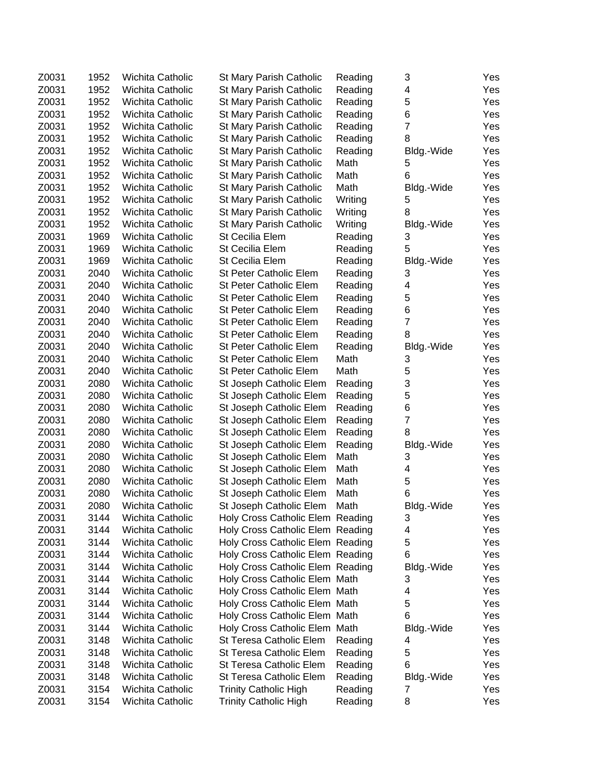| Z0031 | 1952 | Wichita Catholic        | St Mary Parish Catholic          | Reading | 3              | Yes |
|-------|------|-------------------------|----------------------------------|---------|----------------|-----|
| Z0031 | 1952 | Wichita Catholic        | St Mary Parish Catholic          | Reading | 4              | Yes |
| Z0031 | 1952 | Wichita Catholic        | St Mary Parish Catholic          | Reading | 5              | Yes |
| Z0031 | 1952 | Wichita Catholic        | St Mary Parish Catholic          | Reading | 6              | Yes |
| Z0031 | 1952 | Wichita Catholic        | St Mary Parish Catholic          | Reading | $\overline{7}$ | Yes |
| Z0031 | 1952 | Wichita Catholic        | St Mary Parish Catholic          | Reading | 8              | Yes |
| Z0031 | 1952 | Wichita Catholic        | St Mary Parish Catholic          | Reading | Bldg.-Wide     | Yes |
| Z0031 | 1952 | Wichita Catholic        | St Mary Parish Catholic          | Math    | 5              | Yes |
| Z0031 | 1952 | Wichita Catholic        | St Mary Parish Catholic          | Math    | 6              | Yes |
| Z0031 | 1952 | Wichita Catholic        | St Mary Parish Catholic          | Math    | Bldg.-Wide     | Yes |
| Z0031 | 1952 | Wichita Catholic        | St Mary Parish Catholic          | Writing | 5              | Yes |
| Z0031 | 1952 | Wichita Catholic        | St Mary Parish Catholic          | Writing | 8              | Yes |
| Z0031 | 1952 | Wichita Catholic        | St Mary Parish Catholic          | Writing | Bldg.-Wide     | Yes |
| Z0031 | 1969 | Wichita Catholic        | St Cecilia Elem                  | Reading | 3              | Yes |
| Z0031 | 1969 | Wichita Catholic        | St Cecilia Elem                  | Reading | 5              | Yes |
| Z0031 | 1969 | Wichita Catholic        | St Cecilia Elem                  | Reading | Bldg.-Wide     | Yes |
| Z0031 | 2040 | Wichita Catholic        | St Peter Catholic Elem           | Reading | 3              | Yes |
| Z0031 | 2040 | Wichita Catholic        | St Peter Catholic Elem           | Reading | 4              | Yes |
| Z0031 | 2040 | Wichita Catholic        | St Peter Catholic Elem           | Reading | 5              | Yes |
| Z0031 | 2040 | Wichita Catholic        | St Peter Catholic Elem           | Reading | 6              | Yes |
| Z0031 | 2040 | Wichita Catholic        | St Peter Catholic Elem           | Reading | $\overline{7}$ | Yes |
| Z0031 | 2040 | Wichita Catholic        | St Peter Catholic Elem           | Reading | 8              | Yes |
| Z0031 | 2040 | Wichita Catholic        | St Peter Catholic Elem           | Reading | Bldg.-Wide     | Yes |
| Z0031 | 2040 | Wichita Catholic        | <b>St Peter Catholic Elem</b>    | Math    | 3              | Yes |
| Z0031 | 2040 | Wichita Catholic        | St Peter Catholic Elem           | Math    | 5              | Yes |
| Z0031 | 2080 | Wichita Catholic        | St Joseph Catholic Elem          | Reading | 3              | Yes |
| Z0031 | 2080 | Wichita Catholic        | St Joseph Catholic Elem          | Reading | 5              | Yes |
| Z0031 | 2080 | Wichita Catholic        | St Joseph Catholic Elem          | Reading | 6              | Yes |
| Z0031 | 2080 | Wichita Catholic        | St Joseph Catholic Elem          | Reading | 7              | Yes |
| Z0031 | 2080 | Wichita Catholic        | St Joseph Catholic Elem          | Reading | 8              | Yes |
| Z0031 | 2080 | Wichita Catholic        | St Joseph Catholic Elem          | Reading | Bldg.-Wide     | Yes |
| Z0031 | 2080 | Wichita Catholic        | St Joseph Catholic Elem          | Math    | 3              | Yes |
| Z0031 | 2080 | Wichita Catholic        | St Joseph Catholic Elem          | Math    | 4              | Yes |
| Z0031 | 2080 | Wichita Catholic        | St Joseph Catholic Elem          | Math    | 5              | Yes |
| Z0031 | 2080 | Wichita Catholic        | St Joseph Catholic Elem          | Math    | 6              | Yes |
| Z0031 | 2080 | Wichita Catholic        | St Joseph Catholic Elem          | Math    | Bldg.-Wide     | Yes |
| Z0031 | 3144 | Wichita Catholic        | Holy Cross Catholic Elem Reading |         | З              | Yes |
| Z0031 | 3144 | Wichita Catholic        | Holy Cross Catholic Elem Reading |         | 4              | Yes |
| Z0031 | 3144 | Wichita Catholic        | Holy Cross Catholic Elem Reading |         | 5              | Yes |
| Z0031 | 3144 | Wichita Catholic        | Holy Cross Catholic Elem Reading |         | 6              | Yes |
| Z0031 | 3144 | <b>Wichita Catholic</b> | Holy Cross Catholic Elem Reading |         | Bldg.-Wide     | Yes |
| Z0031 | 3144 | Wichita Catholic        | Holy Cross Catholic Elem Math    |         | 3              | Yes |
| Z0031 | 3144 | Wichita Catholic        | Holy Cross Catholic Elem Math    |         | 4              | Yes |
| Z0031 | 3144 | Wichita Catholic        | Holy Cross Catholic Elem Math    |         | 5              | Yes |
| Z0031 | 3144 | <b>Wichita Catholic</b> | Holy Cross Catholic Elem Math    |         | 6              | Yes |
| Z0031 | 3144 | Wichita Catholic        | Holy Cross Catholic Elem Math    |         | Bldg.-Wide     | Yes |
| Z0031 | 3148 | Wichita Catholic        | St Teresa Catholic Elem          | Reading | 4              | Yes |
| Z0031 | 3148 | Wichita Catholic        | St Teresa Catholic Elem          | Reading | 5              | Yes |
| Z0031 | 3148 | Wichita Catholic        | St Teresa Catholic Elem          | Reading | 6              | Yes |
| Z0031 | 3148 | Wichita Catholic        | St Teresa Catholic Elem          | Reading | Bldg.-Wide     | Yes |
| Z0031 | 3154 | Wichita Catholic        | <b>Trinity Catholic High</b>     | Reading | 7              | Yes |
| Z0031 | 3154 | Wichita Catholic        | <b>Trinity Catholic High</b>     | Reading | 8              | Yes |
|       |      |                         |                                  |         |                |     |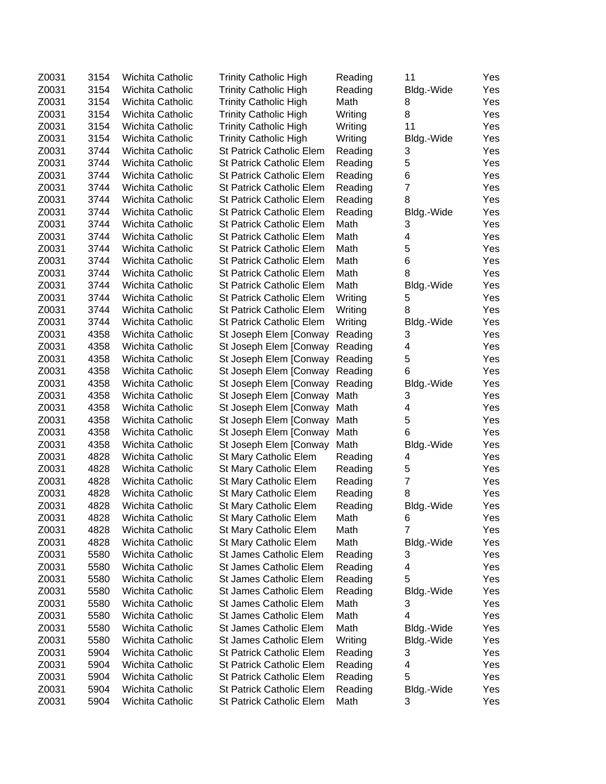| Z0031 | 3154 | Wichita Catholic        | <b>Trinity Catholic High</b>    | Reading | 11               | Yes |
|-------|------|-------------------------|---------------------------------|---------|------------------|-----|
| Z0031 | 3154 | <b>Wichita Catholic</b> | <b>Trinity Catholic High</b>    | Reading | Bldg.-Wide       | Yes |
| Z0031 | 3154 | <b>Wichita Catholic</b> | <b>Trinity Catholic High</b>    | Math    | 8                | Yes |
| Z0031 | 3154 | Wichita Catholic        | <b>Trinity Catholic High</b>    | Writing | 8                | Yes |
| Z0031 | 3154 | Wichita Catholic        | <b>Trinity Catholic High</b>    | Writing | 11               | Yes |
| Z0031 | 3154 | Wichita Catholic        | <b>Trinity Catholic High</b>    | Writing | Bldg.-Wide       | Yes |
| Z0031 | 3744 | Wichita Catholic        | <b>St Patrick Catholic Elem</b> | Reading | 3                | Yes |
| Z0031 | 3744 | Wichita Catholic        | <b>St Patrick Catholic Elem</b> | Reading | 5                | Yes |
| Z0031 | 3744 | Wichita Catholic        | <b>St Patrick Catholic Elem</b> | Reading | 6                | Yes |
| Z0031 | 3744 | Wichita Catholic        | St Patrick Catholic Elem        | Reading | $\overline{7}$   | Yes |
| Z0031 | 3744 | <b>Wichita Catholic</b> | <b>St Patrick Catholic Elem</b> | Reading | 8                | Yes |
| Z0031 | 3744 | Wichita Catholic        | St Patrick Catholic Elem        | Reading | Bldg.-Wide       | Yes |
| Z0031 | 3744 | Wichita Catholic        | St Patrick Catholic Elem        | Math    | 3                | Yes |
| Z0031 | 3744 | Wichita Catholic        | St Patrick Catholic Elem        | Math    | 4                | Yes |
| Z0031 | 3744 | Wichita Catholic        | <b>St Patrick Catholic Elem</b> | Math    | 5                | Yes |
| Z0031 | 3744 | Wichita Catholic        | <b>St Patrick Catholic Elem</b> | Math    | 6                | Yes |
| Z0031 | 3744 | Wichita Catholic        | <b>St Patrick Catholic Elem</b> | Math    | 8                | Yes |
| Z0031 | 3744 | Wichita Catholic        | St Patrick Catholic Elem        | Math    | Bldg.-Wide       | Yes |
| Z0031 | 3744 | Wichita Catholic        | St Patrick Catholic Elem        | Writing | 5                | Yes |
| Z0031 | 3744 | Wichita Catholic        | <b>St Patrick Catholic Elem</b> | Writing | 8                | Yes |
| Z0031 | 3744 | Wichita Catholic        | <b>St Patrick Catholic Elem</b> | Writing | Bldg.-Wide       | Yes |
| Z0031 | 4358 | Wichita Catholic        | St Joseph Elem [Conway          | Reading | 3                | Yes |
| Z0031 | 4358 | Wichita Catholic        | St Joseph Elem [Conway          | Reading | 4                | Yes |
| Z0031 | 4358 | <b>Wichita Catholic</b> | St Joseph Elem [Conway          | Reading | 5                | Yes |
| Z0031 | 4358 | Wichita Catholic        | St Joseph Elem [Conway          | Reading | 6                | Yes |
| Z0031 | 4358 | Wichita Catholic        | St Joseph Elem [Conway          | Reading | Bldg.-Wide       | Yes |
| Z0031 | 4358 | Wichita Catholic        | St Joseph Elem [Conway          | Math    | 3                | Yes |
| Z0031 | 4358 | Wichita Catholic        | St Joseph Elem [Conway          | Math    | 4                | Yes |
| Z0031 | 4358 | Wichita Catholic        | St Joseph Elem [Conway          | Math    | 5                | Yes |
| Z0031 | 4358 | Wichita Catholic        | St Joseph Elem [Conway          | Math    | 6                | Yes |
| Z0031 | 4358 | Wichita Catholic        | St Joseph Elem [Conway          | Math    | Bldg.-Wide       | Yes |
| Z0031 | 4828 | Wichita Catholic        | St Mary Catholic Elem           | Reading | 4                | Yes |
| Z0031 | 4828 | Wichita Catholic        | St Mary Catholic Elem           | Reading | 5                | Yes |
| Z0031 | 4828 | Wichita Catholic        | St Mary Catholic Elem           | Reading | $\boldsymbol{7}$ | Yes |
| Z0031 | 4828 | Wichita Catholic        | St Mary Catholic Elem           | Reading | 8                | Yes |
| Z0031 | 4828 | Wichita Catholic        | St Mary Catholic Elem           | Reading | Bldg.-Wide       | Yes |
| Z0031 | 4828 | Wichita Catholic        | St Mary Catholic Elem           | Math    | 6                | Yes |
| Z0031 | 4828 | Wichita Catholic        | St Mary Catholic Elem           | Math    | 7                | Yes |
| Z0031 | 4828 | Wichita Catholic        | St Mary Catholic Elem           | Math    | Bldg.-Wide       | Yes |
| Z0031 | 5580 | Wichita Catholic        | <b>St James Catholic Elem</b>   | Reading | 3                | Yes |
| Z0031 | 5580 | Wichita Catholic        | St James Catholic Elem          | Reading | 4                | Yes |
| Z0031 | 5580 | Wichita Catholic        | St James Catholic Elem          | Reading | 5                | Yes |
| Z0031 | 5580 | Wichita Catholic        | St James Catholic Elem          | Reading | Bldg.-Wide       | Yes |
| Z0031 | 5580 | Wichita Catholic        | St James Catholic Elem          | Math    | 3                | Yes |
| Z0031 | 5580 | Wichita Catholic        | St James Catholic Elem          | Math    | 4                | Yes |
| Z0031 | 5580 | Wichita Catholic        | St James Catholic Elem          | Math    | Bldg.-Wide       | Yes |
| Z0031 | 5580 | Wichita Catholic        | St James Catholic Elem          | Writing | Bldg.-Wide       | Yes |
| Z0031 | 5904 | Wichita Catholic        | <b>St Patrick Catholic Elem</b> | Reading | 3                | Yes |
| Z0031 | 5904 | Wichita Catholic        | <b>St Patrick Catholic Elem</b> | Reading | 4                | Yes |
| Z0031 | 5904 | Wichita Catholic        | St Patrick Catholic Elem        | Reading | 5                | Yes |
| Z0031 | 5904 | Wichita Catholic        | St Patrick Catholic Elem        | Reading | Bldg.-Wide       | Yes |
| Z0031 | 5904 | Wichita Catholic        | St Patrick Catholic Elem        | Math    | 3                | Yes |
|       |      |                         |                                 |         |                  |     |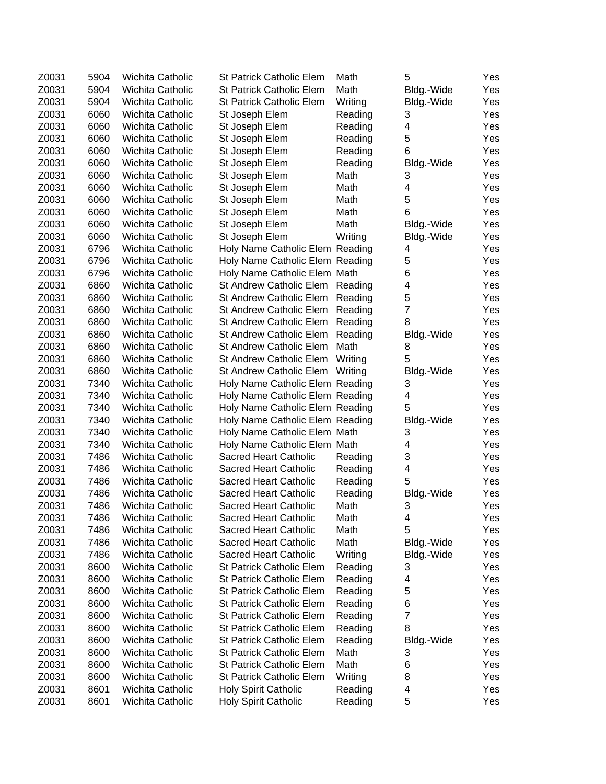| Z0031          | 5904 | Wichita Catholic        | St Patrick Catholic Elem                                           | Math    | 5                       | Yes |
|----------------|------|-------------------------|--------------------------------------------------------------------|---------|-------------------------|-----|
| Z0031          | 5904 | Wichita Catholic        | <b>St Patrick Catholic Elem</b>                                    | Math    | Bldg.-Wide              | Yes |
| Z0031          | 5904 | Wichita Catholic        | <b>St Patrick Catholic Elem</b>                                    | Writing | Bldg.-Wide              | Yes |
| Z0031          | 6060 | Wichita Catholic        | St Joseph Elem                                                     | Reading | 3                       | Yes |
| Z0031          | 6060 | <b>Wichita Catholic</b> | St Joseph Elem                                                     | Reading | 4                       | Yes |
| Z0031          | 6060 | Wichita Catholic        | St Joseph Elem                                                     | Reading | 5                       | Yes |
| Z0031          | 6060 | Wichita Catholic        | St Joseph Elem                                                     | Reading | 6                       | Yes |
| Z0031          | 6060 | Wichita Catholic        | St Joseph Elem                                                     | Reading | Bldg.-Wide              | Yes |
| Z0031          | 6060 | Wichita Catholic        | St Joseph Elem                                                     | Math    | 3                       | Yes |
| Z0031          | 6060 | Wichita Catholic        | St Joseph Elem                                                     | Math    | 4                       | Yes |
| Z0031          | 6060 | <b>Wichita Catholic</b> | St Joseph Elem                                                     | Math    | 5                       | Yes |
| Z0031          | 6060 | Wichita Catholic        | St Joseph Elem                                                     | Math    | 6                       | Yes |
| Z0031          | 6060 | Wichita Catholic        | St Joseph Elem                                                     | Math    | Bldg.-Wide              | Yes |
| Z0031          | 6060 | Wichita Catholic        | St Joseph Elem                                                     | Writing | Bldg.-Wide              | Yes |
| Z0031          | 6796 | Wichita Catholic        | Holy Name Catholic Elem Reading                                    |         | 4                       | Yes |
| Z0031          | 6796 | Wichita Catholic        | Holy Name Catholic Elem Reading                                    |         | 5                       | Yes |
| Z0031          | 6796 | Wichita Catholic        | Holy Name Catholic Elem Math                                       |         | 6                       | Yes |
| Z0031          | 6860 | Wichita Catholic        | St Andrew Catholic Elem                                            | Reading | $\overline{\mathbf{4}}$ | Yes |
| Z0031          | 6860 | Wichita Catholic        | St Andrew Catholic Elem                                            | Reading | 5                       | Yes |
| Z0031          | 6860 | <b>Wichita Catholic</b> | St Andrew Catholic Elem                                            | Reading | $\overline{7}$          | Yes |
| Z0031          | 6860 | Wichita Catholic        | St Andrew Catholic Elem                                            | Reading | 8                       | Yes |
| Z0031          | 6860 | Wichita Catholic        | St Andrew Catholic Elem                                            | Reading | Bldg.-Wide              | Yes |
| Z0031          | 6860 | <b>Wichita Catholic</b> | <b>St Andrew Catholic Elem</b>                                     | Math    | 8                       | Yes |
| Z0031          | 6860 | Wichita Catholic        | St Andrew Catholic Elem                                            | Writing | 5                       | Yes |
| Z0031          | 6860 | Wichita Catholic        | St Andrew Catholic Elem                                            | Writing | Bldg.-Wide              | Yes |
| Z0031          | 7340 | Wichita Catholic        | Holy Name Catholic Elem Reading                                    |         | 3                       | Yes |
| Z0031          | 7340 | Wichita Catholic        | Holy Name Catholic Elem Reading                                    |         | 4                       | Yes |
| Z0031          | 7340 | Wichita Catholic        | Holy Name Catholic Elem Reading                                    |         | 5                       | Yes |
| Z0031          | 7340 | Wichita Catholic        | Holy Name Catholic Elem Reading                                    |         | Bldg.-Wide              | Yes |
| Z0031          | 7340 | Wichita Catholic        | Holy Name Catholic Elem Math                                       |         | 3                       | Yes |
| Z0031          | 7340 | Wichita Catholic        | Holy Name Catholic Elem Math                                       |         | 4                       | Yes |
| Z0031          | 7486 | Wichita Catholic        | Sacred Heart Catholic                                              | Reading | 3                       | Yes |
| Z0031          | 7486 | Wichita Catholic        | Sacred Heart Catholic                                              | Reading | 4                       | Yes |
| Z0031          | 7486 | Wichita Catholic        | Sacred Heart Catholic                                              | Reading | 5                       | Yes |
| Z0031          | 7486 | Wichita Catholic        | Sacred Heart Catholic                                              | Reading |                         | Yes |
| Z0031          | 7486 | <b>Wichita Catholic</b> | Sacred Heart Catholic                                              | Math    | Bldg.-Wide<br>3         | Yes |
| Z0031          | 7486 | Wichita Catholic        | <b>Sacred Heart Catholic</b>                                       | Math    |                         | Yes |
| Z0031          | 7486 | Wichita Catholic        | Sacred Heart Catholic                                              | Math    | 4<br>5                  | Yes |
| Z0031          | 7486 | Wichita Catholic        | <b>Sacred Heart Catholic</b>                                       | Math    | Bldg.-Wide              | Yes |
| Z0031          | 7486 | Wichita Catholic        | <b>Sacred Heart Catholic</b>                                       | Writing | Bldg.-Wide              | Yes |
| Z0031          | 8600 | <b>Wichita Catholic</b> | <b>St Patrick Catholic Elem</b>                                    | Reading | 3                       | Yes |
| Z0031          | 8600 | Wichita Catholic        | <b>St Patrick Catholic Elem</b>                                    | Reading |                         | Yes |
| Z0031          | 8600 | Wichita Catholic        | <b>St Patrick Catholic Elem</b>                                    |         | 4                       | Yes |
| Z0031          |      | Wichita Catholic        |                                                                    | Reading | 5                       |     |
| Z0031          | 8600 |                         | <b>St Patrick Catholic Elem</b><br><b>St Patrick Catholic Elem</b> | Reading | 6<br>7                  | Yes |
|                | 8600 | Wichita Catholic        |                                                                    | Reading |                         | Yes |
| Z0031<br>Z0031 | 8600 | Wichita Catholic        | <b>St Patrick Catholic Elem</b>                                    | Reading | 8                       | Yes |
|                | 8600 | <b>Wichita Catholic</b> | <b>St Patrick Catholic Elem</b>                                    | Reading | Bldg.-Wide              | Yes |
| Z0031          | 8600 | Wichita Catholic        | <b>St Patrick Catholic Elem</b>                                    | Math    | 3                       | Yes |
| Z0031          | 8600 | Wichita Catholic        | <b>St Patrick Catholic Elem</b>                                    | Math    | 6                       | Yes |
| Z0031          | 8600 | Wichita Catholic        | St Patrick Catholic Elem                                           | Writing | 8                       | Yes |
| Z0031          | 8601 | Wichita Catholic        | <b>Holy Spirit Catholic</b>                                        | Reading | 4                       | Yes |
| Z0031          | 8601 | Wichita Catholic        | Holy Spirit Catholic                                               | Reading | 5                       | Yes |